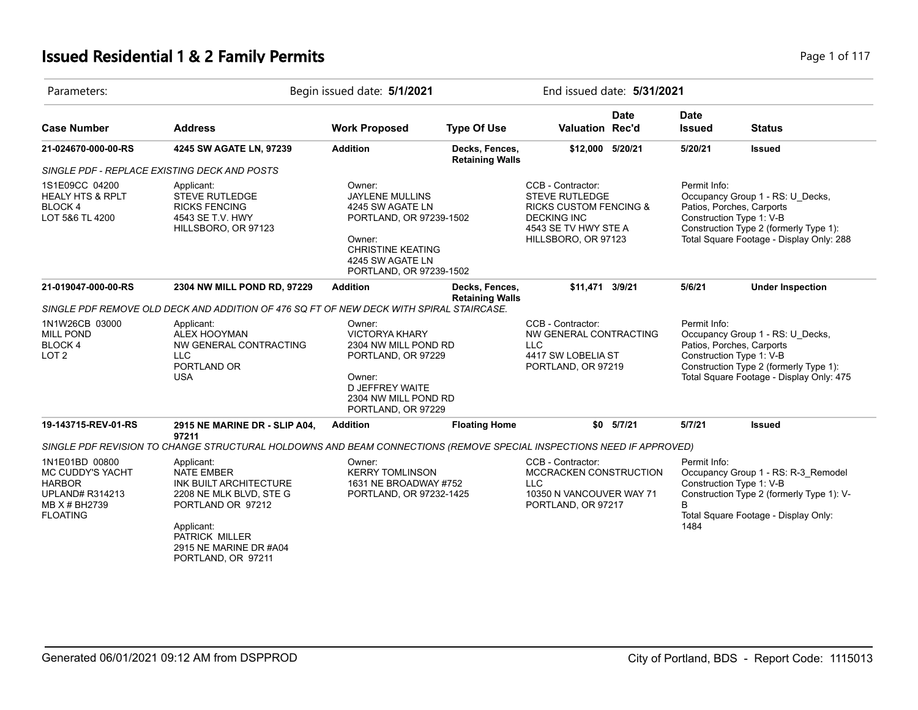# **Issued Residential 1 & 2 Family Permits Page 1 of 117 Page 1 of 117**

| Parameters:                                                                                                              |                                                                                                                                                                                           | Begin issued date: 5/1/2021                                                                                                                                          |                                          |                                                                                                                                                      |               | End issued date: 5/31/2021   |                                                                                                                                                                                 |  |  |
|--------------------------------------------------------------------------------------------------------------------------|-------------------------------------------------------------------------------------------------------------------------------------------------------------------------------------------|----------------------------------------------------------------------------------------------------------------------------------------------------------------------|------------------------------------------|------------------------------------------------------------------------------------------------------------------------------------------------------|---------------|------------------------------|---------------------------------------------------------------------------------------------------------------------------------------------------------------------------------|--|--|
| <b>Case Number</b>                                                                                                       | <b>Address</b>                                                                                                                                                                            | <b>Work Proposed</b>                                                                                                                                                 | <b>Type Of Use</b>                       | <b>Valuation Rec'd</b>                                                                                                                               | <b>Date</b>   | <b>Date</b><br><b>Issued</b> | <b>Status</b>                                                                                                                                                                   |  |  |
| 21-024670-000-00-RS                                                                                                      | 4245 SW AGATE LN, 97239                                                                                                                                                                   | <b>Addition</b>                                                                                                                                                      | Decks, Fences,<br><b>Retaining Walls</b> | \$12,000 5/20/21                                                                                                                                     |               | 5/20/21                      | <b>Issued</b>                                                                                                                                                                   |  |  |
|                                                                                                                          | SINGLE PDF - REPLACE EXISTING DECK AND POSTS                                                                                                                                              |                                                                                                                                                                      |                                          |                                                                                                                                                      |               |                              |                                                                                                                                                                                 |  |  |
| 1S1E09CC 04200<br><b>HEALY HTS &amp; RPLT</b><br>BLOCK 4<br>LOT 5&6 TL 4200                                              | Applicant:<br><b>STEVE RUTLEDGE</b><br><b>RICKS FENCING</b><br>4543 SE T.V. HWY<br>HILLSBORO, OR 97123                                                                                    | Owner:<br><b>JAYLENE MULLINS</b><br>4245 SW AGATE LN<br>PORTLAND, OR 97239-1502<br>Owner:<br><b>CHRISTINE KEATING</b><br>4245 SW AGATE LN<br>PORTLAND, OR 97239-1502 |                                          | CCB - Contractor:<br><b>STEVE RUTLEDGE</b><br><b>RICKS CUSTOM FENCING &amp;</b><br><b>DECKING INC</b><br>4543 SE TV HWY STE A<br>HILLSBORO, OR 97123 |               | Permit Info:                 | Occupancy Group 1 - RS: U_Decks,<br>Patios, Porches, Carports<br>Construction Type 1: V-B<br>Construction Type 2 (formerly Type 1):<br>Total Square Footage - Display Only: 288 |  |  |
| 21-019047-000-00-RS                                                                                                      | 2304 NW MILL POND RD, 97229                                                                                                                                                               | <b>Addition</b>                                                                                                                                                      | Decks, Fences,<br><b>Retaining Walls</b> | \$11,471                                                                                                                                             | 3/9/21        | 5/6/21                       | <b>Under Inspection</b>                                                                                                                                                         |  |  |
|                                                                                                                          | SINGLE PDF REMOVE OLD DECK AND ADDITION OF 476 SQ FT OF NEW DECK WITH SPIRAL STAIRCASE.                                                                                                   |                                                                                                                                                                      |                                          |                                                                                                                                                      |               |                              |                                                                                                                                                                                 |  |  |
| 1N1W26CB 03000<br><b>MILL POND</b><br>BLOCK 4<br>LOT <sub>2</sub>                                                        | Applicant:<br>ALEX HOOYMAN<br>NW GENERAL CONTRACTING<br><b>LLC</b><br>PORTLAND OR<br><b>USA</b>                                                                                           | Owner:<br><b>VICTORYA KHARY</b><br>2304 NW MILL POND RD<br>PORTLAND, OR 97229<br>Owner:<br>D JEFFREY WAITE<br>2304 NW MILL POND RD<br>PORTLAND, OR 97229             |                                          | CCB - Contractor:<br>NW GENERAL CONTRACTING<br><b>LLC</b><br>4417 SW LOBELIA ST<br>PORTLAND, OR 97219                                                |               | Permit Info:                 | Occupancy Group 1 - RS: U_Decks,<br>Patios, Porches, Carports<br>Construction Type 1: V-B<br>Construction Type 2 (formerly Type 1):<br>Total Square Footage - Display Only: 475 |  |  |
| 19-143715-REV-01-RS                                                                                                      | 2915 NE MARINE DR - SLIP A04,                                                                                                                                                             | <b>Addition</b>                                                                                                                                                      | <b>Floating Home</b>                     |                                                                                                                                                      | $$0$ $5/7/21$ | 5/7/21                       | <b>Issued</b>                                                                                                                                                                   |  |  |
|                                                                                                                          | 97211<br>SINGLE PDF REVISION TO CHANGE STRUCTURAL HOLDOWNS AND BEAM CONNECTIONS (REMOVE SPECIAL INSPECTIONS NEED IF APPROVED)                                                             |                                                                                                                                                                      |                                          |                                                                                                                                                      |               |                              |                                                                                                                                                                                 |  |  |
| 1N1E01BD 00800<br><b>MC CUDDY'S YACHT</b><br><b>HARBOR</b><br><b>UPLAND# R314213</b><br>MB X # BH2739<br><b>FLOATING</b> | Applicant:<br><b>NATE EMBER</b><br>INK BUILT ARCHITECTURE<br>2208 NE MLK BLVD, STE G<br>PORTLAND OR 97212<br>Applicant:<br>PATRICK MILLER<br>2915 NE MARINE DR #A04<br>PORTLAND, OR 97211 | Owner:<br><b>KERRY TOMLINSON</b><br>1631 NE BROADWAY #752<br>PORTLAND, OR 97232-1425                                                                                 |                                          | CCB - Contractor:<br>MCCRACKEN CONSTRUCTION<br>LLC.<br>10350 N VANCOUVER WAY 71<br>PORTLAND, OR 97217                                                |               | Permit Info:<br>R.<br>1484   | Occupancy Group 1 - RS: R-3_Remodel<br>Construction Type 1: V-B<br>Construction Type 2 (formerly Type 1): V-<br>Total Square Footage - Display Only:                            |  |  |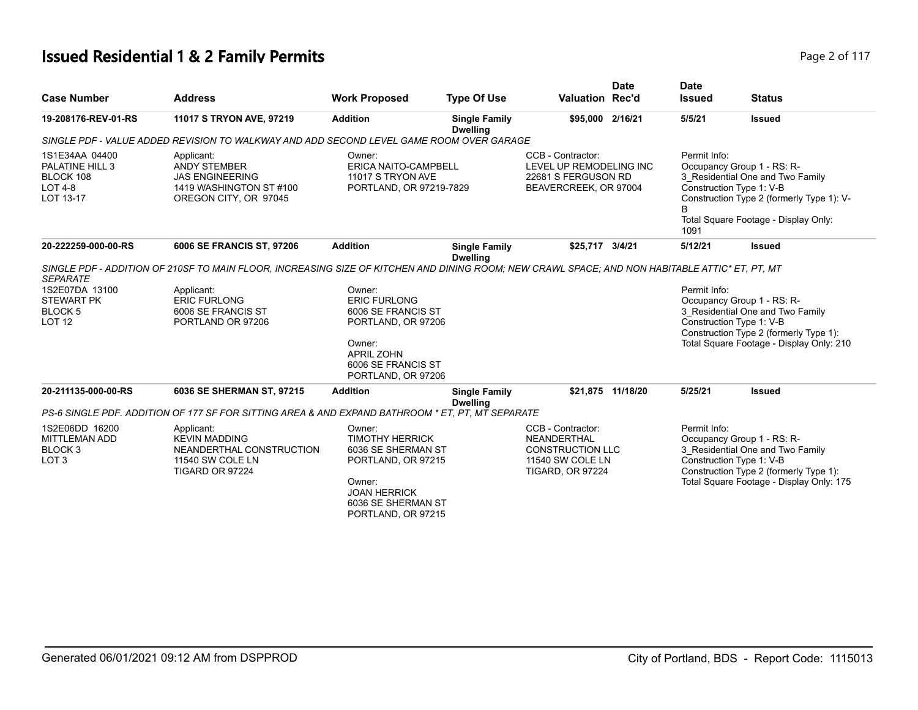# **Issued Residential 1 & 2 Family Permits Page 2 of 117** and **Page 2 of 117**

| <b>Case Number</b>                                                                                               | <b>Address</b>                                                                                                                                                                                                                                              | <b>Work Proposed</b>                                                                                                                                                    | <b>Type Of Use</b>                      | <b>Valuation Rec'd</b>                                                                                     | <b>Date</b>       | <b>Date</b><br><b>Issued</b> | <b>Status</b>                                                                                                                                                                                     |
|------------------------------------------------------------------------------------------------------------------|-------------------------------------------------------------------------------------------------------------------------------------------------------------------------------------------------------------------------------------------------------------|-------------------------------------------------------------------------------------------------------------------------------------------------------------------------|-----------------------------------------|------------------------------------------------------------------------------------------------------------|-------------------|------------------------------|---------------------------------------------------------------------------------------------------------------------------------------------------------------------------------------------------|
| 19-208176-REV-01-RS                                                                                              | 11017 S TRYON AVE, 97219                                                                                                                                                                                                                                    | <b>Addition</b>                                                                                                                                                         | <b>Single Family</b><br><b>Dwelling</b> | \$95,000 2/16/21                                                                                           |                   | 5/5/21                       | <b>Issued</b>                                                                                                                                                                                     |
|                                                                                                                  | SINGLE PDF - VALUE ADDED REVISION TO WALKWAY AND ADD SECOND LEVEL GAME ROOM OVER GARAGE                                                                                                                                                                     |                                                                                                                                                                         |                                         |                                                                                                            |                   |                              |                                                                                                                                                                                                   |
| 1S1E34AA 04400<br>PALATINE HILL 3<br>BLOCK 108<br><b>LOT 4-8</b><br>LOT 13-17                                    | Applicant:<br><b>ANDY STEMBER</b><br><b>JAS ENGINEERING</b><br>1419 WASHINGTON ST #100<br>OREGON CITY, OR 97045                                                                                                                                             | Owner:<br>ERICA NAITO-CAMPBELL<br>11017 S TRYON AVE<br>PORTLAND, OR 97219-7829                                                                                          |                                         | CCB - Contractor:<br>LEVEL UP REMODELING INC<br>22681 S FERGUSON RD<br>BEAVERCREEK, OR 97004               |                   | Permit Info:<br>B<br>1091    | Occupancy Group 1 - RS: R-<br>3 Residential One and Two Family<br>Construction Type 1: V-B<br>Construction Type 2 (formerly Type 1): V-<br>Total Square Footage - Display Only:                   |
| 20-222259-000-00-RS                                                                                              | 6006 SE FRANCIS ST, 97206                                                                                                                                                                                                                                   | <b>Addition</b>                                                                                                                                                         | <b>Single Family</b><br><b>Dwelling</b> | \$25,717 3/4/21                                                                                            |                   | 5/12/21                      | <b>Issued</b>                                                                                                                                                                                     |
| <b>SEPARATE</b><br>1S2E07DA 13100<br><b>STEWART PK</b><br><b>BLOCK 5</b><br><b>LOT 12</b><br>20-211135-000-00-RS | SINGLE PDF - ADDITION OF 210SF TO MAIN FLOOR, INCREASING SIZE OF KITCHEN AND DINING ROOM; NEW CRAWL SPACE; AND NON HABITABLE ATTIC* ET, PT, MT<br>Applicant:<br><b>ERIC FURLONG</b><br>6006 SE FRANCIS ST<br>PORTLAND OR 97206<br>6036 SE SHERMAN ST, 97215 | Owner:<br><b>ERIC FURLONG</b><br>6006 SE FRANCIS ST<br>PORTLAND, OR 97206<br>Owner:<br><b>APRIL ZOHN</b><br>6006 SE FRANCIS ST<br>PORTLAND, OR 97206<br><b>Addition</b> | <b>Single Family</b>                    |                                                                                                            | \$21,875 11/18/20 | Permit Info:<br>5/25/21      | Occupancy Group 1 - RS: R-<br>3 Residential One and Two Family<br>Construction Type 1: V-B<br>Construction Type 2 (formerly Type 1):<br>Total Square Footage - Display Only: 210<br><b>Issued</b> |
|                                                                                                                  |                                                                                                                                                                                                                                                             |                                                                                                                                                                         | <b>Dwelling</b>                         |                                                                                                            |                   |                              |                                                                                                                                                                                                   |
|                                                                                                                  | PS-6 SINGLE PDF. ADDITION OF 177 SF FOR SITTING AREA & AND EXPAND BATHROOM * ET, PT, MT SEPARATE                                                                                                                                                            |                                                                                                                                                                         |                                         |                                                                                                            |                   |                              |                                                                                                                                                                                                   |
| 1S2E06DD 16200<br><b>MITTLEMAN ADD</b><br>BLOCK <sub>3</sub><br>LOT <sub>3</sub>                                 | Applicant:<br><b>KEVIN MADDING</b><br>NEANDERTHAL CONSTRUCTION<br>11540 SW COLE LN<br>TIGARD OR 97224                                                                                                                                                       | Owner:<br><b>TIMOTHY HERRICK</b><br>6036 SE SHERMAN ST<br>PORTLAND, OR 97215<br>Owner:<br><b>JOAN HERRICK</b><br>6036 SE SHERMAN ST<br>PORTLAND, OR 97215               |                                         | CCB - Contractor:<br>NEANDERTHAL<br><b>CONSTRUCTION LLC</b><br>11540 SW COLE LN<br><b>TIGARD, OR 97224</b> |                   | Permit Info:                 | Occupancy Group 1 - RS: R-<br>3 Residential One and Two Family<br>Construction Type 1: V-B<br>Construction Type 2 (formerly Type 1):<br>Total Square Footage - Display Only: 175                  |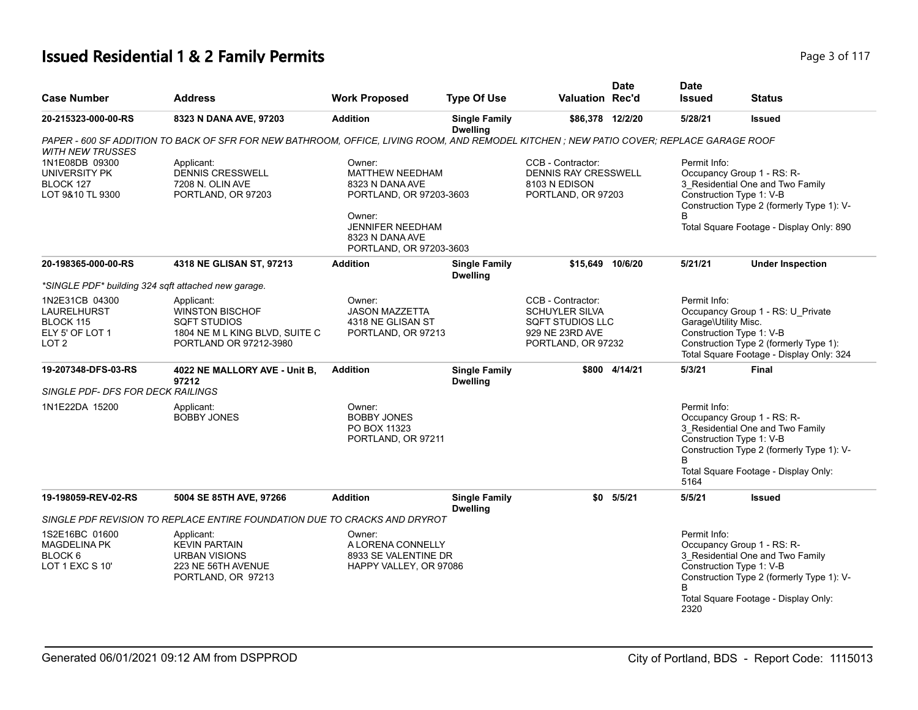# **Issued Residential 1 & 2 Family Permits Page 117 Page 117 Page 3 of 117**

| <b>Case Number</b>                                                                | <b>Address</b>                                                                                                                           | <b>Work Proposed</b>                                                                                                                                       | <b>Type Of Use</b>                      | <b>Valuation Rec'd</b>                                                                                         | <b>Date</b>   | <b>Date</b><br><b>Issued</b>                                     | Status                                                                                                                                                  |
|-----------------------------------------------------------------------------------|------------------------------------------------------------------------------------------------------------------------------------------|------------------------------------------------------------------------------------------------------------------------------------------------------------|-----------------------------------------|----------------------------------------------------------------------------------------------------------------|---------------|------------------------------------------------------------------|---------------------------------------------------------------------------------------------------------------------------------------------------------|
| 20-215323-000-00-RS                                                               | 8323 N DANA AVE, 97203                                                                                                                   | <b>Addition</b>                                                                                                                                            | <b>Single Family</b><br><b>Dwelling</b> | \$86,378 12/2/20                                                                                               |               | 5/28/21                                                          | <b>Issued</b>                                                                                                                                           |
| <b>WITH NEW TRUSSES</b>                                                           | PAPER - 600 SF ADDITION TO BACK OF SFR FOR NEW BATHROOM, OFFICE, LIVING ROOM, AND REMODEL KITCHEN ; NEW PATIO COVER; REPLACE GARAGE ROOF |                                                                                                                                                            |                                         |                                                                                                                |               |                                                                  |                                                                                                                                                         |
| 1N1E08DB 09300<br>UNIVERSITY PK<br>BLOCK 127<br>LOT 9&10 TL 9300                  | Applicant:<br><b>DENNIS CRESSWELL</b><br>7208 N. OLIN AVE<br>PORTLAND, OR 97203                                                          | Owner:<br>MATTHEW NEEDHAM<br>8323 N DANA AVE<br>PORTLAND, OR 97203-3603<br>Owner:<br><b>JENNIFER NEEDHAM</b><br>8323 N DANA AVE<br>PORTLAND, OR 97203-3603 |                                         | CCB - Contractor:<br>DENNIS RAY CRESSWELL<br>8103 N EDISON<br>PORTLAND, OR 97203                               |               | Permit Info:<br>Construction Type 1: V-B                         | Occupancy Group 1 - RS: R-<br>3_Residential One and Two Family<br>Construction Type 2 (formerly Type 1): V-<br>Total Square Footage - Display Only: 890 |
| 20-198365-000-00-RS                                                               | 4318 NE GLISAN ST, 97213                                                                                                                 | <b>Addition</b>                                                                                                                                            | <b>Single Family</b><br><b>Dwelling</b> | \$15.649 10/6/20                                                                                               |               | 5/21/21                                                          | <b>Under Inspection</b>                                                                                                                                 |
| *SINGLE PDF* building 324 sqft attached new garage.                               |                                                                                                                                          |                                                                                                                                                            |                                         |                                                                                                                |               |                                                                  |                                                                                                                                                         |
| 1N2E31CB 04300<br>LAURELHURST<br>BLOCK 115<br>ELY 5' OF LOT 1<br>LOT <sub>2</sub> | Applicant:<br><b>WINSTON BISCHOF</b><br><b>SQFT STUDIOS</b><br>1804 NE M L KING BLVD, SUITE C<br>PORTLAND OR 97212-3980                  | Owner:<br><b>JASON MAZZETTA</b><br>4318 NE GLISAN ST<br>PORTLAND, OR 97213                                                                                 |                                         | CCB - Contractor:<br><b>SCHUYLER SILVA</b><br><b>SQFT STUDIOS LLC</b><br>929 NE 23RD AVE<br>PORTLAND, OR 97232 |               | Permit Info:<br>Garage\Utility Misc.<br>Construction Type 1: V-B | Occupancy Group 1 - RS: U_Private<br>Construction Type 2 (formerly Type 1):<br>Total Square Footage - Display Only: 324                                 |
| 19-207348-DFS-03-RS                                                               | 4022 NE MALLORY AVE - Unit B,<br>97212                                                                                                   | <b>Addition</b>                                                                                                                                            | <b>Single Family</b><br><b>Dwelling</b> |                                                                                                                | \$800 4/14/21 | 5/3/21                                                           | <b>Final</b>                                                                                                                                            |
| SINGLE PDF- DFS FOR DECK RAILINGS                                                 |                                                                                                                                          |                                                                                                                                                            |                                         |                                                                                                                |               |                                                                  |                                                                                                                                                         |
| 1N1E22DA 15200                                                                    | Applicant:<br><b>BOBBY JONES</b>                                                                                                         | Owner:<br><b>BOBBY JONES</b><br>PO BOX 11323<br>PORTLAND, OR 97211                                                                                         |                                         |                                                                                                                |               | Permit Info:<br>Construction Type 1: V-B<br>5164                 | Occupancy Group 1 - RS: R-<br>3 Residential One and Two Family<br>Construction Type 2 (formerly Type 1): V-<br>Total Square Footage - Display Only:     |
| 19-198059-REV-02-RS                                                               | 5004 SE 85TH AVE, 97266                                                                                                                  | <b>Addition</b>                                                                                                                                            | <b>Single Family</b><br><b>Dwelling</b> |                                                                                                                | $$0$ $5/5/21$ | 5/5/21                                                           | <b>Issued</b>                                                                                                                                           |
|                                                                                   | SINGLE PDF REVISION TO REPLACE ENTIRE FOUNDATION DUE TO CRACKS AND DRYROT                                                                |                                                                                                                                                            |                                         |                                                                                                                |               |                                                                  |                                                                                                                                                         |
| 1S2E16BC 01600<br><b>MAGDELINA PK</b><br>BLOCK 6<br>LOT 1 EXC S 10'               | Applicant:<br><b>KEVIN PARTAIN</b><br><b>URBAN VISIONS</b><br>223 NE 56TH AVENUE<br>PORTLAND, OR 97213                                   | Owner:<br>A LORENA CONNELLY<br>8933 SE VALENTINE DR<br>HAPPY VALLEY, OR 97086                                                                              |                                         |                                                                                                                |               | Permit Info:<br>Construction Type 1: V-B<br>2320                 | Occupancy Group 1 - RS: R-<br>3 Residential One and Two Family<br>Construction Type 2 (formerly Type 1): V-<br>Total Square Footage - Display Only:     |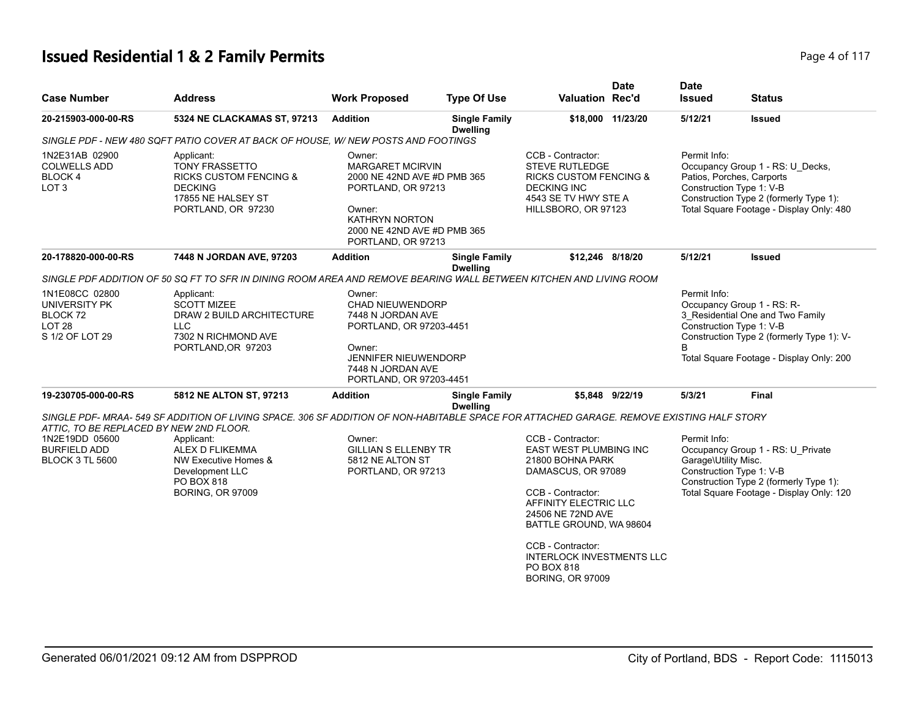# **Issued Residential 1 & 2 Family Permits Page 1 and 2018 12 Page 4 of 117**

| <b>Case Number</b>                                                                                         | <b>Address</b>                                                                                                                            | <b>Work Proposed</b>                                                                                                                                                           | <b>Type Of Use</b>                      | Valuation Rec'd                                                                                                                                                                                                                                                                                     | <b>Date</b> | <b>Date</b><br><b>Issued</b>         | <b>Status</b>                                                                                                                                                                       |
|------------------------------------------------------------------------------------------------------------|-------------------------------------------------------------------------------------------------------------------------------------------|--------------------------------------------------------------------------------------------------------------------------------------------------------------------------------|-----------------------------------------|-----------------------------------------------------------------------------------------------------------------------------------------------------------------------------------------------------------------------------------------------------------------------------------------------------|-------------|--------------------------------------|-------------------------------------------------------------------------------------------------------------------------------------------------------------------------------------|
| 20-215903-000-00-RS                                                                                        | 5324 NE CLACKAMAS ST, 97213                                                                                                               | <b>Addition</b>                                                                                                                                                                | <b>Single Family</b><br><b>Dwelling</b> | \$18,000 11/23/20                                                                                                                                                                                                                                                                                   |             | 5/12/21                              | <b>Issued</b>                                                                                                                                                                       |
|                                                                                                            | SINGLE PDF - NEW 480 SQFT PATIO COVER AT BACK OF HOUSE, W/ NEW POSTS AND FOOTINGS                                                         |                                                                                                                                                                                |                                         |                                                                                                                                                                                                                                                                                                     |             |                                      |                                                                                                                                                                                     |
| 1N2E31AB 02900<br><b>COLWELLS ADD</b><br>BLOCK 4<br>LOT <sub>3</sub>                                       | Applicant:<br><b>TONY FRASSETTO</b><br><b>RICKS CUSTOM FENCING &amp;</b><br><b>DECKING</b><br>17855 NE HALSEY ST<br>PORTLAND, OR 97230    | Owner:<br><b>MARGARET MCIRVIN</b><br>2000 NE 42ND AVE #D PMB 365<br>PORTLAND, OR 97213<br>Owner:<br><b>KATHRYN NORTON</b><br>2000 NE 42ND AVE #D PMB 365<br>PORTLAND, OR 97213 |                                         | CCB - Contractor:<br><b>STEVE RUTLEDGE</b><br><b>RICKS CUSTOM FENCING &amp;</b><br><b>DECKING INC</b><br>4543 SE TV HWY STE A<br>HILLSBORO, OR 97123                                                                                                                                                |             | Permit Info:                         | Occupancy Group 1 - RS: U Decks,<br>Patios, Porches, Carports<br>Construction Type 1: V-B<br>Construction Type 2 (formerly Type 1):<br>Total Square Footage - Display Only: 480     |
| 20-178820-000-00-RS                                                                                        | 7448 N JORDAN AVE, 97203                                                                                                                  | <b>Addition</b>                                                                                                                                                                | <b>Single Family</b><br><b>Dwelling</b> | \$12,246 8/18/20                                                                                                                                                                                                                                                                                    |             | 5/12/21                              | <b>Issued</b>                                                                                                                                                                       |
|                                                                                                            | SINGLE PDF ADDITION OF 50 SQ FT TO SFR IN DINING ROOM AREA AND REMOVE BEARING WALL BETWEEN KITCHEN AND LIVING ROOM                        |                                                                                                                                                                                |                                         |                                                                                                                                                                                                                                                                                                     |             |                                      |                                                                                                                                                                                     |
| 1N1E08CC 02800<br>UNIVERSITY PK<br>BLOCK 72<br>LOT <sub>28</sub><br>S 1/2 OF LOT 29                        | Applicant:<br><b>SCOTT MIZEE</b><br>DRAW 2 BUILD ARCHITECTURE<br><b>LLC</b><br>7302 N RICHMOND AVE<br>PORTLAND, OR 97203                  | Owner:<br>CHAD NIEUWENDORP<br>7448 N JORDAN AVE<br>PORTLAND, OR 97203-4451<br>Owner:<br><b>JENNIFER NIEUWENDORP</b><br>7448 N JORDAN AVE<br>PORTLAND, OR 97203-4451            |                                         |                                                                                                                                                                                                                                                                                                     |             | Permit Info:<br><sub>R</sub>         | Occupancy Group 1 - RS: R-<br>3 Residential One and Two Family<br>Construction Type 1: V-B<br>Construction Type 2 (formerly Type 1): V-<br>Total Square Footage - Display Only: 200 |
| 19-230705-000-00-RS                                                                                        | 5812 NE ALTON ST, 97213                                                                                                                   | <b>Addition</b>                                                                                                                                                                | <b>Single Family</b><br><b>Dwelling</b> | \$5.848 9/22/19                                                                                                                                                                                                                                                                                     |             | 5/3/21                               | Final                                                                                                                                                                               |
|                                                                                                            | SINGLE PDF- MRAA- 549 SF ADDITION OF LIVING SPACE. 306 SF ADDITION OF NON-HABITABLE SPACE FOR ATTACHED GARAGE. REMOVE EXISTING HALF STORY |                                                                                                                                                                                |                                         |                                                                                                                                                                                                                                                                                                     |             |                                      |                                                                                                                                                                                     |
| ATTIC, TO BE REPLACED BY NEW 2ND FLOOR.<br>1N2E19DD 05600<br><b>BURFIELD ADD</b><br><b>BLOCK 3 TL 5600</b> | Applicant:<br>ALEX D FLIKEMMA<br>NW Executive Homes &<br>Development LLC<br>PO BOX 818<br><b>BORING, OR 97009</b>                         | Owner:<br><b>GILLIAN S ELLENBY TR</b><br>5812 NE ALTON ST<br>PORTLAND, OR 97213                                                                                                |                                         | CCB - Contractor:<br><b>EAST WEST PLUMBING INC</b><br>21800 BOHNA PARK<br>DAMASCUS, OR 97089<br>CCB - Contractor:<br>AFFINITY ELECTRIC LLC<br>24506 NE 72ND AVE<br>BATTLE GROUND, WA 98604<br>CCB - Contractor:<br><b>INTERLOCK INVESTMENTS LLC</b><br><b>PO BOX 818</b><br><b>BORING, OR 97009</b> |             | Permit Info:<br>Garage\Utility Misc. | Occupancy Group 1 - RS: U_Private<br>Construction Type 1: V-B<br>Construction Type 2 (formerly Type 1):<br>Total Square Footage - Display Only: 120                                 |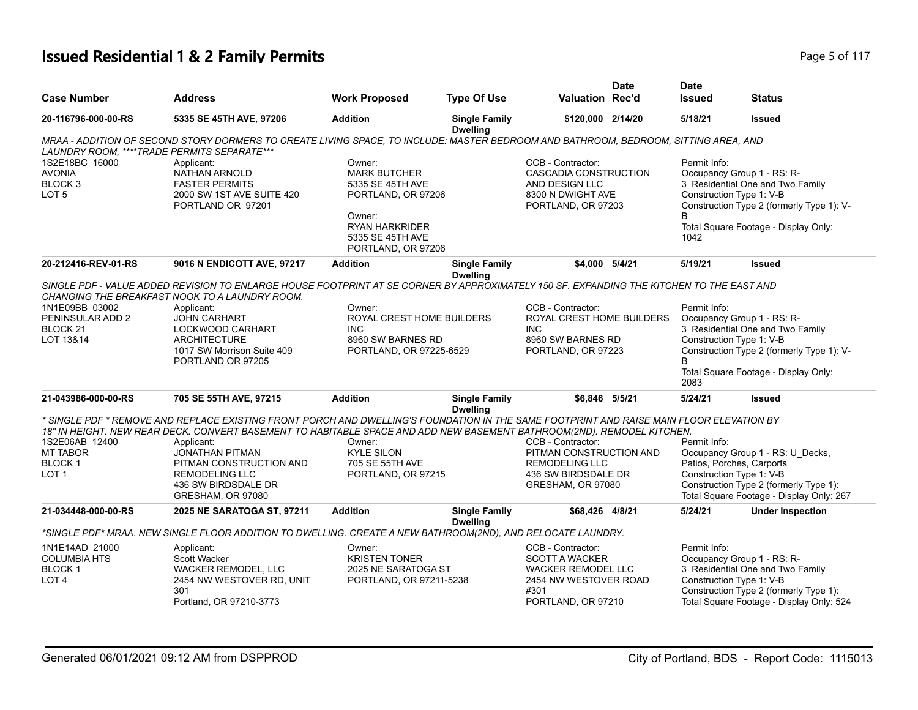# **Issued Residential 1 & 2 Family Permits Page 117 Page 117 Page 1117**

| <b>Case Number</b>                                                              | <b>Address</b>                                                                                                                                                                                                                                                                                                                                                                                             | <b>Work Proposed</b>                                                                                                                                 | <b>Type Of Use</b>                      | <b>Valuation Rec'd</b>                                                                                                         | <b>Date</b> | <b>Date</b><br><b>Issued</b>                                                        | <b>Status</b>                                                                                                          |
|---------------------------------------------------------------------------------|------------------------------------------------------------------------------------------------------------------------------------------------------------------------------------------------------------------------------------------------------------------------------------------------------------------------------------------------------------------------------------------------------------|------------------------------------------------------------------------------------------------------------------------------------------------------|-----------------------------------------|--------------------------------------------------------------------------------------------------------------------------------|-------------|-------------------------------------------------------------------------------------|------------------------------------------------------------------------------------------------------------------------|
| 20-116796-000-00-RS                                                             | 5335 SE 45TH AVE, 97206                                                                                                                                                                                                                                                                                                                                                                                    | <b>Addition</b>                                                                                                                                      | <b>Single Family</b><br><b>Dwelling</b> | \$120,000 2/14/20                                                                                                              |             | 5/18/21                                                                             | <b>Issued</b>                                                                                                          |
| LAUNDRY ROOM, ****TRADE PERMITS SEPARATE***                                     | MRAA - ADDITION OF SECOND STORY DORMERS TO CREATE LIVING SPACE, TO INCLUDE: MASTER BEDROOM AND BATHROOM, BEDROOM, SITTING AREA, AND                                                                                                                                                                                                                                                                        |                                                                                                                                                      |                                         |                                                                                                                                |             |                                                                                     |                                                                                                                        |
| 1S2E18BC 16000<br><b>AVONIA</b><br>BLOCK 3<br>LOT <sub>5</sub>                  | Applicant:<br>NATHAN ARNOLD<br><b>FASTER PERMITS</b><br>2000 SW 1ST AVE SUITE 420<br>PORTLAND OR 97201                                                                                                                                                                                                                                                                                                     | Owner:<br><b>MARK BUTCHER</b><br>5335 SE 45TH AVE<br>PORTLAND, OR 97206<br>Owner:<br><b>RYAN HARKRIDER</b><br>5335 SE 45TH AVE<br>PORTLAND, OR 97206 |                                         | CCB - Contractor:<br>CASCADIA CONSTRUCTION<br>AND DESIGN LLC<br>8300 N DWIGHT AVE<br>PORTLAND, OR 97203                        |             | Permit Info:<br>Occupancy Group 1 - RS: R-<br>Construction Type 1: V-B<br>1042      | 3_Residential One and Two Family<br>Construction Type 2 (formerly Type 1): V-<br>Total Square Footage - Display Only:  |
| 20-212416-REV-01-RS                                                             | 9016 N ENDICOTT AVE, 97217                                                                                                                                                                                                                                                                                                                                                                                 | <b>Addition</b>                                                                                                                                      | <b>Single Family</b>                    | \$4,000 5/4/21                                                                                                                 |             | 5/19/21                                                                             | <b>Issued</b>                                                                                                          |
|                                                                                 | SINGLE PDF - VALUE ADDED REVISION TO ENLARGE HOUSE FOOTPRINT AT SE CORNER BY APPROXIMATELY 150 SF. EXPANDING THE KITCHEN TO THE EAST AND<br>CHANGING THE BREAKFAST NOOK TO A LAUNDRY ROOM.                                                                                                                                                                                                                 |                                                                                                                                                      | <b>Dwelling</b>                         |                                                                                                                                |             |                                                                                     |                                                                                                                        |
| 1N1E09BB 03002<br>PENINSULAR ADD 2<br>BLOCK 21<br>LOT 13&14                     | Applicant:<br>JOHN CARHART<br>LOCKWOOD CARHART<br><b>ARCHITECTURE</b><br>1017 SW Morrison Suite 409<br>PORTLAND OR 97205                                                                                                                                                                                                                                                                                   | Owner:<br>ROYAL CREST HOME BUILDERS<br><b>INC</b><br>8960 SW BARNES RD<br>PORTLAND, OR 97225-6529                                                    |                                         | CCB - Contractor:<br>ROYAL CREST HOME BUILDERS<br><b>INC</b><br>8960 SW BARNES RD<br>PORTLAND, OR 97223                        |             | Permit Info:<br>Occupancy Group 1 - RS: R-<br>Construction Type 1: V-B<br>B<br>2083 | 3 Residential One and Two Family<br>Construction Type 2 (formerly Type 1): V-<br>Total Square Footage - Display Only:  |
| 21-043986-000-00-RS                                                             | 705 SE 55TH AVE, 97215                                                                                                                                                                                                                                                                                                                                                                                     | <b>Addition</b>                                                                                                                                      | <b>Single Family</b><br><b>Dwelling</b> | \$6,846 5/5/21                                                                                                                 |             | 5/24/21                                                                             | <b>Issued</b>                                                                                                          |
| 1S2E06AB 12400<br><b>MT TABOR</b><br>BLOCK <sub>1</sub><br>LOT <sub>1</sub>     | * SINGLE PDF * REMOVE AND REPLACE EXISTING FRONT PORCH AND DWELLING'S FOUNDATION IN THE SAME FOOTPRINT AND RAISE MAIN FLOOR ELEVATION BY<br>18" IN HEIGHT. NEW REAR DECK. CONVERT BASEMENT TO HABITABLE SPACE AND ADD NEW BASEMENT BATHROOM(2ND). REMODEL KITCHEN.<br>Applicant:<br><b>JONATHAN PITMAN</b><br>PITMAN CONSTRUCTION AND<br><b>REMODELING LLC</b><br>436 SW BIRDSDALE DR<br>GRESHAM, OR 97080 | Owner:<br><b>KYLE SILON</b><br>705 SE 55TH AVE<br>PORTLAND, OR 97215                                                                                 |                                         | CCB - Contractor:<br>PITMAN CONSTRUCTION AND<br><b>REMODELING LLC</b><br>436 SW BIRDSDALE DR<br>GRESHAM, OR 97080              |             | Permit Info:<br>Patios, Porches, Carports<br>Construction Type 1: V-B               | Occupancy Group 1 - RS: U_Decks,<br>Construction Type 2 (formerly Type 1):<br>Total Square Footage - Display Only: 267 |
| 21-034448-000-00-RS                                                             | 2025 NE SARATOGA ST, 97211                                                                                                                                                                                                                                                                                                                                                                                 | <b>Addition</b>                                                                                                                                      | <b>Single Family</b><br><b>Dwelling</b> | \$68,426 4/8/21                                                                                                                |             | 5/24/21                                                                             | <b>Under Inspection</b>                                                                                                |
|                                                                                 | *SINGLE PDF* MRAA. NEW SINGLE FLOOR ADDITION TO DWELLING. CREATE A NEW BATHROOM(2ND), AND RELOCATE LAUNDRY.                                                                                                                                                                                                                                                                                                |                                                                                                                                                      |                                         |                                                                                                                                |             |                                                                                     |                                                                                                                        |
| 1N1E14AD 21000<br><b>COLUMBIA HTS</b><br>BLOCK <sub>1</sub><br>LOT <sub>4</sub> | Applicant:<br>Scott Wacker<br><b>WACKER REMODEL, LLC</b><br>2454 NW WESTOVER RD, UNIT<br>301<br>Portland, OR 97210-3773                                                                                                                                                                                                                                                                                    | Owner:<br><b>KRISTEN TONER</b><br>2025 NE SARATOGA ST<br>PORTLAND, OR 97211-5238                                                                     |                                         | CCB - Contractor:<br><b>SCOTT A WACKER</b><br><b>WACKER REMODEL LLC</b><br>2454 NW WESTOVER ROAD<br>#301<br>PORTLAND, OR 97210 |             | Permit Info:<br>Occupancy Group 1 - RS: R-<br>Construction Type 1: V-B              | 3 Residential One and Two Family<br>Construction Type 2 (formerly Type 1):<br>Total Square Footage - Display Only: 524 |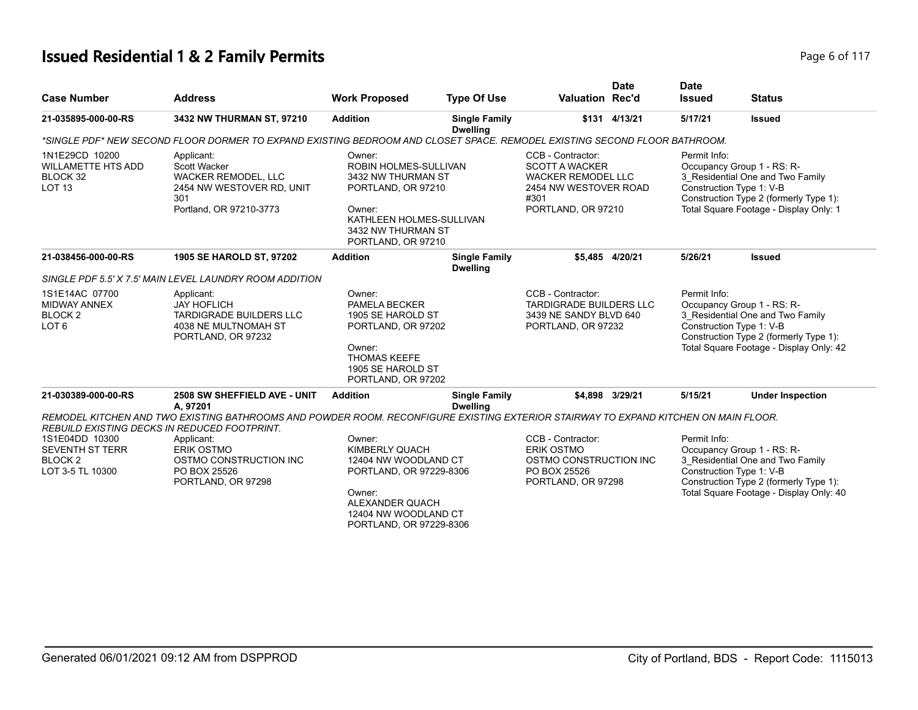# **Issued Residential 1 & 2 Family Permits Page 117 Page 6 of 117**

| <b>Case Number</b>                                                                 | <b>Address</b>                                                                                                                                  | <b>Work Proposed</b>                                                                                                                                          | <b>Type Of Use</b>                      | <b>Valuation Rec'd</b>                                                                                                         | <b>Date</b>     | <b>Date</b><br><b>Issued</b>                                                                                                                                                                    | <b>Status</b>                                                                                                                                                                   |
|------------------------------------------------------------------------------------|-------------------------------------------------------------------------------------------------------------------------------------------------|---------------------------------------------------------------------------------------------------------------------------------------------------------------|-----------------------------------------|--------------------------------------------------------------------------------------------------------------------------------|-----------------|-------------------------------------------------------------------------------------------------------------------------------------------------------------------------------------------------|---------------------------------------------------------------------------------------------------------------------------------------------------------------------------------|
| 21-035895-000-00-RS                                                                | 3432 NW THURMAN ST, 97210                                                                                                                       | <b>Addition</b>                                                                                                                                               | <b>Single Family</b><br><b>Dwelling</b> |                                                                                                                                | \$131 4/13/21   | 5/17/21                                                                                                                                                                                         | <b>Issued</b>                                                                                                                                                                   |
|                                                                                    | *SINGLE PDF* NEW SECOND FLOOR DORMER TO EXPAND EXISTING BEDROOM AND CLOSET SPACE. REMODEL EXISTING SECOND FLOOR BATHROOM.                       |                                                                                                                                                               |                                         |                                                                                                                                |                 |                                                                                                                                                                                                 |                                                                                                                                                                                 |
| 1N1E29CD 10200<br><b>WILLAMETTE HTS ADD</b><br>BLOCK 32<br><b>LOT 13</b>           | Applicant:<br>Scott Wacker<br><b>WACKER REMODEL, LLC</b><br>2454 NW WESTOVER RD, UNIT<br>301<br>Portland, OR 97210-3773                         | Owner:<br>ROBIN HOLMES-SULLIVAN<br>3432 NW THURMAN ST<br>PORTLAND, OR 97210<br>Owner:<br>KATHLEEN HOLMES-SULLIVAN<br>3432 NW THURMAN ST<br>PORTLAND, OR 97210 |                                         | CCB - Contractor:<br><b>SCOTT A WACKER</b><br><b>WACKER REMODEL LLC</b><br>2454 NW WESTOVER ROAD<br>#301<br>PORTLAND, OR 97210 |                 | Permit Info:                                                                                                                                                                                    | Occupancy Group 1 - RS: R-<br>3_Residential One and Two Family<br>Construction Type 1: V-B<br>Construction Type 2 (formerly Type 1):<br>Total Square Footage - Display Only: 1  |
| 21-038456-000-00-RS                                                                | 1905 SE HAROLD ST, 97202                                                                                                                        | <b>Addition</b>                                                                                                                                               | <b>Single Family</b><br><b>Dwelling</b> |                                                                                                                                | \$5,485 4/20/21 | 5/26/21                                                                                                                                                                                         | <b>Issued</b>                                                                                                                                                                   |
|                                                                                    | SINGLE PDF 5.5' X 7.5' MAIN LEVEL LAUNDRY ROOM ADDITION                                                                                         |                                                                                                                                                               |                                         |                                                                                                                                |                 |                                                                                                                                                                                                 |                                                                                                                                                                                 |
| 1S1E14AC 07700<br><b>MIDWAY ANNEX</b><br><b>BLOCK2</b><br>LOT <sub>6</sub>         | Applicant:<br><b>JAY HOFLICH</b><br><b>TARDIGRADE BUILDERS LLC</b><br>4038 NE MULTNOMAH ST<br>PORTLAND, OR 97232                                | Owner:<br><b>PAMELA BECKER</b><br>1905 SE HAROLD ST<br>PORTLAND, OR 97202<br>Owner:<br><b>THOMAS KEEFE</b><br>1905 SE HAROLD ST<br>PORTLAND, OR 97202         |                                         | CCB - Contractor:<br><b>TARDIGRADE BUILDERS LLC</b><br>3439 NE SANDY BLVD 640<br>PORTLAND, OR 97232                            |                 | Permit Info:<br>Occupancy Group 1 - RS: R-<br>3 Residential One and Two Family<br>Construction Type 1: V-B<br>Construction Type 2 (formerly Type 1):<br>Total Square Footage - Display Only: 42 |                                                                                                                                                                                 |
| 21-030389-000-00-RS                                                                | 2508 SW SHEFFIELD AVE - UNIT<br>A, 97201                                                                                                        | <b>Addition</b>                                                                                                                                               | <b>Single Family</b><br><b>Dwelling</b> |                                                                                                                                | \$4.898 3/29/21 | 5/15/21                                                                                                                                                                                         | <b>Under Inspection</b>                                                                                                                                                         |
|                                                                                    | REMODEL KITCHEN AND TWO EXISTING BATHROOMS AND POWDER ROOM. RECONFIGURE EXISTING EXTERIOR STAIRWAY TO EXPAND KITCHEN ON MAIN FLOOR.             |                                                                                                                                                               |                                         |                                                                                                                                |                 |                                                                                                                                                                                                 |                                                                                                                                                                                 |
| 1S1E04DD 10300<br><b>SEVENTH ST TERR</b><br>BLOCK <sub>2</sub><br>LOT 3-5 TL 10300 | REBUILD EXISTING DECKS IN REDUCED FOOTPRINT.<br>Applicant:<br><b>ERIK OSTMO</b><br>OSTMO CONSTRUCTION INC<br>PO BOX 25526<br>PORTLAND, OR 97298 | Owner:<br>KIMBERLY QUACH<br>12404 NW WOODLAND CT<br>PORTLAND, OR 97229-8306<br>Owner:<br>ALEXANDER QUACH<br>12404 NW WOODLAND CT<br>PORTLAND, OR 97229-8306   |                                         | CCB - Contractor:<br><b>ERIK OSTMO</b><br>OSTMO CONSTRUCTION INC<br>PO BOX 25526<br>PORTLAND, OR 97298                         |                 | Permit Info:                                                                                                                                                                                    | Occupancy Group 1 - RS: R-<br>3_Residential One and Two Family<br>Construction Type 1: V-B<br>Construction Type 2 (formerly Type 1):<br>Total Square Footage - Display Only: 40 |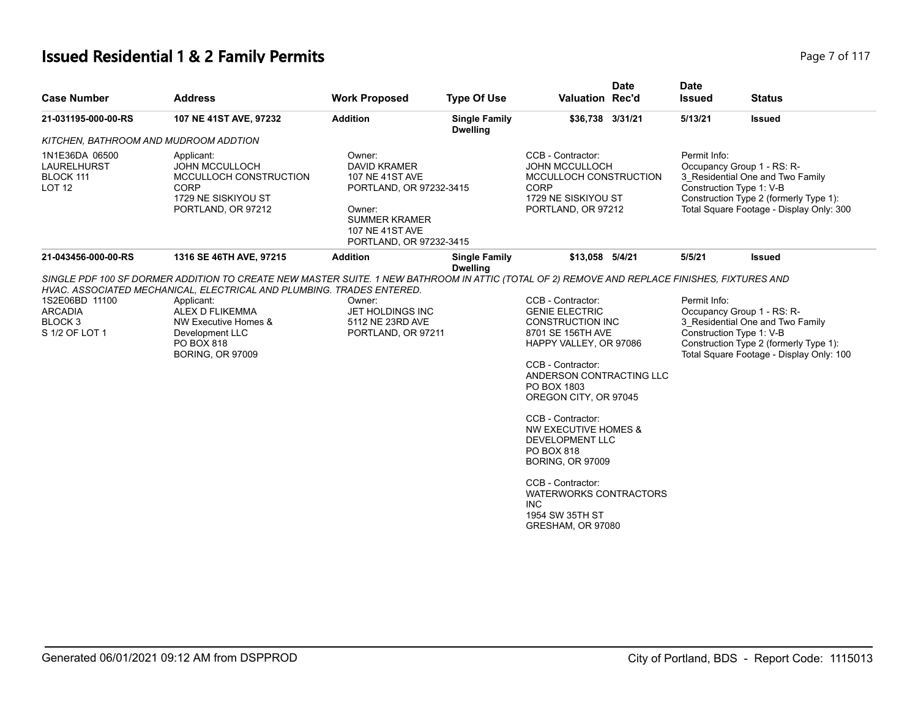# **Issued Residential 1 & 2 Family Permits Page 7 of 117 Page 7 of 117**

| <b>Case Number</b>                                                       | <b>Address</b>                                                                                                                                                                                                                                                                                                                             | <b>Work Proposed</b>                                                                                                                                        | <b>Type Of Use</b>                      | <b>Date</b><br><b>Valuation Rec'd</b>                                                                                                                                                                                                                                                                                                                                                                                                     | <b>Date</b><br><b>Issued</b> | <b>Status</b>                                                                                                                                                                    |
|--------------------------------------------------------------------------|--------------------------------------------------------------------------------------------------------------------------------------------------------------------------------------------------------------------------------------------------------------------------------------------------------------------------------------------|-------------------------------------------------------------------------------------------------------------------------------------------------------------|-----------------------------------------|-------------------------------------------------------------------------------------------------------------------------------------------------------------------------------------------------------------------------------------------------------------------------------------------------------------------------------------------------------------------------------------------------------------------------------------------|------------------------------|----------------------------------------------------------------------------------------------------------------------------------------------------------------------------------|
| 21-031195-000-00-RS                                                      | 107 NE 41ST AVE, 97232                                                                                                                                                                                                                                                                                                                     | <b>Addition</b>                                                                                                                                             | <b>Single Family</b><br><b>Dwelling</b> | \$36,738 3/31/21                                                                                                                                                                                                                                                                                                                                                                                                                          | 5/13/21                      | <b>Issued</b>                                                                                                                                                                    |
| KITCHEN, BATHROOM AND MUDROOM ADDTION                                    |                                                                                                                                                                                                                                                                                                                                            |                                                                                                                                                             |                                         |                                                                                                                                                                                                                                                                                                                                                                                                                                           |                              |                                                                                                                                                                                  |
| 1N1E36DA 06500<br>LAURELHURST<br>BLOCK 111<br><b>LOT 12</b>              | Applicant:<br><b>JOHN MCCULLOCH</b><br>MCCULLOCH CONSTRUCTION<br><b>CORP</b><br>1729 NE SISKIYOU ST<br>PORTLAND, OR 97212                                                                                                                                                                                                                  | Owner:<br><b>DAVID KRAMER</b><br>107 NE 41ST AVE<br>PORTLAND, OR 97232-3415<br>Owner:<br><b>SUMMER KRAMER</b><br>107 NE 41ST AVE<br>PORTLAND, OR 97232-3415 |                                         | CCB - Contractor:<br><b>JOHN MCCULLOCH</b><br>MCCULLOCH CONSTRUCTION<br><b>CORP</b><br>1729 NE SISKIYOU ST<br>PORTLAND, OR 97212                                                                                                                                                                                                                                                                                                          | Permit Info:                 | Occupancy Group 1 - RS: R-<br>3_Residential One and Two Family<br>Construction Type 1: V-B<br>Construction Type 2 (formerly Type 1):<br>Total Square Footage - Display Only: 300 |
| 21-043456-000-00-RS                                                      | 1316 SE 46TH AVE, 97215                                                                                                                                                                                                                                                                                                                    | <b>Addition</b>                                                                                                                                             | <b>Single Family</b><br><b>Dwelling</b> | \$13,058 5/4/21                                                                                                                                                                                                                                                                                                                                                                                                                           | 5/5/21                       | Issued                                                                                                                                                                           |
| 1S2E06BD 11100<br><b>ARCADIA</b><br>BLOCK <sub>3</sub><br>S 1/2 OF LOT 1 | SINGLE PDF 100 SF DORMER ADDITION TO CREATE NEW MASTER SUITE. 1 NEW BATHROOM IN ATTIC (TOTAL OF 2) REMOVE AND REPLACE FINISHES, FIXTURES AND<br>HVAC. ASSOCIATED MECHANICAL, ELECTRICAL AND PLUMBING. TRADES ENTERED.<br>Applicant:<br>ALEX D FLIKEMMA<br>NW Executive Homes &<br>Development LLC<br>PO BOX 818<br><b>BORING, OR 97009</b> | Owner:<br>JET HOLDINGS INC<br>5112 NE 23RD AVE<br>PORTLAND, OR 97211                                                                                        |                                         | CCB - Contractor:<br><b>GENIE ELECTRIC</b><br><b>CONSTRUCTION INC</b><br>8701 SE 156TH AVE<br>HAPPY VALLEY, OR 97086<br>CCB - Contractor:<br>ANDERSON CONTRACTING LLC<br>PO BOX 1803<br>OREGON CITY, OR 97045<br>CCB - Contractor:<br>NW EXECUTIVE HOMES &<br><b>DEVELOPMENT LLC</b><br>PO BOX 818<br><b>BORING, OR 97009</b><br>CCB - Contractor:<br><b>WATERWORKS CONTRACTORS</b><br><b>INC</b><br>1954 SW 35TH ST<br>GRESHAM, OR 97080 | Permit Info:                 | Occupancy Group 1 - RS: R-<br>3_Residential One and Two Family<br>Construction Type 1: V-B<br>Construction Type 2 (formerly Type 1):<br>Total Square Footage - Display Only: 100 |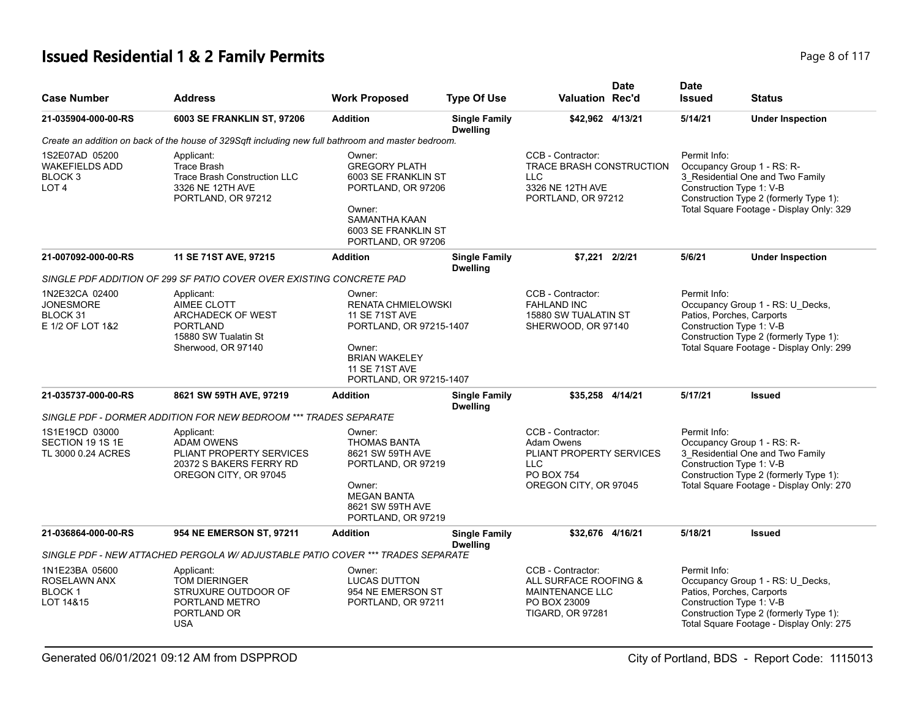# **Issued Residential 1 & 2 Family Permits**

|  | Page 8 of 117 |  |  |  |  |
|--|---------------|--|--|--|--|
|--|---------------|--|--|--|--|

| <b>Case Number</b>                                                                | <b>Address</b>                                                                                                    | <b>Work Proposed</b>                                                                                                                                                          | <b>Type Of Use</b>                      | <b>Valuation Rec'd</b>                                                                                                         | <b>Date</b>                                                                                                                                                                                      | <b>Date</b><br><b>Issued</b>                                                                                                                                                                     | <b>Status</b>                                                                                                                                                                   |
|-----------------------------------------------------------------------------------|-------------------------------------------------------------------------------------------------------------------|-------------------------------------------------------------------------------------------------------------------------------------------------------------------------------|-----------------------------------------|--------------------------------------------------------------------------------------------------------------------------------|--------------------------------------------------------------------------------------------------------------------------------------------------------------------------------------------------|--------------------------------------------------------------------------------------------------------------------------------------------------------------------------------------------------|---------------------------------------------------------------------------------------------------------------------------------------------------------------------------------|
| 21-035904-000-00-RS                                                               | 6003 SE FRANKLIN ST, 97206                                                                                        | <b>Addition</b>                                                                                                                                                               | <b>Single Family</b><br><b>Dwelling</b> | \$42,962 4/13/21                                                                                                               |                                                                                                                                                                                                  | 5/14/21                                                                                                                                                                                          | <b>Under Inspection</b>                                                                                                                                                         |
|                                                                                   | Create an addition on back of the house of 329Sqft including new full bathroom and master bedroom.                |                                                                                                                                                                               |                                         |                                                                                                                                |                                                                                                                                                                                                  |                                                                                                                                                                                                  |                                                                                                                                                                                 |
| 1S2E07AD 05200<br><b>WAKEFIELDS ADD</b><br>BLOCK <sub>3</sub><br>LOT <sub>4</sub> | Applicant:<br><b>Trace Brash</b><br><b>Trace Brash Construction LLC</b><br>3326 NE 12TH AVE<br>PORTLAND, OR 97212 | Owner:<br><b>GREGORY PLATH</b><br>6003 SE FRANKLIN ST<br>PORTLAND, OR 97206<br>Owner:<br><b>SAMANTHA KAAN</b><br>6003 SE FRANKLIN ST<br>PORTLAND, OR 97206                    |                                         | CCB - Contractor:<br><b>TRACE BRASH CONSTRUCTION</b><br><b>LLC</b><br>3326 NE 12TH AVE<br>PORTLAND, OR 97212<br>\$7.221 2/2/21 |                                                                                                                                                                                                  | Permit Info:<br>Occupancy Group 1 - RS: R-<br>3 Residential One and Two Family<br>Construction Type 1: V-B<br>Construction Type 2 (formerly Type 1):<br>Total Square Footage - Display Only: 329 |                                                                                                                                                                                 |
| 21-007092-000-00-RS                                                               | 11 SE 71ST AVE, 97215                                                                                             | <b>Addition</b>                                                                                                                                                               | <b>Single Family</b><br><b>Dwelling</b> |                                                                                                                                |                                                                                                                                                                                                  | 5/6/21                                                                                                                                                                                           | <b>Under Inspection</b>                                                                                                                                                         |
|                                                                                   | SINGLE PDF ADDITION OF 299 SF PATIO COVER OVER EXISTING CONCRETE PAD                                              |                                                                                                                                                                               |                                         |                                                                                                                                |                                                                                                                                                                                                  |                                                                                                                                                                                                  |                                                                                                                                                                                 |
| 1N2E32CA 02400<br><b>JONESMORE</b><br>BLOCK 31<br>E 1/2 OF LOT 1&2                | Applicant:<br>AIMEE CLOTT<br>ARCHADECK OF WEST<br><b>PORTLAND</b><br>15880 SW Tualatin St<br>Sherwood, OR 97140   | Owner:<br><b>RENATA CHMIELOWSKI</b><br><b>11 SE 71ST AVE</b><br>PORTLAND, OR 97215-1407<br>Owner:<br><b>BRIAN WAKELEY</b><br><b>11 SE 71ST AVE</b><br>PORTLAND, OR 97215-1407 |                                         | CCB - Contractor:<br><b>FAHLAND INC</b><br>15880 SW TUALATIN ST<br>SHERWOOD, OR 97140                                          |                                                                                                                                                                                                  | Permit Info:                                                                                                                                                                                     | Occupancy Group 1 - RS: U_Decks,<br>Patios, Porches, Carports<br>Construction Type 1: V-B<br>Construction Type 2 (formerly Type 1):<br>Total Square Footage - Display Only: 299 |
| 21-035737-000-00-RS                                                               | 8621 SW 59TH AVE, 97219                                                                                           | <b>Addition</b>                                                                                                                                                               | <b>Single Family</b><br><b>Dwelling</b> | \$35.258 4/14/21                                                                                                               |                                                                                                                                                                                                  | 5/17/21                                                                                                                                                                                          | <b>Issued</b>                                                                                                                                                                   |
|                                                                                   | SINGLE PDF - DORMER ADDITION FOR NEW BEDROOM *** TRADES SEPARATE                                                  |                                                                                                                                                                               |                                         |                                                                                                                                |                                                                                                                                                                                                  |                                                                                                                                                                                                  |                                                                                                                                                                                 |
| 1S1E19CD 03000<br>SECTION 19 1S 1E<br>TL 3000 0.24 ACRES                          | Applicant:<br><b>ADAM OWENS</b><br>PLIANT PROPERTY SERVICES<br>20372 S BAKERS FERRY RD<br>OREGON CITY, OR 97045   | Owner:<br><b>THOMAS BANTA</b><br>8621 SW 59TH AVE<br>PORTLAND, OR 97219<br>Owner:<br><b>MEGAN BANTA</b><br>8621 SW 59TH AVE<br>PORTLAND, OR 97219                             |                                         | CCB - Contractor:<br>Adam Owens<br>PLIANT PROPERTY SERVICES<br>LLC<br><b>PO BOX 754</b><br>OREGON CITY, OR 97045               | Permit Info:<br>Occupancy Group 1 - RS: R-<br>3 Residential One and Two Family<br>Construction Type 1: V-B<br>Construction Type 2 (formerly Type 1):<br>Total Square Footage - Display Only: 270 |                                                                                                                                                                                                  |                                                                                                                                                                                 |
| 21-036864-000-00-RS                                                               | 954 NE EMERSON ST, 97211                                                                                          | <b>Addition</b>                                                                                                                                                               | <b>Single Family</b><br><b>Dwelling</b> | \$32,676 4/16/21                                                                                                               |                                                                                                                                                                                                  | 5/18/21                                                                                                                                                                                          | <b>Issued</b>                                                                                                                                                                   |
|                                                                                   | SINGLE PDF - NEW ATTACHED PERGOLA W/ ADJUSTABLE PATIO COVER *** TRADES SEPARATE                                   |                                                                                                                                                                               |                                         |                                                                                                                                |                                                                                                                                                                                                  |                                                                                                                                                                                                  |                                                                                                                                                                                 |
| 1N1E23BA 05600<br>ROSELAWN ANX<br><b>BLOCK1</b><br>LOT 14&15                      | Applicant:<br>TOM DIERINGER<br>STRUXURE OUTDOOR OF<br>PORTLAND METRO<br>PORTLAND OR<br><b>USA</b>                 | Owner:<br><b>LUCAS DUTTON</b><br>954 NE EMERSON ST<br>PORTLAND, OR 97211                                                                                                      |                                         | CCB - Contractor:<br>ALL SURFACE ROOFING &<br>MAINTENANCE LLC<br>PO BOX 23009<br><b>TIGARD, OR 97281</b>                       |                                                                                                                                                                                                  | Permit Info:                                                                                                                                                                                     | Occupancy Group 1 - RS: U_Decks,<br>Patios, Porches, Carports<br>Construction Type 1: V-B<br>Construction Type 2 (formerly Type 1):<br>Total Square Footage - Display Only: 275 |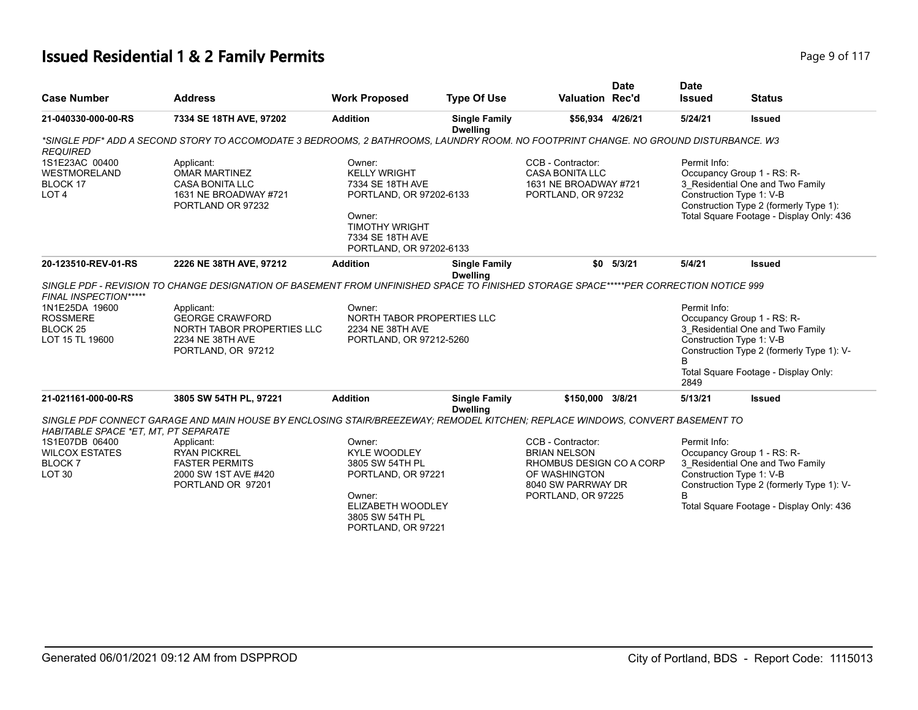# **Issued Residential 1 & 2 Family Permits Page 117 Page 9 of 117**

| <b>Case Number</b>                                                          | <b>Address</b>                                                                                                                        | <b>Work Proposed</b>                                                                                                                                           | <b>Type Of Use</b>                      | <b>Valuation Rec'd</b>                                                                                                            | <b>Date</b> | <b>Date</b><br><b>Issued</b> | <b>Status</b>                                                                                                                                                                       |
|-----------------------------------------------------------------------------|---------------------------------------------------------------------------------------------------------------------------------------|----------------------------------------------------------------------------------------------------------------------------------------------------------------|-----------------------------------------|-----------------------------------------------------------------------------------------------------------------------------------|-------------|------------------------------|-------------------------------------------------------------------------------------------------------------------------------------------------------------------------------------|
| 21-040330-000-00-RS                                                         | 7334 SE 18TH AVE, 97202                                                                                                               | <b>Addition</b>                                                                                                                                                | <b>Single Family</b><br><b>Dwelling</b> | \$56,934 4/26/21                                                                                                                  |             | 5/24/21                      | <b>Issued</b>                                                                                                                                                                       |
| <b>REQUIRED</b>                                                             | *SINGLE PDF* ADD A SECOND STORY TO ACCOMODATE 3 BEDROOMS, 2 BATHROOMS, LAUNDRY ROOM. NO FOOTPRINT CHANGE. NO GROUND DISTURBANCE. W3   |                                                                                                                                                                |                                         |                                                                                                                                   |             |                              |                                                                                                                                                                                     |
| 1S1E23AC 00400<br><b>WESTMORELAND</b><br>BLOCK 17<br>LOT <sub>4</sub>       | Applicant:<br><b>OMAR MARTINEZ</b><br><b>CASA BONITA LLC</b><br>1631 NE BROADWAY #721<br>PORTLAND OR 97232                            | Owner:<br><b>KELLY WRIGHT</b><br>7334 SE 18TH AVE<br>PORTLAND, OR 97202-6133<br>Owner:<br><b>TIMOTHY WRIGHT</b><br>7334 SE 18TH AVE<br>PORTLAND, OR 97202-6133 |                                         | CCB - Contractor:<br><b>CASA BONITA LLC</b><br>1631 NE BROADWAY #721<br>PORTLAND, OR 97232                                        |             | Permit Info:                 | Occupancy Group 1 - RS: R-<br>3_Residential One and Two Family<br>Construction Type 1: V-B<br>Construction Type 2 (formerly Type 1):<br>Total Square Footage - Display Only: 436    |
| 20-123510-REV-01-RS                                                         | 2226 NE 38TH AVE, 97212                                                                                                               | <b>Addition</b>                                                                                                                                                | <b>Single Family</b><br><b>Dwelling</b> | \$0                                                                                                                               | 5/3/21      | 5/4/21                       | <b>Issued</b>                                                                                                                                                                       |
| FINAL INSPECTION*****                                                       | SINGLE PDF - REVISION TO CHANGE DESIGNATION OF BASEMENT FROM UNFINISHED SPACE TO FINISHED STORAGE SPACE*****PER CORRECTION NOTICE 999 |                                                                                                                                                                |                                         |                                                                                                                                   |             |                              |                                                                                                                                                                                     |
| 1N1E25DA 19600<br><b>ROSSMERE</b><br>BLOCK <sub>25</sub><br>LOT 15 TL 19600 | Applicant:<br><b>GEORGE CRAWFORD</b><br>NORTH TABOR PROPERTIES LLC<br>2234 NE 38TH AVE<br>PORTLAND, OR 97212                          | Owner:<br>NORTH TABOR PROPERTIES LLC<br>2234 NE 38TH AVE<br>PORTLAND, OR 97212-5260                                                                            |                                         |                                                                                                                                   |             | Permit Info:<br>B<br>2849    | Occupancy Group 1 - RS: R-<br>3 Residential One and Two Family<br>Construction Type 1: V-B<br>Construction Type 2 (formerly Type 1): V-<br>Total Square Footage - Display Only:     |
| 21-021161-000-00-RS                                                         | 3805 SW 54TH PL, 97221                                                                                                                | <b>Addition</b>                                                                                                                                                | <b>Single Family</b><br><b>Dwelling</b> | \$150,000                                                                                                                         | 3/8/21      | 5/13/21                      | <b>Issued</b>                                                                                                                                                                       |
| HABITABLE SPACE *ET, MT, PT SEPARATE                                        | SINGLE PDF CONNECT GARAGE AND MAIN HOUSE BY ENCLOSING STAIR/BREEZEWAY; REMODEL KITCHEN; REPLACE WINDOWS, CONVERT BASEMENT TO          |                                                                                                                                                                |                                         |                                                                                                                                   |             |                              |                                                                                                                                                                                     |
| 1S1E07DB 06400<br><b>WILCOX ESTATES</b><br>BLOCK 7<br>LOT <sub>30</sub>     | Applicant:<br><b>RYAN PICKREL</b><br><b>FASTER PERMITS</b><br>2000 SW 1ST AVE #420<br>PORTLAND OR 97201                               | Owner:<br><b>KYLE WOODLEY</b><br>3805 SW 54TH PL<br>PORTLAND, OR 97221<br>Owner:<br>ELIZABETH WOODLEY<br>3805 SW 54TH PL<br>PORTLAND, OR 97221                 |                                         | CCB - Contractor:<br><b>BRIAN NELSON</b><br>RHOMBUS DESIGN CO A CORP<br>OF WASHINGTON<br>8040 SW PARRWAY DR<br>PORTLAND, OR 97225 |             | Permit Info:<br><sub>R</sub> | Occupancy Group 1 - RS: R-<br>3_Residential One and Two Family<br>Construction Type 1: V-B<br>Construction Type 2 (formerly Type 1): V-<br>Total Square Footage - Display Only: 436 |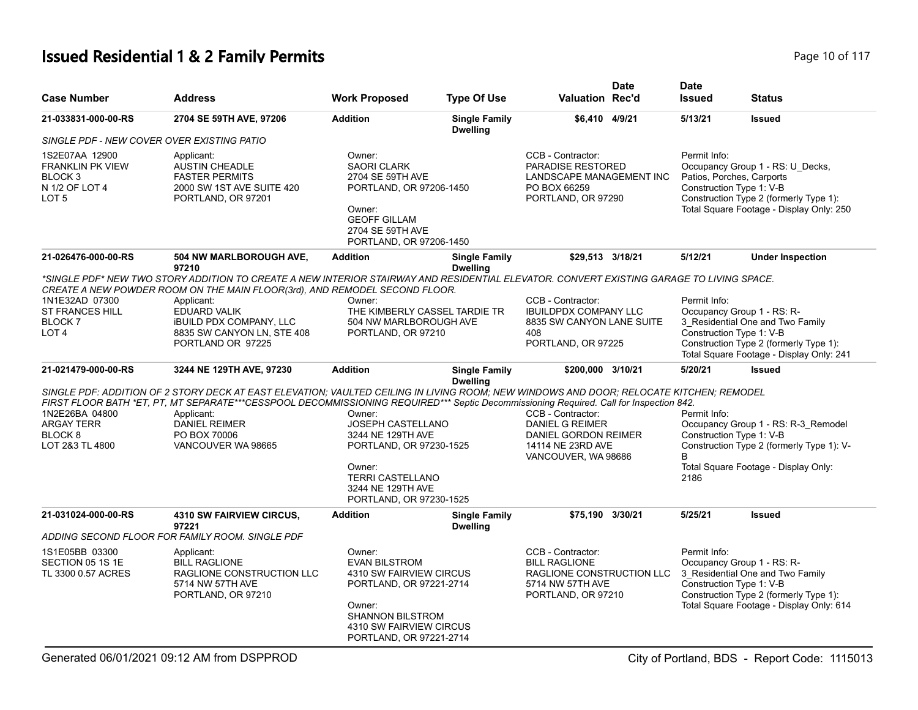# **Issued Residential 1 & 2 Family Permits Page 10 of 117 Page 10 of 117**

| <b>Case Number</b>                                                                                    | <b>Address</b>                                                                                                                                                                                                                                                                                                                                                | <b>Work Proposed</b>                                                                                                                                                            | <b>Type Of Use</b>                      | <b>Valuation Rec'd</b>                                                                                           | <b>Date</b> | <b>Date</b><br><b>Issued</b>                                          | <b>Status</b>                                                                                                                                        |
|-------------------------------------------------------------------------------------------------------|---------------------------------------------------------------------------------------------------------------------------------------------------------------------------------------------------------------------------------------------------------------------------------------------------------------------------------------------------------------|---------------------------------------------------------------------------------------------------------------------------------------------------------------------------------|-----------------------------------------|------------------------------------------------------------------------------------------------------------------|-------------|-----------------------------------------------------------------------|------------------------------------------------------------------------------------------------------------------------------------------------------|
| 21-033831-000-00-RS                                                                                   | 2704 SE 59TH AVE, 97206                                                                                                                                                                                                                                                                                                                                       | <b>Addition</b>                                                                                                                                                                 | <b>Single Family</b><br><b>Dwelling</b> | \$6,410 4/9/21                                                                                                   |             | 5/13/21                                                               | <b>Issued</b>                                                                                                                                        |
| SINGLE PDF - NEW COVER OVER EXISTING PATIO                                                            |                                                                                                                                                                                                                                                                                                                                                               |                                                                                                                                                                                 |                                         |                                                                                                                  |             |                                                                       |                                                                                                                                                      |
| 1S2E07AA 12900<br><b>FRANKLIN PK VIEW</b><br>BLOCK <sub>3</sub><br>N 1/2 OF LOT 4<br>LOT <sub>5</sub> | Applicant:<br><b>AUSTIN CHEADLE</b><br><b>FASTER PERMITS</b><br>2000 SW 1ST AVE SUITE 420<br>PORTLAND, OR 97201                                                                                                                                                                                                                                               | Owner:<br><b>SAORI CLARK</b><br>2704 SE 59TH AVE<br>PORTLAND, OR 97206-1450<br>Owner:<br><b>GEOFF GILLAM</b><br>2704 SE 59TH AVE<br>PORTLAND, OR 97206-1450                     |                                         | CCB - Contractor:<br>PARADISE RESTORED<br>LANDSCAPE MANAGEMENT INC<br>PO BOX 66259<br>PORTLAND, OR 97290         |             | Permit Info:<br>Patios, Porches, Carports<br>Construction Type 1: V-B | Occupancy Group 1 - RS: U_Decks,<br>Construction Type 2 (formerly Type 1):<br>Total Square Footage - Display Only: 250                               |
| 21-026476-000-00-RS                                                                                   | 504 NW MARLBOROUGH AVE,<br>97210                                                                                                                                                                                                                                                                                                                              | <b>Addition</b>                                                                                                                                                                 | <b>Single Family</b><br><b>Dwelling</b> | \$29,513 3/18/21                                                                                                 |             | 5/12/21                                                               | <b>Under Inspection</b>                                                                                                                              |
| 1N1E32AD 07300<br><b>ST FRANCES HILL</b><br>BLOCK <sub>7</sub>                                        | *SINGLE PDF* NEW TWO STORY ADDITION TO CREATE A NEW INTERIOR STAIRWAY AND RESIDENTIAL ELEVATOR. CONVERT EXISTING GARAGE TO LIVING SPACE.<br>CREATE A NEW POWDER ROOM ON THE MAIN FLOOR(3rd), AND REMODEL SECOND FLOOR.<br>Applicant:<br><b>EDUARD VALIK</b><br><b>IBUILD PDX COMPANY, LLC</b>                                                                 | Owner:<br>THE KIMBERLY CASSEL TARDIE TR<br>504 NW MARLBOROUGH AVE                                                                                                               |                                         | CCB - Contractor:<br><b>IBUILDPDX COMPANY LLC</b><br>8835 SW CANYON LANE SUITE                                   |             | Permit Info:                                                          | Occupancy Group 1 - RS: R-<br>3 Residential One and Two Family                                                                                       |
| LOT <sub>4</sub>                                                                                      | 8835 SW CANYON LN, STE 408<br>PORTLAND OR 97225                                                                                                                                                                                                                                                                                                               | PORTLAND, OR 97210                                                                                                                                                              |                                         | 408<br>PORTLAND, OR 97225                                                                                        |             | Construction Type 1: V-B                                              | Construction Type 2 (formerly Type 1):<br>Total Square Footage - Display Only: 241                                                                   |
| 21-021479-000-00-RS                                                                                   | 3244 NE 129TH AVE, 97230                                                                                                                                                                                                                                                                                                                                      | <b>Addition</b>                                                                                                                                                                 | <b>Single Family</b><br><b>Dwelling</b> | \$200,000 3/10/21                                                                                                |             | 5/20/21                                                               | <b>Issued</b>                                                                                                                                        |
| 1N2E26BA 04800<br><b>ARGAY TERR</b><br>BLOCK <sub>8</sub><br>LOT 2&3 TL 4800                          | SINGLE PDF: ADDITION OF 2 STORY DECK AT EAST ELEVATION; VAULTED CEILING IN LIVING ROOM; NEW WINDOWS AND DOOR; RELOCATE KITCHEN; REMODEL<br>FIRST FLOOR BATH *ET, PT, MT SEPARATE***CESSPOOL DECOMMISSIONING REQUIRED*** Septic Decommissioning Required. Call for Inspection 842.<br>Applicant:<br><b>DANIEL REIMER</b><br>PO BOX 70006<br>VANCOUVER WA 98665 | Owner:<br>JOSEPH CASTELLANO<br>3244 NE 129TH AVE<br>PORTLAND, OR 97230-1525<br>Owner:<br><b>TERRI CASTELLANO</b><br>3244 NE 129TH AVE<br>PORTLAND, OR 97230-1525                |                                         | CCB - Contractor:<br><b>DANIEL G REIMER</b><br>DANIEL GORDON REIMER<br>14114 NE 23RD AVE<br>VANCOUVER, WA 98686  |             | Permit Info:<br>Construction Type 1: V-B<br>B<br>2186                 | Occupancy Group 1 - RS: R-3_Remodel<br>Construction Type 2 (formerly Type 1): V-<br>Total Square Footage - Display Only:                             |
| 21-031024-000-00-RS                                                                                   | <b>4310 SW FAIRVIEW CIRCUS,</b><br>97221                                                                                                                                                                                                                                                                                                                      | <b>Addition</b>                                                                                                                                                                 | <b>Single Family</b><br><b>Dwelling</b> | \$75.190 3/30/21                                                                                                 |             | 5/25/21                                                               | <b>Issued</b>                                                                                                                                        |
|                                                                                                       | ADDING SECOND FLOOR FOR FAMILY ROOM. SINGLE PDF                                                                                                                                                                                                                                                                                                               |                                                                                                                                                                                 |                                         |                                                                                                                  |             |                                                                       |                                                                                                                                                      |
| 1S1E05BB 03300<br>SECTION 05 1S 1E<br>TL 3300 0.57 ACRES                                              | Applicant:<br><b>BILL RAGLIONE</b><br>RAGLIONE CONSTRUCTION LLC<br>5714 NW 57TH AVE<br>PORTLAND, OR 97210                                                                                                                                                                                                                                                     | Owner:<br><b>EVAN BILSTROM</b><br>4310 SW FAIRVIEW CIRCUS<br>PORTLAND, OR 97221-2714<br>Owner:<br><b>SHANNON BILSTROM</b><br>4310 SW FAIRVIEW CIRCUS<br>PORTLAND, OR 97221-2714 |                                         | CCB - Contractor:<br><b>BILL RAGLIONE</b><br>RAGLIONE CONSTRUCTION LLC<br>5714 NW 57TH AVE<br>PORTLAND, OR 97210 |             | Permit Info:<br>Construction Type 1: V-B                              | Occupancy Group 1 - RS: R-<br>3 Residential One and Two Family<br>Construction Type 2 (formerly Type 1):<br>Total Square Footage - Display Only: 614 |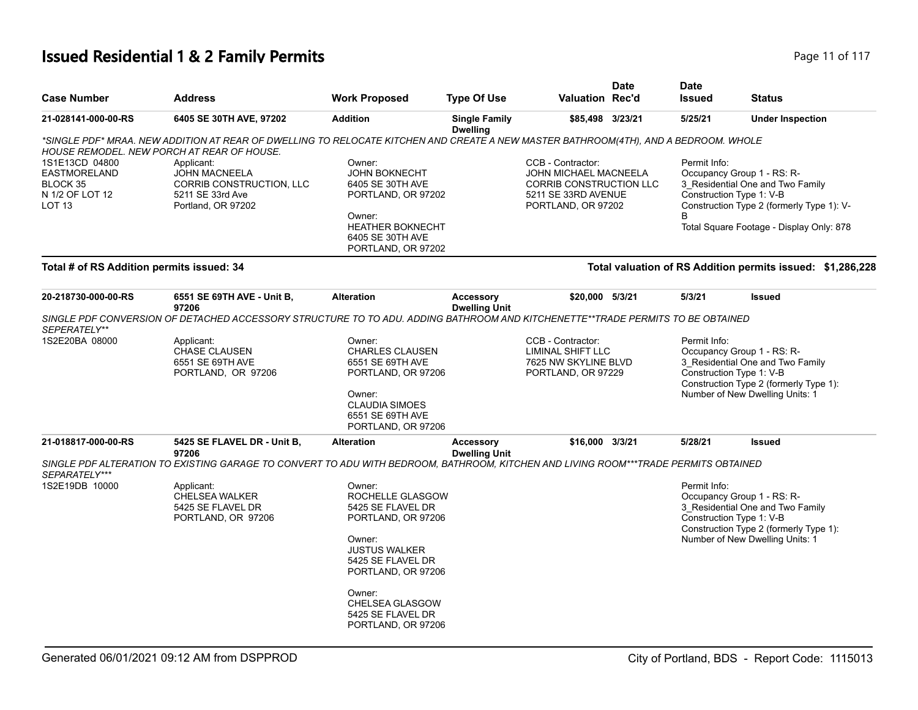# **Issued Residential 1 & 2 Family Permits Page 11 of 117 Page 11 of 117**

| <b>Case Number</b>                                                             | <b>Address</b>                                                                                                                                                                    | <b>Work Proposed</b>                                                                                                                                                                                                              | <b>Type Of Use</b>                       | <b>Valuation Rec'd</b>                                                                                                    | <b>Date</b> | <b>Date</b><br><b>Issued</b> | <b>Status</b>                                                                                                                                                                       |
|--------------------------------------------------------------------------------|-----------------------------------------------------------------------------------------------------------------------------------------------------------------------------------|-----------------------------------------------------------------------------------------------------------------------------------------------------------------------------------------------------------------------------------|------------------------------------------|---------------------------------------------------------------------------------------------------------------------------|-------------|------------------------------|-------------------------------------------------------------------------------------------------------------------------------------------------------------------------------------|
| 21-028141-000-00-RS                                                            | 6405 SE 30TH AVE, 97202                                                                                                                                                           | <b>Addition</b>                                                                                                                                                                                                                   | <b>Single Family</b><br><b>Dwelling</b>  | \$85,498 3/23/21                                                                                                          |             | 5/25/21                      | <b>Under Inspection</b>                                                                                                                                                             |
|                                                                                | *SINGLE PDF* MRAA. NEW ADDITION AT REAR OF DWELLING TO RELOCATE KITCHEN AND CREATE A NEW MASTER BATHROOM(4TH), AND A BEDROOM. WHOLE<br>HOUSE REMODEL. NEW PORCH AT REAR OF HOUSE. |                                                                                                                                                                                                                                   |                                          |                                                                                                                           |             |                              |                                                                                                                                                                                     |
| 1S1E13CD 04800<br><b>EASTMORELAND</b><br>BLOCK 35<br>N 1/2 OF LOT 12<br>LOT 13 | Applicant:<br><b>JOHN MACNEELA</b><br>CORRIB CONSTRUCTION, LLC<br>5211 SE 33rd Ave<br>Portland, OR 97202                                                                          | Owner:<br><b>JOHN BOKNECHT</b><br>6405 SE 30TH AVE<br>PORTLAND, OR 97202<br>Owner:<br><b>HEATHER BOKNECHT</b><br>6405 SE 30TH AVE<br>PORTLAND, OR 97202                                                                           |                                          | CCB - Contractor:<br><b>JOHN MICHAEL MACNEELA</b><br>CORRIB CONSTRUCTION LLC<br>5211 SE 33RD AVENUE<br>PORTLAND, OR 97202 |             | Permit Info:<br>B            | Occupancy Group 1 - RS: R-<br>3_Residential One and Two Family<br>Construction Type 1: V-B<br>Construction Type 2 (formerly Type 1): V-<br>Total Square Footage - Display Only: 878 |
| Total # of RS Addition permits issued: 34                                      |                                                                                                                                                                                   |                                                                                                                                                                                                                                   |                                          |                                                                                                                           |             |                              | Total valuation of RS Addition permits issued: \$1,286,228                                                                                                                          |
| 20-218730-000-00-RS                                                            | 6551 SE 69TH AVE - Unit B,<br>97206                                                                                                                                               | <b>Alteration</b>                                                                                                                                                                                                                 | <b>Accessory</b><br><b>Dwelling Unit</b> | \$20,000 5/3/21                                                                                                           |             | 5/3/21                       | <b>Issued</b>                                                                                                                                                                       |
| SEPERATELY**                                                                   | SINGLE PDF CONVERSION OF DETACHED ACCESSORY STRUCTURE TO TO ADU. ADDING BATHROOM AND KITCHENETTE**TRADE PERMITS TO BE OBTAINED                                                    |                                                                                                                                                                                                                                   |                                          |                                                                                                                           |             |                              |                                                                                                                                                                                     |
| 1S2E20BA 08000                                                                 | Applicant:<br><b>CHASE CLAUSEN</b><br>6551 SE 69TH AVE<br>PORTLAND, OR 97206                                                                                                      | Owner:<br><b>CHARLES CLAUSEN</b><br>6551 SE 69TH AVE<br>PORTLAND, OR 97206<br>Owner:<br><b>CLAUDIA SIMOES</b><br>6551 SE 69TH AVE<br>PORTLAND, OR 97206                                                                           |                                          | CCB - Contractor:<br>LIMINAL SHIFT LLC<br>7625 NW SKYLINE BLVD<br>PORTLAND, OR 97229                                      |             | Permit Info:                 | Occupancy Group 1 - RS: R-<br>3 Residential One and Two Family<br>Construction Type 1: V-B<br>Construction Type 2 (formerly Type 1):<br>Number of New Dwelling Units: 1             |
| 21-018817-000-00-RS                                                            | 5425 SE FLAVEL DR - Unit B,<br>97206                                                                                                                                              | <b>Alteration</b>                                                                                                                                                                                                                 | <b>Accessory</b><br><b>Dwelling Unit</b> | \$16,000 3/3/21                                                                                                           |             | 5/28/21                      | <b>Issued</b>                                                                                                                                                                       |
| SEPARATELY***                                                                  | SINGLE PDF ALTERATION TO EXISTING GARAGE TO CONVERT TO ADU WITH BEDROOM, BATHROOM, KITCHEN AND LIVING ROOM***TRADE PERMITS OBTAINED                                               |                                                                                                                                                                                                                                   |                                          |                                                                                                                           |             |                              |                                                                                                                                                                                     |
| 1S2E19DB 10000                                                                 | Applicant:<br><b>CHELSEA WALKER</b><br>5425 SE FLAVEL DR<br>PORTLAND, OR 97206                                                                                                    | Owner:<br>ROCHELLE GLASGOW<br>5425 SE FLAVEL DR<br>PORTLAND, OR 97206<br>Owner:<br><b>JUSTUS WALKER</b><br>5425 SE FLAVEL DR<br>PORTLAND, OR 97206<br>Owner:<br><b>CHELSEA GLASGOW</b><br>5425 SE FLAVEL DR<br>PORTLAND, OR 97206 |                                          |                                                                                                                           |             | Permit Info:                 | Occupancy Group 1 - RS: R-<br>3_Residential One and Two Family<br>Construction Type 1: V-B<br>Construction Type 2 (formerly Type 1):<br>Number of New Dwelling Units: 1             |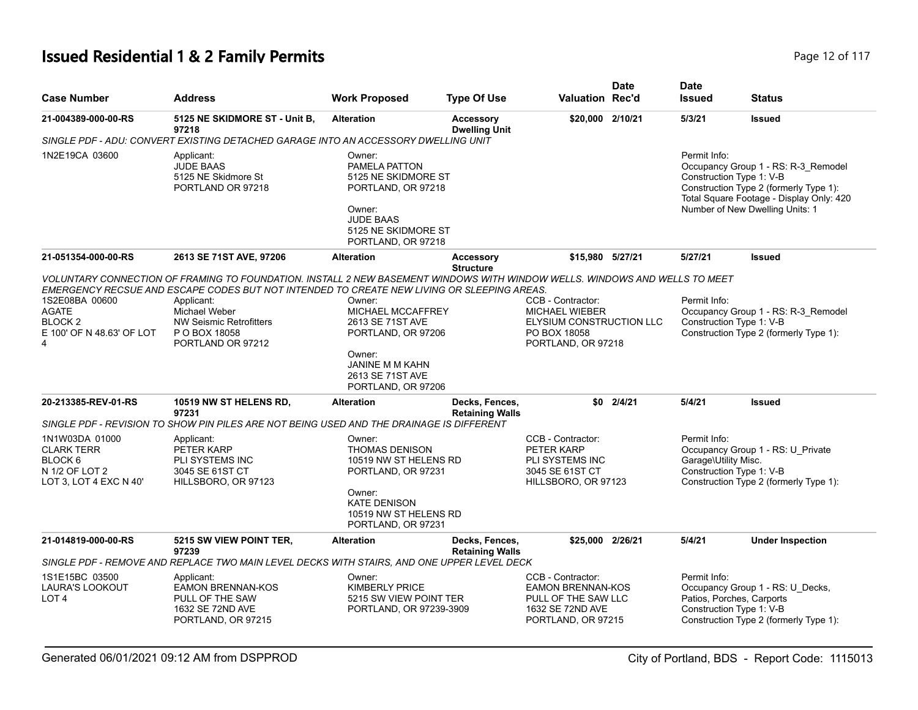# **Issued Residential 1 & 2 Family Permits Page 12 of 117 Page 12 of 117**

| <b>Case Number</b>                          | <b>Address</b>                                                                                                                                                                                                           | <b>Work Proposed</b>                                                                                                                            | <b>Type Of Use</b>                       | <b>Valuation Rec'd</b>                 | <b>Date</b> | <b>Date</b><br><b>Issued</b>             | <b>Status</b>                                                                                                                                                |
|---------------------------------------------|--------------------------------------------------------------------------------------------------------------------------------------------------------------------------------------------------------------------------|-------------------------------------------------------------------------------------------------------------------------------------------------|------------------------------------------|----------------------------------------|-------------|------------------------------------------|--------------------------------------------------------------------------------------------------------------------------------------------------------------|
| 21-004389-000-00-RS                         | 5125 NE SKIDMORE ST - Unit B,<br>97218                                                                                                                                                                                   | <b>Alteration</b>                                                                                                                               | <b>Accessory</b><br><b>Dwelling Unit</b> | \$20,000 2/10/21                       |             | 5/3/21                                   | <b>Issued</b>                                                                                                                                                |
|                                             | SINGLE PDF - ADU: CONVERT EXISTING DETACHED GARAGE INTO AN ACCESSORY DWELLING UNIT                                                                                                                                       |                                                                                                                                                 |                                          |                                        |             |                                          |                                                                                                                                                              |
| 1N2E19CA 03600                              | Applicant:<br><b>JUDE BAAS</b><br>5125 NE Skidmore St<br>PORTLAND OR 97218                                                                                                                                               | Owner:<br>PAMELA PATTON<br>5125 NE SKIDMORE ST<br>PORTLAND, OR 97218<br>Owner:<br><b>JUDE BAAS</b><br>5125 NE SKIDMORE ST<br>PORTLAND, OR 97218 |                                          |                                        |             | Permit Info:<br>Construction Type 1: V-B | Occupancy Group 1 - RS: R-3_Remodel<br>Construction Type 2 (formerly Type 1):<br>Total Square Footage - Display Only: 420<br>Number of New Dwelling Units: 1 |
| 21-051354-000-00-RS                         | 2613 SE 71ST AVE, 97206                                                                                                                                                                                                  | <b>Alteration</b>                                                                                                                               | <b>Accessory</b>                         | \$15,980 5/27/21                       |             | 5/27/21                                  | <b>Issued</b>                                                                                                                                                |
|                                             |                                                                                                                                                                                                                          |                                                                                                                                                 | <b>Structure</b>                         |                                        |             |                                          |                                                                                                                                                              |
|                                             | VOLUNTARY CONNECTION OF FRAMING TO FOUNDATION. INSTALL 2 NEW BASEMENT WINDOWS WITH WINDOW WELLS. WINDOWS AND WELLS TO MEET<br>EMERGENCY RECSUE AND ESCAPE CODES BUT NOT INTENDED TO CREATE NEW LIVING OR SLEEPING AREAS. |                                                                                                                                                 |                                          |                                        |             |                                          |                                                                                                                                                              |
| 1S2E08BA 00600                              | Applicant:                                                                                                                                                                                                               | Owner:                                                                                                                                          |                                          | CCB - Contractor:                      |             | Permit Info:                             |                                                                                                                                                              |
| AGATE                                       | Michael Weber                                                                                                                                                                                                            | MICHAEL MCCAFFREY                                                                                                                               |                                          | <b>MICHAEL WIEBER</b>                  |             |                                          | Occupancy Group 1 - RS: R-3_Remodel                                                                                                                          |
| BLOCK <sub>2</sub>                          | <b>NW Seismic Retrofitters</b>                                                                                                                                                                                           | 2613 SE 71ST AVE                                                                                                                                |                                          | ELYSIUM CONSTRUCTION LLC               |             | Construction Type 1: V-B                 |                                                                                                                                                              |
| E 100' OF N 48.63' OF LOT<br>$\overline{a}$ | P O BOX 18058<br>PORTLAND OR 97212                                                                                                                                                                                       | PORTLAND, OR 97206                                                                                                                              |                                          | PO BOX 18058<br>PORTLAND, OR 97218     |             |                                          | Construction Type 2 (formerly Type 1):                                                                                                                       |
|                                             |                                                                                                                                                                                                                          | Owner:<br>JANINE M M KAHN<br>2613 SE 71ST AVE<br>PORTLAND, OR 97206                                                                             |                                          |                                        |             |                                          |                                                                                                                                                              |
| 20-213385-REV-01-RS                         | 10519 NW ST HELENS RD,                                                                                                                                                                                                   | <b>Alteration</b>                                                                                                                               | Decks, Fences,                           | \$0                                    | 2/4/21      | 5/4/21                                   | <b>Issued</b>                                                                                                                                                |
|                                             | 97231                                                                                                                                                                                                                    |                                                                                                                                                 | <b>Retaining Walls</b>                   |                                        |             |                                          |                                                                                                                                                              |
|                                             | SINGLE PDF - REVISION TO SHOW PIN PILES ARE NOT BEING USED AND THE DRAINAGE IS DIFFERENT                                                                                                                                 |                                                                                                                                                 |                                          |                                        |             |                                          |                                                                                                                                                              |
| 1N1W03DA 01000                              | Applicant:                                                                                                                                                                                                               | Owner:                                                                                                                                          |                                          | CCB - Contractor:                      |             | Permit Info:                             |                                                                                                                                                              |
| <b>CLARK TERR</b>                           | PETER KARP                                                                                                                                                                                                               | <b>THOMAS DENISON</b>                                                                                                                           |                                          | PETER KARP                             |             |                                          | Occupancy Group 1 - RS: U Private                                                                                                                            |
| BLOCK <sub>6</sub>                          | <b>PLI SYSTEMS INC</b>                                                                                                                                                                                                   | 10519 NW ST HELENS RD                                                                                                                           |                                          | PLI SYSTEMS INC                        |             | Garage\Utility Misc.                     |                                                                                                                                                              |
| N 1/2 OF LOT 2<br>LOT 3, LOT 4 EXC N 40'    | 3045 SE 61ST CT<br>HILLSBORO, OR 97123                                                                                                                                                                                   | PORTLAND, OR 97231                                                                                                                              |                                          | 3045 SE 61ST CT<br>HILLSBORO, OR 97123 |             | Construction Type 1: V-B                 | Construction Type 2 (formerly Type 1):                                                                                                                       |
|                                             |                                                                                                                                                                                                                          | Owner:<br><b>KATE DENISON</b><br>10519 NW ST HELENS RD<br>PORTLAND, OR 97231                                                                    |                                          |                                        |             |                                          |                                                                                                                                                              |
| 21-014819-000-00-RS                         | 5215 SW VIEW POINT TER,                                                                                                                                                                                                  | <b>Alteration</b>                                                                                                                               | Decks, Fences,                           | \$25,000 2/26/21                       |             | 5/4/21                                   | <b>Under Inspection</b>                                                                                                                                      |
|                                             | 97239<br>SINGLE PDF - REMOVE AND REPLACE TWO MAIN LEVEL DECKS WITH STAIRS. AND ONE UPPER LEVEL DECK                                                                                                                      |                                                                                                                                                 | <b>Retaining Walls</b>                   |                                        |             |                                          |                                                                                                                                                              |
| 1S1E15BC 03500                              | Applicant:                                                                                                                                                                                                               | Owner:                                                                                                                                          |                                          | CCB - Contractor:                      |             | Permit Info:                             |                                                                                                                                                              |
| LAURA'S LOOKOUT                             | <b>EAMON BRENNAN-KOS</b>                                                                                                                                                                                                 | <b>KIMBERLY PRICE</b>                                                                                                                           |                                          | <b>EAMON BRENNAN-KOS</b>               |             |                                          | Occupancy Group 1 - RS: U_Decks,                                                                                                                             |
| LOT <sub>4</sub>                            | PULL OF THE SAW                                                                                                                                                                                                          | 5215 SW VIEW POINT TER                                                                                                                          |                                          | PULL OF THE SAW LLC                    |             | Patios, Porches, Carports                |                                                                                                                                                              |
|                                             | 1632 SE 72ND AVE<br>PORTLAND, OR 97215                                                                                                                                                                                   | PORTLAND, OR 97239-3909                                                                                                                         |                                          | 1632 SE 72ND AVE<br>PORTLAND, OR 97215 |             | Construction Type 1: V-B                 | Construction Type 2 (formerly Type 1):                                                                                                                       |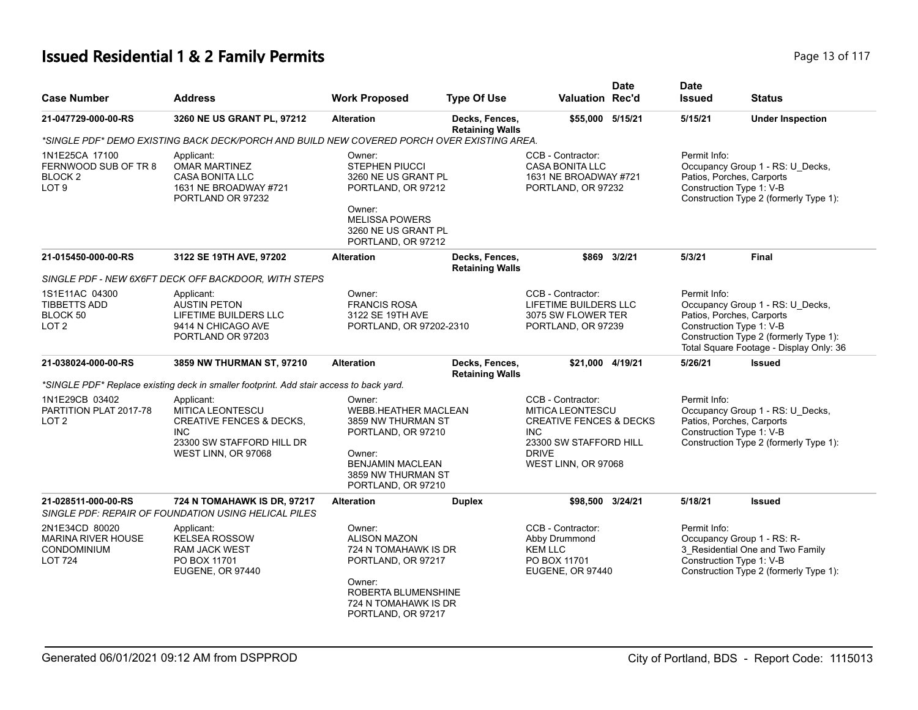# **Issued Residential 1 & 2 Family Permits Page 13 of 117 Page 13 of 117**

| <b>Case Number</b>                                                                  | <b>Address</b>                                                                                                                                 | <b>Work Proposed</b>                                                                                                                                               | <b>Type Of Use</b>                       | <b>Valuation Rec'd</b>                                                                                                                                            | <b>Date</b>  | <b>Date</b><br><b>Issued</b>                                          | <b>Status</b>                                                                                                         |
|-------------------------------------------------------------------------------------|------------------------------------------------------------------------------------------------------------------------------------------------|--------------------------------------------------------------------------------------------------------------------------------------------------------------------|------------------------------------------|-------------------------------------------------------------------------------------------------------------------------------------------------------------------|--------------|-----------------------------------------------------------------------|-----------------------------------------------------------------------------------------------------------------------|
| 21-047729-000-00-RS                                                                 | 3260 NE US GRANT PL, 97212                                                                                                                     | <b>Alteration</b>                                                                                                                                                  | Decks, Fences,<br><b>Retaining Walls</b> | \$55,000 5/15/21                                                                                                                                                  |              | 5/15/21                                                               | <b>Under Inspection</b>                                                                                               |
|                                                                                     | *SINGLE PDF* DEMO EXISTING BACK DECK/PORCH AND BUILD NEW COVERED PORCH OVER EXISTING AREA.                                                     |                                                                                                                                                                    |                                          |                                                                                                                                                                   |              |                                                                       |                                                                                                                       |
| 1N1E25CA 17100<br>FERNWOOD SUB OF TR 8<br>BLOCK <sub>2</sub><br>LOT <sub>9</sub>    | Applicant:<br><b>OMAR MARTINEZ</b><br><b>CASA BONITA LLC</b><br>1631 NE BROADWAY #721<br>PORTLAND OR 97232                                     | Owner:<br><b>STEPHEN PIUCCI</b><br>3260 NE US GRANT PL<br>PORTLAND, OR 97212<br>Owner:<br><b>MELISSA POWERS</b><br>3260 NE US GRANT PL<br>PORTLAND, OR 97212       |                                          | CCB - Contractor:<br><b>CASA BONITA LLC</b><br>1631 NE BROADWAY #721<br>PORTLAND, OR 97232                                                                        |              | Permit Info:<br>Patios, Porches, Carports<br>Construction Type 1: V-B | Occupancy Group 1 - RS: U_Decks,<br>Construction Type 2 (formerly Type 1):                                            |
| 21-015450-000-00-RS                                                                 | 3122 SE 19TH AVE, 97202                                                                                                                        | <b>Alteration</b>                                                                                                                                                  | Decks, Fences,<br><b>Retaining Walls</b> |                                                                                                                                                                   | \$869 3/2/21 | 5/3/21                                                                | <b>Final</b>                                                                                                          |
|                                                                                     | SINGLE PDF - NEW 6X6FT DECK OFF BACKDOOR, WITH STEPS                                                                                           |                                                                                                                                                                    |                                          |                                                                                                                                                                   |              |                                                                       |                                                                                                                       |
| 1S1E11AC 04300<br><b>TIBBETTS ADD</b><br>BLOCK 50<br>LOT <sub>2</sub>               | Applicant:<br><b>AUSTIN PETON</b><br><b>LIFETIME BUILDERS LLC</b><br>9414 N CHICAGO AVE<br>PORTLAND OR 97203                                   | Owner:<br><b>FRANCIS ROSA</b><br>3122 SE 19TH AVE<br>PORTLAND, OR 97202-2310                                                                                       |                                          | CCB - Contractor:<br>LIFETIME BUILDERS LLC<br>3075 SW FLOWER TER<br>PORTLAND, OR 97239                                                                            |              | Permit Info:<br>Patios, Porches, Carports<br>Construction Type 1: V-B | Occupancy Group 1 - RS: U_Decks,<br>Construction Type 2 (formerly Type 1):<br>Total Square Footage - Display Only: 36 |
| 21-038024-000-00-RS                                                                 | 3859 NW THURMAN ST, 97210                                                                                                                      | <b>Alteration</b>                                                                                                                                                  | Decks, Fences,<br><b>Retaining Walls</b> | \$21.000 4/19/21                                                                                                                                                  |              | 5/26/21                                                               | <b>Issued</b>                                                                                                         |
|                                                                                     | *SINGLE PDF* Replace existing deck in smaller footprint. Add stair access to back yard.                                                        |                                                                                                                                                                    |                                          |                                                                                                                                                                   |              |                                                                       |                                                                                                                       |
| 1N1E29CB 03402<br>PARTITION PLAT 2017-78<br>LOT <sub>2</sub>                        | Applicant:<br><b>MITICA LEONTESCU</b><br><b>CREATIVE FENCES &amp; DECKS,</b><br><b>INC</b><br>23300 SW STAFFORD HILL DR<br>WEST LINN, OR 97068 | Owner:<br><b>WEBB.HEATHER MACLEAN</b><br>3859 NW THURMAN ST<br>PORTLAND, OR 97210<br>Owner:<br><b>BENJAMIN MACLEAN</b><br>3859 NW THURMAN ST<br>PORTLAND, OR 97210 |                                          | CCB - Contractor:<br><b>MITICA LEONTESCU</b><br><b>CREATIVE FENCES &amp; DECKS</b><br><b>INC</b><br>23300 SW STAFFORD HILL<br><b>DRIVE</b><br>WEST LINN, OR 97068 |              | Permit Info:<br>Patios, Porches, Carports<br>Construction Type 1: V-B | Occupancy Group 1 - RS: U_Decks,<br>Construction Type 2 (formerly Type 1):                                            |
| 21-028511-000-00-RS                                                                 | 724 N TOMAHAWK IS DR, 97217<br>SINGLE PDF: REPAIR OF FOUNDATION USING HELICAL PILES                                                            | <b>Alteration</b>                                                                                                                                                  | <b>Duplex</b>                            | \$98,500 3/24/21                                                                                                                                                  |              | 5/18/21                                                               | <b>Issued</b>                                                                                                         |
| 2N1E34CD 80020<br><b>MARINA RIVER HOUSE</b><br><b>CONDOMINIUM</b><br><b>LOT 724</b> | Applicant:<br><b>KELSEA ROSSOW</b><br><b>RAM JACK WEST</b><br>PO BOX 11701<br><b>EUGENE, OR 97440</b>                                          | Owner:<br><b>ALISON MAZON</b><br>724 N TOMAHAWK IS DR<br>PORTLAND, OR 97217<br>Owner:<br>ROBERTA BLUMENSHINE<br>724 N TOMAHAWK IS DR<br>PORTLAND, OR 97217         |                                          | CCB - Contractor:<br>Abby Drummond<br><b>KEM LLC</b><br>PO BOX 11701<br><b>EUGENE, OR 97440</b>                                                                   |              | Permit Info:<br>Construction Type 1: V-B                              | Occupancy Group 1 - RS: R-<br>3 Residential One and Two Family<br>Construction Type 2 (formerly Type 1):              |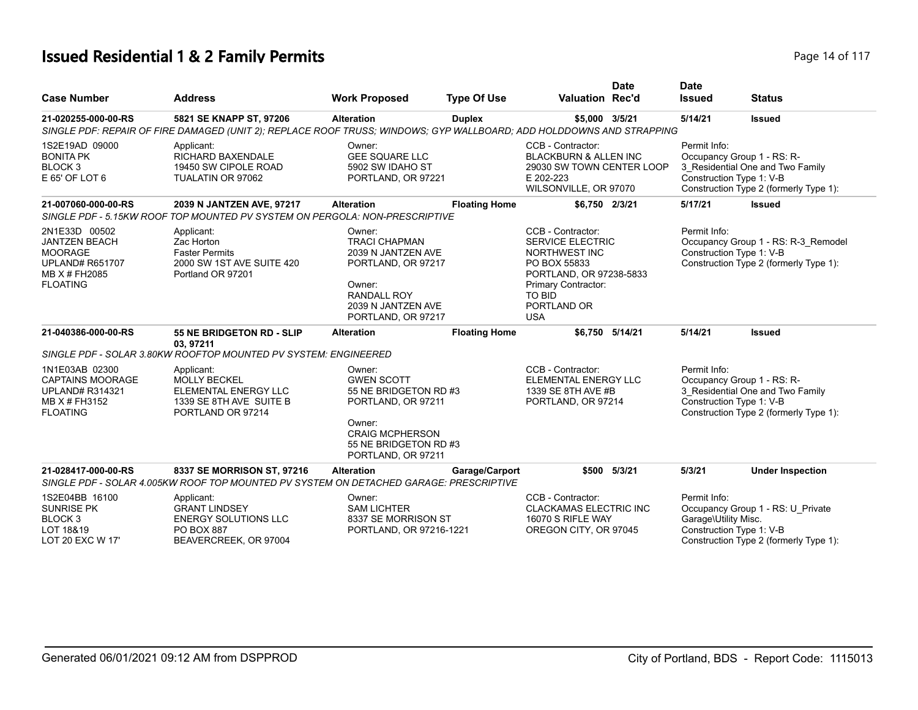# **Issued Residential 1 & 2 Family Permits Page 14 of 117** Page 14 of 117

|                                                                                                                       |                                                                                                                                                 |                                                                                                                                                               |                      |                                                                                                                                                                               | <b>Date</b>     | <b>Date</b>                                                      |                                                                                                          |
|-----------------------------------------------------------------------------------------------------------------------|-------------------------------------------------------------------------------------------------------------------------------------------------|---------------------------------------------------------------------------------------------------------------------------------------------------------------|----------------------|-------------------------------------------------------------------------------------------------------------------------------------------------------------------------------|-----------------|------------------------------------------------------------------|----------------------------------------------------------------------------------------------------------|
| <b>Case Number</b>                                                                                                    | <b>Address</b>                                                                                                                                  | <b>Work Proposed</b>                                                                                                                                          | <b>Type Of Use</b>   | <b>Valuation Rec'd</b>                                                                                                                                                        |                 | <b>Issued</b>                                                    | <b>Status</b>                                                                                            |
| 21-020255-000-00-RS                                                                                                   | 5821 SE KNAPP ST, 97206<br>SINGLE PDF: REPAIR OF FIRE DAMAGED (UNIT 2); REPLACE ROOF TRUSS; WINDOWS; GYP WALLBOARD; ADD HOLDDOWNS AND STRAPPING | <b>Alteration</b>                                                                                                                                             | <b>Duplex</b>        | \$5,000 3/5/21                                                                                                                                                                |                 | 5/14/21                                                          | <b>Issued</b>                                                                                            |
| 1S2E19AD 09000<br><b>BONITA PK</b><br>BLOCK <sub>3</sub><br>E 65' OF LOT 6                                            | Applicant:<br>RICHARD BAXENDALE<br>19450 SW CIPOLE ROAD<br>TUALATIN OR 97062                                                                    | Owner:<br><b>GEE SQUARE LLC</b><br>5902 SW IDAHO ST<br>PORTLAND, OR 97221                                                                                     |                      | CCB - Contractor:<br><b>BLACKBURN &amp; ALLEN INC</b><br>29030 SW TOWN CENTER LOOP<br>E 202-223<br>WILSONVILLE, OR 97070                                                      |                 | Permit Info:<br>Construction Type 1: V-B                         | Occupancy Group 1 - RS: R-<br>3_Residential One and Two Family<br>Construction Type 2 (formerly Type 1): |
| 21-007060-000-00-RS                                                                                                   | 2039 N JANTZEN AVE, 97217<br>SINGLE PDF - 5.15KW ROOF TOP MOUNTED PV SYSTEM ON PERGOLA: NON-PRESCRIPTIVE                                        | <b>Alteration</b>                                                                                                                                             | <b>Floating Home</b> | \$6,750 2/3/21                                                                                                                                                                |                 | 5/17/21                                                          | <b>Issued</b>                                                                                            |
| 2N1E33D 00502<br><b>JANTZEN BEACH</b><br><b>MOORAGE</b><br><b>UPLAND# R651707</b><br>MB X # FH2085<br><b>FLOATING</b> | Applicant:<br>Zac Horton<br><b>Faster Permits</b><br>2000 SW 1ST AVE SUITE 420<br>Portland OR 97201                                             | Owner:<br><b>TRACI CHAPMAN</b><br>2039 N JANTZEN AVE<br>PORTLAND, OR 97217<br>Owner:<br><b>RANDALL ROY</b><br>2039 N JANTZEN AVE<br>PORTLAND, OR 97217        |                      | CCB - Contractor:<br><b>SERVICE ELECTRIC</b><br>NORTHWEST INC<br>PO BOX 55833<br>PORTLAND, OR 97238-5833<br>Primary Contractor:<br><b>TO BID</b><br>PORTLAND OR<br><b>USA</b> |                 | Permit Info:<br>Construction Type 1: V-B                         | Occupancy Group 1 - RS: R-3_Remodel<br>Construction Type 2 (formerly Type 1):                            |
| 21-040386-000-00-RS                                                                                                   | 55 NE BRIDGETON RD - SLIP<br>03, 97211                                                                                                          | <b>Alteration</b>                                                                                                                                             | <b>Floating Home</b> |                                                                                                                                                                               | \$6,750 5/14/21 | 5/14/21                                                          | <b>Issued</b>                                                                                            |
|                                                                                                                       | SINGLE PDF - SOLAR 3.80KW ROOFTOP MOUNTED PV SYSTEM: ENGINEERED                                                                                 |                                                                                                                                                               |                      |                                                                                                                                                                               |                 |                                                                  |                                                                                                          |
| 1N1E03AB 02300<br><b>CAPTAINS MOORAGE</b><br><b>UPLAND# R314321</b><br>MB X # FH3152<br><b>FLOATING</b>               | Applicant:<br><b>MOLLY BECKEL</b><br>ELEMENTAL ENERGY LLC<br>1339 SE 8TH AVE SUITE B<br>PORTLAND OR 97214                                       | Owner:<br><b>GWEN SCOTT</b><br>55 NE BRIDGETON RD #3<br>PORTLAND, OR 97211<br>Owner:<br><b>CRAIG MCPHERSON</b><br>55 NE BRIDGETON RD #3<br>PORTLAND, OR 97211 |                      | CCB - Contractor:<br><b>ELEMENTAL ENERGY LLC</b><br>1339 SE 8TH AVE #B<br>PORTLAND, OR 97214                                                                                  |                 | Permit Info:<br>Construction Type 1: V-B                         | Occupancy Group 1 - RS: R-<br>3_Residential One and Two Family<br>Construction Type 2 (formerly Type 1): |
| 21-028417-000-00-RS                                                                                                   | 8337 SE MORRISON ST, 97216<br>SINGLE PDF - SOLAR 4.005KW ROOF TOP MOUNTED PV SYSTEM ON DETACHED GARAGE: PRESCRIPTIVE                            | <b>Alteration</b>                                                                                                                                             | Garage/Carport       |                                                                                                                                                                               | \$500 5/3/21    | 5/3/21                                                           | <b>Under Inspection</b>                                                                                  |
| 1S2E04BB 16100<br><b>SUNRISE PK</b><br>BLOCK <sub>3</sub><br>LOT 18&19<br>LOT 20 EXC W 17'                            | Applicant:<br><b>GRANT LINDSEY</b><br><b>ENERGY SOLUTIONS LLC</b><br><b>PO BOX 887</b><br>BEAVERCREEK, OR 97004                                 | Owner:<br><b>SAM LICHTER</b><br>8337 SE MORRISON ST<br>PORTLAND, OR 97216-1221                                                                                |                      | CCB - Contractor:<br><b>CLACKAMAS ELECTRIC INC</b><br>16070 S RIFLE WAY<br>OREGON CITY, OR 97045                                                                              |                 | Permit Info:<br>Garage\Utility Misc.<br>Construction Type 1: V-B | Occupancy Group 1 - RS: U_Private<br>Construction Type 2 (formerly Type 1):                              |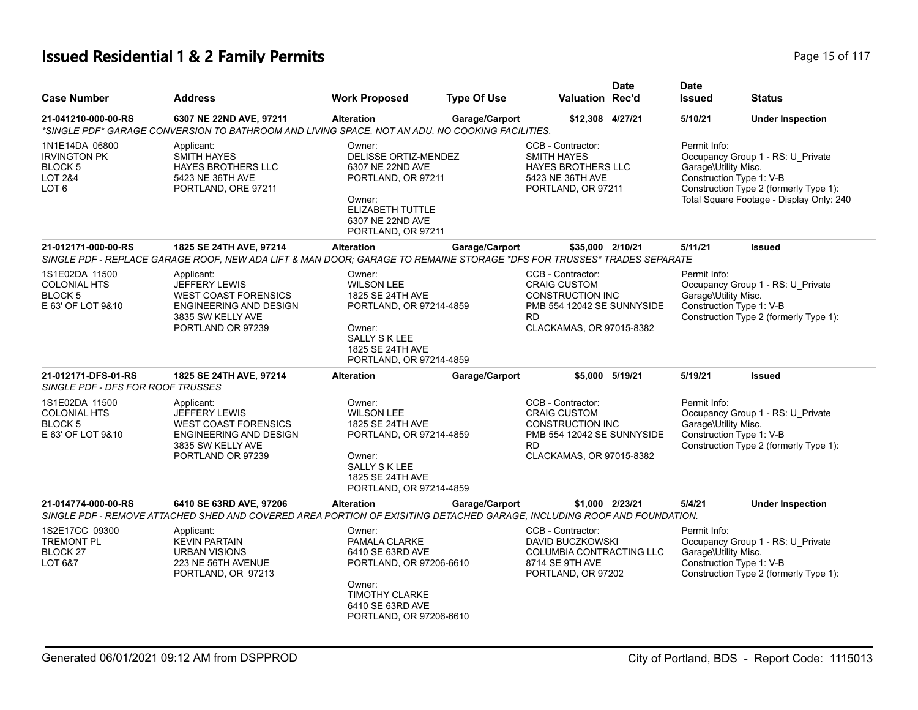# **Issued Residential 1 & 2 Family Permits Page 15 of 117** Page 15 of 117

| <b>Case Number</b>                                                                         | <b>Address</b>                                                                                                                                     | <b>Work Proposed</b>                                                                                                                                        | <b>Type Of Use</b> | <b>Valuation Rec'd</b>                                                                                                               | <b>Date</b>     | <b>Date</b><br><b>Issued</b>                                     | <b>Status</b>                                                                                                           |
|--------------------------------------------------------------------------------------------|----------------------------------------------------------------------------------------------------------------------------------------------------|-------------------------------------------------------------------------------------------------------------------------------------------------------------|--------------------|--------------------------------------------------------------------------------------------------------------------------------------|-----------------|------------------------------------------------------------------|-------------------------------------------------------------------------------------------------------------------------|
| 21-041210-000-00-RS                                                                        | 6307 NE 22ND AVE, 97211<br>*SINGLE PDF* GARAGE CONVERSION TO BATHROOM AND LIVING SPACE. NOT AN ADU. NO COOKING FACILITIES.                         | <b>Alteration</b>                                                                                                                                           | Garage/Carport     | \$12,308 4/27/21                                                                                                                     |                 | 5/10/21                                                          | <b>Under Inspection</b>                                                                                                 |
| 1N1E14DA 06800<br><b>IRVINGTON PK</b><br>BLOCK 5<br><b>LOT 2&amp;4</b><br>LOT <sub>6</sub> | Applicant:<br><b>SMITH HAYES</b><br>HAYES BROTHERS LLC<br>5423 NE 36TH AVE<br>PORTLAND, ORE 97211                                                  | Owner:<br>DELISSE ORTIZ-MENDEZ<br>6307 NE 22ND AVE<br>PORTLAND, OR 97211<br>Owner:<br>ELIZABETH TUTTLE<br>6307 NE 22ND AVE<br>PORTLAND, OR 97211            |                    | CCB - Contractor:<br><b>SMITH HAYES</b><br><b>HAYES BROTHERS LLC</b><br>5423 NE 36TH AVE<br>PORTLAND, OR 97211                       |                 | Permit Info:<br>Garage\Utility Misc.<br>Construction Type 1: V-B | Occupancy Group 1 - RS: U_Private<br>Construction Type 2 (formerly Type 1):<br>Total Square Footage - Display Only: 240 |
| 21-012171-000-00-RS                                                                        | 1825 SE 24TH AVE, 97214<br>SINGLE PDF - REPLACE GARAGE ROOF, NEW ADA LIFT & MAN DOOR; GARAGE TO REMAINE STORAGE *DFS FOR TRUSSES* TRADES SEPARATE  | <b>Alteration</b>                                                                                                                                           | Garage/Carport     | \$35,000 2/10/21                                                                                                                     |                 | 5/11/21                                                          | <b>Issued</b>                                                                                                           |
| 1S1E02DA 11500<br><b>COLONIAL HTS</b><br>BLOCK 5<br>E 63' OF LOT 9&10                      | Applicant:<br><b>JEFFERY LEWIS</b><br><b>WEST COAST FORENSICS</b><br>ENGINEERING AND DESIGN<br>3835 SW KELLY AVE<br>PORTLAND OR 97239              | Owner:<br><b>WILSON LEE</b><br>1825 SE 24TH AVE<br>PORTLAND, OR 97214-4859<br>Owner:<br><b>SALLY S K LEE</b><br>1825 SE 24TH AVE<br>PORTLAND, OR 97214-4859 |                    | CCB - Contractor:<br><b>CRAIG CUSTOM</b><br><b>CONSTRUCTION INC</b><br>PMB 554 12042 SE SUNNYSIDE<br>RD.<br>CLACKAMAS, OR 97015-8382 |                 | Permit Info:<br>Garage\Utility Misc.<br>Construction Type 1: V-B | Occupancy Group 1 - RS: U_Private<br>Construction Type 2 (formerly Type 1):                                             |
| 21-012171-DFS-01-RS<br>SINGLE PDF - DFS FOR ROOF TRUSSES                                   | 1825 SE 24TH AVE, 97214                                                                                                                            | <b>Alteration</b>                                                                                                                                           | Garage/Carport     |                                                                                                                                      | \$5.000 5/19/21 | 5/19/21                                                          | <b>Issued</b>                                                                                                           |
| 1S1E02DA 11500<br><b>COLONIAL HTS</b><br>BLOCK 5<br>E 63' OF LOT 9&10                      | Applicant:<br><b>JEFFERY LEWIS</b><br><b>WEST COAST FORENSICS</b><br><b>ENGINEERING AND DESIGN</b><br>3835 SW KELLY AVE<br>PORTLAND OR 97239       | Owner:<br><b>WILSON LEE</b><br>1825 SE 24TH AVE<br>PORTLAND, OR 97214-4859<br>Owner:<br><b>SALLY S K LEE</b><br>1825 SE 24TH AVE<br>PORTLAND, OR 97214-4859 |                    | CCB - Contractor:<br><b>CRAIG CUSTOM</b><br><b>CONSTRUCTION INC</b><br>PMB 554 12042 SE SUNNYSIDE<br>RD<br>CLACKAMAS, OR 97015-8382  |                 | Permit Info:<br>Garage\Utility Misc.<br>Construction Type 1: V-B | Occupancy Group 1 - RS: U_Private<br>Construction Type 2 (formerly Type 1):                                             |
| 21-014774-000-00-RS                                                                        | 6410 SE 63RD AVE, 97206<br>SINGLE PDF - REMOVE ATTACHED SHED AND COVERED AREA PORTION OF EXISITING DETACHED GARAGE, INCLUDING ROOF AND FOUNDATION. | <b>Alteration</b>                                                                                                                                           | Garage/Carport     |                                                                                                                                      | \$1.000 2/23/21 | 5/4/21                                                           | <b>Under Inspection</b>                                                                                                 |
| 1S2E17CC 09300<br><b>TREMONT PL</b><br>BLOCK <sub>27</sub><br>LOT 6&7                      | Applicant:<br><b>KEVIN PARTAIN</b><br><b>URBAN VISIONS</b><br>223 NE 56TH AVENUE<br>PORTLAND, OR 97213                                             | Owner:<br>PAMALA CLARKE<br>6410 SE 63RD AVE<br>PORTLAND, OR 97206-6610<br>Owner:<br><b>TIMOTHY CLARKE</b><br>6410 SE 63RD AVE<br>PORTLAND, OR 97206-6610    |                    | CCB - Contractor:<br>DAVID BUCZKOWSKI<br><b>COLUMBIA CONTRACTING LLC</b><br>8714 SE 9TH AVE<br>PORTLAND, OR 97202                    |                 | Permit Info:<br>Garage\Utility Misc.<br>Construction Type 1: V-B | Occupancy Group 1 - RS: U Private<br>Construction Type 2 (formerly Type 1):                                             |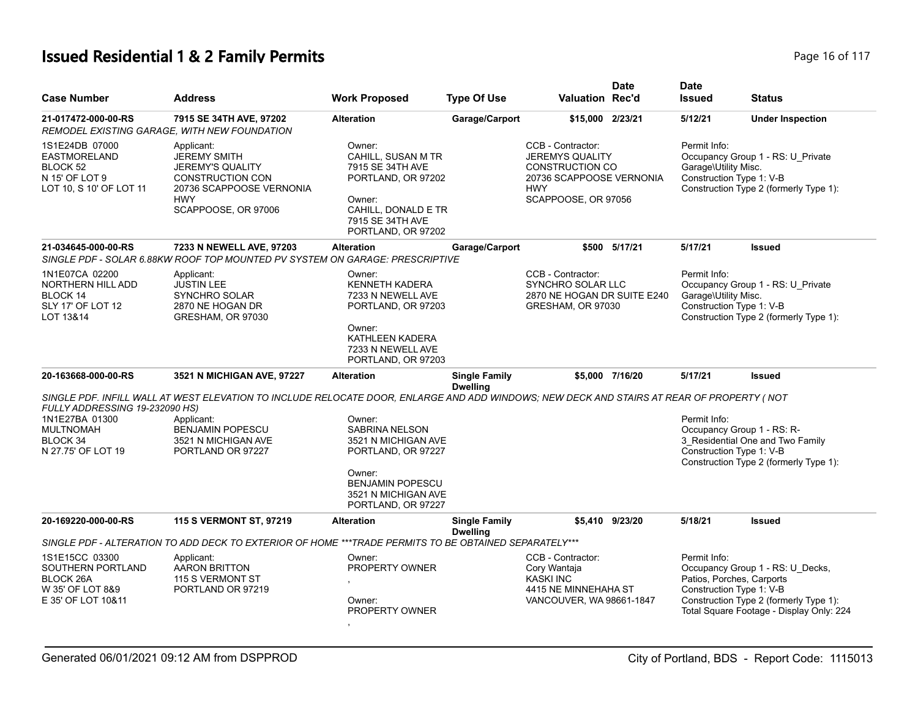# **Issued Residential 1 & 2 Family Permits Page 16 of 117** Page 16 of 117

| <b>Case Number</b>                                                                                     | <b>Address</b>                                                                                                                                                                                                                 | <b>Work Proposed</b>                                                                                                                                           | <b>Type Of Use</b>                      | <b>Valuation Rec'd</b>                                                                                                                 | <b>Date</b>     | <b>Date</b><br><b>Issued</b>                                           | <b>Status</b>                                                                                                          |
|--------------------------------------------------------------------------------------------------------|--------------------------------------------------------------------------------------------------------------------------------------------------------------------------------------------------------------------------------|----------------------------------------------------------------------------------------------------------------------------------------------------------------|-----------------------------------------|----------------------------------------------------------------------------------------------------------------------------------------|-----------------|------------------------------------------------------------------------|------------------------------------------------------------------------------------------------------------------------|
| 21-017472-000-00-RS<br>REMODEL EXISTING GARAGE. WITH NEW FOUNDATION                                    | 7915 SE 34TH AVE, 97202                                                                                                                                                                                                        | <b>Alteration</b>                                                                                                                                              | Garage/Carport                          | \$15,000 2/23/21                                                                                                                       |                 | 5/12/21                                                                | <b>Under Inspection</b>                                                                                                |
| 1S1E24DB 07000<br><b>EASTMORELAND</b><br>BLOCK 52<br>N 15' OF LOT 9<br>LOT 10, S 10' OF LOT 11         | Applicant:<br><b>JEREMY SMITH</b><br><b>JEREMY'S QUALITY</b><br><b>CONSTRUCTION CON</b><br>20736 SCAPPOOSE VERNONIA<br><b>HWY</b><br>SCAPPOOSE, OR 97006                                                                       | Owner:<br>CAHILL, SUSAN M TR<br>7915 SE 34TH AVE<br>PORTLAND, OR 97202<br>Owner:<br>CAHILL, DONALD E TR<br>7915 SE 34TH AVE<br>PORTLAND, OR 97202              |                                         | CCB - Contractor:<br><b>JEREMYS QUALITY</b><br><b>CONSTRUCTION CO</b><br>20736 SCAPPOOSE VERNONIA<br><b>HWY</b><br>SCAPPOOSE, OR 97056 |                 | Permit Info:<br>Garage\Utility Misc.<br>Construction Type 1: V-B       | Occupancy Group 1 - RS: U_Private<br>Construction Type 2 (formerly Type 1):                                            |
| 21-034645-000-00-RS                                                                                    | 7233 N NEWELL AVE, 97203<br>SINGLE PDF - SOLAR 6.88KW ROOF TOP MOUNTED PV SYSTEM ON GARAGE: PRESCRIPTIVE                                                                                                                       | <b>Alteration</b>                                                                                                                                              | Garage/Carport                          |                                                                                                                                        | \$500 5/17/21   | 5/17/21                                                                | <b>Issued</b>                                                                                                          |
| 1N1E07CA 02200<br><b>NORTHERN HILL ADD</b><br>BLOCK 14<br>SLY 17' OF LOT 12<br>LOT 13&14               | Applicant:<br><b>JUSTIN LEE</b><br><b>SYNCHRO SOLAR</b><br>2870 NE HOGAN DR<br>GRESHAM, OR 97030                                                                                                                               | Owner:<br><b>KENNETH KADERA</b><br>7233 N NEWELL AVE<br>PORTLAND, OR 97203<br>Owner:<br>KATHLEEN KADERA<br>7233 N NEWELL AVE<br>PORTLAND, OR 97203             |                                         | CCB - Contractor:<br><b>SYNCHRO SOLAR LLC</b><br>2870 NE HOGAN DR SUITE E240<br>GRESHAM, OR 97030                                      |                 | Permit Info:<br>Garage\Utility Misc.<br>Construction Type 1: V-B       | Occupancy Group 1 - RS: U_Private<br>Construction Type 2 (formerly Type 1):                                            |
| 20-163668-000-00-RS                                                                                    | 3521 N MICHIGAN AVE, 97227                                                                                                                                                                                                     | <b>Alteration</b>                                                                                                                                              | <b>Single Family</b><br><b>Dwelling</b> |                                                                                                                                        | \$5,000 7/16/20 | 5/17/21                                                                | Issued                                                                                                                 |
| FULLY ADDRESSING 19-232090 HS)<br>1N1E27BA 01300<br><b>MULTNOMAH</b><br>BLOCK 34<br>N 27.75' OF LOT 19 | SINGLE PDF. INFILL WALL AT WEST ELEVATION TO INCLUDE RELOCATE DOOR, ENLARGE AND ADD WINDOWS; NEW DECK AND STAIRS AT REAR OF PROPERTY (NOT<br>Applicant:<br><b>BENJAMIN POPESCU</b><br>3521 N MICHIGAN AVE<br>PORTLAND OR 97227 | Owner:<br><b>SABRINA NELSON</b><br>3521 N MICHIGAN AVE<br>PORTLAND, OR 97227<br>Owner:<br><b>BENJAMIN POPESCU</b><br>3521 N MICHIGAN AVE<br>PORTLAND, OR 97227 |                                         |                                                                                                                                        |                 | Permit Info:<br>Occupancy Group 1 - RS: R-<br>Construction Type 1: V-B | 3_Residential One and Two Family<br>Construction Type 2 (formerly Type 1):                                             |
| 20-169220-000-00-RS                                                                                    | 115 S VERMONT ST, 97219                                                                                                                                                                                                        | <b>Alteration</b>                                                                                                                                              | <b>Single Family</b><br><b>Dwelling</b> |                                                                                                                                        | \$5.410 9/23/20 | 5/18/21                                                                | <b>Issued</b>                                                                                                          |
|                                                                                                        | SINGLE PDF - ALTERATION TO ADD DECK TO EXTERIOR OF HOME ***TRADE PERMITS TO BE OBTAINED SEPARATELY***                                                                                                                          |                                                                                                                                                                |                                         |                                                                                                                                        |                 |                                                                        |                                                                                                                        |
| 1S1E15CC 03300<br>SOUTHERN PORTLAND<br><b>BLOCK 26A</b><br>W 35' OF LOT 8&9<br>E 35' OF LOT 10&11      | Applicant:<br><b>AARON BRITTON</b><br>115 S VERMONT ST<br>PORTLAND OR 97219                                                                                                                                                    | Owner:<br>PROPERTY OWNER<br>Owner:<br>PROPERTY OWNER                                                                                                           |                                         | CCB - Contractor:<br>Cory Wantaja<br><b>KASKI INC</b><br>4415 NE MINNEHAHA ST<br>VANCOUVER, WA 98661-1847                              |                 | Permit Info:<br>Patios, Porches, Carports<br>Construction Type 1: V-B  | Occupancy Group 1 - RS: U_Decks,<br>Construction Type 2 (formerly Type 1):<br>Total Square Footage - Display Only: 224 |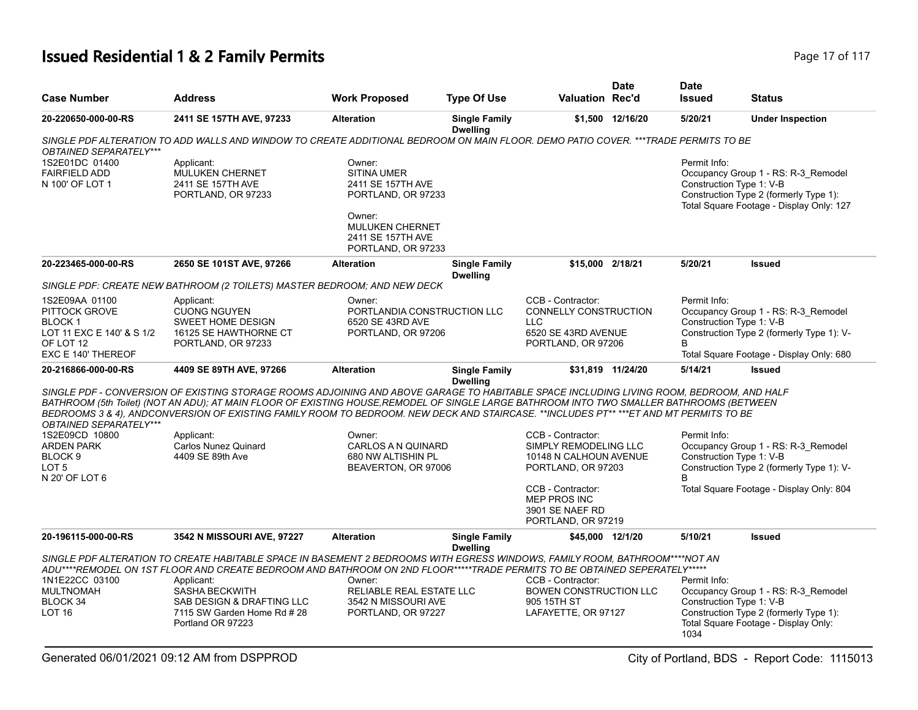# **Issued Residential 1 & 2 Family Permits Page 17 of 117** and **Page 17 of 117**

| <b>Case Number</b>                                                                   | <b>Address</b>                                                                                                                                                                                                                                                                                                                                                                                                                 | <b>Work Proposed</b>                                                              | <b>Type Of Use</b>                      | <b>Valuation Rec'd</b>                                                                                | <b>Date</b>       | <b>Date</b><br><b>Issued</b>             | <b>Status</b>                                                                                                             |
|--------------------------------------------------------------------------------------|--------------------------------------------------------------------------------------------------------------------------------------------------------------------------------------------------------------------------------------------------------------------------------------------------------------------------------------------------------------------------------------------------------------------------------|-----------------------------------------------------------------------------------|-----------------------------------------|-------------------------------------------------------------------------------------------------------|-------------------|------------------------------------------|---------------------------------------------------------------------------------------------------------------------------|
| 20-220650-000-00-RS                                                                  | 2411 SE 157TH AVE, 97233                                                                                                                                                                                                                                                                                                                                                                                                       | <b>Alteration</b>                                                                 | <b>Single Family</b><br><b>Dwelling</b> |                                                                                                       | \$1,500 12/16/20  | 5/20/21                                  | <b>Under Inspection</b>                                                                                                   |
| OBTAINED SEPARATELY***                                                               | SINGLE PDF ALTERATION TO ADD WALLS AND WINDOW TO CREATE ADDITIONAL BEDROOM ON MAIN FLOOR. DEMO PATIO COVER. ***TRADE PERMITS TO BE                                                                                                                                                                                                                                                                                             |                                                                                   |                                         |                                                                                                       |                   |                                          |                                                                                                                           |
| 1S2E01DC 01400<br><b>FAIRFIELD ADD</b><br>N 100' OF LOT 1                            | Applicant:<br><b>MULUKEN CHERNET</b><br>2411 SE 157TH AVE<br>PORTLAND, OR 97233                                                                                                                                                                                                                                                                                                                                                | Owner:<br><b>SITINA UMER</b><br>2411 SE 157TH AVE<br>PORTLAND, OR 97233<br>Owner: |                                         |                                                                                                       |                   | Permit Info:<br>Construction Type 1: V-B | Occupancy Group 1 - RS: R-3_Remodel<br>Construction Type 2 (formerly Type 1):<br>Total Square Footage - Display Only: 127 |
|                                                                                      |                                                                                                                                                                                                                                                                                                                                                                                                                                | <b>MULUKEN CHERNET</b><br>2411 SE 157TH AVE<br>PORTLAND, OR 97233                 |                                         |                                                                                                       |                   |                                          |                                                                                                                           |
| 20-223465-000-00-RS                                                                  | 2650 SE 101ST AVE, 97266                                                                                                                                                                                                                                                                                                                                                                                                       | <b>Alteration</b>                                                                 | <b>Single Family</b><br><b>Dwelling</b> | \$15,000 2/18/21                                                                                      |                   | 5/20/21                                  | <b>Issued</b>                                                                                                             |
|                                                                                      | SINGLE PDF: CREATE NEW BATHROOM (2 TOILETS) MASTER BEDROOM; AND NEW DECK                                                                                                                                                                                                                                                                                                                                                       |                                                                                   |                                         |                                                                                                       |                   |                                          |                                                                                                                           |
| 1S2E09AA 01100<br>PITTOCK GROVE<br>BLOCK 1<br>LOT 11 EXC E 140' & S 1/2<br>OF LOT 12 | Applicant:<br><b>CUONG NGUYEN</b><br><b>SWEET HOME DESIGN</b><br>16125 SE HAWTHORNE CT<br>PORTLAND, OR 97233                                                                                                                                                                                                                                                                                                                   | Owner:<br>PORTLANDIA CONSTRUCTION LLC<br>6520 SE 43RD AVE<br>PORTLAND, OR 97206   |                                         | CCB - Contractor:<br>CONNELLY CONSTRUCTION<br><b>LLC</b><br>6520 SE 43RD AVENUE<br>PORTLAND, OR 97206 |                   | Permit Info:<br>Construction Type 1: V-B | Occupancy Group 1 - RS: R-3_Remodel<br>Construction Type 2 (formerly Type 1): V-                                          |
| EXC E 140' THEREOF                                                                   |                                                                                                                                                                                                                                                                                                                                                                                                                                |                                                                                   |                                         |                                                                                                       |                   |                                          | Total Square Footage - Display Only: 680                                                                                  |
| 20-216866-000-00-RS                                                                  | 4409 SE 89TH AVE, 97266                                                                                                                                                                                                                                                                                                                                                                                                        | <b>Alteration</b>                                                                 | <b>Single Family</b>                    |                                                                                                       | \$31,819 11/24/20 | 5/14/21                                  | <b>Issued</b>                                                                                                             |
| OBTAINED SEPARATELY***                                                               | SINGLE PDF - CONVERSION OF EXISTING STORAGE ROOMS ADJOINING AND ABOVE GARAGE TO HABITABLE SPACE INCLUDING LIVING ROOM, BEDROOM, AND HALF<br>BATHROOM (5th Toilet) (NOT AN ADU); AT MAIN FLOOR OF EXISTING HOUSE, REMODEL OF SINGLE LARGE BATHROOM INTO TWO SMALLER BATHROOMS (BETWEEN<br>BEDROOMS 3 & 4). ANDCONVERSION OF EXISTING FAMILY ROOM TO BEDROOM. NEW DECK AND STAIRCASE. **INCLUDES PT** ***ET AND MT PERMITS TO BE |                                                                                   | <b>Dwelling</b>                         |                                                                                                       |                   |                                          |                                                                                                                           |
| 1S2E09CD 10800                                                                       | Applicant:                                                                                                                                                                                                                                                                                                                                                                                                                     | Owner:                                                                            |                                         | CCB - Contractor:                                                                                     |                   | Permit Info:                             |                                                                                                                           |
| <b>ARDEN PARK</b><br>BLOCK <sub>9</sub><br>LOT <sub>5</sub><br>N 20' OF LOT 6        | <b>Carlos Nunez Quinard</b><br>4409 SE 89th Ave                                                                                                                                                                                                                                                                                                                                                                                | <b>CARLOS A N QUINARD</b><br>680 NW ALTISHIN PL<br>BEAVERTON, OR 97006            |                                         | SIMPLY REMODELING LLC<br>10148 N CALHOUN AVENUE<br>PORTLAND, OR 97203                                 |                   | Construction Type 1: V-B<br>B.           | Occupancy Group 1 - RS: R-3 Remodel<br>Construction Type 2 (formerly Type 1): V-                                          |
|                                                                                      |                                                                                                                                                                                                                                                                                                                                                                                                                                |                                                                                   |                                         | CCB - Contractor:<br><b>MEP PROS INC</b><br>3901 SE NAEF RD<br>PORTLAND, OR 97219                     |                   |                                          | Total Square Footage - Display Only: 804                                                                                  |
| 20-196115-000-00-RS                                                                  | 3542 N MISSOURI AVE, 97227                                                                                                                                                                                                                                                                                                                                                                                                     | <b>Alteration</b>                                                                 | <b>Single Family</b><br><b>Dwelling</b> | \$45,000 12/1/20                                                                                      |                   | 5/10/21                                  | Issued                                                                                                                    |
|                                                                                      | SINGLE PDF ALTERATION TO CREATE HABITABLE SPACE IN BASEMENT 2 BEDROOMS WITH EGRESS WINDOWS, FAMILY ROOM, BATHROOM****NOT AN<br>ADU****REMODEL ON 1ST FLOOR AND CREATE BEDROOM AND BATHROOM ON 2ND FLOOR*****TRADE PERMITS TO BE OBTAINED SEPERATELY*****                                                                                                                                                                       |                                                                                   |                                         |                                                                                                       |                   |                                          |                                                                                                                           |
| 1N1E22CC 03100                                                                       | Applicant:                                                                                                                                                                                                                                                                                                                                                                                                                     | Owner:                                                                            |                                         | CCB - Contractor:                                                                                     |                   | Permit Info:                             |                                                                                                                           |
| <b>MULTNOMAH</b><br>BLOCK 34<br><b>LOT 16</b>                                        | <b>SASHA BECKWITH</b><br>SAB DESIGN & DRAFTING LLC<br>7115 SW Garden Home Rd # 28<br>Portland OR 97223                                                                                                                                                                                                                                                                                                                         | RELIABLE REAL ESTATE LLC<br>3542 N MISSOURI AVE<br>PORTLAND, OR 97227             |                                         | <b>BOWEN CONSTRUCTION LLC</b><br>905 15TH ST<br>LAFAYETTE, OR 97127                                   |                   | Construction Type 1: V-B<br>1034         | Occupancy Group 1 - RS: R-3_Remodel<br>Construction Type 2 (formerly Type 1):<br>Total Square Footage - Display Only:     |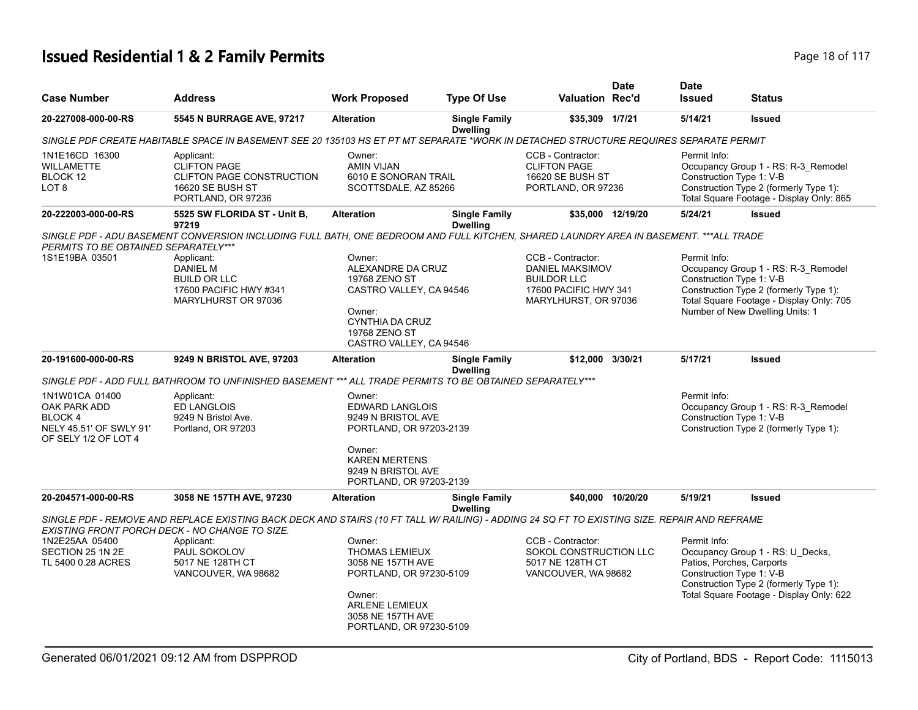# **Issued Residential 1 & 2 Family Permits Page 18 of 117** Page 18 of 117

| <b>Case Number</b>                                                   | <b>Address</b>                                                                                                                                                                            | <b>Work Proposed</b>                                                                                                                                               | <b>Type Of Use</b>                      | <b>Valuation Rec'd</b>                                                                                             | <b>Date</b>       | <b>Date</b><br><b>Issued</b>                                          | <b>Status</b>                                                                                                                                                |
|----------------------------------------------------------------------|-------------------------------------------------------------------------------------------------------------------------------------------------------------------------------------------|--------------------------------------------------------------------------------------------------------------------------------------------------------------------|-----------------------------------------|--------------------------------------------------------------------------------------------------------------------|-------------------|-----------------------------------------------------------------------|--------------------------------------------------------------------------------------------------------------------------------------------------------------|
| 20-227008-000-00-RS                                                  | 5545 N BURRAGE AVE, 97217                                                                                                                                                                 | <b>Alteration</b>                                                                                                                                                  | <b>Single Family</b><br><b>Dwelling</b> | \$35,309 1/7/21                                                                                                    |                   | 5/14/21                                                               | <b>Issued</b>                                                                                                                                                |
|                                                                      | SINGLE PDF CREATE HABITABLE SPACE IN BASEMENT SEE 20 135103 HS ET PT MT SEPARATE *WORK IN DETACHED STRUCTURE REQUIRES SEPARATE PERMIT                                                     |                                                                                                                                                                    |                                         |                                                                                                                    |                   |                                                                       |                                                                                                                                                              |
| 1N1E16CD 16300<br><b>WILLAMETTE</b><br>BLOCK 12<br>LOT <sub>8</sub>  | Applicant:<br><b>CLIFTON PAGE</b><br><b>CLIFTON PAGE CONSTRUCTION</b><br>16620 SE BUSH ST<br>PORTLAND, OR 97236                                                                           | Owner:<br><b>AMIN VIJAN</b><br>6010 E SONORAN TRAIL<br>SCOTTSDALE, AZ 85266                                                                                        |                                         | CCB - Contractor:<br><b>CLIFTON PAGE</b><br><b>16620 SE BUSH ST</b><br>PORTLAND, OR 97236                          |                   | Permit Info:<br>Construction Type 1: V-B                              | Occupancy Group 1 - RS: R-3_Remodel<br>Construction Type 2 (formerly Type 1):<br>Total Square Footage - Display Only: 865                                    |
| 20-222003-000-00-RS                                                  | 5525 SW FLORIDA ST - Unit B,<br>97219                                                                                                                                                     | <b>Alteration</b>                                                                                                                                                  | <b>Single Family</b><br><b>Dwelling</b> |                                                                                                                    | \$35,000 12/19/20 | 5/24/21                                                               | <b>Issued</b>                                                                                                                                                |
| PERMITS TO BE OBTAINED SEPARATELY***                                 | SINGLE PDF - ADU BASEMENT CONVERSION INCLUDING FULL BATH, ONE BEDROOM AND FULL KITCHEN, SHARED LAUNDRY AREA IN BASEMENT. ***ALL TRADE                                                     |                                                                                                                                                                    |                                         |                                                                                                                    |                   |                                                                       |                                                                                                                                                              |
| 1S1E19BA 03501                                                       | Applicant:<br><b>DANIEL M</b><br><b>BUILD OR LLC</b><br>17600 PACIFIC HWY #341<br>MARYLHURST OR 97036                                                                                     | Owner:<br>ALEXANDRE DA CRUZ<br>19768 ZENO ST<br>CASTRO VALLEY, CA 94546<br>Owner:<br><b>CYNTHIA DA CRUZ</b><br>19768 ZENO ST<br>CASTRO VALLEY, CA 94546            |                                         | CCB - Contractor:<br><b>DANIEL MAKSIMOV</b><br><b>BUILDOR LLC</b><br>17600 PACIFIC HWY 341<br>MARYLHURST, OR 97036 |                   | Permit Info:<br>Construction Type 1: V-B                              | Occupancy Group 1 - RS: R-3_Remodel<br>Construction Type 2 (formerly Type 1):<br>Total Square Footage - Display Only: 705<br>Number of New Dwelling Units: 1 |
| 20-191600-000-00-RS                                                  | 9249 N BRISTOL AVE, 97203                                                                                                                                                                 | <b>Alteration</b>                                                                                                                                                  | <b>Single Family</b><br><b>Dwelling</b> | \$12,000                                                                                                           | 3/30/21           | 5/17/21                                                               | <b>Issued</b>                                                                                                                                                |
| 1N1W01CA 01400<br>OAK PARK ADD<br>BLOCK 4<br>NELY 45.51' OF SWLY 91' | SINGLE PDF - ADD FULL BATHROOM TO UNFINISHED BASEMENT *** ALL TRADE PERMITS TO BE OBTAINED SEPARATELY***<br>Applicant:<br><b>ED LANGLOIS</b><br>9249 N Bristol Ave.<br>Portland, OR 97203 | Owner:<br><b>EDWARD LANGLOIS</b><br>9249 N BRISTOL AVE<br>PORTLAND, OR 97203-2139                                                                                  |                                         |                                                                                                                    |                   | Permit Info:<br>Construction Type 1: V-B                              | Occupancy Group 1 - RS: R-3_Remodel<br>Construction Type 2 (formerly Type 1):                                                                                |
| OF SELY 1/2 OF LOT 4                                                 |                                                                                                                                                                                           | Owner:<br><b>KAREN MERTENS</b><br>9249 N BRISTOL AVE<br>PORTLAND, OR 97203-2139                                                                                    |                                         |                                                                                                                    |                   |                                                                       |                                                                                                                                                              |
| 20-204571-000-00-RS                                                  | 3058 NE 157TH AVE, 97230                                                                                                                                                                  | <b>Alteration</b>                                                                                                                                                  | <b>Single Family</b><br><b>Dwelling</b> |                                                                                                                    | \$40,000 10/20/20 | 5/19/21                                                               | <b>Issued</b>                                                                                                                                                |
| EXISTING FRONT PORCH DECK - NO CHANGE TO SIZE.                       | SINGLE PDF - REMOVE AND REPLACE EXISTING BACK DECK AND STAIRS (10 FT TALL W/ RAILING) - ADDING 24 SQ FT TO EXISTING SIZE. REPAIR AND REFRAME                                              |                                                                                                                                                                    |                                         |                                                                                                                    |                   |                                                                       |                                                                                                                                                              |
| 1N2E25AA 05400<br>SECTION 25 1N 2E<br>TL 5400 0.28 ACRES             | Applicant:<br>PAUL SOKOLOV<br>5017 NE 128TH CT<br>VANCOUVER, WA 98682                                                                                                                     | Owner:<br><b>THOMAS LEMIEUX</b><br>3058 NE 157TH AVE<br>PORTLAND, OR 97230-5109<br>Owner:<br><b>ARLENE LEMIEUX</b><br>3058 NE 157TH AVE<br>PORTLAND, OR 97230-5109 |                                         | CCB - Contractor:<br>SOKOL CONSTRUCTION LLC<br>5017 NE 128TH CT<br>VANCOUVER, WA 98682                             |                   | Permit Info:<br>Patios, Porches, Carports<br>Construction Type 1: V-B | Occupancy Group 1 - RS: U_Decks,<br>Construction Type 2 (formerly Type 1):<br>Total Square Footage - Display Only: 622                                       |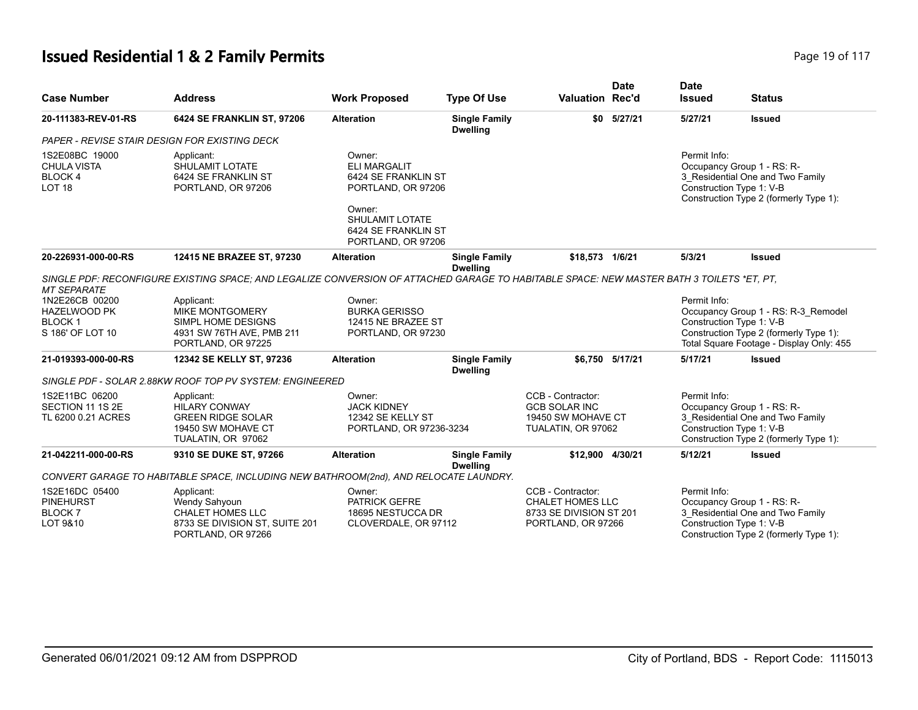# **Issued Residential 1 & 2 Family Permits Page 19 of 117 Page 19 of 117**

| <b>Case Number</b>                                                         | <b>Address</b>                                                                                                                            | <b>Work Proposed</b>                                                                                                           | <b>Type Of Use</b>                      | <b>Valuation Rec'd</b>                                                                        | <b>Date</b>     | <b>Date</b><br><b>Issued</b> | <b>Status</b>                                                                                                                                         |
|----------------------------------------------------------------------------|-------------------------------------------------------------------------------------------------------------------------------------------|--------------------------------------------------------------------------------------------------------------------------------|-----------------------------------------|-----------------------------------------------------------------------------------------------|-----------------|------------------------------|-------------------------------------------------------------------------------------------------------------------------------------------------------|
| 20-111383-REV-01-RS                                                        | 6424 SE FRANKLIN ST, 97206                                                                                                                | <b>Alteration</b>                                                                                                              | <b>Single Family</b><br><b>Dwelling</b> | \$0                                                                                           | 5/27/21         | 5/27/21                      | <b>Issued</b>                                                                                                                                         |
|                                                                            | PAPER - REVISE STAIR DESIGN FOR EXISTING DECK                                                                                             |                                                                                                                                |                                         |                                                                                               |                 |                              |                                                                                                                                                       |
| 1S2E08BC 19000<br><b>CHULA VISTA</b><br>BLOCK 4<br>LOT <sub>18</sub>       | Applicant:<br>SHULAMIT LOTATE<br>6424 SE FRANKLIN ST<br>PORTLAND, OR 97206                                                                | Owner:<br><b>ELI MARGALIT</b><br>6424 SE FRANKLIN ST<br>PORTLAND, OR 97206<br>Owner:<br>SHULAMIT LOTATE<br>6424 SE FRANKLIN ST |                                         |                                                                                               |                 | Permit Info:                 | Occupancy Group 1 - RS: R-<br>3 Residential One and Two Family<br>Construction Type 1: V-B<br>Construction Type 2 (formerly Type 1):                  |
| 20-226931-000-00-RS                                                        | 12415 NE BRAZEE ST, 97230                                                                                                                 | PORTLAND, OR 97206<br><b>Alteration</b>                                                                                        | <b>Single Family</b>                    | \$18,573 1/6/21                                                                               |                 | 5/3/21                       | <b>Issued</b>                                                                                                                                         |
| <b>MT SEPARATE</b>                                                         | SINGLE PDF: RECONFIGURE EXISTING SPACE: AND LEGALIZE CONVERSION OF ATTACHED GARAGE TO HABITABLE SPACE: NEW MASTER BATH 3 TOILETS *ET. PT. |                                                                                                                                | <b>Dwelling</b>                         |                                                                                               |                 |                              |                                                                                                                                                       |
| 1N2E26CB 00200<br><b>HAZELWOOD PK</b><br><b>BLOCK1</b><br>S 186' OF LOT 10 | Applicant:<br><b>MIKE MONTGOMERY</b><br>SIMPL HOME DESIGNS<br>4931 SW 76TH AVE, PMB 211<br>PORTLAND, OR 97225                             | Owner:<br><b>BURKA GERISSO</b><br>12415 NE BRAZEE ST<br>PORTLAND, OR 97230                                                     |                                         |                                                                                               |                 | Permit Info:                 | Occupancy Group 1 - RS: R-3_Remodel<br>Construction Type 1: V-B<br>Construction Type 2 (formerly Type 1):<br>Total Square Footage - Display Only: 455 |
| 21-019393-000-00-RS                                                        | 12342 SE KELLY ST, 97236                                                                                                                  | <b>Alteration</b>                                                                                                              | <b>Single Family</b><br><b>Dwelling</b> |                                                                                               | \$6.750 5/17/21 | 5/17/21                      | <b>Issued</b>                                                                                                                                         |
|                                                                            | SINGLE PDF - SOLAR 2.88KW ROOF TOP PV SYSTEM: ENGINEERED                                                                                  |                                                                                                                                |                                         |                                                                                               |                 |                              |                                                                                                                                                       |
| 1S2E11BC 06200<br>SECTION 11 1S 2E<br>TL 6200 0.21 ACRES                   | Applicant:<br><b>HILARY CONWAY</b><br><b>GREEN RIDGE SOLAR</b><br>19450 SW MOHAVE CT<br>TUALATIN, OR 97062                                | Owner:<br><b>JACK KIDNEY</b><br>12342 SE KELLY ST<br>PORTLAND, OR 97236-3234                                                   |                                         | CCB - Contractor:<br><b>GCB SOLAR INC</b><br>19450 SW MOHAVE CT<br>TUALATIN, OR 97062         |                 | Permit Info:                 | Occupancy Group 1 - RS: R-<br>3_Residential One and Two Family<br>Construction Type 1: V-B<br>Construction Type 2 (formerly Type 1):                  |
| 21-042211-000-00-RS                                                        | 9310 SE DUKE ST, 97266                                                                                                                    | <b>Alteration</b>                                                                                                              | <b>Single Family</b><br><b>Dwelling</b> | \$12.900 4/30/21                                                                              |                 | 5/12/21                      | <b>Issued</b>                                                                                                                                         |
|                                                                            | CONVERT GARAGE TO HABITABLE SPACE, INCLUDING NEW BATHROOM(2nd), AND RELOCATE LAUNDRY.                                                     |                                                                                                                                |                                         |                                                                                               |                 |                              |                                                                                                                                                       |
| 1S2E16DC 05400<br><b>PINEHURST</b><br><b>BLOCK7</b><br>LOT 9&10            | Applicant:<br>Wendy Sahyoun<br><b>CHALET HOMES LLC</b><br>8733 SE DIVISION ST, SUITE 201<br>PORTLAND, OR 97266                            | Owner:<br>PATRICK GEFRE<br>18695 NESTUCCA DR<br>CLOVERDALE, OR 97112                                                           |                                         | CCB - Contractor:<br><b>CHALET HOMES LLC</b><br>8733 SE DIVISION ST 201<br>PORTLAND, OR 97266 |                 | Permit Info:                 | Occupancy Group 1 - RS: R-<br>3_Residential One and Two Family<br>Construction Type 1: V-B<br>Construction Type 2 (formerly Type 1):                  |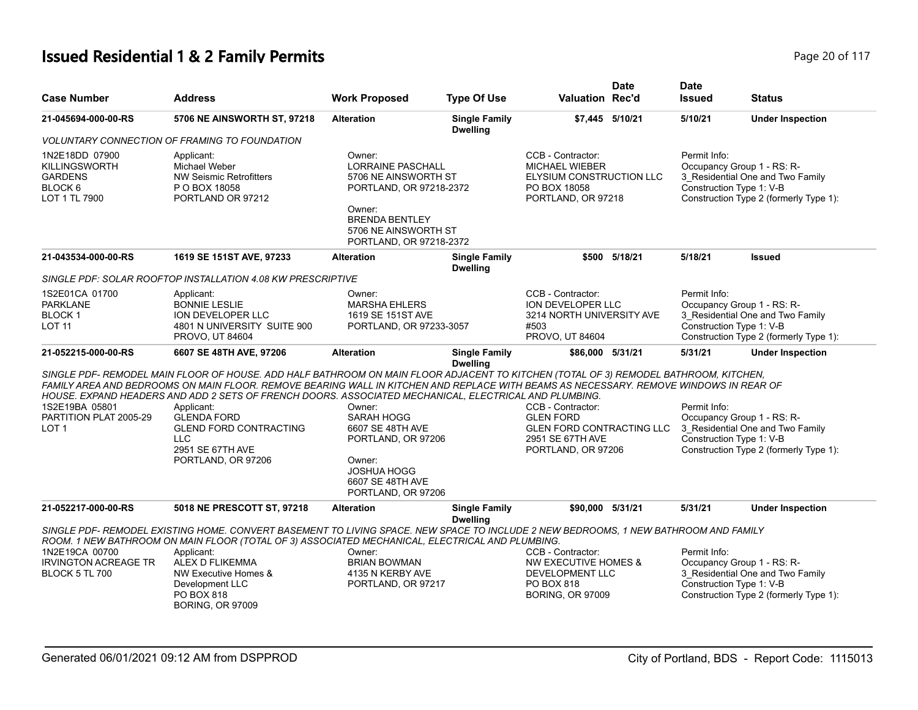# **Issued Residential 1 & 2 Family Permits Page 20 of 117** and  $P$  and  $P$  and  $P$  and  $P$  and  $P$  are 20 of 117

| <b>Case Number</b>                                                                              | <b>Address</b>                                                                                                                                                                                                                                                                                                                                                                         | <b>Work Proposed</b>                                                                                                                                                        | <b>Type Of Use</b>                      | <b>Valuation Rec'd</b>                                                                                              | <b>Date</b>     | <b>Date</b><br><b>Issued</b>                                           | <b>Status</b>                                                              |
|-------------------------------------------------------------------------------------------------|----------------------------------------------------------------------------------------------------------------------------------------------------------------------------------------------------------------------------------------------------------------------------------------------------------------------------------------------------------------------------------------|-----------------------------------------------------------------------------------------------------------------------------------------------------------------------------|-----------------------------------------|---------------------------------------------------------------------------------------------------------------------|-----------------|------------------------------------------------------------------------|----------------------------------------------------------------------------|
| 21-045694-000-00-RS                                                                             | 5706 NE AINSWORTH ST, 97218                                                                                                                                                                                                                                                                                                                                                            | <b>Alteration</b>                                                                                                                                                           | <b>Single Family</b><br><b>Dwelling</b> |                                                                                                                     | \$7,445 5/10/21 | 5/10/21                                                                | <b>Under Inspection</b>                                                    |
|                                                                                                 | <b>VOLUNTARY CONNECTION OF FRAMING TO FOUNDATION</b>                                                                                                                                                                                                                                                                                                                                   |                                                                                                                                                                             |                                         |                                                                                                                     |                 |                                                                        |                                                                            |
| 1N2E18DD 07900<br><b>KILLINGSWORTH</b><br><b>GARDENS</b><br>BLOCK <sub>6</sub><br>LOT 1 TL 7900 | Applicant:<br>Michael Weber<br><b>NW Seismic Retrofitters</b><br>P O BOX 18058<br>PORTLAND OR 97212                                                                                                                                                                                                                                                                                    | Owner:<br><b>LORRAINE PASCHALL</b><br>5706 NE AINSWORTH ST<br>PORTLAND, OR 97218-2372<br>Owner:<br><b>BRENDA BENTLEY</b><br>5706 NE AINSWORTH ST<br>PORTLAND, OR 97218-2372 |                                         | CCB - Contractor:<br><b>MICHAEL WIEBER</b><br>ELYSIUM CONSTRUCTION LLC<br>PO BOX 18058<br>PORTLAND, OR 97218        |                 | Permit Info:<br>Occupancy Group 1 - RS: R-<br>Construction Type 1: V-B | 3_Residential One and Two Family<br>Construction Type 2 (formerly Type 1): |
| 21-043534-000-00-RS                                                                             | 1619 SE 151ST AVE, 97233                                                                                                                                                                                                                                                                                                                                                               | <b>Alteration</b>                                                                                                                                                           | <b>Single Family</b><br><b>Dwelling</b> |                                                                                                                     | \$500 5/18/21   | 5/18/21                                                                | <b>Issued</b>                                                              |
|                                                                                                 | SINGLE PDF: SOLAR ROOFTOP INSTALLATION 4.08 KW PRESCRIPTIVE                                                                                                                                                                                                                                                                                                                            |                                                                                                                                                                             |                                         |                                                                                                                     |                 |                                                                        |                                                                            |
| 1S2E01CA 01700<br><b>PARKLANE</b><br>BLOCK 1<br><b>LOT 11</b>                                   | Applicant:<br><b>BONNIE LESLIE</b><br><b>ION DEVELOPER LLC</b><br>4801 N UNIVERSITY SUITE 900<br><b>PROVO, UT 84604</b>                                                                                                                                                                                                                                                                | Owner:<br><b>MARSHA EHLERS</b><br>1619 SE 151ST AVE<br>PORTLAND, OR 97233-3057                                                                                              |                                         | CCB - Contractor:<br>ION DEVELOPER LLC<br>3214 NORTH UNIVERSITY AVE<br>#503<br>PROVO, UT 84604                      |                 | Permit Info:<br>Occupancy Group 1 - RS: R-<br>Construction Type 1: V-B | 3 Residential One and Two Family<br>Construction Type 2 (formerly Type 1): |
| 21-052215-000-00-RS                                                                             | 6607 SE 48TH AVE, 97206                                                                                                                                                                                                                                                                                                                                                                | <b>Alteration</b>                                                                                                                                                           | <b>Single Family</b>                    | \$86,000 5/31/21                                                                                                    |                 | 5/31/21                                                                | <b>Under Inspection</b>                                                    |
|                                                                                                 | SINGLE PDF- REMODEL MAIN FLOOR OF HOUSE. ADD HALF BATHROOM ON MAIN FLOOR ADJACENT TO KITCHEN (TOTAL OF 3) REMODEL BATHROOM, KITCHEN,<br>FAMILY AREA AND BEDROOMS ON MAIN FLOOR. REMOVE BEARING WALL IN KITCHEN AND REPLACE WITH BEAMS AS NECESSARY. REMOVE WINDOWS IN REAR OF<br>HOUSE. EXPAND HEADERS AND ADD 2 SETS OF FRENCH DOORS. ASSOCIATED MECHANICAL, ELECTRICAL AND PLUMBING. |                                                                                                                                                                             | <b>Dwelling</b>                         |                                                                                                                     |                 |                                                                        |                                                                            |
| 1S2E19BA 05801<br>PARTITION PLAT 2005-29<br>LOT <sub>1</sub>                                    | Applicant:<br><b>GLENDA FORD</b><br><b>GLEND FORD CONTRACTING</b><br><b>LLC</b><br>2951 SE 67TH AVE<br>PORTLAND, OR 97206                                                                                                                                                                                                                                                              | Owner:<br>SARAH HOGG<br>6607 SE 48TH AVE<br>PORTLAND, OR 97206<br>Owner:<br><b>JOSHUA HOGG</b><br>6607 SE 48TH AVE<br>PORTLAND, OR 97206                                    |                                         | CCB - Contractor:<br><b>GLEN FORD</b><br><b>GLEN FORD CONTRACTING LLC</b><br>2951 SE 67TH AVE<br>PORTLAND, OR 97206 |                 | Permit Info:<br>Occupancy Group 1 - RS: R-<br>Construction Type 1: V-B | 3_Residential One and Two Family<br>Construction Type 2 (formerly Type 1): |
| 21-052217-000-00-RS                                                                             | 5018 NE PRESCOTT ST, 97218                                                                                                                                                                                                                                                                                                                                                             | <b>Alteration</b>                                                                                                                                                           | <b>Single Family</b><br><b>Dwelling</b> | \$90,000 5/31/21                                                                                                    |                 | 5/31/21                                                                | <b>Under Inspection</b>                                                    |
| 1N2E19CA 00700<br><b>IRVINGTON ACREAGE TR</b><br><b>BLOCK 5 TL 700</b>                          | SINGLE PDF- REMODEL EXISTING HOME. CONVERT BASEMENT TO LIVING SPACE. NEW SPACE TO INCLUDE 2 NEW BEDROOMS, 1 NEW BATHROOM AND FAMILY<br>ROOM. 1 NEW BATHROOM ON MAIN FLOOR (TOTAL OF 3) ASSOCIATED MECHANICAL, ELECTRICAL AND PLUMBING.<br>Applicant:<br>ALEX D FLIKEMMA<br>NW Executive Homes &<br>Development LLC<br><b>PO BOX 818</b><br><b>BORING, OR 97009</b>                     | Owner:<br><b>BRIAN BOWMAN</b><br>4135 N KERBY AVE<br>PORTLAND, OR 97217                                                                                                     |                                         | CCB - Contractor:<br>NW EXECUTIVE HOMES &<br>DEVELOPMENT LLC<br>PO BOX 818<br><b>BORING, OR 97009</b>               |                 | Permit Info:<br>Occupancy Group 1 - RS: R-<br>Construction Type 1: V-B | 3 Residential One and Two Family<br>Construction Type 2 (formerly Type 1): |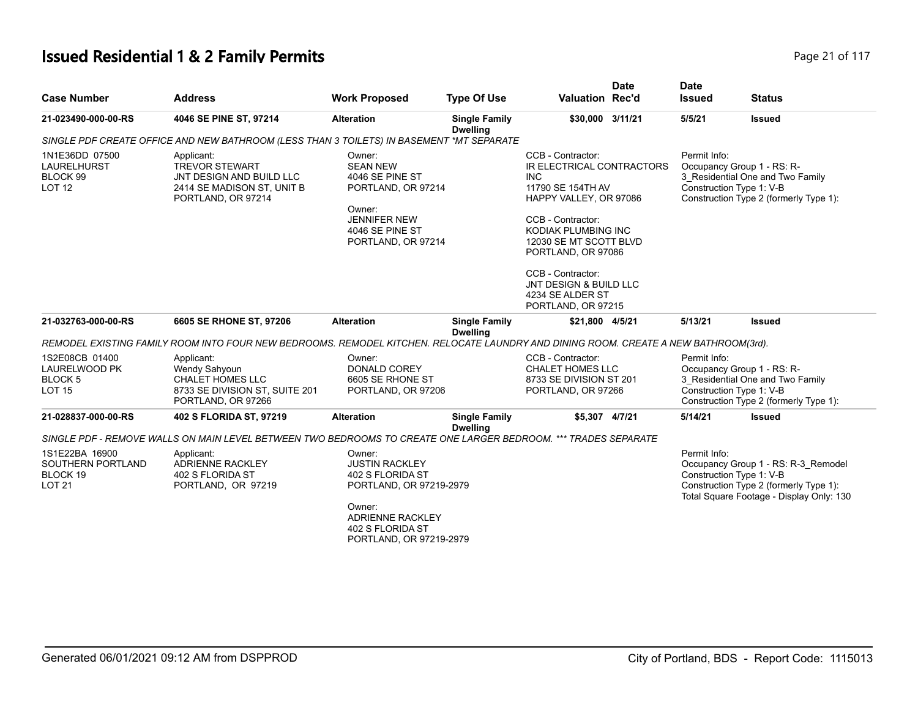# **Issued Residential 1 & 2 Family Permits Page 21 of 117 Page 21 of 117**

| <b>Case Number</b>                                                            | <b>Address</b>                                                                                                                      | <b>Work Proposed</b>                                                                                                                                               | <b>Type Of Use</b>                      | <b>Valuation Rec'd</b>                                                                                                                                                                                                                                                                           | <b>Date</b> | <b>Date</b><br><b>Issued</b> | <b>Status</b>                                                                                                                                         |
|-------------------------------------------------------------------------------|-------------------------------------------------------------------------------------------------------------------------------------|--------------------------------------------------------------------------------------------------------------------------------------------------------------------|-----------------------------------------|--------------------------------------------------------------------------------------------------------------------------------------------------------------------------------------------------------------------------------------------------------------------------------------------------|-------------|------------------------------|-------------------------------------------------------------------------------------------------------------------------------------------------------|
| 21-023490-000-00-RS                                                           | 4046 SE PINE ST, 97214                                                                                                              | <b>Alteration</b>                                                                                                                                                  | <b>Single Family</b><br><b>Dwelling</b> | \$30,000 3/11/21                                                                                                                                                                                                                                                                                 |             | 5/5/21                       | <b>Issued</b>                                                                                                                                         |
|                                                                               | SINGLE PDF CREATE OFFICE AND NEW BATHROOM (LESS THAN 3 TOILETS) IN BASEMENT *MT SEPARATE                                            |                                                                                                                                                                    |                                         |                                                                                                                                                                                                                                                                                                  |             |                              |                                                                                                                                                       |
| 1N1E36DD 07500<br><b>LAURELHURST</b><br>BLOCK 99<br><b>LOT 12</b>             | Applicant:<br><b>TREVOR STEWART</b><br>JNT DESIGN AND BUILD LLC<br>2414 SE MADISON ST, UNIT B<br>PORTLAND, OR 97214                 | Owner:<br><b>SEAN NEW</b><br>4046 SE PINE ST<br>PORTLAND, OR 97214<br>Owner:<br><b>JENNIFER NEW</b><br>4046 SE PINE ST<br>PORTLAND, OR 97214                       |                                         | CCB - Contractor:<br>IR ELECTRICAL CONTRACTORS<br><b>INC</b><br>11790 SE 154TH AV<br>HAPPY VALLEY, OR 97086<br>CCB - Contractor:<br>KODIAK PLUMBING INC<br>12030 SE MT SCOTT BLVD<br>PORTLAND, OR 97086<br>CCB - Contractor:<br>JNT DESIGN & BUILD LLC<br>4234 SE ALDER ST<br>PORTLAND, OR 97215 |             | Permit Info:                 | Occupancy Group 1 - RS: R-<br>3 Residential One and Two Family<br>Construction Type 1: V-B<br>Construction Type 2 (formerly Type 1):                  |
| 21-032763-000-00-RS                                                           | 6605 SE RHONE ST, 97206                                                                                                             | <b>Alteration</b>                                                                                                                                                  | <b>Single Family</b><br><b>Dwelling</b> | \$21,800 4/5/21                                                                                                                                                                                                                                                                                  |             | 5/13/21                      | <b>Issued</b>                                                                                                                                         |
|                                                                               | REMODEL EXISTING FAMILY ROOM INTO FOUR NEW BEDROOMS. REMODEL KITCHEN. RELOCATE LAUNDRY AND DINING ROOM. CREATE A NEW BATHROOM(3rd). |                                                                                                                                                                    |                                         |                                                                                                                                                                                                                                                                                                  |             |                              |                                                                                                                                                       |
| 1S2E08CB 01400<br><b>LAURELWOOD PK</b><br>BLOCK <sub>5</sub><br><b>LOT 15</b> | Applicant:<br>Wendy Sahyoun<br><b>CHALET HOMES LLC</b><br>8733 SE DIVISION ST, SUITE 201<br>PORTLAND, OR 97266                      | Owner:<br><b>DONALD COREY</b><br>6605 SE RHONE ST<br>PORTLAND, OR 97206                                                                                            |                                         | CCB - Contractor:<br><b>CHALET HOMES LLC</b><br>8733 SE DIVISION ST 201<br>PORTLAND, OR 97266                                                                                                                                                                                                    |             | Permit Info:                 | Occupancy Group 1 - RS: R-<br>3 Residential One and Two Family<br>Construction Type 1: V-B<br>Construction Type 2 (formerly Type 1):                  |
| 21-028837-000-00-RS                                                           | 402 S FLORIDA ST, 97219                                                                                                             | <b>Alteration</b>                                                                                                                                                  | <b>Single Family</b><br><b>Dwelling</b> | \$5,307 4/7/21                                                                                                                                                                                                                                                                                   |             | 5/14/21                      | <b>Issued</b>                                                                                                                                         |
|                                                                               | SINGLE PDF - REMOVE WALLS ON MAIN LEVEL BETWEEN TWO BEDROOMS TO CREATE ONE LARGER BEDROOM. *** TRADES SEPARATE                      |                                                                                                                                                                    |                                         |                                                                                                                                                                                                                                                                                                  |             |                              |                                                                                                                                                       |
| 1S1E22BA 16900<br>SOUTHERN PORTLAND<br>BLOCK 19<br><b>LOT 21</b>              | Applicant:<br><b>ADRIENNE RACKLEY</b><br>402 S FLORIDA ST<br>PORTLAND, OR 97219                                                     | Owner:<br><b>JUSTIN RACKLEY</b><br>402 S FLORIDA ST<br>PORTLAND, OR 97219-2979<br>Owner:<br><b>ADRIENNE RACKLEY</b><br>402 S FLORIDA ST<br>PORTLAND, OR 97219-2979 |                                         |                                                                                                                                                                                                                                                                                                  |             | Permit Info:                 | Occupancy Group 1 - RS: R-3_Remodel<br>Construction Type 1: V-B<br>Construction Type 2 (formerly Type 1):<br>Total Square Footage - Display Only: 130 |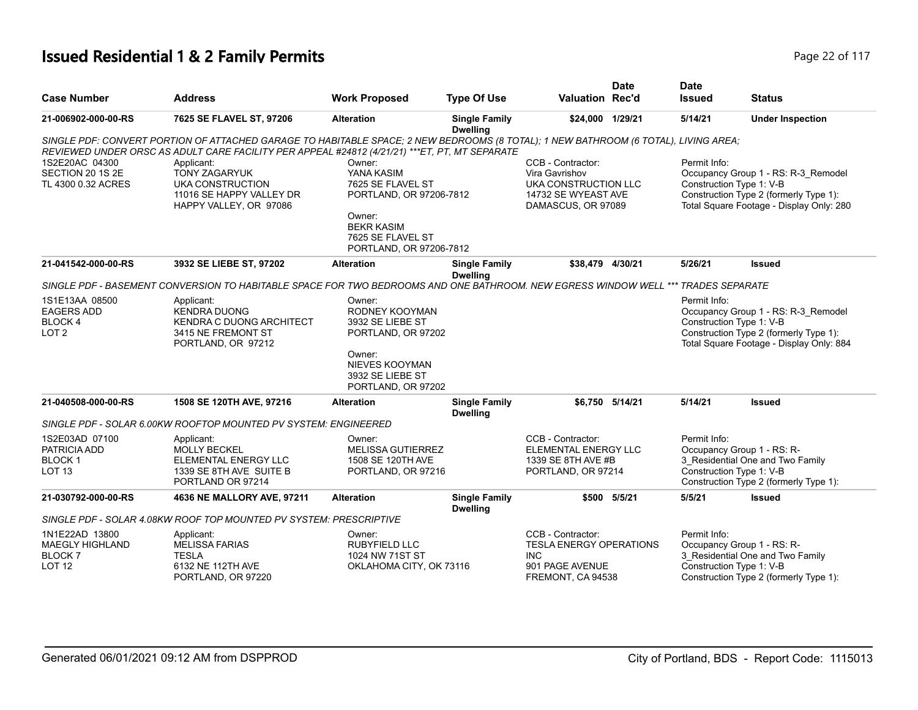# **Issued Residential 1 & 2 Family Permits Page 117 Page 22 of 117**

| <b>Case Number</b>                                                              | <b>Address</b>                                                                                                                                                                                                                        | <b>Work Proposed</b>                                                          | <b>Type Of Use</b>                      | <b>Valuation Rec'd</b>                                                                                    | <b>Date</b>     | <b>Date</b><br><b>Issued</b> | <b>Status</b>                                                                                                                                         |
|---------------------------------------------------------------------------------|---------------------------------------------------------------------------------------------------------------------------------------------------------------------------------------------------------------------------------------|-------------------------------------------------------------------------------|-----------------------------------------|-----------------------------------------------------------------------------------------------------------|-----------------|------------------------------|-------------------------------------------------------------------------------------------------------------------------------------------------------|
| 21-006902-000-00-RS                                                             | 7625 SE FLAVEL ST, 97206                                                                                                                                                                                                              | <b>Alteration</b>                                                             | <b>Single Family</b><br><b>Dwelling</b> | \$24,000 1/29/21                                                                                          |                 | 5/14/21                      | <b>Under Inspection</b>                                                                                                                               |
|                                                                                 | SINGLE PDF: CONVERT PORTION OF ATTACHED GARAGE TO HABITABLE SPACE; 2 NEW BEDROOMS (8 TOTAL); 1 NEW BATHROOM (6 TOTAL), LIVING AREA;<br>REVIEWED UNDER ORSC AS ADULT CARE FACILITY PER APPEAL #24812 (4/21/21) *** ET, PT, MT SEPARATE |                                                                               |                                         |                                                                                                           |                 |                              |                                                                                                                                                       |
| 1S2E20AC 04300<br>SECTION 20 1S 2E<br>TL 4300 0.32 ACRES                        | Applicant:<br><b>TONY ZAGARYUK</b><br>UKA CONSTRUCTION<br>11016 SE HAPPY VALLEY DR<br>HAPPY VALLEY, OR 97086                                                                                                                          | Owner:<br>YANA KASIM<br>7625 SE FLAVEL ST<br>PORTLAND, OR 97206-7812          |                                         | CCB - Contractor:<br>Vira Gavrishov<br>UKA CONSTRUCTION LLC<br>14732 SE WYEAST AVE<br>DAMASCUS, OR 97089  |                 | Permit Info:                 | Occupancy Group 1 - RS: R-3_Remodel<br>Construction Type 1: V-B<br>Construction Type 2 (formerly Type 1):<br>Total Square Footage - Display Only: 280 |
|                                                                                 |                                                                                                                                                                                                                                       | Owner:<br><b>BEKR KASIM</b><br>7625 SE FLAVEL ST<br>PORTLAND, OR 97206-7812   |                                         |                                                                                                           |                 |                              |                                                                                                                                                       |
| 21-041542-000-00-RS                                                             | 3932 SE LIEBE ST, 97202                                                                                                                                                                                                               | <b>Alteration</b>                                                             | <b>Single Family</b><br><b>Dwelling</b> | \$38,479 4/30/21                                                                                          |                 | 5/26/21                      | <b>Issued</b>                                                                                                                                         |
|                                                                                 | SINGLE PDF - BASEMENT CONVERSION TO HABITABLE SPACE FOR TWO BEDROOMS AND ONE BATHROOM. NEW EGRESS WINDOW WELL *** TRADES SEPARATE                                                                                                     |                                                                               |                                         |                                                                                                           |                 |                              |                                                                                                                                                       |
| 1S1E13AA 08500<br><b>EAGERS ADD</b><br><b>BLOCK4</b><br>LOT <sub>2</sub>        | Applicant:<br><b>KENDRA DUONG</b><br><b>KENDRA C DUONG ARCHITECT</b><br>3415 NE FREMONT ST<br>PORTLAND, OR 97212                                                                                                                      | Owner:<br>RODNEY KOOYMAN<br>3932 SE LIEBE ST<br>PORTLAND, OR 97202            |                                         |                                                                                                           |                 | Permit Info:                 | Occupancy Group 1 - RS: R-3 Remodel<br>Construction Type 1: V-B<br>Construction Type 2 (formerly Type 1):<br>Total Square Footage - Display Only: 884 |
|                                                                                 |                                                                                                                                                                                                                                       | Owner:<br><b>NIEVES KOOYMAN</b><br>3932 SE LIEBE ST<br>PORTLAND, OR 97202     |                                         |                                                                                                           |                 |                              |                                                                                                                                                       |
| 21-040508-000-00-RS                                                             | 1508 SE 120TH AVE, 97216                                                                                                                                                                                                              | <b>Alteration</b>                                                             | <b>Single Family</b><br><b>Dwelling</b> |                                                                                                           | \$6,750 5/14/21 | 5/14/21                      | <b>Issued</b>                                                                                                                                         |
|                                                                                 | SINGLE PDF - SOLAR 6.00KW ROOFTOP MOUNTED PV SYSTEM: ENGINEERED                                                                                                                                                                       |                                                                               |                                         |                                                                                                           |                 |                              |                                                                                                                                                       |
| 1S2E03AD 07100<br>PATRICIA ADD<br><b>BLOCK1</b><br>LOT <sub>13</sub>            | Applicant:<br>MOLLY BECKEL<br>ELEMENTAL ENERGY LLC<br>1339 SE 8TH AVE SUITE B<br>PORTLAND OR 97214                                                                                                                                    | Owner:<br><b>MELISSA GUTIERREZ</b><br>1508 SE 120TH AVE<br>PORTLAND, OR 97216 |                                         | CCB - Contractor:<br><b>ELEMENTAL ENERGY LLC</b><br>1339 SE 8TH AVE #B<br>PORTLAND, OR 97214              |                 | Permit Info:                 | Occupancy Group 1 - RS: R-<br>3_Residential One and Two Family<br>Construction Type 1: V-B<br>Construction Type 2 (formerly Type 1):                  |
| 21-030792-000-00-RS                                                             | 4636 NE MALLORY AVE, 97211                                                                                                                                                                                                            | <b>Alteration</b>                                                             | <b>Single Family</b><br><b>Dwelling</b> |                                                                                                           | \$500 5/5/21    | 5/5/21                       | <b>Issued</b>                                                                                                                                         |
|                                                                                 | SINGLE PDF - SOLAR 4.08KW ROOF TOP MOUNTED PV SYSTEM: PRESCRIPTIVE                                                                                                                                                                    |                                                                               |                                         |                                                                                                           |                 |                              |                                                                                                                                                       |
| 1N1E22AD 13800<br><b>MAEGLY HIGHLAND</b><br>BLOCK <sub>7</sub><br><b>LOT 12</b> | Applicant:<br><b>MELISSA FARIAS</b><br><b>TESLA</b><br>6132 NE 112TH AVE<br>PORTLAND, OR 97220                                                                                                                                        | Owner:<br><b>RUBYFIELD LLC</b><br>1024 NW 71ST ST<br>OKLAHOMA CITY, OK 73116  |                                         | CCB - Contractor:<br><b>TESLA ENERGY OPERATIONS</b><br><b>INC</b><br>901 PAGE AVENUE<br>FREMONT, CA 94538 |                 | Permit Info:                 | Occupancy Group 1 - RS: R-<br>3 Residential One and Two Family<br>Construction Type 1: V-B<br>Construction Type 2 (formerly Type 1):                  |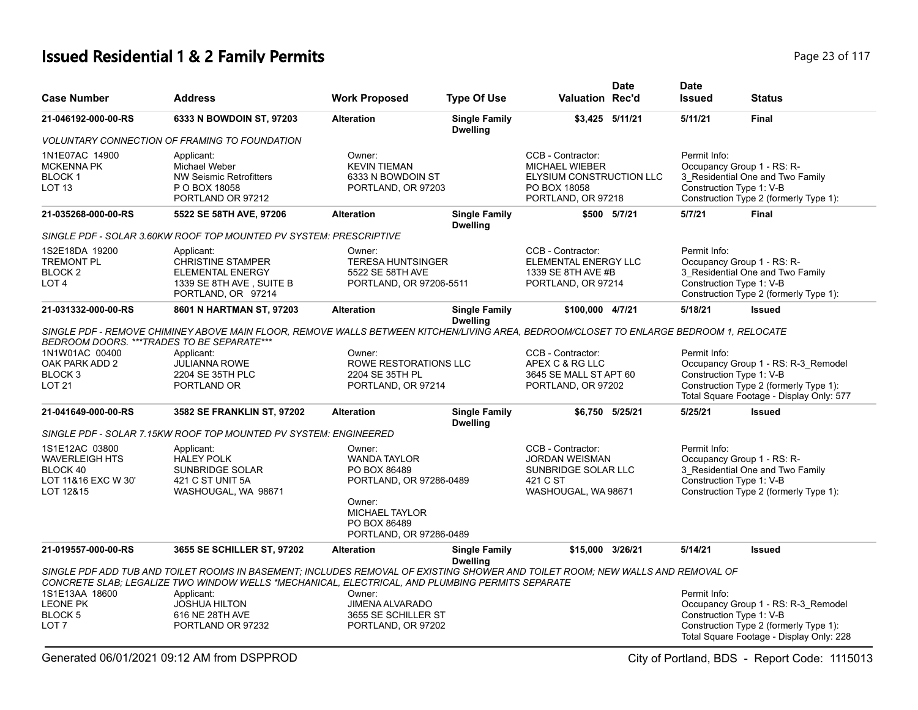# **Issued Residential 1 & 2 Family Permits Page 23 of 117 Page 23 of 117**

| <b>Case Number</b>                                                                      | <b>Address</b>                                                                                                                                                                                                                                                | <b>Work Proposed</b>                                                                                                        | <b>Type Of Use</b>                      | <b>Valuation Rec'd</b>                                                                                       | <b>Date</b>     | <b>Date</b><br><b>Issued</b> | <b>Status</b>                                                                                                                                         |
|-----------------------------------------------------------------------------------------|---------------------------------------------------------------------------------------------------------------------------------------------------------------------------------------------------------------------------------------------------------------|-----------------------------------------------------------------------------------------------------------------------------|-----------------------------------------|--------------------------------------------------------------------------------------------------------------|-----------------|------------------------------|-------------------------------------------------------------------------------------------------------------------------------------------------------|
| 21-046192-000-00-RS                                                                     | 6333 N BOWDOIN ST, 97203                                                                                                                                                                                                                                      | <b>Alteration</b>                                                                                                           | <b>Single Family</b><br><b>Dwelling</b> |                                                                                                              | \$3,425 5/11/21 | 5/11/21                      | Final                                                                                                                                                 |
|                                                                                         | <b>VOLUNTARY CONNECTION OF FRAMING TO FOUNDATION</b>                                                                                                                                                                                                          |                                                                                                                             |                                         |                                                                                                              |                 |                              |                                                                                                                                                       |
| 1N1E07AC 14900<br><b>MCKENNA PK</b><br>BLOCK 1<br><b>LOT 13</b>                         | Applicant:<br>Michael Weber<br><b>NW Seismic Retrofitters</b><br>P O BOX 18058<br>PORTLAND OR 97212                                                                                                                                                           | Owner:<br><b>KEVIN TIEMAN</b><br>6333 N BOWDOIN ST<br>PORTLAND, OR 97203                                                    |                                         | CCB - Contractor:<br><b>MICHAEL WIEBER</b><br>ELYSIUM CONSTRUCTION LLC<br>PO BOX 18058<br>PORTLAND, OR 97218 |                 | Permit Info:                 | Occupancy Group 1 - RS: R-<br>3_Residential One and Two Family<br>Construction Type 1: V-B<br>Construction Type 2 (formerly Type 1):                  |
| 21-035268-000-00-RS                                                                     | 5522 SE 58TH AVE, 97206                                                                                                                                                                                                                                       | <b>Alteration</b>                                                                                                           | <b>Single Family</b><br><b>Dwelling</b> |                                                                                                              | \$500 5/7/21    | 5/7/21                       | <b>Final</b>                                                                                                                                          |
|                                                                                         | SINGLE PDF - SOLAR 3.60KW ROOF TOP MOUNTED PV SYSTEM: PRESCRIPTIVE                                                                                                                                                                                            |                                                                                                                             |                                         |                                                                                                              |                 |                              |                                                                                                                                                       |
| 1S2E18DA 19200<br><b>TREMONT PL</b><br>BLOCK <sub>2</sub><br>LOT <sub>4</sub>           | Applicant:<br><b>CHRISTINE STAMPER</b><br><b>ELEMENTAL ENERGY</b><br>1339 SE 8TH AVE, SUITE B<br>PORTLAND, OR 97214                                                                                                                                           | Owner:<br><b>TERESA HUNTSINGER</b><br>5522 SE 58TH AVE<br>PORTLAND, OR 97206-5511                                           |                                         | CCB - Contractor:<br>ELEMENTAL ENERGY LLC<br>1339 SE 8TH AVE #B<br>PORTLAND, OR 97214                        |                 | Permit Info:                 | Occupancy Group 1 - RS: R-<br>3_Residential One and Two Family<br>Construction Type 1: V-B<br>Construction Type 2 (formerly Type 1):                  |
| 21-031332-000-00-RS                                                                     | 8601 N HARTMAN ST, 97203                                                                                                                                                                                                                                      | <b>Alteration</b>                                                                                                           | <b>Single Family</b>                    | \$100,000 4/7/21                                                                                             |                 | 5/18/21                      | <b>Issued</b>                                                                                                                                         |
| 1N1W01AC 00400<br>OAK PARK ADD 2<br>BLOCK 3<br><b>LOT 21</b>                            | SINGLE PDF - REMOVE CHIMINEY ABOVE MAIN FLOOR, REMOVE WALLS BETWEEN KITCHEN/LIVING AREA, BEDROOM/CLOSET TO ENLARGE BEDROOM 1, RELOCATE<br>BEDROOM DOORS. ***TRADES TO BE SEPARATE***<br>Applicant:<br><b>JULIANNA ROWE</b><br>2204 SE 35TH PLC<br>PORTLAND OR | Owner:<br>ROWE RESTORATIONS LLC<br>2204 SE 35TH PL<br>PORTLAND, OR 97214                                                    | <b>Dwelling</b>                         | CCB - Contractor:<br>APEX C & RG LLC<br>3645 SE MALL ST APT 60<br>PORTLAND, OR 97202                         |                 | Permit Info:                 | Occupancy Group 1 - RS: R-3_Remodel<br>Construction Type 1: V-B<br>Construction Type 2 (formerly Type 1):<br>Total Square Footage - Display Only: 577 |
| 21-041649-000-00-RS                                                                     | 3582 SE FRANKLIN ST, 97202                                                                                                                                                                                                                                    | <b>Alteration</b>                                                                                                           | <b>Single Family</b><br><b>Dwelling</b> |                                                                                                              | \$6,750 5/25/21 | 5/25/21                      | <b>Issued</b>                                                                                                                                         |
|                                                                                         | SINGLE PDF - SOLAR 7.15KW ROOF TOP MOUNTED PV SYSTEM: ENGINEERED                                                                                                                                                                                              |                                                                                                                             |                                         |                                                                                                              |                 |                              |                                                                                                                                                       |
| 1S1E12AC 03800<br><b>WAVERLEIGH HTS</b><br>BLOCK 40<br>LOT 11&16 EXC W 30'<br>LOT 12&15 | Applicant:<br><b>HALEY POLK</b><br><b>SUNBRIDGE SOLAR</b><br>421 C ST UNIT 5A<br>WASHOUGAL, WA 98671                                                                                                                                                          | Owner:<br><b>WANDA TAYLOR</b><br>PO BOX 86489<br>PORTLAND, OR 97286-0489<br>Owner:<br><b>MICHAEL TAYLOR</b><br>PO BOX 86489 |                                         | CCB - Contractor:<br><b>JORDAN WEISMAN</b><br>SUNBRIDGE SOLAR LLC<br>421 C ST<br>WASHOUGAL, WA 98671         |                 | Permit Info:                 | Occupancy Group 1 - RS: R-<br>3 Residential One and Two Family<br>Construction Type 1: V-B<br>Construction Type 2 (formerly Type 1):                  |
| 21-019557-000-00-RS                                                                     | 3655 SE SCHILLER ST, 97202                                                                                                                                                                                                                                    | PORTLAND, OR 97286-0489<br><b>Alteration</b>                                                                                | <b>Single Family</b>                    | \$15,000 3/26/21                                                                                             |                 | 5/14/21                      | <b>Issued</b>                                                                                                                                         |
|                                                                                         | SINGLE PDF ADD TUB AND TOILET ROOMS IN BASEMENT: INCLUDES REMOVAL OF EXISTING SHOWER AND TOILET ROOM: NEW WALLS AND REMOVAL OF<br>CONCRETE SLAB; LEGALIZE TWO WINDOW WELLS *MECHANICAL, ELECTRICAL, AND PLUMBING PERMITS SEPARATE                             |                                                                                                                             | <b>Dwelling</b>                         |                                                                                                              |                 |                              |                                                                                                                                                       |
| 1S1E13AA 18600<br><b>LEONE PK</b><br>BLOCK 5<br>LOT <sub>7</sub>                        | Applicant:<br><b>JOSHUA HILTON</b><br>616 NE 28TH AVE<br>PORTLAND OR 97232                                                                                                                                                                                    | Owner:<br><b>JIMENA ALVARADO</b><br>3655 SE SCHILLER ST<br>PORTLAND, OR 97202                                               |                                         |                                                                                                              |                 | Permit Info:                 | Occupancy Group 1 - RS: R-3_Remodel<br>Construction Type 1: V-B<br>Construction Type 2 (formerly Type 1):<br>Total Square Footage - Display Only: 228 |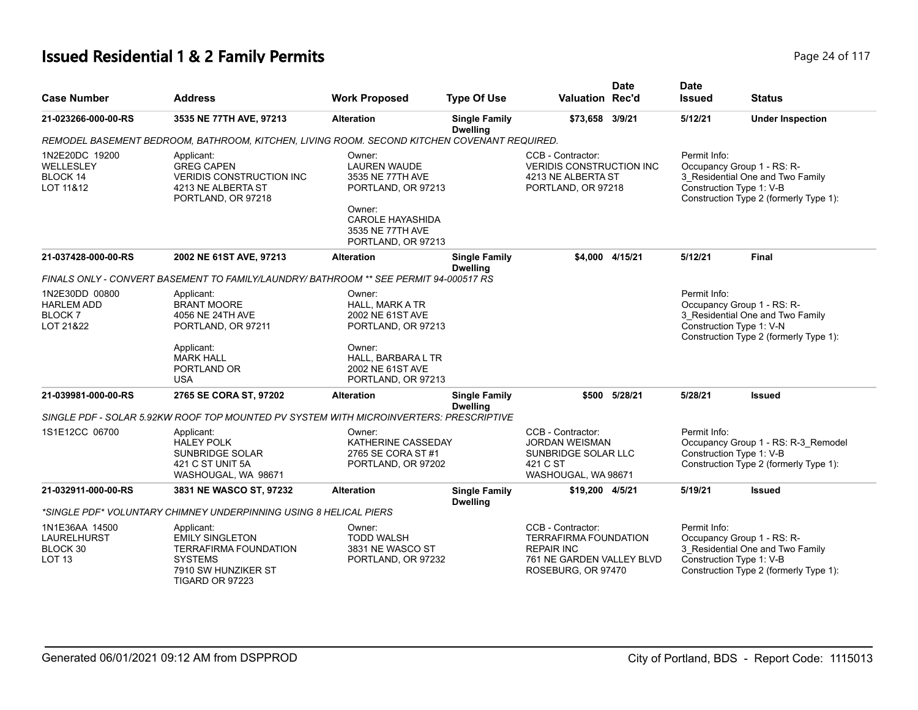# **Issued Residential 1 & 2 Family Permits Page 24 of 117 Page 24 of 117**

| <b>Case Number</b>                                                | <b>Address</b>                                                                                                                   | <b>Work Proposed</b>                                                                                                                                   | <b>Type Of Use</b>                      | <b>Valuation Rec'd</b>                                                                                                    | <b>Date</b>     | <b>Date</b><br><b>Issued</b>             | <b>Status</b>                                                                                            |
|-------------------------------------------------------------------|----------------------------------------------------------------------------------------------------------------------------------|--------------------------------------------------------------------------------------------------------------------------------------------------------|-----------------------------------------|---------------------------------------------------------------------------------------------------------------------------|-----------------|------------------------------------------|----------------------------------------------------------------------------------------------------------|
| 21-023266-000-00-RS                                               | 3535 NE 77TH AVE, 97213                                                                                                          | <b>Alteration</b>                                                                                                                                      | <b>Single Family</b><br><b>Dwelling</b> | \$73,658 3/9/21                                                                                                           |                 | 5/12/21                                  | <b>Under Inspection</b>                                                                                  |
|                                                                   | REMODEL BASEMENT BEDROOM, BATHROOM, KITCHEN, LIVING ROOM. SECOND KITCHEN COVENANT REQUIRED.                                      |                                                                                                                                                        |                                         |                                                                                                                           |                 |                                          |                                                                                                          |
| 1N2E20DC 19200<br>WELLESLEY<br><b>BLOCK 14</b><br>LOT 11&12       | Applicant:<br><b>GREG CAPEN</b><br><b>VERIDIS CONSTRUCTION INC</b><br>4213 NE ALBERTA ST<br>PORTLAND, OR 97218                   | Owner:<br><b>LAUREN WAUDE</b><br>3535 NE 77TH AVE<br>PORTLAND, OR 97213<br>Owner:<br><b>CAROLE HAYASHIDA</b><br>3535 NE 77TH AVE<br>PORTLAND, OR 97213 |                                         | CCB - Contractor:<br><b>VERIDIS CONSTRUCTION INC</b><br>4213 NE ALBERTA ST<br>PORTLAND, OR 97218                          |                 | Permit Info:<br>Construction Type 1: V-B | Occupancy Group 1 - RS: R-<br>3_Residential One and Two Family<br>Construction Type 2 (formerly Type 1): |
| 21-037428-000-00-RS                                               | 2002 NE 61ST AVE, 97213                                                                                                          | <b>Alteration</b>                                                                                                                                      | <b>Single Family</b><br><b>Dwelling</b> |                                                                                                                           | \$4.000 4/15/21 | 5/12/21                                  | <b>Final</b>                                                                                             |
|                                                                   | FINALS ONLY - CONVERT BASEMENT TO FAMILY/LAUNDRY/ BATHROOM ** SEE PERMIT 94-000517 RS                                            |                                                                                                                                                        |                                         |                                                                                                                           |                 |                                          |                                                                                                          |
| 1N2E30DD 00800<br><b>HARLEM ADD</b><br><b>BLOCK7</b><br>LOT 21&22 | Applicant:<br><b>BRANT MOORE</b><br>4056 NE 24TH AVE<br>PORTLAND, OR 97211                                                       | Owner:<br><b>HALL, MARK A TR</b><br>2002 NE 61ST AVE<br>PORTLAND, OR 97213                                                                             |                                         |                                                                                                                           |                 | Permit Info:<br>Construction Type 1: V-N | Occupancy Group 1 - RS: R-<br>3 Residential One and Two Family<br>Construction Type 2 (formerly Type 1): |
|                                                                   | Applicant:<br><b>MARK HALL</b><br>PORTLAND OR<br><b>USA</b>                                                                      | Owner:<br>HALL, BARBARA L TR<br>2002 NE 61ST AVE<br>PORTLAND, OR 97213                                                                                 |                                         |                                                                                                                           |                 |                                          |                                                                                                          |
| 21-039981-000-00-RS                                               | 2765 SE CORA ST, 97202                                                                                                           | <b>Alteration</b>                                                                                                                                      | <b>Single Family</b><br><b>Dwelling</b> |                                                                                                                           | \$500 5/28/21   | 5/28/21                                  | <b>Issued</b>                                                                                            |
|                                                                   | SINGLE PDF - SOLAR 5.92KW ROOF TOP MOUNTED PV SYSTEM WITH MICROINVERTERS: PRESCRIPTIVE                                           |                                                                                                                                                        |                                         |                                                                                                                           |                 |                                          |                                                                                                          |
| 1S1E12CC 06700                                                    | Applicant:<br><b>HALEY POLK</b><br><b>SUNBRIDGE SOLAR</b><br>421 C ST UNIT 5A<br>WASHOUGAL, WA 98671                             | Owner:<br>KATHERINE CASSEDAY<br>2765 SE CORA ST #1<br>PORTLAND, OR 97202                                                                               |                                         | CCB - Contractor:<br><b>JORDAN WEISMAN</b><br>SUNBRIDGE SOLAR LLC<br>421 C ST<br>WASHOUGAL, WA 98671                      |                 | Permit Info:<br>Construction Type 1: V-B | Occupancy Group 1 - RS: R-3_Remodel<br>Construction Type 2 (formerly Type 1):                            |
| 21-032911-000-00-RS                                               | 3831 NE WASCO ST, 97232                                                                                                          | <b>Alteration</b>                                                                                                                                      | <b>Single Family</b><br><b>Dwelling</b> | \$19,200 4/5/21                                                                                                           |                 | 5/19/21                                  | <b>Issued</b>                                                                                            |
|                                                                   | *SINGLE PDF* VOLUNTARY CHIMNEY UNDERPINNING USING 8 HELICAL PIERS                                                                |                                                                                                                                                        |                                         |                                                                                                                           |                 |                                          |                                                                                                          |
| 1N1E36AA 14500<br><b>LAURELHURST</b><br>BLOCK 30<br><b>LOT 13</b> | Applicant:<br><b>EMILY SINGLETON</b><br><b>TERRAFIRMA FOUNDATION</b><br><b>SYSTEMS</b><br>7910 SW HUNZIKER ST<br>TIGARD OR 97223 | Owner:<br><b>TODD WALSH</b><br>3831 NE WASCO ST<br>PORTLAND, OR 97232                                                                                  |                                         | CCB - Contractor:<br><b>TERRAFIRMA FOUNDATION</b><br><b>REPAIR INC</b><br>761 NE GARDEN VALLEY BLVD<br>ROSEBURG, OR 97470 |                 | Permit Info:<br>Construction Type 1: V-B | Occupancy Group 1 - RS: R-<br>3 Residential One and Two Family<br>Construction Type 2 (formerly Type 1): |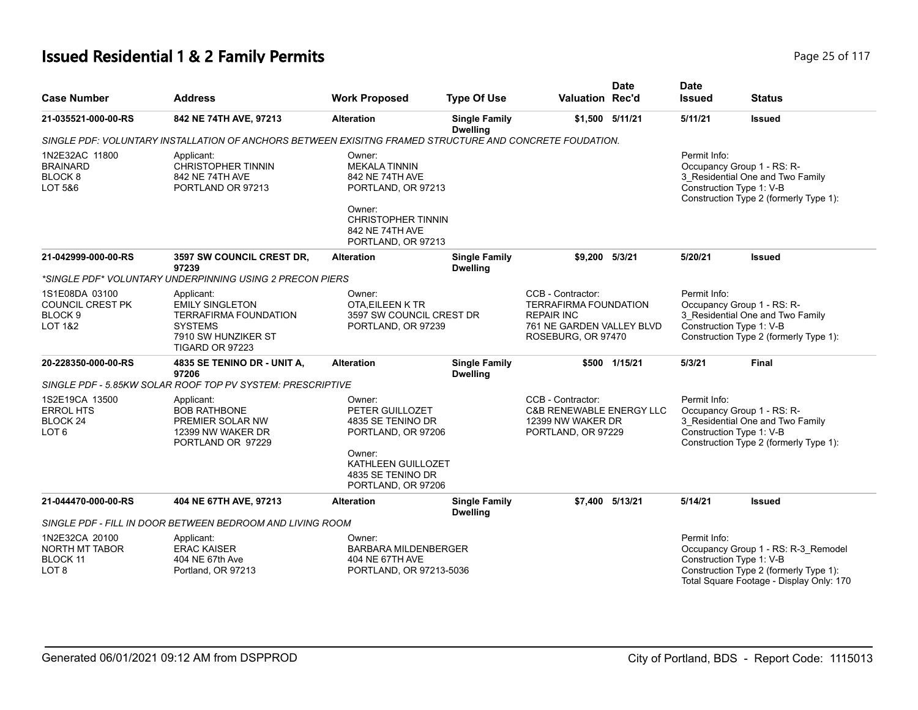# **Issued Residential 1 & 2 Family Permits Page 25 of 117 Page 25 of 117**

| <b>Case Number</b>                                                                    | <b>Address</b>                                                                                                                   | <b>Work Proposed</b>                                                                                                                                    | <b>Type Of Use</b>                      | <b>Valuation Rec'd</b>                                                                                                    | <b>Date</b>     | <b>Date</b><br><b>Issued</b>             | <b>Status</b>                                                                                                             |
|---------------------------------------------------------------------------------------|----------------------------------------------------------------------------------------------------------------------------------|---------------------------------------------------------------------------------------------------------------------------------------------------------|-----------------------------------------|---------------------------------------------------------------------------------------------------------------------------|-----------------|------------------------------------------|---------------------------------------------------------------------------------------------------------------------------|
| 21-035521-000-00-RS                                                                   | 842 NE 74TH AVE, 97213                                                                                                           | <b>Alteration</b>                                                                                                                                       | <b>Single Family</b><br><b>Dwelling</b> |                                                                                                                           | \$1,500 5/11/21 | 5/11/21                                  | <b>Issued</b>                                                                                                             |
|                                                                                       | SINGLE PDF: VOLUNTARY INSTALLATION OF ANCHORS BETWEEN EXISITNG FRAMED STRUCTURE AND CONCRETE FOUDATION.                          |                                                                                                                                                         |                                         |                                                                                                                           |                 |                                          |                                                                                                                           |
| 1N2E32AC 11800<br><b>BRAINARD</b><br>BLOCK <sub>8</sub><br>LOT 5&6                    | Applicant:<br><b>CHRISTOPHER TINNIN</b><br>842 NE 74TH AVE<br>PORTLAND OR 97213                                                  | Owner:<br><b>MEKALA TINNIN</b><br>842 NE 74TH AVE<br>PORTLAND, OR 97213<br>Owner:<br><b>CHRISTOPHER TINNIN</b><br>842 NE 74TH AVE<br>PORTLAND, OR 97213 |                                         |                                                                                                                           |                 | Permit Info:<br>Construction Type 1: V-B | Occupancy Group 1 - RS: R-<br>3_Residential One and Two Family<br>Construction Type 2 (formerly Type 1):                  |
| 21-042999-000-00-RS                                                                   | 3597 SW COUNCIL CREST DR,<br>97239                                                                                               | <b>Alteration</b>                                                                                                                                       | <b>Single Family</b><br><b>Dwelling</b> | \$9,200 5/3/21                                                                                                            |                 | 5/20/21                                  | <b>Issued</b>                                                                                                             |
|                                                                                       | *SINGLE PDF* VOLUNTARY UNDERPINNING USING 2 PRECON PIERS                                                                         |                                                                                                                                                         |                                         |                                                                                                                           |                 |                                          |                                                                                                                           |
| 1S1E08DA 03100<br><b>COUNCIL CREST PK</b><br>BLOCK <sub>9</sub><br><b>LOT 1&amp;2</b> | Applicant:<br><b>EMILY SINGLETON</b><br><b>TERRAFIRMA FOUNDATION</b><br><b>SYSTEMS</b><br>7910 SW HUNZIKER ST<br>TIGARD OR 97223 | Owner:<br>OTA, EILEEN K TR<br>3597 SW COUNCIL CREST DR<br>PORTLAND, OR 97239                                                                            |                                         | CCB - Contractor:<br><b>TERRAFIRMA FOUNDATION</b><br><b>REPAIR INC</b><br>761 NE GARDEN VALLEY BLVD<br>ROSEBURG, OR 97470 |                 | Permit Info:<br>Construction Type 1: V-B | Occupancy Group 1 - RS: R-<br>3 Residential One and Two Family<br>Construction Type 2 (formerly Type 1):                  |
| 20-228350-000-00-RS                                                                   | 4835 SE TENINO DR - UNIT A,<br>97206                                                                                             | <b>Alteration</b>                                                                                                                                       | <b>Single Family</b><br><b>Dwelling</b> |                                                                                                                           | \$500 1/15/21   | 5/3/21                                   | <b>Final</b>                                                                                                              |
|                                                                                       | SINGLE PDF - 5.85KW SOLAR ROOF TOP PV SYSTEM: PRESCRIPTIVE                                                                       |                                                                                                                                                         |                                         |                                                                                                                           |                 |                                          |                                                                                                                           |
| 1S2E19CA 13500<br><b>ERROL HTS</b><br>BLOCK <sub>24</sub><br>LOT 6                    | Applicant:<br><b>BOB RATHBONE</b><br>PREMIER SOLAR NW<br>12399 NW WAKER DR<br>PORTLAND OR 97229                                  | Owner:<br>PETER GUILLOZET<br>4835 SE TENINO DR<br>PORTLAND, OR 97206<br>Owner:<br>KATHLEEN GUILLOZET<br>4835 SE TENINO DR<br>PORTLAND, OR 97206         |                                         | CCB - Contractor:<br><b>C&amp;B RENEWABLE ENERGY LLC</b><br>12399 NW WAKER DR<br>PORTLAND, OR 97229                       |                 | Permit Info:<br>Construction Type 1: V-B | Occupancy Group 1 - RS: R-<br>3 Residential One and Two Family<br>Construction Type 2 (formerly Type 1):                  |
| 21-044470-000-00-RS                                                                   | 404 NE 67TH AVE, 97213                                                                                                           | <b>Alteration</b>                                                                                                                                       | <b>Single Family</b><br><b>Dwelling</b> |                                                                                                                           | \$7,400 5/13/21 | 5/14/21                                  | <b>Issued</b>                                                                                                             |
|                                                                                       | SINGLE PDF - FILL IN DOOR BETWEEN BEDROOM AND LIVING ROOM                                                                        |                                                                                                                                                         |                                         |                                                                                                                           |                 |                                          |                                                                                                                           |
| 1N2E32CA 20100<br>NORTH MT TABOR<br><b>BLOCK 11</b><br>LOT 8                          | Applicant:<br><b>ERAC KAISER</b><br>404 NE 67th Ave<br>Portland, OR 97213                                                        | Owner:<br><b>BARBARA MILDENBERGER</b><br>404 NE 67TH AVE<br>PORTLAND, OR 97213-5036                                                                     |                                         |                                                                                                                           |                 | Permit Info:<br>Construction Type 1: V-B | Occupancy Group 1 - RS: R-3_Remodel<br>Construction Type 2 (formerly Type 1):<br>Total Square Footage - Display Only: 170 |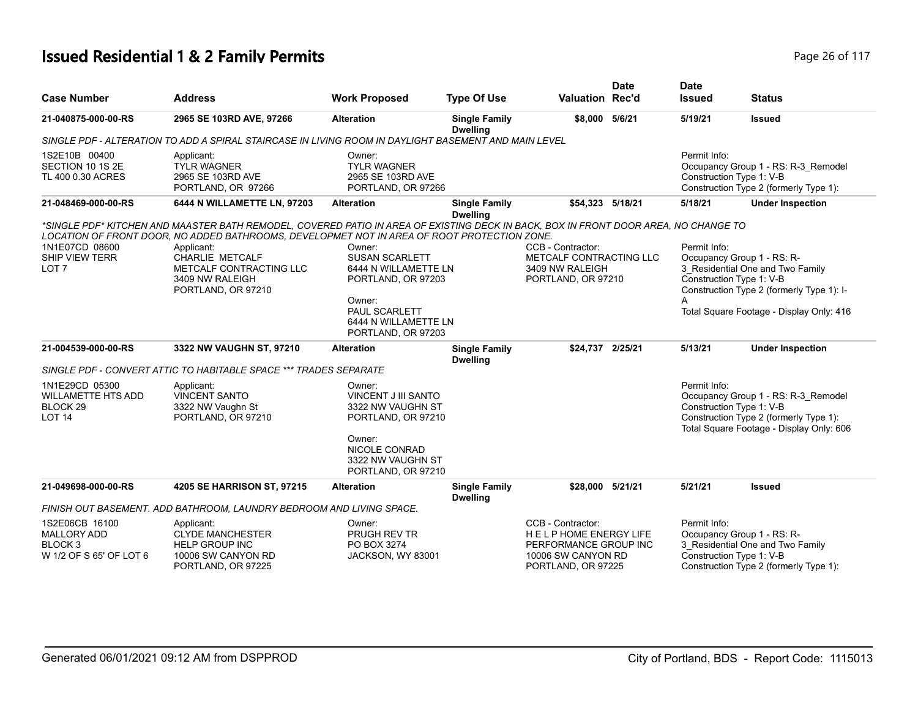# **Issued Residential 1 & 2 Family Permits Page 26 of 117 Page 26 of 117**

|                                                                                       |                                                                                                                                                                                                                                                                                                                                         |                                                                                                                                                               |                                         |                                                                                                                 | <b>Date</b> | <b>Date</b>                                                            |                                                                                                                           |
|---------------------------------------------------------------------------------------|-----------------------------------------------------------------------------------------------------------------------------------------------------------------------------------------------------------------------------------------------------------------------------------------------------------------------------------------|---------------------------------------------------------------------------------------------------------------------------------------------------------------|-----------------------------------------|-----------------------------------------------------------------------------------------------------------------|-------------|------------------------------------------------------------------------|---------------------------------------------------------------------------------------------------------------------------|
| <b>Case Number</b>                                                                    | <b>Address</b>                                                                                                                                                                                                                                                                                                                          | <b>Work Proposed</b>                                                                                                                                          | <b>Type Of Use</b>                      | <b>Valuation Rec'd</b>                                                                                          |             | <b>Issued</b>                                                          | <b>Status</b>                                                                                                             |
| 21-040875-000-00-RS                                                                   | 2965 SE 103RD AVE, 97266                                                                                                                                                                                                                                                                                                                | <b>Alteration</b>                                                                                                                                             | <b>Single Family</b><br><b>Dwelling</b> | \$8,000 5/6/21                                                                                                  |             | 5/19/21                                                                | <b>Issued</b>                                                                                                             |
|                                                                                       | SINGLE PDF - ALTERATION TO ADD A SPIRAL STAIRCASE IN LIVING ROOM IN DAYLIGHT BASEMENT AND MAIN LEVEL                                                                                                                                                                                                                                    |                                                                                                                                                               |                                         |                                                                                                                 |             |                                                                        |                                                                                                                           |
| 1S2E10B 00400<br>SECTION 10 1S 2E<br>TL 400 0.30 ACRES                                | Applicant:<br><b>TYLR WAGNER</b><br>2965 SE 103RD AVE<br>PORTLAND, OR 97266                                                                                                                                                                                                                                                             | Owner:<br><b>TYLR WAGNER</b><br>2965 SE 103RD AVE<br>PORTLAND, OR 97266                                                                                       |                                         |                                                                                                                 |             | Permit Info:<br>Construction Type 1: V-B                               | Occupancy Group 1 - RS: R-3 Remodel<br>Construction Type 2 (formerly Type 1):                                             |
| 21-048469-000-00-RS                                                                   | 6444 N WILLAMETTE LN, 97203                                                                                                                                                                                                                                                                                                             | <b>Alteration</b>                                                                                                                                             | <b>Single Family</b><br><b>Dwelling</b> | \$54.323 5/18/21                                                                                                |             | 5/18/21                                                                | <b>Under Inspection</b>                                                                                                   |
| 1N1E07CD 08600<br>SHIP VIEW TERR<br>LOT <sub>7</sub>                                  | *SINGLE PDF* KITCHEN AND MAASTER BATH REMODEL, COVERED PATIO IN AREA OF EXISTING DECK IN BACK, BOX IN FRONT DOOR AREA, NO CHANGE TO<br>LOCATION OF FRONT DOOR, NO ADDED BATHROOMS, DEVELOPMET NOT IN AREA OF ROOT PROTECTION ZONE.<br>Applicant:<br>CHARLIE METCALF<br>METCALF CONTRACTING LLC<br>3409 NW RALEIGH<br>PORTLAND, OR 97210 | Owner:<br><b>SUSAN SCARLETT</b><br>6444 N WILLAMETTE LN<br>PORTLAND, OR 97203<br>Owner:<br><b>PAUL SCARLETT</b><br>6444 N WILLAMETTE LN<br>PORTLAND, OR 97203 |                                         | CCB - Contractor:<br>METCALF CONTRACTING LLC<br>3409 NW RALEIGH<br>PORTLAND, OR 97210                           |             | Permit Info:<br>Occupancy Group 1 - RS: R-<br>Construction Type 1: V-B | 3_Residential One and Two Family<br>Construction Type 2 (formerly Type 1): I-<br>Total Square Footage - Display Only: 416 |
| 21-004539-000-00-RS                                                                   | 3322 NW VAUGHN ST, 97210                                                                                                                                                                                                                                                                                                                | <b>Alteration</b>                                                                                                                                             | <b>Single Family</b><br><b>Dwelling</b> | \$24.737 2/25/21                                                                                                |             | 5/13/21                                                                | <b>Under Inspection</b>                                                                                                   |
|                                                                                       | SINGLE PDF - CONVERT ATTIC TO HABITABLE SPACE *** TRADES SEPARATE                                                                                                                                                                                                                                                                       |                                                                                                                                                               |                                         |                                                                                                                 |             |                                                                        |                                                                                                                           |
| 1N1E29CD 05300<br><b>WILLAMETTE HTS ADD</b><br>BLOCK <sub>29</sub><br><b>LOT 14</b>   | Applicant:<br><b>VINCENT SANTO</b><br>3322 NW Vaughn St<br>PORTLAND, OR 97210                                                                                                                                                                                                                                                           | Owner:<br><b>VINCENT J III SANTO</b><br>3322 NW VAUGHN ST<br>PORTLAND, OR 97210<br>Owner:<br>NICOLE CONRAD<br>3322 NW VAUGHN ST<br>PORTLAND, OR 97210         |                                         |                                                                                                                 |             | Permit Info:<br>Construction Type 1: V-B                               | Occupancy Group 1 - RS: R-3_Remodel<br>Construction Type 2 (formerly Type 1):<br>Total Square Footage - Display Only: 606 |
| 21-049698-000-00-RS                                                                   | 4205 SE HARRISON ST, 97215                                                                                                                                                                                                                                                                                                              | <b>Alteration</b>                                                                                                                                             | <b>Single Family</b><br><b>Dwelling</b> | \$28,000 5/21/21                                                                                                |             | 5/21/21                                                                | <b>Issued</b>                                                                                                             |
|                                                                                       | FINISH OUT BASEMENT. ADD BATHROOM, LAUNDRY BEDROOM AND LIVING SPACE.                                                                                                                                                                                                                                                                    |                                                                                                                                                               |                                         |                                                                                                                 |             |                                                                        |                                                                                                                           |
| 1S2E06CB 16100<br><b>MALLORY ADD</b><br>BLOCK <sub>3</sub><br>W 1/2 OF S 65' OF LOT 6 | Applicant:<br><b>CLYDE MANCHESTER</b><br><b>HELP GROUP INC</b><br>10006 SW CANYON RD<br>PORTLAND, OR 97225                                                                                                                                                                                                                              | Owner:<br>PRUGH REV TR<br>PO BOX 3274<br>JACKSON, WY 83001                                                                                                    |                                         | CCB - Contractor:<br>HELP HOME ENERGY LIFE<br>PERFORMANCE GROUP INC<br>10006 SW CANYON RD<br>PORTLAND, OR 97225 |             | Permit Info:<br>Occupancy Group 1 - RS: R-<br>Construction Type 1: V-B | 3 Residential One and Two Family<br>Construction Type 2 (formerly Type 1):                                                |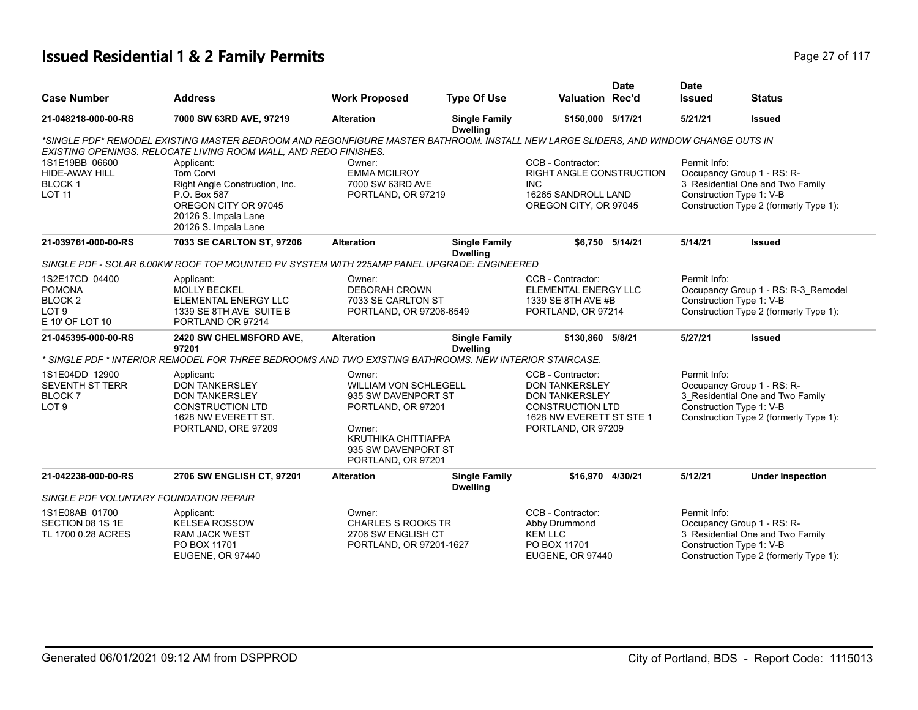# **Issued Residential 1 & 2 Family Permits Page 27 of 117 Page 27 of 117**

|                                                                                              |                                                                                                                                                                                                        |                                                                                                                                                                   |                                         |                                                                                                                                                  | <b>Date</b>     | <b>Date</b>   |                                                                                                                                      |
|----------------------------------------------------------------------------------------------|--------------------------------------------------------------------------------------------------------------------------------------------------------------------------------------------------------|-------------------------------------------------------------------------------------------------------------------------------------------------------------------|-----------------------------------------|--------------------------------------------------------------------------------------------------------------------------------------------------|-----------------|---------------|--------------------------------------------------------------------------------------------------------------------------------------|
| <b>Case Number</b>                                                                           | <b>Address</b>                                                                                                                                                                                         | <b>Work Proposed</b>                                                                                                                                              | <b>Type Of Use</b>                      | <b>Valuation Rec'd</b>                                                                                                                           |                 | <b>Issued</b> | <b>Status</b>                                                                                                                        |
| 21-048218-000-00-RS                                                                          | 7000 SW 63RD AVE, 97219                                                                                                                                                                                | <b>Alteration</b>                                                                                                                                                 | <b>Single Family</b><br><b>Dwelling</b> | \$150,000 5/17/21                                                                                                                                |                 | 5/21/21       | <b>Issued</b>                                                                                                                        |
|                                                                                              | *SINGLE PDF* REMODEL EXISTING MASTER BEDROOM AND REGONFIGURE MASTER BATHROOM. INSTALL NEW LARGE SLIDERS, AND WINDOW CHANGE OUTS IN<br>EXISTING OPENINGS. RELOCATE LIVING ROOM WALL, AND REDO FINISHES. |                                                                                                                                                                   |                                         |                                                                                                                                                  |                 |               |                                                                                                                                      |
| 1S1E19BB 06600<br>HIDE-AWAY HILL<br><b>BLOCK1</b><br><b>LOT 11</b>                           | Applicant:<br>Tom Corvi<br>Right Angle Construction, Inc.<br>P.O. Box 587<br>OREGON CITY OR 97045<br>20126 S. Impala Lane<br>20126 S. Impala Lane                                                      | Owner:<br><b>EMMA MCILROY</b><br>7000 SW 63RD AVE<br>PORTLAND, OR 97219                                                                                           |                                         | CCB - Contractor:<br>RIGHT ANGLE CONSTRUCTION<br><b>INC</b><br>16265 SANDROLL LAND<br>OREGON CITY, OR 97045                                      |                 | Permit Info:  | Occupancy Group 1 - RS: R-<br>3 Residential One and Two Family<br>Construction Type 1: V-B<br>Construction Type 2 (formerly Type 1): |
| 21-039761-000-00-RS                                                                          | 7033 SE CARLTON ST, 97206                                                                                                                                                                              | <b>Alteration</b>                                                                                                                                                 | <b>Single Family</b><br><b>Dwelling</b> |                                                                                                                                                  | \$6,750 5/14/21 | 5/14/21       | <b>Issued</b>                                                                                                                        |
|                                                                                              | SINGLE PDF - SOLAR 6.00KW ROOF TOP MOUNTED PV SYSTEM WITH 225AMP PANEL UPGRADE: ENGINEERED                                                                                                             |                                                                                                                                                                   |                                         |                                                                                                                                                  |                 |               |                                                                                                                                      |
| 1S2E17CD 04400<br><b>POMONA</b><br>BLOCK <sub>2</sub><br>LOT <sub>9</sub><br>E 10' OF LOT 10 | Applicant:<br><b>MOLLY BECKEL</b><br><b>ELEMENTAL ENERGY LLC</b><br>1339 SE 8TH AVE SUITE B<br>PORTLAND OR 97214                                                                                       | Owner:<br><b>DEBORAH CROWN</b><br>7033 SE CARLTON ST<br>PORTLAND, OR 97206-6549                                                                                   |                                         | CCB - Contractor:<br>ELEMENTAL ENERGY LLC<br>1339 SE 8TH AVE #B<br>PORTLAND, OR 97214                                                            |                 | Permit Info:  | Occupancy Group 1 - RS: R-3_Remodel<br>Construction Type 1: V-B<br>Construction Type 2 (formerly Type 1):                            |
| 21-045395-000-00-RS                                                                          | 2420 SW CHELMSFORD AVE,<br>97201<br>N SINGLE PDF * INTERIOR REMODEL FOR THREE BEDROOMS AND TWO EXISTING BATHROOMS. NEW INTERIOR STAIRCASE: *                                                           | <b>Alteration</b>                                                                                                                                                 | <b>Single Family</b><br><b>Dwelling</b> | \$130,860 5/8/21                                                                                                                                 |                 | 5/27/21       | <b>Issued</b>                                                                                                                        |
| 1S1E04DD 12900<br><b>SEVENTH ST TERR</b><br><b>BLOCK 7</b><br>LOT <sub>9</sub>               | Applicant:<br><b>DON TANKERSLEY</b><br><b>DON TANKERSLEY</b><br><b>CONSTRUCTION LTD</b><br>1628 NW EVERETT ST.<br>PORTLAND, ORE 97209                                                                  | Owner:<br><b>WILLIAM VON SCHLEGELL</b><br>935 SW DAVENPORT ST<br>PORTLAND, OR 97201<br>Owner:<br>KRUTHIKA CHITTIAPPA<br>935 SW DAVENPORT ST<br>PORTLAND, OR 97201 |                                         | CCB - Contractor:<br><b>DON TANKERSLEY</b><br><b>DON TANKERSLEY</b><br><b>CONSTRUCTION LTD</b><br>1628 NW EVERETT ST STE 1<br>PORTLAND, OR 97209 |                 | Permit Info:  | Occupancy Group 1 - RS: R-<br>3 Residential One and Two Family<br>Construction Type 1: V-B<br>Construction Type 2 (formerly Type 1): |
| 21-042238-000-00-RS                                                                          | 2706 SW ENGLISH CT, 97201                                                                                                                                                                              | <b>Alteration</b>                                                                                                                                                 | <b>Single Family</b><br><b>Dwelling</b> | \$16,970 4/30/21                                                                                                                                 |                 | 5/12/21       | <b>Under Inspection</b>                                                                                                              |
| SINGLE PDF VOLUNTARY FOUNDATION REPAIR                                                       |                                                                                                                                                                                                        |                                                                                                                                                                   |                                         |                                                                                                                                                  |                 |               |                                                                                                                                      |
| 1S1E08AB 01700<br>SECTION 08 1S 1E<br>TL 1700 0.28 ACRES                                     | Applicant:<br><b>KELSEA ROSSOW</b><br><b>RAM JACK WEST</b><br>PO BOX 11701<br><b>EUGENE, OR 97440</b>                                                                                                  | Owner:<br><b>CHARLES S ROOKS TR</b><br>2706 SW ENGLISH CT<br>PORTLAND, OR 97201-1627                                                                              |                                         | CCB - Contractor:<br>Abby Drummond<br><b>KEM LLC</b><br>PO BOX 11701<br>EUGENE, OR 97440                                                         |                 | Permit Info:  | Occupancy Group 1 - RS: R-<br>3_Residential One and Two Family<br>Construction Type 1: V-B<br>Construction Type 2 (formerly Type 1): |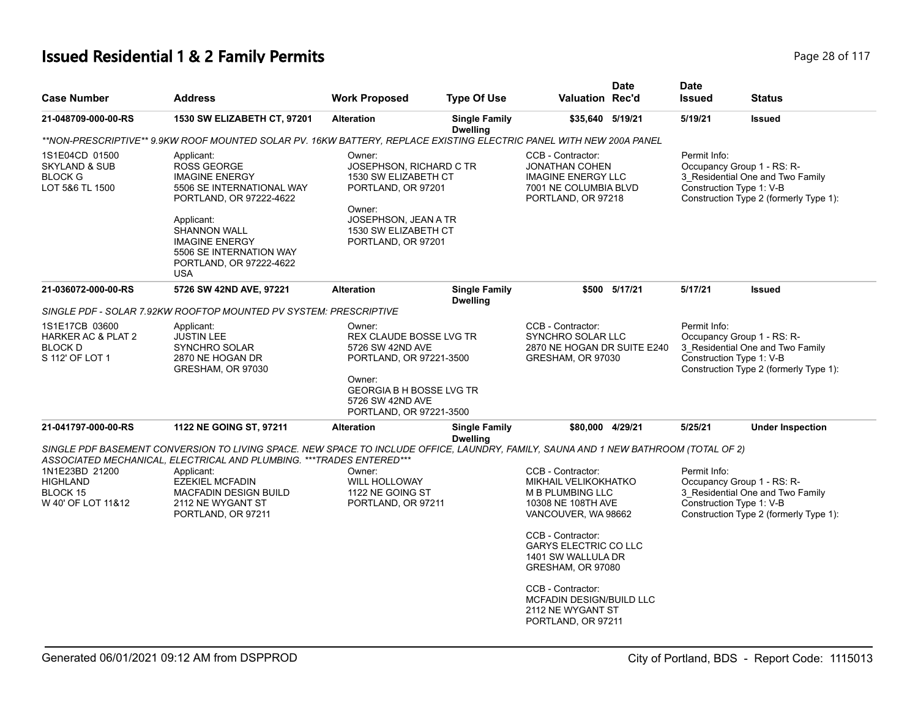# **Issued Residential 1 & 2 Family Permits Page 28 of 117 Page 28 of 117**

| <b>Case Number</b>                                                              | <b>Address</b>                                                                                                                                                                                                                                                                                                                  | <b>Work Proposed</b>                                                                                                                                                         | <b>Type Of Use</b>                      | <b>Valuation Rec'd</b>                                                                                                                                                                                                                                                                         | <b>Date</b>   | <b>Date</b><br><b>Issued</b>             | <b>Status</b>                                                                                            |
|---------------------------------------------------------------------------------|---------------------------------------------------------------------------------------------------------------------------------------------------------------------------------------------------------------------------------------------------------------------------------------------------------------------------------|------------------------------------------------------------------------------------------------------------------------------------------------------------------------------|-----------------------------------------|------------------------------------------------------------------------------------------------------------------------------------------------------------------------------------------------------------------------------------------------------------------------------------------------|---------------|------------------------------------------|----------------------------------------------------------------------------------------------------------|
| 21-048709-000-00-RS                                                             | 1530 SW ELIZABETH CT, 97201                                                                                                                                                                                                                                                                                                     | <b>Alteration</b>                                                                                                                                                            | <b>Single Family</b><br><b>Dwelling</b> | \$35,640 5/19/21                                                                                                                                                                                                                                                                               |               | 5/19/21                                  | <b>Issued</b>                                                                                            |
|                                                                                 | **NON-PRESCRIPTIVE** 9.9KW ROOF MOUNTED SOLAR PV. 16KW BATTERY, REPLACE EXISTING ELECTRIC PANEL WITH NEW 200A PANEL                                                                                                                                                                                                             |                                                                                                                                                                              |                                         |                                                                                                                                                                                                                                                                                                |               |                                          |                                                                                                          |
| 1S1E04CD 01500<br><b>SKYLAND &amp; SUB</b><br><b>BLOCK G</b><br>LOT 5&6 TL 1500 | Applicant:<br><b>ROSS GEORGE</b><br><b>IMAGINE ENERGY</b><br>5506 SE INTERNATIONAL WAY<br>PORTLAND, OR 97222-4622<br>Applicant:<br><b>SHANNON WALL</b><br><b>IMAGINE ENERGY</b><br>5506 SE INTERNATION WAY<br>PORTLAND, OR 97222-4622<br><b>USA</b>                                                                             | Owner:<br>JOSEPHSON, RICHARD C TR<br>1530 SW ELIZABETH CT<br>PORTLAND, OR 97201<br>Owner:<br>JOSEPHSON, JEAN A TR<br>1530 SW ELIZABETH CT<br>PORTLAND, OR 97201              |                                         | CCB - Contractor:<br><b>JONATHAN COHEN</b><br><b>IMAGINE ENERGY LLC</b><br>7001 NE COLUMBIA BLVD<br>PORTLAND, OR 97218                                                                                                                                                                         |               | Permit Info:<br>Construction Type 1: V-B | Occupancy Group 1 - RS: R-<br>3_Residential One and Two Family<br>Construction Type 2 (formerly Type 1): |
| 21-036072-000-00-RS                                                             | 5726 SW 42ND AVE, 97221                                                                                                                                                                                                                                                                                                         | <b>Alteration</b>                                                                                                                                                            | <b>Single Family</b><br><b>Dwelling</b> |                                                                                                                                                                                                                                                                                                | \$500 5/17/21 | 5/17/21                                  | <b>Issued</b>                                                                                            |
|                                                                                 | SINGLE PDF - SOLAR 7.92KW ROOFTOP MOUNTED PV SYSTEM: PRESCRIPTIVE                                                                                                                                                                                                                                                               |                                                                                                                                                                              |                                         |                                                                                                                                                                                                                                                                                                |               |                                          |                                                                                                          |
| 1S1E17CB 03600<br>HARKER AC & PLAT 2<br><b>BLOCK D</b><br>S 112' OF LOT 1       | Applicant:<br><b>JUSTIN LEE</b><br><b>SYNCHRO SOLAR</b><br>2870 NE HOGAN DR<br>GRESHAM, OR 97030                                                                                                                                                                                                                                | Owner:<br>REX CLAUDE BOSSE LVG TR<br>5726 SW 42ND AVE<br>PORTLAND, OR 97221-3500<br>Owner:<br><b>GEORGIA B H BOSSE LVG TR</b><br>5726 SW 42ND AVE<br>PORTLAND, OR 97221-3500 |                                         | CCB - Contractor:<br><b>SYNCHRO SOLAR LLC</b><br>2870 NE HOGAN DR SUITE E240<br>GRESHAM, OR 97030                                                                                                                                                                                              |               | Permit Info:<br>Construction Type 1: V-B | Occupancy Group 1 - RS: R-<br>3_Residential One and Two Family<br>Construction Type 2 (formerly Type 1): |
| 21-041797-000-00-RS                                                             | 1122 NE GOING ST, 97211                                                                                                                                                                                                                                                                                                         | <b>Alteration</b>                                                                                                                                                            | <b>Single Family</b><br><b>Dwelling</b> | \$80,000 4/29/21                                                                                                                                                                                                                                                                               |               | 5/25/21                                  | <b>Under Inspection</b>                                                                                  |
| 1N1E23BD 21200<br><b>HIGHLAND</b><br>BLOCK 15<br>W 40' OF LOT 11&12             | SINGLE PDF BASEMENT CONVERSION TO LIVING SPACE. NEW SPACE TO INCLUDE OFFICE, LAUNDRY, FAMILY, SAUNA AND 1 NEW BATHROOM (TOTAL OF 2)<br>ASSOCIATED MECHANICAL, ELECTRICAL AND PLUMBING. *** TRADES ENTERED***<br>Applicant:<br><b>EZEKIEL MCFADIN</b><br><b>MACFADIN DESIGN BUILD</b><br>2112 NE WYGANT ST<br>PORTLAND, OR 97211 | Owner:<br><b>WILL HOLLOWAY</b><br>1122 NE GOING ST<br>PORTLAND, OR 97211                                                                                                     |                                         | CCB - Contractor:<br>MIKHAIL VELIKOKHATKO<br><b>M B PLUMBING LLC</b><br>10308 NE 108TH AVE<br>VANCOUVER, WA 98662<br>CCB - Contractor:<br><b>GARYS ELECTRIC CO LLC</b><br>1401 SW WALLULA DR<br>GRESHAM, OR 97080<br>CCB - Contractor:<br><b>MCFADIN DESIGN/BUILD LLC</b><br>2112 NE WYGANT ST |               | Permit Info:<br>Construction Type 1: V-B | Occupancy Group 1 - RS: R-<br>3 Residential One and Two Family<br>Construction Type 2 (formerly Type 1): |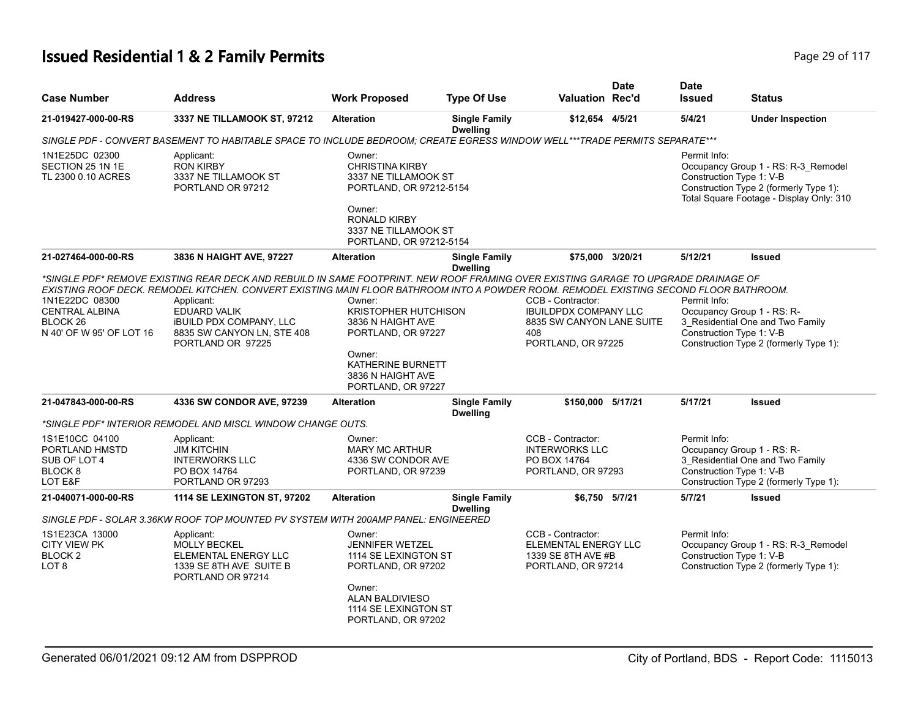# **Issued Residential 1 & 2 Family Permits Page 117 Page 29 of 117**

| <b>Case Number</b>                                                                         | <b>Address</b>                                                                                                                                                                                                                                                                                                                                                                                 | <b>Work Proposed</b>                                                                                                                                                    | <b>Type Of Use</b>                      | <b>Valuation Rec'd</b>                                                                                      | <b>Date</b> | <b>Date</b><br><b>Issued</b>             | <b>Status</b>                                                                                                             |
|--------------------------------------------------------------------------------------------|------------------------------------------------------------------------------------------------------------------------------------------------------------------------------------------------------------------------------------------------------------------------------------------------------------------------------------------------------------------------------------------------|-------------------------------------------------------------------------------------------------------------------------------------------------------------------------|-----------------------------------------|-------------------------------------------------------------------------------------------------------------|-------------|------------------------------------------|---------------------------------------------------------------------------------------------------------------------------|
| 21-019427-000-00-RS                                                                        | 3337 NE TILLAMOOK ST, 97212                                                                                                                                                                                                                                                                                                                                                                    | <b>Alteration</b>                                                                                                                                                       | <b>Single Family</b><br><b>Dwelling</b> | \$12,654 4/5/21                                                                                             |             | 5/4/21                                   | <b>Under Inspection</b>                                                                                                   |
|                                                                                            | SINGLE PDF - CONVERT BASEMENT TO HABITABLE SPACE TO INCLUDE BEDROOM; CREATE EGRESS WINDOW WELL***TRADE PERMITS SEPARATE***                                                                                                                                                                                                                                                                     |                                                                                                                                                                         |                                         |                                                                                                             |             |                                          |                                                                                                                           |
| 1N1E25DC 02300<br>SECTION 25 1N 1E<br>TL 2300 0.10 ACRES                                   | Applicant:<br><b>RON KIRBY</b><br>3337 NE TILLAMOOK ST<br>PORTLAND OR 97212                                                                                                                                                                                                                                                                                                                    | Owner:<br><b>CHRISTINA KIRBY</b><br>3337 NE TILLAMOOK ST<br>PORTLAND, OR 97212-5154<br>Owner:<br><b>RONALD KIRBY</b><br>3337 NE TILLAMOOK ST<br>PORTLAND, OR 97212-5154 |                                         |                                                                                                             |             | Permit Info:<br>Construction Type 1: V-B | Occupancy Group 1 - RS: R-3_Remodel<br>Construction Type 2 (formerly Type 1):<br>Total Square Footage - Display Only: 310 |
| 21-027464-000-00-RS                                                                        | 3836 N HAIGHT AVE, 97227                                                                                                                                                                                                                                                                                                                                                                       | <b>Alteration</b>                                                                                                                                                       | <b>Single Family</b><br><b>Dwelling</b> | \$75,000 3/20/21                                                                                            |             | 5/12/21                                  | <b>Issued</b>                                                                                                             |
| 1N1E22DC 08300<br><b>CENTRAL ALBINA</b><br>BLOCK <sub>26</sub><br>N 40' OF W 95' OF LOT 16 | *SINGLE PDF* REMOVE EXISTING REAR DECK AND REBUILD IN SAME FOOTPRINT. NEW ROOF FRAMING OVER EXISTING GARAGE TO UPGRADE DRAINAGE OF<br>EXISTING ROOF DECK. REMODEL KITCHEN. CONVERT EXISTING MAIN FLOOR BATHROOM INTO A POWDER ROOM. REMODEL EXISTING SECOND FLOOR BATHROOM.<br>Applicant:<br>EDUARD VALIK<br><b>IBUILD PDX COMPANY, LLC</b><br>8835 SW CANYON LN, STE 408<br>PORTLAND OR 97225 | Owner:<br><b>KRISTOPHER HUTCHISON</b><br>3836 N HAIGHT AVE<br>PORTLAND, OR 97227<br>Owner:<br>KATHERINE BURNETT<br>3836 N HAIGHT AVE<br>PORTLAND, OR 97227              |                                         | CCB - Contractor:<br><b>IBUILDPDX COMPANY LLC</b><br>8835 SW CANYON LANE SUITE<br>408<br>PORTLAND, OR 97225 |             | Permit Info:<br>Construction Type 1: V-B | Occupancy Group 1 - RS: R-<br>3_Residential One and Two Family<br>Construction Type 2 (formerly Type 1):                  |
| 21-047843-000-00-RS                                                                        | 4336 SW CONDOR AVE, 97239                                                                                                                                                                                                                                                                                                                                                                      | <b>Alteration</b>                                                                                                                                                       | <b>Single Family</b><br><b>Dwelling</b> | \$150,000 5/17/21                                                                                           |             | 5/17/21                                  | Issued                                                                                                                    |
|                                                                                            | *SINGLE PDF* INTERIOR REMODEL AND MISCL WINDOW CHANGE OUTS.                                                                                                                                                                                                                                                                                                                                    |                                                                                                                                                                         |                                         |                                                                                                             |             |                                          |                                                                                                                           |
| 1S1E10CC 04100<br>PORTLAND HMSTD<br>SUB OF LOT 4<br>BLOCK <sub>8</sub><br>LOT E&F          | Applicant:<br><b>JIM KITCHIN</b><br><b>INTERWORKS LLC</b><br>PO BOX 14764<br>PORTLAND OR 97293                                                                                                                                                                                                                                                                                                 | Owner:<br><b>MARY MC ARTHUR</b><br>4336 SW CONDOR AVE<br>PORTLAND, OR 97239                                                                                             |                                         | CCB - Contractor:<br><b>INTERWORKS LLC</b><br>PO BOX 14764<br>PORTLAND, OR 97293                            |             | Permit Info:<br>Construction Type 1: V-B | Occupancy Group 1 - RS: R-<br>3_Residential One and Two Family<br>Construction Type 2 (formerly Type 1):                  |
| 21-040071-000-00-RS                                                                        | 1114 SE LEXINGTON ST, 97202                                                                                                                                                                                                                                                                                                                                                                    | <b>Alteration</b>                                                                                                                                                       | <b>Single Family</b>                    | \$6,750 5/7/21                                                                                              |             | 5/7/21                                   | <b>Issued</b>                                                                                                             |
|                                                                                            | SINGLE PDF - SOLAR 3.36KW ROOF TOP MOUNTED PV SYSTEM WITH 200AMP PANEL: ENGINEERED                                                                                                                                                                                                                                                                                                             |                                                                                                                                                                         | <b>Dwelling</b>                         |                                                                                                             |             |                                          |                                                                                                                           |
| 1S1E23CA 13000<br><b>CITY VIEW PK</b><br>BLOCK <sub>2</sub><br>LOT 8                       | Applicant:<br><b>MOLLY BECKEL</b><br>ELEMENTAL ENERGY LLC<br>1339 SE 8TH AVE SUITE B<br>PORTLAND OR 97214                                                                                                                                                                                                                                                                                      | Owner:<br><b>JENNIFER WETZEL</b><br>1114 SE LEXINGTON ST<br>PORTLAND, OR 97202<br>Owner:<br>ALAN BALDIVIESO<br>1114 SE LEXINGTON ST<br>PORTLAND, OR 97202               |                                         | CCB - Contractor:<br>ELEMENTAL ENERGY LLC<br>1339 SE 8TH AVE #B<br>PORTLAND, OR 97214                       |             | Permit Info:<br>Construction Type 1: V-B | Occupancy Group 1 - RS: R-3_Remodel<br>Construction Type 2 (formerly Type 1):                                             |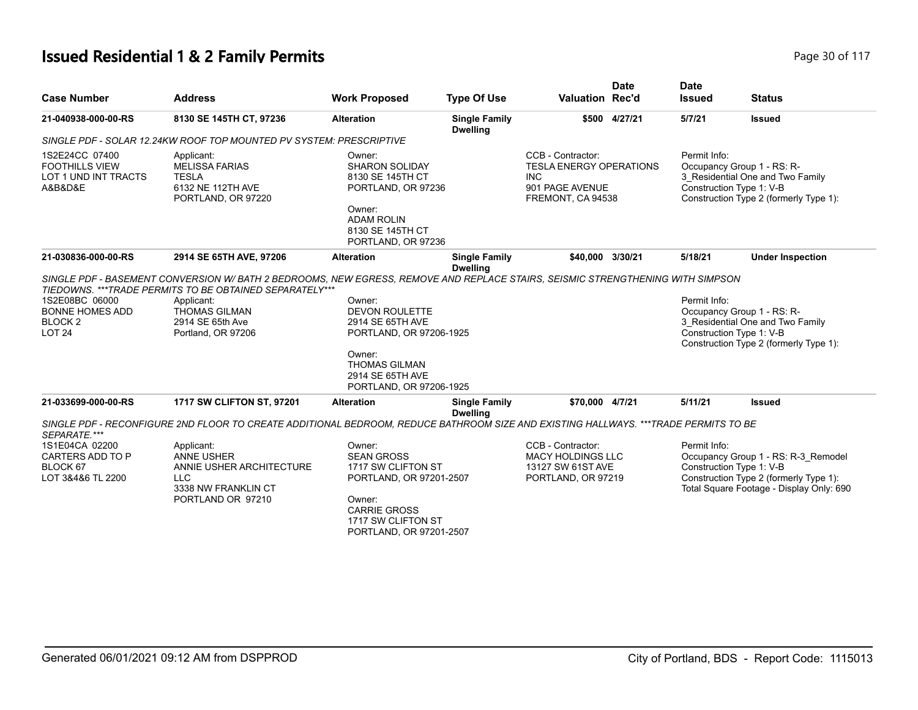# **Issued Residential 1 & 2 Family Permits Page 10 01 17** Page 30 of 117

| <b>Case Number</b>                                                                                     | <b>Address</b>                                                                                                                      | <b>Work Proposed</b>                                                                                                                                                                 | <b>Type Of Use</b>                      | <b>Valuation Rec'd</b>                                                                                    | <b>Date</b>   | <b>Date</b><br><b>Issued</b> | <b>Status</b>                                                                                                                                         |
|--------------------------------------------------------------------------------------------------------|-------------------------------------------------------------------------------------------------------------------------------------|--------------------------------------------------------------------------------------------------------------------------------------------------------------------------------------|-----------------------------------------|-----------------------------------------------------------------------------------------------------------|---------------|------------------------------|-------------------------------------------------------------------------------------------------------------------------------------------------------|
| 21-040938-000-00-RS                                                                                    | 8130 SE 145TH CT, 97236                                                                                                             | <b>Alteration</b>                                                                                                                                                                    | <b>Single Family</b><br><b>Dwelling</b> |                                                                                                           | \$500 4/27/21 | 5/7/21                       | <b>Issued</b>                                                                                                                                         |
|                                                                                                        | SINGLE PDF - SOLAR 12.24KW ROOF TOP MOUNTED PV SYSTEM: PRESCRIPTIVE                                                                 |                                                                                                                                                                                      |                                         |                                                                                                           |               |                              |                                                                                                                                                       |
| 1S2E24CC 07400<br><b>FOOTHILLS VIEW</b><br>LOT 1 UND INT TRACTS<br>A&B&D&E                             | Applicant:<br><b>MELISSA FARIAS</b><br><b>TESLA</b><br>6132 NE 112TH AVE<br>PORTLAND, OR 97220                                      | Owner:<br><b>SHARON SOLIDAY</b><br>8130 SE 145TH CT<br>PORTLAND, OR 97236<br>Owner:<br><b>ADAM ROLIN</b><br>8130 SE 145TH CT<br>PORTLAND, OR 97236                                   |                                         | CCB - Contractor:<br><b>TESLA ENERGY OPERATIONS</b><br><b>INC</b><br>901 PAGE AVENUE<br>FREMONT, CA 94538 |               | Permit Info:                 | Occupancy Group 1 - RS: R-<br>3_Residential One and Two Family<br>Construction Type 1: V-B<br>Construction Type 2 (formerly Type 1):                  |
| 21-030836-000-00-RS                                                                                    | 2914 SE 65TH AVE, 97206                                                                                                             | <b>Alteration</b>                                                                                                                                                                    | <b>Single Family</b><br><b>Dwelling</b> | \$40,000 3/30/21                                                                                          |               | 5/18/21                      | <b>Under Inspection</b>                                                                                                                               |
| 1S2E08BC 06000<br><b>BONNE HOMES ADD</b><br>BLOCK <sub>2</sub><br><b>LOT 24</b><br>21-033699-000-00-RS | Applicant:<br><b>THOMAS GILMAN</b><br>2914 SE 65th Ave<br>Portland, OR 97206                                                        | Owner:<br><b>DEVON ROULETTE</b><br>2914 SE 65TH AVE<br>PORTLAND, OR 97206-1925<br>Owner:<br><b>THOMAS GILMAN</b><br>2914 SE 65TH AVE<br>PORTLAND, OR 97206-1925<br><b>Alteration</b> |                                         | \$70.000 4/7/21                                                                                           |               | Permit Info:<br>5/11/21      | Occupancy Group 1 - RS: R-<br>3_Residential One and Two Family<br>Construction Type 1: V-B<br>Construction Type 2 (formerly Type 1):                  |
|                                                                                                        | 1717 SW CLIFTON ST, 97201                                                                                                           |                                                                                                                                                                                      | <b>Single Family</b><br><b>Dwelling</b> |                                                                                                           |               |                              | <b>Issued</b>                                                                                                                                         |
| SEPARATE.***                                                                                           | SINGLE PDF - RECONFIGURE 2ND FLOOR TO CREATE ADDITIONAL BEDROOM, REDUCE BATHROOM SIZE AND EXISTING HALLWAYS. ***TRADE PERMITS TO BE |                                                                                                                                                                                      |                                         |                                                                                                           |               |                              |                                                                                                                                                       |
| 1S1E04CA 02200<br>CARTERS ADD TO P<br>BLOCK 67<br>LOT 3&4&6 TL 2200                                    | Applicant:<br><b>ANNE USHER</b><br>ANNIE USHER ARCHITECTURE<br><b>LLC</b><br>3338 NW FRANKLIN CT<br>PORTLAND OR 97210               | Owner:<br><b>SEAN GROSS</b><br>1717 SW CLIFTON ST<br>PORTLAND, OR 97201-2507<br>Owner:<br><b>CARRIE GROSS</b><br>1717 SW CLIFTON ST<br>PORTLAND, OR 97201-2507                       |                                         | CCB - Contractor:<br><b>MACY HOLDINGS LLC</b><br>13127 SW 61ST AVE<br>PORTLAND, OR 97219                  |               | Permit Info:                 | Occupancy Group 1 - RS: R-3_Remodel<br>Construction Type 1: V-B<br>Construction Type 2 (formerly Type 1):<br>Total Square Footage - Display Only: 690 |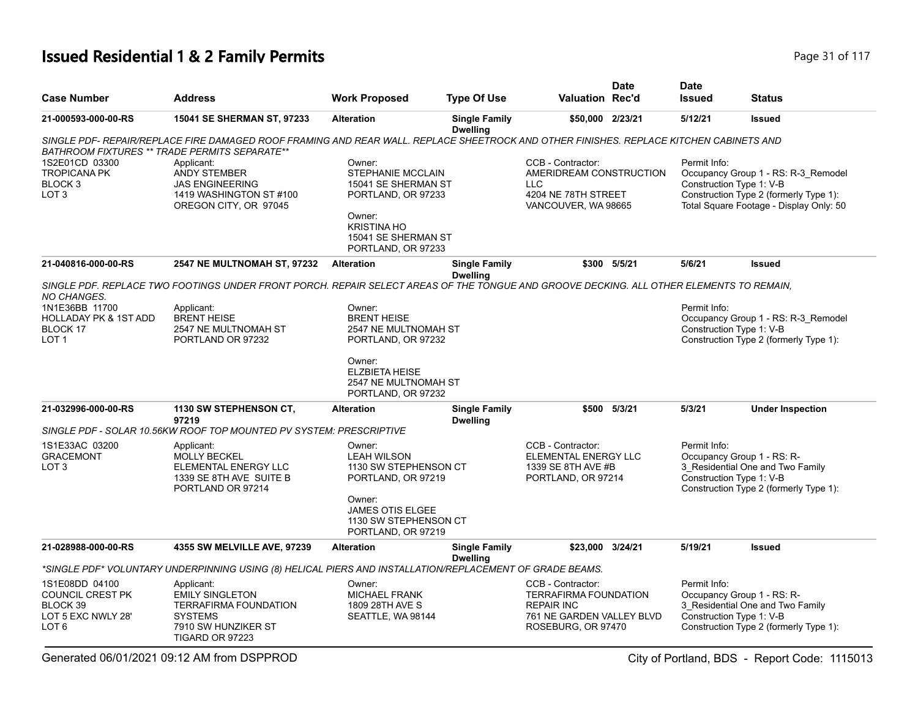# **Issued Residential 1 & 2 Family Permits Page 117 Page 31 of 117**

| <b>Case Number</b>                                                                              | <b>Address</b>                                                                                                                                                                                 | <b>Work Proposed</b>                                                                                                                                  | <b>Type Of Use</b>                      | <b>Valuation Rec'd</b>                                                                                                    | Date         | <b>Date</b><br><b>Issued</b>             | <b>Status</b>                                                                                                            |
|-------------------------------------------------------------------------------------------------|------------------------------------------------------------------------------------------------------------------------------------------------------------------------------------------------|-------------------------------------------------------------------------------------------------------------------------------------------------------|-----------------------------------------|---------------------------------------------------------------------------------------------------------------------------|--------------|------------------------------------------|--------------------------------------------------------------------------------------------------------------------------|
| 21-000593-000-00-RS                                                                             | 15041 SE SHERMAN ST, 97233                                                                                                                                                                     | <b>Alteration</b>                                                                                                                                     | <b>Single Family</b><br><b>Dwelling</b> | \$50,000 2/23/21                                                                                                          |              | 5/12/21                                  | <b>Issued</b>                                                                                                            |
|                                                                                                 | SINGLE PDF- REPAIR/REPLACE FIRE DAMAGED ROOF FRAMING AND REAR WALL. REPLACE SHEETROCK AND OTHER FINISHES. REPLACE KITCHEN CABINETS AND<br><b>BATHROOM FIXTURES ** TRADE PERMITS SEPARATE**</b> |                                                                                                                                                       |                                         |                                                                                                                           |              |                                          |                                                                                                                          |
| 1S2E01CD 03300<br><b>TROPICANA PK</b><br>BLOCK <sub>3</sub><br>LOT <sub>3</sub>                 | Applicant:<br><b>ANDY STEMBER</b><br><b>JAS ENGINEERING</b><br>1419 WASHINGTON ST #100<br>OREGON CITY, OR 97045                                                                                | Owner:<br>STEPHANIE MCCLAIN<br>15041 SE SHERMAN ST<br>PORTLAND, OR 97233<br>Owner:<br><b>KRISTINA HO</b><br>15041 SE SHERMAN ST<br>PORTLAND, OR 97233 |                                         | CCB - Contractor:<br>AMERIDREAM CONSTRUCTION<br><b>LLC</b><br>4204 NE 78TH STREET<br>VANCOUVER, WA 98665                  |              | Permit Info:<br>Construction Type 1: V-B | Occupancy Group 1 - RS: R-3_Remodel<br>Construction Type 2 (formerly Type 1):<br>Total Square Footage - Display Only: 50 |
| 21-040816-000-00-RS                                                                             | 2547 NE MULTNOMAH ST, 97232                                                                                                                                                                    | <b>Alteration</b>                                                                                                                                     | <b>Single Family</b><br><b>Dwelling</b> |                                                                                                                           | \$300 5/5/21 | 5/6/21                                   | <b>Issued</b>                                                                                                            |
| NO CHANGES.<br>1N1E36BB 11700                                                                   | SINGLE PDF. REPLACE TWO FOOTINGS UNDER FRONT PORCH. REPAIR SELECT AREAS OF THE TONGUE AND GROOVE DECKING. ALL OTHER ELEMENTS TO REMAIN,<br>Applicant:                                          | Owner:                                                                                                                                                |                                         |                                                                                                                           |              | Permit Info:                             |                                                                                                                          |
| <b>HOLLADAY PK &amp; 1ST ADD</b><br>BLOCK 17<br>LOT 1                                           | <b>BRENT HEISE</b><br>2547 NE MULTNOMAH ST<br>PORTLAND OR 97232                                                                                                                                | <b>BRENT HEISE</b><br>2547 NE MULTNOMAH ST<br>PORTLAND, OR 97232                                                                                      |                                         |                                                                                                                           |              | Construction Type 1: V-B                 | Occupancy Group 1 - RS: R-3 Remodel<br>Construction Type 2 (formerly Type 1):                                            |
|                                                                                                 |                                                                                                                                                                                                | Owner:<br><b>ELZBIETA HEISE</b><br>2547 NE MULTNOMAH ST<br>PORTLAND, OR 97232                                                                         |                                         |                                                                                                                           |              |                                          |                                                                                                                          |
| 21-032996-000-00-RS                                                                             | 1130 SW STEPHENSON CT,<br>97219                                                                                                                                                                | <b>Alteration</b>                                                                                                                                     | <b>Single Family</b><br><b>Dwelling</b> | \$500                                                                                                                     | 5/3/21       | 5/3/21                                   | <b>Under Inspection</b>                                                                                                  |
|                                                                                                 | SINGLE PDF - SOLAR 10.56KW ROOF TOP MOUNTED PV SYSTEM: PRESCRIPTIVE                                                                                                                            |                                                                                                                                                       |                                         |                                                                                                                           |              |                                          |                                                                                                                          |
| 1S1E33AC 03200<br><b>GRACEMONT</b><br>LOT <sub>3</sub>                                          | Applicant:<br><b>MOLLY BECKEL</b><br>ELEMENTAL ENERGY LLC<br>1339 SE 8TH AVE SUITE B<br>PORTLAND OR 97214                                                                                      | Owner:<br><b>LEAH WILSON</b><br>1130 SW STEPHENSON CT<br>PORTLAND, OR 97219<br>Owner:                                                                 |                                         | CCB - Contractor:<br>ELEMENTAL ENERGY LLC<br>1339 SE 8TH AVE #B<br>PORTLAND, OR 97214                                     |              | Permit Info:<br>Construction Type 1: V-B | Occupancy Group 1 - RS: R-<br>3_Residential One and Two Family<br>Construction Type 2 (formerly Type 1):                 |
|                                                                                                 |                                                                                                                                                                                                | <b>JAMES OTIS ELGEE</b><br>1130 SW STEPHENSON CT<br>PORTLAND, OR 97219                                                                                |                                         |                                                                                                                           |              |                                          |                                                                                                                          |
| 21-028988-000-00-RS                                                                             | 4355 SW MELVILLE AVE, 97239                                                                                                                                                                    | <b>Alteration</b>                                                                                                                                     | <b>Single Family</b><br><b>Dwelling</b> | \$23,000                                                                                                                  | 3/24/21      | 5/19/21                                  | <b>Issued</b>                                                                                                            |
|                                                                                                 | *SINGLE PDF* VOLUNTARY UNDERPINNING USING (8) HELICAL PIERS AND INSTALLATION/REPLACEMENT OF GRADE BEAMS.                                                                                       |                                                                                                                                                       |                                         |                                                                                                                           |              |                                          |                                                                                                                          |
| 1S1E08DD 04100<br><b>COUNCIL CREST PK</b><br>BLOCK 39<br>LOT 5 EXC NWLY 28'<br>LOT <sub>6</sub> | Applicant:<br><b>EMILY SINGLETON</b><br><b>TERRAFIRMA FOUNDATION</b><br><b>SYSTEMS</b><br>7910 SW HUNZIKER ST<br>TIGARD OR 97223                                                               | Owner:<br><b>MICHAEL FRANK</b><br>1809 28TH AVE S<br>SEATTLE, WA 98144                                                                                |                                         | CCB - Contractor:<br><b>TERRAFIRMA FOUNDATION</b><br><b>REPAIR INC</b><br>761 NE GARDEN VALLEY BLVD<br>ROSEBURG, OR 97470 |              | Permit Info:<br>Construction Type 1: V-B | Occupancy Group 1 - RS: R-<br>3 Residential One and Two Family<br>Construction Type 2 (formerly Type 1):                 |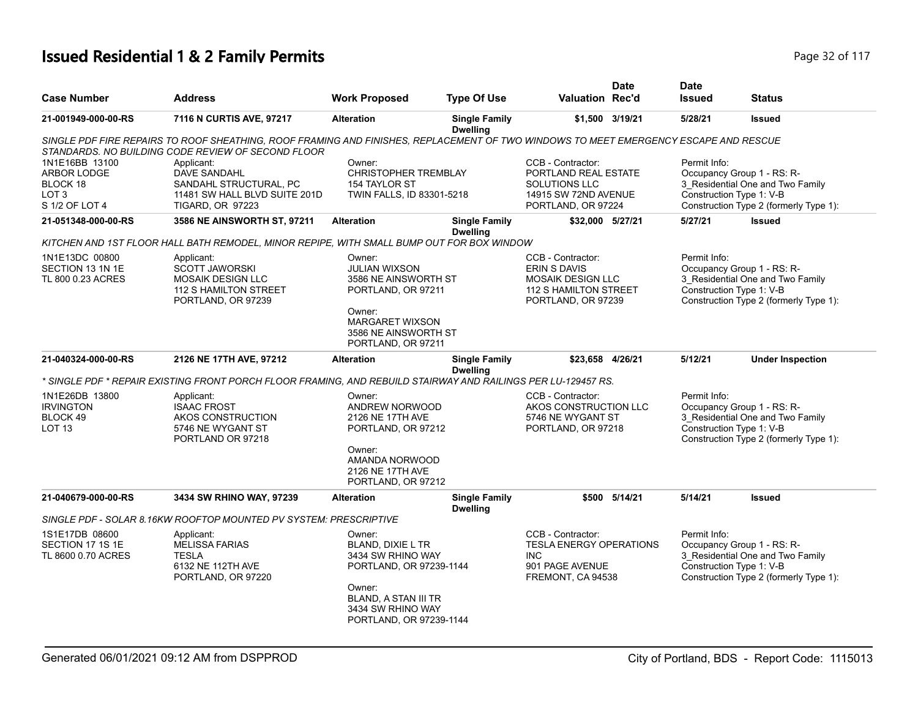# **Issued Residential 1 & 2 Family Permits Page 117 Page 12 of 117**

|                     |                                                                                                                                      |                             |                                         |                                | <b>Date</b>     | <b>Date</b>              |                                        |
|---------------------|--------------------------------------------------------------------------------------------------------------------------------------|-----------------------------|-----------------------------------------|--------------------------------|-----------------|--------------------------|----------------------------------------|
| <b>Case Number</b>  | <b>Address</b>                                                                                                                       | <b>Work Proposed</b>        | <b>Type Of Use</b>                      | Valuation Rec'd                |                 | <b>Issued</b>            | <b>Status</b>                          |
| 21-001949-000-00-RS | 7116 N CURTIS AVE, 97217                                                                                                             | <b>Alteration</b>           | <b>Single Family</b><br><b>Dwelling</b> |                                | \$1,500 3/19/21 | 5/28/21                  | <b>Issued</b>                          |
|                     | SINGLE PDF FIRE REPAIRS TO ROOF SHEATHING, ROOF FRAMING AND FINISHES, REPLACEMENT OF TWO WINDOWS TO MEET EMERGENCY ESCAPE AND RESCUE |                             |                                         |                                |                 |                          |                                        |
|                     | STANDARDS. NO BUILDING CODE REVIEW OF SECOND FLOOR                                                                                   |                             |                                         |                                |                 |                          |                                        |
| 1N1E16BB 13100      | Applicant:                                                                                                                           | Owner:                      |                                         | CCB - Contractor:              |                 | Permit Info:             |                                        |
| <b>ARBOR LODGE</b>  | DAVE SANDAHL                                                                                                                         | <b>CHRISTOPHER TREMBLAY</b> |                                         | PORTLAND REAL ESTATE           |                 |                          | Occupancy Group 1 - RS: R-             |
| BLOCK 18            | SANDAHL STRUCTURAL, PC                                                                                                               | 154 TAYLOR ST               |                                         | <b>SOLUTIONS LLC</b>           |                 |                          | 3 Residential One and Two Family       |
| LOT <sub>3</sub>    | 11481 SW HALL BLVD SUITE 201D                                                                                                        | TWIN FALLS, ID 83301-5218   |                                         | 14915 SW 72ND AVENUE           |                 |                          | Construction Type 1: V-B               |
| S 1/2 OF LOT 4      | <b>TIGARD, OR 97223</b>                                                                                                              |                             |                                         | PORTLAND, OR 97224             |                 |                          | Construction Type 2 (formerly Type 1): |
| 21-051348-000-00-RS | 3586 NE AINSWORTH ST, 97211                                                                                                          | <b>Alteration</b>           | <b>Single Family</b><br><b>Dwelling</b> | \$32,000 5/27/21               |                 | 5/27/21                  | <b>Issued</b>                          |
|                     | KITCHEN AND 1ST FLOOR HALL BATH REMODEL, MINOR REPIPE, WITH SMALL BUMP OUT FOR BOX WINDOW                                            |                             |                                         |                                |                 |                          |                                        |
| 1N1E13DC 00800      | Applicant:                                                                                                                           | Owner:                      |                                         | CCB - Contractor:              |                 | Permit Info:             |                                        |
| SECTION 13 1N 1E    | <b>SCOTT JAWORSKI</b>                                                                                                                | <b>JULIAN WIXSON</b>        |                                         | ERIN S DAVIS                   |                 |                          | Occupancy Group 1 - RS: R-             |
| TL 800 0.23 ACRES   | <b>MOSAIK DESIGN LLC</b>                                                                                                             | 3586 NE AINSWORTH ST        |                                         | <b>MOSAIK DESIGN LLC</b>       |                 |                          | 3_Residential One and Two Family       |
|                     | <b>112 S HAMILTON STREET</b>                                                                                                         | PORTLAND, OR 97211          |                                         | <b>112 S HAMILTON STREET</b>   |                 |                          | Construction Type 1: V-B               |
|                     | PORTLAND, OR 97239                                                                                                                   |                             |                                         | PORTLAND, OR 97239             |                 |                          | Construction Type 2 (formerly Type 1): |
|                     |                                                                                                                                      | Owner:                      |                                         |                                |                 |                          |                                        |
|                     |                                                                                                                                      | <b>MARGARET WIXSON</b>      |                                         |                                |                 |                          |                                        |
|                     |                                                                                                                                      | 3586 NE AINSWORTH ST        |                                         |                                |                 |                          |                                        |
|                     |                                                                                                                                      | PORTLAND, OR 97211          |                                         |                                |                 |                          |                                        |
| 21-040324-000-00-RS | 2126 NE 17TH AVE, 97212                                                                                                              | <b>Alteration</b>           | <b>Single Family</b><br><b>Dwelling</b> | \$23,658 4/26/21               |                 | 5/12/21                  | <b>Under Inspection</b>                |
|                     | * SINGLE PDF * REPAIR EXISTING FRONT PORCH FLOOR FRAMING, AND REBUILD STAIRWAY AND RAILINGS PER LU-129457 RS.                        |                             |                                         |                                |                 |                          |                                        |
| 1N1E26DB 13800      | Applicant:                                                                                                                           | Owner:                      |                                         | CCB - Contractor:              |                 | Permit Info:             |                                        |
| <b>IRVINGTON</b>    | <b>ISAAC FROST</b>                                                                                                                   | ANDREW NORWOOD              |                                         | AKOS CONSTRUCTION LLC          |                 |                          | Occupancy Group 1 - RS: R-             |
| BLOCK 49            | AKOS CONSTRUCTION                                                                                                                    | 2126 NE 17TH AVE            |                                         | 5746 NE WYGANT ST              |                 |                          | 3 Residential One and Two Family       |
| LOT <sub>13</sub>   | 5746 NE WYGANT ST<br>PORTLAND OR 97218                                                                                               | PORTLAND, OR 97212          |                                         | PORTLAND, OR 97218             |                 | Construction Type 1: V-B | Construction Type 2 (formerly Type 1): |
|                     |                                                                                                                                      | Owner:                      |                                         |                                |                 |                          |                                        |
|                     |                                                                                                                                      | AMANDA NORWOOD              |                                         |                                |                 |                          |                                        |
|                     |                                                                                                                                      | 2126 NE 17TH AVE            |                                         |                                |                 |                          |                                        |
|                     |                                                                                                                                      | PORTLAND, OR 97212          |                                         |                                |                 |                          |                                        |
| 21-040679-000-00-RS | 3434 SW RHINO WAY, 97239                                                                                                             | <b>Alteration</b>           | <b>Single Family</b><br><b>Dwelling</b> |                                | \$500 5/14/21   | 5/14/21                  | <b>Issued</b>                          |
|                     | SINGLE PDF - SOLAR 8.16KW ROOFTOP MOUNTED PV SYSTEM: PRESCRIPTIVE                                                                    |                             |                                         |                                |                 |                          |                                        |
| 1S1E17DB 08600      | Applicant:                                                                                                                           | Owner:                      |                                         | CCB - Contractor:              |                 | Permit Info:             |                                        |
| SECTION 17 1S 1E    | <b>MELISSA FARIAS</b>                                                                                                                | <b>BLAND, DIXIE L TR</b>    |                                         | <b>TESLA ENERGY OPERATIONS</b> |                 |                          | Occupancy Group 1 - RS: R-             |
| TL 8600 0.70 ACRES  | <b>TESLA</b>                                                                                                                         | 3434 SW RHINO WAY           |                                         | <b>INC</b>                     |                 |                          | 3_Residential One and Two Family       |
|                     | 6132 NE 112TH AVE                                                                                                                    | PORTLAND, OR 97239-1144     |                                         | 901 PAGE AVENUE                |                 |                          | Construction Type 1: V-B               |
|                     | PORTLAND, OR 97220                                                                                                                   |                             |                                         | FREMONT, CA 94538              |                 |                          | Construction Type 2 (formerly Type 1): |
|                     |                                                                                                                                      | Owner:                      |                                         |                                |                 |                          |                                        |
|                     |                                                                                                                                      | <b>BLAND, A STAN III TR</b> |                                         |                                |                 |                          |                                        |
|                     |                                                                                                                                      | 3434 SW RHINO WAY           |                                         |                                |                 |                          |                                        |
|                     |                                                                                                                                      | PORTLAND, OR 97239-1144     |                                         |                                |                 |                          |                                        |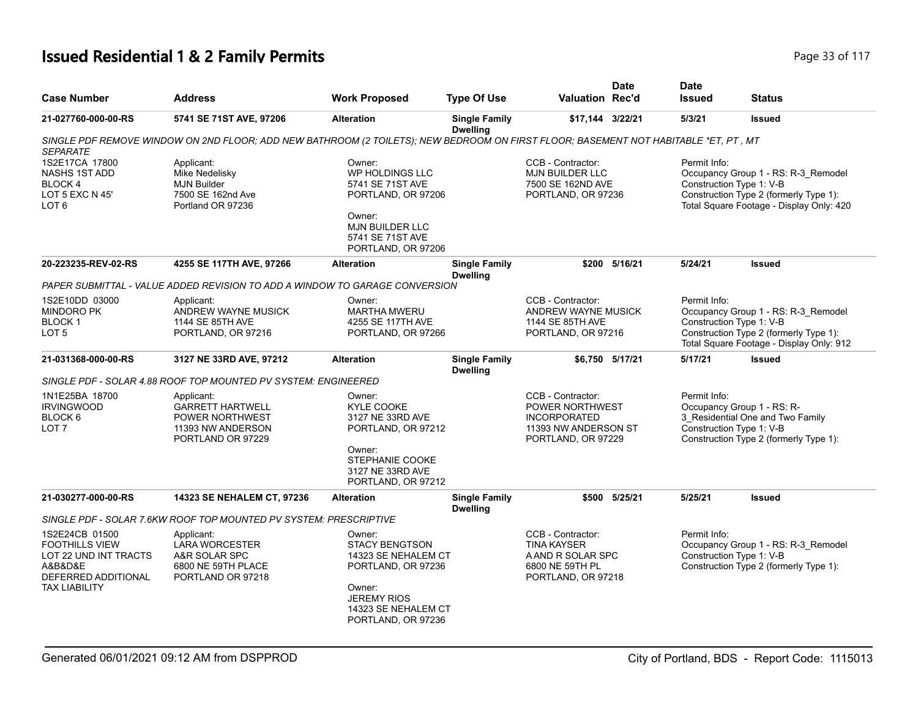# **Issued Residential 1 & 2 Family Permits Page 117 Page 117 Page 33 of 117**

| <b>Case Number</b>                                                                                                         | <b>Address</b>                                                                                                                      | <b>Work Proposed</b>                                                                                                                                      | <b>Type Of Use</b>                      | <b>Valuation Rec'd</b>                                                                                           | <b>Date</b>     | <b>Date</b><br><b>Issued</b>             | <b>Status</b>                                                                                                             |
|----------------------------------------------------------------------------------------------------------------------------|-------------------------------------------------------------------------------------------------------------------------------------|-----------------------------------------------------------------------------------------------------------------------------------------------------------|-----------------------------------------|------------------------------------------------------------------------------------------------------------------|-----------------|------------------------------------------|---------------------------------------------------------------------------------------------------------------------------|
| 21-027760-000-00-RS                                                                                                        | 5741 SE 71ST AVE, 97206                                                                                                             | <b>Alteration</b>                                                                                                                                         | <b>Single Family</b><br><b>Dwelling</b> | \$17,144 3/22/21                                                                                                 |                 | 5/3/21                                   | <b>Issued</b>                                                                                                             |
| <b>SEPARATE</b>                                                                                                            | SINGLE PDF REMOVE WINDOW ON 2ND FLOOR; ADD NEW BATHROOM (2 TOILETS); NEW BEDROOM ON FIRST FLOOR; BASEMENT NOT HABITABLE *ET, PT, MT |                                                                                                                                                           |                                         |                                                                                                                  |                 |                                          |                                                                                                                           |
| 1S2E17CA 17800<br>NASHS 1ST ADD<br>BLOCK 4<br>LOT 5 EXC N 45'<br>LOT 6                                                     | Applicant:<br>Mike Nedelisky<br><b>MJN Builder</b><br>7500 SE 162nd Ave<br>Portland OR 97236                                        | Owner:<br><b>WP HOLDINGS LLC</b><br>5741 SE 71ST AVE<br>PORTLAND, OR 97206<br>Owner:<br><b>MJN BUILDER LLC</b><br>5741 SE 71ST AVE<br>PORTLAND, OR 97206  |                                         | CCB - Contractor:<br>MJN BUILDER LLC<br>7500 SE 162ND AVE<br>PORTLAND, OR 97236                                  |                 | Permit Info:<br>Construction Type 1: V-B | Occupancy Group 1 - RS: R-3_Remodel<br>Construction Type 2 (formerly Type 1):<br>Total Square Footage - Display Only: 420 |
| 20-223235-REV-02-RS                                                                                                        | 4255 SE 117TH AVE, 97266                                                                                                            | <b>Alteration</b>                                                                                                                                         | <b>Single Family</b><br><b>Dwelling</b> |                                                                                                                  | \$200 5/16/21   | 5/24/21                                  | <b>Issued</b>                                                                                                             |
|                                                                                                                            | PAPER SUBMITTAL - VALUE ADDED REVISION TO ADD A WINDOW TO GARAGE CONVERSION                                                         |                                                                                                                                                           |                                         |                                                                                                                  |                 |                                          |                                                                                                                           |
| 1S2E10DD 03000<br><b>MINDORO PK</b><br>BLOCK 1<br>LOT 5                                                                    | Applicant:<br>ANDREW WAYNE MUSICK<br>1144 SE 85TH AVE<br>PORTLAND, OR 97216                                                         | Owner:<br><b>MARTHA MWERU</b><br>4255 SE 117TH AVE<br>PORTLAND, OR 97266                                                                                  |                                         | CCB - Contractor:<br>ANDREW WAYNE MUSICK<br>1144 SE 85TH AVE<br>PORTLAND, OR 97216                               |                 | Permit Info:<br>Construction Type 1: V-B | Occupancy Group 1 - RS: R-3_Remodel<br>Construction Type 2 (formerly Type 1):<br>Total Square Footage - Display Only: 912 |
| 21-031368-000-00-RS                                                                                                        | 3127 NE 33RD AVE, 97212                                                                                                             | <b>Alteration</b>                                                                                                                                         | <b>Single Family</b><br><b>Dwelling</b> |                                                                                                                  | \$6.750 5/17/21 | 5/17/21                                  | <b>Issued</b>                                                                                                             |
|                                                                                                                            | SINGLE PDF - SOLAR 4.88 ROOF TOP MOUNTED PV SYSTEM: ENGINEERED                                                                      |                                                                                                                                                           |                                         |                                                                                                                  |                 |                                          |                                                                                                                           |
| 1N1E25BA 18700<br><b>IRVINGWOOD</b><br>BLOCK 6<br>LOT <sub>7</sub>                                                         | Applicant:<br><b>GARRETT HARTWELL</b><br>POWER NORTHWEST<br>11393 NW ANDERSON<br>PORTLAND OR 97229                                  | Owner:<br><b>KYLE COOKE</b><br>3127 NE 33RD AVE<br>PORTLAND, OR 97212<br>Owner:<br>STEPHANIE COOKE<br>3127 NE 33RD AVE<br>PORTLAND, OR 97212              |                                         | CCB - Contractor:<br><b>POWER NORTHWEST</b><br><b>INCORPORATED</b><br>11393 NW ANDERSON ST<br>PORTLAND, OR 97229 |                 | Permit Info:<br>Construction Type 1: V-B | Occupancy Group 1 - RS: R-<br>3 Residential One and Two Family<br>Construction Type 2 (formerly Type 1):                  |
| 21-030277-000-00-RS                                                                                                        | 14323 SE NEHALEM CT, 97236                                                                                                          | <b>Alteration</b>                                                                                                                                         | <b>Single Family</b><br><b>Dwelling</b> |                                                                                                                  | \$500 5/25/21   | 5/25/21                                  | <b>Issued</b>                                                                                                             |
|                                                                                                                            | SINGLE PDF - SOLAR 7.6KW ROOF TOP MOUNTED PV SYSTEM: PRESCRIPTIVE                                                                   |                                                                                                                                                           |                                         |                                                                                                                  |                 |                                          |                                                                                                                           |
| 1S2E24CB 01500<br><b>FOOTHILLS VIEW</b><br>LOT 22 UND INT TRACTS<br>A&B&D&E<br>DEFERRED ADDITIONAL<br><b>TAX LIABILITY</b> | Applicant:<br><b>LARA WORCESTER</b><br>A&R SOLAR SPC<br>6800 NE 59TH PLACE<br>PORTLAND OR 97218                                     | Owner:<br><b>STACY BENGTSON</b><br>14323 SE NEHALEM CT<br>PORTLAND, OR 97236<br>Owner:<br><b>JEREMY RIOS</b><br>14323 SE NEHALEM CT<br>PORTLAND, OR 97236 |                                         | CCB - Contractor:<br><b>TINA KAYSER</b><br>A AND R SOLAR SPC<br>6800 NE 59TH PL<br>PORTLAND, OR 97218            |                 | Permit Info:<br>Construction Type 1: V-B | Occupancy Group 1 - RS: R-3_Remodel<br>Construction Type 2 (formerly Type 1):                                             |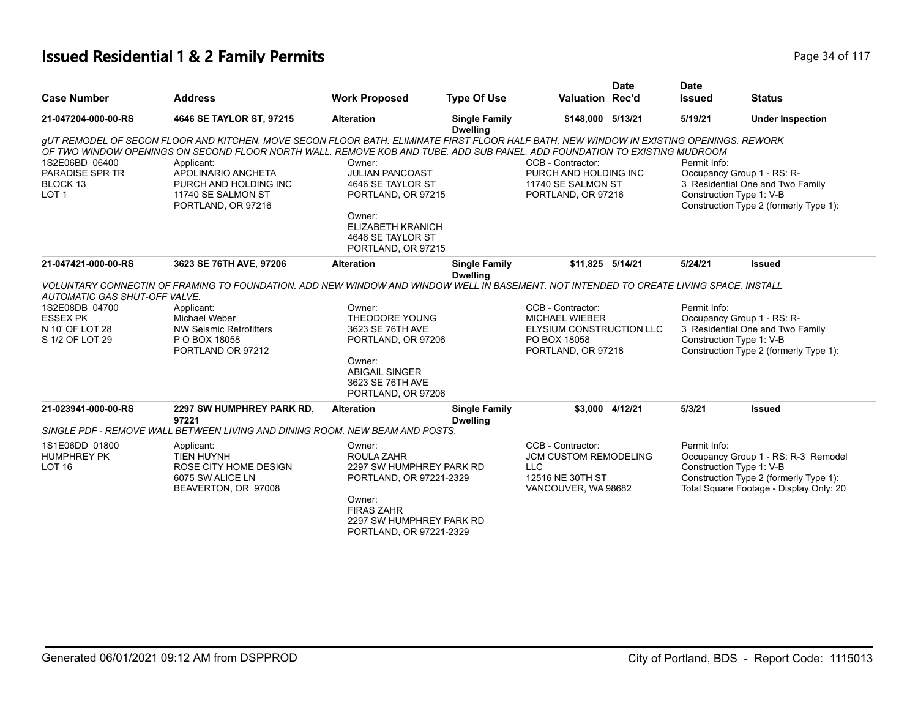# **Issued Residential 1 & 2 Family Permits Page 117 Page 34 of 117**

|                                                                   |                                                                                                                                                                                                                                                                                                                                                                               |                                                                                                                                                       |                                         |                                                                                        | <b>Date</b>     | <b>Date</b>   |                                                                                                                                      |
|-------------------------------------------------------------------|-------------------------------------------------------------------------------------------------------------------------------------------------------------------------------------------------------------------------------------------------------------------------------------------------------------------------------------------------------------------------------|-------------------------------------------------------------------------------------------------------------------------------------------------------|-----------------------------------------|----------------------------------------------------------------------------------------|-----------------|---------------|--------------------------------------------------------------------------------------------------------------------------------------|
| <b>Case Number</b>                                                | <b>Address</b>                                                                                                                                                                                                                                                                                                                                                                | <b>Work Proposed</b>                                                                                                                                  | <b>Type Of Use</b>                      | <b>Valuation Rec'd</b>                                                                 |                 | <b>Issued</b> | <b>Status</b>                                                                                                                        |
| 21-047204-000-00-RS                                               | 4646 SE TAYLOR ST, 97215                                                                                                                                                                                                                                                                                                                                                      | <b>Alteration</b>                                                                                                                                     | <b>Single Family</b><br><b>Dwelling</b> | \$148,000 5/13/21                                                                      |                 | 5/19/21       | <b>Under Inspection</b>                                                                                                              |
| 1S2E06BD 06400<br>PARADISE SPR TR<br>BLOCK 13<br>LOT <sub>1</sub> | GUT REMODEL OF SECON FLOOR AND KITCHEN. MOVE SECON FLOOR BATH. ELIMINATE FIRST FLOOR HALF BATH. NEW WINDOW IN EXISTING OPENINGS. REWORK<br>OF TWO WINDOW OPENINGS ON SECOND FLOOR NORTH WALL. REMOVE KOB AND TUBE. ADD SUB PANEL. ADD FOUNDATION TO EXISTING MUDROOM<br>Applicant:<br>APOLINARIO ANCHETA<br>PURCH AND HOLDING INC<br>11740 SE SALMON ST<br>PORTLAND, OR 97216 | Owner:<br><b>JULIAN PANCOAST</b><br>4646 SE TAYLOR ST<br>PORTLAND, OR 97215<br>Owner:<br>ELIZABETH KRANICH<br>4646 SE TAYLOR ST<br>PORTLAND, OR 97215 |                                         | CCB - Contractor:<br>PURCH AND HOLDING INC<br>11740 SE SALMON ST<br>PORTLAND, OR 97216 |                 | Permit Info:  | Occupancy Group 1 - RS: R-<br>3 Residential One and Two Family<br>Construction Type 1: V-B<br>Construction Type 2 (formerly Type 1): |
| 21-047421-000-00-RS                                               | 3623 SE 76TH AVE, 97206                                                                                                                                                                                                                                                                                                                                                       | <b>Alteration</b>                                                                                                                                     | <b>Single Family</b><br><b>Dwelling</b> | \$11,825 5/14/21                                                                       |                 | 5/24/21       | <b>Issued</b>                                                                                                                        |
|                                                                   | VOLUNTARY CONNECTIN OF FRAMING TO FOUNDATION. ADD NEW WINDOW AND WINDOW WELL IN BASEMENT. NOT INTENDED TO CREATE LIVING SPACE. INSTALL                                                                                                                                                                                                                                        |                                                                                                                                                       |                                         |                                                                                        |                 |               |                                                                                                                                      |
| <b>AUTOMATIC GAS SHUT-OFF VALVE.</b><br>1S2E08DB 04700            | Applicant:                                                                                                                                                                                                                                                                                                                                                                    | Owner:                                                                                                                                                |                                         | CCB - Contractor:                                                                      |                 | Permit Info:  |                                                                                                                                      |
| <b>ESSEX PK</b>                                                   | <b>Michael Weber</b>                                                                                                                                                                                                                                                                                                                                                          | THEODORE YOUNG                                                                                                                                        |                                         | <b>MICHAEL WIEBER</b>                                                                  |                 |               | Occupancy Group 1 - RS: R-                                                                                                           |
| N 10' OF LOT 28                                                   | <b>NW Seismic Retrofitters</b>                                                                                                                                                                                                                                                                                                                                                | 3623 SE 76TH AVE                                                                                                                                      |                                         | ELYSIUM CONSTRUCTION LLC                                                               |                 |               | 3 Residential One and Two Family                                                                                                     |
| S 1/2 OF LOT 29                                                   | P O BOX 18058                                                                                                                                                                                                                                                                                                                                                                 | PORTLAND, OR 97206                                                                                                                                    |                                         | PO BOX 18058                                                                           |                 |               | Construction Type 1: V-B                                                                                                             |
|                                                                   | PORTLAND OR 97212                                                                                                                                                                                                                                                                                                                                                             |                                                                                                                                                       |                                         | PORTLAND, OR 97218                                                                     |                 |               | Construction Type 2 (formerly Type 1):                                                                                               |
|                                                                   |                                                                                                                                                                                                                                                                                                                                                                               | Owner:<br><b>ABIGAIL SINGER</b><br>3623 SE 76TH AVE<br>PORTLAND, OR 97206                                                                             |                                         |                                                                                        |                 |               |                                                                                                                                      |
| 21-023941-000-00-RS                                               | 2297 SW HUMPHREY PARK RD,<br>97221                                                                                                                                                                                                                                                                                                                                            | <b>Alteration</b>                                                                                                                                     | <b>Single Family</b><br><b>Dwelling</b> |                                                                                        | \$3.000 4/12/21 | 5/3/21        | <b>Issued</b>                                                                                                                        |
|                                                                   | SINGLE PDF - REMOVE WALL BETWEEN LIVING AND DINING ROOM. NEW BEAM AND POSTS.                                                                                                                                                                                                                                                                                                  |                                                                                                                                                       |                                         |                                                                                        |                 |               |                                                                                                                                      |
| 1S1E06DD 01800                                                    | Applicant:                                                                                                                                                                                                                                                                                                                                                                    | Owner:                                                                                                                                                |                                         | CCB - Contractor:                                                                      |                 | Permit Info:  |                                                                                                                                      |
| <b>HUMPHREY PK</b>                                                | <b>TIEN HUYNH</b>                                                                                                                                                                                                                                                                                                                                                             | ROULA ZAHR                                                                                                                                            |                                         | <b>JCM CUSTOM REMODELING</b>                                                           |                 |               | Occupancy Group 1 - RS: R-3_Remodel                                                                                                  |
| LOT <sub>16</sub>                                                 | ROSE CITY HOME DESIGN<br>6075 SW ALICE LN<br>BEAVERTON, OR 97008                                                                                                                                                                                                                                                                                                              | 2297 SW HUMPHREY PARK RD<br>PORTLAND, OR 97221-2329                                                                                                   |                                         | <b>LLC</b><br>12516 NE 30TH ST<br>VANCOUVER, WA 98682                                  |                 |               | Construction Type 1: V-B<br>Construction Type 2 (formerly Type 1):<br>Total Square Footage - Display Only: 20                        |
|                                                                   |                                                                                                                                                                                                                                                                                                                                                                               | Owner:<br><b>FIRAS ZAHR</b><br>2297 SW HUMPHREY PARK RD<br>PORTLAND, OR 97221-2329                                                                    |                                         |                                                                                        |                 |               |                                                                                                                                      |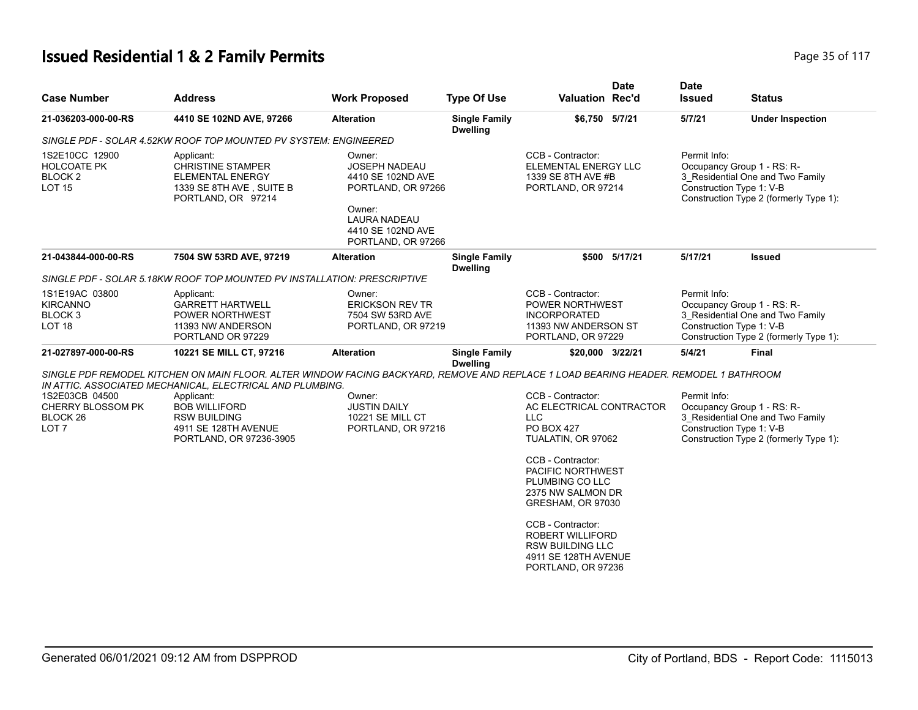# **Issued Residential 1 & 2 Family Permits Page 117 Page 35 of 117**

| <b>Case Number</b>                                                             | <b>Address</b>                                                                                                                                                                                                                                                                                                    | <b>Work Proposed</b>                                                                                                                                  | <b>Type Of Use</b>                      | <b>Valuation Rec'd</b>                                                                                                                                                                                                                                                                                                                 | <b>Date</b>   | <b>Date</b><br><b>Issued</b>                                           | <b>Status</b>                                                              |
|--------------------------------------------------------------------------------|-------------------------------------------------------------------------------------------------------------------------------------------------------------------------------------------------------------------------------------------------------------------------------------------------------------------|-------------------------------------------------------------------------------------------------------------------------------------------------------|-----------------------------------------|----------------------------------------------------------------------------------------------------------------------------------------------------------------------------------------------------------------------------------------------------------------------------------------------------------------------------------------|---------------|------------------------------------------------------------------------|----------------------------------------------------------------------------|
| 21-036203-000-00-RS                                                            | 4410 SE 102ND AVE, 97266                                                                                                                                                                                                                                                                                          | <b>Alteration</b>                                                                                                                                     | <b>Single Family</b>                    | \$6,750 5/7/21                                                                                                                                                                                                                                                                                                                         |               | 5/7/21                                                                 | <b>Under Inspection</b>                                                    |
|                                                                                | SINGLE PDF - SOLAR 4.52KW ROOF TOP MOUNTED PV SYSTEM: ENGINEERED                                                                                                                                                                                                                                                  |                                                                                                                                                       | <b>Dwelling</b>                         |                                                                                                                                                                                                                                                                                                                                        |               |                                                                        |                                                                            |
| 1S2E10CC 12900<br>HOLCOATE PK<br>BLOCK <sub>2</sub><br><b>LOT 15</b>           | Applicant:<br><b>CHRISTINE STAMPER</b><br><b>ELEMENTAL ENERGY</b><br>1339 SE 8TH AVE, SUITE B<br>PORTLAND, OR 97214                                                                                                                                                                                               | Owner:<br><b>JOSEPH NADEAU</b><br>4410 SE 102ND AVE<br>PORTLAND, OR 97266<br>Owner:<br><b>LAURA NADEAU</b><br>4410 SE 102ND AVE<br>PORTLAND, OR 97266 |                                         | CCB - Contractor:<br>ELEMENTAL ENERGY LLC<br>1339 SE 8TH AVE #B<br>PORTLAND, OR 97214                                                                                                                                                                                                                                                  |               | Permit Info:<br>Occupancy Group 1 - RS: R-<br>Construction Type 1: V-B | 3_Residential One and Two Family<br>Construction Type 2 (formerly Type 1): |
| 21-043844-000-00-RS                                                            | 7504 SW 53RD AVE, 97219                                                                                                                                                                                                                                                                                           | <b>Alteration</b>                                                                                                                                     | <b>Single Family</b><br><b>Dwelling</b> |                                                                                                                                                                                                                                                                                                                                        | \$500 5/17/21 | 5/17/21                                                                | Issued                                                                     |
|                                                                                | SINGLE PDF - SOLAR 5.18KW ROOF TOP MOUNTED PV INSTALLATION: PRESCRIPTIVE                                                                                                                                                                                                                                          |                                                                                                                                                       |                                         |                                                                                                                                                                                                                                                                                                                                        |               |                                                                        |                                                                            |
| 1S1E19AC 03800<br><b>KIRCANNO</b><br>BLOCK <sub>3</sub><br>LOT <sub>18</sub>   | Applicant:<br><b>GARRETT HARTWELL</b><br><b>POWER NORTHWEST</b><br>11393 NW ANDERSON<br>PORTLAND OR 97229                                                                                                                                                                                                         | Owner:<br><b>ERICKSON REV TR</b><br>7504 SW 53RD AVE<br>PORTLAND, OR 97219                                                                            |                                         | CCB - Contractor:<br>POWER NORTHWEST<br><b>INCORPORATED</b><br>11393 NW ANDERSON ST<br>PORTLAND, OR 97229                                                                                                                                                                                                                              |               | Permit Info:<br>Occupancy Group 1 - RS: R-<br>Construction Type 1: V-B | 3 Residential One and Two Family<br>Construction Type 2 (formerly Type 1): |
| 21-027897-000-00-RS                                                            | 10221 SE MILL CT, 97216                                                                                                                                                                                                                                                                                           | <b>Alteration</b>                                                                                                                                     | <b>Single Family</b><br><b>Dwelling</b> | \$20,000 3/22/21                                                                                                                                                                                                                                                                                                                       |               | 5/4/21                                                                 | Final                                                                      |
| 1S2E03CB 04500<br>CHERRY BLOSSOM PK<br>BLOCK <sub>26</sub><br>LOT <sub>7</sub> | SINGLE PDF REMODEL KITCHEN ON MAIN FLOOR. ALTER WINDOW FACING BACKYARD, REMOVE AND REPLACE 1 LOAD BEARING HEADER. REMODEL 1 BATHROOM<br>IN ATTIC. ASSOCIATED MECHANICAL, ELECTRICAL AND PLUMBING.<br>Applicant:<br><b>BOB WILLIFORD</b><br><b>RSW BUILDING</b><br>4911 SE 128TH AVENUE<br>PORTLAND, OR 97236-3905 | Owner:<br><b>JUSTIN DAILY</b><br>10221 SE MILL CT<br>PORTLAND, OR 97216                                                                               |                                         | CCB - Contractor:<br>AC ELECTRICAL CONTRACTOR<br><b>LLC</b><br><b>PO BOX 427</b><br>TUALATIN, OR 97062<br>CCB - Contractor:<br>PACIFIC NORTHWEST<br>PLUMBING CO LLC<br>2375 NW SALMON DR<br>GRESHAM, OR 97030<br>CCB - Contractor:<br><b>ROBERT WILLIFORD</b><br><b>RSW BUILDING LLC</b><br>4911 SE 128TH AVENUE<br>PORTLAND, OR 97236 |               | Permit Info:<br>Occupancy Group 1 - RS: R-<br>Construction Type 1: V-B | 3 Residential One and Two Family<br>Construction Type 2 (formerly Type 1): |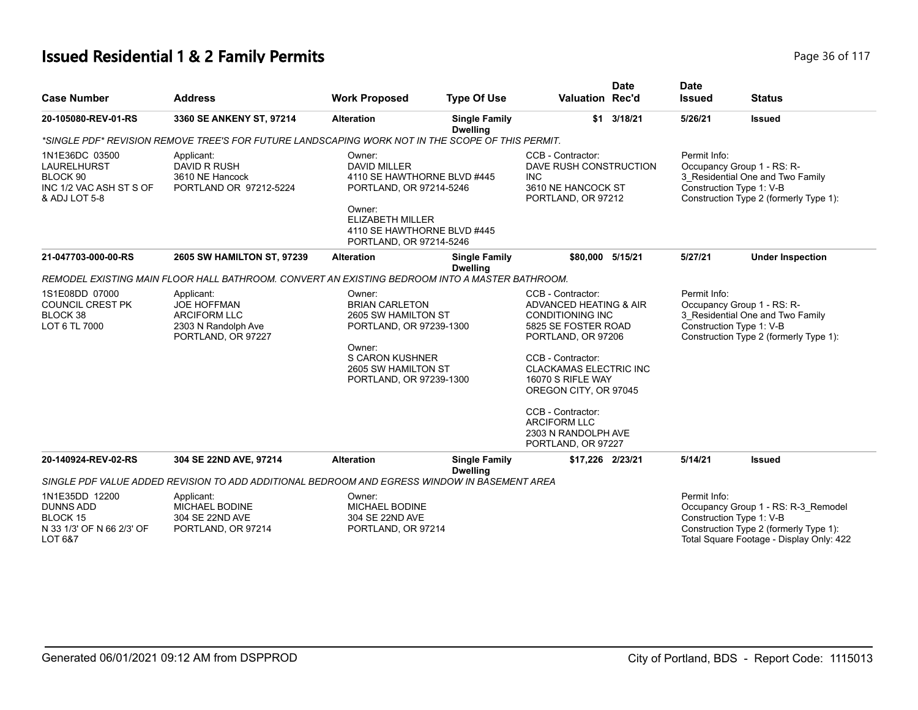# **Issued Residential 1 & 2 Family Permits Page 10 Second 20 and 20 and 20 and 20 and 20 and 20 and 20 and 20 and 20 and 20 and 20 and 20 and 20 and 20 and 20 and 20 and 20 and 20 and 20 and 20 and 20 and 20 and 20 and 20**

| <b>Case Number</b>                                                                               | <b>Address</b>                                                                                       | <b>Work Proposed</b>                                                                                                                                                                   | <b>Type Of Use</b>                      | <b>Valuation Rec'd</b>                                                                                              | <b>Date</b> | <b>Date</b><br><b>Issued</b>                                                                                                                         | <b>Status</b>                                                                                                                                         |
|--------------------------------------------------------------------------------------------------|------------------------------------------------------------------------------------------------------|----------------------------------------------------------------------------------------------------------------------------------------------------------------------------------------|-----------------------------------------|---------------------------------------------------------------------------------------------------------------------|-------------|------------------------------------------------------------------------------------------------------------------------------------------------------|-------------------------------------------------------------------------------------------------------------------------------------------------------|
| 20-105080-REV-01-RS                                                                              | 3360 SE ANKENY ST, 97214                                                                             | <b>Alteration</b>                                                                                                                                                                      | <b>Single Family</b><br><b>Dwelling</b> |                                                                                                                     | \$1 3/18/21 | 5/26/21                                                                                                                                              | <b>Issued</b>                                                                                                                                         |
|                                                                                                  | *SINGLE PDF* REVISION REMOVE TREE'S FOR FUTURE LANDSCAPING WORK NOT IN THE SCOPE OF THIS PERMIT.     |                                                                                                                                                                                        |                                         |                                                                                                                     |             |                                                                                                                                                      |                                                                                                                                                       |
| 1N1E36DC 03500<br>LAURELHURST<br>BLOCK <sub>90</sub><br>INC 1/2 VAC ASH ST S OF<br>& ADJ LOT 5-8 | Applicant:<br><b>DAVID R RUSH</b><br>3610 NE Hancock<br>PORTLAND OR 97212-5224                       | Owner:<br><b>DAVID MILLER</b><br>4110 SE HAWTHORNE BLVD #445<br>PORTLAND, OR 97214-5246<br>Owner:<br><b>ELIZABETH MILLER</b><br>4110 SE HAWTHORNE BLVD #445<br>PORTLAND, OR 97214-5246 |                                         | CCB - Contractor:<br>DAVE RUSH CONSTRUCTION<br><b>INC</b><br>3610 NE HANCOCK ST<br>PORTLAND, OR 97212               |             | Permit Info:<br>Occupancy Group 1 - RS: R-<br>3_Residential One and Two Family<br>Construction Type 1: V-B<br>Construction Type 2 (formerly Type 1): |                                                                                                                                                       |
| 21-047703-000-00-RS                                                                              | 2605 SW HAMILTON ST, 97239                                                                           | <b>Alteration</b>                                                                                                                                                                      | <b>Single Family</b><br><b>Dwelling</b> | \$80,000 5/15/21                                                                                                    |             | 5/27/21                                                                                                                                              | <b>Under Inspection</b>                                                                                                                               |
|                                                                                                  | REMODEL EXISTING MAIN FLOOR HALL BATHROOM. CONVERT AN EXISTING BEDROOM INTO A MASTER BATHROOM.       |                                                                                                                                                                                        |                                         |                                                                                                                     |             |                                                                                                                                                      |                                                                                                                                                       |
| 1S1E08DD 07000<br><b>COUNCIL CREST PK</b><br>BLOCK 38<br>LOT 6 TL 7000                           | Applicant:<br><b>JOE HOFFMAN</b><br><b>ARCIFORM LLC</b><br>2303 N Randolph Ave<br>PORTLAND, OR 97227 | Owner:<br><b>BRIAN CARLETON</b><br>2605 SW HAMILTON ST<br>PORTLAND, OR 97239-1300<br>Owner:<br><b>S CARON KUSHNER</b><br>2605 SW HAMILTON ST<br>PORTLAND, OR 97239-1300                |                                         | CCB - Contractor:<br>ADVANCED HEATING & AIR<br><b>CONDITIONING INC</b><br>5825 SE FOSTER ROAD<br>PORTLAND, OR 97206 |             | Permit Info:<br>Occupancy Group 1 - RS: R-<br>3_Residential One and Two Family<br>Construction Type 1: V-B<br>Construction Type 2 (formerly Type 1): |                                                                                                                                                       |
|                                                                                                  |                                                                                                      |                                                                                                                                                                                        |                                         | CCB - Contractor:<br><b>CLACKAMAS ELECTRIC INC</b><br>16070 S RIFLE WAY<br>OREGON CITY, OR 97045                    |             |                                                                                                                                                      |                                                                                                                                                       |
|                                                                                                  |                                                                                                      |                                                                                                                                                                                        |                                         | CCB - Contractor:<br><b>ARCIFORM LLC</b><br>2303 N RANDOLPH AVE<br>PORTLAND, OR 97227                               |             |                                                                                                                                                      |                                                                                                                                                       |
| 20-140924-REV-02-RS                                                                              | 304 SE 22ND AVE, 97214                                                                               | <b>Alteration</b>                                                                                                                                                                      | <b>Single Family</b><br><b>Dwelling</b> | \$17,226 2/23/21                                                                                                    |             | 5/14/21                                                                                                                                              | <b>Issued</b>                                                                                                                                         |
|                                                                                                  | SINGLE PDF VALUE ADDED REVISION TO ADD ADDITIONAL BEDROOM AND EGRESS WINDOW IN BASEMENT AREA         |                                                                                                                                                                                        |                                         |                                                                                                                     |             |                                                                                                                                                      |                                                                                                                                                       |
| 1N1E35DD 12200<br><b>DUNNS ADD</b><br><b>BLOCK 15</b><br>N 33 1/3' OF N 66 2/3' OF<br>LOT 6&7    | Applicant:<br>MICHAEL BODINE<br>304 SE 22ND AVE<br>PORTLAND, OR 97214                                | Owner:<br><b>MICHAEL BODINE</b><br>304 SE 22ND AVE<br>PORTLAND, OR 97214                                                                                                               |                                         |                                                                                                                     |             | Permit Info:                                                                                                                                         | Occupancy Group 1 - RS: R-3_Remodel<br>Construction Type 1: V-B<br>Construction Type 2 (formerly Type 1):<br>Total Square Footage - Display Only: 422 |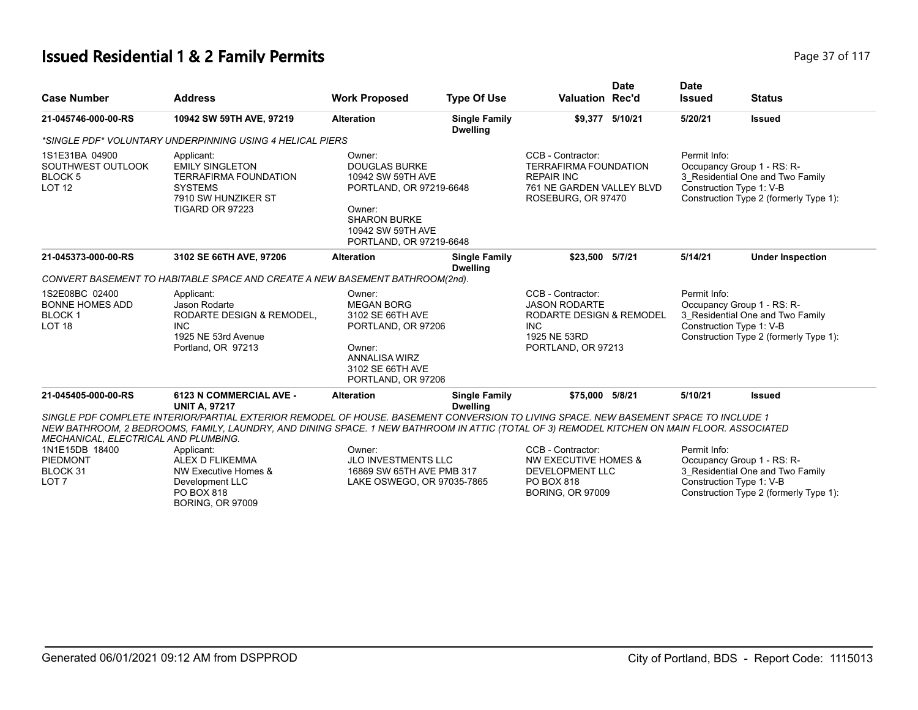# **Issued Residential 1 & 2 Family Permits Page 117 Page 37 of 117**

| <b>Case Number</b>                                                             | <b>Address</b>                                                                                                                                                                                                                                                                      | <b>Work Proposed</b>                                                                                                                                            | <b>Type Of Use</b>                      | <b>Valuation Rec'd</b>                                                                                                    | <b>Date</b> | <b>Date</b><br><b>Issued</b>                                                                                                                         | <b>Status</b>                                                                                                                        |
|--------------------------------------------------------------------------------|-------------------------------------------------------------------------------------------------------------------------------------------------------------------------------------------------------------------------------------------------------------------------------------|-----------------------------------------------------------------------------------------------------------------------------------------------------------------|-----------------------------------------|---------------------------------------------------------------------------------------------------------------------------|-------------|------------------------------------------------------------------------------------------------------------------------------------------------------|--------------------------------------------------------------------------------------------------------------------------------------|
| 21-045746-000-00-RS                                                            | 10942 SW 59TH AVE, 97219                                                                                                                                                                                                                                                            | <b>Alteration</b>                                                                                                                                               | <b>Single Family</b><br><b>Dwelling</b> | \$9,377 5/10/21                                                                                                           |             | 5/20/21                                                                                                                                              | <b>Issued</b>                                                                                                                        |
|                                                                                | *SINGLE PDF* VOLUNTARY UNDERPINNING USING 4 HELICAL PIERS                                                                                                                                                                                                                           |                                                                                                                                                                 |                                         |                                                                                                                           |             |                                                                                                                                                      |                                                                                                                                      |
| 1S1E31BA 04900<br>SOUTHWEST OUTLOOK<br>BLOCK <sub>5</sub><br><b>LOT 12</b>     | Applicant:<br><b>EMILY SINGLETON</b><br><b>TERRAFIRMA FOUNDATION</b><br><b>SYSTEMS</b><br>7910 SW HUNZIKER ST<br>TIGARD OR 97223                                                                                                                                                    | Owner:<br><b>DOUGLAS BURKE</b><br>10942 SW 59TH AVE<br>PORTLAND, OR 97219-6648<br>Owner:<br><b>SHARON BURKE</b><br>10942 SW 59TH AVE<br>PORTLAND, OR 97219-6648 |                                         | CCB - Contractor:<br><b>TERRAFIRMA FOUNDATION</b><br><b>REPAIR INC</b><br>761 NE GARDEN VALLEY BLVD<br>ROSEBURG, OR 97470 |             | Permit Info:<br>Occupancy Group 1 - RS: R-<br>3_Residential One and Two Family<br>Construction Type 1: V-B<br>Construction Type 2 (formerly Type 1): |                                                                                                                                      |
| 21-045373-000-00-RS                                                            | 3102 SE 66TH AVE, 97206                                                                                                                                                                                                                                                             | <b>Alteration</b>                                                                                                                                               | <b>Single Family</b><br><b>Dwelling</b> | \$23,500 5/7/21                                                                                                           |             | 5/14/21                                                                                                                                              | <b>Under Inspection</b>                                                                                                              |
|                                                                                | CONVERT BASEMENT TO HABITABLE SPACE AND CREATE A NEW BASEMENT BATHROOM(2nd).                                                                                                                                                                                                        |                                                                                                                                                                 |                                         |                                                                                                                           |             |                                                                                                                                                      |                                                                                                                                      |
| 1S2E08BC 02400<br><b>BONNE HOMES ADD</b><br><b>BLOCK1</b><br>LOT <sub>18</sub> | Applicant:<br>Jason Rodarte<br>RODARTE DESIGN & REMODEL,<br><b>INC</b><br>1925 NE 53rd Avenue<br>Portland, OR 97213                                                                                                                                                                 | Owner:<br><b>MEGAN BORG</b><br>3102 SE 66TH AVE<br>PORTLAND, OR 97206<br>Owner:<br><b>ANNALISA WIRZ</b><br>3102 SE 66TH AVE<br>PORTLAND, OR 97206               |                                         | CCB - Contractor:<br><b>JASON RODARTE</b><br>RODARTE DESIGN & REMODEL<br><b>INC</b><br>1925 NE 53RD<br>PORTLAND, OR 97213 |             | Permit Info:                                                                                                                                         | Occupancy Group 1 - RS: R-<br>3_Residential One and Two Family<br>Construction Type 1: V-B<br>Construction Type 2 (formerly Type 1): |
| 21-045405-000-00-RS                                                            | 6123 N COMMERCIAL AVE -<br><b>UNIT A, 97217</b>                                                                                                                                                                                                                                     | <b>Alteration</b>                                                                                                                                               | <b>Single Family</b><br><b>Dwelling</b> | \$75,000 5/8/21                                                                                                           |             | 5/10/21                                                                                                                                              | <b>Issued</b>                                                                                                                        |
| MECHANICAL, ELECTRICAL AND PLUMBING.                                           | SINGLE PDF COMPLETE INTERIOR/PARTIAL EXTERIOR REMODEL OF HOUSE. BASEMENT CONVERSION TO LIVING SPACE. NEW BASEMENT SPACE TO INCLUDE 1<br>NEW BATHROOM, 2 BEDROOMS, FAMILY, LAUNDRY, AND DINING SPACE. 1 NEW BATHROOM IN ATTIC (TOTAL OF 3) REMODEL KITCHEN ON MAIN FLOOR. ASSOCIATED |                                                                                                                                                                 |                                         |                                                                                                                           |             |                                                                                                                                                      |                                                                                                                                      |
| 1N1E15DB 18400                                                                 | Applicant:                                                                                                                                                                                                                                                                          | Owner:                                                                                                                                                          |                                         | CCB - Contractor:                                                                                                         |             | Permit Info:                                                                                                                                         |                                                                                                                                      |
| PIEDMONT                                                                       | <b>ALEX D FLIKEMMA</b>                                                                                                                                                                                                                                                              | <b>JLO INVESTMENTS LLC</b>                                                                                                                                      |                                         | NW EXECUTIVE HOMES &                                                                                                      |             |                                                                                                                                                      | Occupancy Group 1 - RS: R-                                                                                                           |
| BLOCK 31<br>LOT <sub>7</sub>                                                   | NW Executive Homes &<br>Development LLC<br>PO BOX 818<br><b>BORING, OR 97009</b>                                                                                                                                                                                                    | 16869 SW 65TH AVE PMB 317<br>LAKE OSWEGO, OR 97035-7865                                                                                                         |                                         | <b>DEVELOPMENT LLC</b><br><b>PO BOX 818</b><br><b>BORING, OR 97009</b>                                                    |             |                                                                                                                                                      | 3 Residential One and Two Family<br>Construction Type 1: V-B<br>Construction Type 2 (formerly Type 1):                               |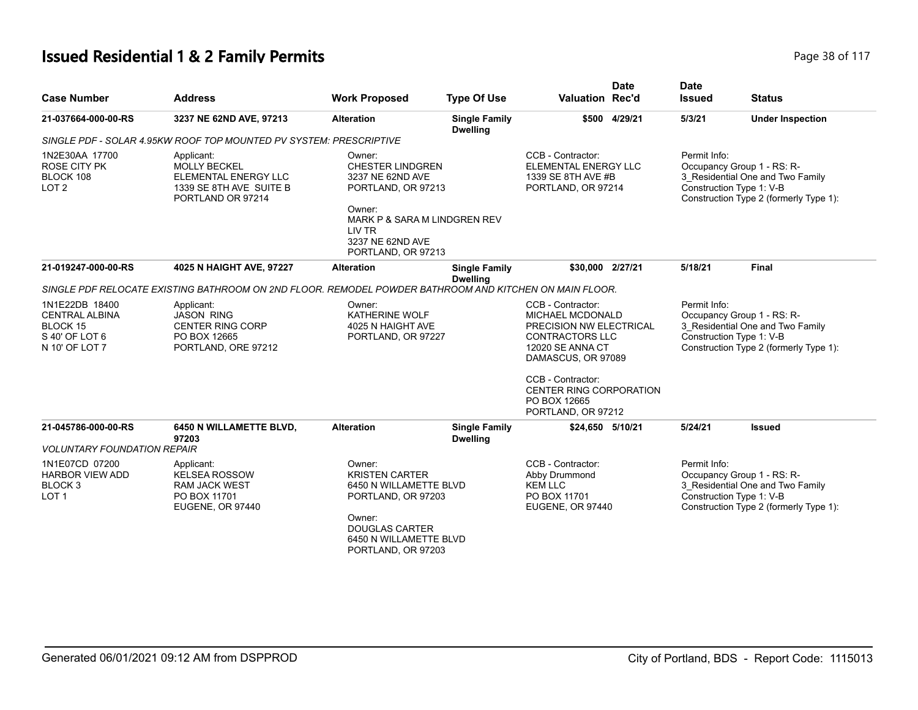# **Issued Residential 1 & 2 Family Permits Page 10 Second 2 and 2 Residential 1 & 2 Family Permits Page 18 of 117**

| <b>Case Number</b>                                                                      | <b>Address</b>                                                                                            | <b>Work Proposed</b>                                                                                                                                                      | <b>Type Of Use</b>                      | Valuation Rec'd                                                                                                                                           | <b>Date</b>   | <b>Date</b><br><b>Issued</b> | <b>Status</b>                                                                                                                        |
|-----------------------------------------------------------------------------------------|-----------------------------------------------------------------------------------------------------------|---------------------------------------------------------------------------------------------------------------------------------------------------------------------------|-----------------------------------------|-----------------------------------------------------------------------------------------------------------------------------------------------------------|---------------|------------------------------|--------------------------------------------------------------------------------------------------------------------------------------|
| 21-037664-000-00-RS                                                                     | 3237 NE 62ND AVE, 97213                                                                                   | <b>Alteration</b>                                                                                                                                                         | <b>Single Family</b><br><b>Dwelling</b> |                                                                                                                                                           | \$500 4/29/21 | 5/3/21                       | <b>Under Inspection</b>                                                                                                              |
|                                                                                         | SINGLE PDF - SOLAR 4.95KW ROOF TOP MOUNTED PV SYSTEM: PRESCRIPTIVE                                        |                                                                                                                                                                           |                                         |                                                                                                                                                           |               |                              |                                                                                                                                      |
| 1N2E30AA 17700<br><b>ROSE CITY PK</b><br>BLOCK 108<br>LOT <sub>2</sub>                  | Applicant:<br><b>MOLLY BECKEL</b><br>ELEMENTAL ENERGY LLC<br>1339 SE 8TH AVE SUITE B<br>PORTLAND OR 97214 | Owner:<br><b>CHESTER LINDGREN</b><br>3237 NE 62ND AVE<br>PORTLAND, OR 97213<br>Owner:<br>MARK P & SARA M LINDGREN REV<br>LIV TR<br>3237 NE 62ND AVE<br>PORTLAND, OR 97213 |                                         | CCB - Contractor:<br>ELEMENTAL ENERGY LLC<br>1339 SE 8TH AVE #B<br>PORTLAND, OR 97214                                                                     |               | Permit Info:                 | Occupancy Group 1 - RS: R-<br>3_Residential One and Two Family<br>Construction Type 1: V-B<br>Construction Type 2 (formerly Type 1): |
| 21-019247-000-00-RS                                                                     | 4025 N HAIGHT AVE, 97227                                                                                  | <b>Alteration</b>                                                                                                                                                         | <b>Single Family</b><br><b>Dwelling</b> | \$30,000 2/27/21                                                                                                                                          |               | 5/18/21                      | <b>Final</b>                                                                                                                         |
|                                                                                         | SINGLE PDF RELOCATE EXISTING BATHROOM ON 2ND FLOOR. REMODEL POWDER BATHROOM AND KITCHEN ON MAIN FLOOR.    |                                                                                                                                                                           |                                         |                                                                                                                                                           |               |                              |                                                                                                                                      |
| 1N1E22DB 18400<br><b>CENTRAL ALBINA</b><br>BLOCK 15<br>S 40' OF LOT 6<br>N 10' OF LOT 7 | Applicant:<br><b>JASON RING</b><br><b>CENTER RING CORP</b><br>PO BOX 12665<br>PORTLAND, ORE 97212         | Owner:<br>KATHERINE WOLF<br>4025 N HAIGHT AVE<br>PORTLAND, OR 97227                                                                                                       |                                         | CCB - Contractor:<br>MICHAEL MCDONALD<br>PRECISION NW ELECTRICAL<br><b>CONTRACTORS LLC</b><br>12020 SE ANNA CT<br>DAMASCUS, OR 97089<br>CCB - Contractor: |               | Permit Info:                 | Occupancy Group 1 - RS: R-<br>3 Residential One and Two Family<br>Construction Type 1: V-B<br>Construction Type 2 (formerly Type 1): |
|                                                                                         |                                                                                                           |                                                                                                                                                                           |                                         | <b>CENTER RING CORPORATION</b><br>PO BOX 12665<br>PORTLAND, OR 97212                                                                                      |               |                              |                                                                                                                                      |
| 21-045786-000-00-RS                                                                     | 6450 N WILLAMETTE BLVD,<br>97203                                                                          | <b>Alteration</b>                                                                                                                                                         | <b>Single Family</b><br><b>Dwelling</b> | \$24,650 5/10/21                                                                                                                                          |               | 5/24/21                      | <b>Issued</b>                                                                                                                        |
| <b>VOLUNTARY FOUNDATION REPAIR</b>                                                      |                                                                                                           |                                                                                                                                                                           |                                         |                                                                                                                                                           |               |                              |                                                                                                                                      |
| 1N1E07CD 07200<br><b>HARBOR VIEW ADD</b><br>BLOCK <sub>3</sub><br>LOT <sub>1</sub>      | Applicant:<br><b>KELSEA ROSSOW</b><br><b>RAM JACK WEST</b><br>PO BOX 11701<br>EUGENE, OR 97440            | Owner:<br><b>KRISTEN CARTER</b><br>6450 N WILLAMETTE BLVD<br>PORTLAND, OR 97203<br>Owner:<br><b>DOUGLAS CARTER</b><br>6450 N WILLAMETTE BLVD<br>PORTLAND, OR 97203        |                                         | CCB - Contractor:<br>Abby Drummond<br><b>KEM LLC</b><br>PO BOX 11701<br><b>EUGENE, OR 97440</b>                                                           |               | Permit Info:                 | Occupancy Group 1 - RS: R-<br>3 Residential One and Two Family<br>Construction Type 1: V-B<br>Construction Type 2 (formerly Type 1): |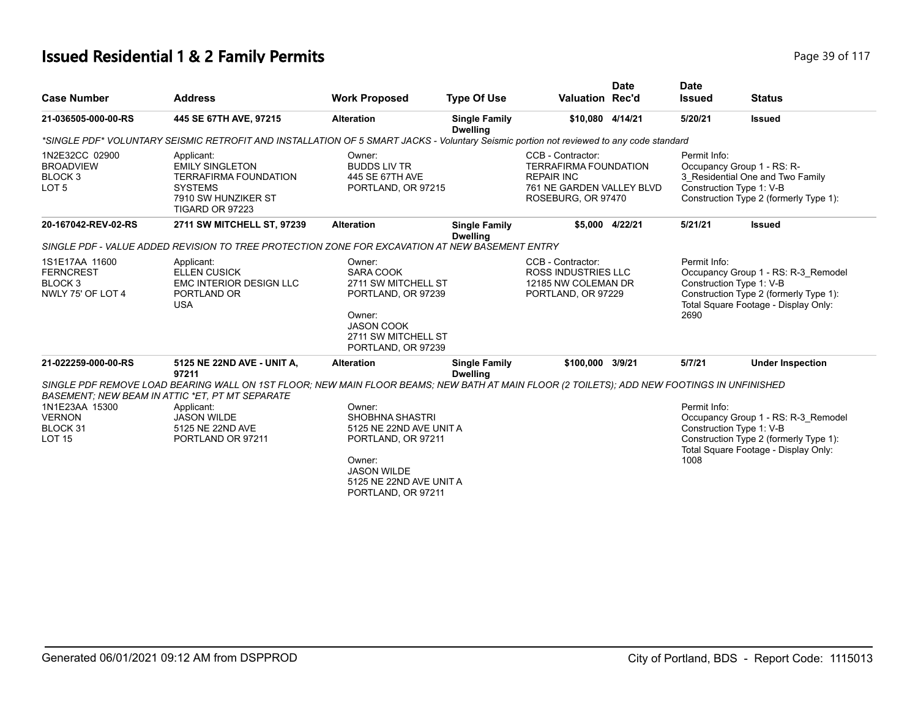# **Issued Residential 1 & 2 Family Permits Page 117 Page 39 of 117**

|                                                                               |                                                                                                                                                                                                      |                                                                                                                                                                    |                                         |                                                                                                                                              | <b>Date</b> | <b>Date</b>                                                                                                                                                               |                                                                                                                                                   |
|-------------------------------------------------------------------------------|------------------------------------------------------------------------------------------------------------------------------------------------------------------------------------------------------|--------------------------------------------------------------------------------------------------------------------------------------------------------------------|-----------------------------------------|----------------------------------------------------------------------------------------------------------------------------------------------|-------------|---------------------------------------------------------------------------------------------------------------------------------------------------------------------------|---------------------------------------------------------------------------------------------------------------------------------------------------|
| <b>Case Number</b>                                                            | <b>Address</b>                                                                                                                                                                                       | <b>Work Proposed</b>                                                                                                                                               | <b>Type Of Use</b>                      | <b>Valuation Rec'd</b>                                                                                                                       |             | <b>Issued</b>                                                                                                                                                             | <b>Status</b>                                                                                                                                     |
| 21-036505-000-00-RS                                                           | 445 SE 67TH AVE, 97215                                                                                                                                                                               | <b>Alteration</b>                                                                                                                                                  | <b>Single Family</b><br><b>Dwelling</b> | \$10,080 4/14/21                                                                                                                             |             | 5/20/21                                                                                                                                                                   | <b>Issued</b>                                                                                                                                     |
|                                                                               | *SINGLE PDF* VOLUNTARY SEISMIC RETROFIT AND INSTALLATION OF 5 SMART JACKS - Voluntary Seismic portion not reviewed to any code standard                                                              |                                                                                                                                                                    |                                         |                                                                                                                                              |             |                                                                                                                                                                           |                                                                                                                                                   |
| 1N2E32CC 02900<br><b>BROADVIEW</b><br>BLOCK 3<br>LOT <sub>5</sub>             | Applicant:<br><b>EMILY SINGLETON</b><br><b>TERRAFIRMA FOUNDATION</b><br><b>SYSTEMS</b><br>7910 SW HUNZIKER ST<br>TIGARD OR 97223                                                                     | Owner:<br><b>BUDDS LIV TR</b><br>445 SE 67TH AVE<br>PORTLAND, OR 97215                                                                                             |                                         | CCB - Contractor:<br><b>TERRAFIRMA FOUNDATION</b><br><b>REPAIR INC</b><br>761 NE GARDEN VALLEY BLVD<br>ROSEBURG, OR 97470<br>\$5,000 4/22/21 |             | Permit Info:<br>Occupancy Group 1 - RS: R-<br>3_Residential One and Two Family<br>Construction Type 1: V-B<br>Construction Type 2 (formerly Type 1):                      |                                                                                                                                                   |
| 20-167042-REV-02-RS                                                           | 2711 SW MITCHELL ST, 97239                                                                                                                                                                           | <b>Alteration</b>                                                                                                                                                  | <b>Single Family</b><br><b>Dwelling</b> |                                                                                                                                              |             | 5/21/21                                                                                                                                                                   | <b>Issued</b>                                                                                                                                     |
|                                                                               | SINGLE PDF - VALUE ADDED REVISION TO TREE PROTECTION ZONE FOR EXCAVATION AT NEW BASEMENT ENTRY                                                                                                       |                                                                                                                                                                    |                                         |                                                                                                                                              |             |                                                                                                                                                                           |                                                                                                                                                   |
| 1S1E17AA 11600<br><b>FERNCREST</b><br>BLOCK <sub>3</sub><br>NWLY 75' OF LOT 4 | Applicant:<br><b>ELLEN CUSICK</b><br><b>EMC INTERIOR DESIGN LLC</b><br>PORTLAND OR<br><b>USA</b>                                                                                                     | Owner:<br><b>SARA COOK</b><br>2711 SW MITCHELL ST<br>PORTLAND, OR 97239<br>Owner:<br><b>JASON COOK</b><br>2711 SW MITCHELL ST<br>PORTLAND, OR 97239                |                                         | CCB - Contractor:<br><b>ROSS INDUSTRIES LLC</b><br>12185 NW COLEMAN DR<br>PORTLAND, OR 97229                                                 |             | Permit Info:<br>Occupancy Group 1 - RS: R-3_Remodel<br>Construction Type 1: V-B<br>Construction Type 2 (formerly Type 1):<br>Total Square Footage - Display Only:<br>2690 |                                                                                                                                                   |
| 21-022259-000-00-RS                                                           | 5125 NE 22ND AVE - UNIT A,<br>97211                                                                                                                                                                  | <b>Alteration</b>                                                                                                                                                  | <b>Single Family</b><br><b>Dwelling</b> | \$100,000 3/9/21                                                                                                                             |             | 5/7/21                                                                                                                                                                    | <b>Under Inspection</b>                                                                                                                           |
|                                                                               | SINGLE PDF REMOVE LOAD BEARING WALL ON 1ST FLOOR; NEW MAIN FLOOR BEAMS; NEW BATH AT MAIN FLOOR (2 TOILETS); ADD NEW FOOTINGS IN UNFINISHED<br><b>BASEMENT: NEW BEAM IN ATTIC *ET, PT MT SEPARATE</b> |                                                                                                                                                                    |                                         |                                                                                                                                              |             |                                                                                                                                                                           |                                                                                                                                                   |
| 1N1E23AA 15300<br><b>VERNON</b><br>BLOCK 31<br><b>LOT 15</b>                  | Applicant:<br><b>JASON WILDE</b><br>5125 NE 22ND AVE<br>PORTLAND OR 97211                                                                                                                            | Owner:<br><b>SHOBHNA SHASTRI</b><br>5125 NE 22ND AVE UNIT A<br>PORTLAND, OR 97211<br>Owner:<br><b>JASON WILDE</b><br>5125 NE 22ND AVE UNIT A<br>PORTLAND, OR 97211 |                                         |                                                                                                                                              |             | Permit Info:<br>1008                                                                                                                                                      | Occupancy Group 1 - RS: R-3 Remodel<br>Construction Type 1: V-B<br>Construction Type 2 (formerly Type 1):<br>Total Square Footage - Display Only: |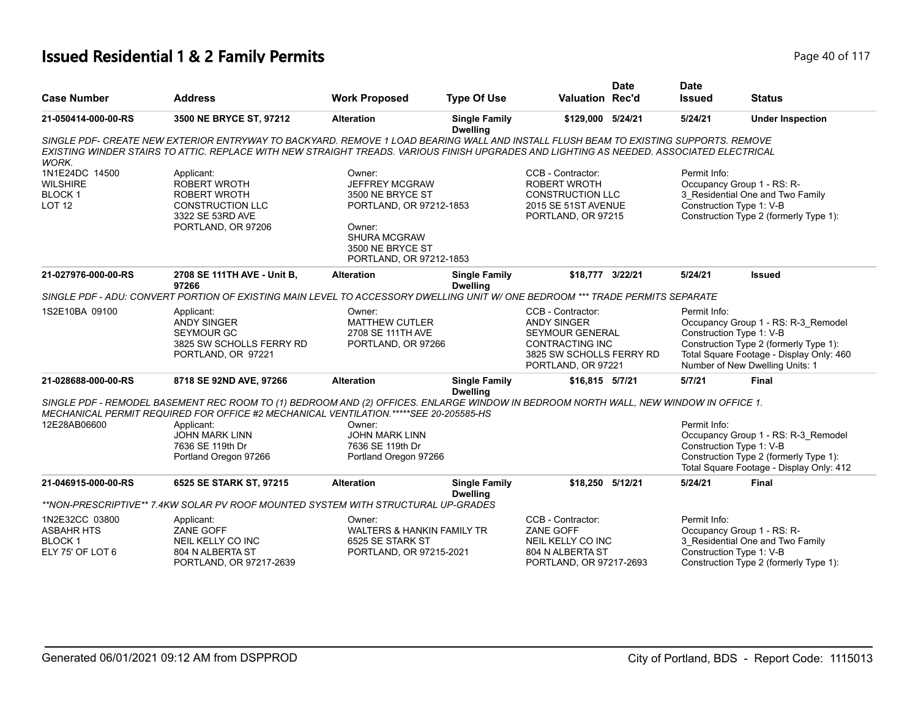# **Issued Residential 1 & 2 Family Permits Page 10 of 117** Page 40 of 117

|                                                                          |                                                                                                                                                                                                                                                                                  |                                                                                                                              |                                         |                                                                                                                                               | <b>Date</b> | <b>Date</b>                              |                                                                                                                                                              |
|--------------------------------------------------------------------------|----------------------------------------------------------------------------------------------------------------------------------------------------------------------------------------------------------------------------------------------------------------------------------|------------------------------------------------------------------------------------------------------------------------------|-----------------------------------------|-----------------------------------------------------------------------------------------------------------------------------------------------|-------------|------------------------------------------|--------------------------------------------------------------------------------------------------------------------------------------------------------------|
| <b>Case Number</b>                                                       | <b>Address</b>                                                                                                                                                                                                                                                                   | <b>Work Proposed</b>                                                                                                         | <b>Type Of Use</b>                      | <b>Valuation Rec'd</b>                                                                                                                        |             | <b>Issued</b>                            | <b>Status</b>                                                                                                                                                |
| 21-050414-000-00-RS                                                      | 3500 NE BRYCE ST, 97212                                                                                                                                                                                                                                                          | <b>Alteration</b>                                                                                                            | <b>Single Family</b><br><b>Dwelling</b> | \$129,000 5/24/21                                                                                                                             |             | 5/24/21                                  | <b>Under Inspection</b>                                                                                                                                      |
| <b>WORK.</b>                                                             | SINGLE PDF- CREATE NEW EXTERIOR ENTRYWAY TO BACKYARD. REMOVE 1 LOAD BEARING WALL AND INSTALL FLUSH BEAM TO EXISTING SUPPORTS. REMOVE<br>EXISTING WINDER STAIRS TO ATTIC. REPLACE WITH NEW STRAIGHT TREADS, VARIOUS FINISH UPGRADES AND LIGHTING AS NEEDED. ASSOCIATED ELECTRICAL |                                                                                                                              |                                         |                                                                                                                                               |             |                                          |                                                                                                                                                              |
| 1N1E24DC 14500<br><b>WILSHIRE</b><br><b>BLOCK1</b><br><b>LOT 12</b>      | Applicant:<br><b>ROBERT WROTH</b><br><b>ROBERT WROTH</b><br><b>CONSTRUCTION LLC</b><br>3322 SE 53RD AVE<br>PORTLAND, OR 97206                                                                                                                                                    | Owner:<br><b>JEFFREY MCGRAW</b><br>3500 NE BRYCE ST<br>PORTLAND, OR 97212-1853<br>Owner:<br>SHURA MCGRAW<br>3500 NE BRYCE ST |                                         | CCB - Contractor:<br><b>ROBERT WROTH</b><br><b>CONSTRUCTION LLC</b><br>2015 SE 51ST AVENUE<br>PORTLAND, OR 97215                              |             | Permit Info:                             | Occupancy Group 1 - RS: R-<br>3 Residential One and Two Family<br>Construction Type 1: V-B<br>Construction Type 2 (formerly Type 1):                         |
| 21-027976-000-00-RS                                                      | 2708 SE 111TH AVE - Unit B,                                                                                                                                                                                                                                                      | PORTLAND, OR 97212-1853<br><b>Alteration</b>                                                                                 | <b>Single Family</b>                    | \$18,777 3/22/21                                                                                                                              |             | 5/24/21                                  | <b>Issued</b>                                                                                                                                                |
|                                                                          | 97266<br>SINGLE PDF - ADU: CONVERT PORTION OF EXISTING MAIN LEVEL TO ACCESSORY DWELLING UNIT W/ ONE BEDROOM *** TRADE PERMITS SEPARATE                                                                                                                                           |                                                                                                                              | <b>Dwelling</b>                         |                                                                                                                                               |             |                                          |                                                                                                                                                              |
| 1S2E10BA 09100                                                           | Applicant:<br><b>ANDY SINGER</b><br><b>SEYMOUR GC</b><br>3825 SW SCHOLLS FERRY RD<br>PORTLAND, OR 97221                                                                                                                                                                          | Owner:<br><b>MATTHEW CUTLER</b><br>2708 SE 111TH AVE<br>PORTLAND, OR 97266                                                   |                                         | CCB - Contractor:<br><b>ANDY SINGER</b><br><b>SEYMOUR GENERAL</b><br><b>CONTRACTING INC</b><br>3825 SW SCHOLLS FERRY RD<br>PORTLAND, OR 97221 |             | Permit Info:<br>Construction Type 1: V-B | Occupancy Group 1 - RS: R-3 Remodel<br>Construction Type 2 (formerly Type 1):<br>Total Square Footage - Display Only: 460<br>Number of New Dwelling Units: 1 |
| 21-028688-000-00-RS                                                      | 8718 SE 92ND AVE, 97266                                                                                                                                                                                                                                                          | <b>Alteration</b>                                                                                                            | <b>Single Family</b><br><b>Dwelling</b> | \$16,815 5/7/21                                                                                                                               |             | 5/7/21                                   | <b>Final</b>                                                                                                                                                 |
|                                                                          | SINGLE PDF - REMODEL BASEMENT REC ROOM TO (1) BEDROOM AND (2) OFFICES. ENLARGE WINDOW IN BEDROOM NORTH WALL, NEW WINDOW IN OFFICE 1.<br>MECHANICAL PERMIT REQUIRED FOR OFFICE #2 MECHANICAL VENTILATION.*****SEE 20-205585-HS                                                    |                                                                                                                              |                                         |                                                                                                                                               |             |                                          |                                                                                                                                                              |
| 12E28AB06600                                                             | Applicant:<br><b>JOHN MARK LINN</b><br>7636 SE 119th Dr<br>Portland Oregon 97266                                                                                                                                                                                                 | Owner:<br><b>JOHN MARK LINN</b><br>7636 SE 119th Dr<br>Portland Oregon 97266                                                 |                                         |                                                                                                                                               |             | Permit Info:<br>Construction Type 1: V-B | Occupancy Group 1 - RS: R-3_Remodel<br>Construction Type 2 (formerly Type 1):<br>Total Square Footage - Display Only: 412                                    |
| 21-046915-000-00-RS                                                      | 6525 SE STARK ST, 97215                                                                                                                                                                                                                                                          | <b>Alteration</b>                                                                                                            | <b>Single Family</b><br><b>Dwelling</b> | \$18,250 5/12/21                                                                                                                              |             | 5/24/21                                  | <b>Final</b>                                                                                                                                                 |
|                                                                          | **NON-PRESCRIPTIVE** 7.4KW SOLAR PV ROOF MOUNTED SYSTEM WITH STRUCTURAL UP-GRADES                                                                                                                                                                                                |                                                                                                                              |                                         |                                                                                                                                               |             |                                          |                                                                                                                                                              |
| 1N2E32CC 03800<br><b>ASBAHR HTS</b><br><b>BLOCK1</b><br>ELY 75' OF LOT 6 | Applicant:<br>ZANE GOFF<br>NEIL KELLY CO INC<br>804 N ALBERTA ST<br>PORTLAND, OR 97217-2639                                                                                                                                                                                      | Owner:<br><b>WALTERS &amp; HANKIN FAMILY TR</b><br>6525 SE STARK ST<br>PORTLAND, OR 97215-2021                               |                                         | CCB - Contractor:<br><b>ZANE GOFF</b><br>NEIL KELLY CO INC<br>804 N ALBERTA ST<br>PORTLAND, OR 97217-2693                                     |             | Permit Info:                             | Occupancy Group 1 - RS: R-<br>3_Residential One and Two Family<br>Construction Type 1: V-B<br>Construction Type 2 (formerly Type 1):                         |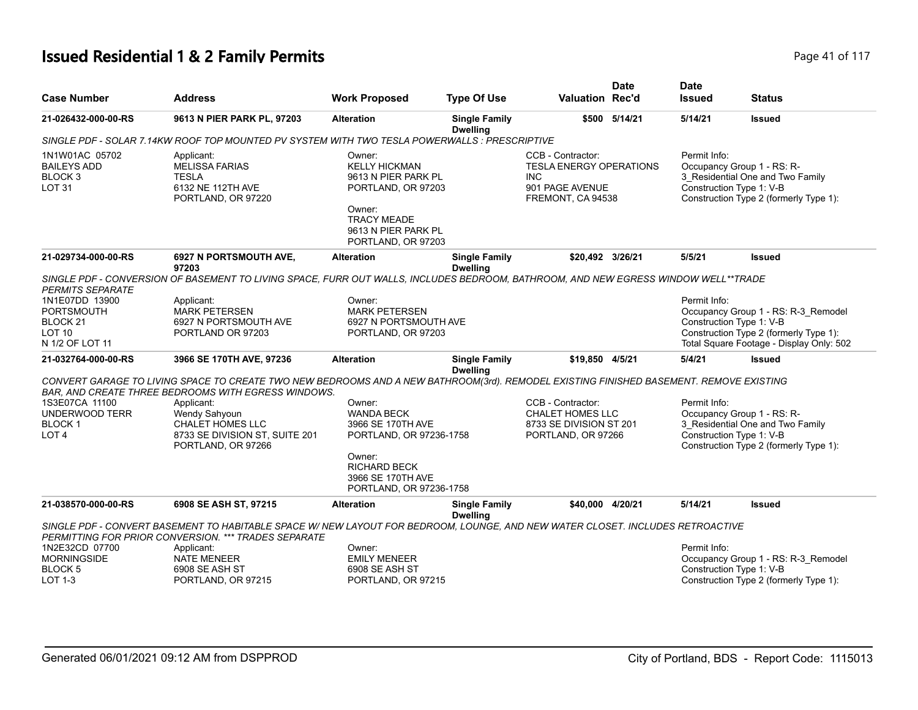# **Issued Residential 1 & 2 Family Permits Page 41 of 117 Page 41 of 117**

| <b>Case Number</b>                                                                             | <b>Address</b>                                                                                                                                                                                | <b>Work Proposed</b>                                                                                                                                         | <b>Type Of Use</b>                      | <b>Valuation Rec'd</b>                                                                              | <b>Date</b>   | <b>Date</b><br><b>Issued</b>             | <b>Status</b>                                                                                                             |
|------------------------------------------------------------------------------------------------|-----------------------------------------------------------------------------------------------------------------------------------------------------------------------------------------------|--------------------------------------------------------------------------------------------------------------------------------------------------------------|-----------------------------------------|-----------------------------------------------------------------------------------------------------|---------------|------------------------------------------|---------------------------------------------------------------------------------------------------------------------------|
| 21-026432-000-00-RS                                                                            | 9613 N PIER PARK PL, 97203                                                                                                                                                                    | <b>Alteration</b>                                                                                                                                            | <b>Single Family</b><br><b>Dwelling</b> |                                                                                                     | \$500 5/14/21 | 5/14/21                                  | <b>Issued</b>                                                                                                             |
|                                                                                                | SINGLE PDF - SOLAR 7.14KW ROOF TOP MOUNTED PV SYSTEM WITH TWO TESLA POWERWALLS : PRESCRIPTIVE                                                                                                 |                                                                                                                                                              |                                         |                                                                                                     |               |                                          |                                                                                                                           |
| 1N1W01AC 05702<br><b>BAILEYS ADD</b><br>BLOCK <sub>3</sub><br>LOT <sub>31</sub>                | Applicant:<br><b>MELISSA FARIAS</b><br><b>TESLA</b><br>6132 NE 112TH AVE<br>PORTLAND, OR 97220                                                                                                | Owner:<br><b>KELLY HICKMAN</b><br>9613 N PIER PARK PL<br>PORTLAND, OR 97203<br>Owner:<br><b>TRACY MEADE</b><br>9613 N PIER PARK PL<br>PORTLAND, OR 97203     |                                         | CCB - Contractor:<br><b>TESLA ENERGY OPERATIONS</b><br>INC.<br>901 PAGE AVENUE<br>FREMONT, CA 94538 |               | Permit Info:<br>Construction Type 1: V-B | Occupancy Group 1 - RS: R-<br>3 Residential One and Two Family<br>Construction Type 2 (formerly Type 1):                  |
| 21-029734-000-00-RS                                                                            | <b>6927 N PORTSMOUTH AVE,</b><br>97203                                                                                                                                                        | <b>Alteration</b>                                                                                                                                            | <b>Single Family</b><br><b>Dwelling</b> | \$20,492 3/26/21                                                                                    |               | 5/5/21                                   | <b>Issued</b>                                                                                                             |
| <b>PERMITS SEPARATE</b>                                                                        | SINGLE PDF - CONVERSION OF BASEMENT TO LIVING SPACE, FURR OUT WALLS, INCLUDES BEDROOM, BATHROOM, AND NEW EGRESS WINDOW WELL**TRADE                                                            |                                                                                                                                                              |                                         |                                                                                                     |               |                                          |                                                                                                                           |
| 1N1E07DD 13900<br><b>PORTSMOUTH</b><br>BLOCK <sub>21</sub><br><b>LOT 10</b><br>N 1/2 OF LOT 11 | Applicant:<br><b>MARK PETERSEN</b><br>6927 N PORTSMOUTH AVE<br>PORTLAND OR 97203                                                                                                              | Owner:<br><b>MARK PETERSEN</b><br>6927 N PORTSMOUTH AVE<br>PORTLAND, OR 97203                                                                                |                                         |                                                                                                     |               | Permit Info:<br>Construction Type 1: V-B | Occupancy Group 1 - RS: R-3_Remodel<br>Construction Type 2 (formerly Type 1):<br>Total Square Footage - Display Only: 502 |
| 21-032764-000-00-RS                                                                            | 3966 SE 170TH AVE, 97236                                                                                                                                                                      | <b>Alteration</b>                                                                                                                                            | <b>Single Family</b><br><b>Dwelling</b> | \$19,850 4/5/21                                                                                     |               | 5/4/21                                   | <b>Issued</b>                                                                                                             |
|                                                                                                | CONVERT GARAGE TO LIVING SPACE TO CREATE TWO NEW BEDROOMS AND A NEW BATHROOM(3rd). REMODEL EXISTING FINISHED BASEMENT. REMOVE EXISTING<br>BAR, AND CREATE THREE BEDROOMS WITH EGRESS WINDOWS. |                                                                                                                                                              |                                         |                                                                                                     |               |                                          |                                                                                                                           |
| 1S3E07CA 11100<br>UNDERWOOD TERR<br><b>BLOCK1</b><br>LOT <sub>4</sub>                          | Applicant:<br>Wendy Sahyoun<br>CHALET HOMES LLC<br>8733 SE DIVISION ST, SUITE 201<br>PORTLAND, OR 97266                                                                                       | Owner:<br><b>WANDA BECK</b><br>3966 SE 170TH AVE<br>PORTLAND, OR 97236-1758<br>Owner:<br><b>RICHARD BECK</b><br>3966 SE 170TH AVE<br>PORTLAND, OR 97236-1758 |                                         | CCB - Contractor:<br><b>CHALET HOMES LLC</b><br>8733 SE DIVISION ST 201<br>PORTLAND, OR 97266       |               | Permit Info:<br>Construction Type 1: V-B | Occupancy Group 1 - RS: R-<br>3_Residential One and Two Family<br>Construction Type 2 (formerly Type 1):                  |
| 21-038570-000-00-RS                                                                            | 6908 SE ASH ST, 97215                                                                                                                                                                         | <b>Alteration</b>                                                                                                                                            | <b>Single Family</b><br><b>Dwelling</b> | \$40,000 4/20/21                                                                                    |               | 5/14/21                                  | <b>Issued</b>                                                                                                             |
|                                                                                                | SINGLE PDF - CONVERT BASEMENT TO HABITABLE SPACE W/ NEW LAYOUT FOR BEDROOM, LOUNGE, AND NEW WATER CLOSET. INCLUDES RETROACTIVE<br>PERMITTING FOR PRIOR CONVERSION. *** TRADES SEPARATE        |                                                                                                                                                              |                                         |                                                                                                     |               |                                          |                                                                                                                           |
| 1N2E32CD 07700<br><b>MORNINGSIDE</b><br><b>BLOCK 5</b><br>LOT 1-3                              | Applicant:<br><b>NATE MENEER</b><br>6908 SE ASH ST<br>PORTLAND, OR 97215                                                                                                                      | Owner:<br><b>EMILY MENEER</b><br>6908 SE ASH ST<br>PORTLAND, OR 97215                                                                                        |                                         |                                                                                                     |               | Permit Info:<br>Construction Type 1: V-B | Occupancy Group 1 - RS: R-3 Remodel<br>Construction Type 2 (formerly Type 1):                                             |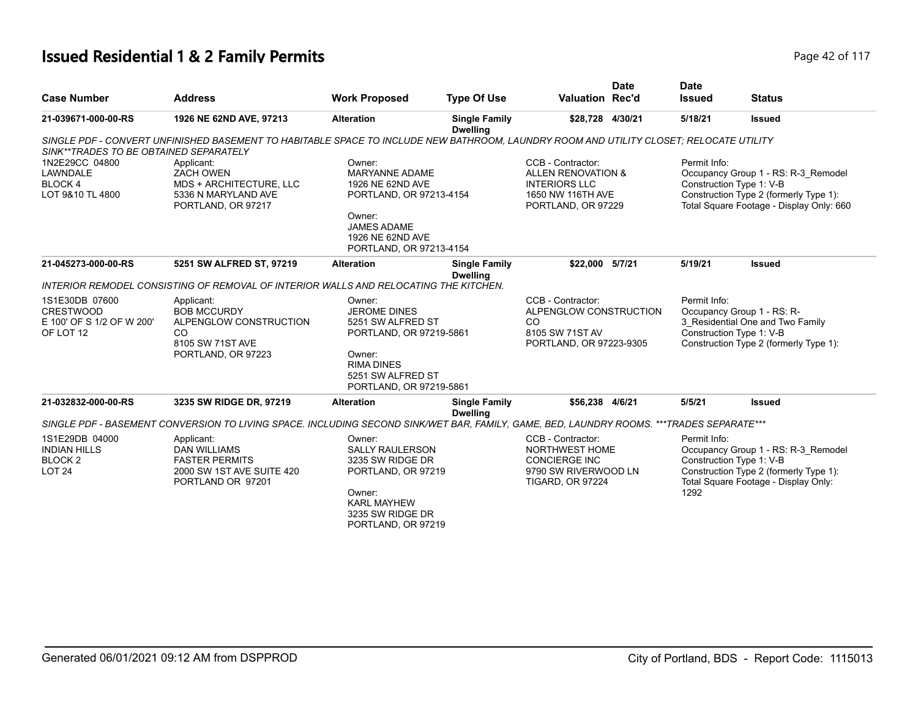# **Issued Residential 1 & 2 Family Permits Page 117 Page 42 of 117**

| <b>Case Number</b>                                                           | <b>Address</b>                                                                                                                           | <b>Work Proposed</b>                                                                                                                                          | <b>Type Of Use</b>                      | <b>Valuation Rec'd</b>                                                                                                | <b>Date</b> | <b>Date</b><br><b>Issued</b>                                                                                                                                          | <b>Status</b>                                                                                                                                     |  |
|------------------------------------------------------------------------------|------------------------------------------------------------------------------------------------------------------------------------------|---------------------------------------------------------------------------------------------------------------------------------------------------------------|-----------------------------------------|-----------------------------------------------------------------------------------------------------------------------|-------------|-----------------------------------------------------------------------------------------------------------------------------------------------------------------------|---------------------------------------------------------------------------------------------------------------------------------------------------|--|
| 21-039671-000-00-RS                                                          | 1926 NE 62ND AVE, 97213                                                                                                                  | <b>Alteration</b>                                                                                                                                             | <b>Single Family</b><br><b>Dwelling</b> | \$28,728 4/30/21                                                                                                      |             | 5/18/21                                                                                                                                                               | <b>Issued</b>                                                                                                                                     |  |
| SINK**TRADES TO BE OBTAINED SEPARATELY                                       | SINGLE PDF - CONVERT UNFINISHED BASEMENT TO HABITABLE SPACE TO INCLUDE NEW BATHROOM, LAUNDRY ROOM AND UTILITY CLOSET; RELOCATE UTILITY   |                                                                                                                                                               |                                         |                                                                                                                       |             |                                                                                                                                                                       |                                                                                                                                                   |  |
| 1N2E29CC 04800<br>LAWNDALE<br>BLOCK 4<br>LOT 9&10 TL 4800                    | Applicant:<br><b>ZACH OWEN</b><br>MDS + ARCHITECTURE, LLC<br>5336 N MARYLAND AVE<br>PORTLAND, OR 97217                                   | Owner:<br><b>MARYANNE ADAME</b><br>1926 NE 62ND AVE<br>PORTLAND, OR 97213-4154<br>Owner:<br><b>JAMES ADAME</b><br>1926 NE 62ND AVE<br>PORTLAND, OR 97213-4154 |                                         | CCB - Contractor:<br><b>ALLEN RENOVATION &amp;</b><br><b>INTERIORS LLC</b><br>1650 NW 116TH AVE<br>PORTLAND, OR 97229 |             | Permit Info:<br>Occupancy Group 1 - RS: R-3_Remodel<br>Construction Type 1: V-B<br>Construction Type 2 (formerly Type 1):<br>Total Square Footage - Display Only: 660 |                                                                                                                                                   |  |
| 21-045273-000-00-RS                                                          | 5251 SW ALFRED ST, 97219                                                                                                                 | <b>Alteration</b>                                                                                                                                             | <b>Single Family</b><br><b>Dwelling</b> | \$22,000 5/7/21                                                                                                       |             | 5/19/21                                                                                                                                                               | <b>Issued</b>                                                                                                                                     |  |
|                                                                              | INTERIOR REMODEL CONSISTING OF REMOVAL OF INTERIOR WALLS AND RELOCATING THE KITCHEN.                                                     |                                                                                                                                                               |                                         |                                                                                                                       |             |                                                                                                                                                                       |                                                                                                                                                   |  |
| 1S1E30DB 07600<br><b>CRESTWOOD</b><br>E 100' OF S 1/2 OF W 200'<br>OF LOT 12 | Applicant:<br><b>BOB MCCURDY</b><br>ALPENGLOW CONSTRUCTION<br><b>CO</b><br>8105 SW 71ST AVE<br>PORTLAND, OR 97223                        | Owner:<br><b>JEROME DINES</b><br>5251 SW ALFRED ST<br>PORTLAND, OR 97219-5861<br>Owner:<br><b>RIMA DINES</b><br>5251 SW ALFRED ST<br>PORTLAND, OR 97219-5861  |                                         | CCB - Contractor:<br>ALPENGLOW CONSTRUCTION<br><sub>CO</sub><br>8105 SW 71ST AV<br>PORTLAND, OR 97223-9305            |             | Permit Info:                                                                                                                                                          | Occupancy Group 1 - RS: R-<br>3_Residential One and Two Family<br>Construction Type 1: V-B<br>Construction Type 2 (formerly Type 1):              |  |
| 21-032832-000-00-RS                                                          | 3235 SW RIDGE DR, 97219                                                                                                                  | <b>Alteration</b>                                                                                                                                             | <b>Single Family</b>                    | \$56,238 4/6/21                                                                                                       |             | 5/5/21                                                                                                                                                                | <b>Issued</b>                                                                                                                                     |  |
|                                                                              | SINGLE PDF - BASEMENT CONVERSION TO LIVING SPACE. INCLUDING SECOND SINK/WET BAR, FAMILY, GAME, BED, LAUNDRY ROOMS. ***TRADES SEPARATE*** |                                                                                                                                                               | <b>Dwelling</b>                         |                                                                                                                       |             |                                                                                                                                                                       |                                                                                                                                                   |  |
| 1S1E29DB 04000<br><b>INDIAN HILLS</b><br>BLOCK <sub>2</sub><br><b>LOT 24</b> | Applicant:<br><b>DAN WILLIAMS</b><br><b>FASTER PERMITS</b><br>2000 SW 1ST AVE SUITE 420<br>PORTLAND OR 97201                             | Owner:<br><b>SALLY RAULERSON</b><br>3235 SW RIDGE DR<br>PORTLAND, OR 97219<br>Owner:<br><b>KARL MAYHEW</b><br>3235 SW RIDGE DR<br>PORTLAND, OR 97219          |                                         | CCB - Contractor:<br>NORTHWEST HOME<br><b>CONCIERGE INC</b><br>9790 SW RIVERWOOD LN<br><b>TIGARD, OR 97224</b>        |             | Permit Info:<br>1292                                                                                                                                                  | Occupancy Group 1 - RS: R-3 Remodel<br>Construction Type 1: V-B<br>Construction Type 2 (formerly Type 1):<br>Total Square Footage - Display Only: |  |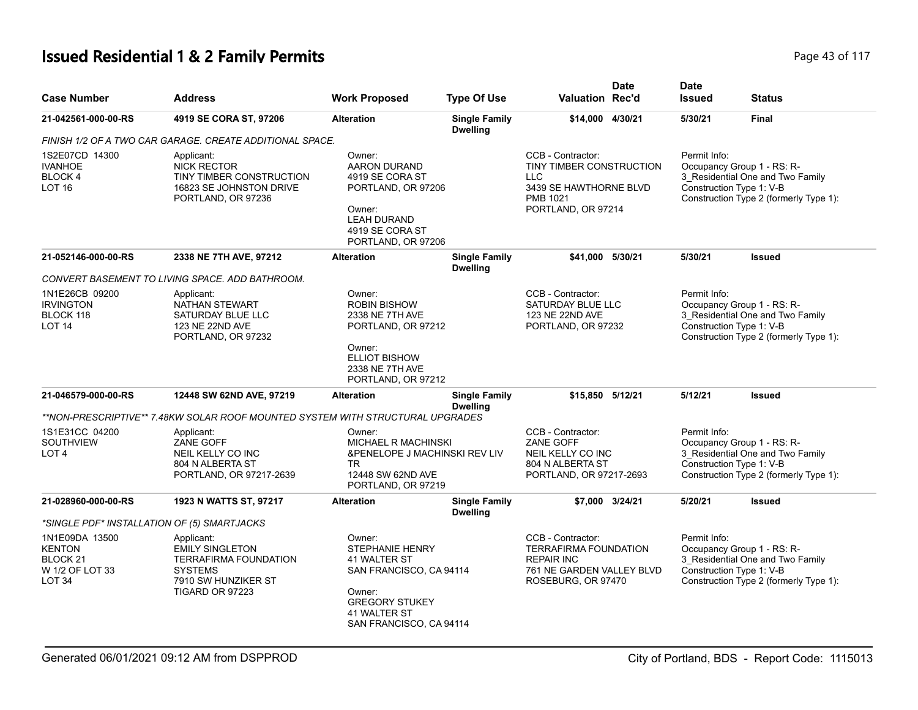# **Issued Residential 1 & 2 Family Permits Page 117 Page 43 of 117**

| <b>Case Number</b>                                                                             | <b>Address</b>                                                                                                                   | <b>Work Proposed</b>                                                                                                                               | <b>Type Of Use</b>                      | <b>Valuation Rec'd</b>                                                                                                                                 | <b>Date</b> | <b>Date</b><br><b>Issued</b> | <b>Status</b>                                                                                                                        |  |
|------------------------------------------------------------------------------------------------|----------------------------------------------------------------------------------------------------------------------------------|----------------------------------------------------------------------------------------------------------------------------------------------------|-----------------------------------------|--------------------------------------------------------------------------------------------------------------------------------------------------------|-------------|------------------------------|--------------------------------------------------------------------------------------------------------------------------------------|--|
| 21-042561-000-00-RS                                                                            | 4919 SE CORA ST, 97206                                                                                                           | <b>Alteration</b>                                                                                                                                  | <b>Single Family</b><br><b>Dwelling</b> | \$14,000 4/30/21                                                                                                                                       |             | 5/30/21                      | <b>Final</b>                                                                                                                         |  |
|                                                                                                | FINISH 1/2 OF A TWO CAR GARAGE. CREATE ADDITIONAL SPACE.                                                                         |                                                                                                                                                    |                                         |                                                                                                                                                        |             |                              |                                                                                                                                      |  |
| 1S2E07CD 14300<br><b>IVANHOE</b><br>BLOCK 4<br><b>LOT 16</b>                                   | Applicant:<br><b>NICK RECTOR</b><br>TINY TIMBER CONSTRUCTION<br>16823 SE JOHNSTON DRIVE<br>PORTLAND, OR 97236                    | Owner:<br>AARON DURAND<br>4919 SE CORA ST<br>PORTLAND, OR 97206<br>Owner:<br><b>LEAH DURAND</b><br>4919 SE CORA ST<br>PORTLAND, OR 97206           |                                         | CCB - Contractor:<br>TINY TIMBER CONSTRUCTION<br><b>LLC</b><br>3439 SE HAWTHORNE BLVD<br>PMB 1021<br>PORTLAND, OR 97214<br>\$41,000 5/30/21<br>5/30/21 |             | Permit Info:                 | Occupancy Group 1 - RS: R-<br>3_Residential One and Two Family<br>Construction Type 1: V-B<br>Construction Type 2 (formerly Type 1): |  |
| 21-052146-000-00-RS                                                                            | 2338 NE 7TH AVE, 97212                                                                                                           | <b>Alteration</b>                                                                                                                                  | <b>Single Family</b><br><b>Dwelling</b> |                                                                                                                                                        |             |                              | <b>Issued</b>                                                                                                                        |  |
|                                                                                                | CONVERT BASEMENT TO LIVING SPACE. ADD BATHROOM.                                                                                  |                                                                                                                                                    |                                         |                                                                                                                                                        |             |                              |                                                                                                                                      |  |
| 1N1E26CB 09200<br><b>IRVINGTON</b><br>BLOCK 118<br><b>LOT 14</b>                               | Applicant:<br>NATHAN STEWART<br>SATURDAY BLUE LLC<br>123 NE 22ND AVE<br>PORTLAND, OR 97232                                       | Owner:<br><b>ROBIN BISHOW</b><br>2338 NE 7TH AVE<br>PORTLAND, OR 97212<br>Owner:<br><b>ELLIOT BISHOW</b><br>2338 NE 7TH AVE<br>PORTLAND, OR 97212  |                                         | CCB - Contractor:<br>SATURDAY BLUE LLC<br>123 NE 22ND AVE<br>PORTLAND, OR 97232                                                                        |             | Permit Info:                 | Occupancy Group 1 - RS: R-<br>3 Residential One and Two Family<br>Construction Type 1: V-B<br>Construction Type 2 (formerly Type 1): |  |
| 21-046579-000-00-RS                                                                            | 12448 SW 62ND AVE, 97219                                                                                                         | <b>Alteration</b>                                                                                                                                  | <b>Single Family</b><br><b>Dwelling</b> | \$15.850                                                                                                                                               | 5/12/21     | 5/12/21                      | <b>Issued</b>                                                                                                                        |  |
|                                                                                                | **NON-PRESCRIPTIVE** 7.48KW SOLAR ROOF MOUNTED SYSTEM WITH STRUCTURAL UPGRADES                                                   |                                                                                                                                                    |                                         |                                                                                                                                                        |             |                              |                                                                                                                                      |  |
| 1S1E31CC 04200<br><b>SOUTHVIEW</b><br>LOT <sub>4</sub>                                         | Applicant:<br>ZANE GOFF<br>NEIL KELLY CO INC<br>804 N ALBERTA ST<br>PORTLAND, OR 97217-2639                                      | Owner:<br>MICHAEL R MACHINSKI<br><b>&amp;PENELOPE J MACHINSKI REV LIV</b><br>TR.<br>12448 SW 62ND AVE<br>PORTLAND, OR 97219                        |                                         | CCB - Contractor:<br>ZANE GOFF<br>NEIL KELLY CO INC<br>804 N ALBERTA ST<br>PORTLAND, OR 97217-2693                                                     |             | Permit Info:                 | Occupancy Group 1 - RS: R-<br>3 Residential One and Two Family<br>Construction Type 1: V-B<br>Construction Type 2 (formerly Type 1): |  |
| 21-028960-000-00-RS                                                                            | 1923 N WATTS ST, 97217                                                                                                           | <b>Alteration</b>                                                                                                                                  | <b>Single Family</b><br><b>Dwelling</b> | \$7.000 3/24/21                                                                                                                                        |             | 5/20/21                      | <b>Issued</b>                                                                                                                        |  |
|                                                                                                | *SINGLE PDF* INSTALLATION OF (5) SMARTJACKS                                                                                      |                                                                                                                                                    |                                         |                                                                                                                                                        |             |                              |                                                                                                                                      |  |
| 1N1E09DA 13500<br><b>KENTON</b><br>BLOCK <sub>21</sub><br>W 1/2 OF LOT 33<br>LOT <sub>34</sub> | Applicant:<br><b>EMILY SINGLETON</b><br><b>TERRAFIRMA FOUNDATION</b><br><b>SYSTEMS</b><br>7910 SW HUNZIKER ST<br>TIGARD OR 97223 | Owner:<br>STEPHANIE HENRY<br>41 WALTER ST<br>SAN FRANCISCO, CA 94114<br>Owner:<br><b>GREGORY STUKEY</b><br>41 WALTER ST<br>SAN FRANCISCO, CA 94114 |                                         | CCB - Contractor:<br><b>TERRAFIRMA FOUNDATION</b><br><b>REPAIR INC</b><br>761 NE GARDEN VALLEY BLVD<br>ROSEBURG, OR 97470                              |             | Permit Info:                 | Occupancy Group 1 - RS: R-<br>3 Residential One and Two Family<br>Construction Type 1: V-B<br>Construction Type 2 (formerly Type 1): |  |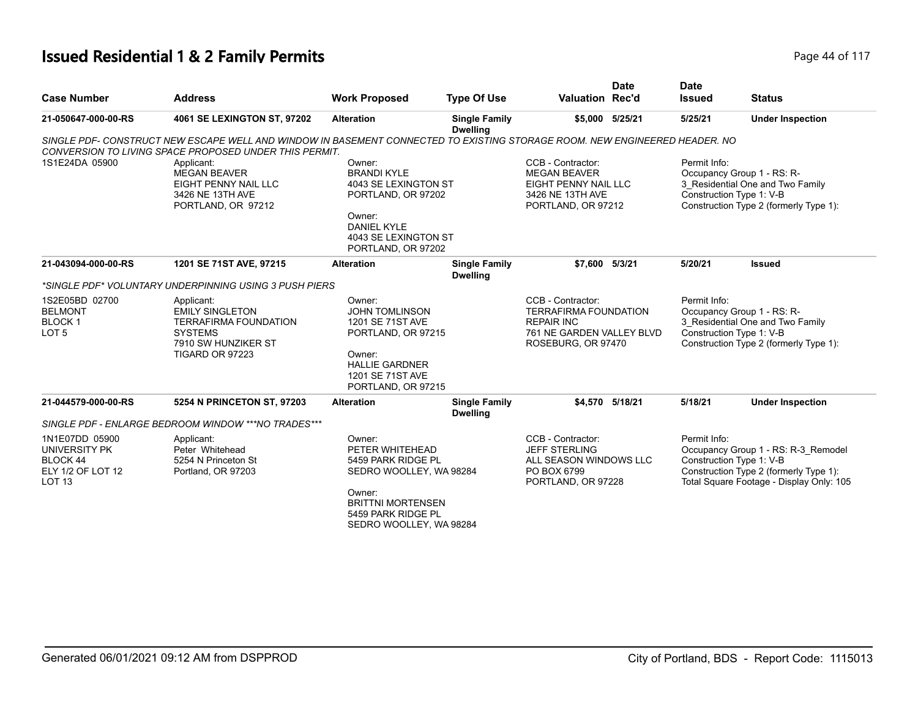# **Issued Residential 1 & 2 Family Permits Page 14 of 117** Page 44 of 117

| <b>Case Number</b>                                                                           | <b>Address</b>                                                                                                                                                                       | <b>Work Proposed</b>                                                                                                                                              | <b>Type Of Use</b>                      | Valuation Rec'd                                                                                                           | <b>Date</b>     | <b>Date</b><br><b>Issued</b> | <b>Status</b>                                                                                                                                         |
|----------------------------------------------------------------------------------------------|--------------------------------------------------------------------------------------------------------------------------------------------------------------------------------------|-------------------------------------------------------------------------------------------------------------------------------------------------------------------|-----------------------------------------|---------------------------------------------------------------------------------------------------------------------------|-----------------|------------------------------|-------------------------------------------------------------------------------------------------------------------------------------------------------|
| 21-050647-000-00-RS                                                                          | 4061 SE LEXINGTON ST, 97202                                                                                                                                                          | <b>Alteration</b>                                                                                                                                                 | <b>Single Family</b><br><b>Dwelling</b> |                                                                                                                           | \$5,000 5/25/21 | 5/25/21                      | <b>Under Inspection</b>                                                                                                                               |
|                                                                                              | SINGLE PDF- CONSTRUCT NEW ESCAPE WELL AND WINDOW IN BASEMENT CONNECTED TO EXISTING STORAGE ROOM. NEW ENGINEERED HEADER. NO<br>CONVERSION TO LIVING SPACE PROPOSED UNDER THIS PERMIT. |                                                                                                                                                                   |                                         |                                                                                                                           |                 |                              |                                                                                                                                                       |
| 1S1E24DA 05900                                                                               | Applicant:<br><b>MEGAN BEAVER</b><br>EIGHT PENNY NAIL LLC<br>3426 NE 13TH AVE<br>PORTLAND, OR 97212                                                                                  | Owner:<br><b>BRANDI KYLE</b><br>4043 SE LEXINGTON ST<br>PORTLAND, OR 97202<br>Owner:<br><b>DANIEL KYLE</b><br>4043 SE LEXINGTON ST<br>PORTLAND, OR 97202          |                                         | CCB - Contractor:<br><b>MEGAN BEAVER</b><br>EIGHT PENNY NAIL LLC<br>3426 NE 13TH AVE<br>PORTLAND, OR 97212                |                 | Permit Info:                 | Occupancy Group 1 - RS: R-<br>3_Residential One and Two Family<br>Construction Type 1: V-B<br>Construction Type 2 (formerly Type 1):                  |
| 21-043094-000-00-RS                                                                          | 1201 SE 71ST AVE, 97215                                                                                                                                                              | <b>Alteration</b>                                                                                                                                                 | <b>Single Family</b><br><b>Dwelling</b> | \$7.600 5/3/21                                                                                                            |                 | 5/20/21                      | <b>Issued</b>                                                                                                                                         |
|                                                                                              | *SINGLE PDF* VOLUNTARY UNDERPINNING USING 3 PUSH PIERS                                                                                                                               |                                                                                                                                                                   |                                         |                                                                                                                           |                 |                              |                                                                                                                                                       |
| 1S2E05BD 02700<br><b>BELMONT</b><br><b>BLOCK1</b><br>LOT <sub>5</sub>                        | Applicant:<br><b>EMILY SINGLETON</b><br><b>TERRAFIRMA FOUNDATION</b><br><b>SYSTEMS</b><br>7910 SW HUNZIKER ST<br>TIGARD OR 97223                                                     | Owner:<br><b>JOHN TOMLINSON</b><br>1201 SE 71ST AVE<br>PORTLAND, OR 97215<br>Owner:<br><b>HALLIE GARDNER</b><br>1201 SE 71ST AVE<br>PORTLAND, OR 97215            |                                         | CCB - Contractor:<br><b>TERRAFIRMA FOUNDATION</b><br><b>REPAIR INC</b><br>761 NE GARDEN VALLEY BLVD<br>ROSEBURG, OR 97470 |                 | Permit Info:                 | Occupancy Group 1 - RS: R-<br>3_Residential One and Two Family<br>Construction Type 1: V-B<br>Construction Type 2 (formerly Type 1):                  |
| 21-044579-000-00-RS                                                                          | 5254 N PRINCETON ST, 97203                                                                                                                                                           | <b>Alteration</b>                                                                                                                                                 | <b>Single Family</b><br><b>Dwelling</b> |                                                                                                                           | \$4.570 5/18/21 | 5/18/21                      | <b>Under Inspection</b>                                                                                                                               |
|                                                                                              | SINGLE PDF - ENLARGE BEDROOM WINDOW ***NO TRADES***                                                                                                                                  |                                                                                                                                                                   |                                         |                                                                                                                           |                 |                              |                                                                                                                                                       |
| 1N1E07DD 05900<br><b>UNIVERSITY PK</b><br>BLOCK 44<br>ELY 1/2 OF LOT 12<br>LOT <sub>13</sub> | Applicant:<br>Peter Whitehead<br>5254 N Princeton St<br>Portland, OR 97203                                                                                                           | Owner:<br>PETER WHITEHEAD<br>5459 PARK RIDGE PL<br>SEDRO WOOLLEY, WA 98284<br>Owner:<br><b>BRITTNI MORTENSEN</b><br>5459 PARK RIDGE PL<br>SEDRO WOOLLEY, WA 98284 |                                         | CCB - Contractor:<br><b>JEFF STERLING</b><br>ALL SEASON WINDOWS LLC<br>PO BOX 6799<br>PORTLAND, OR 97228                  |                 | Permit Info:                 | Occupancy Group 1 - RS: R-3_Remodel<br>Construction Type 1: V-B<br>Construction Type 2 (formerly Type 1):<br>Total Square Footage - Display Only: 105 |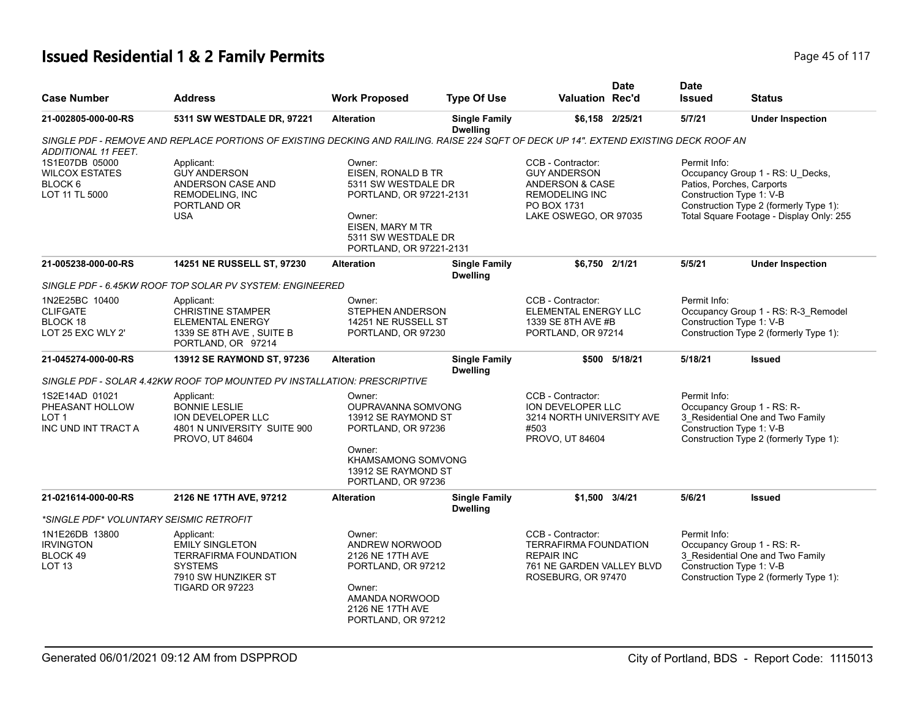# **Issued Residential 1 & 2 Family Permits Page 15 of 117** Page 45 of 117

| <b>Case Number</b>                                                           | Address                                                                                                                                 | <b>Work Proposed</b>                                                                                                                                           | <b>Type Of Use</b>                      | <b>Valuation Rec'd</b>                                                                                                                  | <b>Date</b>     | <b>Date</b><br><b>Issued</b> | <b>Status</b>                                                                                                                                                                   |
|------------------------------------------------------------------------------|-----------------------------------------------------------------------------------------------------------------------------------------|----------------------------------------------------------------------------------------------------------------------------------------------------------------|-----------------------------------------|-----------------------------------------------------------------------------------------------------------------------------------------|-----------------|------------------------------|---------------------------------------------------------------------------------------------------------------------------------------------------------------------------------|
| 21-002805-000-00-RS                                                          | 5311 SW WESTDALE DR, 97221                                                                                                              | <b>Alteration</b>                                                                                                                                              | <b>Single Family</b><br><b>Dwelling</b> |                                                                                                                                         | \$6.158 2/25/21 | 5/7/21                       | <b>Under Inspection</b>                                                                                                                                                         |
| ADDITIONAL 11 FEET.                                                          | SINGLE PDF - REMOVE AND REPLACE PORTIONS OF EXISTING DECKING AND RAILING. RAISE 224 SQFT OF DECK UP 14". EXTEND EXISTING DECK ROOF AN   |                                                                                                                                                                |                                         |                                                                                                                                         |                 |                              |                                                                                                                                                                                 |
| 1S1E07DB 05000<br><b>WILCOX ESTATES</b><br>BLOCK 6<br>LOT 11 TL 5000         | Applicant:<br><b>GUY ANDERSON</b><br>ANDERSON CASE AND<br><b>REMODELING. INC</b><br>PORTLAND OR<br><b>USA</b>                           | Owner:<br>EISEN, RONALD B TR<br>5311 SW WESTDALE DR<br>PORTLAND, OR 97221-2131<br>Owner:<br>EISEN, MARY M TR<br>5311 SW WESTDALE DR<br>PORTLAND, OR 97221-2131 |                                         | CCB - Contractor:<br><b>GUY ANDERSON</b><br><b>ANDERSON &amp; CASE</b><br><b>REMODELING INC</b><br>PO BOX 1731<br>LAKE OSWEGO, OR 97035 |                 | Permit Info:                 | Occupancy Group 1 - RS: U_Decks,<br>Patios, Porches, Carports<br>Construction Type 1: V-B<br>Construction Type 2 (formerly Type 1):<br>Total Square Footage - Display Only: 255 |
| 21-005238-000-00-RS                                                          | 14251 NE RUSSELL ST, 97230                                                                                                              | <b>Alteration</b>                                                                                                                                              | <b>Single Family</b><br><b>Dwelling</b> | \$6.750 2/1/21                                                                                                                          |                 | 5/5/21                       | <b>Under Inspection</b>                                                                                                                                                         |
|                                                                              | SINGLE PDF - 6.45KW ROOF TOP SOLAR PV SYSTEM: ENGINEERED                                                                                |                                                                                                                                                                |                                         |                                                                                                                                         |                 |                              |                                                                                                                                                                                 |
| 1N2E25BC 10400<br><b>CLIFGATE</b><br>BLOCK 18<br>LOT 25 EXC WLY 2'           | Applicant:<br><b>CHRISTINE STAMPER</b><br><b>ELEMENTAL ENERGY</b><br>1339 SE 8TH AVE, SUITE B<br>PORTLAND, OR 97214                     | Owner:<br>STEPHEN ANDERSON<br>14251 NE RUSSELL ST<br>PORTLAND, OR 97230                                                                                        |                                         | CCB - Contractor:<br>ELEMENTAL ENERGY LLC<br>1339 SE 8TH AVE #B<br>PORTLAND, OR 97214                                                   |                 | Permit Info:                 | Occupancy Group 1 - RS: R-3_Remodel<br>Construction Type 1: V-B<br>Construction Type 2 (formerly Type 1):                                                                       |
| 21-045274-000-00-RS                                                          | 13912 SE RAYMOND ST, 97236                                                                                                              | <b>Alteration</b>                                                                                                                                              | <b>Single Family</b><br><b>Dwelling</b> | \$500                                                                                                                                   | 5/18/21         | 5/18/21                      | <b>Issued</b>                                                                                                                                                                   |
|                                                                              | SINGLE PDF - SOLAR 4.42KW ROOF TOP MOUNTED PV INSTALLATION: PRESCRIPTIVE                                                                |                                                                                                                                                                |                                         |                                                                                                                                         |                 |                              |                                                                                                                                                                                 |
| 1S2E14AD 01021<br>PHEASANT HOLLOW<br>LOT <sub>1</sub><br>INC UND INT TRACT A | Applicant:<br><b>BONNIE LESLIE</b><br>ION DEVELOPER LLC<br>4801 N UNIVERSITY SUITE 900<br>PROVO, UT 84604                               | Owner:<br>OUPRAVANNA SOMVONG<br>13912 SE RAYMOND ST<br>PORTLAND, OR 97236<br>Owner:<br><b>KHAMSAMONG SOMVONG</b><br>13912 SE RAYMOND ST<br>PORTLAND, OR 97236  |                                         | CCB - Contractor:<br>ION DEVELOPER LLC<br>3214 NORTH UNIVERSITY AVE<br>#503<br>PROVO, UT 84604                                          |                 | Permit Info:                 | Occupancy Group 1 - RS: R-<br>3 Residential One and Two Family<br>Construction Type 1: V-B<br>Construction Type 2 (formerly Type 1):                                            |
| 21-021614-000-00-RS                                                          | 2126 NE 17TH AVE, 97212                                                                                                                 | <b>Alteration</b>                                                                                                                                              | <b>Single Family</b><br><b>Dwelling</b> | \$1.500 3/4/21                                                                                                                          |                 | 5/6/21                       | <b>Issued</b>                                                                                                                                                                   |
| *SINGLE PDF* VOLUNTARY SEISMIC RETROFIT                                      |                                                                                                                                         |                                                                                                                                                                |                                         |                                                                                                                                         |                 |                              |                                                                                                                                                                                 |
| 1N1E26DB 13800<br><b>IRVINGTON</b><br>BLOCK 49<br>LOT <sub>13</sub>          | Applicant:<br><b>EMILY SINGLETON</b><br><b>TERRAFIRMA FOUNDATION</b><br><b>SYSTEMS</b><br>7910 SW HUNZIKER ST<br><b>TIGARD OR 97223</b> | Owner:<br><b>ANDREW NORWOOD</b><br>2126 NE 17TH AVE<br>PORTLAND, OR 97212<br>Owner:<br>AMANDA NORWOOD<br>2126 NE 17TH AVE<br>PORTLAND, OR 97212                |                                         | CCB - Contractor:<br><b>TERRAFIRMA FOUNDATION</b><br><b>REPAIR INC</b><br>761 NE GARDEN VALLEY BLVD<br>ROSEBURG, OR 97470               |                 | Permit Info:                 | Occupancy Group 1 - RS: R-<br>3_Residential One and Two Family<br>Construction Type 1: V-B<br>Construction Type 2 (formerly Type 1):                                            |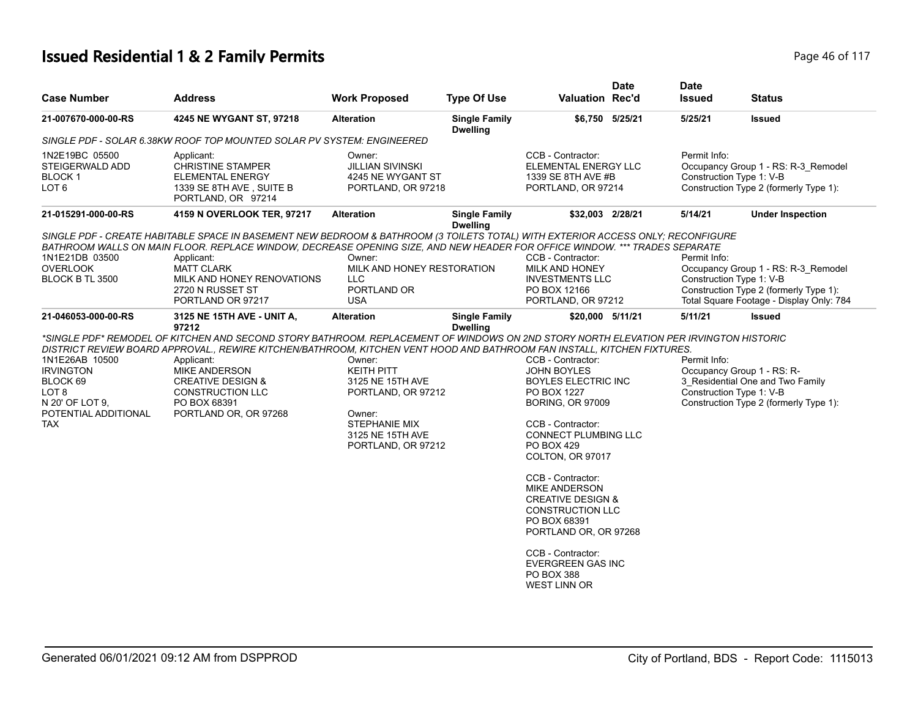# **Issued Residential 1 & 2 Family Permits Page 16 of 117** Page 46 of 117

| <b>Case Number</b>                                                                                               | <b>Address</b>                                                                                                                                                                                                                                                                                                                                                                                                      | <b>Work Proposed</b>                                                                                                                       | <b>Type Of Use</b>                      | <b>Valuation Rec'd</b>                                                                                                                                                                                                                                                                                                                                                                                                                       | <b>Date</b> | <b>Date</b><br><b>Issued</b>             | <b>Status</b>                                                                                                             |
|------------------------------------------------------------------------------------------------------------------|---------------------------------------------------------------------------------------------------------------------------------------------------------------------------------------------------------------------------------------------------------------------------------------------------------------------------------------------------------------------------------------------------------------------|--------------------------------------------------------------------------------------------------------------------------------------------|-----------------------------------------|----------------------------------------------------------------------------------------------------------------------------------------------------------------------------------------------------------------------------------------------------------------------------------------------------------------------------------------------------------------------------------------------------------------------------------------------|-------------|------------------------------------------|---------------------------------------------------------------------------------------------------------------------------|
| 21-007670-000-00-RS                                                                                              | 4245 NE WYGANT ST, 97218                                                                                                                                                                                                                                                                                                                                                                                            | <b>Alteration</b>                                                                                                                          | <b>Single Family</b><br><b>Dwelling</b> | \$6,750 5/25/21                                                                                                                                                                                                                                                                                                                                                                                                                              |             | 5/25/21                                  | <b>Issued</b>                                                                                                             |
|                                                                                                                  | SINGLE PDF - SOLAR 6.38KW ROOF TOP MOUNTED SOLAR PV SYSTEM: ENGINEERED                                                                                                                                                                                                                                                                                                                                              |                                                                                                                                            |                                         |                                                                                                                                                                                                                                                                                                                                                                                                                                              |             |                                          |                                                                                                                           |
| 1N2E19BC 05500<br>STEIGERWALD ADD<br><b>BLOCK1</b><br>LOT <sub>6</sub>                                           | Applicant:<br><b>CHRISTINE STAMPER</b><br><b>ELEMENTAL ENERGY</b><br>1339 SE 8TH AVE, SUITE B<br>PORTLAND, OR 97214                                                                                                                                                                                                                                                                                                 | Owner:<br><b>JILLIAN SIVINSKI</b><br>4245 NE WYGANT ST<br>PORTLAND, OR 97218                                                               |                                         | CCB - Contractor:<br><b>ELEMENTAL ENERGY LLC</b><br>1339 SE 8TH AVE #B<br>PORTLAND, OR 97214                                                                                                                                                                                                                                                                                                                                                 |             | Permit Info:<br>Construction Type 1: V-B | Occupancy Group 1 - RS: R-3 Remodel<br>Construction Type 2 (formerly Type 1):                                             |
| 21-015291-000-00-RS                                                                                              | 4159 N OVERLOOK TER, 97217                                                                                                                                                                                                                                                                                                                                                                                          | <b>Alteration</b>                                                                                                                          | <b>Single Family</b><br><b>Dwelling</b> | \$32,003 2/28/21                                                                                                                                                                                                                                                                                                                                                                                                                             |             | 5/14/21                                  | <b>Under Inspection</b>                                                                                                   |
| 1N1E21DB 03500<br><b>OVERLOOK</b><br>BLOCK B TL 3500                                                             | SINGLE PDF - CREATE HABITABLE SPACE IN BASEMENT NEW BEDROOM & BATHROOM (3 TOILETS TOTAL) WITH EXTERIOR ACCESS ONLY; RECONFIGURE<br>BATHROOM WALLS ON MAIN FLOOR. REPLACE WINDOW, DECREASE OPENING SIZE, AND NEW HEADER FOR OFFICE WINDOW. *** TRADES SEPARATE<br>Applicant:<br><b>MATT CLARK</b><br>MILK AND HONEY RENOVATIONS<br>2720 N RUSSET ST<br>PORTLAND OR 97217                                             | Owner:<br>MILK AND HONEY RESTORATION<br><b>LLC</b><br>PORTLAND OR<br><b>USA</b>                                                            |                                         | CCB - Contractor:<br>MILK AND HONEY<br><b>INVESTMENTS LLC</b><br>PO BOX 12166<br>PORTLAND, OR 97212                                                                                                                                                                                                                                                                                                                                          |             | Permit Info:<br>Construction Type 1: V-B | Occupancy Group 1 - RS: R-3 Remodel<br>Construction Type 2 (formerly Type 1):<br>Total Square Footage - Display Only: 784 |
| 21-046053-000-00-RS                                                                                              | 3125 NE 15TH AVE - UNIT A,                                                                                                                                                                                                                                                                                                                                                                                          | <b>Alteration</b>                                                                                                                          | <b>Single Family</b>                    | \$20,000 5/11/21                                                                                                                                                                                                                                                                                                                                                                                                                             |             | 5/11/21                                  | <b>Issued</b>                                                                                                             |
| 1N1E26AB 10500<br><b>IRVINGTON</b><br>BLOCK 69<br>LOT 8<br>N 20' OF LOT 9.<br>POTENTIAL ADDITIONAL<br><b>TAX</b> | 97212<br>*SINGLE PDF* REMODEL OF KITCHEN AND SECOND STORY BATHROOM. REPLACEMENT OF WINDOWS ON 2ND STORY NORTH ELEVATION PER IRVINGTON HISTORIC<br>DISTRICT REVIEW BOARD APPROVAL., REWIRE KITCHEN/BATHROOM, KITCHEN VENT HOOD AND BATHROOM FAN INSTALL, KITCHEN FIXTURES.<br>Applicant:<br><b>MIKE ANDERSON</b><br><b>CREATIVE DESIGN &amp;</b><br><b>CONSTRUCTION LLC</b><br>PO BOX 68391<br>PORTLAND OR, OR 97268 | Owner:<br><b>KEITH PITT</b><br>3125 NE 15TH AVE<br>PORTLAND, OR 97212<br>Owner:<br>STEPHANIE MIX<br>3125 NE 15TH AVE<br>PORTLAND, OR 97212 | <b>Dwelling</b>                         | CCB - Contractor:<br><b>JOHN BOYLES</b><br><b>BOYLES ELECTRIC INC</b><br>PO BOX 1227<br><b>BORING, OR 97009</b><br>CCB - Contractor:<br><b>CONNECT PLUMBING LLC</b><br>PO BOX 429<br>COLTON, OR 97017<br>CCB - Contractor:<br><b>MIKE ANDERSON</b><br><b>CREATIVE DESIGN &amp;</b><br><b>CONSTRUCTION LLC</b><br>PO BOX 68391<br>PORTLAND OR, OR 97268<br>CCB - Contractor:<br>EVERGREEN GAS INC<br><b>PO BOX 388</b><br><b>WEST LINN OR</b> |             | Permit Info:<br>Construction Type 1: V-B | Occupancy Group 1 - RS: R-<br>3_Residential One and Two Family<br>Construction Type 2 (formerly Type 1):                  |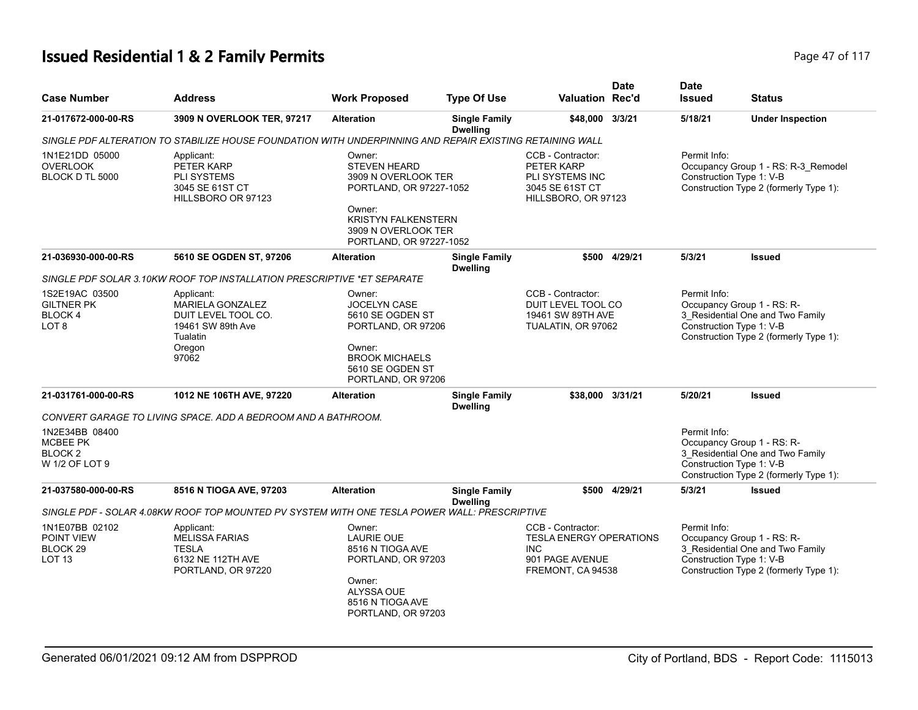# **Issued Residential 1 & 2 Family Permits Page 17 of 117 Page 47 of 117**

| <b>Case Number</b>                                                   | <b>Address</b>                                                                                                   | <b>Work Proposed</b>                                                                                                                                                      | <b>Type Of Use</b>                      | <b>Valuation Rec'd</b>                                                                                    | <b>Date</b>   | <b>Date</b><br><b>Issued</b>             | <b>Status</b>                                                                                            |
|----------------------------------------------------------------------|------------------------------------------------------------------------------------------------------------------|---------------------------------------------------------------------------------------------------------------------------------------------------------------------------|-----------------------------------------|-----------------------------------------------------------------------------------------------------------|---------------|------------------------------------------|----------------------------------------------------------------------------------------------------------|
| 21-017672-000-00-RS                                                  | 3909 N OVERLOOK TER, 97217                                                                                       | <b>Alteration</b>                                                                                                                                                         | <b>Single Family</b><br><b>Dwelling</b> | \$48,000 3/3/21                                                                                           |               | 5/18/21                                  | <b>Under Inspection</b>                                                                                  |
|                                                                      | SINGLE PDF ALTERATION TO STABILIZE HOUSE FOUNDATION WITH UNDERPINNING AND REPAIR EXISTING RETAINING WALL         |                                                                                                                                                                           |                                         |                                                                                                           |               |                                          |                                                                                                          |
| 1N1E21DD 05000<br><b>OVERLOOK</b><br>BLOCK D TL 5000                 | Applicant:<br>PETER KARP<br>PLI SYSTEMS<br>3045 SE 61ST CT<br>HILLSBORO OR 97123                                 | Owner:<br><b>STEVEN HEARD</b><br>3909 N OVERLOOK TER<br>PORTLAND, OR 97227-1052<br>Owner:<br><b>KRISTYN FALKENSTERN</b><br>3909 N OVERLOOK TER<br>PORTLAND, OR 97227-1052 |                                         | CCB - Contractor:<br>PETER KARP<br>PLI SYSTEMS INC<br>3045 SE 61ST CT<br>HILLSBORO, OR 97123              |               | Permit Info:<br>Construction Type 1: V-B | Occupancy Group 1 - RS: R-3_Remodel<br>Construction Type 2 (formerly Type 1):                            |
| 21-036930-000-00-RS                                                  | 5610 SE OGDEN ST, 97206                                                                                          | <b>Alteration</b>                                                                                                                                                         | <b>Single Family</b><br><b>Dwelling</b> |                                                                                                           | \$500 4/29/21 | 5/3/21                                   | <b>Issued</b>                                                                                            |
|                                                                      | SINGLE PDF SOLAR 3.10KW ROOF TOP INSTALLATION PRESCRIPTIVE *ET SEPARATE                                          |                                                                                                                                                                           |                                         |                                                                                                           |               |                                          |                                                                                                          |
| 1S2E19AC 03500<br><b>GILTNER PK</b><br><b>BLOCK4</b><br>LOT 8        | Applicant:<br><b>MARIELA GONZALEZ</b><br>DUIT LEVEL TOOL CO.<br>19461 SW 89th Ave<br>Tualatin<br>Oregon<br>97062 | Owner:<br><b>JOCELYN CASE</b><br>5610 SE OGDEN ST<br>PORTLAND, OR 97206<br>Owner:<br><b>BROOK MICHAELS</b><br>5610 SE OGDEN ST<br>PORTLAND, OR 97206                      |                                         | CCB - Contractor:<br>DUIT LEVEL TOOL CO<br>19461 SW 89TH AVE<br>TUALATIN, OR 97062                        |               | Permit Info:<br>Construction Type 1: V-B | Occupancy Group 1 - RS: R-<br>3 Residential One and Two Family<br>Construction Type 2 (formerly Type 1): |
| 21-031761-000-00-RS                                                  | 1012 NE 106TH AVE, 97220                                                                                         | <b>Alteration</b>                                                                                                                                                         | <b>Single Family</b><br><b>Dwelling</b> | \$38,000 3/31/21                                                                                          |               | 5/20/21                                  | <b>Issued</b>                                                                                            |
|                                                                      | CONVERT GARAGE TO LIVING SPACE. ADD A BEDROOM AND A BATHROOM.                                                    |                                                                                                                                                                           |                                         |                                                                                                           |               |                                          |                                                                                                          |
| 1N2E34BB 08400<br>MCBEE PK<br>BLOCK <sub>2</sub><br>W 1/2 OF LOT 9   |                                                                                                                  |                                                                                                                                                                           |                                         |                                                                                                           |               | Permit Info:<br>Construction Type 1: V-B | Occupancy Group 1 - RS: R-<br>3 Residential One and Two Family<br>Construction Type 2 (formerly Type 1): |
| 21-037580-000-00-RS                                                  | 8516 N TIOGA AVE, 97203                                                                                          | <b>Alteration</b>                                                                                                                                                         | <b>Single Family</b><br><b>Dwelling</b> |                                                                                                           | \$500 4/29/21 | 5/3/21                                   | <b>Issued</b>                                                                                            |
|                                                                      | SINGLE PDF - SOLAR 4.08KW ROOF TOP MOUNTED PV SYSTEM WITH ONE TESLA POWER WALL: PRESCRIPTIVE                     |                                                                                                                                                                           |                                         |                                                                                                           |               |                                          |                                                                                                          |
| 1N1E07BB 02102<br>POINT VIEW<br>BLOCK <sub>29</sub><br><b>LOT 13</b> | Applicant:<br><b>MELISSA FARIAS</b><br><b>TESLA</b><br>6132 NE 112TH AVE<br>PORTLAND, OR 97220                   | Owner:<br><b>LAURIE OUE</b><br>8516 N TIOGA AVE<br>PORTLAND, OR 97203<br>Owner:<br>ALYSSA OUE<br>8516 N TIOGA AVE<br>PORTLAND, OR 97203                                   |                                         | CCB - Contractor:<br><b>TESLA ENERGY OPERATIONS</b><br><b>INC</b><br>901 PAGE AVENUE<br>FREMONT, CA 94538 |               | Permit Info:<br>Construction Type 1: V-B | Occupancy Group 1 - RS: R-<br>3 Residential One and Two Family<br>Construction Type 2 (formerly Type 1): |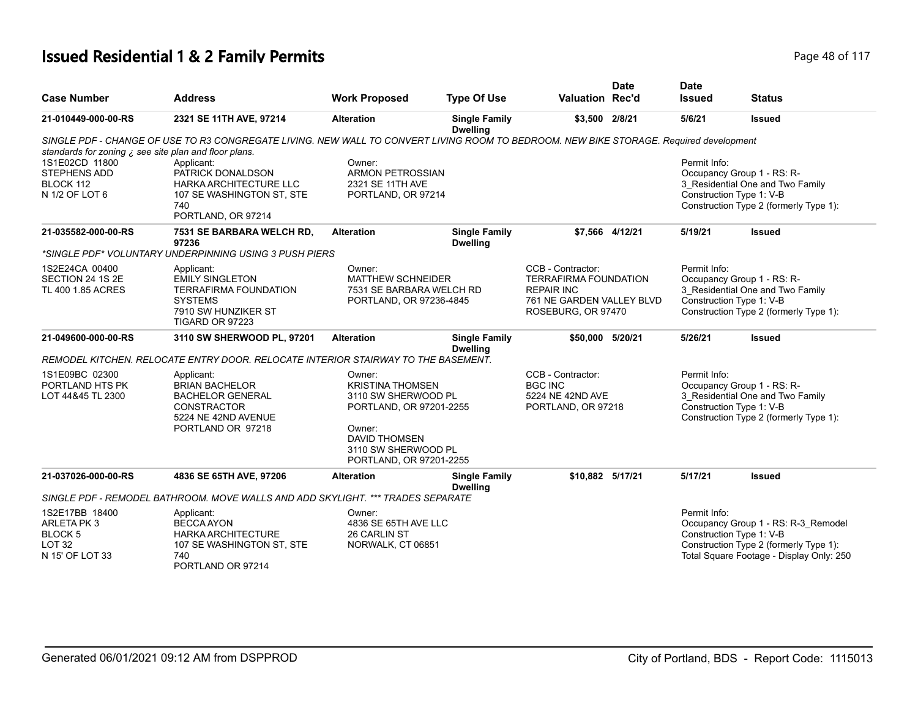# **Issued Residential 1 & 2 Family Permits Page 18 of 117** Page 48 of 117

| <b>Case Number</b>                                                                     | <b>Address</b>                                                                                                                         | <b>Work Proposed</b>                                                                                                                                                    | <b>Type Of Use</b>                      | <b>Valuation Rec'd</b>                                                                                                    | <b>Date</b>     | <b>Date</b><br><b>Issued</b>             | <b>Status</b>                                                                                                             |
|----------------------------------------------------------------------------------------|----------------------------------------------------------------------------------------------------------------------------------------|-------------------------------------------------------------------------------------------------------------------------------------------------------------------------|-----------------------------------------|---------------------------------------------------------------------------------------------------------------------------|-----------------|------------------------------------------|---------------------------------------------------------------------------------------------------------------------------|
| 21-010449-000-00-RS                                                                    | 2321 SE 11TH AVE, 97214                                                                                                                | <b>Alteration</b>                                                                                                                                                       | <b>Single Family</b><br><b>Dwelling</b> | \$3,500 2/8/21                                                                                                            |                 | 5/6/21                                   | <b>Issued</b>                                                                                                             |
| standards for zoning $\chi$ see site plan and floor plans.                             | SINGLE PDF - CHANGE OF USE TO R3 CONGREGATE LIVING. NEW WALL TO CONVERT LIVING ROOM TO BEDROOM. NEW BIKE STORAGE. Required development |                                                                                                                                                                         |                                         |                                                                                                                           |                 |                                          |                                                                                                                           |
| 1S1E02CD 11800<br><b>STEPHENS ADD</b><br>BLOCK 112<br>N 1/2 OF LOT 6                   | Applicant:<br>PATRICK DONALDSON<br>HARKA ARCHITECTURE LLC<br>107 SE WASHINGTON ST, STE<br>740<br>PORTLAND, OR 97214                    | Owner:<br><b>ARMON PETROSSIAN</b><br>2321 SE 11TH AVE<br>PORTLAND, OR 97214                                                                                             |                                         |                                                                                                                           |                 | Permit Info:<br>Construction Type 1: V-B | Occupancy Group 1 - RS: R-<br>3 Residential One and Two Family<br>Construction Type 2 (formerly Type 1):                  |
| 21-035582-000-00-RS                                                                    | 7531 SE BARBARA WELCH RD,<br>97236                                                                                                     | <b>Alteration</b>                                                                                                                                                       | <b>Single Family</b><br><b>Dwelling</b> |                                                                                                                           | \$7,566 4/12/21 | 5/19/21                                  | <b>Issued</b>                                                                                                             |
|                                                                                        | *SINGLE PDF* VOLUNTARY UNDERPINNING USING 3 PUSH PIERS                                                                                 |                                                                                                                                                                         |                                         |                                                                                                                           |                 |                                          |                                                                                                                           |
| 1S2E24CA 00400<br>SECTION 24 1S 2E<br>TL 400 1.85 ACRES                                | Applicant:<br><b>EMILY SINGLETON</b><br><b>TERRAFIRMA FOUNDATION</b><br><b>SYSTEMS</b><br>7910 SW HUNZIKER ST<br>TIGARD OR 97223       | Owner:<br><b>MATTHEW SCHNEIDER</b><br>7531 SE BARBARA WELCH RD<br>PORTLAND, OR 97236-4845                                                                               |                                         | CCB - Contractor:<br><b>TERRAFIRMA FOUNDATION</b><br><b>REPAIR INC</b><br>761 NE GARDEN VALLEY BLVD<br>ROSEBURG, OR 97470 |                 | Permit Info:<br>Construction Type 1: V-B | Occupancy Group 1 - RS: R-<br>3 Residential One and Two Family<br>Construction Type 2 (formerly Type 1):                  |
| 21-049600-000-00-RS                                                                    | 3110 SW SHERWOOD PL, 97201                                                                                                             | <b>Alteration</b>                                                                                                                                                       | <b>Single Family</b><br><b>Dwelling</b> | \$50,000 5/20/21                                                                                                          |                 | 5/26/21                                  | <b>Issued</b>                                                                                                             |
|                                                                                        | REMODEL KITCHEN. RELOCATE ENTRY DOOR. RELOCATE INTERIOR STAIRWAY TO THE BASEMENT.                                                      |                                                                                                                                                                         |                                         |                                                                                                                           |                 |                                          |                                                                                                                           |
| 1S1E09BC 02300<br>PORTLAND HTS PK<br>LOT 44&45 TL 2300                                 | Applicant:<br><b>BRIAN BACHELOR</b><br><b>BACHELOR GENERAL</b><br><b>CONSTRACTOR</b><br>5224 NE 42ND AVENUE<br>PORTLAND OR 97218       | Owner:<br><b>KRISTINA THOMSEN</b><br>3110 SW SHERWOOD PL<br>PORTLAND, OR 97201-2255<br>Owner:<br><b>DAVID THOMSEN</b><br>3110 SW SHERWOOD PL<br>PORTLAND, OR 97201-2255 |                                         | CCB - Contractor:<br><b>BGC INC</b><br>5224 NE 42ND AVE<br>PORTLAND, OR 97218                                             |                 | Permit Info:<br>Construction Type 1: V-B | Occupancy Group 1 - RS: R-<br>3_Residential One and Two Family<br>Construction Type 2 (formerly Type 1):                  |
| 21-037026-000-00-RS                                                                    | 4836 SE 65TH AVE, 97206                                                                                                                | <b>Alteration</b>                                                                                                                                                       | <b>Single Family</b><br><b>Dwelling</b> | \$10,882 5/17/21                                                                                                          |                 | 5/17/21                                  | <b>Issued</b>                                                                                                             |
|                                                                                        | SINGLE PDF - REMODEL BATHROOM. MOVE WALLS AND ADD SKYLIGHT. *** TRADES SEPARATE                                                        |                                                                                                                                                                         |                                         |                                                                                                                           |                 |                                          |                                                                                                                           |
| 1S2E17BB 18400<br>ARLETA PK3<br><b>BLOCK 5</b><br>LOT <sub>32</sub><br>N 15' OF LOT 33 | Applicant:<br><b>BECCA AYON</b><br><b>HARKA ARCHITECTURE</b><br>107 SE WASHINGTON ST, STE<br>740<br>PORTLAND OR 97214                  | Owner:<br>4836 SE 65TH AVE LLC<br>26 CARLIN ST<br>NORWALK, CT 06851                                                                                                     |                                         |                                                                                                                           |                 | Permit Info:<br>Construction Type 1: V-B | Occupancy Group 1 - RS: R-3_Remodel<br>Construction Type 2 (formerly Type 1):<br>Total Square Footage - Display Only: 250 |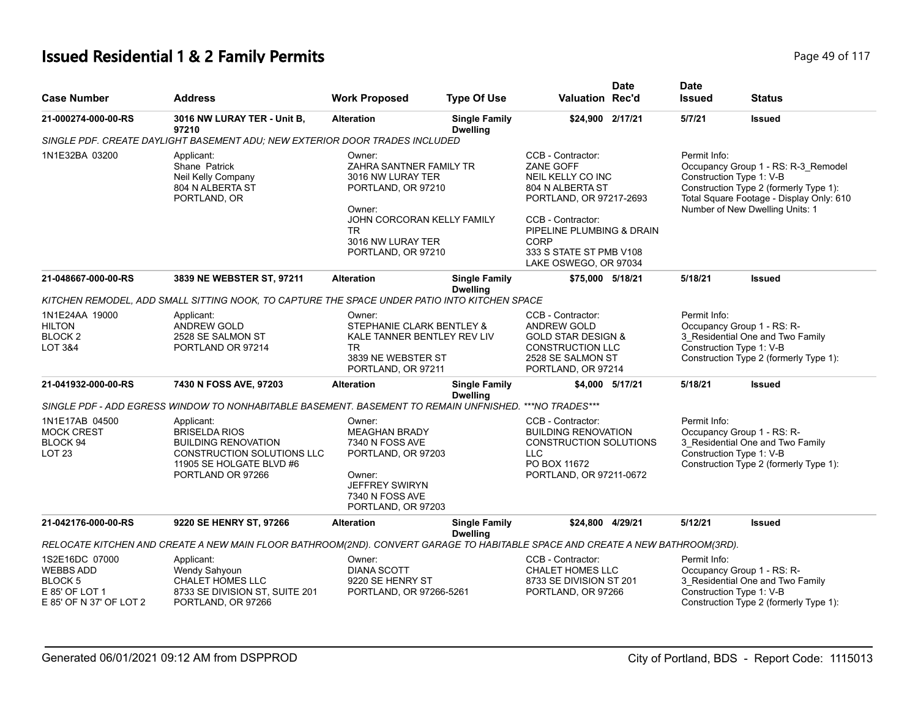# **Issued Residential 1 & 2 Family Permits**

| Page 49 of 117 |  |  |  |  |  |
|----------------|--|--|--|--|--|
|----------------|--|--|--|--|--|

| <b>Case Number</b>                                                                                | <b>Address</b>                                                                                                                                         | <b>Work Proposed</b>                                                                                                                                                  | <b>Type Of Use</b>                      | <b>Valuation Rec'd</b>                                                                                                                                                                                           | <b>Date</b>     | <b>Date</b><br><b>Issued</b>             | <b>Status</b>                                                                                                                                                |
|---------------------------------------------------------------------------------------------------|--------------------------------------------------------------------------------------------------------------------------------------------------------|-----------------------------------------------------------------------------------------------------------------------------------------------------------------------|-----------------------------------------|------------------------------------------------------------------------------------------------------------------------------------------------------------------------------------------------------------------|-----------------|------------------------------------------|--------------------------------------------------------------------------------------------------------------------------------------------------------------|
| 21-000274-000-00-RS                                                                               | 3016 NW LURAY TER - Unit B,<br>97210                                                                                                                   | <b>Alteration</b>                                                                                                                                                     | <b>Single Family</b><br><b>Dwelling</b> | \$24,900 2/17/21                                                                                                                                                                                                 |                 | 5/7/21                                   | <b>Issued</b>                                                                                                                                                |
|                                                                                                   | SINGLE PDF. CREATE DAYLIGHT BASEMENT ADU; NEW EXTERIOR DOOR TRADES INCLUDED                                                                            |                                                                                                                                                                       |                                         |                                                                                                                                                                                                                  |                 |                                          |                                                                                                                                                              |
| 1N1E32BA 03200                                                                                    | Applicant:<br>Shane Patrick<br>Neil Kelly Company<br>804 N ALBERTA ST<br>PORTLAND, OR                                                                  | Owner:<br>ZAHRA SANTNER FAMILY TR<br>3016 NW LURAY TER<br>PORTLAND, OR 97210<br>Owner:<br>JOHN CORCORAN KELLY FAMILY<br>TR<br>3016 NW LURAY TER<br>PORTLAND, OR 97210 |                                         | CCB - Contractor:<br>ZANE GOFF<br>NEIL KELLY CO INC<br>804 N ALBERTA ST<br>PORTLAND, OR 97217-2693<br>CCB - Contractor:<br>PIPELINE PLUMBING & DRAIN<br>CORP<br>333 S STATE ST PMB V108<br>LAKE OSWEGO, OR 97034 |                 | Permit Info:<br>Construction Type 1: V-B | Occupancy Group 1 - RS: R-3_Remodel<br>Construction Type 2 (formerly Type 1):<br>Total Square Footage - Display Only: 610<br>Number of New Dwelling Units: 1 |
| 21-048667-000-00-RS                                                                               | 3839 NE WEBSTER ST, 97211                                                                                                                              | <b>Alteration</b>                                                                                                                                                     | <b>Single Family</b><br><b>Dwelling</b> | \$75,000 5/18/21                                                                                                                                                                                                 |                 | 5/18/21                                  | <b>Issued</b>                                                                                                                                                |
|                                                                                                   | KITCHEN REMODEL, ADD SMALL SITTING NOOK, TO CAPTURE THE SPACE UNDER PATIO INTO KITCHEN SPACE                                                           |                                                                                                                                                                       |                                         |                                                                                                                                                                                                                  |                 |                                          |                                                                                                                                                              |
| 1N1E24AA 19000<br><b>HILTON</b><br>BLOCK <sub>2</sub><br><b>LOT 3&amp;4</b>                       | Applicant:<br><b>ANDREW GOLD</b><br>2528 SE SALMON ST<br>PORTLAND OR 97214                                                                             | Owner:<br>STEPHANIE CLARK BENTLEY &<br>KALE TANNER BENTLEY REV LIV<br>TR.<br>3839 NE WEBSTER ST<br>PORTLAND, OR 97211                                                 |                                         | CCB - Contractor:<br>ANDREW GOLD<br><b>GOLD STAR DESIGN &amp;</b><br><b>CONSTRUCTION LLC</b><br>2528 SE SALMON ST<br>PORTLAND, OR 97214                                                                          |                 | Permit Info:<br>Construction Type 1: V-B | Occupancy Group 1 - RS: R-<br>3_Residential One and Two Family<br>Construction Type 2 (formerly Type 1):                                                     |
| 21-041932-000-00-RS                                                                               | 7430 N FOSS AVE, 97203                                                                                                                                 | <b>Alteration</b>                                                                                                                                                     | <b>Single Family</b><br><b>Dwelling</b> |                                                                                                                                                                                                                  | \$4,000 5/17/21 | 5/18/21                                  | <b>Issued</b>                                                                                                                                                |
|                                                                                                   | SINGLE PDF - ADD EGRESS WINDOW TO NONHABITABLE BASEMENT. BASEMENT TO REMAIN UNFNISHED.                                                                 |                                                                                                                                                                       |                                         | ***NO TRADES***                                                                                                                                                                                                  |                 |                                          |                                                                                                                                                              |
| 1N1E17AB 04500<br><b>MOCK CREST</b><br>BLOCK 94<br><b>LOT 23</b>                                  | Applicant:<br><b>BRISELDA RIOS</b><br><b>BUILDING RENOVATION</b><br><b>CONSTRUCTION SOLUTIONS LLC</b><br>11905 SE HOLGATE BLVD #6<br>PORTLAND OR 97266 | Owner:<br><b>MEAGHAN BRADY</b><br>7340 N FOSS AVE<br>PORTLAND, OR 97203<br>Owner:<br><b>JEFFREY SWIRYN</b><br>7340 N FOSS AVE<br>PORTLAND, OR 97203                   |                                         | CCB - Contractor:<br><b>BUILDING RENOVATION</b><br><b>CONSTRUCTION SOLUTIONS</b><br><b>LLC</b><br>PO BOX 11672<br>PORTLAND, OR 97211-0672                                                                        |                 | Permit Info:<br>Construction Type 1: V-B | Occupancy Group 1 - RS: R-<br>3_Residential One and Two Family<br>Construction Type 2 (formerly Type 1):                                                     |
| 21-042176-000-00-RS                                                                               | 9220 SE HENRY ST, 97266                                                                                                                                | <b>Alteration</b>                                                                                                                                                     | <b>Single Family</b>                    | \$24,800 4/29/21                                                                                                                                                                                                 |                 | 5/12/21                                  | <b>Issued</b>                                                                                                                                                |
|                                                                                                   | RELOCATE KITCHEN AND CREATE A NEW MAIN FLOOR BATHROOM(2ND). CONVERT GARAGE TO HABITABLE SPACE AND CREATE A NEW BATHROOM(3RD).                          |                                                                                                                                                                       | <b>Dwelling</b>                         |                                                                                                                                                                                                                  |                 |                                          |                                                                                                                                                              |
| 1S2E16DC 07000<br><b>WEBBS ADD</b><br><b>BLOCK 5</b><br>E 85' OF LOT 1<br>E 85' OF N 37' OF LOT 2 | Applicant:<br>Wendy Sahyoun<br><b>CHALET HOMES LLC</b><br>8733 SE DIVISION ST, SUITE 201<br>PORTLAND, OR 97266                                         | Owner:<br><b>DIANA SCOTT</b><br>9220 SE HENRY ST<br>PORTLAND, OR 97266-5261                                                                                           |                                         | CCB - Contractor:<br><b>CHALET HOMES LLC</b><br>8733 SE DIVISION ST 201<br>PORTLAND, OR 97266                                                                                                                    |                 | Permit Info:<br>Construction Type 1: V-B | Occupancy Group 1 - RS: R-<br>3_Residential One and Two Family<br>Construction Type 2 (formerly Type 1):                                                     |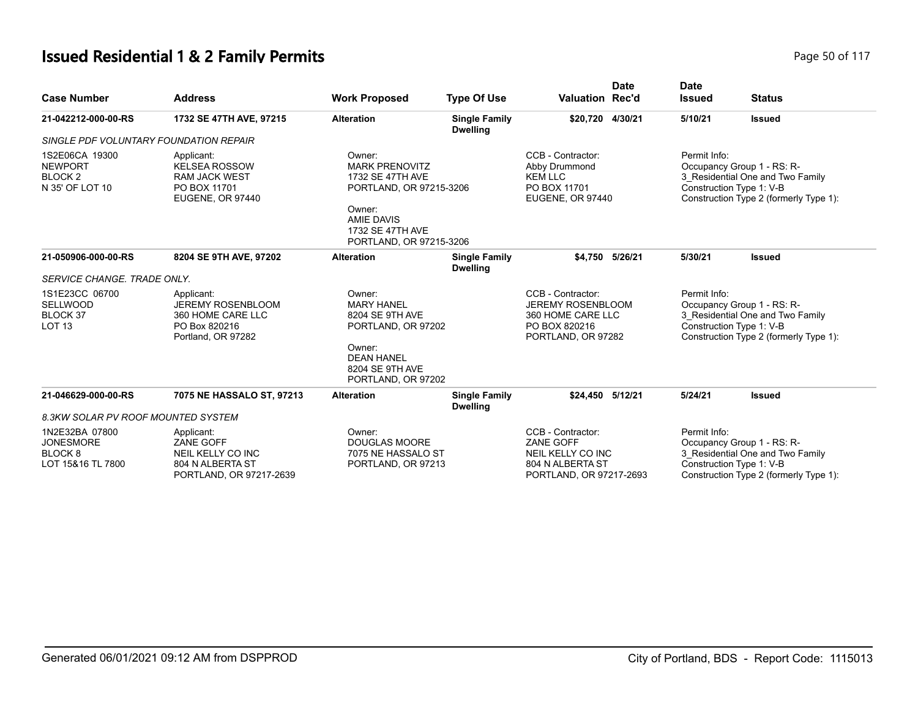# **Issued Residential 1 & 2 Family Permits Page 10 06 117** Page 50 of 117

| <b>Case Number</b>                                                            | <b>Address</b>                                                                                     | <b>Work Proposed</b>                                                                                                                                         | <b>Type Of Use</b>                      | Valuation Rec'd                                                                                           | <b>Date</b> | <b>Date</b><br><b>Issued</b> | <b>Status</b>                                                                                                                        |
|-------------------------------------------------------------------------------|----------------------------------------------------------------------------------------------------|--------------------------------------------------------------------------------------------------------------------------------------------------------------|-----------------------------------------|-----------------------------------------------------------------------------------------------------------|-------------|------------------------------|--------------------------------------------------------------------------------------------------------------------------------------|
| 21-042212-000-00-RS                                                           | 1732 SE 47TH AVE, 97215                                                                            | <b>Alteration</b>                                                                                                                                            | <b>Single Family</b><br><b>Dwelling</b> | \$20.720 4/30/21                                                                                          |             | 5/10/21                      | <b>Issued</b>                                                                                                                        |
| SINGLE PDF VOLUNTARY FOUNDATION REPAIR                                        |                                                                                                    |                                                                                                                                                              |                                         |                                                                                                           |             |                              |                                                                                                                                      |
| 1S2E06CA 19300<br><b>NEWPORT</b><br>BLOCK <sub>2</sub><br>N 35' OF LOT 10     | Applicant:<br><b>KELSEA ROSSOW</b><br><b>RAM JACK WEST</b><br>PO BOX 11701<br>EUGENE, OR 97440     | Owner:<br><b>MARK PRENOVITZ</b><br>1732 SE 47TH AVE<br>PORTLAND, OR 97215-3206<br>Owner:<br><b>AMIE DAVIS</b><br>1732 SE 47TH AVE<br>PORTLAND, OR 97215-3206 |                                         | CCB - Contractor:<br>Abby Drummond<br><b>KEM LLC</b><br>PO BOX 11701<br>EUGENE, OR 97440                  |             | Permit Info:                 | Occupancy Group 1 - RS: R-<br>3 Residential One and Two Family<br>Construction Type 1: V-B<br>Construction Type 2 (formerly Type 1): |
| 21-050906-000-00-RS                                                           | 8204 SE 9TH AVE, 97202                                                                             | <b>Alteration</b>                                                                                                                                            | <b>Single Family</b><br><b>Dwelling</b> | \$4.750 5/26/21                                                                                           |             | 5/30/21                      | <b>Issued</b>                                                                                                                        |
| SERVICE CHANGE. TRADE ONLY.                                                   |                                                                                                    |                                                                                                                                                              |                                         |                                                                                                           |             |                              |                                                                                                                                      |
| 1S1E23CC 06700<br><b>SELLWOOD</b><br>BLOCK 37<br>LOT <sub>13</sub>            | Applicant:<br><b>JEREMY ROSENBLOOM</b><br>360 HOME CARE LLC<br>PO Box 820216<br>Portland, OR 97282 | Owner:<br><b>MARY HANEL</b><br>8204 SE 9TH AVE<br>PORTLAND, OR 97202<br>Owner:<br><b>DEAN HANEL</b><br>8204 SE 9TH AVE<br>PORTLAND, OR 97202                 |                                         | CCB - Contractor:<br><b>JEREMY ROSENBLOOM</b><br>360 HOME CARE LLC<br>PO BOX 820216<br>PORTLAND, OR 97282 |             | Permit Info:                 | Occupancy Group 1 - RS: R-<br>3 Residential One and Two Family<br>Construction Type 1: V-B<br>Construction Type 2 (formerly Type 1): |
| 21-046629-000-00-RS                                                           | 7075 NE HASSALO ST, 97213                                                                          | <b>Alteration</b>                                                                                                                                            | <b>Single Family</b><br><b>Dwelling</b> | \$24,450 5/12/21                                                                                          |             | 5/24/21                      | <b>Issued</b>                                                                                                                        |
| 8.3KW SOLAR PV ROOF MOUNTED SYSTEM                                            |                                                                                                    |                                                                                                                                                              |                                         |                                                                                                           |             |                              |                                                                                                                                      |
| 1N2E32BA 07800<br><b>JONESMORE</b><br>BLOCK <sub>8</sub><br>LOT 15&16 TL 7800 | Applicant:<br>ZANE GOFF<br>NEIL KELLY CO INC<br>804 N ALBERTA ST<br>PORTLAND, OR 97217-2639        | Owner:<br><b>DOUGLAS MOORE</b><br>7075 NE HASSALO ST<br>PORTLAND, OR 97213                                                                                   |                                         | CCB - Contractor:<br>ZANE GOFF<br>NEIL KELLY CO INC<br>804 N ALBERTA ST<br>PORTLAND, OR 97217-2693        |             | Permit Info:                 | Occupancy Group 1 - RS: R-<br>3 Residential One and Two Family<br>Construction Type 1: V-B<br>Construction Type 2 (formerly Type 1): |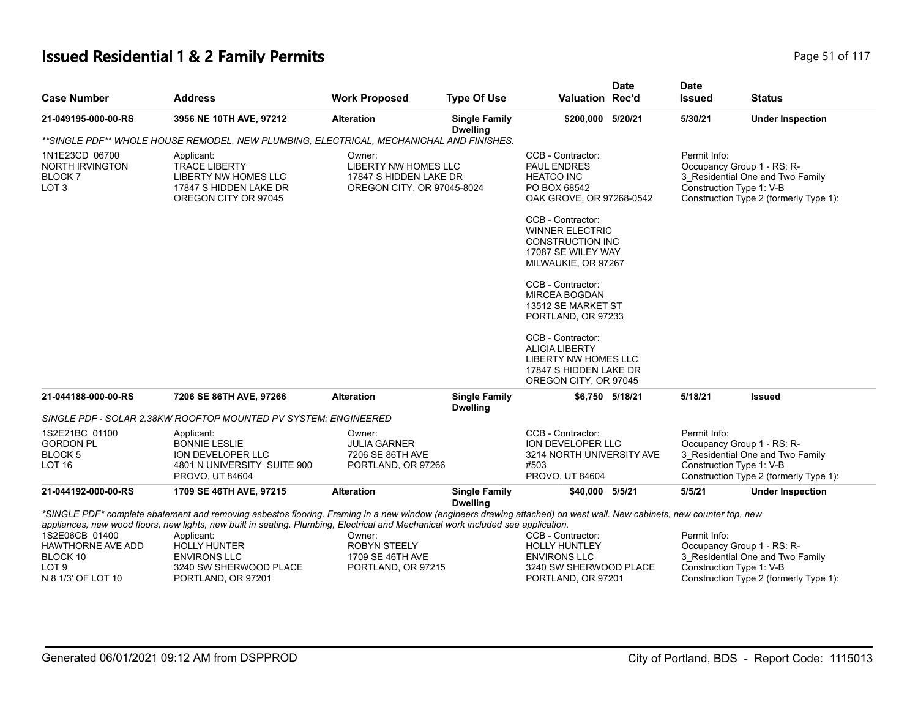# **Issued Residential 1 & 2 Family Permits Page 10 117** Page 51 of 117

|                                                                                |                                                                                                                                                                                                                                                                                                                                                                                                                        |                                                                                        |                                         |                                                                                                                                                                                                                                                                                                                                                                        | <b>Date</b>     | <b>Date</b>                              |                                                                                                          |
|--------------------------------------------------------------------------------|------------------------------------------------------------------------------------------------------------------------------------------------------------------------------------------------------------------------------------------------------------------------------------------------------------------------------------------------------------------------------------------------------------------------|----------------------------------------------------------------------------------------|-----------------------------------------|------------------------------------------------------------------------------------------------------------------------------------------------------------------------------------------------------------------------------------------------------------------------------------------------------------------------------------------------------------------------|-----------------|------------------------------------------|----------------------------------------------------------------------------------------------------------|
| <b>Case Number</b>                                                             | <b>Address</b>                                                                                                                                                                                                                                                                                                                                                                                                         | <b>Work Proposed</b>                                                                   | <b>Type Of Use</b>                      | Valuation Rec'd                                                                                                                                                                                                                                                                                                                                                        |                 | <b>Issued</b>                            | <b>Status</b>                                                                                            |
| 21-049195-000-00-RS                                                            | 3956 NE 10TH AVE, 97212                                                                                                                                                                                                                                                                                                                                                                                                | <b>Alteration</b>                                                                      | <b>Single Family</b><br><b>Dwelling</b> | \$200,000 5/20/21                                                                                                                                                                                                                                                                                                                                                      |                 | 5/30/21                                  | <b>Under Inspection</b>                                                                                  |
|                                                                                | **SINGLE PDF** WHOLE HOUSE REMODEL. NEW PLUMBING, ELECTRICAL, MECHANICHAL AND FINISHES.                                                                                                                                                                                                                                                                                                                                |                                                                                        |                                         |                                                                                                                                                                                                                                                                                                                                                                        |                 |                                          |                                                                                                          |
| 1N1E23CD 06700<br>NORTH IRVINGTON<br>BLOCK <sub>7</sub><br>LOT <sub>3</sub>    | Applicant:<br><b>TRACE LIBERTY</b><br>LIBERTY NW HOMES LLC<br>17847 S HIDDEN LAKE DR<br>OREGON CITY OR 97045                                                                                                                                                                                                                                                                                                           | Owner:<br>LIBERTY NW HOMES LLC<br>17847 S HIDDEN LAKE DR<br>OREGON CITY, OR 97045-8024 |                                         | CCB - Contractor:<br><b>PAUL ENDRES</b><br><b>HEATCO INC</b><br>PO BOX 68542<br>OAK GROVE, OR 97268-0542<br>CCB - Contractor:<br><b>WINNER ELECTRIC</b><br><b>CONSTRUCTION INC</b><br>17087 SE WILEY WAY<br>MILWAUKIE, OR 97267<br>CCB - Contractor:<br><b>MIRCEA BOGDAN</b><br>13512 SE MARKET ST<br>PORTLAND, OR 97233<br>CCB - Contractor:<br><b>ALICIA LIBERTY</b> |                 | Permit Info:<br>Construction Type 1: V-B | Occupancy Group 1 - RS: R-<br>3_Residential One and Two Family<br>Construction Type 2 (formerly Type 1): |
|                                                                                |                                                                                                                                                                                                                                                                                                                                                                                                                        |                                                                                        |                                         | LIBERTY NW HOMES LLC<br>17847 S HIDDEN LAKE DR<br>OREGON CITY, OR 97045                                                                                                                                                                                                                                                                                                |                 |                                          |                                                                                                          |
| 21-044188-000-00-RS                                                            | 7206 SE 86TH AVE, 97266                                                                                                                                                                                                                                                                                                                                                                                                | <b>Alteration</b>                                                                      | <b>Single Family</b><br><b>Dwelling</b> |                                                                                                                                                                                                                                                                                                                                                                        | \$6,750 5/18/21 | 5/18/21                                  | <b>Issued</b>                                                                                            |
|                                                                                | SINGLE PDF - SOLAR 2.38KW ROOFTOP MOUNTED PV SYSTEM: ENGINEERED                                                                                                                                                                                                                                                                                                                                                        |                                                                                        |                                         |                                                                                                                                                                                                                                                                                                                                                                        |                 |                                          |                                                                                                          |
| 1S2E21BC 01100<br><b>GORDON PL</b><br>BLOCK 5<br>LOT <sub>16</sub>             | Applicant:<br><b>BONNIE LESLIE</b><br><b>ION DEVELOPER LLC</b><br>4801 N UNIVERSITY SUITE 900<br>PROVO, UT 84604                                                                                                                                                                                                                                                                                                       | Owner:<br><b>JULIA GARNER</b><br>7206 SE 86TH AVE<br>PORTLAND, OR 97266                |                                         | CCB - Contractor:<br><b>ION DEVELOPER LLC</b><br>3214 NORTH UNIVERSITY AVE<br>#503<br>PROVO, UT 84604                                                                                                                                                                                                                                                                  |                 | Permit Info:<br>Construction Type 1: V-B | Occupancy Group 1 - RS: R-<br>3 Residential One and Two Family<br>Construction Type 2 (formerly Type 1): |
| 21-044192-000-00-RS                                                            | 1709 SE 46TH AVE, 97215                                                                                                                                                                                                                                                                                                                                                                                                | <b>Alteration</b>                                                                      | <b>Single Family</b><br><b>Dwelling</b> | \$40,000 5/5/21                                                                                                                                                                                                                                                                                                                                                        |                 | 5/5/21                                   | <b>Under Inspection</b>                                                                                  |
| 1S2E06CB 01400<br>HAWTHORNE AVE ADD<br>BLOCK 10<br>LOT 9<br>N 8 1/3' OF LOT 10 | *SINGLE PDF* complete abatement and removing asbestos flooring. Framing in a new window (engineers drawing attached) on west wall. New cabinets, new counter top, new<br>appliances, new wood floors, new lights, new built in seating. Plumbing, Electrical and Mechanical work included see application.<br>Applicant:<br><b>HOLLY HUNTER</b><br><b>ENVIRONS LLC</b><br>3240 SW SHERWOOD PLACE<br>PORTLAND, OR 97201 | Owner:<br><b>ROBYN STEELY</b><br>1709 SE 46TH AVE<br>PORTLAND, OR 97215                |                                         | CCB - Contractor:<br><b>HOLLY HUNTLEY</b><br><b>ENVIRONS LLC</b><br>3240 SW SHERWOOD PLACE<br>PORTLAND, OR 97201                                                                                                                                                                                                                                                       |                 | Permit Info:<br>Construction Type 1: V-B | Occupancy Group 1 - RS: R-<br>3_Residential One and Two Family<br>Construction Type 2 (formerly Type 1): |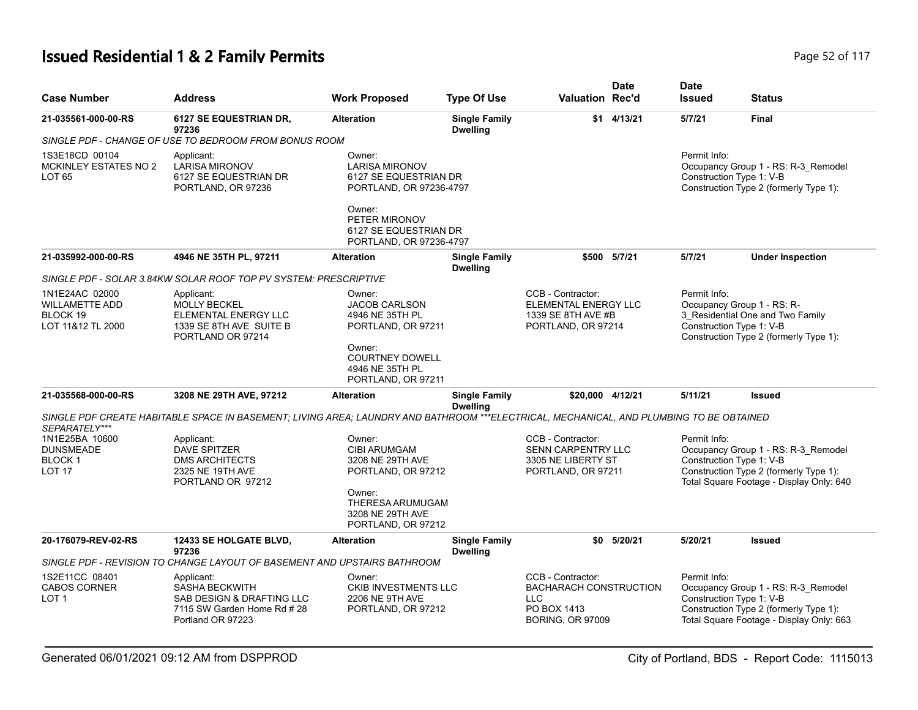# **Issued Residential 1 & 2 Family Permits Page 117 Page 12 of 117**

| <b>Case Number</b>                                                       | <b>Address</b>                                                                                                                          | <b>Work Proposed</b>                                                                                                                            | <b>Type Of Use</b>                      | <b>Valuation Rec'd</b>                                                                                     | <b>Date</b>  | <b>Date</b><br><b>Issued</b>             | <b>Status</b>                                                                                                             |
|--------------------------------------------------------------------------|-----------------------------------------------------------------------------------------------------------------------------------------|-------------------------------------------------------------------------------------------------------------------------------------------------|-----------------------------------------|------------------------------------------------------------------------------------------------------------|--------------|------------------------------------------|---------------------------------------------------------------------------------------------------------------------------|
| 21-035561-000-00-RS                                                      | 6127 SE EQUESTRIAN DR,<br>97236                                                                                                         | <b>Alteration</b>                                                                                                                               | <b>Single Family</b><br><b>Dwelling</b> | \$1                                                                                                        | 4/13/21      | 5/7/21                                   | Final                                                                                                                     |
|                                                                          | SINGLE PDF - CHANGE OF USE TO BEDROOM FROM BONUS ROOM                                                                                   |                                                                                                                                                 |                                         |                                                                                                            |              |                                          |                                                                                                                           |
| 1S3E18CD 00104<br><b>MCKINLEY ESTATES NO 2</b><br>LOT <sub>65</sub>      | Applicant:<br><b>LARISA MIRONOV</b><br>6127 SE EQUESTRIAN DR<br>PORTLAND, OR 97236                                                      | Owner:<br><b>LARISA MIRONOV</b><br>6127 SE EQUESTRIAN DR<br>PORTLAND, OR 97236-4797                                                             |                                         |                                                                                                            |              | Permit Info:<br>Construction Type 1: V-B | Occupancy Group 1 - RS: R-3_Remodel<br>Construction Type 2 (formerly Type 1):                                             |
|                                                                          |                                                                                                                                         | Owner:<br>PETER MIRONOV<br>6127 SE EQUESTRIAN DR<br>PORTLAND, OR 97236-4797                                                                     |                                         |                                                                                                            |              |                                          |                                                                                                                           |
| 21-035992-000-00-RS                                                      | 4946 NE 35TH PL, 97211                                                                                                                  | <b>Alteration</b>                                                                                                                               | <b>Single Family</b><br><b>Dwelling</b> |                                                                                                            | \$500 5/7/21 | 5/7/21                                   | <b>Under Inspection</b>                                                                                                   |
|                                                                          | SINGLE PDF - SOLAR 3.84KW SOLAR ROOF TOP PV SYSTEM: PRESCRIPTIVE                                                                        |                                                                                                                                                 |                                         |                                                                                                            |              |                                          |                                                                                                                           |
| 1N1E24AC 02000<br><b>WILLAMETTE ADD</b><br>BLOCK 19<br>LOT 11&12 TL 2000 | Applicant:<br><b>MOLLY BECKEL</b><br>ELEMENTAL ENERGY LLC<br>1339 SE 8TH AVE SUITE B<br>PORTLAND OR 97214                               | Owner:<br><b>JACOB CARLSON</b><br>4946 NE 35TH PL<br>PORTLAND, OR 97211<br>Owner:                                                               |                                         | CCB - Contractor:<br>ELEMENTAL ENERGY LLC<br>1339 SE 8TH AVE #B<br>PORTLAND, OR 97214                      |              | Permit Info:<br>Construction Type 1: V-B | Occupancy Group 1 - RS: R-<br>3 Residential One and Two Family<br>Construction Type 2 (formerly Type 1):                  |
|                                                                          |                                                                                                                                         | <b>COURTNEY DOWELL</b><br>4946 NE 35TH PL<br>PORTLAND, OR 97211                                                                                 |                                         |                                                                                                            |              |                                          |                                                                                                                           |
| 21-035568-000-00-RS                                                      | 3208 NE 29TH AVE, 97212                                                                                                                 | <b>Alteration</b>                                                                                                                               | <b>Single Family</b><br><b>Dwelling</b> | \$20,000 4/12/21                                                                                           |              | 5/11/21                                  | <b>Issued</b>                                                                                                             |
| SEPARATELY***                                                            | SINGLE PDF CREATE HABITABLE SPACE IN BASEMENT; LIVING AREA; LAUNDRY AND BATHROOM ***ELECTRICAL, MECHANICAL, AND PLUMBING TO BE OBTAINED |                                                                                                                                                 |                                         |                                                                                                            |              |                                          |                                                                                                                           |
| 1N1E25BA 10600<br><b>DUNSMEADE</b><br><b>BLOCK1</b><br><b>LOT 17</b>     | Applicant:<br><b>DAVE SPITZER</b><br><b>DMS ARCHITECTS</b><br>2325 NE 19TH AVE<br>PORTLAND OR 97212                                     | Owner:<br><b>CIBI ARUMGAM</b><br>3208 NE 29TH AVE<br>PORTLAND, OR 97212<br>Owner:<br>THERESA ARUMUGAM<br>3208 NE 29TH AVE<br>PORTLAND, OR 97212 |                                         | CCB - Contractor:<br><b>SENN CARPENTRY LLC</b><br>3305 NE LIBERTY ST<br>PORTLAND, OR 97211                 |              | Permit Info:<br>Construction Type 1: V-B | Occupancy Group 1 - RS: R-3_Remodel<br>Construction Type 2 (formerly Type 1):<br>Total Square Footage - Display Only: 640 |
| 20-176079-REV-02-RS                                                      | <b>12433 SE HOLGATE BLVD,</b>                                                                                                           | <b>Alteration</b>                                                                                                                               | <b>Single Family</b>                    |                                                                                                            | \$0 5/20/21  | 5/20/21                                  | <b>Issued</b>                                                                                                             |
|                                                                          | 97236<br>SINGLE PDF - REVISION TO CHANGE LAYOUT OF BASEMENT AND UPSTAIRS BATHROOM                                                       |                                                                                                                                                 | <b>Dwelling</b>                         |                                                                                                            |              |                                          |                                                                                                                           |
| 1S2E11CC 08401<br><b>CABOS CORNER</b><br>LOT <sub>1</sub>                | Applicant:<br><b>SASHA BECKWITH</b><br>SAB DESIGN & DRAFTING LLC<br>7115 SW Garden Home Rd # 28<br>Portland OR 97223                    | Owner:<br><b>CKIB INVESTMENTS LLC</b><br><b>2206 NE 9TH AVE</b><br>PORTLAND, OR 97212                                                           |                                         | CCB - Contractor:<br><b>BACHARACH CONSTRUCTION</b><br><b>LLC</b><br>PO BOX 1413<br><b>BORING, OR 97009</b> |              | Permit Info:<br>Construction Type 1: V-B | Occupancy Group 1 - RS: R-3_Remodel<br>Construction Type 2 (formerly Type 1):<br>Total Square Footage - Display Only: 663 |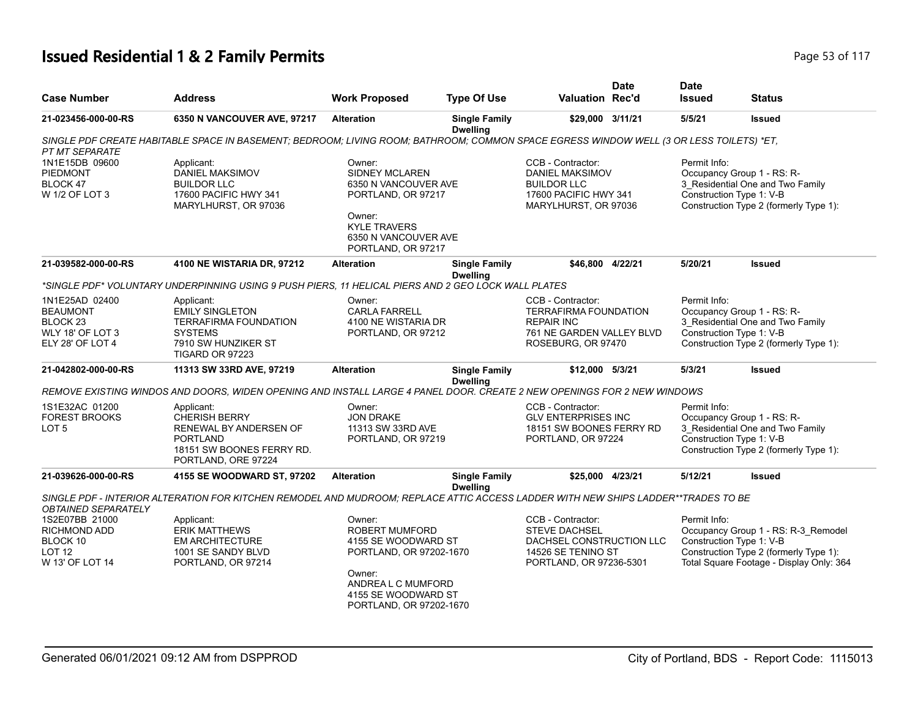# **Issued Residential 1 & 2 Family Permits Page 117 Page 117 Page 117 Page 117**

| <b>Case Number</b>                                                                               | <b>Address</b>                                                                                                                          | <b>Work Proposed</b>                                                                                                                                                | <b>Type Of Use</b>                      | Valuation Rec'd                                                                                                           | <b>Date</b> | <b>Date</b><br><b>Issued</b>             | <b>Status</b>                                                                                                             |
|--------------------------------------------------------------------------------------------------|-----------------------------------------------------------------------------------------------------------------------------------------|---------------------------------------------------------------------------------------------------------------------------------------------------------------------|-----------------------------------------|---------------------------------------------------------------------------------------------------------------------------|-------------|------------------------------------------|---------------------------------------------------------------------------------------------------------------------------|
| 21-023456-000-00-RS                                                                              | 6350 N VANCOUVER AVE, 97217                                                                                                             | <b>Alteration</b>                                                                                                                                                   | <b>Single Family</b><br><b>Dwelling</b> | \$29,000 3/11/21                                                                                                          |             | 5/5/21                                   | <b>Issued</b>                                                                                                             |
| PT MT SEPARATE                                                                                   | SINGLE PDF CREATE HABITABLE SPACE IN BASEMENT; BEDROOM; LIVING ROOM; BATHROOM; COMMON SPACE EGRESS WINDOW WELL (3 OR LESS TOILETS) *ET, |                                                                                                                                                                     |                                         |                                                                                                                           |             |                                          |                                                                                                                           |
| 1N1E15DB 09600<br><b>PIEDMONT</b><br>BLOCK 47<br>W 1/2 OF LOT 3                                  | Applicant:<br>DANIEL MAKSIMOV<br><b>BUILDOR LLC</b><br>17600 PACIFIC HWY 341<br>MARYLHURST, OR 97036                                    | Owner:<br>SIDNEY MCLAREN<br>6350 N VANCOUVER AVE<br>PORTLAND, OR 97217<br>Owner:<br><b>KYLE TRAVERS</b><br>6350 N VANCOUVER AVE<br>PORTLAND, OR 97217               |                                         | CCB - Contractor:<br>DANIEL MAKSIMOV<br><b>BUILDOR LLC</b><br>17600 PACIFIC HWY 341<br>MARYLHURST, OR 97036               |             | Permit Info:<br>Construction Type 1: V-B | Occupancy Group 1 - RS: R-<br>3 Residential One and Two Family<br>Construction Type 2 (formerly Type 1):                  |
| 21-039582-000-00-RS                                                                              | 4100 NE WISTARIA DR, 97212                                                                                                              | <b>Alteration</b>                                                                                                                                                   | <b>Single Family</b><br><b>Dwelling</b> | \$46,800 4/22/21                                                                                                          |             | 5/20/21                                  | <b>Issued</b>                                                                                                             |
|                                                                                                  | "SINGLE PDF" VOLUNTARY UNDERPINNING USING 9 PUSH PIERS, 11 HELICAL PIERS AND 2 GEO LOCK WALL PLATES                                     |                                                                                                                                                                     |                                         |                                                                                                                           |             |                                          |                                                                                                                           |
| 1N1E25AD 02400<br><b>BEAUMONT</b><br>BLOCK <sub>23</sub><br>WLY 18' OF LOT 3<br>ELY 28' OF LOT 4 | Applicant:<br><b>EMILY SINGLETON</b><br><b>TERRAFIRMA FOUNDATION</b><br><b>SYSTEMS</b><br>7910 SW HUNZIKER ST<br>TIGARD OR 97223        | Owner:<br><b>CARLA FARRELL</b><br>4100 NE WISTARIA DR<br>PORTLAND, OR 97212                                                                                         |                                         | CCB - Contractor:<br><b>TERRAFIRMA FOUNDATION</b><br><b>REPAIR INC</b><br>761 NE GARDEN VALLEY BLVD<br>ROSEBURG, OR 97470 |             | Permit Info:<br>Construction Type 1: V-B | Occupancy Group 1 - RS: R-<br>3 Residential One and Two Family<br>Construction Type 2 (formerly Type 1):                  |
| 21-042802-000-00-RS                                                                              | 11313 SW 33RD AVE, 97219                                                                                                                | <b>Alteration</b>                                                                                                                                                   | <b>Single Family</b><br><b>Dwelling</b> | \$12,000 5/3/21                                                                                                           |             | 5/3/21                                   | <b>Issued</b>                                                                                                             |
|                                                                                                  | REMOVE EXISTING WINDOS AND DOORS, WIDEN OPENING AND INSTALL LARGE 4 PANEL DOOR. CREATE 2 NEW OPENINGS FOR 2 NEW WINDOWS                 |                                                                                                                                                                     |                                         |                                                                                                                           |             |                                          |                                                                                                                           |
| 1S1E32AC 01200<br><b>FOREST BROOKS</b><br>LOT <sub>5</sub>                                       | Applicant:<br><b>CHERISH BERRY</b><br>RENEWAL BY ANDERSEN OF<br><b>PORTLAND</b><br>18151 SW BOONES FERRY RD.<br>PORTLAND, ORE 97224     | Owner:<br><b>JON DRAKE</b><br>11313 SW 33RD AVE<br>PORTLAND, OR 97219                                                                                               |                                         | CCB - Contractor:<br><b>GLV ENTERPRISES INC</b><br>18151 SW BOONES FERRY RD<br>PORTLAND, OR 97224                         |             | Permit Info:<br>Construction Type 1: V-B | Occupancy Group 1 - RS: R-<br>3 Residential One and Two Family<br>Construction Type 2 (formerly Type 1):                  |
| 21-039626-000-00-RS                                                                              | 4155 SE WOODWARD ST, 97202                                                                                                              | <b>Alteration</b>                                                                                                                                                   | <b>Single Family</b><br><b>Dwelling</b> | \$25,000 4/23/21                                                                                                          |             | 5/12/21                                  | <b>Issued</b>                                                                                                             |
| <i><b>OBTAINED SEPARATELY</b></i>                                                                | SINGLE PDF - INTERIOR ALTERATION FOR KITCHEN REMODEL AND MUDROOM; REPLACE ATTIC ACCESS LADDER WITH NEW SHIPS LADDER**TRADES TO BE       |                                                                                                                                                                     |                                         |                                                                                                                           |             |                                          |                                                                                                                           |
| 1S2E07BB 21000<br>RICHMOND ADD<br>BLOCK 10<br>LOT <sub>12</sub><br>W 13' OF LOT 14               | Applicant:<br><b>ERIK MATTHEWS</b><br><b>EM ARCHITECTURE</b><br>1001 SE SANDY BLVD<br>PORTLAND, OR 97214                                | Owner:<br><b>ROBERT MUMFORD</b><br>4155 SE WOODWARD ST<br>PORTLAND, OR 97202-1670<br>Owner:<br>ANDREA L C MUMFORD<br>4155 SE WOODWARD ST<br>PORTLAND, OR 97202-1670 |                                         | CCB - Contractor:<br>STEVE DACHSEL<br>DACHSEL CONSTRUCTION LLC<br>14526 SE TENINO ST<br>PORTLAND, OR 97236-5301           |             | Permit Info:<br>Construction Type 1: V-B | Occupancy Group 1 - RS: R-3_Remodel<br>Construction Type 2 (formerly Type 1):<br>Total Square Footage - Display Only: 364 |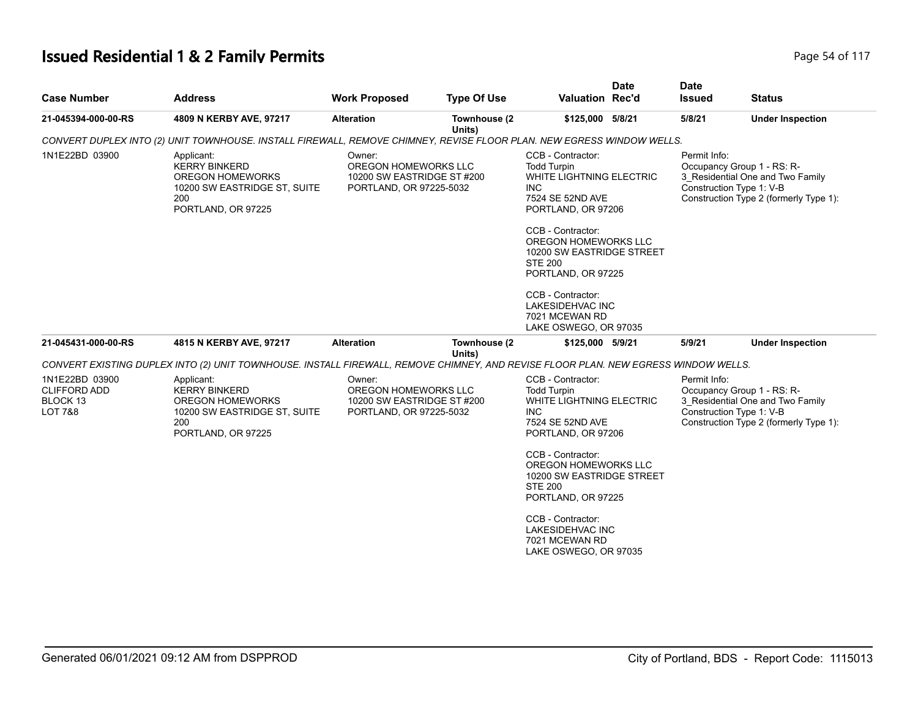# **Issued Residential 1 & 2 Family Permits Page 117 Page 14 of 117**

| <b>Case Number</b>                                                                 | <b>Address</b>                                                                                                                     | <b>Work Proposed</b>                                                                    | <b>Type Of Use</b>     | <b>Valuation Rec'd</b>                                                                                                                                                                                                                                                                                                             | <b>Date</b> | <b>Date</b><br>Issued                    | <b>Status</b>                                                                                            |
|------------------------------------------------------------------------------------|------------------------------------------------------------------------------------------------------------------------------------|-----------------------------------------------------------------------------------------|------------------------|------------------------------------------------------------------------------------------------------------------------------------------------------------------------------------------------------------------------------------------------------------------------------------------------------------------------------------|-------------|------------------------------------------|----------------------------------------------------------------------------------------------------------|
| 21-045394-000-00-RS                                                                | 4809 N KERBY AVE, 97217                                                                                                            | <b>Alteration</b>                                                                       | Townhouse (2<br>Units) | \$125,000 5/8/21                                                                                                                                                                                                                                                                                                                   |             | 5/8/21                                   | <b>Under Inspection</b>                                                                                  |
|                                                                                    | CONVERT DUPLEX INTO (2) UNIT TOWNHOUSE. INSTALL FIREWALL, REMOVE CHIMNEY, REVISE FLOOR PLAN. NEW EGRESS WINDOW WELLS.              |                                                                                         |                        |                                                                                                                                                                                                                                                                                                                                    |             |                                          |                                                                                                          |
| 1N1E22BD 03900                                                                     | Applicant:<br><b>KERRY BINKERD</b><br><b>OREGON HOMEWORKS</b><br>10200 SW EASTRIDGE ST, SUITE<br>200<br>PORTLAND, OR 97225         | Owner:<br>OREGON HOMEWORKS LLC<br>10200 SW EASTRIDGE ST #200<br>PORTLAND, OR 97225-5032 |                        | CCB - Contractor:<br><b>Todd Turpin</b><br>WHITE LIGHTNING ELECTRIC<br>INC.<br>7524 SE 52ND AVE<br>PORTLAND, OR 97206<br>CCB - Contractor:<br>OREGON HOMEWORKS LLC<br>10200 SW EASTRIDGE STREET<br><b>STE 200</b><br>PORTLAND, OR 97225<br>CCB - Contractor:<br><b>LAKESIDEHVAC INC</b><br>7021 MCEWAN RD<br>LAKE OSWEGO, OR 97035 |             | Permit Info:<br>Construction Type 1: V-B | Occupancy Group 1 - RS: R-<br>3_Residential One and Two Family<br>Construction Type 2 (formerly Type 1): |
| 21-045431-000-00-RS                                                                | 4815 N KERBY AVE, 97217                                                                                                            | <b>Alteration</b>                                                                       | Townhouse (2           | \$125,000 5/9/21                                                                                                                                                                                                                                                                                                                   |             | 5/9/21                                   | <b>Under Inspection</b>                                                                                  |
|                                                                                    | CONVERT EXISTING DUPLEX INTO (2) UNIT TOWNHOUSE. INSTALL FIREWALL, REMOVE CHIMNEY, AND REVISE FLOOR PLAN. NEW EGRESS WINDOW WELLS. |                                                                                         | Units)                 |                                                                                                                                                                                                                                                                                                                                    |             |                                          |                                                                                                          |
| 1N1E22BD 03900<br><b>CLIFFORD ADD</b><br>BLOCK <sub>13</sub><br><b>LOT 7&amp;8</b> | Applicant:<br><b>KERRY BINKERD</b><br><b>OREGON HOMEWORKS</b><br>10200 SW EASTRIDGE ST, SUITE<br>200<br>PORTLAND, OR 97225         | Owner:<br>OREGON HOMEWORKS LLC<br>10200 SW EASTRIDGE ST #200<br>PORTLAND, OR 97225-5032 |                        | CCB - Contractor:<br><b>Todd Turpin</b><br>WHITE LIGHTNING ELECTRIC<br><b>INC</b><br>7524 SE 52ND AVE<br>PORTLAND, OR 97206<br>CCB - Contractor:<br>OREGON HOMEWORKS LLC                                                                                                                                                           |             | Permit Info:<br>Construction Type 1: V-B | Occupancy Group 1 - RS: R-<br>3_Residential One and Two Family<br>Construction Type 2 (formerly Type 1): |
|                                                                                    |                                                                                                                                    |                                                                                         |                        | 10200 SW EASTRIDGE STREET<br><b>STE 200</b><br>PORTLAND, OR 97225<br>CCB - Contractor:<br><b>LAKESIDEHVAC INC</b><br>7021 MCEWAN RD<br>LAKE OSWEGO, OR 97035                                                                                                                                                                       |             |                                          |                                                                                                          |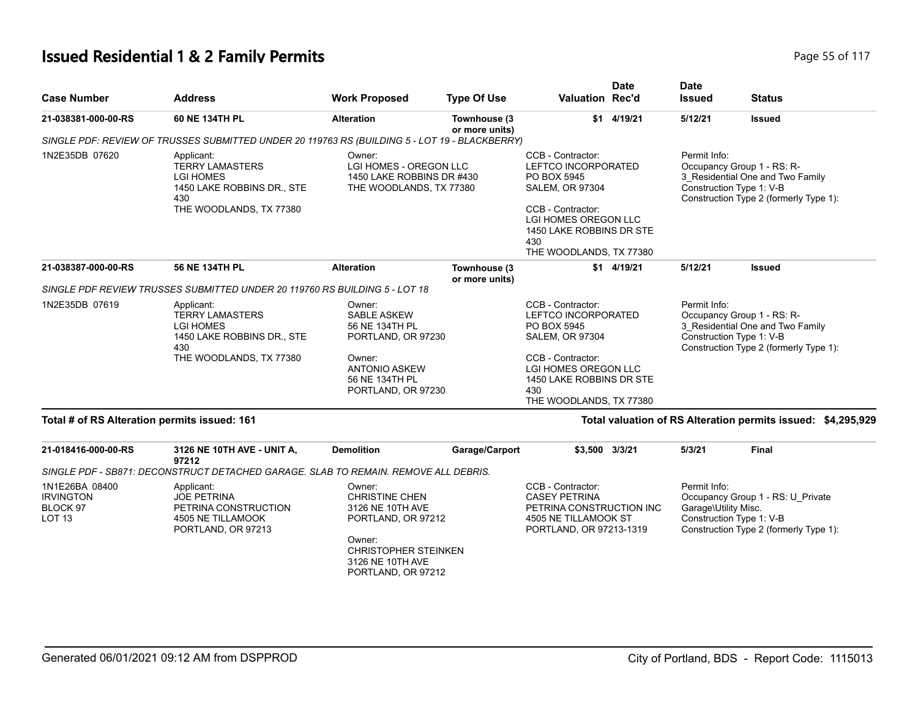#### **Issued Residential 1 & 2 Family Permits Page 117 Page 55 of 117**

| <b>Case Number</b>                           | <b>Address</b>                                                                                                           | <b>Work Proposed</b>                                                                                                                           | <b>Type Of Use</b>             | <b>Valuation Rec'd</b>                                                                                                                                                                       | <b>Date</b> | <b>Date</b><br><b>Issued</b> | <b>Status</b>                                                                                                                        |
|----------------------------------------------|--------------------------------------------------------------------------------------------------------------------------|------------------------------------------------------------------------------------------------------------------------------------------------|--------------------------------|----------------------------------------------------------------------------------------------------------------------------------------------------------------------------------------------|-------------|------------------------------|--------------------------------------------------------------------------------------------------------------------------------------|
| 21-038381-000-00-RS                          | 60 NE 134TH PL                                                                                                           | <b>Alteration</b>                                                                                                                              | Townhouse (3<br>or more units) |                                                                                                                                                                                              | \$1 4/19/21 | 5/12/21                      | <b>Issued</b>                                                                                                                        |
|                                              | SINGLE PDF: REVIEW OF TRUSSES SUBMITTED UNDER 20 119763 RS (BUILDING 5 - LOT 19 - BLACKBERRY)                            |                                                                                                                                                |                                |                                                                                                                                                                                              |             |                              |                                                                                                                                      |
| 1N2E35DB 07620                               | Applicant:<br><b>TERRY LAMASTERS</b><br><b>LGI HOMES</b><br>1450 LAKE ROBBINS DR., STE<br>430<br>THE WOODLANDS, TX 77380 | Owner:<br>LGI HOMES - OREGON LLC<br>1450 LAKE ROBBINS DR #430<br>THE WOODLANDS, TX 77380                                                       |                                | CCB - Contractor:<br>LEFTCO INCORPORATED<br>PO BOX 5945<br><b>SALEM, OR 97304</b><br>CCB - Contractor:<br>LGI HOMES OREGON LLC<br>1450 LAKE ROBBINS DR STE<br>430<br>THE WOODLANDS, TX 77380 |             | Permit Info:                 | Occupancy Group 1 - RS: R-<br>3 Residential One and Two Family<br>Construction Type 1: V-B<br>Construction Type 2 (formerly Type 1): |
| 21-038387-000-00-RS                          | 56 NE 134TH PL                                                                                                           | <b>Alteration</b>                                                                                                                              | Townhouse (3<br>or more units) |                                                                                                                                                                                              | \$1 4/19/21 | 5/12/21                      | <b>Issued</b>                                                                                                                        |
|                                              | SINGLE PDF REVIEW TRUSSES SUBMITTED UNDER 20 119760 RS BUILDING 5 - LOT 18                                               |                                                                                                                                                |                                |                                                                                                                                                                                              |             |                              |                                                                                                                                      |
| 1N2E35DB 07619                               | Applicant:<br><b>TERRY LAMASTERS</b><br><b>LGI HOMES</b><br>1450 LAKE ROBBINS DR., STE<br>430<br>THE WOODLANDS, TX 77380 | Owner:<br><b>SABLE ASKEW</b><br>56 NE 134TH PL<br>PORTLAND, OR 97230<br>Owner:<br><b>ANTONIO ASKEW</b><br>56 NE 134TH PL<br>PORTLAND, OR 97230 |                                | CCB - Contractor:<br>LEFTCO INCORPORATED<br>PO BOX 5945<br><b>SALEM, OR 97304</b><br>CCB - Contractor:<br>LGI HOMES OREGON LLC<br>1450 LAKE ROBBINS DR STE<br>430<br>THE WOODLANDS, TX 77380 |             | Permit Info:                 | Occupancy Group 1 - RS: R-<br>3 Residential One and Two Family<br>Construction Type 1: V-B<br>Construction Type 2 (formerly Type 1): |
| Total # of RS Alteration permits issued: 161 |                                                                                                                          |                                                                                                                                                |                                |                                                                                                                                                                                              |             |                              | Total valuation of RS Alteration permits issued: \$4,295,929                                                                         |

#### **21-018416-000-00-RS 3126 NE 10TH AVE - UNIT A, 97212 Demolition Garage/Carport \$3,500 3/3/21 5/3/21 Final** *SINGLE PDF - SB871: DECONSTRUCT DETACHED GARAGE. SLAB TO REMAIN. REMOVE ALL DEBRIS.* Permit Info: Occupancy Group 1 - RS: U\_Private Garage\Utility Misc. Construction Type 1: V-B Construction Type 2 (formerly Type 1): CCB - Contractor: CASEY PETRINA PETRINA CONSTRUCTION INC 4505 NE TILLAMOOK ST PORTLAND, OR 97213-1319 Owner: CHRISTINE CHEN 3126 NE 10TH AVE PORTLAND, OR 97212 Owner: CHRISTOPHER STEINKEN 3126 NE 10TH AVE PORTLAND, OR 97212 Applicant: JOE PETRINA PETRINA CONSTRUCTION 4505 NE TILLAMOOK PORTLAND, OR 97213 1N1E26BA 08400 IRVINGTON BLOCK 97 LOT 13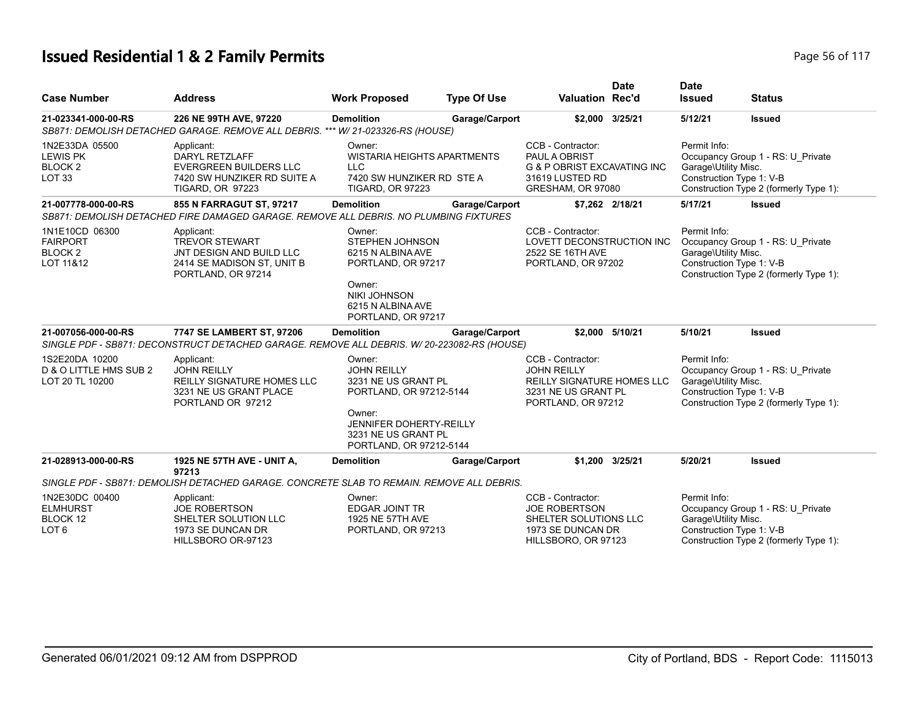# **Issued Residential 1 & 2 Family Permits Page 10 Second 2 and 2 Residential 1 & 2 Family Permits Page 16 of 117**

| <b>Case Number</b>                                                      | <b>Address</b>                                                                                                                 | <b>Work Proposed</b>                                                                                                                                                         | <b>Type Of Use</b> | <b>Valuation Rec'd</b>                                                                                                    | <b>Date</b>     | <b>Date</b><br><b>Issued</b>                                     | <b>Status</b>                                                               |
|-------------------------------------------------------------------------|--------------------------------------------------------------------------------------------------------------------------------|------------------------------------------------------------------------------------------------------------------------------------------------------------------------------|--------------------|---------------------------------------------------------------------------------------------------------------------------|-----------------|------------------------------------------------------------------|-----------------------------------------------------------------------------|
| 21-023341-000-00-RS                                                     | 226 NE 99TH AVE, 97220<br>SB871: DEMOLISH DETACHED GARAGE. REMOVE ALL DEBRIS. *** W/ 21-023326-RS (HOUSE)                      | <b>Demolition</b>                                                                                                                                                            | Garage/Carport     |                                                                                                                           | \$2,000 3/25/21 | 5/12/21                                                          | <b>Issued</b>                                                               |
| 1N2E33DA 05500<br><b>LEWIS PK</b><br><b>BLOCK2</b><br>LOT <sub>33</sub> | Applicant:<br><b>DARYL RETZLAFF</b><br><b>EVERGREEN BUILDERS LLC</b><br>7420 SW HUNZIKER RD SUITE A<br><b>TIGARD, OR 97223</b> | Owner:<br><b>WISTARIA HEIGHTS APARTMENTS</b><br><b>LLC</b><br>7420 SW HUNZIKER RD STE A<br><b>TIGARD, OR 97223</b>                                                           |                    | CCB - Contractor:<br>PAUL A OBRIST<br><b>G &amp; P OBRIST EXCAVATING INC</b><br>31619 LUSTED RD<br>GRESHAM, OR 97080      |                 | Permit Info:<br>Garage\Utility Misc.<br>Construction Type 1: V-B | Occupancy Group 1 - RS: U Private<br>Construction Type 2 (formerly Type 1): |
| 21-007778-000-00-RS                                                     | 855 N FARRAGUT ST, 97217<br>SB871: DEMOLISH DETACHED FIRE DAMAGED GARAGE. REMOVE ALL DEBRIS. NO PLUMBING FIXTURES              | <b>Demolition</b>                                                                                                                                                            | Garage/Carport     |                                                                                                                           | \$7,262 2/18/21 | 5/17/21                                                          | <b>Issued</b>                                                               |
| 1N1E10CD 06300<br><b>FAIRPORT</b><br>BLOCK <sub>2</sub><br>LOT 11&12    | Applicant:<br><b>TREVOR STEWART</b><br>JNT DESIGN AND BUILD LLC<br>2414 SE MADISON ST, UNIT B<br>PORTLAND, OR 97214            | Owner:<br><b>STEPHEN JOHNSON</b><br>6215 N ALBINA AVE<br>PORTLAND, OR 97217<br>Owner:<br><b>NIKI JOHNSON</b><br>6215 N ALBINA AVE<br>PORTLAND, OR 97217                      |                    | CCB - Contractor:<br>LOVETT DECONSTRUCTION INC<br>2522 SE 16TH AVE<br>PORTLAND, OR 97202                                  |                 | Permit Info:<br>Garage\Utility Misc.<br>Construction Type 1: V-B | Occupancy Group 1 - RS: U_Private<br>Construction Type 2 (formerly Type 1): |
| 21-007056-000-00-RS                                                     | 7747 SE LAMBERT ST, 97206<br>SINGLE PDF - SB871: DECONSTRUCT DETACHED GARAGE. REMOVE ALL DEBRIS. W/20-223082-RS (HOUSE)        | <b>Demolition</b>                                                                                                                                                            | Garage/Carport     |                                                                                                                           | \$2.000 5/10/21 | 5/10/21                                                          | <b>Issued</b>                                                               |
| 1S2E20DA 10200<br>D & O LITTLE HMS SUB 2<br>LOT 20 TL 10200             | Applicant:<br><b>JOHN REILLY</b><br><b>REILLY SIGNATURE HOMES LLC</b><br>3231 NE US GRANT PLACE<br>PORTLAND OR 97212           | Owner:<br><b>JOHN REILLY</b><br>3231 NE US GRANT PL<br>PORTLAND, OR 97212-5144<br>Owner:<br><b>JENNIFER DOHERTY-REILLY</b><br>3231 NE US GRANT PL<br>PORTLAND, OR 97212-5144 |                    | CCB - Contractor:<br><b>JOHN REILLY</b><br><b>REILLY SIGNATURE HOMES LLC</b><br>3231 NE US GRANT PL<br>PORTLAND, OR 97212 |                 | Permit Info:<br>Garage\Utility Misc.<br>Construction Type 1: V-B | Occupancy Group 1 - RS: U_Private<br>Construction Type 2 (formerly Type 1): |
| 21-028913-000-00-RS                                                     | 1925 NE 57TH AVE - UNIT A,<br>97213                                                                                            | <b>Demolition</b>                                                                                                                                                            | Garage/Carport     |                                                                                                                           | \$1.200 3/25/21 | 5/20/21                                                          | <b>Issued</b>                                                               |
|                                                                         | SINGLE PDF - SB871: DEMOLISH DETACHED GARAGE. CONCRETE SLAB TO REMAIN. REMOVE ALL DEBRIS.                                      |                                                                                                                                                                              |                    |                                                                                                                           |                 |                                                                  |                                                                             |
| 1N2E30DC 00400<br><b>ELMHURST</b><br>BLOCK 12<br>LOT 6                  | Applicant:<br>JOE ROBERTSON<br>SHELTER SOLUTION LLC<br>1973 SE DUNCAN DR<br>HILLSBORO OR-97123                                 | Owner:<br><b>EDGAR JOINT TR</b><br>1925 NE 57TH AVE<br>PORTLAND, OR 97213                                                                                                    |                    | CCB - Contractor:<br><b>JOE ROBERTSON</b><br>SHELTER SOLUTIONS LLC<br>1973 SE DUNCAN DR<br>HILLSBORO, OR 97123            |                 | Permit Info:<br>Garage\Utility Misc.<br>Construction Type 1: V-B | Occupancy Group 1 - RS: U_Private<br>Construction Type 2 (formerly Type 1): |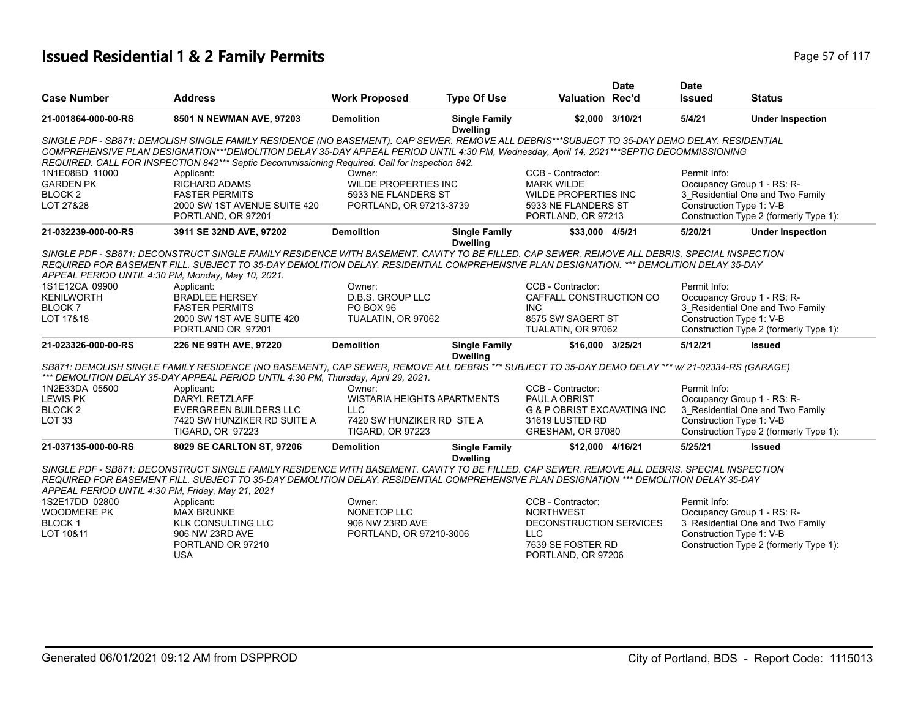# **Issued Residential 1 & 2 Family Permits Page 117 Page 57 of 117**

|                                                    |                                                                                                                                                                                                                                                                                          |                                    |                                         |                                        | <b>Date</b> | <b>Date</b>                |                                        |
|----------------------------------------------------|------------------------------------------------------------------------------------------------------------------------------------------------------------------------------------------------------------------------------------------------------------------------------------------|------------------------------------|-----------------------------------------|----------------------------------------|-------------|----------------------------|----------------------------------------|
| <b>Case Number</b>                                 | <b>Address</b>                                                                                                                                                                                                                                                                           | <b>Work Proposed</b>               | <b>Type Of Use</b>                      | <b>Valuation Rec'd</b>                 |             | <b>Issued</b>              | <b>Status</b>                          |
| 21-001864-000-00-RS                                | 8501 N NEWMAN AVE, 97203                                                                                                                                                                                                                                                                 | <b>Demolition</b>                  | <b>Single Family</b><br><b>Dwelling</b> | \$2,000 3/10/21                        |             | 5/4/21                     | <b>Under Inspection</b>                |
|                                                    | SINGLE PDF - SB871: DEMOLISH SINGLE FAMILY RESIDENCE (NO BASEMENT). CAP SEWER, REMOVE ALL DEBRIS***SUBJECT TO 35-DAY DEMO DELAY. RESIDENTIAL<br>COMPREHENSIVE PLAN DESIGNATION***DEMOLITION DELAY 35-DAY APPEAL PERIOD UNTIL 4:30 PM, Wednesday, April 14, 2021***SEPTIC DECOMMISSIONING |                                    |                                         |                                        |             |                            |                                        |
| 1N1E08BD 11000                                     | REQUIRED. CALL FOR INSPECTION 842*** Septic Decommissioning Required. Call for Inspection 842.<br>Applicant:                                                                                                                                                                             | Owner:                             |                                         | CCB - Contractor:                      |             | Permit Info:               |                                        |
| <b>GARDEN PK</b>                                   | <b>RICHARD ADAMS</b>                                                                                                                                                                                                                                                                     | <b>WILDE PROPERTIES INC</b>        |                                         | <b>MARK WILDE</b>                      |             | Occupancy Group 1 - RS: R- |                                        |
| BLOCK <sub>2</sub>                                 | <b>FASTER PERMITS</b>                                                                                                                                                                                                                                                                    | 5933 NE FLANDERS ST                |                                         | <b>WILDE PROPERTIES INC</b>            |             |                            | 3 Residential One and Two Family       |
| LOT 27&28                                          | 2000 SW 1ST AVENUE SUITE 420                                                                                                                                                                                                                                                             | PORTLAND, OR 97213-3739            |                                         | 5933 NE FLANDERS ST                    |             | Construction Type 1: V-B   |                                        |
|                                                    | PORTLAND, OR 97201                                                                                                                                                                                                                                                                       |                                    |                                         | PORTLAND, OR 97213                     |             |                            | Construction Type 2 (formerly Type 1): |
| 21-032239-000-00-RS                                | 3911 SE 32ND AVE, 97202                                                                                                                                                                                                                                                                  | <b>Demolition</b>                  | <b>Single Family</b><br><b>Dwelling</b> | \$33,000 4/5/21                        |             | 5/20/21                    | <b>Under Inspection</b>                |
|                                                    | SINGLE PDF - SB871: DECONSTRUCT SINGLE FAMILY RESIDENCE WITH BASEMENT. CAVITY TO BE FILLED. CAP SEWER. REMOVE ALL DEBRIS. SPECIAL INSPECTION                                                                                                                                             |                                    |                                         |                                        |             |                            |                                        |
|                                                    | REQUIRED FOR BASEMENT FILL. SUBJECT TO 35-DAY DEMOLITION DELAY. RESIDENTIAL COMPREHENSIVE PLAN DESIGNATION. *** DEMOLITION DELAY 35-DAY                                                                                                                                                  |                                    |                                         |                                        |             |                            |                                        |
| APPEAL PERIOD UNTIL 4:30 PM, Monday, May 10, 2021. |                                                                                                                                                                                                                                                                                          |                                    |                                         |                                        |             |                            |                                        |
| 1S1E12CA 09900                                     | Applicant:                                                                                                                                                                                                                                                                               | Owner:                             |                                         | CCB - Contractor:                      |             | Permit Info:               |                                        |
| <b>KENILWORTH</b>                                  | <b>BRADLEE HERSEY</b>                                                                                                                                                                                                                                                                    | <b>D.B.S. GROUP LLC</b>            |                                         | CAFFALL CONSTRUCTION CO                |             | Occupancy Group 1 - RS: R- |                                        |
| BLOCK <sub>7</sub>                                 | <b>FASTER PERMITS</b>                                                                                                                                                                                                                                                                    | PO BOX 96                          |                                         | <b>INC</b>                             |             |                            | 3 Residential One and Two Family       |
| LOT 17&18                                          | 2000 SW 1ST AVE SUITE 420                                                                                                                                                                                                                                                                | TUALATIN, OR 97062                 |                                         | 8575 SW SAGERT ST                      |             | Construction Type 1: V-B   |                                        |
|                                                    | PORTLAND OR 97201                                                                                                                                                                                                                                                                        |                                    |                                         | TUALATIN, OR 97062                     |             |                            | Construction Type 2 (formerly Type 1): |
| 21-023326-000-00-RS                                | 226 NE 99TH AVE, 97220                                                                                                                                                                                                                                                                   | <b>Demolition</b>                  | <b>Single Family</b><br><b>Dwelling</b> | \$16,000 3/25/21                       |             | 5/12/21                    | <b>Issued</b>                          |
|                                                    | SB871: DEMOLISH SINGLE FAMILY RESIDENCE (NO BASEMENT), CAP SEWER, REMOVE ALL DEBRIS *** SUBJECT TO 35-DAY DEMO DELAY *** w/ 21-02334-RS (GARAGE)<br>*** DEMOLITION DELAY 35-DAY APPEAL PERIOD UNTIL 4:30 PM, Thursday, April 29, 2021.                                                   |                                    |                                         |                                        |             |                            |                                        |
| 1N2E33DA 05500                                     | Applicant:                                                                                                                                                                                                                                                                               | Owner:                             |                                         | CCB - Contractor:                      |             | Permit Info:               |                                        |
| <b>LEWIS PK</b>                                    | DARYL RETZLAFF                                                                                                                                                                                                                                                                           | <b>WISTARIA HEIGHTS APARTMENTS</b> |                                         | PAUL A OBRIST                          |             | Occupancy Group 1 - RS: R- |                                        |
| BLOCK <sub>2</sub>                                 | EVERGREEN BUILDERS LLC                                                                                                                                                                                                                                                                   | <b>LLC</b>                         |                                         | <b>G &amp; P OBRIST EXCAVATING INC</b> |             |                            | 3_Residential One and Two Family       |
| LOT <sub>33</sub>                                  | 7420 SW HUNZIKER RD SUITE A                                                                                                                                                                                                                                                              | 7420 SW HUNZIKER RD STE A          |                                         | 31619 LUSTED RD                        |             | Construction Type 1: V-B   |                                        |
|                                                    | <b>TIGARD, OR 97223</b>                                                                                                                                                                                                                                                                  | <b>TIGARD, OR 97223</b>            |                                         | GRESHAM, OR 97080                      |             |                            | Construction Type 2 (formerly Type 1): |
| 21-037135-000-00-RS                                | 8029 SE CARLTON ST, 97206                                                                                                                                                                                                                                                                | <b>Demolition</b>                  | <b>Single Family</b><br><b>Dwelling</b> | \$12,000 4/16/21                       |             | 5/25/21                    | <b>Issued</b>                          |
|                                                    | SINGLE PDF - SB871: DECONSTRUCT SINGLE FAMILY RESIDENCE WITH BASEMENT. CAVITY TO BE FILLED. CAP SEWER. REMOVE ALL DEBRIS. SPECIAL INSPECTION                                                                                                                                             |                                    |                                         |                                        |             |                            |                                        |
|                                                    | REQUIRED FOR BASEMENT FILL. SUBJECT TO 35-DAY DEMOLITION DELAY. RESIDENTIAL COMPREHENSIVE PLAN DESIGNATION *** DEMOLITION DELAY 35-DAY                                                                                                                                                   |                                    |                                         |                                        |             |                            |                                        |
| APPEAL PERIOD UNTIL 4:30 PM, Friday, May 21, 2021  |                                                                                                                                                                                                                                                                                          |                                    |                                         |                                        |             |                            |                                        |
| 1S2E17DD 02800                                     | Applicant:                                                                                                                                                                                                                                                                               | Owner:                             |                                         | CCB - Contractor:                      |             | Permit Info:               |                                        |
| <b>WOODMERE PK</b>                                 | <b>MAX BRUNKE</b>                                                                                                                                                                                                                                                                        | NONETOP LLC                        |                                         | <b>NORTHWEST</b>                       |             | Occupancy Group 1 - RS: R- |                                        |
| <b>BLOCK1</b>                                      | <b>KLK CONSULTING LLC</b>                                                                                                                                                                                                                                                                | 906 NW 23RD AVE                    |                                         | DECONSTRUCTION SERVICES                |             |                            | 3 Residential One and Two Family       |
| LOT 10&11                                          | 906 NW 23RD AVE                                                                                                                                                                                                                                                                          | PORTLAND, OR 97210-3006            |                                         | <b>LLC</b>                             |             | Construction Type 1: V-B   |                                        |
|                                                    | PORTLAND OR 97210                                                                                                                                                                                                                                                                        |                                    |                                         | 7639 SE FOSTER RD                      |             |                            | Construction Type 2 (formerly Type 1): |
|                                                    | <b>USA</b>                                                                                                                                                                                                                                                                               |                                    |                                         | PORTLAND, OR 97206                     |             |                            |                                        |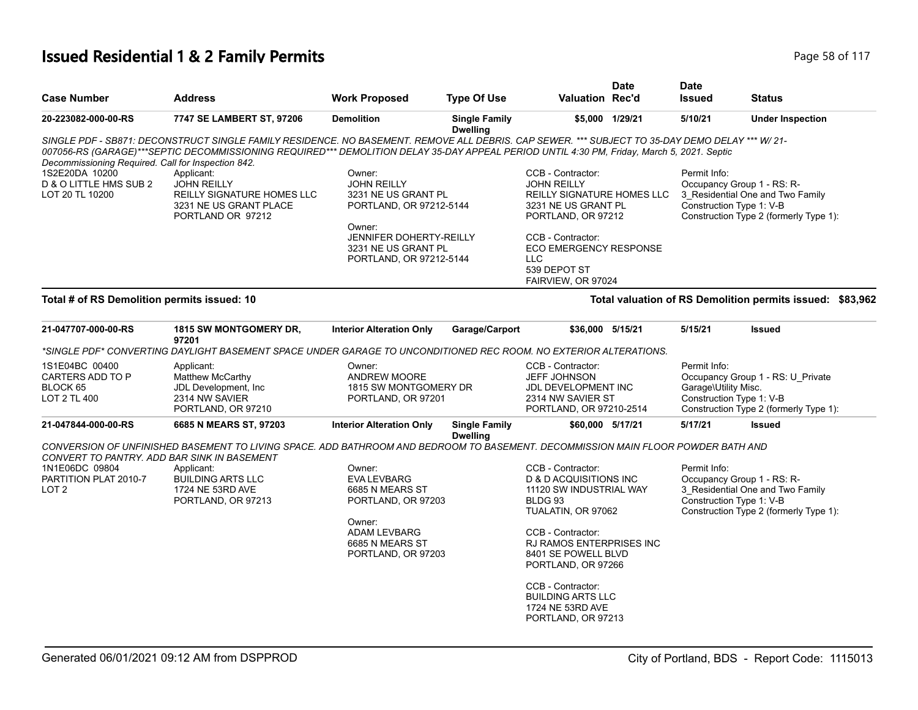# **Issued Residential 1 & 2 Family Permits Page 117 Page 12 Of 117 Page 58 of 117**

| <b>Case Number</b>                                             | <b>Address</b>                                                                                                                                                                                                                                                                                | <b>Work Proposed</b>                                                                                                                     | <b>Type Of Use</b>                      | <b>Valuation Rec'd</b>                                                                                                                                                                                           | <b>Date</b>     | <b>Date</b><br><b>Issued</b>                                           | <b>Status</b>                                                               |
|----------------------------------------------------------------|-----------------------------------------------------------------------------------------------------------------------------------------------------------------------------------------------------------------------------------------------------------------------------------------------|------------------------------------------------------------------------------------------------------------------------------------------|-----------------------------------------|------------------------------------------------------------------------------------------------------------------------------------------------------------------------------------------------------------------|-----------------|------------------------------------------------------------------------|-----------------------------------------------------------------------------|
| 20-223082-000-00-RS                                            | 7747 SE LAMBERT ST, 97206                                                                                                                                                                                                                                                                     | <b>Demolition</b>                                                                                                                        | <b>Single Family</b><br><b>Dwelling</b> |                                                                                                                                                                                                                  | \$5.000 1/29/21 | 5/10/21                                                                | <b>Under Inspection</b>                                                     |
| Decommissioning Required. Call for Inspection 842.             | SINGLE PDF - SB871: DECONSTRUCT SINGLE FAMILY RESIDENCE. NO BASEMENT. REMOVE ALL DEBRIS. CAP SEWER. *** SUBJECT TO 35-DAY DEMO DELAY *** W/ 21-<br>007056-RS (GARAGE)***SEPTIC DECOMMISSIONING REQUIRED*** DEMOLITION DELAY 35-DAY APPEAL PERIOD UNTIL 4:30 PM, Friday, March 5, 2021. Septic |                                                                                                                                          |                                         |                                                                                                                                                                                                                  |                 |                                                                        |                                                                             |
| 1S2E20DA 10200<br>D & O LITTLE HMS SUB 2<br>LOT 20 TL 10200    | Applicant:<br><b>JOHN REILLY</b><br>REILLY SIGNATURE HOMES LLC<br>3231 NE US GRANT PLACE<br>PORTLAND OR 97212                                                                                                                                                                                 | Owner:<br><b>JOHN REILLY</b><br>3231 NE US GRANT PL<br>PORTLAND, OR 97212-5144                                                           |                                         | CCB - Contractor:<br><b>JOHN REILLY</b><br>REILLY SIGNATURE HOMES LLC<br>3231 NE US GRANT PL<br>PORTLAND, OR 97212                                                                                               |                 | Permit Info:<br>Occupancy Group 1 - RS: R-<br>Construction Type 1: V-B | 3_Residential One and Two Family<br>Construction Type 2 (formerly Type 1):  |
|                                                                |                                                                                                                                                                                                                                                                                               | Owner:<br><b>JENNIFER DOHERTY-REILLY</b><br>3231 NE US GRANT PL<br>PORTLAND, OR 97212-5144                                               |                                         | CCB - Contractor:<br><b>ECO EMERGENCY RESPONSE</b><br><b>LLC</b><br>539 DEPOT ST<br>FAIRVIEW, OR 97024                                                                                                           |                 |                                                                        |                                                                             |
| Total # of RS Demolition permits issued: 10                    |                                                                                                                                                                                                                                                                                               |                                                                                                                                          |                                         |                                                                                                                                                                                                                  |                 |                                                                        | Total valuation of RS Demolition permits issued: \$83,962                   |
| 21-047707-000-00-RS                                            | <b>1815 SW MONTGOMERY DR.</b><br>97201                                                                                                                                                                                                                                                        | <b>Interior Alteration Only</b>                                                                                                          | Garage/Carport                          | \$36,000 5/15/21                                                                                                                                                                                                 |                 | 5/15/21                                                                | <b>Issued</b>                                                               |
|                                                                | *SINGLE PDF* CONVERTING DAYLIGHT BASEMENT SPACE UNDER GARAGE TO UNCONDITIONED REC ROOM. NO EXTERIOR ALTERATIONS.                                                                                                                                                                              |                                                                                                                                          |                                         |                                                                                                                                                                                                                  |                 |                                                                        |                                                                             |
| 1S1E04BC 00400<br>CARTERS ADD TO P<br>BLOCK 65<br>LOT 2 TL 400 | Applicant:<br>Matthew McCarthy<br>JDL Development, Inc.<br>2314 NW SAVIER<br>PORTLAND, OR 97210                                                                                                                                                                                               | Owner:<br><b>ANDREW MOORE</b><br>1815 SW MONTGOMERY DR<br>PORTLAND, OR 97201                                                             |                                         | CCB - Contractor:<br><b>JEFF JOHNSON</b><br>JDL DEVELOPMENT INC<br>2314 NW SAVIER ST<br>PORTLAND, OR 97210-2514                                                                                                  |                 | Permit Info:<br>Garage\Utility Misc.<br>Construction Type 1: V-B       | Occupancy Group 1 - RS: U_Private<br>Construction Type 2 (formerly Type 1): |
| 21-047844-000-00-RS                                            | 6685 N MEARS ST, 97203                                                                                                                                                                                                                                                                        | <b>Interior Alteration Only</b>                                                                                                          | <b>Single Family</b><br><b>Dwelling</b> | \$60,000 5/17/21                                                                                                                                                                                                 |                 | 5/17/21                                                                | <b>Issued</b>                                                               |
| CONVERT TO PANTRY. ADD BAR SINK IN BASEMENT                    | CONVERSION OF UNFINISHED BASEMENT TO LIVING SPACE. ADD BATHROOM AND BEDROOM TO BASEMENT. DECOMMISSION MAIN FLOOR POWDER BATH AND                                                                                                                                                              |                                                                                                                                          |                                         |                                                                                                                                                                                                                  |                 |                                                                        |                                                                             |
| 1N1E06DC 09804<br>PARTITION PLAT 2010-7<br>LOT <sub>2</sub>    | Applicant:<br><b>BUILDING ARTS LLC</b><br>1724 NE 53RD AVE<br>PORTLAND, OR 97213                                                                                                                                                                                                              | Owner:<br><b>EVA LEVBARG</b><br>6685 N MEARS ST<br>PORTLAND, OR 97203<br>Owner:<br>ADAM LEVBARG<br>6685 N MEARS ST<br>PORTLAND, OR 97203 |                                         | CCB - Contractor:<br>D & D ACQUISITIONS INC<br>11120 SW INDUSTRIAL WAY<br>BLDG <sub>93</sub><br>TUALATIN, OR 97062<br>CCB - Contractor:<br>RJ RAMOS ENTERPRISES INC<br>8401 SE POWELL BLVD<br>PORTLAND, OR 97266 |                 | Permit Info:<br>Occupancy Group 1 - RS: R-<br>Construction Type 1: V-B | 3_Residential One and Two Family<br>Construction Type 2 (formerly Type 1):  |
|                                                                |                                                                                                                                                                                                                                                                                               |                                                                                                                                          |                                         | CCB - Contractor:<br><b>BUILDING ARTS LLC</b><br>1724 NE 53RD AVE<br>PORTLAND, OR 97213                                                                                                                          |                 |                                                                        |                                                                             |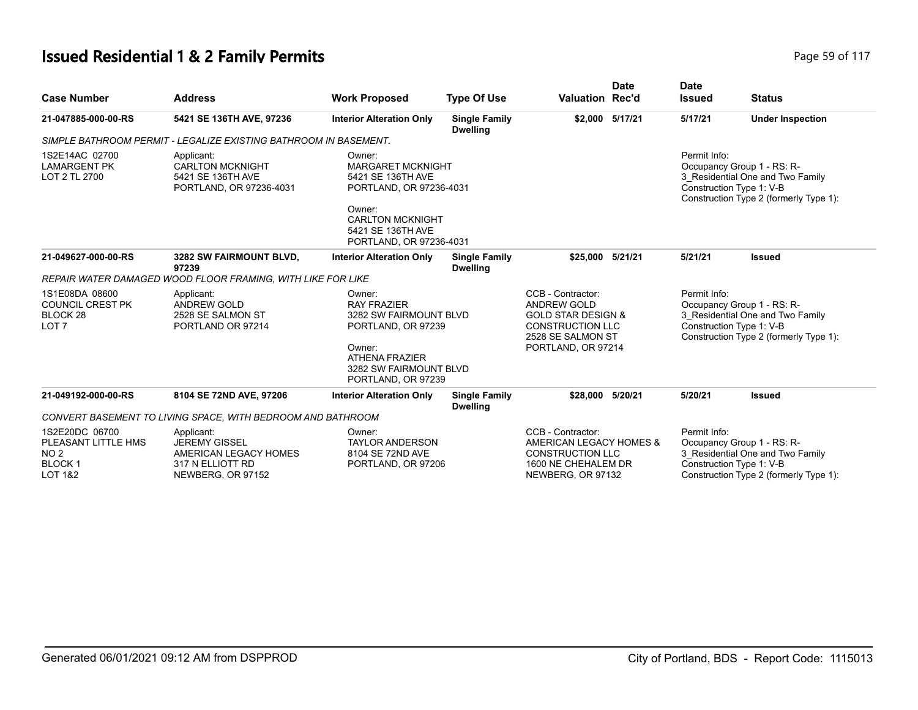# **Issued Residential 1 & 2 Family Permits Page 117 Page 117 Page 59 of 117**

| <b>Case Number</b>                                                                              | <b>Address</b>                                                                                       | <b>Work Proposed</b>                                                                         | <b>Type Of Use</b>                      | <b>Valuation Rec'd</b>                                                                                                                         | <b>Date</b>     | <b>Date</b><br><b>Issued</b>             | <b>Status</b>                                                                                                                        |
|-------------------------------------------------------------------------------------------------|------------------------------------------------------------------------------------------------------|----------------------------------------------------------------------------------------------|-----------------------------------------|------------------------------------------------------------------------------------------------------------------------------------------------|-----------------|------------------------------------------|--------------------------------------------------------------------------------------------------------------------------------------|
| 21-047885-000-00-RS                                                                             | 5421 SE 136TH AVE, 97236                                                                             | <b>Interior Alteration Only</b>                                                              | <b>Single Family</b><br><b>Dwelling</b> |                                                                                                                                                | \$2,000 5/17/21 | 5/17/21                                  | <b>Under Inspection</b>                                                                                                              |
|                                                                                                 | SIMPLE BATHROOM PERMIT - LEGALIZE EXISTING BATHROOM IN BASEMENT.                                     |                                                                                              |                                         |                                                                                                                                                |                 |                                          |                                                                                                                                      |
| 1S2E14AC 02700<br><b>LAMARGENT PK</b><br>LOT 2 TL 2700                                          | Applicant:<br><b>CARLTON MCKNIGHT</b><br>5421 SE 136TH AVE<br>PORTLAND, OR 97236-4031                | Owner:<br><b>MARGARET MCKNIGHT</b><br>5421 SE 136TH AVE<br>PORTLAND, OR 97236-4031<br>Owner: |                                         |                                                                                                                                                |                 | Permit Info:                             | Occupancy Group 1 - RS: R-<br>3 Residential One and Two Family<br>Construction Type 1: V-B<br>Construction Type 2 (formerly Type 1): |
|                                                                                                 |                                                                                                      | <b>CARLTON MCKNIGHT</b><br>5421 SE 136TH AVE<br>PORTLAND, OR 97236-4031                      |                                         |                                                                                                                                                |                 |                                          |                                                                                                                                      |
| 21-049627-000-00-RS                                                                             | 3282 SW FAIRMOUNT BLVD,<br>97239                                                                     | <b>Interior Alteration Only</b>                                                              | <b>Single Family</b><br><b>Dwelling</b> | \$25,000                                                                                                                                       | 5/21/21         | 5/21/21                                  | <b>Issued</b>                                                                                                                        |
|                                                                                                 | REPAIR WATER DAMAGED WOOD FLOOR FRAMING. WITH LIKE FOR LIKE                                          |                                                                                              |                                         |                                                                                                                                                |                 |                                          |                                                                                                                                      |
| 1S1E08DA 08600<br><b>COUNCIL CREST PK</b><br>BLOCK <sub>28</sub><br>LOT <sub>7</sub>            | Applicant:<br><b>ANDREW GOLD</b><br>2528 SE SALMON ST<br>PORTLAND OR 97214                           | Owner:<br><b>RAY FRAZIER</b><br>3282 SW FAIRMOUNT BLVD<br>PORTLAND, OR 97239<br>Owner:       |                                         | CCB - Contractor:<br><b>ANDREW GOLD</b><br><b>GOLD STAR DESIGN &amp;</b><br><b>CONSTRUCTION LLC</b><br>2528 SE SALMON ST<br>PORTLAND, OR 97214 |                 | Permit Info:<br>Construction Type 1: V-B | Occupancy Group 1 - RS: R-<br>3_Residential One and Two Family<br>Construction Type 2 (formerly Type 1):                             |
|                                                                                                 |                                                                                                      | <b>ATHENA FRAZIER</b><br>3282 SW FAIRMOUNT BLVD<br>PORTLAND, OR 97239                        |                                         |                                                                                                                                                |                 |                                          |                                                                                                                                      |
| 21-049192-000-00-RS                                                                             | 8104 SE 72ND AVE, 97206                                                                              | <b>Interior Alteration Only</b>                                                              | <b>Single Family</b><br><b>Dwelling</b> | \$28,000                                                                                                                                       | 5/20/21         | 5/20/21                                  | <b>Issued</b>                                                                                                                        |
|                                                                                                 | CONVERT BASEMENT TO LIVING SPACE, WITH BEDROOM AND BATHROOM                                          |                                                                                              |                                         |                                                                                                                                                |                 |                                          |                                                                                                                                      |
| 1S2E20DC 06700<br>PLEASANT LITTLE HMS<br>NO <sub>2</sub><br><b>BLOCK1</b><br><b>LOT 1&amp;2</b> | Applicant:<br><b>JEREMY GISSEL</b><br>AMERICAN LEGACY HOMES<br>317 N ELLIOTT RD<br>NEWBERG, OR 97152 | Owner:<br><b>TAYLOR ANDERSON</b><br>8104 SE 72ND AVE<br>PORTLAND, OR 97206                   |                                         | CCB - Contractor:<br>AMERICAN LEGACY HOMES &<br><b>CONSTRUCTION LLC</b><br>1600 NE CHEHALEM DR<br>NEWBERG, OR 97132                            |                 | Permit Info:                             | Occupancy Group 1 - RS: R-<br>3_Residential One and Two Family<br>Construction Type 1: V-B<br>Construction Type 2 (formerly Type 1): |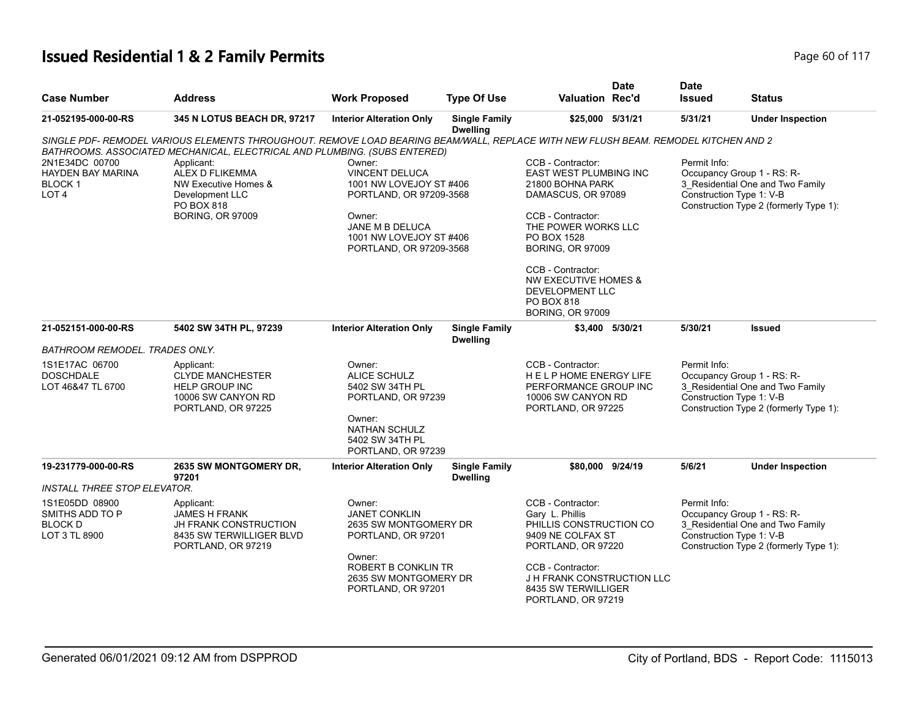# **Issued Residential 1 & 2 Family Permits Page 117 Page 60 of 117**

| <b>Case Number</b>                                                        | <b>Address</b>                                                                                                                                                                                                                                                                                                                                     | <b>Work Proposed</b>                                                                                                                                                     | <b>Type Of Use</b>                      | <b>Valuation Rec'd</b>                                                                                                                                                                                                                                                                                    | <b>Date</b> | <b>Date</b><br><b>Issued</b>             | <b>Status</b>                                                                                            |
|---------------------------------------------------------------------------|----------------------------------------------------------------------------------------------------------------------------------------------------------------------------------------------------------------------------------------------------------------------------------------------------------------------------------------------------|--------------------------------------------------------------------------------------------------------------------------------------------------------------------------|-----------------------------------------|-----------------------------------------------------------------------------------------------------------------------------------------------------------------------------------------------------------------------------------------------------------------------------------------------------------|-------------|------------------------------------------|----------------------------------------------------------------------------------------------------------|
| 21-052195-000-00-RS                                                       | 345 N LOTUS BEACH DR, 97217                                                                                                                                                                                                                                                                                                                        | <b>Interior Alteration Only</b>                                                                                                                                          | <b>Single Family</b><br><b>Dwelling</b> | \$25,000 5/31/21                                                                                                                                                                                                                                                                                          |             | 5/31/21                                  | <b>Under Inspection</b>                                                                                  |
| 2N1E34DC 00700<br><b>HAYDEN BAY MARINA</b><br>BLOCK 1<br>LOT <sub>4</sub> | SINGLE PDF- REMODEL VARIOUS ELEMENTS THROUGHOUT. REMOVE LOAD BEARING BEAM/WALL, REPLACE WITH NEW FLUSH BEAM. REMODEL KITCHEN AND 2<br>BATHROOMS. ASSOCIATED MECHANICAL, ELECTRICAL AND PLUMBING. (SUBS ENTERED)<br>Applicant:<br><b>ALEX D FLIKEMMA</b><br>NW Executive Homes &<br>Development LLC<br><b>PO BOX 818</b><br><b>BORING, OR 97009</b> | Owner:<br><b>VINCENT DELUCA</b><br>1001 NW LOVEJOY ST #406<br>PORTLAND, OR 97209-3568<br>Owner:<br>JANE M B DELUCA<br>1001 NW LOVEJOY ST #406<br>PORTLAND, OR 97209-3568 |                                         | CCB - Contractor:<br><b>EAST WEST PLUMBING INC</b><br>21800 BOHNA PARK<br>DAMASCUS, OR 97089<br>CCB - Contractor:<br>THE POWER WORKS LLC<br>PO BOX 1528<br><b>BORING, OR 97009</b><br>CCB - Contractor:<br>NW EXECUTIVE HOMES &<br><b>DEVELOPMENT LLC</b><br><b>PO BOX 818</b><br><b>BORING, OR 97009</b> |             | Permit Info:<br>Construction Type 1: V-B | Occupancy Group 1 - RS: R-<br>3_Residential One and Two Family<br>Construction Type 2 (formerly Type 1): |
| 21-052151-000-00-RS                                                       | 5402 SW 34TH PL, 97239                                                                                                                                                                                                                                                                                                                             | <b>Interior Alteration Only</b>                                                                                                                                          | <b>Single Family</b>                    | \$3,400 5/30/21                                                                                                                                                                                                                                                                                           |             | 5/30/21                                  | <b>Issued</b>                                                                                            |
| BATHROOM REMODEL. TRADES ONLY.                                            |                                                                                                                                                                                                                                                                                                                                                    |                                                                                                                                                                          | <b>Dwelling</b>                         |                                                                                                                                                                                                                                                                                                           |             |                                          |                                                                                                          |
| 1S1E17AC 06700<br><b>DOSCHDALE</b><br>LOT 46&47 TL 6700                   | Applicant:<br><b>CLYDE MANCHESTER</b><br><b>HELP GROUP INC</b><br>10006 SW CANYON RD<br>PORTLAND, OR 97225                                                                                                                                                                                                                                         | Owner:<br><b>ALICE SCHULZ</b><br>5402 SW 34TH PL<br>PORTLAND, OR 97239<br>Owner:<br><b>NATHAN SCHULZ</b><br>5402 SW 34TH PL                                              |                                         | CCB - Contractor:<br>HELP HOME ENERGY LIFE<br>PERFORMANCE GROUP INC<br>10006 SW CANYON RD<br>PORTLAND, OR 97225                                                                                                                                                                                           |             | Permit Info:<br>Construction Type 1: V-B | Occupancy Group 1 - RS: R-<br>3_Residential One and Two Family<br>Construction Type 2 (formerly Type 1): |
| 19-231779-000-00-RS                                                       | 2635 SW MONTGOMERY DR,                                                                                                                                                                                                                                                                                                                             | PORTLAND, OR 97239<br><b>Interior Alteration Only</b>                                                                                                                    | <b>Single Family</b>                    | \$80,000 9/24/19                                                                                                                                                                                                                                                                                          |             | 5/6/21                                   | <b>Under Inspection</b>                                                                                  |
|                                                                           | 97201                                                                                                                                                                                                                                                                                                                                              |                                                                                                                                                                          | <b>Dwelling</b>                         |                                                                                                                                                                                                                                                                                                           |             |                                          |                                                                                                          |
| <b>INSTALL THREE STOP ELEVATOR.</b>                                       |                                                                                                                                                                                                                                                                                                                                                    |                                                                                                                                                                          |                                         |                                                                                                                                                                                                                                                                                                           |             |                                          |                                                                                                          |
| 1S1E05DD 08900<br>SMITHS ADD TO P<br><b>BLOCK D</b><br>LOT 3 TL 8900      | Applicant:<br><b>JAMES H FRANK</b><br><b>JH FRANK CONSTRUCTION</b><br>8435 SW TERWILLIGER BLVD<br>PORTLAND, OR 97219                                                                                                                                                                                                                               | Owner:<br><b>JANET CONKLIN</b><br>2635 SW MONTGOMERY DR<br>PORTLAND, OR 97201<br>Owner:<br>ROBERT B CONKLIN TR                                                           |                                         | CCB - Contractor:<br>Gary L. Phillis<br>PHILLIS CONSTRUCTION CO<br>9409 NE COLFAX ST<br>PORTLAND, OR 97220<br>CCB - Contractor:                                                                                                                                                                           |             | Permit Info:<br>Construction Type 1: V-B | Occupancy Group 1 - RS: R-<br>3_Residential One and Two Family<br>Construction Type 2 (formerly Type 1): |
|                                                                           |                                                                                                                                                                                                                                                                                                                                                    | 2635 SW MONTGOMERY DR<br>PORTLAND, OR 97201                                                                                                                              |                                         | J H FRANK CONSTRUCTION LLC<br>8435 SW TERWILLIGER<br>PORTLAND, OR 97219                                                                                                                                                                                                                                   |             |                                          |                                                                                                          |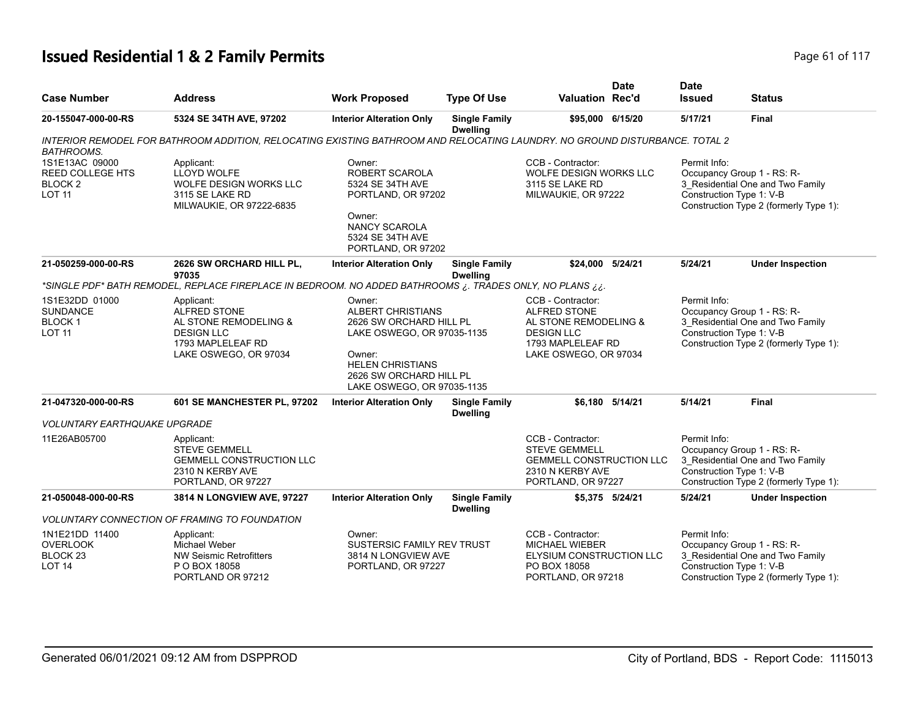# **Issued Residential 1 & 2 Family Permits Page 61 of 117 Page 61 of 117**

| <b>Case Number</b>                                                               | <b>Address</b>                                                                                                                | <b>Work Proposed</b>                                                                                                                                                                      | <b>Type Of Use</b>                      | <b>Valuation Rec'd</b>                                                                                                        | <b>Date</b>     | <b>Date</b><br><b>Issued</b>             | <b>Status</b>                                                                                            |
|----------------------------------------------------------------------------------|-------------------------------------------------------------------------------------------------------------------------------|-------------------------------------------------------------------------------------------------------------------------------------------------------------------------------------------|-----------------------------------------|-------------------------------------------------------------------------------------------------------------------------------|-----------------|------------------------------------------|----------------------------------------------------------------------------------------------------------|
| 20-155047-000-00-RS                                                              | 5324 SE 34TH AVE, 97202                                                                                                       | <b>Interior Alteration Only</b>                                                                                                                                                           | <b>Single Family</b><br><b>Dwelling</b> | \$95,000 6/15/20                                                                                                              |                 | 5/17/21                                  | <b>Final</b>                                                                                             |
| <b>BATHROOMS.</b>                                                                | INTERIOR REMODEL FOR BATHROOM ADDITION, RELOCATING EXISTING BATHROOM AND RELOCATING LAUNDRY. NO GROUND DISTURBANCE. TOTAL 2   |                                                                                                                                                                                           |                                         |                                                                                                                               |                 |                                          |                                                                                                          |
| 1S1E13AC 09000<br><b>REED COLLEGE HTS</b><br>BLOCK <sub>2</sub><br><b>LOT 11</b> | Applicant:<br>LLOYD WOLFE<br>WOLFE DESIGN WORKS LLC<br>3115 SE LAKE RD<br>MILWAUKIE, OR 97222-6835                            | Owner:<br>ROBERT SCAROLA<br>5324 SE 34TH AVE<br>PORTLAND, OR 97202<br>Owner:<br>NANCY SCAROLA<br>5324 SE 34TH AVE<br>PORTLAND, OR 97202                                                   |                                         | CCB - Contractor:<br>WOLFE DESIGN WORKS LLC<br>3115 SE LAKE RD<br>MILWAUKIE, OR 97222                                         |                 | Permit Info:<br>Construction Type 1: V-B | Occupancy Group 1 - RS: R-<br>3_Residential One and Two Family<br>Construction Type 2 (formerly Type 1): |
| 21-050259-000-00-RS                                                              | 2626 SW ORCHARD HILL PL,<br>97035                                                                                             | <b>Interior Alteration Only</b>                                                                                                                                                           | <b>Single Family</b><br><b>Dwelling</b> | \$24,000 5/24/21                                                                                                              |                 | 5/24/21                                  | <b>Under Inspection</b>                                                                                  |
|                                                                                  | -SINGLE PDF* BATH REMODEL, REPLACE FIREPLACE IN BEDROOM. NO ADDED BATHROOMS ¿. TRADES ONLY, NO PLANS                          |                                                                                                                                                                                           |                                         |                                                                                                                               |                 |                                          |                                                                                                          |
| 1S1E32DD 01000<br><b>SUNDANCE</b><br><b>BLOCK1</b><br><b>LOT 11</b>              | Applicant:<br><b>ALFRED STONE</b><br>AL STONE REMODELING &<br><b>DESIGN LLC</b><br>1793 MAPLELEAF RD<br>LAKE OSWEGO, OR 97034 | Owner:<br><b>ALBERT CHRISTIANS</b><br>2626 SW ORCHARD HILL PL<br>LAKE OSWEGO, OR 97035-1135<br>Owner:<br><b>HELEN CHRISTIANS</b><br>2626 SW ORCHARD HILL PL<br>LAKE OSWEGO, OR 97035-1135 |                                         | CCB - Contractor:<br>ALFRED STONE<br>AL STONE REMODELING &<br><b>DESIGN LLC</b><br>1793 MAPLELEAF RD<br>LAKE OSWEGO, OR 97034 |                 | Permit Info:<br>Construction Type 1: V-B | Occupancy Group 1 - RS: R-<br>3 Residential One and Two Family<br>Construction Type 2 (formerly Type 1): |
| 21-047320-000-00-RS                                                              | 601 SE MANCHESTER PL, 97202                                                                                                   | <b>Interior Alteration Only</b>                                                                                                                                                           | <b>Single Family</b><br><b>Dwelling</b> |                                                                                                                               | \$6.180 5/14/21 | 5/14/21                                  | Final                                                                                                    |
| <b>VOLUNTARY EARTHQUAKE UPGRADE</b>                                              |                                                                                                                               |                                                                                                                                                                                           |                                         |                                                                                                                               |                 |                                          |                                                                                                          |
| 11E26AB05700                                                                     | Applicant:<br><b>STEVE GEMMELL</b><br><b>GEMMELL CONSTRUCTION LLC</b><br>2310 N KERBY AVE<br>PORTLAND, OR 97227               |                                                                                                                                                                                           |                                         | CCB - Contractor:<br><b>STEVE GEMMELL</b><br><b>GEMMELL CONSTRUCTION LLC</b><br>2310 N KERBY AVE<br>PORTLAND, OR 97227        |                 | Permit Info:<br>Construction Type 1: V-B | Occupancy Group 1 - RS: R-<br>3 Residential One and Two Family<br>Construction Type 2 (formerly Type 1): |
| 21-050048-000-00-RS                                                              | 3814 N LONGVIEW AVE, 97227                                                                                                    | <b>Interior Alteration Only</b>                                                                                                                                                           | <b>Single Family</b><br><b>Dwelling</b> |                                                                                                                               | \$5,375 5/24/21 | 5/24/21                                  | <b>Under Inspection</b>                                                                                  |
|                                                                                  | <b>VOLUNTARY CONNECTION OF FRAMING TO FOUNDATION</b>                                                                          |                                                                                                                                                                                           |                                         |                                                                                                                               |                 |                                          |                                                                                                          |
| 1N1E21DD 11400<br><b>OVERLOOK</b><br>BLOCK <sub>23</sub><br><b>LOT 14</b>        | Applicant:<br>Michael Weber<br>NW Seismic Retrofitters<br>P O BOX 18058<br>PORTLAND OR 97212                                  | Owner:<br>SUSTERSIC FAMILY REV TRUST<br>3814 N LONGVIEW AVE<br>PORTLAND, OR 97227                                                                                                         |                                         | CCB - Contractor:<br><b>MICHAEL WIEBER</b><br><b>ELYSIUM CONSTRUCTION LLC</b><br>PO BOX 18058<br>PORTLAND, OR 97218           |                 | Permit Info:<br>Construction Type 1: V-B | Occupancy Group 1 - RS: R-<br>3 Residential One and Two Family<br>Construction Type 2 (formerly Type 1): |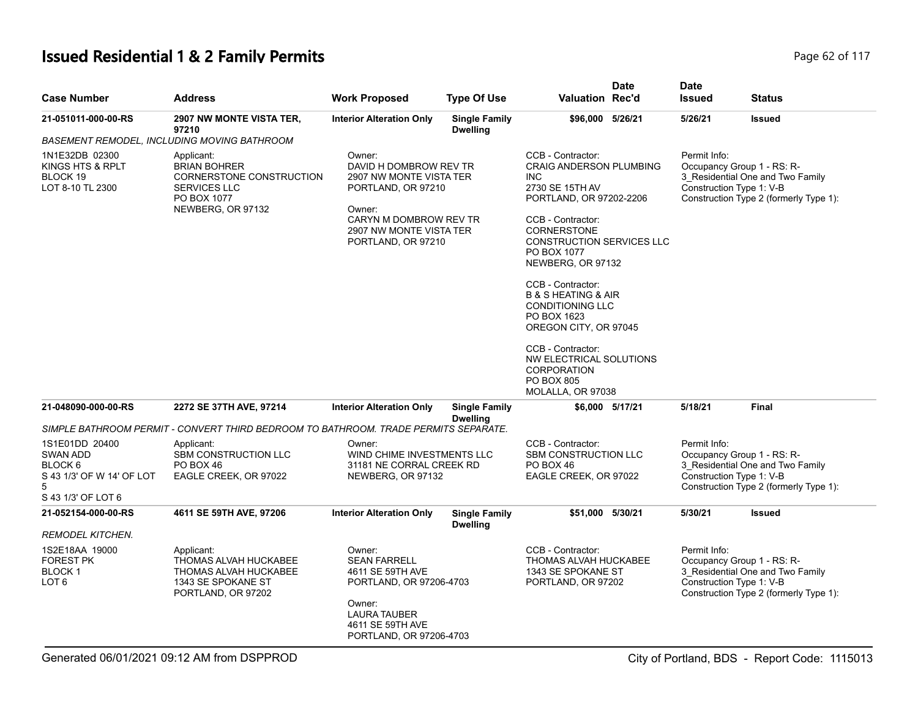# **Issued Residential 1 & 2 Family Permits Page 117 Page 62 of 117**

| <b>Case Number</b>                                                                            | <b>Address</b>                                                                                                    | <b>Work Proposed</b>                                                                                                                                                   | <b>Type Of Use</b>                      | Valuation Rec'd                                                                                                                                                                                                                                                                                                                                                                                                                                             | <b>Date</b> | <b>Date</b><br><b>Issued</b>             | Status                                                                                                   |
|-----------------------------------------------------------------------------------------------|-------------------------------------------------------------------------------------------------------------------|------------------------------------------------------------------------------------------------------------------------------------------------------------------------|-----------------------------------------|-------------------------------------------------------------------------------------------------------------------------------------------------------------------------------------------------------------------------------------------------------------------------------------------------------------------------------------------------------------------------------------------------------------------------------------------------------------|-------------|------------------------------------------|----------------------------------------------------------------------------------------------------------|
| 21-051011-000-00-RS                                                                           | 2907 NW MONTE VISTA TER,<br>97210                                                                                 | <b>Interior Alteration Only</b>                                                                                                                                        | <b>Single Family</b><br><b>Dwelling</b> | \$96,000 5/26/21                                                                                                                                                                                                                                                                                                                                                                                                                                            |             | 5/26/21                                  | <b>Issued</b>                                                                                            |
|                                                                                               | BASEMENT REMODEL, INCLUDING MOVING BATHROOM                                                                       |                                                                                                                                                                        |                                         |                                                                                                                                                                                                                                                                                                                                                                                                                                                             |             |                                          |                                                                                                          |
| 1N1E32DB 02300<br>KINGS HTS & RPLT<br>BLOCK 19<br>LOT 8-10 TL 2300                            | Applicant:<br><b>BRIAN BOHRER</b><br>CORNERSTONE CONSTRUCTION<br>SERVICES LLC<br>PO BOX 1077<br>NEWBERG, OR 97132 | Owner:<br>DAVID H DOMBROW REV TR<br>2907 NW MONTE VISTA TER<br>PORTLAND, OR 97210<br>Owner:<br>CARYN M DOMBROW REV TR<br>2907 NW MONTE VISTA TER<br>PORTLAND, OR 97210 |                                         | CCB - Contractor:<br><b>CRAIG ANDERSON PLUMBING</b><br><b>INC</b><br>2730 SE 15TH AV<br>PORTLAND, OR 97202-2206<br>CCB - Contractor:<br><b>CORNERSTONE</b><br><b>CONSTRUCTION SERVICES LLC</b><br>PO BOX 1077<br>NEWBERG, OR 97132<br>CCB - Contractor:<br><b>B &amp; S HEATING &amp; AIR</b><br><b>CONDITIONING LLC</b><br>PO BOX 1623<br>OREGON CITY, OR 97045<br>CCB - Contractor:<br>NW ELECTRICAL SOLUTIONS<br><b>CORPORATION</b><br><b>PO BOX 805</b> |             | Permit Info:<br>Construction Type 1: V-B | Occupancy Group 1 - RS: R-<br>3_Residential One and Two Family<br>Construction Type 2 (formerly Type 1): |
|                                                                                               |                                                                                                                   |                                                                                                                                                                        |                                         | MOLALLA, OR 97038                                                                                                                                                                                                                                                                                                                                                                                                                                           |             |                                          |                                                                                                          |
| 21-048090-000-00-RS                                                                           | 2272 SE 37TH AVE, 97214                                                                                           | <b>Interior Alteration Only</b>                                                                                                                                        | <b>Single Family</b><br><b>Dwelling</b> | \$6,000 5/17/21                                                                                                                                                                                                                                                                                                                                                                                                                                             |             | 5/18/21                                  | <b>Final</b>                                                                                             |
|                                                                                               | SIMPLE BATHROOM PERMIT - CONVERT THIRD BEDROOM TO BATHROOM. TRADE PERMITS SEPARATE.                               |                                                                                                                                                                        |                                         |                                                                                                                                                                                                                                                                                                                                                                                                                                                             |             |                                          |                                                                                                          |
| 1S1E01DD 20400<br>SWAN ADD<br>BLOCK 6<br>S 43 1/3' OF W 14' OF LOT<br>5<br>S 43 1/3' OF LOT 6 | Applicant:<br>SBM CONSTRUCTION LLC<br>PO BOX 46<br>EAGLE CREEK, OR 97022                                          | Owner:<br>WIND CHIME INVESTMENTS LLC<br>31181 NE CORRAL CREEK RD<br>NEWBERG, OR 97132                                                                                  |                                         | CCB - Contractor:<br><b>SBM CONSTRUCTION LLC</b><br>PO BOX 46<br>EAGLE CREEK, OR 97022                                                                                                                                                                                                                                                                                                                                                                      |             | Permit Info:<br>Construction Type 1: V-B | Occupancy Group 1 - RS: R-<br>3_Residential One and Two Family<br>Construction Type 2 (formerly Type 1): |
| 21-052154-000-00-RS                                                                           | 4611 SE 59TH AVE, 97206                                                                                           | <b>Interior Alteration Only</b>                                                                                                                                        | <b>Single Family</b><br><b>Dwelling</b> | \$51,000 5/30/21                                                                                                                                                                                                                                                                                                                                                                                                                                            |             | 5/30/21                                  | Issued                                                                                                   |
| <b>REMODEL KITCHEN.</b>                                                                       |                                                                                                                   |                                                                                                                                                                        |                                         |                                                                                                                                                                                                                                                                                                                                                                                                                                                             |             |                                          |                                                                                                          |
| 1S2E18AA 19000<br><b>FOREST PK</b><br><b>BLOCK1</b><br>LOT <sub>6</sub>                       | Applicant:<br>THOMAS ALVAH HUCKABEE<br>THOMAS ALVAH HUCKABEE<br>1343 SE SPOKANE ST<br>PORTLAND, OR 97202          | Owner:<br><b>SEAN FARRELL</b><br>4611 SE 59TH AVE<br>PORTLAND, OR 97206-4703<br>Owner:<br><b>LAURA TAUBER</b><br>4611 SE 59TH AVE<br>PORTLAND, OR 97206-4703           |                                         | CCB - Contractor:<br>THOMAS ALVAH HUCKABEE<br>1343 SE SPOKANE ST<br>PORTLAND, OR 97202                                                                                                                                                                                                                                                                                                                                                                      |             | Permit Info:<br>Construction Type 1: V-B | Occupancy Group 1 - RS: R-<br>3_Residential One and Two Family<br>Construction Type 2 (formerly Type 1): |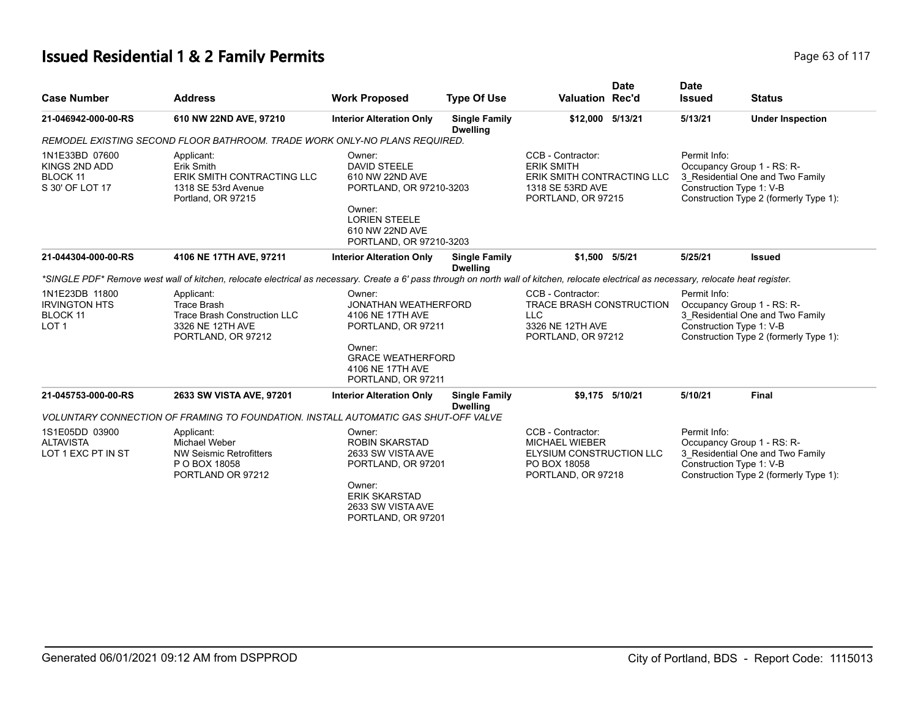# **Issued Residential 1 & 2 Family Permits Page 117 Page 63 of 117**

| <b>Case Number</b>                                                            | <b>Address</b>                                                                                                                                                                           | <b>Work Proposed</b>                                                                                                                                        | <b>Type Of Use</b>                      | <b>Valuation Rec'd</b>                                                                                         | <b>Date</b>     | <b>Date</b><br><b>Issued</b> | <b>Status</b>                                                                                                                        |
|-------------------------------------------------------------------------------|------------------------------------------------------------------------------------------------------------------------------------------------------------------------------------------|-------------------------------------------------------------------------------------------------------------------------------------------------------------|-----------------------------------------|----------------------------------------------------------------------------------------------------------------|-----------------|------------------------------|--------------------------------------------------------------------------------------------------------------------------------------|
| 21-046942-000-00-RS                                                           | 610 NW 22ND AVE, 97210                                                                                                                                                                   | <b>Interior Alteration Only</b>                                                                                                                             | <b>Single Family</b><br><b>Dwelling</b> | \$12,000 5/13/21                                                                                               |                 | 5/13/21                      | <b>Under Inspection</b>                                                                                                              |
|                                                                               | REMODEL EXISTING SECOND FLOOR BATHROOM. TRADE WORK ONLY-NO PLANS REQUIRED.                                                                                                               |                                                                                                                                                             |                                         |                                                                                                                |                 |                              |                                                                                                                                      |
| 1N1E33BD 07600<br>KINGS 2ND ADD<br><b>BLOCK 11</b><br>S 30' OF LOT 17         | Applicant:<br>Erik Smith<br>ERIK SMITH CONTRACTING LLC<br>1318 SE 53rd Avenue<br>Portland, OR 97215                                                                                      | Owner:<br><b>DAVID STEELE</b><br>610 NW 22ND AVE<br>PORTLAND, OR 97210-3203<br>Owner:<br><b>LORIEN STEELE</b><br>610 NW 22ND AVE<br>PORTLAND, OR 97210-3203 |                                         | CCB - Contractor:<br><b>ERIK SMITH</b><br>ERIK SMITH CONTRACTING LLC<br>1318 SE 53RD AVE<br>PORTLAND, OR 97215 |                 | Permit Info:                 | Occupancy Group 1 - RS: R-<br>3 Residential One and Two Family<br>Construction Type 1: V-B<br>Construction Type 2 (formerly Type 1): |
| 21-044304-000-00-RS                                                           | 4106 NE 17TH AVE, 97211                                                                                                                                                                  | <b>Interior Alteration Only</b>                                                                                                                             | <b>Single Family</b><br><b>Dwelling</b> | \$1,500 5/5/21                                                                                                 |                 | 5/25/21                      | <b>Issued</b>                                                                                                                        |
|                                                                               | *SINGLE PDF* Remove west wall of kitchen, relocate electrical as necessary. Create a 6' pass through on north wall of kitchen, relocate electrical as necessary, relocate heat register. |                                                                                                                                                             |                                         |                                                                                                                |                 |                              |                                                                                                                                      |
| 1N1E23DB 11800<br><b>IRVINGTON HTS</b><br><b>BLOCK 11</b><br>LOT <sub>1</sub> | Applicant:<br>Trace Brash<br><b>Trace Brash Construction LLC</b><br>3326 NE 12TH AVE<br>PORTLAND, OR 97212                                                                               | Owner:<br><b>JONATHAN WEATHERFORD</b><br>4106 NE 17TH AVE<br>PORTLAND, OR 97211<br>Owner:                                                                   |                                         | CCB - Contractor:<br>TRACE BRASH CONSTRUCTION<br><b>LLC</b><br>3326 NE 12TH AVE<br>PORTLAND, OR 97212          |                 | Permit Info:                 | Occupancy Group 1 - RS: R-<br>3 Residential One and Two Family<br>Construction Type 1: V-B<br>Construction Type 2 (formerly Type 1): |
|                                                                               |                                                                                                                                                                                          | <b>GRACE WEATHERFORD</b><br>4106 NE 17TH AVE<br>PORTLAND, OR 97211                                                                                          |                                         |                                                                                                                |                 |                              |                                                                                                                                      |
| 21-045753-000-00-RS                                                           | 2633 SW VISTA AVE, 97201                                                                                                                                                                 | <b>Interior Alteration Only</b>                                                                                                                             | <b>Single Family</b>                    |                                                                                                                | \$9.175 5/10/21 | 5/10/21                      | <b>Final</b>                                                                                                                         |
|                                                                               | VOLUNTARY CONNECTION OF FRAMING TO FOUNDATION. INSTALL AUTOMATIC GAS SHUT-OFF VALVE                                                                                                      |                                                                                                                                                             | <b>Dwelling</b>                         |                                                                                                                |                 |                              |                                                                                                                                      |
| 1S1E05DD 03900<br><b>ALTAVISTA</b><br>LOT 1 EXC PT IN ST                      | Applicant:<br>Michael Weber<br><b>NW Seismic Retrofitters</b><br>P O BOX 18058<br>PORTLAND OR 97212                                                                                      | Owner:<br><b>ROBIN SKARSTAD</b><br>2633 SW VISTA AVE<br>PORTLAND, OR 97201<br>Owner:<br><b>ERIK SKARSTAD</b><br>2633 SW VISTA AVE<br>PORTLAND, OR 97201     |                                         | CCB - Contractor:<br><b>MICHAEL WIEBER</b><br>ELYSIUM CONSTRUCTION LLC<br>PO BOX 18058<br>PORTLAND, OR 97218   |                 | Permit Info:                 | Occupancy Group 1 - RS: R-<br>3 Residential One and Two Family<br>Construction Type 1: V-B<br>Construction Type 2 (formerly Type 1): |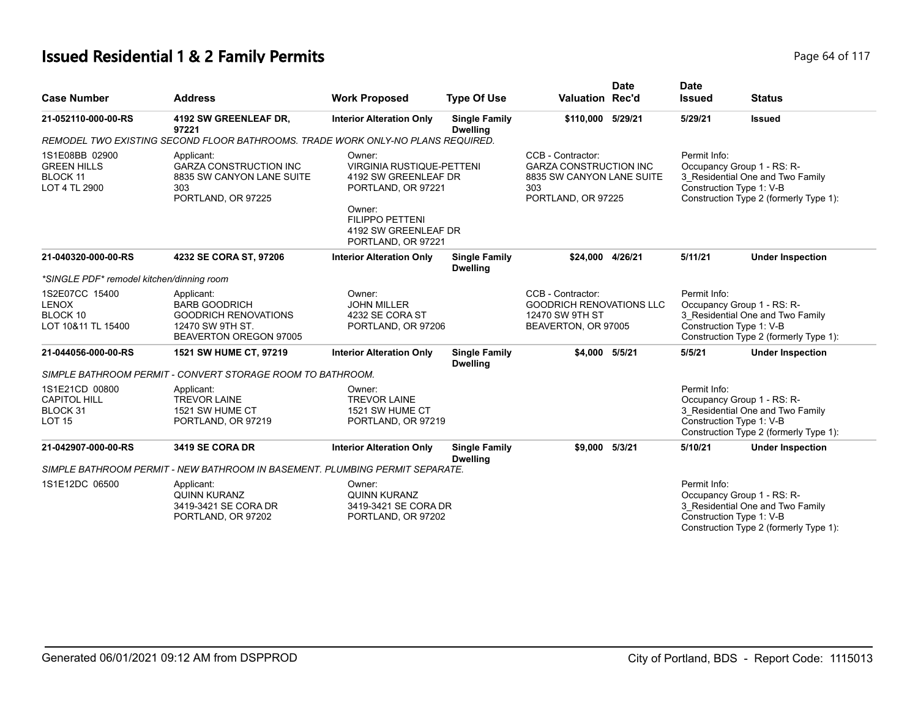# **Issued Residential 1 & 2 Family Permits Page 117 Page 64 of 117**

| <b>Case Number</b>                                                       | <b>Address</b>                                                                                                  | <b>Work Proposed</b>                                                                                                                                                       | <b>Type Of Use</b>                      | <b>Valuation Rec'd</b>                                                                                       | <b>Date</b> | <b>Date</b><br><b>Issued</b>             | <b>Status</b>                                                                                            |
|--------------------------------------------------------------------------|-----------------------------------------------------------------------------------------------------------------|----------------------------------------------------------------------------------------------------------------------------------------------------------------------------|-----------------------------------------|--------------------------------------------------------------------------------------------------------------|-------------|------------------------------------------|----------------------------------------------------------------------------------------------------------|
| 21-052110-000-00-RS                                                      | 4192 SW GREENLEAF DR,<br>97221                                                                                  | <b>Interior Alteration Only</b>                                                                                                                                            | <b>Single Family</b><br><b>Dwelling</b> | \$110,000                                                                                                    | 5/29/21     | 5/29/21                                  | <b>Issued</b>                                                                                            |
|                                                                          | REMODEL TWO EXISTING SECOND FLOOR BATHROOMS. TRADE WORK ONLY-NO PLANS REQUIRED.                                 |                                                                                                                                                                            |                                         |                                                                                                              |             |                                          |                                                                                                          |
| 1S1E08BB 02900<br><b>GREEN HILLS</b><br><b>BLOCK 11</b><br>LOT 4 TL 2900 | Applicant:<br><b>GARZA CONSTRUCTION INC</b><br>8835 SW CANYON LANE SUITE<br>303<br>PORTLAND, OR 97225           | Owner:<br><b>VIRGINIA RUSTIQUE-PETTENI</b><br>4192 SW GREENLEAF DR<br>PORTLAND, OR 97221<br>Owner:<br><b>FILIPPO PETTENI</b><br>4192 SW GREENLEAF DR<br>PORTLAND, OR 97221 |                                         | CCB - Contractor:<br><b>GARZA CONSTRUCTION INC</b><br>8835 SW CANYON LANE SUITE<br>303<br>PORTLAND, OR 97225 |             | Permit Info:<br>Construction Type 1: V-B | Occupancy Group 1 - RS: R-<br>3_Residential One and Two Family<br>Construction Type 2 (formerly Type 1): |
| 21-040320-000-00-RS                                                      | 4232 SE CORA ST, 97206                                                                                          | <b>Interior Alteration Only</b>                                                                                                                                            | <b>Single Family</b><br><b>Dwelling</b> | \$24.000 4/26/21                                                                                             |             | 5/11/21                                  | <b>Under Inspection</b>                                                                                  |
| *SINGLE PDF* remodel kitchen/dinning room                                |                                                                                                                 |                                                                                                                                                                            |                                         |                                                                                                              |             |                                          |                                                                                                          |
| 1S2E07CC 15400<br><b>LENOX</b><br>BLOCK 10<br>LOT 10&11 TL 15400         | Applicant:<br><b>BARB GOODRICH</b><br><b>GOODRICH RENOVATIONS</b><br>12470 SW 9TH ST.<br>BEAVERTON OREGON 97005 | Owner:<br><b>JOHN MILLER</b><br>4232 SE CORA ST<br>PORTLAND, OR 97206                                                                                                      |                                         | CCB - Contractor:<br><b>GOODRICH RENOVATIONS LLC</b><br>12470 SW 9TH ST<br>BEAVERTON, OR 97005               |             | Permit Info:<br>Construction Type 1: V-B | Occupancy Group 1 - RS: R-<br>3 Residential One and Two Family<br>Construction Type 2 (formerly Type 1): |
| 21-044056-000-00-RS                                                      | 1521 SW HUME CT, 97219                                                                                          | <b>Interior Alteration Only</b>                                                                                                                                            | <b>Single Family</b><br><b>Dwelling</b> | \$4,000 5/5/21                                                                                               |             | 5/5/21                                   | <b>Under Inspection</b>                                                                                  |
|                                                                          | SIMPLE BATHROOM PERMIT - CONVERT STORAGE ROOM TO BATHROOM.                                                      |                                                                                                                                                                            |                                         |                                                                                                              |             |                                          |                                                                                                          |
| 1S1E21CD 00800<br><b>CAPITOL HILL</b><br>BLOCK 31<br><b>LOT 15</b>       | Applicant:<br><b>TREVOR LAINE</b><br>1521 SW HUME CT<br>PORTLAND, OR 97219                                      | Owner:<br><b>TREVOR LAINE</b><br>1521 SW HUME CT<br>PORTLAND, OR 97219                                                                                                     |                                         |                                                                                                              |             | Permit Info:<br>Construction Type 1: V-B | Occupancy Group 1 - RS: R-<br>3 Residential One and Two Family<br>Construction Type 2 (formerly Type 1): |
| 21-042907-000-00-RS                                                      | 3419 SE CORA DR                                                                                                 | <b>Interior Alteration Only</b>                                                                                                                                            | <b>Single Family</b><br><b>Dwelling</b> | \$9.000                                                                                                      | 5/3/21      | 5/10/21                                  | <b>Under Inspection</b>                                                                                  |
|                                                                          | SIMPLE BATHROOM PERMIT - NEW BATHROOM IN BASEMENT. PLUMBING PERMIT SEPARATE.                                    |                                                                                                                                                                            |                                         |                                                                                                              |             |                                          |                                                                                                          |
| 1S1E12DC 06500                                                           | Applicant:<br><b>QUINN KURANZ</b><br>3419-3421 SE CORA DR<br>PORTLAND, OR 97202                                 | Owner:<br><b>QUINN KURANZ</b><br>3419-3421 SE CORA DR<br>PORTLAND, OR 97202                                                                                                |                                         |                                                                                                              |             | Permit Info:<br>Construction Type 1: V-B | Occupancy Group 1 - RS: R-<br>3_Residential One and Two Family<br>Construction Type 2 (formerly Type 1): |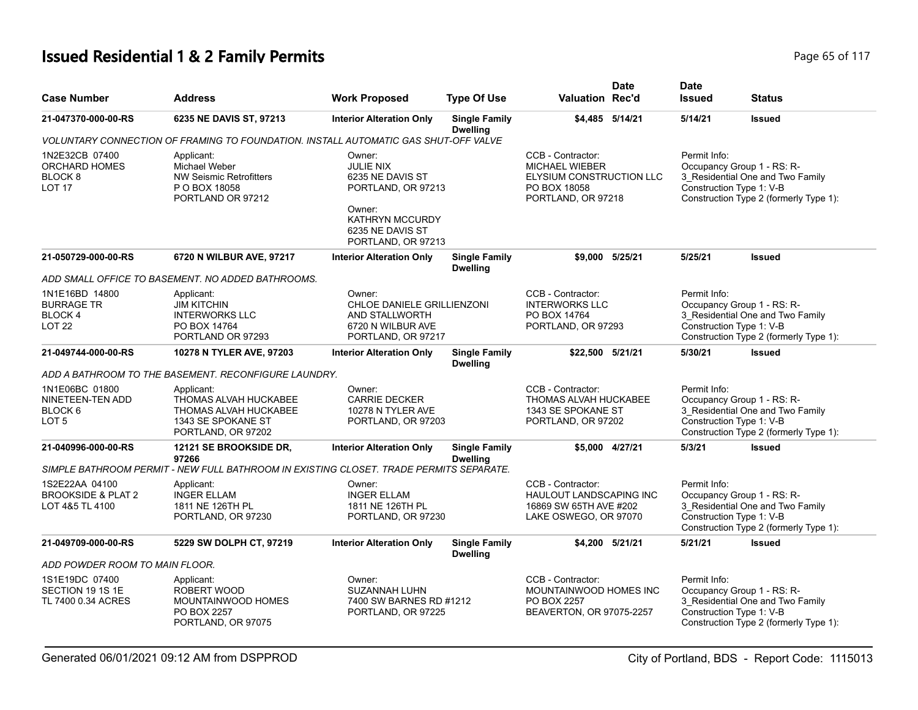# **Issued Residential 1 & 2 Family Permits Page 117 Page 65 of 117**

| <b>Case Number</b>                                                            | <b>Address</b>                                                                                           | <b>Work Proposed</b>                                                                                                                               | <b>Type Of Use</b>                      | <b>Valuation Rec'd</b>                                                                                       | <b>Date</b>     | <b>Date</b><br><b>Issued</b>             | <b>Status</b>                                                                                            |
|-------------------------------------------------------------------------------|----------------------------------------------------------------------------------------------------------|----------------------------------------------------------------------------------------------------------------------------------------------------|-----------------------------------------|--------------------------------------------------------------------------------------------------------------|-----------------|------------------------------------------|----------------------------------------------------------------------------------------------------------|
| 21-047370-000-00-RS                                                           | 6235 NE DAVIS ST, 97213                                                                                  | <b>Interior Alteration Only</b>                                                                                                                    | <b>Single Family</b><br><b>Dwelling</b> |                                                                                                              | \$4,485 5/14/21 | 5/14/21                                  | <b>Issued</b>                                                                                            |
|                                                                               | VOLUNTARY CONNECTION OF FRAMING TO FOUNDATION. INSTALL AUTOMATIC GAS SHUT-OFF VALVE                      |                                                                                                                                                    |                                         |                                                                                                              |                 |                                          |                                                                                                          |
| 1N2E32CB 07400<br><b>ORCHARD HOMES</b><br>BLOCK <sub>8</sub><br><b>LOT 17</b> | Applicant:<br>Michael Weber<br><b>NW Seismic Retrofitters</b><br>P O BOX 18058<br>PORTLAND OR 97212      | Owner:<br><b>JULIE NIX</b><br>6235 NE DAVIS ST<br>PORTLAND, OR 97213<br>Owner:<br><b>KATHRYN MCCURDY</b><br>6235 NE DAVIS ST<br>PORTLAND, OR 97213 |                                         | CCB - Contractor:<br><b>MICHAEL WIEBER</b><br>ELYSIUM CONSTRUCTION LLC<br>PO BOX 18058<br>PORTLAND, OR 97218 |                 | Permit Info:<br>Construction Type 1: V-B | Occupancy Group 1 - RS: R-<br>3_Residential One and Two Family<br>Construction Type 2 (formerly Type 1): |
| 21-050729-000-00-RS                                                           | 6720 N WILBUR AVE, 97217                                                                                 | <b>Interior Alteration Only</b>                                                                                                                    | <b>Single Family</b><br><b>Dwelling</b> |                                                                                                              | \$9.000 5/25/21 | 5/25/21                                  | <b>Issued</b>                                                                                            |
|                                                                               | ADD SMALL OFFICE TO BASEMENT. NO ADDED BATHROOMS.                                                        |                                                                                                                                                    |                                         |                                                                                                              |                 |                                          |                                                                                                          |
| 1N1E16BD 14800<br><b>BURRAGE TR</b><br><b>BLOCK4</b><br>LOT <sub>22</sub>     | Applicant:<br><b>JIM KITCHIN</b><br><b>INTERWORKS LLC</b><br>PO BOX 14764<br>PORTLAND OR 97293           | Owner:<br>CHLOE DANIELE GRILLIENZONI<br>AND STALLWORTH<br>6720 N WILBUR AVE<br>PORTLAND, OR 97217                                                  |                                         | CCB - Contractor:<br><b>INTERWORKS LLC</b><br>PO BOX 14764<br>PORTLAND, OR 97293                             |                 | Permit Info:<br>Construction Type 1: V-B | Occupancy Group 1 - RS: R-<br>3 Residential One and Two Family<br>Construction Type 2 (formerly Type 1): |
| 21-049744-000-00-RS                                                           | 10278 N TYLER AVE, 97203                                                                                 | <b>Interior Alteration Only</b>                                                                                                                    | <b>Single Family</b><br><b>Dwelling</b> | \$22,500 5/21/21                                                                                             |                 | 5/30/21                                  | <b>Issued</b>                                                                                            |
|                                                                               | ADD A BATHROOM TO THE BASEMENT. RECONFIGURE LAUNDRY.                                                     |                                                                                                                                                    |                                         |                                                                                                              |                 |                                          |                                                                                                          |
| 1N1E06BC 01800<br>NINETEEN-TEN ADD<br>BLOCK <sub>6</sub><br>LOT <sub>5</sub>  | Applicant:<br>THOMAS ALVAH HUCKABEE<br>THOMAS ALVAH HUCKABEE<br>1343 SE SPOKANE ST<br>PORTLAND, OR 97202 | Owner:<br><b>CARRIE DECKER</b><br>10278 N TYLER AVE<br>PORTLAND, OR 97203                                                                          |                                         | CCB - Contractor:<br>THOMAS ALVAH HUCKABEE<br>1343 SE SPOKANE ST<br>PORTLAND, OR 97202                       |                 | Permit Info:<br>Construction Type 1: V-B | Occupancy Group 1 - RS: R-<br>3_Residential One and Two Family<br>Construction Type 2 (formerly Type 1): |
| 21-040996-000-00-RS                                                           | 12121 SE BROOKSIDE DR,<br>97266                                                                          | <b>Interior Alteration Only</b>                                                                                                                    | <b>Single Family</b><br><b>Dwelling</b> |                                                                                                              | \$5,000 4/27/21 | 5/3/21                                   | <b>Issued</b>                                                                                            |
|                                                                               | SIMPLE BATHROOM PERMIT - NEW FULL BATHROOM IN EXISTING CLOSET. TRADE PERMITS SEPARATE.                   |                                                                                                                                                    |                                         |                                                                                                              |                 |                                          |                                                                                                          |
| 1S2E22AA 04100<br><b>BROOKSIDE &amp; PLAT 2</b><br>LOT 4&5 TL 4100            | Applicant:<br><b>INGER ELLAM</b><br>1811 NE 126TH PL<br>PORTLAND, OR 97230                               | Owner:<br><b>INGER ELLAM</b><br>1811 NE 126TH PL<br>PORTLAND, OR 97230                                                                             |                                         | CCB - Contractor:<br><b>HAULOUT LANDSCAPING INC</b><br>16869 SW 65TH AVE #202<br>LAKE OSWEGO, OR 97070       |                 | Permit Info:<br>Construction Type 1: V-B | Occupancy Group 1 - RS: R-<br>3_Residential One and Two Family<br>Construction Type 2 (formerly Type 1): |
| 21-049709-000-00-RS                                                           | 5229 SW DOLPH CT, 97219                                                                                  | <b>Interior Alteration Only</b>                                                                                                                    | <b>Single Family</b><br><b>Dwelling</b> |                                                                                                              | \$4,200 5/21/21 | 5/21/21                                  | <b>Issued</b>                                                                                            |
| ADD POWDER ROOM TO MAIN FLOOR.                                                |                                                                                                          |                                                                                                                                                    |                                         |                                                                                                              |                 |                                          |                                                                                                          |
| 1S1E19DC 07400<br>SECTION 19 1S 1E<br>TL 7400 0.34 ACRES                      | Applicant:<br>ROBERT WOOD<br>MOUNTAINWOOD HOMES<br>PO BOX 2257<br>PORTLAND, OR 97075                     | Owner:<br>SUZANNAH LUHN<br>7400 SW BARNES RD #1212<br>PORTLAND, OR 97225                                                                           |                                         | CCB - Contractor:<br>MOUNTAINWOOD HOMES INC<br>PO BOX 2257<br>BEAVERTON, OR 97075-2257                       |                 | Permit Info:<br>Construction Type 1: V-B | Occupancy Group 1 - RS: R-<br>3 Residential One and Two Family<br>Construction Type 2 (formerly Type 1): |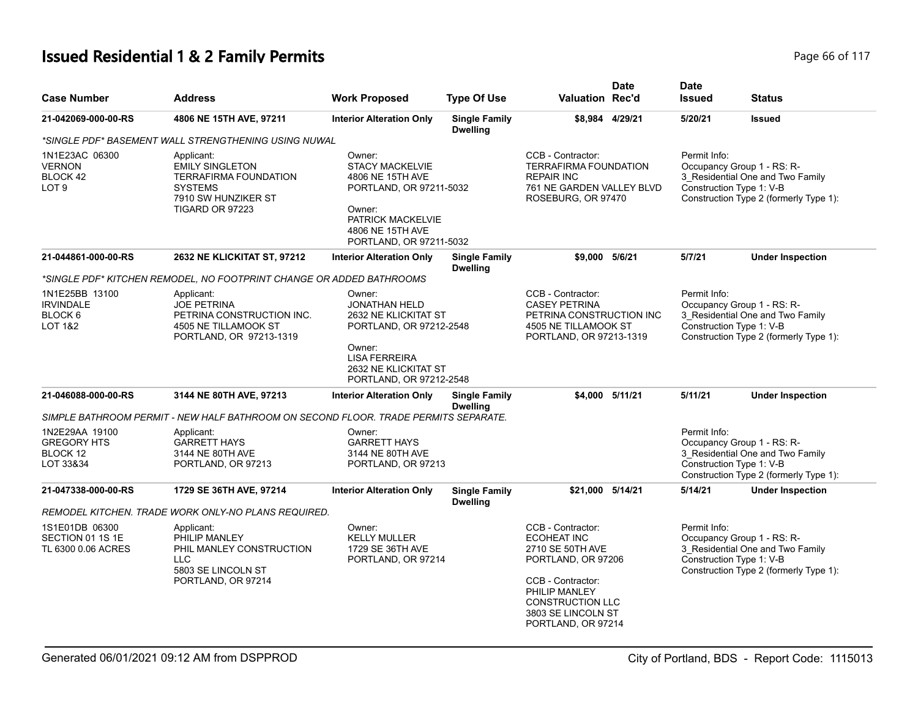# **Issued Residential 1 & 2 Family Permits Page 117 Page 66 of 117**

| <b>Case Number</b>                                                             | <b>Address</b>                                                                                                                   | <b>Work Proposed</b>                                                                                                                                          | <b>Type Of Use</b>                      | <b>Valuation Rec'd</b>                                                                                                                                                                         | <b>Date</b>     | <b>Date</b><br><b>Issued</b>             | <b>Status</b>                                                                                                                        |
|--------------------------------------------------------------------------------|----------------------------------------------------------------------------------------------------------------------------------|---------------------------------------------------------------------------------------------------------------------------------------------------------------|-----------------------------------------|------------------------------------------------------------------------------------------------------------------------------------------------------------------------------------------------|-----------------|------------------------------------------|--------------------------------------------------------------------------------------------------------------------------------------|
| 21-042069-000-00-RS                                                            | 4806 NE 15TH AVE, 97211                                                                                                          | <b>Interior Alteration Only</b>                                                                                                                               | <b>Single Family</b><br><b>Dwelling</b> |                                                                                                                                                                                                | \$8,984 4/29/21 | 5/20/21                                  | <b>Issued</b>                                                                                                                        |
|                                                                                | *SINGLE PDF* BASEMENT WALL STRENGTHENING USING NUWAL                                                                             |                                                                                                                                                               |                                         |                                                                                                                                                                                                |                 |                                          |                                                                                                                                      |
| 1N1E23AC 06300<br><b>VERNON</b><br>BLOCK 42<br>LOT <sub>9</sub>                | Applicant:<br><b>EMILY SINGLETON</b><br><b>TERRAFIRMA FOUNDATION</b><br><b>SYSTEMS</b><br>7910 SW HUNZIKER ST<br>TIGARD OR 97223 | Owner:<br><b>STACY MACKELVIE</b><br>4806 NE 15TH AVE<br>PORTLAND, OR 97211-5032<br>Owner:<br>PATRICK MACKELVIE<br>4806 NE 15TH AVE<br>PORTLAND, OR 97211-5032 |                                         | CCB - Contractor:<br><b>TERRAFIRMA FOUNDATION</b><br><b>REPAIR INC</b><br>761 NE GARDEN VALLEY BLVD<br>ROSEBURG, OR 97470                                                                      |                 | Permit Info:                             | Occupancy Group 1 - RS: R-<br>3_Residential One and Two Family<br>Construction Type 1: V-B<br>Construction Type 2 (formerly Type 1): |
| 21-044861-000-00-RS                                                            | 2632 NE KLICKITAT ST, 97212                                                                                                      | <b>Interior Alteration Only</b>                                                                                                                               | <b>Single Family</b><br><b>Dwelling</b> | \$9,000 5/6/21                                                                                                                                                                                 |                 | 5/7/21                                   | <b>Under Inspection</b>                                                                                                              |
|                                                                                | *SINGLE PDF* KITCHEN REMODEL, NO FOOTPRINT CHANGE OR ADDED BATHROOMS                                                             |                                                                                                                                                               |                                         |                                                                                                                                                                                                |                 |                                          |                                                                                                                                      |
| 1N1E25BB 13100<br><b>IRVINDALE</b><br>BLOCK <sub>6</sub><br><b>LOT 1&amp;2</b> | Applicant:<br><b>JOE PETRINA</b><br>PETRINA CONSTRUCTION INC.<br>4505 NE TILLAMOOK ST<br>PORTLAND, OR 97213-1319                 | Owner:<br><b>JONATHAN HELD</b><br>2632 NE KLICKITAT ST<br>PORTLAND, OR 97212-2548<br>Owner:<br><b>LISA FERREIRA</b><br>2632 NE KLICKITAT ST                   |                                         | CCB - Contractor:<br><b>CASEY PETRINA</b><br>PETRINA CONSTRUCTION INC<br>4505 NE TILLAMOOK ST<br>PORTLAND, OR 97213-1319                                                                       |                 | Permit Info:<br>Construction Type 1: V-B | Occupancy Group 1 - RS: R-<br>3 Residential One and Two Family<br>Construction Type 2 (formerly Type 1):                             |
| 21-046088-000-00-RS                                                            | 3144 NE 80TH AVE, 97213                                                                                                          | PORTLAND, OR 97212-2548<br><b>Interior Alteration Only</b>                                                                                                    | <b>Single Family</b><br><b>Dwelling</b> |                                                                                                                                                                                                | \$4.000 5/11/21 | 5/11/21                                  | <b>Under Inspection</b>                                                                                                              |
|                                                                                | SIMPLE BATHROOM PERMIT - NEW HALF BATHROOM ON SECOND FLOOR. TRADE PERMITS SEPARATE.                                              |                                                                                                                                                               |                                         |                                                                                                                                                                                                |                 |                                          |                                                                                                                                      |
| 1N2E29AA 19100<br><b>GREGORY HTS</b><br>BLOCK 12<br>LOT 33&34                  | Applicant:<br><b>GARRETT HAYS</b><br>3144 NE 80TH AVE<br>PORTLAND, OR 97213                                                      | Owner:<br><b>GARRETT HAYS</b><br>3144 NE 80TH AVE<br>PORTLAND, OR 97213                                                                                       |                                         |                                                                                                                                                                                                |                 | Permit Info:<br>Construction Type 1: V-B | Occupancy Group 1 - RS: R-<br>3 Residential One and Two Family<br>Construction Type 2 (formerly Type 1):                             |
| 21-047338-000-00-RS                                                            | 1729 SE 36TH AVE, 97214                                                                                                          | <b>Interior Alteration Only</b>                                                                                                                               | <b>Single Family</b><br><b>Dwelling</b> | \$21,000 5/14/21                                                                                                                                                                               |                 | 5/14/21                                  | <b>Under Inspection</b>                                                                                                              |
|                                                                                | REMODEL KITCHEN. TRADE WORK ONLY-NO PLANS REQUIRED.                                                                              |                                                                                                                                                               |                                         |                                                                                                                                                                                                |                 |                                          |                                                                                                                                      |
| 1S1E01DB 06300<br>SECTION 01 1S 1E<br>TL 6300 0.06 ACRES                       | Applicant:<br>PHILIP MANLEY<br>PHIL MANLEY CONSTRUCTION<br><b>LLC</b><br>5803 SE LINCOLN ST<br>PORTLAND, OR 97214                | Owner:<br><b>KELLY MULLER</b><br>1729 SE 36TH AVE<br>PORTLAND, OR 97214                                                                                       |                                         | CCB - Contractor:<br><b>ECOHEAT INC</b><br>2710 SE 50TH AVE<br>PORTLAND, OR 97206<br>CCB - Contractor:<br>PHILIP MANLEY<br><b>CONSTRUCTION LLC</b><br>3803 SE LINCOLN ST<br>PORTLAND, OR 97214 |                 | Permit Info:<br>Construction Type 1: V-B | Occupancy Group 1 - RS: R-<br>3 Residential One and Two Family<br>Construction Type 2 (formerly Type 1):                             |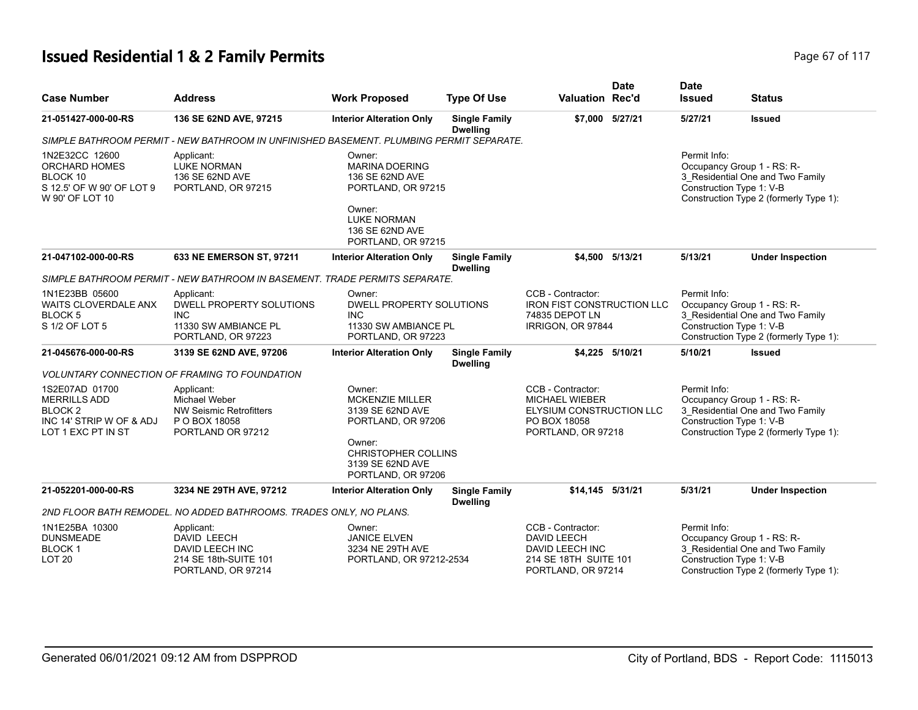# **Issued Residential 1 & 2 Family Permits Page 117 Page 67 of 117**

| <b>Case Number</b>                                                                                            | <b>Address</b>                                                                                     | <b>Work Proposed</b>                                                                                                                                         | <b>Type Of Use</b>                      | <b>Valuation Rec'd</b>                                                                                       | <b>Date</b>     | <b>Date</b><br><b>Issued</b>             | <b>Status</b>                                                                                            |
|---------------------------------------------------------------------------------------------------------------|----------------------------------------------------------------------------------------------------|--------------------------------------------------------------------------------------------------------------------------------------------------------------|-----------------------------------------|--------------------------------------------------------------------------------------------------------------|-----------------|------------------------------------------|----------------------------------------------------------------------------------------------------------|
| 21-051427-000-00-RS                                                                                           | 136 SE 62ND AVE, 97215                                                                             | <b>Interior Alteration Only</b>                                                                                                                              | <b>Single Family</b><br><b>Dwelling</b> |                                                                                                              | \$7,000 5/27/21 | 5/27/21                                  | Issued                                                                                                   |
|                                                                                                               | SIMPLE BATHROOM PERMIT - NEW BATHROOM IN UNFINISHED BASEMENT. PLUMBING PERMIT SEPARATE.            |                                                                                                                                                              |                                         |                                                                                                              |                 |                                          |                                                                                                          |
| 1N2E32CC 12600<br><b>ORCHARD HOMES</b><br>BLOCK 10<br>S 12.5' OF W 90' OF LOT 9<br>W 90' OF LOT 10            | Applicant:<br><b>LUKE NORMAN</b><br>136 SE 62ND AVE<br>PORTLAND, OR 97215                          | Owner:<br><b>MARINA DOERING</b><br>136 SE 62ND AVE<br>PORTLAND, OR 97215<br>Owner:<br><b>LUKE NORMAN</b><br>136 SE 62ND AVE<br>PORTLAND, OR 97215            |                                         |                                                                                                              |                 | Permit Info:<br>Construction Type 1: V-B | Occupancy Group 1 - RS: R-<br>3 Residential One and Two Family<br>Construction Type 2 (formerly Type 1): |
| 21-047102-000-00-RS                                                                                           | 633 NE EMERSON ST, 97211                                                                           | <b>Interior Alteration Only</b>                                                                                                                              | <b>Single Family</b><br><b>Dwelling</b> |                                                                                                              | \$4.500 5/13/21 | 5/13/21                                  | <b>Under Inspection</b>                                                                                  |
|                                                                                                               | SIMPLE BATHROOM PERMIT - NEW BATHROOM IN BASEMENT. TRADE PERMITS SEPARATE.                         |                                                                                                                                                              |                                         |                                                                                                              |                 |                                          |                                                                                                          |
| 1N1E23BB 05600<br>WAITS CLOVERDALE ANX<br>BLOCK <sub>5</sub><br>S 1/2 OF LOT 5                                | Applicant:<br>DWELL PROPERTY SOLUTIONS<br><b>INC</b><br>11330 SW AMBIANCE PL<br>PORTLAND, OR 97223 | Owner:<br>DWELL PROPERTY SOLUTIONS<br><b>INC</b><br>11330 SW AMBIANCE PL<br>PORTLAND, OR 97223                                                               |                                         | CCB - Contractor:<br>IRON FIST CONSTRUCTION LLC<br>74835 DEPOT LN<br>IRRIGON, OR 97844                       |                 | Permit Info:<br>Construction Type 1: V-B | Occupancy Group 1 - RS: R-<br>3_Residential One and Two Family<br>Construction Type 2 (formerly Type 1): |
| 21-045676-000-00-RS                                                                                           | 3139 SE 62ND AVE, 97206                                                                            | <b>Interior Alteration Only</b>                                                                                                                              | <b>Single Family</b><br><b>Dwelling</b> |                                                                                                              | \$4,225 5/10/21 | 5/10/21                                  | <b>Issued</b>                                                                                            |
|                                                                                                               | <b>VOLUNTARY CONNECTION OF FRAMING TO FOUNDATION</b>                                               |                                                                                                                                                              |                                         |                                                                                                              |                 |                                          |                                                                                                          |
| 1S2E07AD 01700<br><b>MERRILLS ADD</b><br>BLOCK <sub>2</sub><br>INC 14' STRIP W OF & ADJ<br>LOT 1 EXC PT IN ST | Applicant:<br>Michael Weber<br>NW Seismic Retrofitters<br>P O BOX 18058<br>PORTLAND OR 97212       | Owner:<br><b>MCKENZIE MILLER</b><br>3139 SE 62ND AVE<br>PORTLAND, OR 97206<br>Owner:<br><b>CHRISTOPHER COLLINS</b><br>3139 SE 62ND AVE<br>PORTLAND, OR 97206 |                                         | CCB - Contractor:<br><b>MICHAEL WIEBER</b><br>ELYSIUM CONSTRUCTION LLC<br>PO BOX 18058<br>PORTLAND, OR 97218 |                 | Permit Info:<br>Construction Type 1: V-B | Occupancy Group 1 - RS: R-<br>3_Residential One and Two Family<br>Construction Type 2 (formerly Type 1): |
| 21-052201-000-00-RS                                                                                           | 3234 NE 29TH AVE, 97212                                                                            | <b>Interior Alteration Only</b>                                                                                                                              | <b>Single Family</b><br><b>Dwelling</b> | \$14,145 5/31/21                                                                                             |                 | 5/31/21                                  | <b>Under Inspection</b>                                                                                  |
|                                                                                                               | 2ND FLOOR BATH REMODEL. NO ADDED BATHROOMS. TRADES ONLY, NO PLANS.                                 |                                                                                                                                                              |                                         |                                                                                                              |                 |                                          |                                                                                                          |
| 1N1E25BA 10300<br><b>DUNSMEADE</b><br><b>BLOCK1</b><br><b>LOT 20</b>                                          | Applicant:<br><b>DAVID LEECH</b><br>DAVID LEECH INC<br>214 SE 18th-SUITE 101<br>PORTLAND, OR 97214 | Owner:<br><b>JANICE ELVEN</b><br>3234 NE 29TH AVE<br>PORTLAND, OR 97212-2534                                                                                 |                                         | CCB - Contractor:<br><b>DAVID LEECH</b><br>DAVID LEECH INC<br>214 SE 18TH SUITE 101<br>PORTLAND, OR 97214    |                 | Permit Info:<br>Construction Type 1: V-B | Occupancy Group 1 - RS: R-<br>3 Residential One and Two Family<br>Construction Type 2 (formerly Type 1): |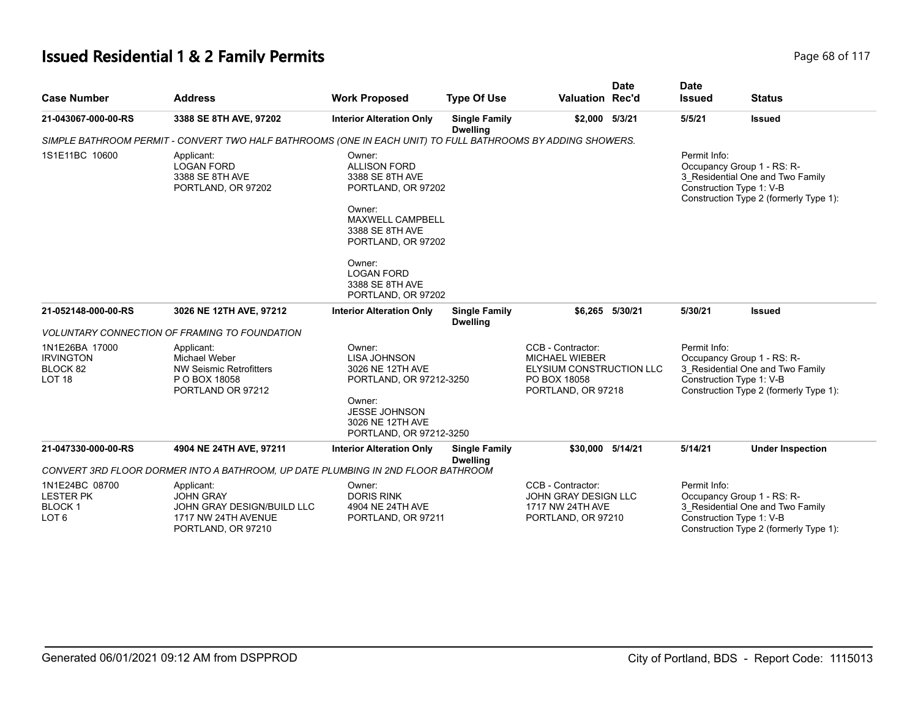# **Issued Residential 1 & 2 Family Permits Page 117 Page 68 of 117**

| <b>Case Number</b>                                                  | <b>Address</b>                                                                                              | <b>Work Proposed</b>                                                                                                                                                                                                  | <b>Type Of Use</b>                      | <b>Valuation Rec'd</b>                                                                                       | <b>Date</b>     | <b>Date</b><br><b>Issued</b>             | <b>Status</b>                                                                                            |
|---------------------------------------------------------------------|-------------------------------------------------------------------------------------------------------------|-----------------------------------------------------------------------------------------------------------------------------------------------------------------------------------------------------------------------|-----------------------------------------|--------------------------------------------------------------------------------------------------------------|-----------------|------------------------------------------|----------------------------------------------------------------------------------------------------------|
| 21-043067-000-00-RS                                                 | 3388 SE 8TH AVE, 97202                                                                                      | <b>Interior Alteration Only</b>                                                                                                                                                                                       | <b>Single Family</b><br><b>Dwelling</b> | \$2,000 5/3/21                                                                                               |                 | 5/5/21                                   | <b>Issued</b>                                                                                            |
|                                                                     | SIMPLE BATHROOM PERMIT - CONVERT TWO HALF BATHROOMS (ONE IN EACH UNIT) TO FULL BATHROOMS BY ADDING SHOWERS. |                                                                                                                                                                                                                       |                                         |                                                                                                              |                 |                                          |                                                                                                          |
| 1S1E11BC 10600                                                      | Applicant:<br><b>LOGAN FORD</b><br>3388 SE 8TH AVE<br>PORTLAND, OR 97202                                    | Owner:<br><b>ALLISON FORD</b><br>3388 SE 8TH AVE<br>PORTLAND, OR 97202<br>Owner:<br>MAXWELL CAMPBELL<br>3388 SE 8TH AVE<br>PORTLAND, OR 97202<br>Owner:<br><b>LOGAN FORD</b><br>3388 SE 8TH AVE<br>PORTLAND, OR 97202 |                                         |                                                                                                              |                 | Permit Info:<br>Construction Type 1: V-B | Occupancy Group 1 - RS: R-<br>3 Residential One and Two Family<br>Construction Type 2 (formerly Type 1): |
| 21-052148-000-00-RS                                                 | 3026 NE 12TH AVE, 97212                                                                                     | <b>Interior Alteration Only</b>                                                                                                                                                                                       | <b>Single Family</b><br><b>Dwelling</b> |                                                                                                              | \$6,265 5/30/21 | 5/30/21                                  | <b>Issued</b>                                                                                            |
|                                                                     | <b>VOLUNTARY CONNECTION OF FRAMING TO FOUNDATION</b>                                                        |                                                                                                                                                                                                                       |                                         |                                                                                                              |                 |                                          |                                                                                                          |
| 1N1E26BA 17000<br><b>IRVINGTON</b><br>BLOCK 82<br>LOT <sub>18</sub> | Applicant:<br>Michael Weber<br><b>NW Seismic Retrofitters</b><br>P O BOX 18058<br>PORTLAND OR 97212         | Owner:<br><b>LISA JOHNSON</b><br>3026 NE 12TH AVE<br>PORTLAND, OR 97212-3250<br>Owner:<br>JESSE JOHNSON<br>3026 NE 12TH AVE<br>PORTLAND, OR 97212-3250                                                                |                                         | CCB - Contractor:<br>MICHAEL WIEBER<br><b>ELYSIUM CONSTRUCTION LLC</b><br>PO BOX 18058<br>PORTLAND, OR 97218 |                 | Permit Info:<br>Construction Type 1: V-B | Occupancy Group 1 - RS: R-<br>3_Residential One and Two Family<br>Construction Type 2 (formerly Type 1): |
| 21-047330-000-00-RS                                                 | 4904 NE 24TH AVE, 97211<br>CONVERT 3RD FLOOR DORMER INTO A BATHROOM, UP DATE PLUMBING IN 2ND FLOOR BATHROOM | <b>Interior Alteration Only</b>                                                                                                                                                                                       | <b>Single Family</b><br><b>Dwelling</b> | \$30,000 5/14/21                                                                                             |                 | 5/14/21                                  | <b>Under Inspection</b>                                                                                  |
| 1N1E24BC 08700                                                      |                                                                                                             | Owner:                                                                                                                                                                                                                |                                         | CCB - Contractor:                                                                                            |                 | Permit Info:                             |                                                                                                          |
| <b>LESTER PK</b><br><b>BLOCK1</b><br>LOT <sub>6</sub>               | Applicant:<br><b>JOHN GRAY</b><br>JOHN GRAY DESIGN/BUILD LLC<br>1717 NW 24TH AVENUE<br>PORTLAND, OR 97210   | <b>DORIS RINK</b><br>4904 NE 24TH AVE<br>PORTLAND, OR 97211                                                                                                                                                           |                                         | JOHN GRAY DESIGN LLC<br>1717 NW 24TH AVE<br>PORTLAND, OR 97210                                               |                 | Construction Type 1: V-B                 | Occupancy Group 1 - RS: R-<br>3 Residential One and Two Family<br>Construction Type 2 (formerly Type 1): |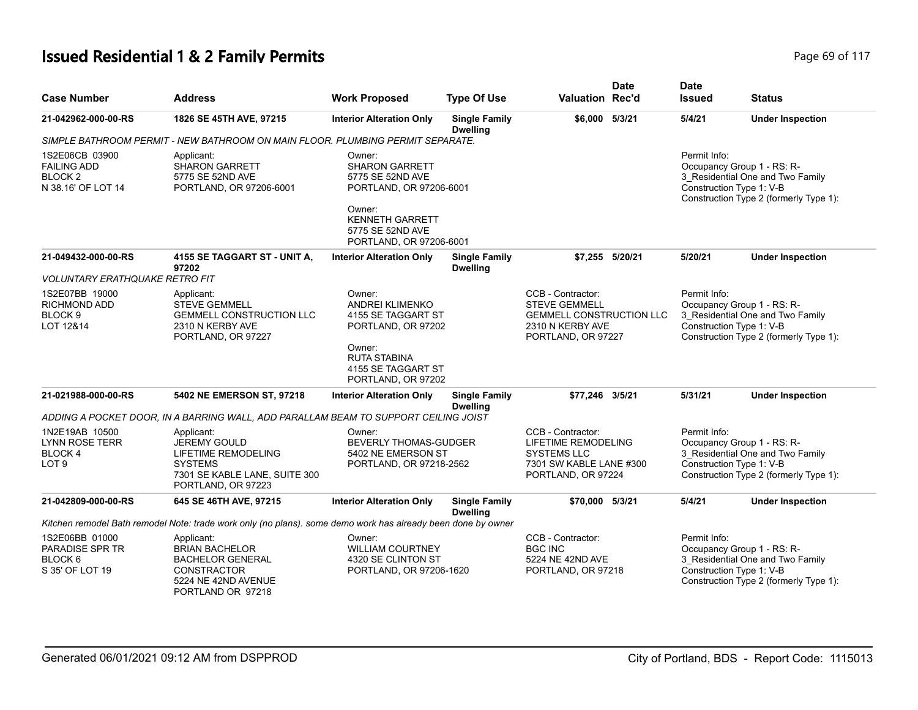# **Issued Residential 1 & 2 Family Permits Page 117 Page 69 of 117**

| <b>Case Number</b>                                                               | <b>Address</b>                                                                                                                    | <b>Work Proposed</b>                                                                                                                | <b>Type Of Use</b>                      | <b>Valuation Rec'd</b>                                                                                                 | <b>Date</b>     | <b>Date</b><br><b>Issued</b> | <b>Status</b>                                                                                                                        |
|----------------------------------------------------------------------------------|-----------------------------------------------------------------------------------------------------------------------------------|-------------------------------------------------------------------------------------------------------------------------------------|-----------------------------------------|------------------------------------------------------------------------------------------------------------------------|-----------------|------------------------------|--------------------------------------------------------------------------------------------------------------------------------------|
| 21-042962-000-00-RS                                                              | 1826 SE 45TH AVE, 97215                                                                                                           | <b>Interior Alteration Only</b>                                                                                                     | <b>Single Family</b><br><b>Dwelling</b> | \$6,000 5/3/21                                                                                                         |                 | 5/4/21                       | <b>Under Inspection</b>                                                                                                              |
|                                                                                  | SIMPLE BATHROOM PERMIT - NEW BATHROOM ON MAIN FLOOR. PLUMBING PERMIT SEPARATE.                                                    |                                                                                                                                     |                                         |                                                                                                                        |                 |                              |                                                                                                                                      |
| 1S2E06CB 03900<br><b>FAILING ADD</b><br>BLOCK <sub>2</sub><br>N 38.16' OF LOT 14 | Applicant:<br><b>SHARON GARRETT</b><br>5775 SE 52ND AVE<br>PORTLAND, OR 97206-6001                                                | Owner:<br><b>SHARON GARRETT</b><br>5775 SE 52ND AVE<br>PORTLAND, OR 97206-6001<br>Owner:<br><b>KENNETH GARRETT</b>                  |                                         |                                                                                                                        |                 | Permit Info:                 | Occupancy Group 1 - RS: R-<br>3_Residential One and Two Family<br>Construction Type 1: V-B<br>Construction Type 2 (formerly Type 1): |
|                                                                                  |                                                                                                                                   | 5775 SE 52ND AVE<br>PORTLAND, OR 97206-6001                                                                                         |                                         |                                                                                                                        |                 |                              |                                                                                                                                      |
| 21-049432-000-00-RS                                                              | 4155 SE TAGGART ST - UNIT A,<br>97202                                                                                             | <b>Interior Alteration Only</b>                                                                                                     | <b>Single Family</b><br><b>Dwelling</b> |                                                                                                                        | \$7,255 5/20/21 | 5/20/21                      | <b>Under Inspection</b>                                                                                                              |
| <b>VOLUNTARY ERATHQUAKE RETRO FIT</b>                                            |                                                                                                                                   |                                                                                                                                     |                                         |                                                                                                                        |                 |                              |                                                                                                                                      |
| 1S2E07BB 19000<br><b>RICHMOND ADD</b><br>BLOCK <sub>9</sub><br>LOT 12&14         | Applicant:<br><b>STEVE GEMMELL</b><br><b>GEMMELL CONSTRUCTION LLC</b><br>2310 N KERBY AVE<br>PORTLAND, OR 97227                   | Owner:<br><b>ANDREI KLIMENKO</b><br>4155 SE TAGGART ST<br>PORTLAND, OR 97202<br>Owner:<br><b>RUTA STABINA</b><br>4155 SE TAGGART ST |                                         | CCB - Contractor:<br><b>STEVE GEMMELL</b><br><b>GEMMELL CONSTRUCTION LLC</b><br>2310 N KERBY AVE<br>PORTLAND, OR 97227 |                 | Permit Info:                 | Occupancy Group 1 - RS: R-<br>3_Residential One and Two Family<br>Construction Type 1: V-B<br>Construction Type 2 (formerly Type 1): |
|                                                                                  |                                                                                                                                   | PORTLAND, OR 97202                                                                                                                  |                                         |                                                                                                                        |                 |                              |                                                                                                                                      |
| 21-021988-000-00-RS                                                              | 5402 NE EMERSON ST, 97218                                                                                                         | <b>Interior Alteration Only</b>                                                                                                     | <b>Single Family</b><br><b>Dwelling</b> | \$77.246 3/5/21                                                                                                        |                 | 5/31/21                      | <b>Under Inspection</b>                                                                                                              |
|                                                                                  | ADDING A POCKET DOOR, IN A BARRING WALL, ADD PARALLAM BEAM TO SUPPORT CEILING JOIST                                               |                                                                                                                                     |                                         |                                                                                                                        |                 |                              |                                                                                                                                      |
| 1N2E19AB 10500<br><b>LYNN ROSE TERR</b><br><b>BLOCK4</b><br>LOT <sub>9</sub>     | Applicant:<br><b>JEREMY GOULD</b><br>LIFETIME REMODELING<br><b>SYSTEMS</b><br>7301 SE KABLE LANE, SUITE 300<br>PORTLAND, OR 97223 | Owner:<br><b>BEVERLY THOMAS-GUDGER</b><br>5402 NE EMERSON ST<br>PORTLAND, OR 97218-2562                                             |                                         | CCB - Contractor:<br>LIFETIME REMODELING<br><b>SYSTEMS LLC</b><br>7301 SW KABLE LANE #300<br>PORTLAND, OR 97224        |                 | Permit Info:                 | Occupancy Group 1 - RS: R-<br>3 Residential One and Two Family<br>Construction Type 1: V-B<br>Construction Type 2 (formerly Type 1): |
| 21-042809-000-00-RS                                                              | 645 SE 46TH AVE, 97215                                                                                                            | <b>Interior Alteration Only</b>                                                                                                     | <b>Single Family</b><br><b>Dwelling</b> | \$70,000 5/3/21                                                                                                        |                 | 5/4/21                       | <b>Under Inspection</b>                                                                                                              |
|                                                                                  | Kitchen remodel Bath remodel Note: trade work only (no plans). some demo work has already been done by owner                      |                                                                                                                                     |                                         |                                                                                                                        |                 |                              |                                                                                                                                      |
| 1S2E06BB 01000<br>PARADISE SPR TR<br>BLOCK <sub>6</sub><br>S 35' OF LOT 19       | Applicant:<br><b>BRIAN BACHELOR</b><br><b>BACHELOR GENERAL</b><br>CONSTRACTOR<br>5224 NE 42ND AVENUE<br>PORTLAND OR 97218         | Owner:<br><b>WILLIAM COURTNEY</b><br>4320 SE CLINTON ST<br>PORTLAND, OR 97206-1620                                                  |                                         | CCB - Contractor:<br><b>BGC INC</b><br>5224 NE 42ND AVE<br>PORTLAND, OR 97218                                          |                 | Permit Info:                 | Occupancy Group 1 - RS: R-<br>3_Residential One and Two Family<br>Construction Type 1: V-B<br>Construction Type 2 (formerly Type 1): |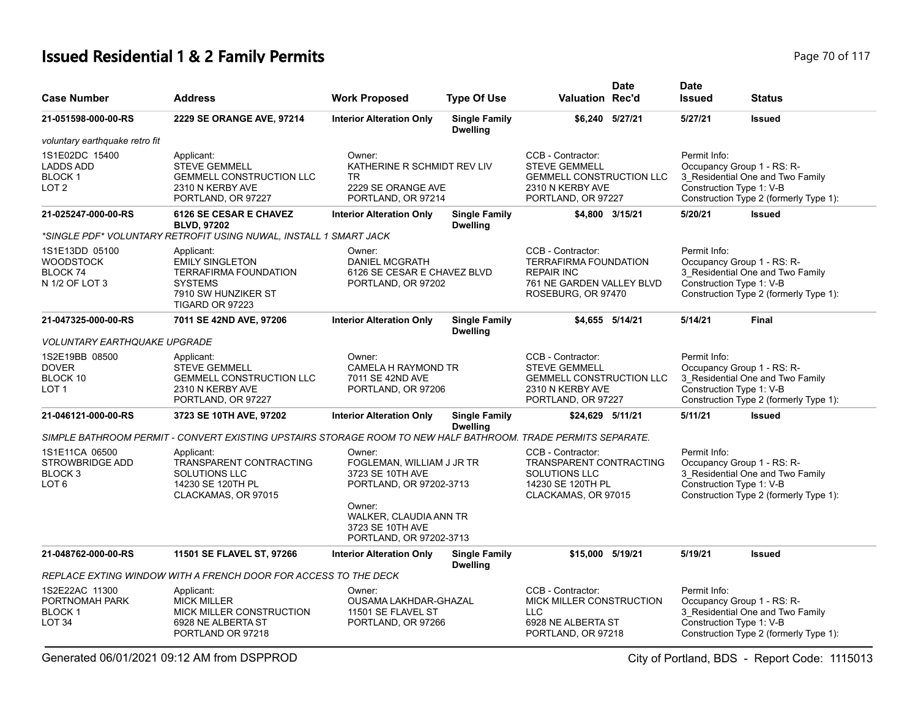# **Issued Residential 1 & 2 Family Permits Page 70 of 117 Page 70 of 117**

| <b>Case Number</b>                                                                 | <b>Address</b>                                                                                                                          | <b>Work Proposed</b>                                                                                                                                                  | <b>Type Of Use</b>                      | Valuation Rec'd                                                                                                           | <b>Date</b>     | <b>Date</b><br><b>Issued</b>             | Status                                                                                                   |
|------------------------------------------------------------------------------------|-----------------------------------------------------------------------------------------------------------------------------------------|-----------------------------------------------------------------------------------------------------------------------------------------------------------------------|-----------------------------------------|---------------------------------------------------------------------------------------------------------------------------|-----------------|------------------------------------------|----------------------------------------------------------------------------------------------------------|
| 21-051598-000-00-RS                                                                | 2229 SE ORANGE AVE, 97214                                                                                                               | <b>Interior Alteration Only</b>                                                                                                                                       | <b>Single Family</b><br><b>Dwelling</b> |                                                                                                                           | \$6,240 5/27/21 | 5/27/21                                  | <b>Issued</b>                                                                                            |
| voluntary earthquake retro fit                                                     |                                                                                                                                         |                                                                                                                                                                       |                                         |                                                                                                                           |                 |                                          |                                                                                                          |
| 1S1E02DC 15400<br><b>LADDS ADD</b><br><b>BLOCK1</b><br>LOT <sub>2</sub>            | Applicant:<br><b>STEVE GEMMELL</b><br><b>GEMMELL CONSTRUCTION LLC</b><br>2310 N KERBY AVE<br>PORTLAND, OR 97227                         | Owner:<br>KATHERINE R SCHMIDT REV LIV<br>TR.<br>2229 SE ORANGE AVE<br>PORTLAND, OR 97214                                                                              |                                         | CCB - Contractor:<br><b>STEVE GEMMELL</b><br><b>GEMMELL CONSTRUCTION LLC</b><br>2310 N KERBY AVE<br>PORTLAND, OR 97227    |                 | Permit Info:<br>Construction Type 1: V-B | Occupancy Group 1 - RS: R-<br>3_Residential One and Two Family<br>Construction Type 2 (formerly Type 1): |
| 21-025247-000-00-RS                                                                | 6126 SE CESAR E CHAVEZ<br><b>BLVD, 97202</b>                                                                                            | <b>Interior Alteration Only</b>                                                                                                                                       | <b>Single Family</b><br><b>Dwelling</b> |                                                                                                                           | \$4,800 3/15/21 | 5/20/21                                  | <b>Issued</b>                                                                                            |
|                                                                                    | *SINGLE PDF* VOLUNTARY RETROFIT USING NUWAL, INSTALL 1 SMART JACK                                                                       |                                                                                                                                                                       |                                         |                                                                                                                           |                 |                                          |                                                                                                          |
| 1S1E13DD 05100<br><b>WOODSTOCK</b><br>BLOCK 74<br>N 1/2 OF LOT 3                   | Applicant:<br><b>EMILY SINGLETON</b><br><b>TERRAFIRMA FOUNDATION</b><br><b>SYSTEMS</b><br>7910 SW HUNZIKER ST<br><b>TIGARD OR 97223</b> | Owner:<br><b>DANIEL MCGRATH</b><br>6126 SE CESAR E CHAVEZ BLVD<br>PORTLAND, OR 97202                                                                                  |                                         | CCB - Contractor:<br><b>TERRAFIRMA FOUNDATION</b><br><b>REPAIR INC</b><br>761 NE GARDEN VALLEY BLVD<br>ROSEBURG, OR 97470 |                 | Permit Info:<br>Construction Type 1: V-B | Occupancy Group 1 - RS: R-<br>3_Residential One and Two Family<br>Construction Type 2 (formerly Type 1): |
| 21-047325-000-00-RS                                                                | 7011 SE 42ND AVE, 97206                                                                                                                 | <b>Interior Alteration Only</b>                                                                                                                                       | <b>Single Family</b><br><b>Dwelling</b> |                                                                                                                           | \$4,655 5/14/21 | 5/14/21                                  | <b>Final</b>                                                                                             |
| <b>VOLUNTARY EARTHQUAKE UPGRADE</b>                                                |                                                                                                                                         |                                                                                                                                                                       |                                         |                                                                                                                           |                 |                                          |                                                                                                          |
| 1S2E19BB 08500<br><b>DOVER</b><br>BLOCK 10<br>LOT <sub>1</sub>                     | Applicant:<br><b>STEVE GEMMELL</b><br><b>GEMMELL CONSTRUCTION LLC</b><br>2310 N KERBY AVE<br>PORTLAND, OR 97227                         | Owner:<br><b>CAMELA H RAYMOND TR</b><br>7011 SE 42ND AVE<br>PORTLAND, OR 97206                                                                                        |                                         | CCB - Contractor:<br><b>STEVE GEMMELL</b><br><b>GEMMELL CONSTRUCTION LLC</b><br>2310 N KERBY AVE<br>PORTLAND, OR 97227    |                 | Permit Info:<br>Construction Type 1: V-B | Occupancy Group 1 - RS: R-<br>3_Residential One and Two Family<br>Construction Type 2 (formerly Type 1): |
| 21-046121-000-00-RS                                                                | 3723 SE 10TH AVE, 97202                                                                                                                 | <b>Interior Alteration Only</b>                                                                                                                                       | <b>Single Family</b><br><b>Dwelling</b> | \$24,629 5/11/21                                                                                                          |                 | 5/11/21                                  | <b>Issued</b>                                                                                            |
|                                                                                    | SIMPLE BATHROOM PERMIT - CONVERT EXISTING UPSTAIRS STORAGE ROOM TO NEW HALF BATHROOM. TRADE PERMITS SEPARATE.                           |                                                                                                                                                                       |                                         |                                                                                                                           |                 |                                          |                                                                                                          |
| 1S1E11CA 06500<br><b>STROWBRIDGE ADD</b><br>BLOCK <sub>3</sub><br>LOT <sub>6</sub> | Applicant:<br>TRANSPARENT CONTRACTING<br><b>SOLUTIONS LLC</b><br>14230 SE 120TH PL<br>CLACKAMAS, OR 97015                               | Owner:<br>FOGLEMAN, WILLIAM J JR TR<br>3723 SE 10TH AVE<br>PORTLAND, OR 97202-3713<br>Owner:<br>WALKER, CLAUDIA ANN TR<br>3723 SE 10TH AVE<br>PORTLAND, OR 97202-3713 |                                         | CCB - Contractor:<br>TRANSPARENT CONTRACTING<br><b>SOLUTIONS LLC</b><br>14230 SE 120TH PL<br>CLACKAMAS, OR 97015          |                 | Permit Info:<br>Construction Type 1: V-B | Occupancy Group 1 - RS: R-<br>3_Residential One and Two Family<br>Construction Type 2 (formerly Type 1): |
| 21-048762-000-00-RS                                                                | 11501 SE FLAVEL ST, 97266                                                                                                               | <b>Interior Alteration Only</b>                                                                                                                                       | <b>Single Family</b><br><b>Dwelling</b> | \$15,000 5/19/21                                                                                                          |                 | 5/19/21                                  | <b>Issued</b>                                                                                            |
|                                                                                    | REPLACE EXTING WINDOW WITH A FRENCH DOOR FOR ACCESS TO THE DECK                                                                         |                                                                                                                                                                       |                                         |                                                                                                                           |                 |                                          |                                                                                                          |
| 1S2E22AC 11300<br>PORTNOMAH PARK<br><b>BLOCK1</b><br>LOT <sub>34</sub>             | Applicant:<br><b>MICK MILLER</b><br>MICK MILLER CONSTRUCTION<br>6928 NE ALBERTA ST<br>PORTLAND OR 97218                                 | Owner:<br>OUSAMA LAKHDAR-GHAZAL<br>11501 SE FLAVEL ST<br>PORTLAND, OR 97266                                                                                           |                                         | CCB - Contractor:<br>MICK MILLER CONSTRUCTION<br><b>LLC</b><br>6928 NE ALBERTA ST<br>PORTLAND, OR 97218                   |                 | Permit Info:<br>Construction Type 1: V-B | Occupancy Group 1 - RS: R-<br>3 Residential One and Two Family<br>Construction Type 2 (formerly Type 1): |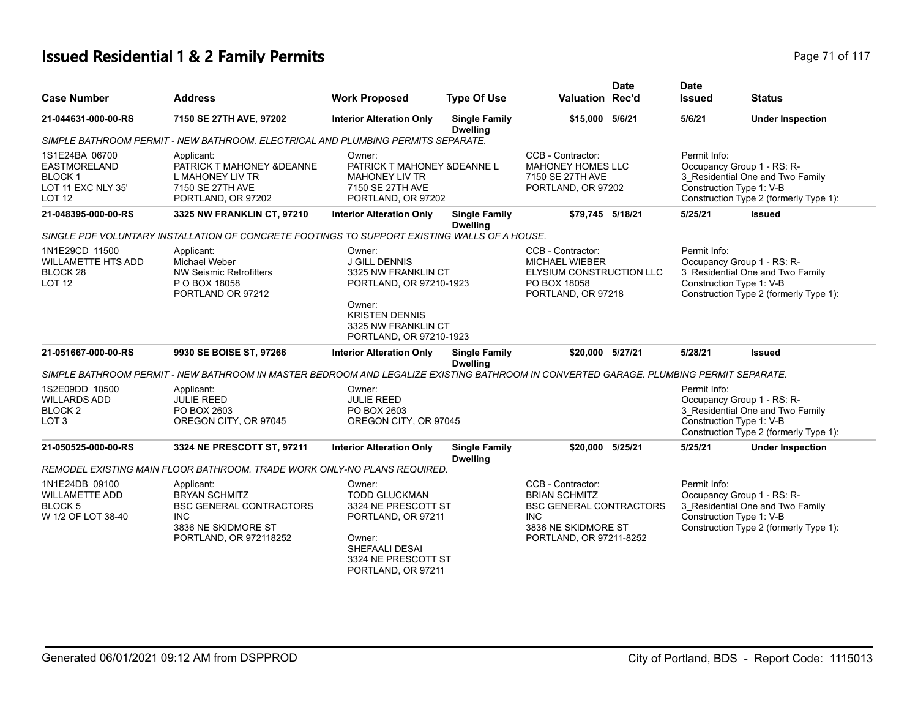# **Issued Residential 1 & 2 Family Permits Page 71 of 117 Page 71 of 117**

|                                                                                               |                                                                                                                                       |                                                                                                                                                                       |                                         |                                                                                                                                             | <b>Date</b> | <b>Date</b>                              |                                                                                                                                      |
|-----------------------------------------------------------------------------------------------|---------------------------------------------------------------------------------------------------------------------------------------|-----------------------------------------------------------------------------------------------------------------------------------------------------------------------|-----------------------------------------|---------------------------------------------------------------------------------------------------------------------------------------------|-------------|------------------------------------------|--------------------------------------------------------------------------------------------------------------------------------------|
| <b>Case Number</b>                                                                            | <b>Address</b>                                                                                                                        | <b>Work Proposed</b>                                                                                                                                                  | <b>Type Of Use</b>                      | <b>Valuation Rec'd</b>                                                                                                                      |             | <b>Issued</b>                            | <b>Status</b>                                                                                                                        |
| 21-044631-000-00-RS                                                                           | 7150 SE 27TH AVE, 97202                                                                                                               | <b>Interior Alteration Only</b>                                                                                                                                       | <b>Single Family</b><br><b>Dwelling</b> | \$15,000 5/6/21                                                                                                                             |             | 5/6/21                                   | <b>Under Inspection</b>                                                                                                              |
|                                                                                               | SIMPLE BATHROOM PERMIT - NEW BATHROOM. ELECTRICAL AND PLUMBING PERMITS SEPARATE.                                                      |                                                                                                                                                                       |                                         |                                                                                                                                             |             |                                          |                                                                                                                                      |
| 1S1E24BA 06700<br><b>EASTMORELAND</b><br><b>BLOCK1</b><br>LOT 11 EXC NLY 35'<br><b>LOT 12</b> | Applicant:<br>PATRICK T MAHONEY & DEANNE<br>L MAHONEY LIV TR<br>7150 SE 27TH AVE<br>PORTLAND, OR 97202                                | Owner:<br>PATRICK T MAHONEY & DEANNE L<br><b>MAHONEY LIV TR</b><br>7150 SE 27TH AVE<br>PORTLAND, OR 97202                                                             |                                         | CCB - Contractor:<br><b>MAHONEY HOMES LLC</b><br>7150 SE 27TH AVE<br>PORTLAND, OR 97202                                                     |             | Permit Info:<br>Construction Type 1: V-B | Occupancy Group 1 - RS: R-<br>3 Residential One and Two Family<br>Construction Type 2 (formerly Type 1):                             |
| 21-048395-000-00-RS                                                                           | 3325 NW FRANKLIN CT, 97210                                                                                                            | <b>Interior Alteration Only</b>                                                                                                                                       | <b>Single Family</b><br><b>Dwelling</b> | \$79,745 5/18/21                                                                                                                            |             | 5/25/21                                  | <b>Issued</b>                                                                                                                        |
|                                                                                               | SINGLE PDF VOLUNTARY INSTALLATION OF CONCRETE FOOTINGS TO SUPPORT EXISTING WALLS OF A HOUSE.                                          |                                                                                                                                                                       |                                         |                                                                                                                                             |             |                                          |                                                                                                                                      |
| 1N1E29CD 11500<br><b>WILLAMETTE HTS ADD</b><br>BLOCK <sub>28</sub><br><b>LOT 12</b>           | Applicant:<br>Michael Weber<br><b>NW Seismic Retrofitters</b><br>P O BOX 18058<br>PORTLAND OR 97212                                   | Owner:<br><b>J GILL DENNIS</b><br>3325 NW FRANKLIN CT<br>PORTLAND, OR 97210-1923<br>Owner:<br><b>KRISTEN DENNIS</b><br>3325 NW FRANKLIN CT<br>PORTLAND, OR 97210-1923 |                                         | CCB - Contractor:<br><b>MICHAEL WIEBER</b><br>ELYSIUM CONSTRUCTION LLC<br>PO BOX 18058<br>PORTLAND, OR 97218                                |             | Permit Info:<br>Construction Type 1: V-B | Occupancy Group 1 - RS: R-<br>3_Residential One and Two Family<br>Construction Type 2 (formerly Type 1):                             |
| 21-051667-000-00-RS                                                                           | 9930 SE BOISE ST, 97266                                                                                                               | <b>Interior Alteration Only</b>                                                                                                                                       | <b>Single Family</b><br><b>Dwelling</b> | \$20,000 5/27/21                                                                                                                            |             | 5/28/21                                  | <b>Issued</b>                                                                                                                        |
|                                                                                               | SIMPLE BATHROOM PERMIT - NEW BATHROOM IN MASTER BEDROOM AND LEGALIZE EXISTING BATHROOM IN CONVERTED GARAGE. PLUMBING PERMIT SEPARATE. |                                                                                                                                                                       |                                         |                                                                                                                                             |             |                                          |                                                                                                                                      |
| 1S2E09DD 10500<br><b>WILLARDS ADD</b><br><b>BLOCK2</b><br>LOT <sub>3</sub>                    | Applicant:<br><b>JULIE REED</b><br>PO BOX 2603<br>OREGON CITY, OR 97045                                                               | Owner:<br><b>JULIE REED</b><br>PO BOX 2603<br>OREGON CITY, OR 97045                                                                                                   |                                         |                                                                                                                                             |             | Permit Info:                             | Occupancy Group 1 - RS: R-<br>3_Residential One and Two Family<br>Construction Type 1: V-B<br>Construction Type 2 (formerly Type 1): |
| 21-050525-000-00-RS                                                                           | 3324 NE PRESCOTT ST, 97211                                                                                                            | <b>Interior Alteration Only</b>                                                                                                                                       | <b>Single Family</b><br><b>Dwelling</b> | \$20,000 5/25/21                                                                                                                            |             | 5/25/21                                  | <b>Under Inspection</b>                                                                                                              |
|                                                                                               | REMODEL EXISTING MAIN FLOOR BATHROOM. TRADE WORK ONLY-NO PLANS REQUIRED.                                                              |                                                                                                                                                                       |                                         |                                                                                                                                             |             |                                          |                                                                                                                                      |
| 1N1E24DB 09100<br><b>WILLAMETTE ADD</b><br>BLOCK <sub>5</sub><br>W 1/2 OF LOT 38-40           | Applicant:<br><b>BRYAN SCHMITZ</b><br><b>BSC GENERAL CONTRACTORS</b><br><b>INC</b><br>3836 NE SKIDMORE ST<br>PORTLAND, OR 972118252   | Owner:<br><b>TODD GLUCKMAN</b><br>3324 NE PRESCOTT ST<br>PORTLAND, OR 97211<br>Owner:<br>SHEFAALI DESAI<br>3324 NE PRESCOTT ST<br>PORTLAND, OR 97211                  |                                         | CCB - Contractor:<br><b>BRIAN SCHMITZ</b><br><b>BSC GENERAL CONTRACTORS</b><br><b>INC</b><br>3836 NE SKIDMORE ST<br>PORTLAND, OR 97211-8252 |             | Permit Info:<br>Construction Type 1: V-B | Occupancy Group 1 - RS: R-<br>3_Residential One and Two Family<br>Construction Type 2 (formerly Type 1):                             |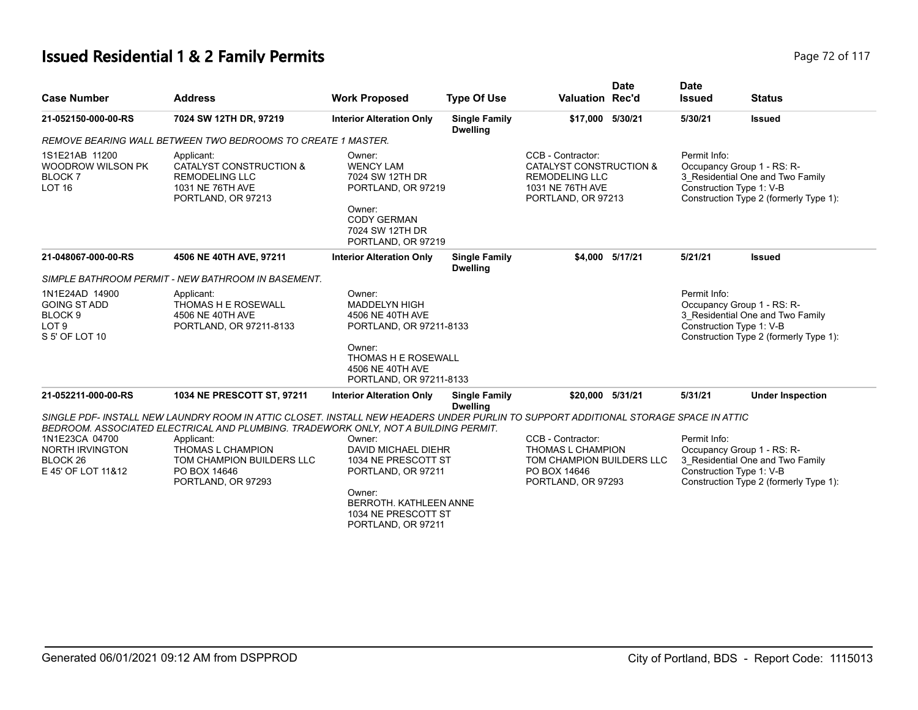# **Issued Residential 1 & 2 Family Permits Page 72 of 117 Page 72 of 117**

| <b>Case Number</b>                                                                     | <b>Address</b>                                                                                                                      | <b>Work Proposed</b>                                                                                                                         | <b>Type Of Use</b>                      | <b>Valuation Rec'd</b>                                                                                          | <b>Date</b>                                                                                                                                          | <b>Date</b><br><b>Issued</b>                                                                                                                         | <b>Status</b>                                                      |
|----------------------------------------------------------------------------------------|-------------------------------------------------------------------------------------------------------------------------------------|----------------------------------------------------------------------------------------------------------------------------------------------|-----------------------------------------|-----------------------------------------------------------------------------------------------------------------|------------------------------------------------------------------------------------------------------------------------------------------------------|------------------------------------------------------------------------------------------------------------------------------------------------------|--------------------------------------------------------------------|
| 21-052150-000-00-RS                                                                    | 7024 SW 12TH DR, 97219                                                                                                              | <b>Interior Alteration Only</b>                                                                                                              | <b>Single Family</b><br><b>Dwelling</b> | \$17,000 5/30/21                                                                                                |                                                                                                                                                      | 5/30/21                                                                                                                                              | <b>Issued</b>                                                      |
|                                                                                        | REMOVE BEARING WALL BETWEEN TWO BEDROOMS TO CREATE 1 MASTER.                                                                        |                                                                                                                                              |                                         |                                                                                                                 |                                                                                                                                                      |                                                                                                                                                      |                                                                    |
| 1S1E21AB 11200<br>WOODROW WILSON PK<br>BLOCK <sub>7</sub><br>LOT <sub>16</sub>         | Applicant:<br>CATALYST CONSTRUCTION &<br><b>REMODELING LLC</b><br>1031 NE 76TH AVE<br>PORTLAND, OR 97213                            | Owner:<br><b>WENCY LAM</b><br>7024 SW 12TH DR<br>PORTLAND, OR 97219<br>Owner:<br><b>CODY GERMAN</b><br>7024 SW 12TH DR<br>PORTLAND, OR 97219 |                                         | CCB - Contractor:<br>CATALYST CONSTRUCTION &<br><b>REMODELING LLC</b><br>1031 NE 76TH AVE<br>PORTLAND, OR 97213 | Permit Info:<br>Occupancy Group 1 - RS: R-<br>3_Residential One and Two Family<br>Construction Type 1: V-B<br>Construction Type 2 (formerly Type 1): |                                                                                                                                                      |                                                                    |
| 21-048067-000-00-RS                                                                    | 4506 NE 40TH AVE, 97211                                                                                                             | <b>Interior Alteration Only</b>                                                                                                              | <b>Single Family</b><br><b>Dwelling</b> |                                                                                                                 | \$4,000 5/17/21                                                                                                                                      | 5/21/21                                                                                                                                              | <b>Issued</b>                                                      |
|                                                                                        | SIMPLE BATHROOM PERMIT - NEW BATHROOM IN BASEMENT.                                                                                  |                                                                                                                                              |                                         |                                                                                                                 |                                                                                                                                                      |                                                                                                                                                      |                                                                    |
| 1N1E24AD 14900<br><b>GOING ST ADD</b><br>BLOCK 9<br>LOT <sub>9</sub><br>S 5' OF LOT 10 | Applicant:<br><b>THOMAS H E ROSEWALL</b><br>4506 NE 40TH AVE<br>PORTLAND, OR 97211-8133                                             | Owner:<br><b>MADDELYN HIGH</b><br>4506 NE 40TH AVE<br>PORTLAND, OR 97211-8133<br>Owner:<br><b>THOMAS H E ROSEWALL</b>                        |                                         |                                                                                                                 |                                                                                                                                                      | Permit Info:<br>Occupancy Group 1 - RS: R-<br>3_Residential One and Two Family<br>Construction Type 1: V-B<br>Construction Type 2 (formerly Type 1): |                                                                    |
|                                                                                        |                                                                                                                                     | 4506 NE 40TH AVE<br>PORTLAND, OR 97211-8133                                                                                                  |                                         |                                                                                                                 |                                                                                                                                                      |                                                                                                                                                      |                                                                    |
| 21-052211-000-00-RS                                                                    | 1034 NE PRESCOTT ST, 97211                                                                                                          | <b>Interior Alteration Only</b>                                                                                                              | <b>Single Family</b><br><b>Dwelling</b> | \$20,000 5/31/21                                                                                                |                                                                                                                                                      | 5/31/21                                                                                                                                              | <b>Under Inspection</b>                                            |
|                                                                                        | SINGLE PDF- INSTALL NEW LAUNDRY ROOM IN ATTIC CLOSET. INSTALL NEW HEADERS UNDER PURLIN TO SUPPORT ADDITIONAL STORAGE SPACE IN ATTIC |                                                                                                                                              |                                         |                                                                                                                 |                                                                                                                                                      |                                                                                                                                                      |                                                                    |
| 1N1E23CA 04700                                                                         | BEDROOM. ASSOCIATED ELECTRICAL AND PLUMBING. TRADEWORK ONLY, NOT A BUILDING PERMIT.<br>Applicant:                                   | Owner:                                                                                                                                       |                                         | CCB - Contractor:                                                                                               |                                                                                                                                                      | Permit Info:                                                                                                                                         |                                                                    |
| <b>NORTH IRVINGTON</b>                                                                 | THOMAS L CHAMPION                                                                                                                   | <b>DAVID MICHAEL DIEHR</b>                                                                                                                   |                                         | THOMAS L CHAMPION                                                                                               |                                                                                                                                                      | Occupancy Group 1 - RS: R-                                                                                                                           |                                                                    |
| BLOCK <sub>26</sub>                                                                    | TOM CHAMPION BUILDERS LLC                                                                                                           | 1034 NE PRESCOTT ST                                                                                                                          |                                         | TOM CHAMPION BUILDERS LLC                                                                                       |                                                                                                                                                      |                                                                                                                                                      | 3_Residential One and Two Family                                   |
| E 45' OF LOT 11&12                                                                     | PO BOX 14646<br>PORTLAND, OR 97293                                                                                                  | PORTLAND, OR 97211                                                                                                                           |                                         | PO BOX 14646<br>PORTLAND, OR 97293                                                                              |                                                                                                                                                      |                                                                                                                                                      | Construction Type 1: V-B<br>Construction Type 2 (formerly Type 1): |
|                                                                                        |                                                                                                                                     | Owner:<br><b>BERROTH, KATHLEEN ANNE</b><br>1034 NE PRESCOTT ST<br>PORTLAND, OR 97211                                                         |                                         |                                                                                                                 |                                                                                                                                                      |                                                                                                                                                      |                                                                    |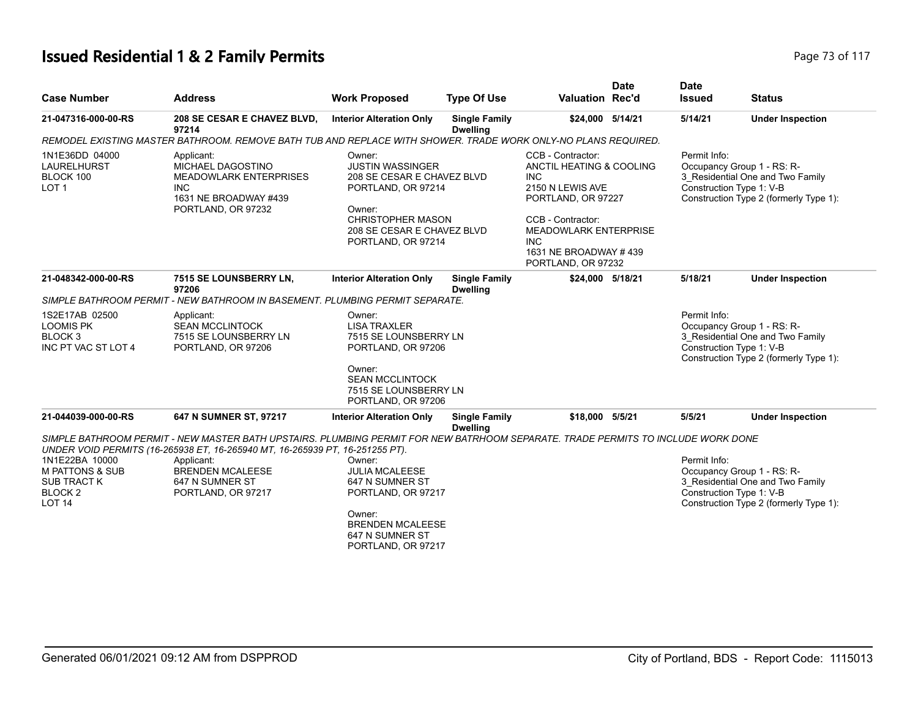#### **Issued Residential 1 & 2 Family Permits Page 73 of 117 Page 73 of 117**

| <b>Case Number</b>                                                                                        | <b>Address</b>                                                                                                                                                                                                                                                                                     | <b>Work Proposed</b>                                                                                                                                                     | <b>Type Of Use</b>                      | <b>Valuation Rec'd</b>                                                                                                                                                                                                   | <b>Date</b> | <b>Date</b><br><b>Issued</b> | <b>Status</b>                                                                                                                        |
|-----------------------------------------------------------------------------------------------------------|----------------------------------------------------------------------------------------------------------------------------------------------------------------------------------------------------------------------------------------------------------------------------------------------------|--------------------------------------------------------------------------------------------------------------------------------------------------------------------------|-----------------------------------------|--------------------------------------------------------------------------------------------------------------------------------------------------------------------------------------------------------------------------|-------------|------------------------------|--------------------------------------------------------------------------------------------------------------------------------------|
| 21-047316-000-00-RS                                                                                       | 208 SE CESAR E CHAVEZ BLVD,<br>97214                                                                                                                                                                                                                                                               | <b>Interior Alteration Only</b>                                                                                                                                          | <b>Single Family</b><br><b>Dwelling</b> | \$24,000 5/14/21                                                                                                                                                                                                         |             | 5/14/21                      | <b>Under Inspection</b>                                                                                                              |
|                                                                                                           | REMODEL EXISTING MASTER BATHROOM. REMOVE BATH TUB AND REPLACE WITH SHOWER. TRADE WORK ONLY-NO PLANS REQUIRED.                                                                                                                                                                                      |                                                                                                                                                                          |                                         |                                                                                                                                                                                                                          |             |                              |                                                                                                                                      |
| 1N1E36DD 04000<br>LAURELHURST<br>BLOCK 100<br>LOT <sub>1</sub>                                            | Applicant:<br>MICHAEL DAGOSTINO<br><b>MEADOWLARK ENTERPRISES</b><br><b>INC</b><br>1631 NE BROADWAY #439<br>PORTLAND, OR 97232                                                                                                                                                                      | Owner:<br><b>JUSTIN WASSINGER</b><br>208 SE CESAR E CHAVEZ BLVD<br>PORTLAND, OR 97214<br>Owner:<br>CHRISTOPHER MASON<br>208 SE CESAR E CHAVEZ BLVD<br>PORTLAND, OR 97214 |                                         | <b>CCB - Contractor:</b><br>ANCTIL HEATING & COOLING<br><b>INC</b><br>2150 N LEWIS AVE<br>PORTLAND, OR 97227<br>CCB - Contractor:<br><b>MEADOWLARK ENTERPRISE</b><br>INC.<br>1631 NE BROADWAY #439<br>PORTLAND, OR 97232 |             | Permit Info:                 | Occupancy Group 1 - RS: R-<br>3_Residential One and Two Family<br>Construction Type 1: V-B<br>Construction Type 2 (formerly Type 1): |
| 21-048342-000-00-RS                                                                                       | 7515 SE LOUNSBERRY LN,<br>97206                                                                                                                                                                                                                                                                    | <b>Interior Alteration Only</b>                                                                                                                                          | <b>Single Family</b><br><b>Dwelling</b> | \$24,000 5/18/21                                                                                                                                                                                                         |             | 5/18/21                      | <b>Under Inspection</b>                                                                                                              |
|                                                                                                           | SIMPLE BATHROOM PERMIT - NEW BATHROOM IN BASEMENT. PLUMBING PERMIT SEPARATE.                                                                                                                                                                                                                       |                                                                                                                                                                          |                                         |                                                                                                                                                                                                                          |             |                              |                                                                                                                                      |
| 1S2E17AB 02500<br><b>LOOMIS PK</b><br>BLOCK <sub>3</sub><br>INC PT VAC ST LOT 4                           | Applicant:<br><b>SEAN MCCLINTOCK</b><br>7515 SE LOUNSBERRY LN<br>PORTLAND, OR 97206                                                                                                                                                                                                                | Owner:<br><b>LISA TRAXLER</b><br>7515 SE LOUNSBERRY LN<br>PORTLAND, OR 97206                                                                                             |                                         |                                                                                                                                                                                                                          |             | Permit Info:                 | Occupancy Group 1 - RS: R-<br>3_Residential One and Two Family<br>Construction Type 1: V-B<br>Construction Type 2 (formerly Type 1): |
|                                                                                                           |                                                                                                                                                                                                                                                                                                    | Owner:<br><b>SEAN MCCLINTOCK</b><br>7515 SE LOUNSBERRY LN<br>PORTLAND, OR 97206                                                                                          |                                         |                                                                                                                                                                                                                          |             |                              |                                                                                                                                      |
| 21-044039-000-00-RS                                                                                       | 647 N SUMNER ST, 97217                                                                                                                                                                                                                                                                             | <b>Interior Alteration Only</b>                                                                                                                                          | <b>Single Family</b><br><b>Dwelling</b> | \$18,000 5/5/21                                                                                                                                                                                                          |             | 5/5/21                       | <b>Under Inspection</b>                                                                                                              |
| 1N1E22BA 10000<br><b>M PATTONS &amp; SUB</b><br><b>SUB TRACT K</b><br>BLOCK <sub>2</sub><br><b>LOT 14</b> | SIMPLE BATHROOM PERMIT - NEW MASTER BATH UPSTAIRS. PLUMBING PERMIT FOR NEW BATRHOOM SEPARATE. TRADE PERMITS TO INCLUDE WORK DONE<br>UNDER VOID PERMITS (16-265938 ET, 16-265940 MT, 16-265939 PT, 16-251255 PT).<br>Applicant:<br><b>BRENDEN MCALEESE</b><br>647 N SUMNER ST<br>PORTLAND, OR 97217 | Owner:<br><b>JULIA MCALEESE</b><br>647 N SUMNER ST<br>PORTLAND, OR 97217<br>Owner:<br><b>BRENDEN MCALEESE</b><br>647 N SUMNER ST<br>PORTLAND, OR 97217                   |                                         |                                                                                                                                                                                                                          |             | Permit Info:                 | Occupancy Group 1 - RS: R-<br>3_Residential One and Two Family<br>Construction Type 1: V-B<br>Construction Type 2 (formerly Type 1): |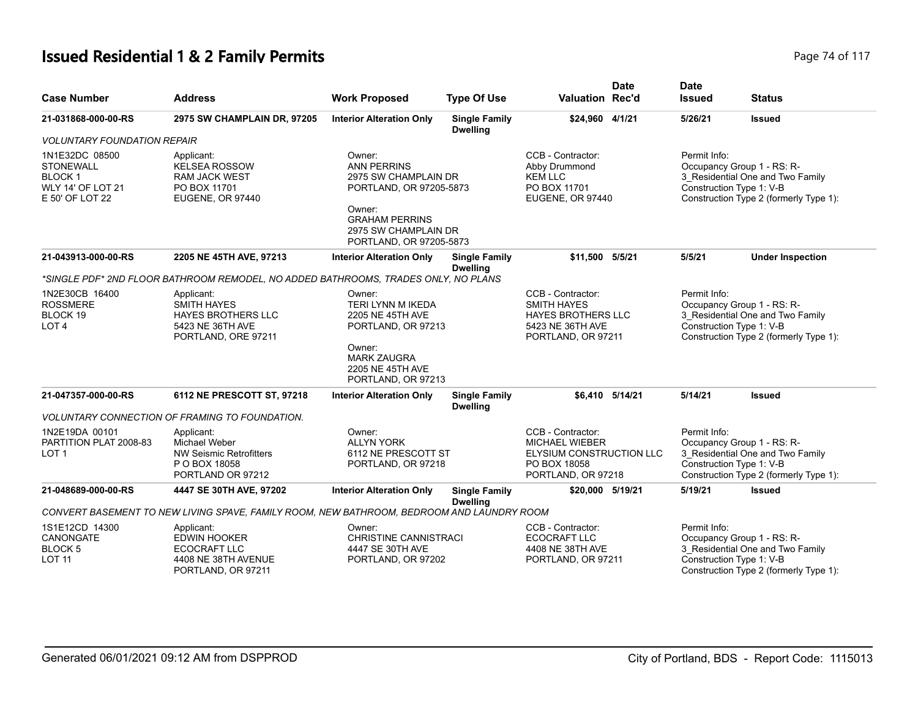# **Issued Residential 1 & 2 Family Permits Page 74 of 117** Page 74 of 117

| <b>Case Number</b>                                                                                 | <b>Address</b>                                                                                           | <b>Work Proposed</b>                                                                                                                                                  | <b>Type Of Use</b>                      | <b>Valuation Rec'd</b>                                                                                         | <b>Date</b> | <b>Date</b><br><b>Issued</b>             | <b>Status</b>                                                                                            |
|----------------------------------------------------------------------------------------------------|----------------------------------------------------------------------------------------------------------|-----------------------------------------------------------------------------------------------------------------------------------------------------------------------|-----------------------------------------|----------------------------------------------------------------------------------------------------------------|-------------|------------------------------------------|----------------------------------------------------------------------------------------------------------|
| 21-031868-000-00-RS                                                                                | 2975 SW CHAMPLAIN DR, 97205                                                                              | <b>Interior Alteration Only</b>                                                                                                                                       | <b>Single Family</b><br><b>Dwelling</b> | \$24,960 4/1/21                                                                                                |             | 5/26/21                                  | <b>Issued</b>                                                                                            |
| <i><b>VOLUNTARY FOUNDATION REPAIR</b></i>                                                          |                                                                                                          |                                                                                                                                                                       |                                         |                                                                                                                |             |                                          |                                                                                                          |
| 1N1E32DC 08500<br><b>STONEWALL</b><br><b>BLOCK1</b><br><b>WLY 14' OF LOT 21</b><br>E 50' OF LOT 22 | Applicant:<br><b>KELSEA ROSSOW</b><br><b>RAM JACK WEST</b><br>PO BOX 11701<br><b>EUGENE, OR 97440</b>    | Owner:<br><b>ANN PERRINS</b><br>2975 SW CHAMPLAIN DR<br>PORTLAND, OR 97205-5873<br>Owner:<br><b>GRAHAM PERRINS</b><br>2975 SW CHAMPLAIN DR<br>PORTLAND, OR 97205-5873 |                                         | CCB - Contractor:<br>Abby Drummond<br><b>KEM LLC</b><br>PO BOX 11701<br>EUGENE, OR 97440                       |             | Permit Info:<br>Construction Type 1: V-B | Occupancy Group 1 - RS: R-<br>3_Residential One and Two Family<br>Construction Type 2 (formerly Type 1): |
| 21-043913-000-00-RS                                                                                | 2205 NE 45TH AVE, 97213                                                                                  | <b>Interior Alteration Only</b>                                                                                                                                       | <b>Single Family</b><br><b>Dwelling</b> | \$11,500 5/5/21                                                                                                |             | 5/5/21                                   | <b>Under Inspection</b>                                                                                  |
|                                                                                                    | *SINGLE PDF* 2ND FLOOR BATHROOM REMODEL, NO ADDED BATHROOMS, TRADES ONLY, NO PLANS                       |                                                                                                                                                                       |                                         |                                                                                                                |             |                                          |                                                                                                          |
| 1N2E30CB 16400<br><b>ROSSMERE</b><br>BLOCK 19<br>LOT <sub>4</sub>                                  | Applicant:<br><b>SMITH HAYES</b><br><b>HAYES BROTHERS LLC</b><br>5423 NE 36TH AVE<br>PORTLAND, ORE 97211 | Owner:<br>TERI LYNN M IKEDA<br>2205 NE 45TH AVE<br>PORTLAND, OR 97213<br>Owner:<br><b>MARK ZAUGRA</b><br>2205 NE 45TH AVE<br>PORTLAND, OR 97213                       |                                         | CCB - Contractor:<br><b>SMITH HAYES</b><br><b>HAYES BROTHERS LLC</b><br>5423 NE 36TH AVE<br>PORTLAND, OR 97211 |             | Permit Info:<br>Construction Type 1: V-B | Occupancy Group 1 - RS: R-<br>3 Residential One and Two Family<br>Construction Type 2 (formerly Type 1): |
| 21-047357-000-00-RS                                                                                | 6112 NE PRESCOTT ST, 97218                                                                               | <b>Interior Alteration Only</b>                                                                                                                                       | <b>Single Family</b><br><b>Dwelling</b> | \$6.410 5/14/21                                                                                                |             | 5/14/21                                  | <b>Issued</b>                                                                                            |
|                                                                                                    | VOLUNTARY CONNECTION OF FRAMING TO FOUNDATION.                                                           |                                                                                                                                                                       |                                         |                                                                                                                |             |                                          |                                                                                                          |
| 1N2E19DA 00101<br>PARTITION PLAT 2008-83<br>LOT <sub>1</sub>                                       | Applicant:<br>Michael Weber<br>NW Seismic Retrofitters<br>P O BOX 18058<br>PORTLAND OR 97212             | Owner:<br><b>ALLYN YORK</b><br>6112 NE PRESCOTT ST<br>PORTLAND, OR 97218                                                                                              |                                         | CCB - Contractor:<br><b>MICHAEL WIEBER</b><br>ELYSIUM CONSTRUCTION LLC<br>PO BOX 18058<br>PORTLAND, OR 97218   |             | Permit Info:<br>Construction Type 1: V-B | Occupancy Group 1 - RS: R-<br>3 Residential One and Two Family<br>Construction Type 2 (formerly Type 1): |
| 21-048689-000-00-RS                                                                                | 4447 SE 30TH AVE, 97202                                                                                  | <b>Interior Alteration Only</b>                                                                                                                                       | <b>Single Family</b><br><b>Dwelling</b> | \$20,000 5/19/21                                                                                               |             | 5/19/21                                  | <b>Issued</b>                                                                                            |
|                                                                                                    | CONVERT BASEMENT TO NEW LIVING SPAVE, FAMILY ROOM, NEW BATHROOM, BEDROOM AND LAUNDRY ROOM                |                                                                                                                                                                       |                                         |                                                                                                                |             |                                          |                                                                                                          |
| 1S1E12CD 14300<br>CANONGATE<br><b>BLOCK5</b><br><b>LOT 11</b>                                      | Applicant:<br><b>EDWIN HOOKER</b><br><b>ECOCRAFT LLC</b><br>4408 NE 38TH AVENUE<br>PORTLAND, OR 97211    | Owner:<br><b>CHRISTINE CANNISTRACI</b><br>4447 SE 30TH AVE<br>PORTLAND, OR 97202                                                                                      |                                         | CCB - Contractor:<br><b>ECOCRAFT LLC</b><br>4408 NE 38TH AVE<br>PORTLAND, OR 97211                             |             | Permit Info:<br>Construction Type 1: V-B | Occupancy Group 1 - RS: R-<br>3 Residential One and Two Family<br>Construction Type 2 (formerly Type 1): |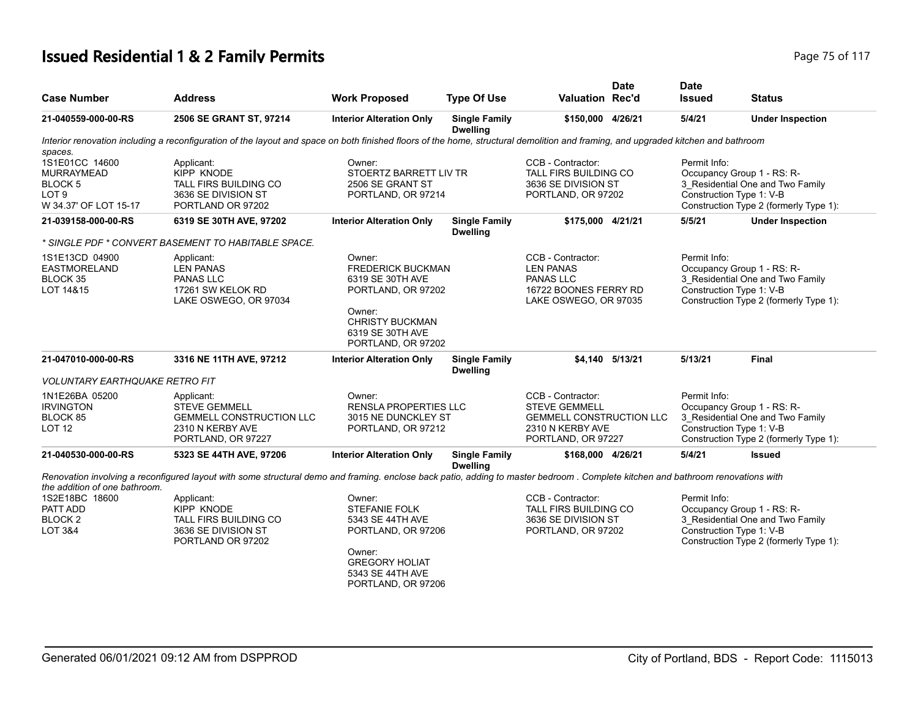#### **Issued Residential 1 & 2 Family Permits Page 75 of 117 Page 75 of 117**

| <b>Case Number</b>                                                                                                 | <b>Address</b>                                                                                                                                                                    | <b>Work Proposed</b>                                                                                                                                  | <b>Type Of Use</b>                      | <b>Valuation Rec'd</b>                                                                                                 | <b>Date</b>     | <b>Date</b><br><b>Issued</b>                       | <b>Status</b>                                                                                                                       |
|--------------------------------------------------------------------------------------------------------------------|-----------------------------------------------------------------------------------------------------------------------------------------------------------------------------------|-------------------------------------------------------------------------------------------------------------------------------------------------------|-----------------------------------------|------------------------------------------------------------------------------------------------------------------------|-----------------|----------------------------------------------------|-------------------------------------------------------------------------------------------------------------------------------------|
| 21-040559-000-00-RS                                                                                                | 2506 SE GRANT ST, 97214                                                                                                                                                           | <b>Interior Alteration Only</b>                                                                                                                       | <b>Single Family</b><br><b>Dwelling</b> | \$150,000 4/26/21                                                                                                      |                 | 5/4/21                                             | <b>Under Inspection</b>                                                                                                             |
| spaces.                                                                                                            | Interior renovation including a reconfiguration of the layout and space on both finished floors of the home, structural demolition and framing, and upgraded kitchen and bathroom |                                                                                                                                                       |                                         |                                                                                                                        |                 |                                                    |                                                                                                                                     |
| 1S1E01CC 14600<br><b>MURRAYMEAD</b><br>BLOCK 5<br>LOT <sub>9</sub><br>W 34.37' OF LOT 15-17<br>21-039158-000-00-RS | Applicant:<br>KIPP KNODE<br>TALL FIRS BUILDING CO<br>3636 SE DIVISION ST<br>PORTLAND OR 97202<br>6319 SE 30TH AVE, 97202                                                          | Owner:<br>STOERTZ BARRETT LIV TR<br>2506 SE GRANT ST<br>PORTLAND, OR 97214<br><b>Interior Alteration Only</b>                                         | <b>Single Family</b>                    | CCB - Contractor:<br>TALL FIRS BUILDING CO<br>3636 SE DIVISION ST<br>PORTLAND, OR 97202<br>\$175,000 4/21/21           |                 | Permit Info:<br>Construction Type 1: V-B<br>5/5/21 | Occupancy Group 1 - RS: R-<br>3 Residential One and Two Family<br>Construction Type 2 (formerly Type 1):<br><b>Under Inspection</b> |
|                                                                                                                    | * SINGLE PDF * CONVERT BASEMENT TO HABITABLE SPACE.                                                                                                                               |                                                                                                                                                       | <b>Dwelling</b>                         |                                                                                                                        |                 |                                                    |                                                                                                                                     |
| 1S1E13CD 04900<br><b>EASTMORELAND</b><br>BLOCK 35<br>LOT 14&15                                                     | Applicant:<br><b>LEN PANAS</b><br><b>PANAS LLC</b><br>17261 SW KELOK RD<br>LAKE OSWEGO, OR 97034                                                                                  | Owner:<br>FREDERICK BUCKMAN<br>6319 SE 30TH AVE<br>PORTLAND, OR 97202<br>Owner:<br><b>CHRISTY BUCKMAN</b><br>6319 SE 30TH AVE<br>PORTLAND, OR 97202   |                                         | CCB - Contractor:<br><b>LEN PANAS</b><br><b>PANAS LLC</b><br>16722 BOONES FERRY RD<br>LAKE OSWEGO, OR 97035            |                 | Permit Info:<br>Construction Type 1: V-B           | Occupancy Group 1 - RS: R-<br>3_Residential One and Two Family<br>Construction Type 2 (formerly Type 1):                            |
| 21-047010-000-00-RS                                                                                                | 3316 NE 11TH AVE, 97212                                                                                                                                                           | <b>Interior Alteration Only</b>                                                                                                                       | <b>Single Family</b><br><b>Dwelling</b> |                                                                                                                        | \$4.140 5/13/21 | 5/13/21                                            | <b>Final</b>                                                                                                                        |
| <b>VOLUNTARY EARTHQUAKE RETRO FIT</b>                                                                              |                                                                                                                                                                                   |                                                                                                                                                       |                                         |                                                                                                                        |                 |                                                    |                                                                                                                                     |
| 1N1E26BA 05200<br><b>IRVINGTON</b><br>BLOCK 85<br>LOT <sub>12</sub>                                                | Applicant:<br><b>STEVE GEMMELL</b><br><b>GEMMELL CONSTRUCTION LLC</b><br>2310 N KERBY AVE<br>PORTLAND, OR 97227                                                                   | Owner:<br><b>RENSLA PROPERTIES LLC</b><br>3015 NE DUNCKLEY ST<br>PORTLAND, OR 97212                                                                   |                                         | CCB - Contractor:<br><b>STEVE GEMMELL</b><br><b>GEMMELL CONSTRUCTION LLC</b><br>2310 N KERBY AVE<br>PORTLAND, OR 97227 |                 | Permit Info:<br>Construction Type 1: V-B           | Occupancy Group 1 - RS: R-<br>3_Residential One and Two Family<br>Construction Type 2 (formerly Type 1):                            |
| 21-040530-000-00-RS                                                                                                | 5323 SE 44TH AVE, 97206                                                                                                                                                           | <b>Interior Alteration Only</b>                                                                                                                       | <b>Single Family</b>                    | \$168,000 4/26/21                                                                                                      |                 | 5/4/21                                             | <b>Issued</b>                                                                                                                       |
| the addition of one bathroom.                                                                                      | Renovation involving a reconfigured layout with some structural demo and framing, enclose back patio, adding to master bedroom, Complete kitchen and bathroom renovations with    |                                                                                                                                                       | <b>Dwelling</b>                         |                                                                                                                        |                 |                                                    |                                                                                                                                     |
| 1S2E18BC 18600<br>PATT ADD<br>BLOCK <sub>2</sub><br><b>LOT 3&amp;4</b>                                             | Applicant:<br>KIPP KNODE<br>TALL FIRS BUILDING CO<br>3636 SE DIVISION ST<br>PORTLAND OR 97202                                                                                     | Owner:<br><b>STEFANIE FOLK</b><br>5343 SE 44TH AVE<br>PORTLAND, OR 97206<br>Owner:<br><b>GREGORY HOLIAT</b><br>5343 SE 44TH AVE<br>PORTLAND, OR 97206 |                                         | CCB - Contractor:<br>TALL FIRS BUILDING CO<br>3636 SE DIVISION ST<br>PORTLAND, OR 97202                                |                 | Permit Info:<br>Construction Type 1: V-B           | Occupancy Group 1 - RS: R-<br>3_Residential One and Two Family<br>Construction Type 2 (formerly Type 1):                            |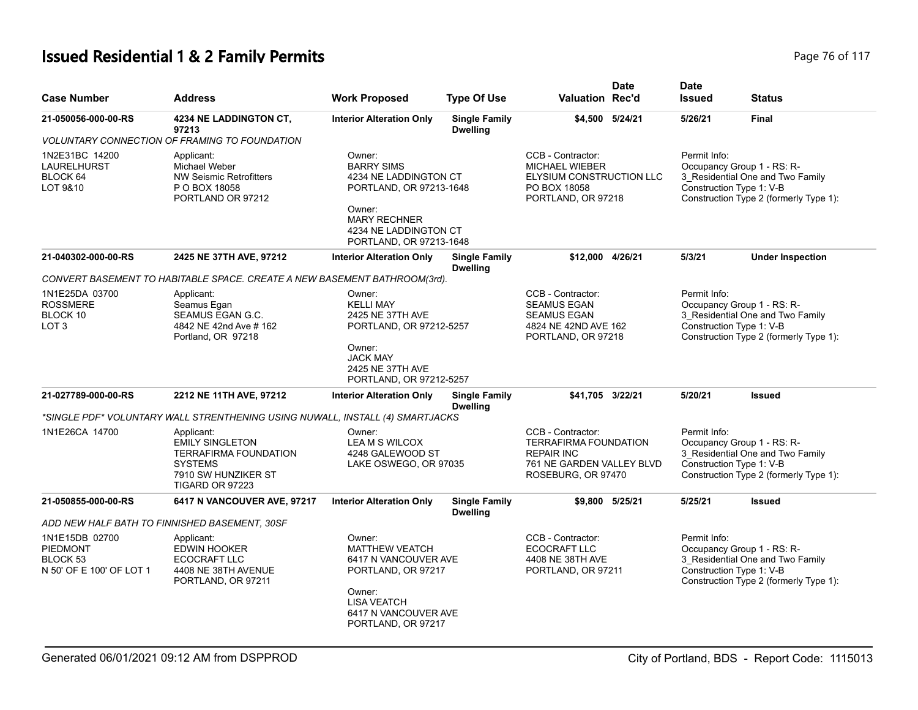# **Issued Residential 1 & 2 Family Permits Page 76 of 117 Page 76 of 117**

| <b>Case Number</b>                                                        | <b>Address</b>                                                                                                                   | <b>Work Proposed</b>                                                                                                                                                 | <b>Type Of Use</b>                      | Valuation Rec'd                                                                                                           | <b>Date</b>     | <b>Date</b><br><b>Issued</b>             | <b>Status</b>                                                                                                                        |
|---------------------------------------------------------------------------|----------------------------------------------------------------------------------------------------------------------------------|----------------------------------------------------------------------------------------------------------------------------------------------------------------------|-----------------------------------------|---------------------------------------------------------------------------------------------------------------------------|-----------------|------------------------------------------|--------------------------------------------------------------------------------------------------------------------------------------|
| 21-050056-000-00-RS                                                       | <b>4234 NE LADDINGTON CT.</b><br>97213                                                                                           | <b>Interior Alteration Only</b>                                                                                                                                      | <b>Single Family</b><br><b>Dwelling</b> |                                                                                                                           | \$4,500 5/24/21 | 5/26/21                                  | <b>Final</b>                                                                                                                         |
|                                                                           | VOLUNTARY CONNECTION OF FRAMING TO FOUNDATION                                                                                    |                                                                                                                                                                      |                                         |                                                                                                                           |                 |                                          |                                                                                                                                      |
| 1N2E31BC 14200<br><b>LAURELHURST</b><br>BLOCK 64<br>LOT 9&10              | Applicant:<br>Michael Weber<br><b>NW Seismic Retrofitters</b><br>P O BOX 18058<br>PORTLAND OR 97212                              | Owner:<br><b>BARRY SIMS</b><br>4234 NE LADDINGTON CT<br>PORTLAND, OR 97213-1648<br>Owner:<br><b>MARY RECHNER</b><br>4234 NE LADDINGTON CT<br>PORTLAND, OR 97213-1648 |                                         | CCB - Contractor:<br><b>MICHAEL WIEBER</b><br>ELYSIUM CONSTRUCTION LLC<br>PO BOX 18058<br>PORTLAND, OR 97218              |                 | Permit Info:<br>Construction Type 1: V-B | Occupancy Group 1 - RS: R-<br>3_Residential One and Two Family<br>Construction Type 2 (formerly Type 1):                             |
| 21-040302-000-00-RS                                                       | 2425 NE 37TH AVE, 97212                                                                                                          | <b>Interior Alteration Only</b>                                                                                                                                      | <b>Single Family</b><br><b>Dwelling</b> | \$12,000 4/26/21                                                                                                          |                 | 5/3/21                                   | <b>Under Inspection</b>                                                                                                              |
|                                                                           | CONVERT BASEMENT TO HABITABLE SPACE. CREATE A NEW BASEMENT BATHROOM(3rd).                                                        |                                                                                                                                                                      |                                         |                                                                                                                           |                 |                                          |                                                                                                                                      |
| 1N1E25DA 03700<br><b>ROSSMERE</b><br>BLOCK 10<br>LOT <sub>3</sub>         | Applicant:<br>Seamus Egan<br>SEAMUS EGAN G.C.<br>4842 NE 42nd Ave # 162<br>Portland, OR 97218                                    | Owner:<br><b>KELLI MAY</b><br>2425 NE 37TH AVE<br>PORTLAND, OR 97212-5257<br>Owner:<br><b>JACK MAY</b>                                                               |                                         | CCB - Contractor:<br><b>SEAMUS EGAN</b><br><b>SEAMUS EGAN</b><br>4824 NE 42ND AVE 162<br>PORTLAND, OR 97218               |                 | Permit Info:                             | Occupancy Group 1 - RS: R-<br>3 Residential One and Two Family<br>Construction Type 1: V-B<br>Construction Type 2 (formerly Type 1): |
|                                                                           |                                                                                                                                  | 2425 NE 37TH AVE<br>PORTLAND, OR 97212-5257                                                                                                                          |                                         |                                                                                                                           |                 |                                          |                                                                                                                                      |
| 21-027789-000-00-RS                                                       | 2212 NE 11TH AVE, 97212                                                                                                          | <b>Interior Alteration Only</b>                                                                                                                                      | <b>Single Family</b><br><b>Dwelling</b> | \$41,705 3/22/21                                                                                                          |                 | 5/20/21                                  | <b>Issued</b>                                                                                                                        |
|                                                                           | *SINGLE PDF* VOLUNTARY WALL STRENTHENING USING NUWALL, INSTALL (4) SMARTJACKS                                                    |                                                                                                                                                                      |                                         |                                                                                                                           |                 |                                          |                                                                                                                                      |
| 1N1E26CA 14700                                                            | Applicant:<br><b>EMILY SINGLETON</b><br><b>TERRAFIRMA FOUNDATION</b><br><b>SYSTEMS</b><br>7910 SW HUNZIKER ST<br>TIGARD OR 97223 | Owner:<br>LEAM S WILCOX<br>4248 GALEWOOD ST<br>LAKE OSWEGO, OR 97035                                                                                                 |                                         | CCB - Contractor:<br><b>TERRAFIRMA FOUNDATION</b><br><b>REPAIR INC</b><br>761 NE GARDEN VALLEY BLVD<br>ROSEBURG, OR 97470 |                 | Permit Info:                             | Occupancy Group 1 - RS: R-<br>3_Residential One and Two Family<br>Construction Type 1: V-B<br>Construction Type 2 (formerly Type 1): |
| 21-050855-000-00-RS                                                       | 6417 N VANCOUVER AVE, 97217                                                                                                      | <b>Interior Alteration Only</b>                                                                                                                                      | <b>Single Family</b><br><b>Dwelling</b> |                                                                                                                           | \$9,800 5/25/21 | 5/25/21                                  | <b>Issued</b>                                                                                                                        |
|                                                                           | ADD NEW HALF BATH TO FINNISHED BASEMENT, 30SF                                                                                    |                                                                                                                                                                      |                                         |                                                                                                                           |                 |                                          |                                                                                                                                      |
| 1N1E15DB 02700<br><b>PIEDMONT</b><br>BLOCK 53<br>N 50' OF E 100' OF LOT 1 | Applicant:<br><b>EDWIN HOOKER</b><br>ECOCRAFT LLC<br>4408 NE 38TH AVENUE<br>PORTLAND, OR 97211                                   | Owner:<br><b>MATTHEW VEATCH</b><br>6417 N VANCOUVER AVE<br>PORTLAND, OR 97217<br>Owner:<br><b>LISA VEATCH</b><br>6417 N VANCOUVER AVE<br>PORTLAND, OR 97217          |                                         | CCB - Contractor:<br>ECOCRAFT LLC<br>4408 NE 38TH AVE<br>PORTLAND, OR 97211                                               |                 | Permit Info:                             | Occupancy Group 1 - RS: R-<br>3 Residential One and Two Family<br>Construction Type 1: V-B<br>Construction Type 2 (formerly Type 1): |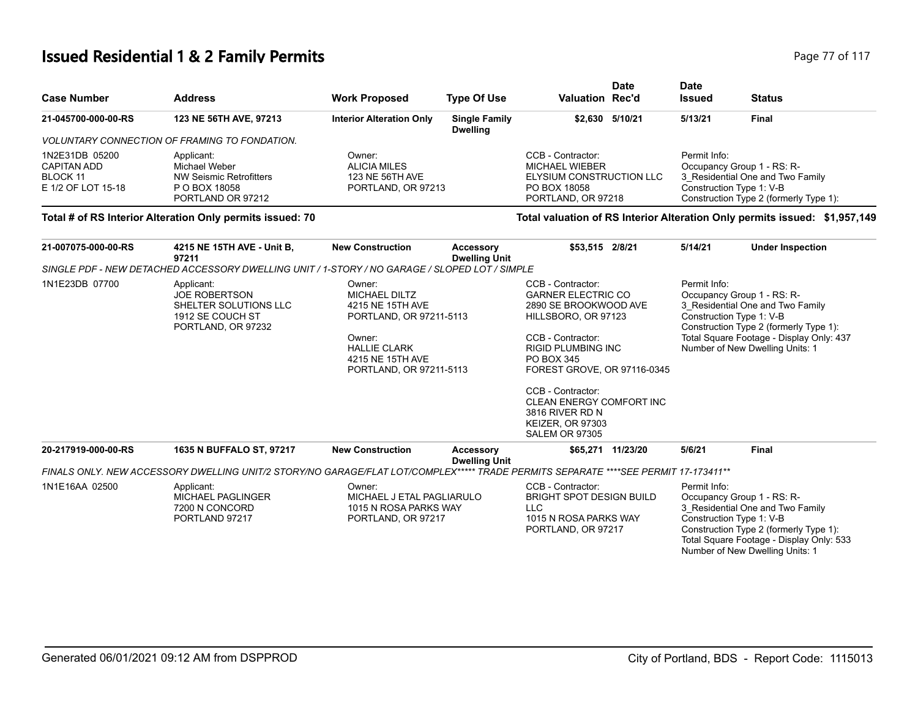#### **Issued Residential 1 & 2 Family Permits Page 77 of 117**

| <b>Case Number</b>                                              | <b>Address</b>                                                                               | <b>Work Proposed</b>                                            | <b>Type Of Use</b>                      | <b>Valuation Rec'd</b>                                                                                | Date            | <b>Date</b><br><b>Issued</b>                                           | <b>Status</b>                                                              |
|-----------------------------------------------------------------|----------------------------------------------------------------------------------------------|-----------------------------------------------------------------|-----------------------------------------|-------------------------------------------------------------------------------------------------------|-----------------|------------------------------------------------------------------------|----------------------------------------------------------------------------|
| 21-045700-000-00-RS                                             | 123 NE 56TH AVE, 97213                                                                       | <b>Interior Alteration Only</b>                                 | <b>Single Family</b><br><b>Dwelling</b> |                                                                                                       | \$2.630 5/10/21 | 5/13/21                                                                | <b>Final</b>                                                               |
|                                                                 | VOLUNTARY CONNECTION OF FRAMING TO FONDATION.                                                |                                                                 |                                         |                                                                                                       |                 |                                                                        |                                                                            |
| 1N2E31DB 05200<br>CAPITAN ADD<br>BLOCK 11<br>E 1/2 OF LOT 15-18 | Applicant:<br>Michael Weber<br>NW Seismic Retrofitters<br>P O BOX 18058<br>PORTLAND OR 97212 | Owner:<br>ALICIA MILES<br>123 NE 56TH AVE<br>PORTLAND, OR 97213 |                                         | CCB - Contractor:<br>MICHAEL WIEBER<br>ELYSIUM CONSTRUCTION LLC<br>PO BOX 18058<br>PORTLAND, OR 97218 |                 | Permit Info:<br>Occupancy Group 1 - RS: R-<br>Construction Type 1: V-B | 3 Residential One and Two Family<br>Construction Type 2 (formerly Type 1): |

#### **Total # of RS Interior Alteration Only permits issued: 70 Total valuation of RS Interior Alteration Only permits issued: \$1,957,149**

| 21-007075-000-00-RS | 4215 NE 15TH AVE - Unit B,<br>97211                                                                                                | <b>New Construction</b>                                                                                                                                       | <b>Accessory</b><br><b>Dwelling Unit</b> | \$53,515 2/8/21                                                                                                                                                                                                                                                                                                              | 5/14/21 | <b>Under Inspection</b>                                                                                                                                                                                                             |
|---------------------|------------------------------------------------------------------------------------------------------------------------------------|---------------------------------------------------------------------------------------------------------------------------------------------------------------|------------------------------------------|------------------------------------------------------------------------------------------------------------------------------------------------------------------------------------------------------------------------------------------------------------------------------------------------------------------------------|---------|-------------------------------------------------------------------------------------------------------------------------------------------------------------------------------------------------------------------------------------|
|                     | SINGLE PDF - NEW DETACHED ACCESSORY DWELLING UNIT / 1-STORY / NO GARAGE / SLOPED LOT / SIMPLE                                      |                                                                                                                                                               |                                          |                                                                                                                                                                                                                                                                                                                              |         |                                                                                                                                                                                                                                     |
| 1N1E23DB 07700      | Applicant:<br><b>JOE ROBERTSON</b><br>SHELTER SOLUTIONS LLC<br>1912 SE COUCH ST<br>PORTLAND, OR 97232                              | Owner:<br><b>MICHAEL DILTZ</b><br>4215 NE 15TH AVE<br>PORTLAND, OR 97211-5113<br>Owner:<br><b>HALLIE CLARK</b><br>4215 NE 15TH AVE<br>PORTLAND, OR 97211-5113 |                                          | CCB - Contractor:<br><b>GARNER ELECTRIC CO</b><br>2890 SE BROOKWOOD AVE<br>HILLSBORO, OR 97123<br>CCB - Contractor:<br><b>RIGID PLUMBING INC</b><br>PO BOX 345<br>FOREST GROVE, OR 97116-0345<br>CCB - Contractor:<br><b>CLEAN ENERGY COMFORT INC</b><br>3816 RIVER RD N<br><b>KEIZER, OR 97303</b><br><b>SALEM OR 97305</b> |         | Permit Info:<br>Occupancy Group 1 - RS: R-<br>3 Residential One and Two Family<br>Construction Type 1: V-B<br>Construction Type 2 (formerly Type 1):<br>Total Square Footage - Display Only: 437<br>Number of New Dwelling Units: 1 |
| 20-217919-000-00-RS | 1635 N BUFFALO ST, 97217                                                                                                           | <b>New Construction</b>                                                                                                                                       | <b>Accessory</b>                         | \$65,271 11/23/20                                                                                                                                                                                                                                                                                                            | 5/6/21  | <b>Final</b>                                                                                                                                                                                                                        |
|                     | FINALS ONLY. NEW ACCESSORY DWELLING UNIT/2 STORY/NO GARAGE/FLAT LOT/COMPLEX***** TRADE PERMITS SEPARATE ****SEE PERMIT 17-173411** |                                                                                                                                                               | <b>Dwelling Unit</b>                     |                                                                                                                                                                                                                                                                                                                              |         |                                                                                                                                                                                                                                     |
| 1N1E16AA 02500      | Applicant:<br><b>MICHAEL PAGLINGER</b><br>7200 N CONCORD<br>PORTLAND 97217                                                         | Owner:<br>MICHAEL J ETAL PAGLIARULO<br>1015 N ROSA PARKS WAY<br>PORTLAND, OR 97217                                                                            |                                          | CCB - Contractor:<br><b>BRIGHT SPOT DESIGN BUILD</b><br><b>LLC</b><br>1015 N ROSA PARKS WAY<br>PORTLAND, OR 97217                                                                                                                                                                                                            |         | Permit Info:<br>Occupancy Group 1 - RS: R-<br>3 Residential One and Two Family<br>Construction Type 1: V-B<br>Construction Type 2 (formerly Type 1):<br>Total Square Footage - Display Only: 533<br>Number of New Dwelling Units: 1 |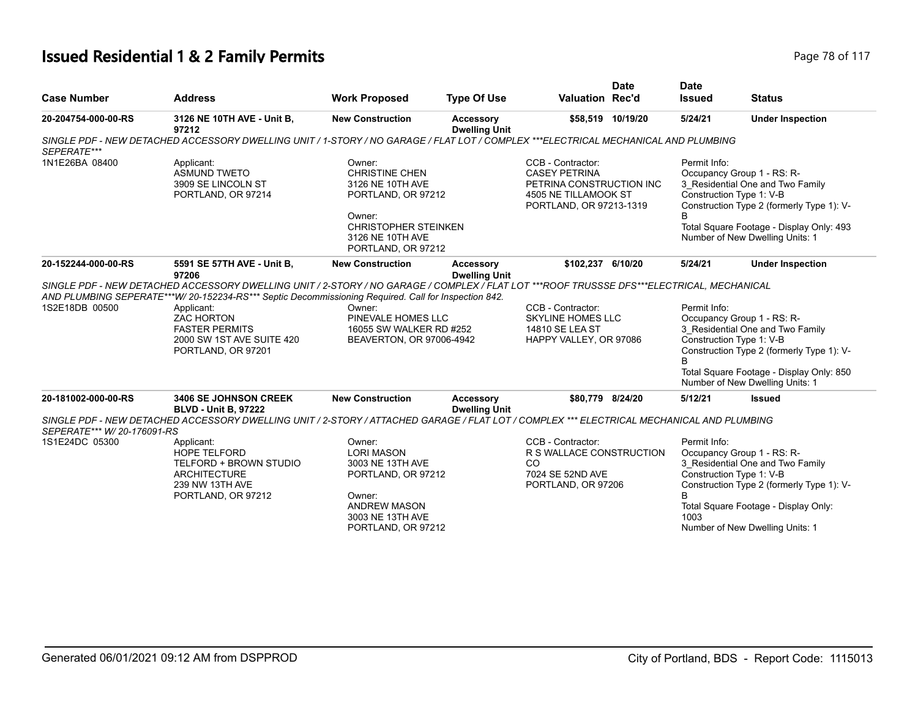#### **Issued Residential 1 & 2 Family Permits Page 78 of 117 Page 78 of 117**

|                             |                                                                                                                                                                                                                                                                                                                                                                  |                                                                                                                                                              |                                          |                                                                                                                          | <b>Date</b>       | <b>Date</b>                                                      |                                                                                                                                                                                            |
|-----------------------------|------------------------------------------------------------------------------------------------------------------------------------------------------------------------------------------------------------------------------------------------------------------------------------------------------------------------------------------------------------------|--------------------------------------------------------------------------------------------------------------------------------------------------------------|------------------------------------------|--------------------------------------------------------------------------------------------------------------------------|-------------------|------------------------------------------------------------------|--------------------------------------------------------------------------------------------------------------------------------------------------------------------------------------------|
| <b>Case Number</b>          | <b>Address</b>                                                                                                                                                                                                                                                                                                                                                   | <b>Work Proposed</b>                                                                                                                                         | <b>Type Of Use</b>                       | <b>Valuation Rec'd</b>                                                                                                   |                   | <b>Issued</b>                                                    | <b>Status</b>                                                                                                                                                                              |
| 20-204754-000-00-RS         | 3126 NE 10TH AVE - Unit B,<br>97212                                                                                                                                                                                                                                                                                                                              | <b>New Construction</b>                                                                                                                                      | <b>Accessory</b><br><b>Dwelling Unit</b> |                                                                                                                          | \$58,519 10/19/20 | 5/24/21                                                          | <b>Under Inspection</b>                                                                                                                                                                    |
| SEPERATE***                 | SINGLE PDF - NEW DETACHED ACCESSORY DWELLING UNIT / 1-STORY / NO GARAGE / FLAT LOT / COMPLEX ***ELECTRICAL MECHANICAL AND PLUMBING                                                                                                                                                                                                                               |                                                                                                                                                              |                                          |                                                                                                                          |                   |                                                                  |                                                                                                                                                                                            |
| 1N1E26BA 08400              | Applicant:<br><b>ASMUND TWETO</b><br>3909 SE LINCOLN ST<br>PORTLAND, OR 97214                                                                                                                                                                                                                                                                                    | Owner:<br><b>CHRISTINE CHEN</b><br>3126 NE 10TH AVE<br>PORTLAND, OR 97212<br>Owner:<br><b>CHRISTOPHER STEINKEN</b><br>3126 NE 10TH AVE<br>PORTLAND, OR 97212 |                                          | CCB - Contractor:<br><b>CASEY PETRINA</b><br>PETRINA CONSTRUCTION INC<br>4505 NE TILLAMOOK ST<br>PORTLAND, OR 97213-1319 |                   | Permit Info:<br>Construction Type 1: V-B<br>B                    | Occupancy Group 1 - RS: R-<br>3 Residential One and Two Family<br>Construction Type 2 (formerly Type 1): V-<br>Total Square Footage - Display Only: 493<br>Number of New Dwelling Units: 1 |
| 20-152244-000-00-RS         | 5591 SE 57TH AVE - Unit B,<br>97206                                                                                                                                                                                                                                                                                                                              | <b>New Construction</b>                                                                                                                                      | Accessory<br><b>Dwelling Unit</b>        | \$102,237 6/10/20                                                                                                        |                   | 5/24/21                                                          | <b>Under Inspection</b>                                                                                                                                                                    |
| 1S2E18DB 00500              | SINGLE PDF - NEW DETACHED ACCESSORY DWELLING UNIT / 2-STORY / NO GARAGE / COMPLEX / FLAT LOT ***ROOF TRUSSSE DFS***ELECTRICAL, MECHANICAL<br>AND PLUMBING SEPERATE***W/ 20-152234-RS*** Septic Decommissioning Required. Call for Inspection 842.<br>Applicant:<br><b>ZAC HORTON</b><br><b>FASTER PERMITS</b><br>2000 SW 1ST AVE SUITE 420<br>PORTLAND, OR 97201 | Owner:<br>PINEVALE HOMES LLC<br>16055 SW WALKER RD #252<br>BEAVERTON, OR 97006-4942                                                                          |                                          | CCB - Contractor:<br><b>SKYLINE HOMES LLC</b><br>14810 SE LEA ST<br>HAPPY VALLEY, OR 97086                               |                   | Permit Info:<br>Construction Type 1: V-B<br>B                    | Occupancy Group 1 - RS: R-<br>3 Residential One and Two Family<br>Construction Type 2 (formerly Type 1): V-<br>Total Square Footage - Display Only: 850<br>Number of New Dwelling Units: 1 |
| 20-181002-000-00-RS         | <b>3406 SE JOHNSON CREEK</b><br><b>BLVD - Unit B, 97222</b>                                                                                                                                                                                                                                                                                                      | <b>New Construction</b>                                                                                                                                      | <b>Accessory</b><br><b>Dwelling Unit</b> | \$80,779 8/24/20                                                                                                         |                   | 5/12/21                                                          | <b>Issued</b>                                                                                                                                                                              |
| SEPERATE*** W/ 20-176091-RS | SINGLE PDF - NEW DETACHED ACCESSORY DWELLING UNIT / 2-STORY / ATTACHED GARAGE / FLAT LOT / COMPLEX *** ELECTRICAL MECHANICAL AND PLUMBING                                                                                                                                                                                                                        |                                                                                                                                                              |                                          |                                                                                                                          |                   |                                                                  |                                                                                                                                                                                            |
| 1S1E24DC 05300              | Applicant:<br><b>HOPE TELFORD</b><br>TELFORD + BROWN STUDIO<br><b>ARCHITECTURE</b><br>239 NW 13TH AVE<br>PORTLAND, OR 97212                                                                                                                                                                                                                                      | Owner:<br><b>LORI MASON</b><br>3003 NE 13TH AVE<br>PORTLAND, OR 97212<br>Owner:<br><b>ANDREW MASON</b><br>3003 NE 13TH AVE<br>PORTLAND, OR 97212             |                                          | CCB - Contractor:<br>R S WALLACE CONSTRUCTION<br>CO<br>7024 SE 52ND AVE<br>PORTLAND, OR 97206                            |                   | Permit Info:<br>Construction Type 1: V-B<br><sub>R</sub><br>1003 | Occupancy Group 1 - RS: R-<br>3 Residential One and Two Family<br>Construction Type 2 (formerly Type 1): V-<br>Total Square Footage - Display Only:<br>Number of New Dwelling Units: 1     |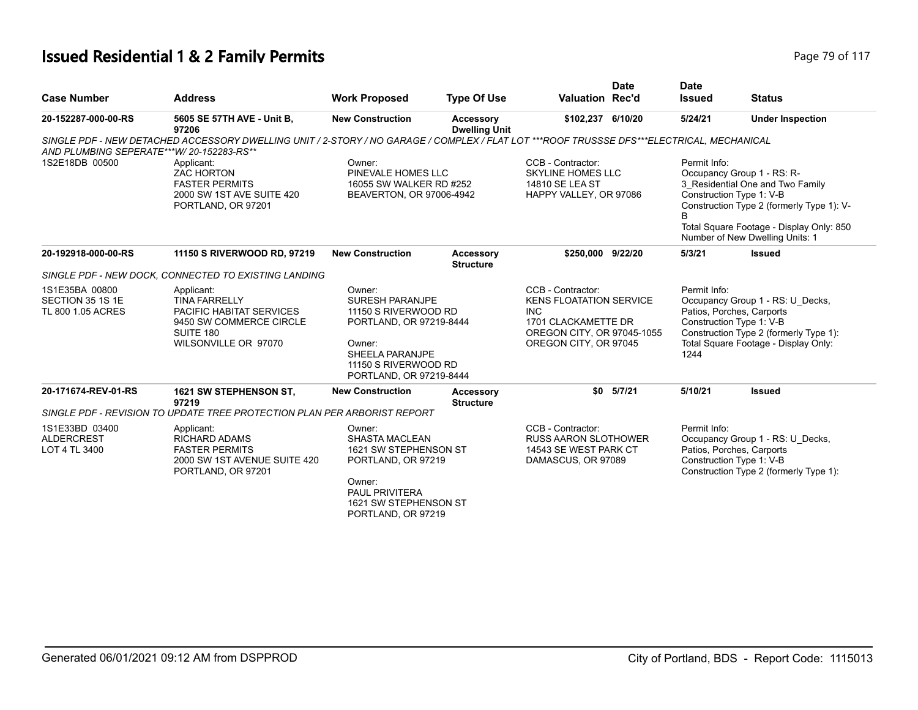#### **Issued Residential 1 & 2 Family Permits Page 79 of 117 Page 79 of 117**

|                                                         |                                                                                                                                           |                                                                                                                                                                     |                                          |                                                                                                                                                 | <b>Date</b>   | <b>Date</b>          |                                                                                                                                                                                                                        |
|---------------------------------------------------------|-------------------------------------------------------------------------------------------------------------------------------------------|---------------------------------------------------------------------------------------------------------------------------------------------------------------------|------------------------------------------|-------------------------------------------------------------------------------------------------------------------------------------------------|---------------|----------------------|------------------------------------------------------------------------------------------------------------------------------------------------------------------------------------------------------------------------|
| <b>Case Number</b>                                      | <b>Address</b>                                                                                                                            | <b>Work Proposed</b>                                                                                                                                                | <b>Type Of Use</b>                       | <b>Valuation Rec'd</b>                                                                                                                          |               | <b>Issued</b>        | <b>Status</b>                                                                                                                                                                                                          |
| 20-152287-000-00-RS                                     | 5605 SE 57TH AVE - Unit B,<br>97206                                                                                                       | <b>New Construction</b>                                                                                                                                             | <b>Accessory</b><br><b>Dwelling Unit</b> | \$102,237 6/10/20                                                                                                                               |               | 5/24/21              | <b>Under Inspection</b>                                                                                                                                                                                                |
| AND PLUMBING SEPERATE***W/20-152283-RS**                | SINGLE PDF - NEW DETACHED ACCESSORY DWELLING UNIT / 2-STORY / NO GARAGE / COMPLEX / FLAT LOT ***ROOF TRUSSSE DFS***ELECTRICAL, MECHANICAL |                                                                                                                                                                     |                                          |                                                                                                                                                 |               |                      |                                                                                                                                                                                                                        |
| 1S2E18DB 00500                                          | Applicant:<br><b>ZAC HORTON</b><br><b>FASTER PERMITS</b><br>2000 SW 1ST AVE SUITE 420<br>PORTLAND, OR 97201                               | Owner:<br>PINEVALE HOMES LLC<br>16055 SW WALKER RD #252<br>BEAVERTON, OR 97006-4942                                                                                 |                                          | CCB - Contractor:<br><b>SKYLINE HOMES LLC</b><br>14810 SE LEA ST<br>HAPPY VALLEY, OR 97086                                                      |               | Permit Info:         | Occupancy Group 1 - RS: R-<br>3 Residential One and Two Family<br>Construction Type 1: V-B<br>Construction Type 2 (formerly Type 1): V-<br>Total Square Footage - Display Only: 850<br>Number of New Dwelling Units: 1 |
| 20-192918-000-00-RS                                     | 11150 S RIVERWOOD RD, 97219                                                                                                               | <b>New Construction</b>                                                                                                                                             | Accessory<br><b>Structure</b>            | \$250,000 9/22/20                                                                                                                               |               | 5/3/21               | <b>Issued</b>                                                                                                                                                                                                          |
|                                                         | SINGLE PDF - NEW DOCK, CONNECTED TO EXISTING LANDING                                                                                      |                                                                                                                                                                     |                                          |                                                                                                                                                 |               |                      |                                                                                                                                                                                                                        |
| 1S1E35BA 00800<br>SECTION 35 1S 1E<br>TL 800 1.05 ACRES | Applicant:<br><b>TINA FARRELLY</b><br>PACIFIC HABITAT SERVICES<br>9450 SW COMMERCE CIRCLE<br>SUITE 180<br>WILSONVILLE OR 97070            | Owner:<br><b>SURESH PARANJPE</b><br>11150 S RIVERWOOD RD<br>PORTLAND, OR 97219-8444<br>Owner:<br>SHEELA PARANJPE<br>11150 S RIVERWOOD RD<br>PORTLAND, OR 97219-8444 |                                          | CCB - Contractor:<br><b>KENS FLOATATION SERVICE</b><br><b>INC</b><br>1701 CLACKAMETTE DR<br>OREGON CITY, OR 97045-1055<br>OREGON CITY, OR 97045 |               | Permit Info:<br>1244 | Occupancy Group 1 - RS: U Decks,<br>Patios, Porches, Carports<br>Construction Type 1: V-B<br>Construction Type 2 (formerly Type 1):<br>Total Square Footage - Display Only:                                            |
| 20-171674-REV-01-RS                                     | 1621 SW STEPHENSON ST,<br>97219                                                                                                           | <b>New Construction</b>                                                                                                                                             | <b>Accessory</b><br><b>Structure</b>     |                                                                                                                                                 | $$0$ $5/7/21$ | 5/10/21              | <b>Issued</b>                                                                                                                                                                                                          |
|                                                         | SINGLE PDF - REVISION TO UPDATE TREE PROTECTION PLAN PER ARBORIST REPORT                                                                  |                                                                                                                                                                     |                                          |                                                                                                                                                 |               |                      |                                                                                                                                                                                                                        |
| 1S1E33BD 03400<br><b>ALDERCREST</b><br>LOT 4 TL 3400    | Applicant:<br>RICHARD ADAMS<br><b>FASTER PERMITS</b><br>2000 SW 1ST AVENUE SUITE 420<br>PORTLAND, OR 97201                                | Owner:<br><b>SHASTA MACLEAN</b><br>1621 SW STEPHENSON ST<br>PORTLAND, OR 97219<br>Owner:                                                                            |                                          | CCB - Contractor:<br><b>RUSS AARON SLOTHOWER</b><br>14543 SE WEST PARK CT<br>DAMASCUS, OR 97089                                                 |               | Permit Info:         | Occupancy Group 1 - RS: U_Decks,<br>Patios, Porches, Carports<br>Construction Type 1: V-B<br>Construction Type 2 (formerly Type 1):                                                                                    |
|                                                         |                                                                                                                                           | <b>PAUL PRIVITERA</b><br>1621 SW STEPHENSON ST<br>PORTLAND, OR 97219                                                                                                |                                          |                                                                                                                                                 |               |                      |                                                                                                                                                                                                                        |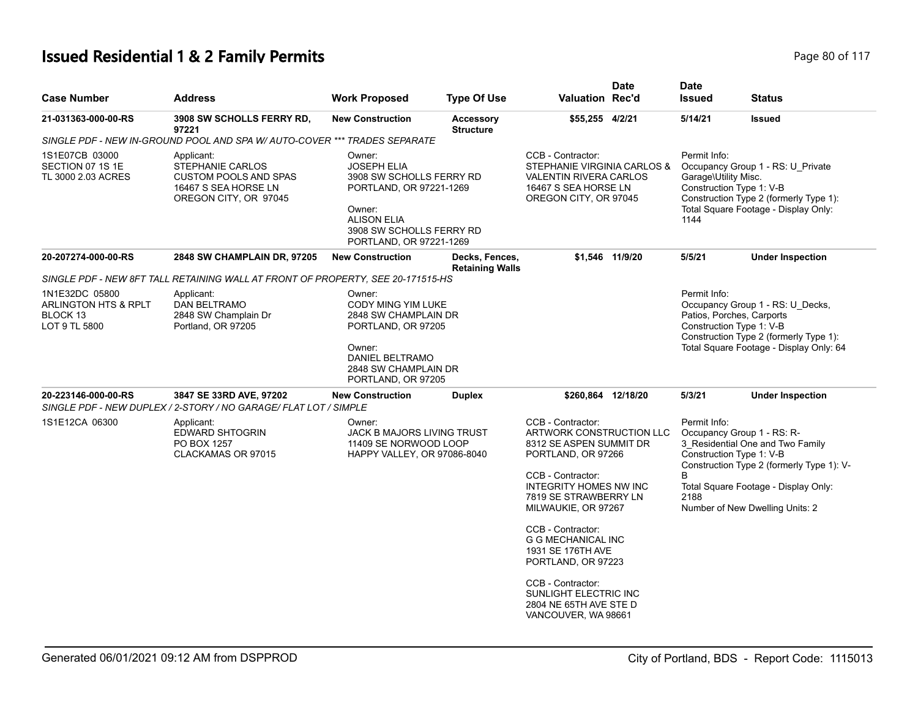# **Issued Residential 1 & 2 Family Permits Page 117 Page 80 of 117**

| <b>Case Number</b>                                                  | <b>Address</b>                                                                                                  | <b>Work Proposed</b>                                                                                                                                                       | <b>Type Of Use</b>                       | <b>Valuation Rec'd</b>                                                                                                                                                                                                                                        | <b>Date</b>     | <b>Date</b><br><b>Issued</b>                 | <b>Status</b>                                                                                                                                                                                                      |
|---------------------------------------------------------------------|-----------------------------------------------------------------------------------------------------------------|----------------------------------------------------------------------------------------------------------------------------------------------------------------------------|------------------------------------------|---------------------------------------------------------------------------------------------------------------------------------------------------------------------------------------------------------------------------------------------------------------|-----------------|----------------------------------------------|--------------------------------------------------------------------------------------------------------------------------------------------------------------------------------------------------------------------|
| 21-031363-000-00-RS                                                 | <b>3908 SW SCHOLLS FERRY RD,</b><br>97221                                                                       | <b>New Construction</b>                                                                                                                                                    | <b>Accessory</b><br><b>Structure</b>     | \$55,255 4/2/21                                                                                                                                                                                                                                               |                 | 5/14/21                                      | <b>Issued</b>                                                                                                                                                                                                      |
|                                                                     | SINGLE PDF - NEW IN-GROUND POOL AND SPA W/ AUTO-COVER *** TRADES SEPARATE                                       |                                                                                                                                                                            |                                          |                                                                                                                                                                                                                                                               |                 |                                              |                                                                                                                                                                                                                    |
| 1S1E07CB 03000<br>SECTION 07 1S 1E<br>TL 3000 2.03 ACRES            | Applicant:<br>STEPHANIE CARLOS<br><b>CUSTOM POOLS AND SPAS</b><br>16467 S SEA HORSE LN<br>OREGON CITY, OR 97045 | Owner:<br><b>JOSEPH ELIA</b><br>3908 SW SCHOLLS FERRY RD<br>PORTLAND, OR 97221-1269<br>Owner:<br><b>ALISON ELIA</b><br>3908 SW SCHOLLS FERRY RD<br>PORTLAND, OR 97221-1269 |                                          | CCB - Contractor:<br>STEPHANIE VIRGINIA CARLOS &<br><b>VALENTIN RIVERA CARLOS</b><br>16467 S SEA HORSE LN<br>OREGON CITY, OR 97045                                                                                                                            |                 | Permit Info:<br>Garage\Utility Misc.<br>1144 | Occupancy Group 1 - RS: U_Private<br>Construction Type 1: V-B<br>Construction Type 2 (formerly Type 1):<br>Total Square Footage - Display Only:                                                                    |
| 20-207274-000-00-RS                                                 | <b>2848 SW CHAMPLAIN DR, 97205</b>                                                                              | <b>New Construction</b>                                                                                                                                                    | Decks, Fences,<br><b>Retaining Walls</b> |                                                                                                                                                                                                                                                               | \$1,546 11/9/20 | 5/5/21                                       | <b>Under Inspection</b>                                                                                                                                                                                            |
|                                                                     | SINGLE PDF - NEW 8FT TALL RETAINING WALL AT FRONT OF PROPERTY, SEE 20-171515-HS                                 |                                                                                                                                                                            |                                          |                                                                                                                                                                                                                                                               |                 |                                              |                                                                                                                                                                                                                    |
| 1N1E32DC 05800<br>ARLINGTON HTS & RPLT<br>BLOCK 13<br>LOT 9 TL 5800 | Applicant:<br>DAN BELTRAMO<br>2848 SW Champlain Dr<br>Portland, OR 97205                                        | Owner:<br>CODY MING YIM LUKE<br>2848 SW CHAMPLAIN DR<br>PORTLAND, OR 97205<br>Owner:<br><b>DANIEL BELTRAMO</b><br>2848 SW CHAMPLAIN DR<br>PORTLAND, OR 97205               |                                          |                                                                                                                                                                                                                                                               |                 | Permit Info:                                 | Occupancy Group 1 - RS: U_Decks,<br>Patios, Porches, Carports<br>Construction Type 1: V-B<br>Construction Type 2 (formerly Type 1):<br>Total Square Footage - Display Only: 64                                     |
| 20-223146-000-00-RS                                                 | 3847 SE 33RD AVE, 97202<br>SINGLE PDF - NEW DUPLEX / 2-STORY / NO GARAGE/ FLAT LOT / SIMPLE                     | <b>New Construction</b>                                                                                                                                                    | <b>Duplex</b>                            | \$260,864 12/18/20                                                                                                                                                                                                                                            |                 | 5/3/21                                       | <b>Under Inspection</b>                                                                                                                                                                                            |
| 1S1E12CA 06300                                                      | Applicant:<br>EDWARD SHTOGRIN<br>PO BOX 1257<br>CLACKAMAS OR 97015                                              | Owner:<br><b>JACK B MAJORS LIVING TRUST</b><br>11409 SE NORWOOD LOOP<br>HAPPY VALLEY, OR 97086-8040                                                                        |                                          | CCB - Contractor:<br><b>ARTWORK CONSTRUCTION LLC</b><br>8312 SE ASPEN SUMMIT DR<br>PORTLAND, OR 97266<br>CCB - Contractor:<br><b>INTEGRITY HOMES NW INC</b><br>7819 SE STRAWBERRY LN<br>MILWAUKIE, OR 97267<br>CCB - Contractor:<br><b>G G MECHANICAL INC</b> |                 | Permit Info:<br>B<br>2188                    | Occupancy Group 1 - RS: R-<br>3_Residential One and Two Family<br>Construction Type 1: V-B<br>Construction Type 2 (formerly Type 1): V-<br>Total Square Footage - Display Only:<br>Number of New Dwelling Units: 2 |
|                                                                     |                                                                                                                 |                                                                                                                                                                            |                                          | 1931 SE 176TH AVE<br>PORTLAND, OR 97223<br>CCB - Contractor:<br>SUNLIGHT ELECTRIC INC<br>2804 NE 65TH AVE STE D<br>VANCOUVER, WA 98661                                                                                                                        |                 |                                              |                                                                                                                                                                                                                    |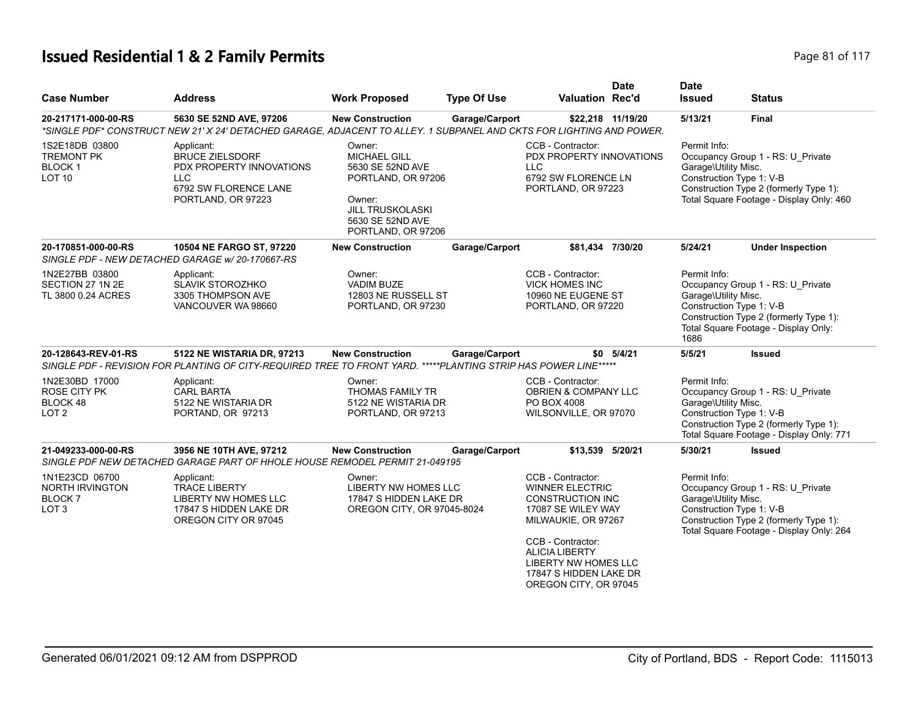# **Issued Residential 1 & 2 Family Permits Page 81 of 117** and **Page 81 of 117**

| <b>Case Number</b>                                                             | <b>Address</b>                                                                                                                                  | <b>Work Proposed</b>                                                                                                                                   | <b>Type Of Use</b> | <b>Date</b><br>Valuation Rec'd                                                                                                                                                                                                                      | <b>Date</b><br><b>Issued</b>                 | <b>Status</b>                                                                                                                                       |
|--------------------------------------------------------------------------------|-------------------------------------------------------------------------------------------------------------------------------------------------|--------------------------------------------------------------------------------------------------------------------------------------------------------|--------------------|-----------------------------------------------------------------------------------------------------------------------------------------------------------------------------------------------------------------------------------------------------|----------------------------------------------|-----------------------------------------------------------------------------------------------------------------------------------------------------|
| 20-217171-000-00-RS                                                            | 5630 SE 52ND AVE, 97206<br>*SINGLE PDF* CONSTRUCT NEW 21' X 24' DETACHED GARAGE. ADJACENT TO ALLEY, 1 SUBPANEL AND CKTS FOR LIGHTING AND POWER. | <b>New Construction</b>                                                                                                                                | Garage/Carport     | \$22,218 11/19/20                                                                                                                                                                                                                                   | 5/13/21                                      | <b>Final</b>                                                                                                                                        |
| 1S2E18DB 03800<br><b>TREMONT PK</b><br>BLOCK <sub>1</sub><br>LOT <sub>10</sub> | Applicant:<br><b>BRUCE ZIELSDORF</b><br>PDX PROPERTY INNOVATIONS<br><b>LLC</b><br>6792 SW FLORENCE LANE<br>PORTLAND, OR 97223                   | Owner:<br><b>MICHAEL GILL</b><br>5630 SE 52ND AVE<br>PORTLAND, OR 97206<br>Owner:<br><b>JILL TRUSKOLASKI</b><br>5630 SE 52ND AVE<br>PORTLAND, OR 97206 |                    | CCB - Contractor:<br>PDX PROPERTY INNOVATIONS<br><b>LLC</b><br>6792 SW FLORENCE LN<br>PORTLAND, OR 97223                                                                                                                                            | Permit Info:<br>Garage\Utility Misc.         | Occupancy Group 1 - RS: U Private<br>Construction Type 1: V-B<br>Construction Type 2 (formerly Type 1):<br>Total Square Footage - Display Only: 460 |
| 20-170851-000-00-RS                                                            | 10504 NE FARGO ST, 97220<br>SINGLE PDF - NEW DETACHED GARAGE w/20-170667-RS                                                                     | <b>New Construction</b>                                                                                                                                | Garage/Carport     | \$81.434 7/30/20                                                                                                                                                                                                                                    | 5/24/21                                      | <b>Under Inspection</b>                                                                                                                             |
| 1N2E27BB 03800<br>SECTION 27 1N 2E<br>TL 3800 0.24 ACRES                       | Applicant:<br><b>SLAVIK STOROZHKO</b><br>3305 THOMPSON AVE<br>VANCOUVER WA 98660                                                                | Owner:<br><b>VADIM BUZE</b><br>12803 NE RUSSELL ST<br>PORTLAND, OR 97230                                                                               |                    | CCB - Contractor:<br><b>VICK HOMES INC</b><br>10960 NE EUGENE ST<br>PORTLAND, OR 97220                                                                                                                                                              | Permit Info:<br>Garage\Utility Misc.<br>1686 | Occupancy Group 1 - RS: U_Private<br>Construction Type 1: V-B<br>Construction Type 2 (formerly Type 1):<br>Total Square Footage - Display Only:     |
| 20-128643-REV-01-RS                                                            | 5122 NE WISTARIA DR, 97213<br>SINGLE PDF - REVISION FOR PLANTING OF CITY-REQUIRED TREE TO FRONT YARD. *****PLANTING STRIP HAS POWER LINE*****   | <b>New Construction</b>                                                                                                                                | Garage/Carport     | $$0$ $5/4/21$                                                                                                                                                                                                                                       | 5/5/21                                       | <b>Issued</b>                                                                                                                                       |
| 1N2E30BD 17000<br>ROSE CITY PK<br>BLOCK 48<br>LOT <sub>2</sub>                 | Applicant:<br><b>CARL BARTA</b><br>5122 NE WISTARIA DR<br>PORTAND, OR 97213                                                                     | Owner:<br>THOMAS FAMILY TR<br>5122 NE WISTARIA DR<br>PORTLAND, OR 97213                                                                                |                    | CCB - Contractor:<br>OBRIEN & COMPANY LLC<br>PO BOX 4008<br>WILSONVILLE, OR 97070                                                                                                                                                                   | Permit Info:<br>Garage\Utility Misc.         | Occupancy Group 1 - RS: U_Private<br>Construction Type 1: V-B<br>Construction Type 2 (formerly Type 1):<br>Total Square Footage - Display Only: 771 |
| 21-049233-000-00-RS                                                            | 3956 NE 10TH AVE, 97212<br>SINGLE PDF NEW DETACHED GARAGE PART OF HHOLE HOUSE REMODEL PERMIT 21-049195                                          | <b>New Construction</b>                                                                                                                                | Garage/Carport     | \$13,539 5/20/21                                                                                                                                                                                                                                    | 5/30/21                                      | <b>Issued</b>                                                                                                                                       |
| 1N1E23CD 06700<br><b>NORTH IRVINGTON</b><br><b>BLOCK 7</b><br>LOT <sub>3</sub> | Applicant:<br><b>TRACE LIBERTY</b><br>LIBERTY NW HOMES LLC<br>17847 S HIDDEN LAKE DR<br>OREGON CITY OR 97045                                    | Owner:<br>LIBERTY NW HOMES LLC<br>17847 S HIDDEN LAKE DR<br>OREGON CITY, OR 97045-8024                                                                 |                    | CCB - Contractor:<br><b>WINNER ELECTRIC</b><br><b>CONSTRUCTION INC</b><br>17087 SE WILEY WAY<br>MILWAUKIE, OR 97267<br>CCB - Contractor:<br><b>ALICIA LIBERTY</b><br><b>LIBERTY NW HOMES LLC</b><br>17847 S HIDDEN LAKE DR<br>OREGON CITY, OR 97045 | Permit Info:<br>Garage\Utility Misc.         | Occupancy Group 1 - RS: U_Private<br>Construction Type 1: V-B<br>Construction Type 2 (formerly Type 1):<br>Total Square Footage - Display Only: 264 |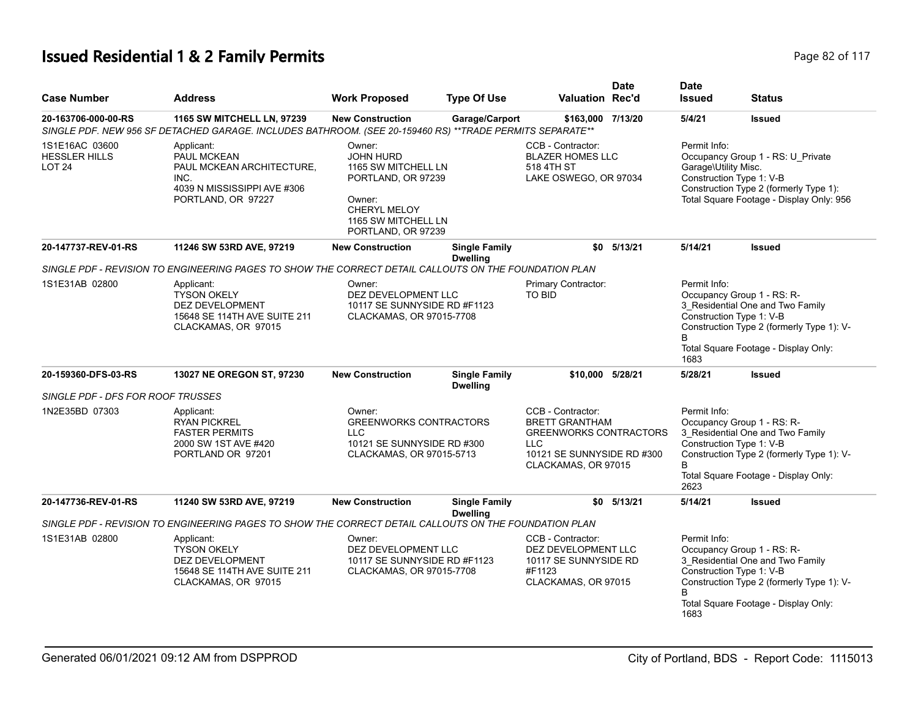# **Issued Residential 1 & 2 Family Permits Page 82 of 117** and  $P$  and  $P$  and  $P$  and  $P$  are 82 of 117

| <b>Case Number</b>                                      | <b>Address</b>                                                                                                                         | <b>Work Proposed</b>                                                                                                                                  | <b>Type Of Use</b>                      | <b>Valuation Rec'd</b>                                                                                                                  | <b>Date</b> | <b>Date</b><br><b>Issued</b>         | <b>Status</b>                                                                                                                                                                   |
|---------------------------------------------------------|----------------------------------------------------------------------------------------------------------------------------------------|-------------------------------------------------------------------------------------------------------------------------------------------------------|-----------------------------------------|-----------------------------------------------------------------------------------------------------------------------------------------|-------------|--------------------------------------|---------------------------------------------------------------------------------------------------------------------------------------------------------------------------------|
| 20-163706-000-00-RS                                     | 1165 SW MITCHELL LN, 97239<br>SINGLE PDF. NEW 956 SF DETACHED GARAGE. INCLUDES BATHROOM. (SEE 20-159460 RS) **TRADE PERMITS SEPARATE** | <b>New Construction</b>                                                                                                                               | Garage/Carport                          | \$163,000 7/13/20                                                                                                                       |             | 5/4/21                               | <b>Issued</b>                                                                                                                                                                   |
| 1S1E16AC 03600<br><b>HESSLER HILLS</b><br><b>LOT 24</b> | Applicant:<br>PAUL MCKEAN<br>PAUL MCKEAN ARCHITECTURE,<br>INC.<br>4039 N MISSISSIPPI AVE #306<br>PORTLAND, OR 97227                    | Owner:<br><b>JOHN HURD</b><br>1165 SW MITCHELL LN<br>PORTLAND, OR 97239<br>Owner:<br><b>CHERYL MELOY</b><br>1165 SW MITCHELL LN<br>PORTLAND, OR 97239 |                                         | CCB - Contractor:<br><b>BLAZER HOMES LLC</b><br>518 4TH ST<br>LAKE OSWEGO, OR 97034                                                     |             | Permit Info:<br>Garage\Utility Misc. | Occupancy Group 1 - RS: U_Private<br>Construction Type 1: V-B<br>Construction Type 2 (formerly Type 1):<br>Total Square Footage - Display Only: 956                             |
| 20-147737-REV-01-RS                                     | 11246 SW 53RD AVE, 97219                                                                                                               | <b>New Construction</b>                                                                                                                               | <b>Single Family</b><br><b>Dwelling</b> | \$0                                                                                                                                     | 5/13/21     | 5/14/21                              | <b>Issued</b>                                                                                                                                                                   |
|                                                         | SINGLE PDF - REVISION TO ENGINEERING PAGES TO SHOW THE CORRECT DETAIL CALLOUTS ON THE FOUNDATION PLAN                                  |                                                                                                                                                       |                                         |                                                                                                                                         |             |                                      |                                                                                                                                                                                 |
| 1S1E31AB 02800                                          | Applicant:<br><b>TYSON OKELY</b><br><b>DEZ DEVELOPMENT</b><br>15648 SE 114TH AVE SUITE 211<br>CLACKAMAS, OR 97015                      | Owner:<br>DEZ DEVELOPMENT LLC<br>10117 SE SUNNYSIDE RD #F1123<br>CLACKAMAS, OR 97015-7708                                                             |                                         | Primary Contractor:<br><b>TO BID</b>                                                                                                    |             | Permit Info:<br><sub>R</sub><br>1683 | Occupancy Group 1 - RS: R-<br>3_Residential One and Two Family<br>Construction Type 1: V-B<br>Construction Type 2 (formerly Type 1): V-<br>Total Square Footage - Display Only: |
| 20-159360-DFS-03-RS                                     | 13027 NE OREGON ST, 97230                                                                                                              | <b>New Construction</b>                                                                                                                               | <b>Single Family</b><br><b>Dwelling</b> | \$10.000 5/28/21                                                                                                                        |             | 5/28/21                              | <b>Issued</b>                                                                                                                                                                   |
| SINGLE PDF - DFS FOR ROOF TRUSSES                       |                                                                                                                                        |                                                                                                                                                       |                                         |                                                                                                                                         |             |                                      |                                                                                                                                                                                 |
| 1N2E35BD 07303                                          | Applicant:<br><b>RYAN PICKREL</b><br><b>FASTER PERMITS</b><br>2000 SW 1ST AVE #420<br>PORTLAND OR 97201                                | Owner:<br><b>GREENWORKS CONTRACTORS</b><br><b>LLC</b><br>10121 SE SUNNYSIDE RD #300<br>CLACKAMAS, OR 97015-5713                                       |                                         | CCB - Contractor:<br><b>BRETT GRANTHAM</b><br><b>GREENWORKS CONTRACTORS</b><br>LLC<br>10121 SE SUNNYSIDE RD #300<br>CLACKAMAS, OR 97015 |             | Permit Info:<br><sub>R</sub><br>2623 | Occupancy Group 1 - RS: R-<br>3 Residential One and Two Family<br>Construction Type 1: V-B<br>Construction Type 2 (formerly Type 1): V-<br>Total Square Footage - Display Only: |
| 20-147736-REV-01-RS                                     | 11240 SW 53RD AVE, 97219                                                                                                               | <b>New Construction</b>                                                                                                                               | <b>Single Family</b><br><b>Dwelling</b> | \$0                                                                                                                                     | 5/13/21     | 5/14/21                              | <b>Issued</b>                                                                                                                                                                   |
|                                                         | SINGLE PDF - REVISION TO ENGINEERING PAGES TO SHOW THE CORRECT DETAIL CALLOUTS ON THE FOUNDATION PLAN                                  |                                                                                                                                                       |                                         |                                                                                                                                         |             |                                      |                                                                                                                                                                                 |
| 1S1E31AB 02800                                          | Applicant:<br><b>TYSON OKELY</b><br>DEZ DEVELOPMENT<br>15648 SE 114TH AVE SUITE 211<br>CLACKAMAS, OR 97015                             | Owner:<br>DEZ DEVELOPMENT LLC<br>10117 SE SUNNYSIDE RD #F1123<br>CLACKAMAS, OR 97015-7708                                                             |                                         | CCB - Contractor:<br>DEZ DEVELOPMENT LLC<br>10117 SE SUNNYSIDE RD<br>#F1123<br>CLACKAMAS, OR 97015                                      |             | Permit Info:<br>1683                 | Occupancy Group 1 - RS: R-<br>3 Residential One and Two Family<br>Construction Type 1: V-B<br>Construction Type 2 (formerly Type 1): V-<br>Total Square Footage - Display Only: |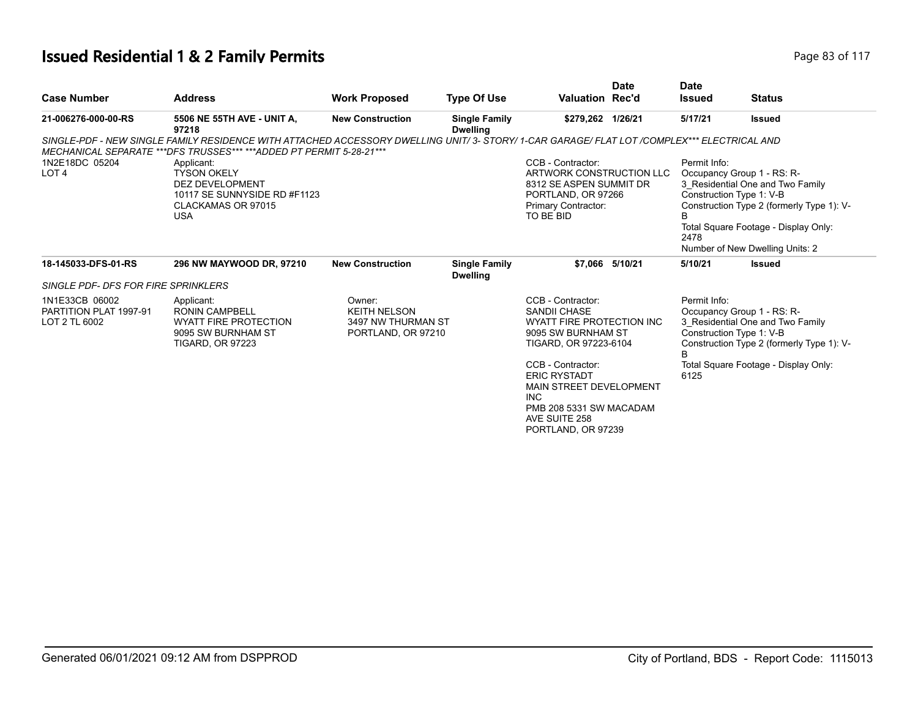#### **Issued Residential 1 & 2 Family Permits Page 83 of 117** and  $P$  and  $P$  and  $P$  and  $P$  and  $P$  and  $P$  and  $P$  and  $P$  and  $P$  and  $P$  and  $P$  and  $P$  and  $P$  and  $P$  and  $P$  and  $P$  and  $P$  and  $P$  and  $P$  and  $P$  and

| <b>Case Number</b>                                        | <b>Address</b>                                                                                                                                                                                                      | <b>Work Proposed</b>                                                      | <b>Type Of Use</b>                      | <b>Valuation Rec'd</b>                                                                                                                                                                                                                                                      | <b>Date</b>     | <b>Date</b><br><b>Issued</b>                          | <b>Status</b>                                                                                                                                                                          |
|-----------------------------------------------------------|---------------------------------------------------------------------------------------------------------------------------------------------------------------------------------------------------------------------|---------------------------------------------------------------------------|-----------------------------------------|-----------------------------------------------------------------------------------------------------------------------------------------------------------------------------------------------------------------------------------------------------------------------------|-----------------|-------------------------------------------------------|----------------------------------------------------------------------------------------------------------------------------------------------------------------------------------------|
| 21-006276-000-00-RS                                       | 5506 NE 55TH AVE - UNIT A,<br>97218                                                                                                                                                                                 | <b>New Construction</b>                                                   | <b>Single Family</b><br><b>Dwelling</b> | \$279,262 1/26/21                                                                                                                                                                                                                                                           |                 | 5/17/21                                               | <b>Issued</b>                                                                                                                                                                          |
|                                                           | SINGLE-PDF - NEW SINGLE FAMILY RESIDENCE WITH ATTACHED ACCESSORY DWELLING UNIT/ 3- STORY/ 1-CAR GARAGE/ FLAT LOT /COMPLEX*** ELECTRICAL AND<br>MECHANICAL SEPARATE ***DFS TRUSSES*** ***ADDED PT PERMIT 5-28-21 *** |                                                                           |                                         |                                                                                                                                                                                                                                                                             |                 |                                                       |                                                                                                                                                                                        |
| 1N2E18DC 05204<br>LOT <sub>4</sub>                        | Applicant:<br><b>TYSON OKELY</b><br><b>DEZ DEVELOPMENT</b><br>10117 SE SUNNYSIDE RD #F1123<br>CLACKAMAS OR 97015<br><b>USA</b>                                                                                      |                                                                           |                                         | CCB - Contractor:<br>ARTWORK CONSTRUCTION LLC<br>8312 SE ASPEN SUMMIT DR<br>PORTLAND, OR 97266<br>Primary Contractor:<br>TO BE BID                                                                                                                                          |                 | Permit Info:<br>Construction Type 1: V-B<br>B<br>2478 | Occupancy Group 1 - RS: R-<br>3 Residential One and Two Family<br>Construction Type 2 (formerly Type 1): V-<br>Total Square Footage - Display Only:<br>Number of New Dwelling Units: 2 |
| 18-145033-DFS-01-RS                                       | 296 NW MAYWOOD DR, 97210                                                                                                                                                                                            | <b>New Construction</b>                                                   | <b>Single Family</b><br><b>Dwelling</b> |                                                                                                                                                                                                                                                                             | \$7.066 5/10/21 | 5/10/21                                               | <b>Issued</b>                                                                                                                                                                          |
| <b>SINGLE PDF- DFS FOR FIRE SPRINKLERS</b>                |                                                                                                                                                                                                                     |                                                                           |                                         |                                                                                                                                                                                                                                                                             |                 |                                                       |                                                                                                                                                                                        |
| 1N1E33CB 06002<br>PARTITION PLAT 1997-91<br>LOT 2 TL 6002 | Applicant:<br><b>RONIN CAMPBELL</b><br><b>WYATT FIRE PROTECTION</b><br>9095 SW BURNHAM ST<br><b>TIGARD, OR 97223</b>                                                                                                | Owner:<br><b>KEITH NELSON</b><br>3497 NW THURMAN ST<br>PORTLAND, OR 97210 |                                         | CCB - Contractor:<br><b>SANDII CHASE</b><br>WYATT FIRE PROTECTION INC<br>9095 SW BURNHAM ST<br>TIGARD, OR 97223-6104<br>CCB - Contractor:<br><b>ERIC RYSTADT</b><br>MAIN STREET DEVELOPMENT<br><b>INC</b><br>PMB 208 5331 SW MACADAM<br>AVE SUITE 258<br>PORTLAND, OR 97239 |                 | Permit Info:<br>Construction Type 1: V-B<br>B<br>6125 | Occupancy Group 1 - RS: R-<br>3 Residential One and Two Family<br>Construction Type 2 (formerly Type 1): V-<br>Total Square Footage - Display Only:                                    |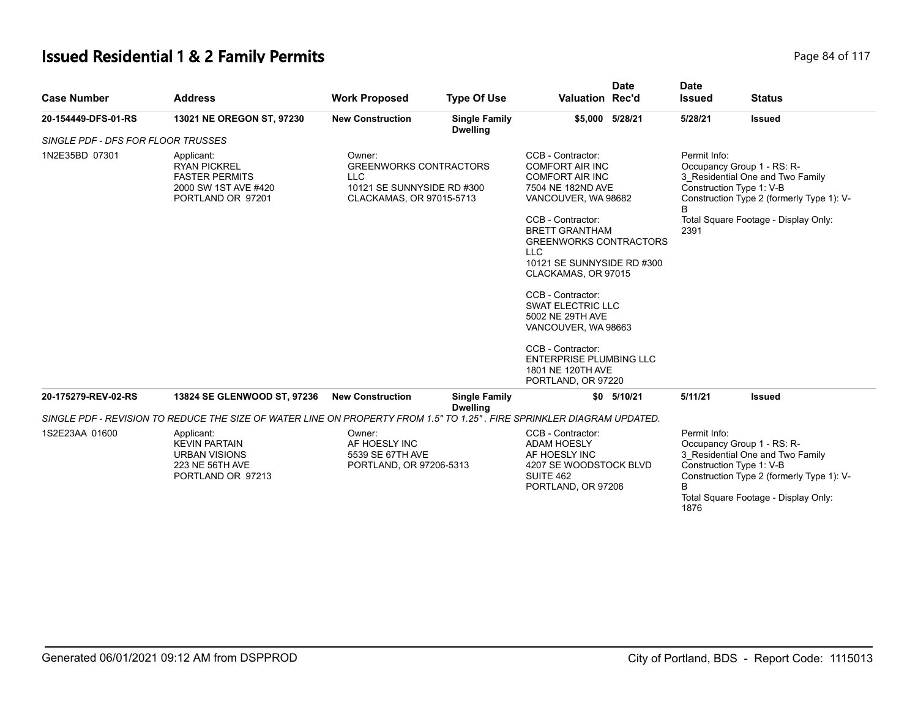# **Issued Residential 1 & 2 Family Permits Page 84 of 117 Page 84 of 117**

| <b>Case Number</b>                 | <b>Address</b>                                                                                                         | <b>Work Proposed</b>                                                   | <b>Type Of Use</b>                                                                      | <b>Valuation Rec'd</b>                                                                                                                         | <b>Date</b>                                                                                                       | <b>Date</b><br><b>Issued</b> | <b>Status</b>                                                                                                                                                                   |
|------------------------------------|------------------------------------------------------------------------------------------------------------------------|------------------------------------------------------------------------|-----------------------------------------------------------------------------------------|------------------------------------------------------------------------------------------------------------------------------------------------|-------------------------------------------------------------------------------------------------------------------|------------------------------|---------------------------------------------------------------------------------------------------------------------------------------------------------------------------------|
| 20-154449-DFS-01-RS                | 13021 NE OREGON ST, 97230                                                                                              | <b>New Construction</b>                                                | <b>Single Family</b><br><b>Dwelling</b>                                                 |                                                                                                                                                | \$5,000 5/28/21                                                                                                   | 5/28/21                      | <b>Issued</b>                                                                                                                                                                   |
| SINGLE PDF - DFS FOR FLOOR TRUSSES |                                                                                                                        |                                                                        |                                                                                         |                                                                                                                                                |                                                                                                                   |                              |                                                                                                                                                                                 |
| 1N2E35BD 07301                     | Applicant:<br><b>RYAN PICKREL</b><br><b>FASTER PERMITS</b><br>2000 SW 1ST AVE #420<br>PORTLAND OR 97201                | Owner:<br><b>LLC</b>                                                   | <b>GREENWORKS CONTRACTORS</b><br>10121 SE SUNNYSIDE RD #300<br>CLACKAMAS, OR 97015-5713 |                                                                                                                                                | CCB - Contractor:<br><b>COMFORT AIR INC</b><br><b>COMFORT AIR INC</b><br>7504 NE 182ND AVE<br>VANCOUVER, WA 98682 |                              | Permit Info:<br>Occupancy Group 1 - RS: R-<br>3 Residential One and Two Family<br>Construction Type 1: V-B<br>Construction Type 2 (formerly Type 1): V-                         |
|                                    |                                                                                                                        |                                                                        |                                                                                         | CCB - Contractor:<br><b>BRETT GRANTHAM</b><br><b>GREENWORKS CONTRACTORS</b><br><b>LLC</b><br>10121 SE SUNNYSIDE RD #300<br>CLACKAMAS, OR 97015 |                                                                                                                   | 2391                         | Total Square Footage - Display Only:                                                                                                                                            |
|                                    |                                                                                                                        |                                                                        |                                                                                         | CCB - Contractor:<br><b>SWAT ELECTRIC LLC</b><br>5002 NE 29TH AVE<br>VANCOUVER, WA 98663                                                       |                                                                                                                   |                              |                                                                                                                                                                                 |
|                                    |                                                                                                                        |                                                                        |                                                                                         | CCB - Contractor:<br><b>ENTERPRISE PLUMBING LLC</b><br>1801 NE 120TH AVE<br>PORTLAND, OR 97220                                                 |                                                                                                                   |                              |                                                                                                                                                                                 |
| 20-175279-REV-02-RS                | 13824 SE GLENWOOD ST, 97236                                                                                            | <b>New Construction</b>                                                | <b>Single Family</b><br><b>Dwelling</b>                                                 |                                                                                                                                                | \$0 5/10/21                                                                                                       | 5/11/21                      | <b>Issued</b>                                                                                                                                                                   |
|                                    | SINGLE PDF - REVISION TO REDUCE THE SIZE OF WATER LINE ON PROPERTY FROM 1.5" TO 1.25". FIRE SPRINKLER DIAGRAM UPDATED. |                                                                        |                                                                                         |                                                                                                                                                |                                                                                                                   |                              |                                                                                                                                                                                 |
| 1S2E23AA 01600                     | Applicant:<br><b>KEVIN PARTAIN</b><br><b>URBAN VISIONS</b><br>223 NE 56TH AVE<br>PORTLAND OR 97213                     | Owner:<br>AF HOESLY INC<br>5539 SE 67TH AVE<br>PORTLAND, OR 97206-5313 |                                                                                         | CCB - Contractor:<br><b>ADAM HOESLY</b><br>AF HOESLY INC<br>4207 SE WOODSTOCK BLVD<br>SUITE 462<br>PORTLAND, OR 97206                          |                                                                                                                   | Permit Info:<br>B<br>1876    | Occupancy Group 1 - RS: R-<br>3 Residential One and Two Family<br>Construction Type 1: V-B<br>Construction Type 2 (formerly Type 1): V-<br>Total Square Footage - Display Only: |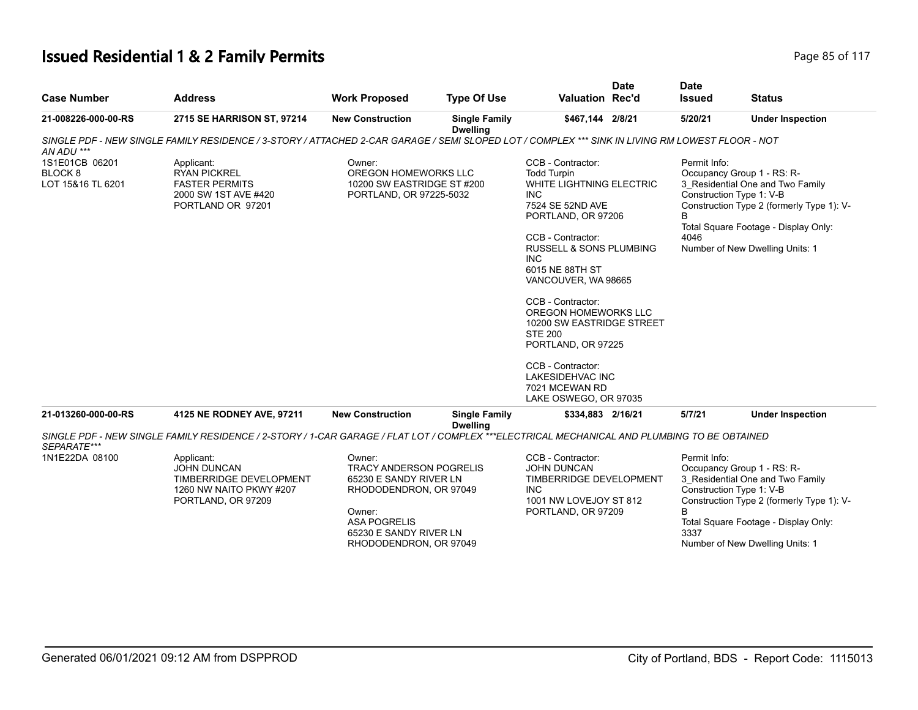#### **Issued Residential 1 & 2 Family Permits Page 85 of 117 Page 85 of 117**

|                                                           |                                                                                                                                                 |                                                                                                                                                                                   |                                         |                                                                                                                                                                                                                                                                                                                                                                                                                                                       | <b>Date</b> | <b>Date</b>               |                                                                                                                                                                                                                    |
|-----------------------------------------------------------|-------------------------------------------------------------------------------------------------------------------------------------------------|-----------------------------------------------------------------------------------------------------------------------------------------------------------------------------------|-----------------------------------------|-------------------------------------------------------------------------------------------------------------------------------------------------------------------------------------------------------------------------------------------------------------------------------------------------------------------------------------------------------------------------------------------------------------------------------------------------------|-------------|---------------------------|--------------------------------------------------------------------------------------------------------------------------------------------------------------------------------------------------------------------|
| <b>Case Number</b>                                        | <b>Address</b>                                                                                                                                  | <b>Work Proposed</b>                                                                                                                                                              | <b>Type Of Use</b>                      | Valuation Rec'd                                                                                                                                                                                                                                                                                                                                                                                                                                       |             | <b>Issued</b>             | <b>Status</b>                                                                                                                                                                                                      |
| 21-008226-000-00-RS                                       | 2715 SE HARRISON ST, 97214                                                                                                                      | <b>New Construction</b>                                                                                                                                                           | <b>Single Family</b><br><b>Dwelling</b> | \$467,144 2/8/21                                                                                                                                                                                                                                                                                                                                                                                                                                      |             | 5/20/21                   | <b>Under Inspection</b>                                                                                                                                                                                            |
| AN ADU ***                                                | SINGLE PDF - NEW SINGLE FAMILY RESIDENCE / 3-STORY / ATTACHED 2-CAR GARAGE / SEMI SLOPED LOT / COMPLEX *** SINK IN LIVING RM LOWEST FLOOR - NOT |                                                                                                                                                                                   |                                         |                                                                                                                                                                                                                                                                                                                                                                                                                                                       |             |                           |                                                                                                                                                                                                                    |
| 1S1E01CB 06201<br>BLOCK <sub>8</sub><br>LOT 15&16 TL 6201 | Applicant:<br><b>RYAN PICKREL</b><br><b>FASTER PERMITS</b><br>2000 SW 1ST AVE #420<br>PORTLAND OR 97201                                         | Owner:<br>OREGON HOMEWORKS LLC<br>10200 SW EASTRIDGE ST #200<br>PORTLAND, OR 97225-5032                                                                                           |                                         | CCB - Contractor:<br><b>Todd Turpin</b><br><b>WHITE LIGHTNING ELECTRIC</b><br><b>INC</b><br>7524 SE 52ND AVE<br>PORTLAND, OR 97206<br>CCB - Contractor:<br><b>RUSSELL &amp; SONS PLUMBING</b><br>INC.<br>6015 NE 88TH ST<br>VANCOUVER, WA 98665<br>CCB - Contractor:<br>OREGON HOMEWORKS LLC<br>10200 SW EASTRIDGE STREET<br><b>STE 200</b><br>PORTLAND, OR 97225<br>CCB - Contractor:<br>LAKESIDEHVAC INC<br>7021 MCEWAN RD<br>LAKE OSWEGO, OR 97035 |             | Permit Info:<br>4046      | Occupancy Group 1 - RS: R-<br>3_Residential One and Two Family<br>Construction Type 1: V-B<br>Construction Type 2 (formerly Type 1): V-<br>Total Square Footage - Display Only:<br>Number of New Dwelling Units: 1 |
| 21-013260-000-00-RS                                       | 4125 NE RODNEY AVE, 97211                                                                                                                       | <b>New Construction</b>                                                                                                                                                           | <b>Single Family</b><br><b>Dwelling</b> | \$334,883 2/16/21                                                                                                                                                                                                                                                                                                                                                                                                                                     |             | 5/7/21                    | <b>Under Inspection</b>                                                                                                                                                                                            |
| SEPARATE***                                               | SINGLE PDF - NEW SINGLE FAMILY RESIDENCE / 2-STORY / 1-CAR GARAGE / FLAT LOT / COMPLEX ***ELECTRICAL MECHANICAL AND PLUMBING TO BE OBTAINED     |                                                                                                                                                                                   |                                         |                                                                                                                                                                                                                                                                                                                                                                                                                                                       |             |                           |                                                                                                                                                                                                                    |
| 1N1E22DA 08100                                            | Applicant:<br><b>JOHN DUNCAN</b><br>TIMBERRIDGE DEVELOPMENT<br>1260 NW NAITO PKWY #207<br>PORTLAND, OR 97209                                    | Owner:<br><b>TRACY ANDERSON POGRELIS</b><br>65230 E SANDY RIVER LN<br>RHODODENDRON, OR 97049<br>Owner:<br><b>ASA POGRELIS</b><br>65230 E SANDY RIVER LN<br>RHODODENDRON, OR 97049 |                                         | CCB - Contractor:<br><b>JOHN DUNCAN</b><br>TIMBERRIDGE DEVELOPMENT<br><b>INC</b><br>1001 NW LOVEJOY ST 812<br>PORTLAND, OR 97209                                                                                                                                                                                                                                                                                                                      |             | Permit Info:<br>B<br>3337 | Occupancy Group 1 - RS: R-<br>3 Residential One and Two Family<br>Construction Type 1: V-B<br>Construction Type 2 (formerly Type 1): V-<br>Total Square Footage - Display Only:<br>Number of New Dwelling Units: 1 |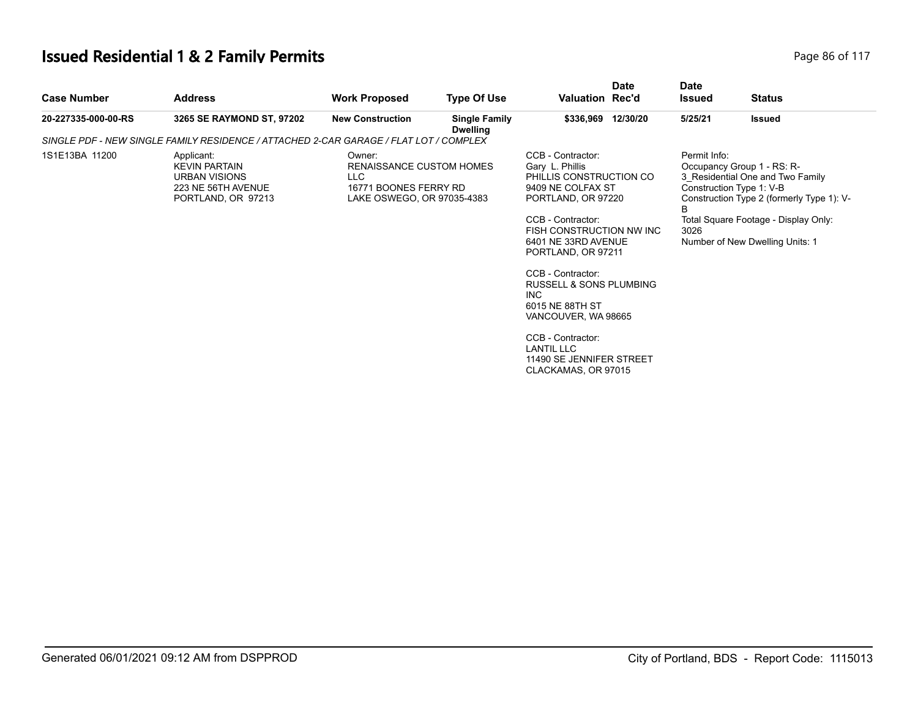# **Issued Residential 1 & 2 Family Permits Page 117 Page 86 of 117**

| <b>Case Number</b>  | <b>Address</b>                                                                                         | <b>Work Proposed</b>                                                                             | <b>Type Of Use</b>                      | <b>Valuation Rec'd</b>                                                                                                                                                                                                                                                                                     | <b>Date</b>        | <b>Date</b><br><b>Issued</b> | <b>Status</b>                                                                                                                                                                                                      |
|---------------------|--------------------------------------------------------------------------------------------------------|--------------------------------------------------------------------------------------------------|-----------------------------------------|------------------------------------------------------------------------------------------------------------------------------------------------------------------------------------------------------------------------------------------------------------------------------------------------------------|--------------------|------------------------------|--------------------------------------------------------------------------------------------------------------------------------------------------------------------------------------------------------------------|
| 20-227335-000-00-RS | 3265 SE RAYMOND ST, 97202                                                                              | <b>New Construction</b>                                                                          | <b>Single Family</b><br><b>Dwelling</b> |                                                                                                                                                                                                                                                                                                            | \$336,969 12/30/20 | 5/25/21                      | <b>Issued</b>                                                                                                                                                                                                      |
|                     | SINGLE PDF - NEW SINGLE FAMILY RESIDENCE / ATTACHED 2-CAR GARAGE / FLAT LOT / COMPLEX                  |                                                                                                  |                                         |                                                                                                                                                                                                                                                                                                            |                    |                              |                                                                                                                                                                                                                    |
| 1S1E13BA 11200      | Applicant:<br><b>KEVIN PARTAIN</b><br><b>URBAN VISIONS</b><br>223 NE 56TH AVENUE<br>PORTLAND, OR 97213 | Owner:<br>RENAISSANCE CUSTOM HOMES<br>LLC<br>16771 BOONES FERRY RD<br>LAKE OSWEGO, OR 97035-4383 |                                         | CCB - Contractor:<br>Gary L. Phillis<br>PHILLIS CONSTRUCTION CO<br>9409 NE COLFAX ST<br>PORTLAND, OR 97220<br>CCB - Contractor:<br>FISH CONSTRUCTION NW INC<br>6401 NE 33RD AVENUE<br>PORTLAND, OR 97211<br>CCB - Contractor:<br>RUSSELL & SONS PLUMBING<br>INC.<br>6015 NE 88TH ST<br>VANCOUVER, WA 98665 |                    | Permit Info:<br>B<br>3026    | Occupancy Group 1 - RS: R-<br>3_Residential One and Two Family<br>Construction Type 1: V-B<br>Construction Type 2 (formerly Type 1): V-<br>Total Square Footage - Display Only:<br>Number of New Dwelling Units: 1 |
|                     |                                                                                                        |                                                                                                  |                                         | CCB - Contractor:<br><b>LANTIL LLC</b><br>11490 SE JENNIFER STREET<br>CLACKAMAS, OR 97015                                                                                                                                                                                                                  |                    |                              |                                                                                                                                                                                                                    |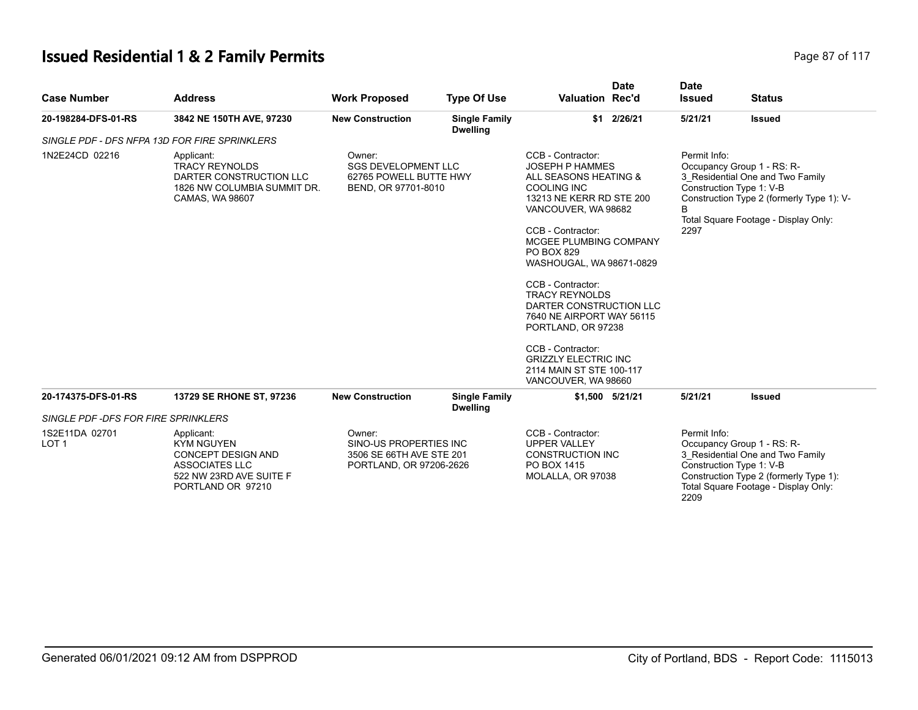# **Issued Residential 1 & 2 Family Permits Page 87 of 117 Page 87 of 117**

| <b>Case Number</b>                  | <b>Address</b>                                                                                                                 | <b>Work Proposed</b>                                                                    | <b>Type Of Use</b>                      | <b>Valuation Rec'd</b>                                                                                                                                                                                                                                                                                                                                                    | <b>Date</b>     | <b>Date</b><br><b>Issued</b>         | <b>Status</b>                                                                                                                                                                   |
|-------------------------------------|--------------------------------------------------------------------------------------------------------------------------------|-----------------------------------------------------------------------------------------|-----------------------------------------|---------------------------------------------------------------------------------------------------------------------------------------------------------------------------------------------------------------------------------------------------------------------------------------------------------------------------------------------------------------------------|-----------------|--------------------------------------|---------------------------------------------------------------------------------------------------------------------------------------------------------------------------------|
| 20-198284-DFS-01-RS                 | 3842 NE 150TH AVE, 97230                                                                                                       | <b>New Construction</b>                                                                 | <b>Single Family</b><br><b>Dwelling</b> | \$1                                                                                                                                                                                                                                                                                                                                                                       | 2/26/21         | 5/21/21                              | <b>Issued</b>                                                                                                                                                                   |
|                                     | SINGLE PDF - DFS NFPA 13D FOR FIRE SPRINKLERS                                                                                  |                                                                                         |                                         |                                                                                                                                                                                                                                                                                                                                                                           |                 |                                      |                                                                                                                                                                                 |
| 1N2E24CD 02216                      | Applicant:<br><b>TRACY REYNOLDS</b><br>DARTER CONSTRUCTION LLC<br>1826 NW COLUMBIA SUMMIT DR.<br>CAMAS, WA 98607               | Owner:<br><b>SGS DEVELOPMENT LLC</b><br>62765 POWELL BUTTE HWY<br>BEND, OR 97701-8010   |                                         | CCB - Contractor:<br><b>JOSEPH P HAMMES</b><br>ALL SEASONS HEATING &<br><b>COOLING INC</b><br>13213 NE KERR RD STE 200<br>VANCOUVER, WA 98682<br>CCB - Contractor:<br>MCGEE PLUMBING COMPANY<br><b>PO BOX 829</b><br>WASHOUGAL, WA 98671-0829<br>CCB - Contractor:<br><b>TRACY REYNOLDS</b><br>DARTER CONSTRUCTION LLC<br>7640 NE AIRPORT WAY 56115<br>PORTLAND, OR 97238 |                 | Permit Info:<br><sub>R</sub><br>2297 | Occupancy Group 1 - RS: R-<br>3_Residential One and Two Family<br>Construction Type 1: V-B<br>Construction Type 2 (formerly Type 1): V-<br>Total Square Footage - Display Only: |
|                                     |                                                                                                                                |                                                                                         |                                         | CCB - Contractor:<br><b>GRIZZLY ELECTRIC INC</b><br>2114 MAIN ST STE 100-117<br>VANCOUVER, WA 98660                                                                                                                                                                                                                                                                       |                 |                                      |                                                                                                                                                                                 |
| 20-174375-DFS-01-RS                 | 13729 SE RHONE ST, 97236                                                                                                       | <b>New Construction</b>                                                                 | <b>Single Family</b><br><b>Dwelling</b> |                                                                                                                                                                                                                                                                                                                                                                           | \$1,500 5/21/21 | 5/21/21                              | <b>Issued</b>                                                                                                                                                                   |
| SINGLE PDF -DFS FOR FIRE SPRINKLERS |                                                                                                                                |                                                                                         |                                         |                                                                                                                                                                                                                                                                                                                                                                           |                 |                                      |                                                                                                                                                                                 |
| 1S2E11DA 02701<br>LOT <sub>1</sub>  | Applicant:<br><b>KYM NGUYEN</b><br><b>CONCEPT DESIGN AND</b><br>ASSOCIATES LLC<br>522 NW 23RD AVE SUITE F<br>PORTLAND OR 97210 | Owner:<br>SINO-US PROPERTIES INC<br>3506 SE 66TH AVE STE 201<br>PORTLAND, OR 97206-2626 |                                         | CCB - Contractor:<br><b>UPPER VALLEY</b><br><b>CONSTRUCTION INC</b><br>PO BOX 1415<br>MOLALLA, OR 97038                                                                                                                                                                                                                                                                   |                 | Permit Info:<br>2209                 | Occupancy Group 1 - RS: R-<br>3 Residential One and Two Family<br>Construction Type 1: V-B<br>Construction Type 2 (formerly Type 1):<br>Total Square Footage - Display Only:    |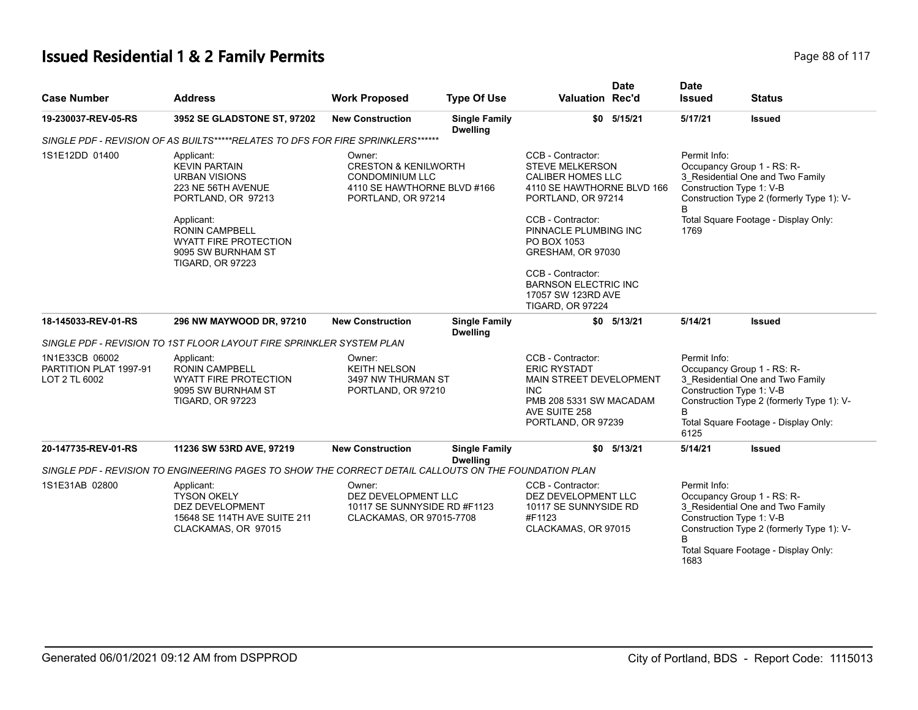#### **Issued Residential 1 & 2 Family Permits Page 88 of 117** and  $P$  and  $P$  and  $P$  and  $P$  are 88 of 117

| <b>Case Number</b>                                        | <b>Address</b>                                                                                                                                                                                                                 | <b>Work Proposed</b>                                                                                                     | <b>Type Of Use</b>                      | <b>Date</b><br><b>Valuation Rec'd</b>                                                                                                                                                                                                                                                   | <b>Date</b><br><b>Issued</b>                                                                   | <b>Status</b>                                                                                                         |
|-----------------------------------------------------------|--------------------------------------------------------------------------------------------------------------------------------------------------------------------------------------------------------------------------------|--------------------------------------------------------------------------------------------------------------------------|-----------------------------------------|-----------------------------------------------------------------------------------------------------------------------------------------------------------------------------------------------------------------------------------------------------------------------------------------|------------------------------------------------------------------------------------------------|-----------------------------------------------------------------------------------------------------------------------|
| 19-230037-REV-05-RS                                       | 3952 SE GLADSTONE ST, 97202                                                                                                                                                                                                    | <b>New Construction</b>                                                                                                  | <b>Single Family</b><br><b>Dwelling</b> | $$0$ $5/15/21$                                                                                                                                                                                                                                                                          | 5/17/21                                                                                        | <b>Issued</b>                                                                                                         |
|                                                           | SINGLE PDF - REVISION OF AS BUILTS*****RELATES TO DFS FOR FIRE SPRINKLERS******                                                                                                                                                |                                                                                                                          |                                         |                                                                                                                                                                                                                                                                                         |                                                                                                |                                                                                                                       |
| 1S1E12DD 01400                                            | Applicant:<br><b>KEVIN PARTAIN</b><br><b>URBAN VISIONS</b><br>223 NE 56TH AVENUE<br>PORTLAND, OR 97213<br>Applicant:<br><b>RONIN CAMPBELL</b><br><b>WYATT FIRE PROTECTION</b><br>9095 SW BURNHAM ST<br><b>TIGARD, OR 97223</b> | Owner:<br><b>CRESTON &amp; KENILWORTH</b><br><b>CONDOMINIUM LLC</b><br>4110 SE HAWTHORNE BLVD #166<br>PORTLAND, OR 97214 |                                         | CCB - Contractor:<br><b>STEVE MELKERSON</b><br><b>CALIBER HOMES LLC</b><br>4110 SE HAWTHORNE BLVD 166<br>PORTLAND, OR 97214<br>CCB - Contractor:<br>PINNACLE PLUMBING INC<br>PO BOX 1053<br>GRESHAM, OR 97030<br>CCB - Contractor:<br><b>BARNSON ELECTRIC INC</b><br>17057 SW 123RD AVE | Permit Info:<br>Occupancy Group 1 - RS: R-<br>Construction Type 1: V-B<br>B<br>1769            | 3_Residential One and Two Family<br>Construction Type 2 (formerly Type 1): V-<br>Total Square Footage - Display Only: |
|                                                           |                                                                                                                                                                                                                                |                                                                                                                          |                                         | <b>TIGARD, OR 97224</b>                                                                                                                                                                                                                                                                 |                                                                                                |                                                                                                                       |
| 18-145033-REV-01-RS                                       | 296 NW MAYWOOD DR, 97210                                                                                                                                                                                                       | <b>New Construction</b>                                                                                                  | <b>Single Family</b><br><b>Dwelling</b> | $$0$ $5/13/21$                                                                                                                                                                                                                                                                          | 5/14/21                                                                                        | <b>Issued</b>                                                                                                         |
|                                                           | SINGLE PDF - REVISION TO 1ST FLOOR LAYOUT FIRE SPRINKLER SYSTEM PLAN                                                                                                                                                           |                                                                                                                          |                                         |                                                                                                                                                                                                                                                                                         |                                                                                                |                                                                                                                       |
| 1N1E33CB 06002<br>PARTITION PLAT 1997-91<br>LOT 2 TL 6002 | Applicant:<br><b>RONIN CAMPBELL</b><br><b>WYATT FIRE PROTECTION</b><br>9095 SW BURNHAM ST<br><b>TIGARD, OR 97223</b>                                                                                                           | Owner:<br><b>KEITH NELSON</b><br>3497 NW THURMAN ST<br>PORTLAND, OR 97210                                                |                                         | CCB - Contractor:<br><b>ERIC RYSTADT</b><br>MAIN STREET DEVELOPMENT<br><b>INC</b><br>PMB 208 5331 SW MACADAM<br>AVE SUITE 258<br>PORTLAND, OR 97239                                                                                                                                     | Permit Info:<br>Occupancy Group 1 - RS: R-<br>Construction Type 1: V-B<br><sub>R</sub><br>6125 | 3_Residential One and Two Family<br>Construction Type 2 (formerly Type 1): V-<br>Total Square Footage - Display Only: |
| 20-147735-REV-01-RS                                       | 11236 SW 53RD AVE, 97219                                                                                                                                                                                                       | <b>New Construction</b>                                                                                                  | <b>Single Family</b><br><b>Dwelling</b> | 5/13/21<br>\$0                                                                                                                                                                                                                                                                          | 5/14/21                                                                                        | <b>Issued</b>                                                                                                         |
|                                                           | SINGLE PDF - REVISION TO ENGINEERING PAGES TO SHOW THE CORRECT DETAIL CALLOUTS ON THE FOUNDATION PLAN                                                                                                                          |                                                                                                                          |                                         |                                                                                                                                                                                                                                                                                         |                                                                                                |                                                                                                                       |
| 1S1E31AB 02800                                            | Applicant:<br><b>TYSON OKELY</b><br><b>DEZ DEVELOPMENT</b><br>15648 SE 114TH AVE SUITE 211<br>CLACKAMAS, OR 97015                                                                                                              | Owner:<br>DEZ DEVELOPMENT LLC<br>10117 SE SUNNYSIDE RD #F1123<br>CLACKAMAS, OR 97015-7708                                |                                         | CCB - Contractor:<br>DEZ DEVELOPMENT LLC<br>10117 SE SUNNYSIDE RD<br>#F1123<br>CLACKAMAS, OR 97015                                                                                                                                                                                      | Permit Info:<br>Occupancy Group 1 - RS: R-<br>Construction Type 1: V-B<br>1683                 | 3 Residential One and Two Family<br>Construction Type 2 (formerly Type 1): V-<br>Total Square Footage - Display Only: |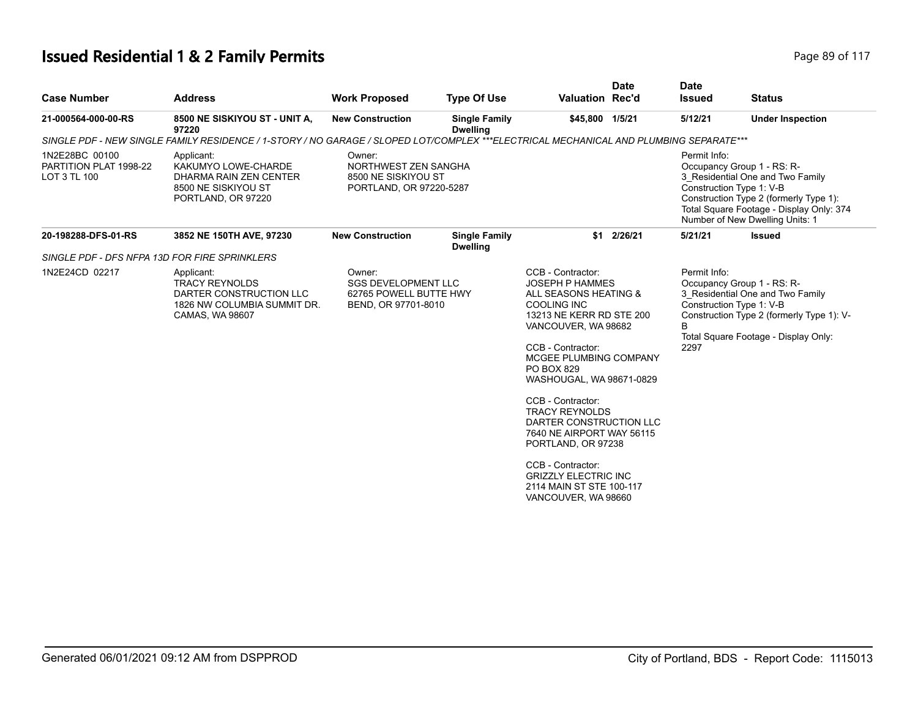# **Issued Residential 1 & 2 Family Permits Page 117 Page 89 of 117**

| <b>Case Number</b>                                       | <b>Address</b>                                                                                                                        | <b>Work Proposed</b>                                                                  | <b>Type Of Use</b>                      | <b>Valuation Rec'd</b>                                                                                                                                                                                                                                                                                                                                                                                                                                                           | <b>Date</b> | <b>Date</b><br><b>Issued</b>                                     | <b>Status</b>                                                                                                                                                                           |
|----------------------------------------------------------|---------------------------------------------------------------------------------------------------------------------------------------|---------------------------------------------------------------------------------------|-----------------------------------------|----------------------------------------------------------------------------------------------------------------------------------------------------------------------------------------------------------------------------------------------------------------------------------------------------------------------------------------------------------------------------------------------------------------------------------------------------------------------------------|-------------|------------------------------------------------------------------|-----------------------------------------------------------------------------------------------------------------------------------------------------------------------------------------|
| 21-000564-000-00-RS                                      | 8500 NE SISKIYOU ST - UNIT A,<br>97220                                                                                                | <b>New Construction</b>                                                               | <b>Single Family</b><br><b>Dwelling</b> | \$45,800 1/5/21                                                                                                                                                                                                                                                                                                                                                                                                                                                                  |             | 5/12/21                                                          | <b>Under Inspection</b>                                                                                                                                                                 |
|                                                          | SINGLE PDF - NEW SINGLE FAMILY RESIDENCE / 1-STORY / NO GARAGE / SLOPED LOT/COMPLEX ***ELECTRICAL MECHANICAL AND PLUMBING SEPARATE*** |                                                                                       |                                         |                                                                                                                                                                                                                                                                                                                                                                                                                                                                                  |             |                                                                  |                                                                                                                                                                                         |
| 1N2E28BC 00100<br>PARTITION PLAT 1998-22<br>LOT 3 TL 100 | Applicant:<br>KAKUMYO LOWE-CHARDE<br>DHARMA RAIN ZEN CENTER<br>8500 NE SISKIYOU ST<br>PORTLAND, OR 97220                              | Owner:<br>NORTHWEST ZEN SANGHA<br>8500 NE SISKIYOU ST<br>PORTLAND, OR 97220-5287      |                                         |                                                                                                                                                                                                                                                                                                                                                                                                                                                                                  |             | Permit Info:<br>Construction Type 1: V-B                         | Occupancy Group 1 - RS: R-<br>3 Residential One and Two Family<br>Construction Type 2 (formerly Type 1):<br>Total Square Footage - Display Only: 374<br>Number of New Dwelling Units: 1 |
| 20-198288-DFS-01-RS                                      | 3852 NE 150TH AVE, 97230                                                                                                              | <b>New Construction</b>                                                               | <b>Single Family</b><br><b>Dwelling</b> |                                                                                                                                                                                                                                                                                                                                                                                                                                                                                  | \$1 2/26/21 | 5/21/21                                                          | <b>Issued</b>                                                                                                                                                                           |
| SINGLE PDF - DFS NFPA 13D FOR FIRE SPRINKLERS            |                                                                                                                                       |                                                                                       |                                         |                                                                                                                                                                                                                                                                                                                                                                                                                                                                                  |             |                                                                  |                                                                                                                                                                                         |
| 1N2E24CD 02217                                           | Applicant:<br><b>TRACY REYNOLDS</b><br>DARTER CONSTRUCTION LLC<br>1826 NW COLUMBIA SUMMIT DR.<br>CAMAS, WA 98607                      | Owner:<br><b>SGS DEVELOPMENT LLC</b><br>62765 POWELL BUTTE HWY<br>BEND, OR 97701-8010 |                                         | CCB - Contractor:<br><b>JOSEPH P HAMMES</b><br>ALL SEASONS HEATING &<br><b>COOLING INC</b><br>13213 NE KERR RD STE 200<br>VANCOUVER, WA 98682<br>CCB - Contractor:<br>MCGEE PLUMBING COMPANY<br><b>PO BOX 829</b><br>WASHOUGAL, WA 98671-0829<br>CCB - Contractor:<br><b>TRACY REYNOLDS</b><br>DARTER CONSTRUCTION LLC<br>7640 NE AIRPORT WAY 56115<br>PORTLAND, OR 97238<br>CCB - Contractor:<br><b>GRIZZLY ELECTRIC INC</b><br>2114 MAIN ST STE 100-117<br>VANCOUVER, WA 98660 |             | Permit Info:<br>Construction Type 1: V-B<br><sub>B</sub><br>2297 | Occupancy Group 1 - RS: R-<br>3 Residential One and Two Family<br>Construction Type 2 (formerly Type 1): V-<br>Total Square Footage - Display Only:                                     |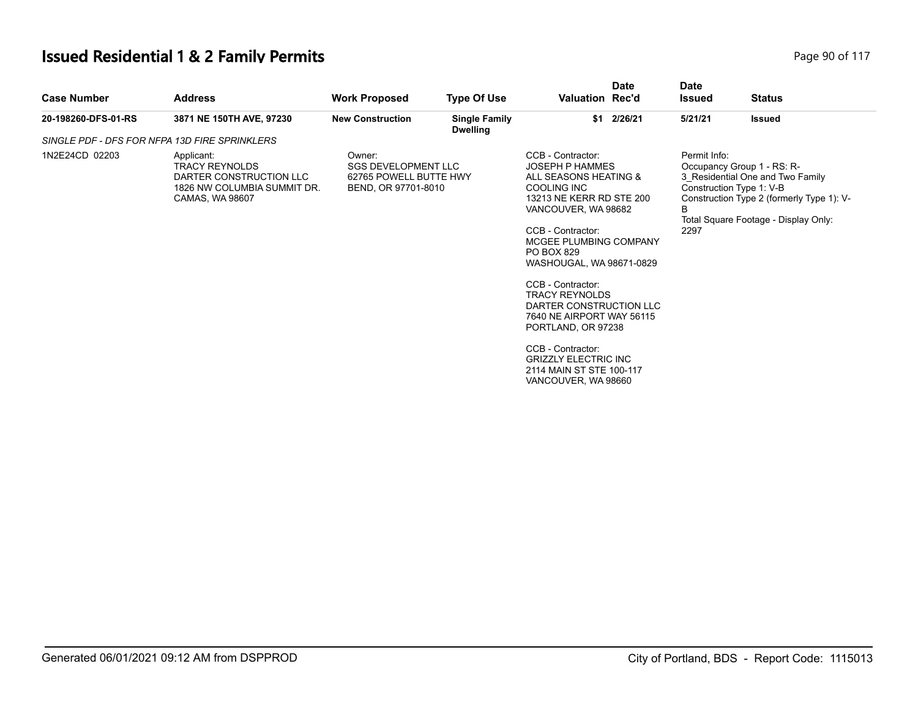# **Issued Residential 1 & 2 Family Permits Page 117 Page 90 of 117**

| \$1 2/26/21<br>3871 NE 150TH AVE, 97230<br>5/21/21<br>20-198260-DFS-01-RS<br><b>New Construction</b><br><b>Single Family</b><br>Issued<br><b>Dwelling</b><br>SINGLE PDF - DFS FOR NFPA 13D FIRE SPRINKLERS<br>CCB - Contractor:<br>Permit Info:<br>1N2E24CD 02203<br>Applicant:<br>Owner:<br><b>SGS DEVELOPMENT LLC</b><br><b>JOSEPH P HAMMES</b><br><b>TRACY REYNOLDS</b><br>Occupancy Group 1 - RS: R-                                                                                                                                                                                                                                                                                 | <b>Case Number</b> | <b>Address</b>          | <b>Work Proposed</b> | <b>Type Of Use</b> | Valuation Rec'd | <b>Date</b> | <b>Date</b><br><b>Issued</b> | <b>Status</b> |  |
|------------------------------------------------------------------------------------------------------------------------------------------------------------------------------------------------------------------------------------------------------------------------------------------------------------------------------------------------------------------------------------------------------------------------------------------------------------------------------------------------------------------------------------------------------------------------------------------------------------------------------------------------------------------------------------------|--------------------|-------------------------|----------------------|--------------------|-----------------|-------------|------------------------------|---------------|--|
|                                                                                                                                                                                                                                                                                                                                                                                                                                                                                                                                                                                                                                                                                          |                    |                         |                      |                    |                 |             |                              |               |  |
|                                                                                                                                                                                                                                                                                                                                                                                                                                                                                                                                                                                                                                                                                          |                    |                         |                      |                    |                 |             |                              |               |  |
| 62765 POWELL BUTTE HWY<br>ALL SEASONS HEATING &<br>3 Residential One and Two Family<br>COOLING INC<br>1826 NW COLUMBIA SUMMIT DR.<br>BEND, OR 97701-8010<br>Construction Type 1: V-B<br>13213 NE KERR RD STE 200<br>Construction Type 2 (formerly Type 1): V-<br>CAMAS, WA 98607<br>B<br>VANCOUVER, WA 98682<br>Total Square Footage - Display Only:<br>CCB - Contractor:<br>2297<br>MCGEE PLUMBING COMPANY<br>PO BOX 829<br>WASHOUGAL, WA 98671-0829<br>CCB - Contractor:<br><b>TRACY REYNOLDS</b><br>DARTER CONSTRUCTION LLC<br>7640 NE AIRPORT WAY 56115<br>PORTLAND, OR 97238<br>CCB - Contractor:<br><b>GRIZZLY ELECTRIC INC</b><br>2114 MAIN ST STE 100-117<br>VANCOUVER, WA 98660 |                    | DARTER CONSTRUCTION LLC |                      |                    |                 |             |                              |               |  |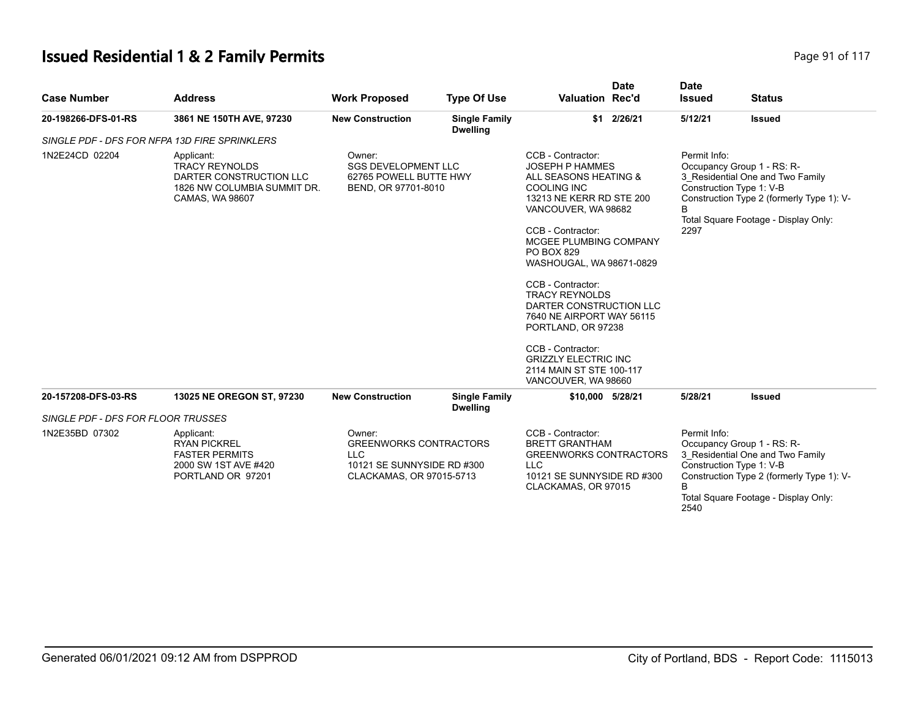# **Issued Residential 1 & 2 Family Permits Page 117 Page 91 of 117**

| <b>Case Number</b>                 | <b>Address</b>                                                                                                   | <b>Work Proposed</b>                                                                                            | <b>Type Of Use</b>                      | <b>Valuation Rec'd</b>                                                                                                                                                                                                                                                                                                                                                                                                                                                           | <b>Date</b> | <b>Date</b><br><b>Issued</b> | <b>Status</b>                                                                                                                                                                   |
|------------------------------------|------------------------------------------------------------------------------------------------------------------|-----------------------------------------------------------------------------------------------------------------|-----------------------------------------|----------------------------------------------------------------------------------------------------------------------------------------------------------------------------------------------------------------------------------------------------------------------------------------------------------------------------------------------------------------------------------------------------------------------------------------------------------------------------------|-------------|------------------------------|---------------------------------------------------------------------------------------------------------------------------------------------------------------------------------|
| 20-198266-DFS-01-RS                | 3861 NE 150TH AVE, 97230                                                                                         | <b>New Construction</b>                                                                                         | <b>Single Family</b><br><b>Dwelling</b> | \$1                                                                                                                                                                                                                                                                                                                                                                                                                                                                              | 2/26/21     | 5/12/21                      | <b>Issued</b>                                                                                                                                                                   |
|                                    | SINGLE PDF - DFS FOR NFPA 13D FIRE SPRINKLERS                                                                    |                                                                                                                 |                                         |                                                                                                                                                                                                                                                                                                                                                                                                                                                                                  |             |                              |                                                                                                                                                                                 |
| 1N2E24CD 02204                     | Applicant:<br><b>TRACY REYNOLDS</b><br>DARTER CONSTRUCTION LLC<br>1826 NW COLUMBIA SUMMIT DR.<br>CAMAS, WA 98607 | Owner:<br><b>SGS DEVELOPMENT LLC</b><br>62765 POWELL BUTTE HWY<br>BEND, OR 97701-8010                           |                                         | CCB - Contractor:<br><b>JOSEPH P HAMMES</b><br>ALL SEASONS HEATING &<br><b>COOLING INC</b><br>13213 NE KERR RD STE 200<br>VANCOUVER, WA 98682<br>CCB - Contractor:<br>MCGEE PLUMBING COMPANY<br><b>PO BOX 829</b><br>WASHOUGAL, WA 98671-0829<br>CCB - Contractor:<br><b>TRACY REYNOLDS</b><br>DARTER CONSTRUCTION LLC<br>7640 NE AIRPORT WAY 56115<br>PORTLAND, OR 97238<br>CCB - Contractor:<br><b>GRIZZLY ELECTRIC INC</b><br>2114 MAIN ST STE 100-117<br>VANCOUVER, WA 98660 |             | Permit Info:<br>B<br>2297    | Occupancy Group 1 - RS: R-<br>3 Residential One and Two Family<br>Construction Type 1: V-B<br>Construction Type 2 (formerly Type 1): V-<br>Total Square Footage - Display Only: |
| 20-157208-DFS-03-RS                | 13025 NE OREGON ST, 97230                                                                                        | <b>New Construction</b>                                                                                         | <b>Single Family</b><br><b>Dwelling</b> | \$10,000 5/28/21                                                                                                                                                                                                                                                                                                                                                                                                                                                                 |             | 5/28/21                      | <b>Issued</b>                                                                                                                                                                   |
| SINGLE PDF - DFS FOR FLOOR TRUSSES |                                                                                                                  |                                                                                                                 |                                         |                                                                                                                                                                                                                                                                                                                                                                                                                                                                                  |             |                              |                                                                                                                                                                                 |
| 1N2E35BD 07302                     | Applicant:<br><b>RYAN PICKREL</b><br><b>FASTER PERMITS</b><br>2000 SW 1ST AVE #420<br>PORTLAND OR 97201          | Owner:<br><b>GREENWORKS CONTRACTORS</b><br><b>LLC</b><br>10121 SE SUNNYSIDE RD #300<br>CLACKAMAS, OR 97015-5713 |                                         | CCB - Contractor:<br><b>BRETT GRANTHAM</b><br><b>GREENWORKS CONTRACTORS</b><br><b>LLC</b><br>10121 SE SUNNYSIDE RD #300<br>CLACKAMAS, OR 97015                                                                                                                                                                                                                                                                                                                                   |             | Permit Info:<br>B<br>2540    | Occupancy Group 1 - RS: R-<br>3 Residential One and Two Family<br>Construction Type 1: V-B<br>Construction Type 2 (formerly Type 1): V-<br>Total Square Footage - Display Only: |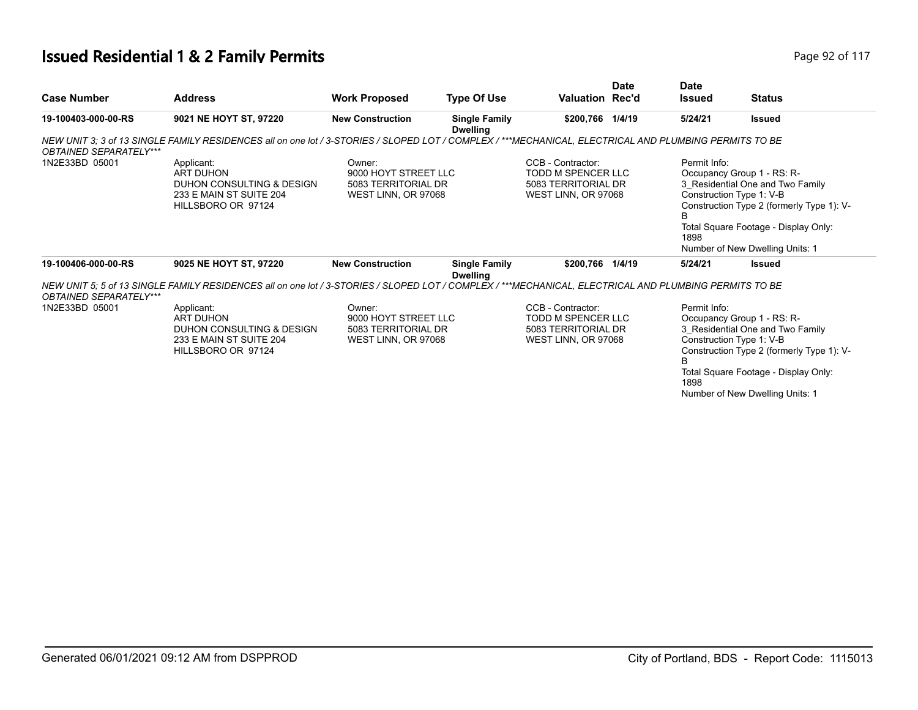#### **Issued Residential 1 & 2 Family Permits Page 117 Page 117 Page 92 of 117**

| <b>Case Number</b>            | <b>Address</b>                                                                                                                                        | <b>Work Proposed</b>                                                         | <b>Type Of Use</b>                      | <b>Valuation Rec'd</b>                                                                | <b>Date</b> | <b>Date</b><br><b>Issued</b> | <b>Status</b>                                                                                                                                                                                                      |
|-------------------------------|-------------------------------------------------------------------------------------------------------------------------------------------------------|------------------------------------------------------------------------------|-----------------------------------------|---------------------------------------------------------------------------------------|-------------|------------------------------|--------------------------------------------------------------------------------------------------------------------------------------------------------------------------------------------------------------------|
| 19-100403-000-00-RS           | 9021 NE HOYT ST, 97220                                                                                                                                | <b>New Construction</b>                                                      | <b>Single Family</b><br><b>Dwelling</b> | \$200,766 1/4/19                                                                      |             | 5/24/21                      | <b>Issued</b>                                                                                                                                                                                                      |
| <b>OBTAINED SEPARATELY***</b> | NEW UNIT 3: 3 of 13 SINGLE FAMILY RESIDENCES all on one lot / 3-STORIES / SLOPED LOT / COMPLEX / ***MECHANICAL, ELECTRICAL AND PLUMBING PERMITS TO BE |                                                                              |                                         |                                                                                       |             |                              |                                                                                                                                                                                                                    |
| 1N2E33BD 05001                | Applicant:<br><b>ART DUHON</b><br>DUHON CONSULTING & DESIGN<br>233 E MAIN ST SUITE 204<br>HILLSBORO OR 97124                                          | Owner:<br>9000 HOYT STREET LLC<br>5083 TERRITORIAL DR<br>WEST LINN, OR 97068 |                                         | CCB - Contractor:<br>TODD M SPENCER LLC<br>5083 TERRITORIAL DR<br>WEST LINN, OR 97068 |             | Permit Info:<br>в<br>1898    | Occupancy Group 1 - RS: R-<br>3 Residential One and Two Family<br>Construction Type 1: V-B<br>Construction Type 2 (formerly Type 1): V-<br>Total Square Footage - Display Only:<br>Number of New Dwelling Units: 1 |
| 19-100406-000-00-RS           | 9025 NE HOYT ST, 97220                                                                                                                                | <b>New Construction</b>                                                      | <b>Single Family</b><br><b>Dwelling</b> | \$200,766 1/4/19                                                                      |             | 5/24/21                      | Issued                                                                                                                                                                                                             |
| <b>OBTAINED SEPARATELY***</b> | NEW UNIT 5: 5 of 13 SINGLE FAMILY RESIDENCES all on one lot / 3-STORIES / SLOPED LOT / COMPLEX / ***MECHANICAL, ELECTRICAL AND PLUMBING PERMITS TO BE |                                                                              |                                         |                                                                                       |             |                              |                                                                                                                                                                                                                    |
| 1N2E33BD 05001                | Applicant:<br>ART DUHON<br>DUHON CONSULTING & DESIGN<br>233 E MAIN ST SUITE 204<br>HILLSBORO OR 97124                                                 | Owner:<br>9000 HOYT STREET LLC<br>5083 TERRITORIAL DR<br>WEST LINN, OR 97068 |                                         | CCB - Contractor:<br>TODD M SPENCER LLC<br>5083 TERRITORIAL DR<br>WEST LINN, OR 97068 |             | Permit Info:<br>B<br>1898    | Occupancy Group 1 - RS: R-<br>3 Residential One and Two Family<br>Construction Type 1: V-B<br>Construction Type 2 (formerly Type 1): V-<br>Total Square Footage - Display Only:<br>Number of New Dwelling Units: 1 |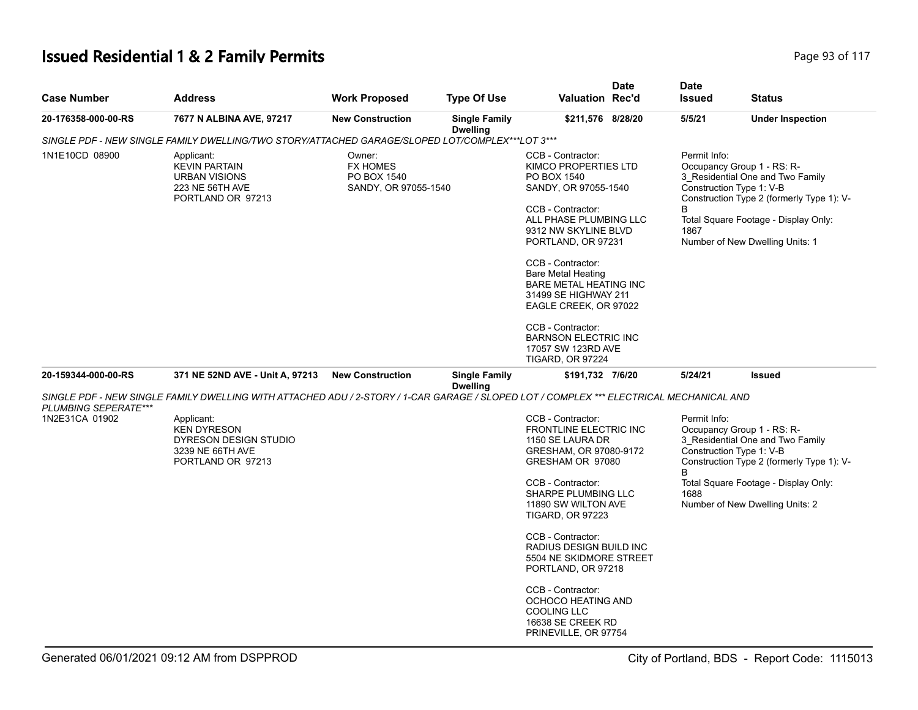# **Issued Residential 1 & 2 Family Permits Page 117 Page 93 of 117**

| <b>Case Number</b>   | <b>Address</b>                                                                                                                          | <b>Work Proposed</b>                                             | <b>Type Of Use</b>                      | <b>Valuation Rec'd</b>                                                                                                                                                                                                    | <b>Date</b> | <b>Date</b><br><b>Issued</b>                          | <b>Status</b>                                                                                                                                                                          |
|----------------------|-----------------------------------------------------------------------------------------------------------------------------------------|------------------------------------------------------------------|-----------------------------------------|---------------------------------------------------------------------------------------------------------------------------------------------------------------------------------------------------------------------------|-------------|-------------------------------------------------------|----------------------------------------------------------------------------------------------------------------------------------------------------------------------------------------|
| 20-176358-000-00-RS  | 7677 N ALBINA AVE, 97217                                                                                                                | <b>New Construction</b>                                          | <b>Single Family</b><br><b>Dwelling</b> | \$211,576 8/28/20                                                                                                                                                                                                         |             | 5/5/21                                                | <b>Under Inspection</b>                                                                                                                                                                |
|                      | SINGLE PDF - NEW SINGLE FAMILY DWELLING/TWO STORY/ATTACHED GARAGE/SLOPED LOT/COMPLEX***LOT 3***                                         |                                                                  |                                         |                                                                                                                                                                                                                           |             |                                                       |                                                                                                                                                                                        |
| 1N1E10CD 08900       | Applicant:<br><b>KEVIN PARTAIN</b><br><b>URBAN VISIONS</b><br>223 NE 56TH AVE<br>PORTLAND OR 97213                                      | Owner:<br><b>FX HOMES</b><br>PO BOX 1540<br>SANDY, OR 97055-1540 |                                         | CCB - Contractor:<br>KIMCO PROPERTIES LTD<br>PO BOX 1540<br>SANDY, OR 97055-1540<br>CCB - Contractor:<br>ALL PHASE PLUMBING LLC<br>9312 NW SKYLINE BLVD<br>PORTLAND, OR 97231                                             |             | Permit Info:<br>Construction Type 1: V-B<br>B<br>1867 | Occupancy Group 1 - RS: R-<br>3 Residential One and Two Family<br>Construction Type 2 (formerly Type 1): V-<br>Total Square Footage - Display Only:<br>Number of New Dwelling Units: 1 |
|                      |                                                                                                                                         |                                                                  |                                         | CCB - Contractor:<br><b>Bare Metal Heating</b><br><b>BARE METAL HEATING INC</b><br>31499 SE HIGHWAY 211<br>EAGLE CREEK, OR 97022                                                                                          |             |                                                       |                                                                                                                                                                                        |
|                      |                                                                                                                                         |                                                                  |                                         | CCB - Contractor:<br><b>BARNSON ELECTRIC INC</b><br>17057 SW 123RD AVE<br><b>TIGARD, OR 97224</b>                                                                                                                         |             |                                                       |                                                                                                                                                                                        |
| 20-159344-000-00-RS  | 371 NE 52ND AVE - Unit A, 97213                                                                                                         | <b>New Construction</b>                                          | <b>Single Family</b>                    | \$191,732 7/6/20                                                                                                                                                                                                          |             | 5/24/21                                               | <b>Issued</b>                                                                                                                                                                          |
| PLUMBING SEPERATE*** | SINGLE PDF - NEW SINGLE FAMILY DWELLING WITH ATTACHED ADU / 2-STORY / 1-CAR GARAGE / SLOPED LOT / COMPLEX *** ELECTRICAL MECHANICAL AND |                                                                  | <b>Dwelling</b>                         |                                                                                                                                                                                                                           |             |                                                       |                                                                                                                                                                                        |
| 1N2E31CA 01902       | Applicant:<br><b>KEN DYRESON</b><br>DYRESON DESIGN STUDIO<br>3239 NE 66TH AVE<br>PORTLAND OR 97213                                      |                                                                  |                                         | CCB - Contractor:<br><b>FRONTLINE ELECTRIC INC</b><br>1150 SE LAURA DR<br>GRESHAM, OR 97080-9172<br>GRESHAM OR 97080<br>CCB - Contractor:<br><b>SHARPE PLUMBING LLC</b><br>11890 SW WILTON AVE<br><b>TIGARD, OR 97223</b> |             | Permit Info:<br>Construction Type 1: V-B<br>B<br>1688 | Occupancy Group 1 - RS: R-<br>3_Residential One and Two Family<br>Construction Type 2 (formerly Type 1): V-<br>Total Square Footage - Display Only:<br>Number of New Dwelling Units: 2 |
|                      |                                                                                                                                         |                                                                  |                                         | CCB - Contractor:<br>RADIUS DESIGN BUILD INC<br>5504 NE SKIDMORE STREET<br>PORTLAND, OR 97218                                                                                                                             |             |                                                       |                                                                                                                                                                                        |
|                      |                                                                                                                                         |                                                                  |                                         | CCB - Contractor:<br>OCHOCO HEATING AND<br>COOLING LLC<br>16638 SE CREEK RD<br>PRINEVILLE, OR 97754                                                                                                                       |             |                                                       |                                                                                                                                                                                        |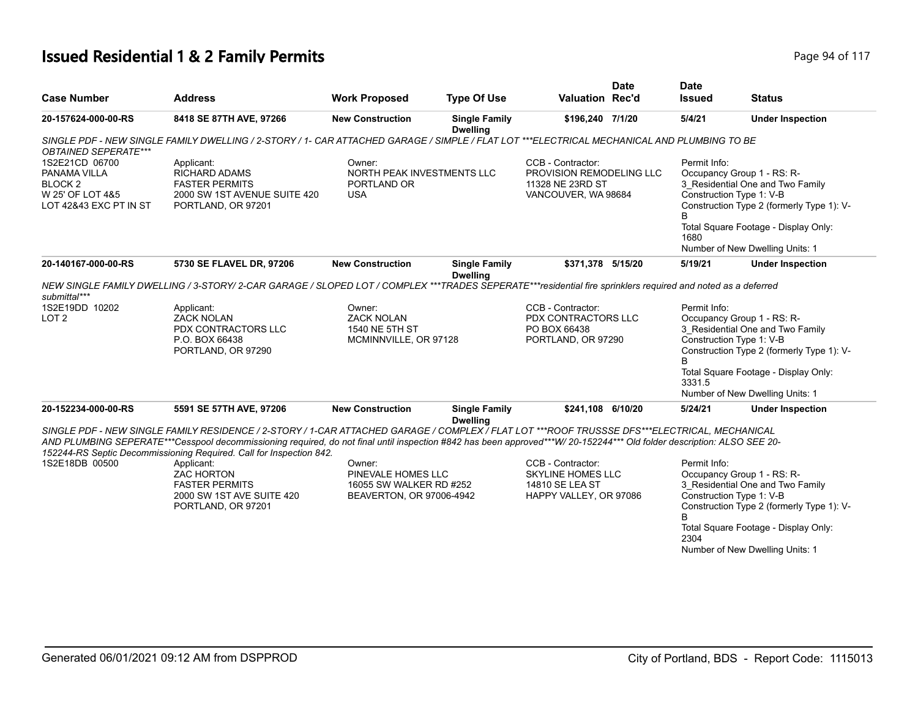## **Issued Residential 1 & 2 Family Permits Page 117 Page 94 of 117**

| <b>Case Number</b>                                                                                 | <b>Address</b>                                                                                                                                                                                                                                                                                                                                                                               | <b>Work Proposed</b>                                                                | <b>Type Of Use</b>                      | <b>Valuation Rec'd</b>                                                                     | <b>Date</b> | <b>Date</b><br><b>Issued</b> | <b>Status</b>                                                                                                                                                                                                      |
|----------------------------------------------------------------------------------------------------|----------------------------------------------------------------------------------------------------------------------------------------------------------------------------------------------------------------------------------------------------------------------------------------------------------------------------------------------------------------------------------------------|-------------------------------------------------------------------------------------|-----------------------------------------|--------------------------------------------------------------------------------------------|-------------|------------------------------|--------------------------------------------------------------------------------------------------------------------------------------------------------------------------------------------------------------------|
| 20-157624-000-00-RS                                                                                | 8418 SE 87TH AVE, 97266                                                                                                                                                                                                                                                                                                                                                                      | <b>New Construction</b>                                                             | <b>Single Family</b><br><b>Dwelling</b> | \$196,240 7/1/20                                                                           |             | 5/4/21                       | <b>Under Inspection</b>                                                                                                                                                                                            |
| <b>OBTAINED SEPERATE***</b>                                                                        | SINGLE PDF - NEW SINGLE FAMILY DWELLING / 2-STORY / 1- CAR ATTACHED GARAGE / SIMPLE / FLAT LOT ***ELECTRICAL MECHANICAL AND PLUMBING TO BE                                                                                                                                                                                                                                                   |                                                                                     |                                         |                                                                                            |             |                              |                                                                                                                                                                                                                    |
| 1S2E21CD 06700<br>PANAMA VILLA<br>BLOCK <sub>2</sub><br>W 25' OF LOT 4&5<br>LOT 42&43 EXC PT IN ST | Applicant:<br><b>RICHARD ADAMS</b><br><b>FASTER PERMITS</b><br>2000 SW 1ST AVENUE SUITE 420<br>PORTLAND, OR 97201                                                                                                                                                                                                                                                                            | Owner:<br>NORTH PEAK INVESTMENTS LLC<br>PORTLAND OR<br><b>USA</b>                   |                                         | CCB - Contractor:<br>PROVISION REMODELING LLC<br>11328 NE 23RD ST<br>VANCOUVER, WA 98684   |             | Permit Info:                 | Occupancy Group 1 - RS: R-<br>3_Residential One and Two Family<br>Construction Type 1: V-B<br>Construction Type 2 (formerly Type 1): V-                                                                            |
|                                                                                                    |                                                                                                                                                                                                                                                                                                                                                                                              |                                                                                     |                                         |                                                                                            |             | 1680                         | Total Square Footage - Display Only:<br>Number of New Dwelling Units: 1                                                                                                                                            |
| 20-140167-000-00-RS                                                                                | 5730 SE FLAVEL DR, 97206                                                                                                                                                                                                                                                                                                                                                                     | <b>New Construction</b>                                                             | <b>Single Family</b><br><b>Dwelling</b> | \$371,378 5/15/20                                                                          |             | 5/19/21                      | <b>Under Inspection</b>                                                                                                                                                                                            |
| submittal***                                                                                       | NEW SINGLE FAMILY DWELLING / 3-STORY/ 2-CAR GARAGE / SLOPED LOT / COMPLEX ***TRADES SEPERATE***residential fire sprinklers required and noted as a deferred                                                                                                                                                                                                                                  |                                                                                     |                                         |                                                                                            |             |                              |                                                                                                                                                                                                                    |
| 1S2E19DD 10202<br>LOT <sub>2</sub>                                                                 | Applicant:<br><b>ZACK NOLAN</b><br>PDX CONTRACTORS LLC<br>P.O. BOX 66438<br>PORTLAND, OR 97290                                                                                                                                                                                                                                                                                               | Owner:<br><b>ZACK NOLAN</b><br>1540 NE 5TH ST<br>MCMINNVILLE, OR 97128              |                                         | CCB - Contractor:<br>PDX CONTRACTORS LLC<br>PO BOX 66438<br>PORTLAND, OR 97290             |             | Permit Info:<br>B            | Occupancy Group 1 - RS: R-<br>3 Residential One and Two Family<br>Construction Type 1: V-B<br>Construction Type 2 (formerly Type 1): V-                                                                            |
|                                                                                                    |                                                                                                                                                                                                                                                                                                                                                                                              |                                                                                     |                                         |                                                                                            |             | 3331.5                       | Total Square Footage - Display Only:<br>Number of New Dwelling Units: 1                                                                                                                                            |
| 20-152234-000-00-RS                                                                                | 5591 SE 57TH AVE, 97206                                                                                                                                                                                                                                                                                                                                                                      | <b>New Construction</b>                                                             | <b>Single Family</b><br><b>Dwelling</b> | \$241,108 6/10/20                                                                          |             | 5/24/21                      | <b>Under Inspection</b>                                                                                                                                                                                            |
|                                                                                                    | SINGLE PDF - NEW SINGLE FAMILY RESIDENCE / 2-STORY / 1-CAR ATTACHED GARAGE / COMPLEX / FLAT LOT ***ROOF TRUSSSE DFS***ELECTRICAL, MECHANICAL<br>AND PLUMBING SEPERATE***Cesspool decommissioning required, do not final until inspection #842 has been approved***W/20-152244*** Old folder description: ALSO SEE 20-<br>152244-RS Septic Decommissioning Required. Call for Inspection 842. |                                                                                     |                                         |                                                                                            |             |                              |                                                                                                                                                                                                                    |
| 1S2E18DB 00500                                                                                     | Applicant:<br><b>ZAC HORTON</b><br><b>FASTER PERMITS</b><br>2000 SW 1ST AVE SUITE 420<br>PORTLAND, OR 97201                                                                                                                                                                                                                                                                                  | Owner:<br>PINEVALE HOMES LLC<br>16055 SW WALKER RD #252<br>BEAVERTON, OR 97006-4942 |                                         | CCB - Contractor:<br><b>SKYLINE HOMES LLC</b><br>14810 SE LEA ST<br>HAPPY VALLEY, OR 97086 |             | Permit Info:<br>B<br>2304    | Occupancy Group 1 - RS: R-<br>3_Residential One and Two Family<br>Construction Type 1: V-B<br>Construction Type 2 (formerly Type 1): V-<br>Total Square Footage - Display Only:<br>Number of New Dwelling Units: 1 |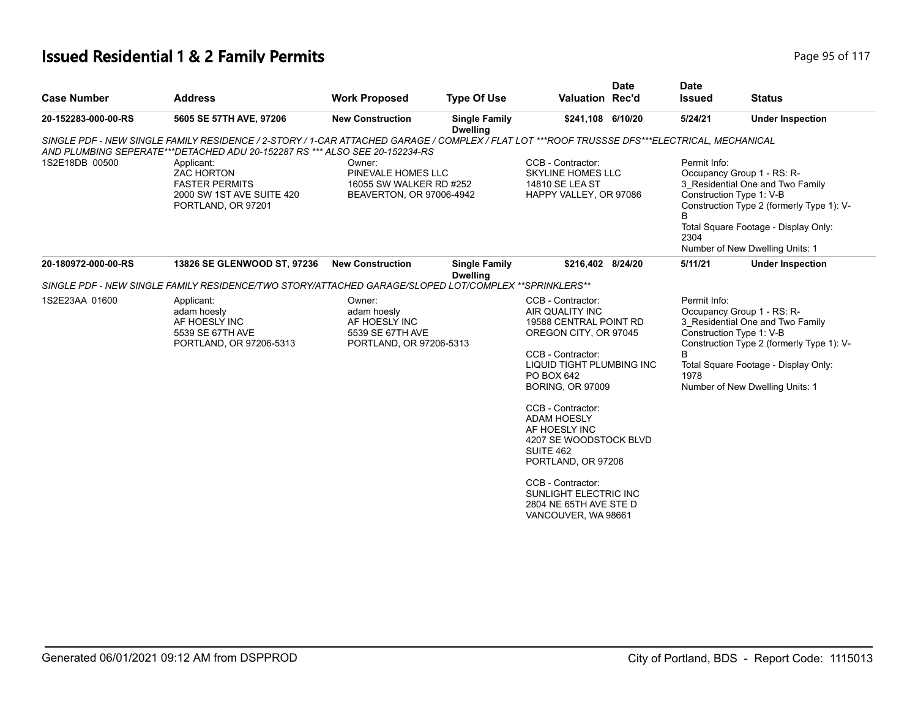#### **Issued Residential 1 & 2 Family Permits Page 117 Page 95 of 117**

| <b>Case Number</b>  | <b>Address</b>                                                                                                                                                                                                              | <b>Work Proposed</b>                                                                  | <b>Type Of Use</b>                      | <b>Valuation Rec'd</b>                                                                                                                                                                                                                                                                | <b>Date</b> | <b>Date</b><br><b>Issued</b> | <b>Status</b>                                                                                                                                                                                                      |
|---------------------|-----------------------------------------------------------------------------------------------------------------------------------------------------------------------------------------------------------------------------|---------------------------------------------------------------------------------------|-----------------------------------------|---------------------------------------------------------------------------------------------------------------------------------------------------------------------------------------------------------------------------------------------------------------------------------------|-------------|------------------------------|--------------------------------------------------------------------------------------------------------------------------------------------------------------------------------------------------------------------|
| 20-152283-000-00-RS | 5605 SE 57TH AVE, 97206                                                                                                                                                                                                     | <b>New Construction</b>                                                               | <b>Single Family</b><br><b>Dwelling</b> | \$241,108 6/10/20                                                                                                                                                                                                                                                                     |             | 5/24/21                      | <b>Under Inspection</b>                                                                                                                                                                                            |
|                     | SINGLE PDF - NEW SINGLE FAMILY RESIDENCE / 2-STORY / 1-CAR ATTACHED GARAGE / COMPLEX / FLAT LOT ***ROOF TRUSSSE DFS***ELECTRICAL, MECHANICAL<br>AND PLUMBING SEPERATE***DETACHED ADU 20-152287 RS *** ALSO SEE 20-152234-RS |                                                                                       |                                         |                                                                                                                                                                                                                                                                                       |             |                              |                                                                                                                                                                                                                    |
| 1S2E18DB 00500      | Applicant:<br><b>ZAC HORTON</b><br><b>FASTER PERMITS</b><br>2000 SW 1ST AVE SUITE 420<br>PORTLAND, OR 97201                                                                                                                 | Owner:<br>PINEVALE HOMES LLC<br>16055 SW WALKER RD #252<br>BEAVERTON, OR 97006-4942   |                                         | CCB - Contractor:<br><b>SKYLINE HOMES LLC</b><br>14810 SE LEA ST<br>HAPPY VALLEY, OR 97086                                                                                                                                                                                            |             | Permit Info:<br>B<br>2304    | Occupancy Group 1 - RS: R-<br>3_Residential One and Two Family<br>Construction Type 1: V-B<br>Construction Type 2 (formerly Type 1): V-<br>Total Square Footage - Display Only:<br>Number of New Dwelling Units: 1 |
| 20-180972-000-00-RS | 13826 SE GLENWOOD ST, 97236                                                                                                                                                                                                 | <b>New Construction</b>                                                               | <b>Single Family</b><br><b>Dwelling</b> | \$216,402 8/24/20                                                                                                                                                                                                                                                                     |             | 5/11/21                      | <b>Under Inspection</b>                                                                                                                                                                                            |
|                     | SINGLE PDF - NEW SINGLE FAMILY RESIDENCE/TWO STORY/ATTACHED GARAGE/SLOPED LOT/COMPLEX **SPRINKLERS**                                                                                                                        |                                                                                       |                                         |                                                                                                                                                                                                                                                                                       |             |                              |                                                                                                                                                                                                                    |
| 1S2E23AA 01600      | Applicant:<br>adam hoesly<br>AF HOESLY INC<br>5539 SE 67TH AVE<br>PORTLAND, OR 97206-5313                                                                                                                                   | Owner:<br>adam hoesly<br>AF HOESLY INC<br>5539 SE 67TH AVE<br>PORTLAND, OR 97206-5313 |                                         | CCB - Contractor:<br>AIR QUALITY INC<br>19588 CENTRAL POINT RD<br>OREGON CITY, OR 97045<br>CCB - Contractor:<br>LIQUID TIGHT PLUMBING INC<br>PO BOX 642<br><b>BORING, OR 97009</b><br>CCB - Contractor:<br><b>ADAM HOESLY</b><br>AF HOESLY INC<br>4207 SE WOODSTOCK BLVD<br>SUITE 462 |             | Permit Info:<br>B<br>1978    | Occupancy Group 1 - RS: R-<br>3 Residential One and Two Family<br>Construction Type 1: V-B<br>Construction Type 2 (formerly Type 1): V-<br>Total Square Footage - Display Only:<br>Number of New Dwelling Units: 1 |
|                     |                                                                                                                                                                                                                             |                                                                                       |                                         | PORTLAND, OR 97206<br>CCB - Contractor:<br>SUNLIGHT ELECTRIC INC<br>2804 NE 65TH AVE STE D<br>VANCOUVER, WA 98661                                                                                                                                                                     |             |                              |                                                                                                                                                                                                                    |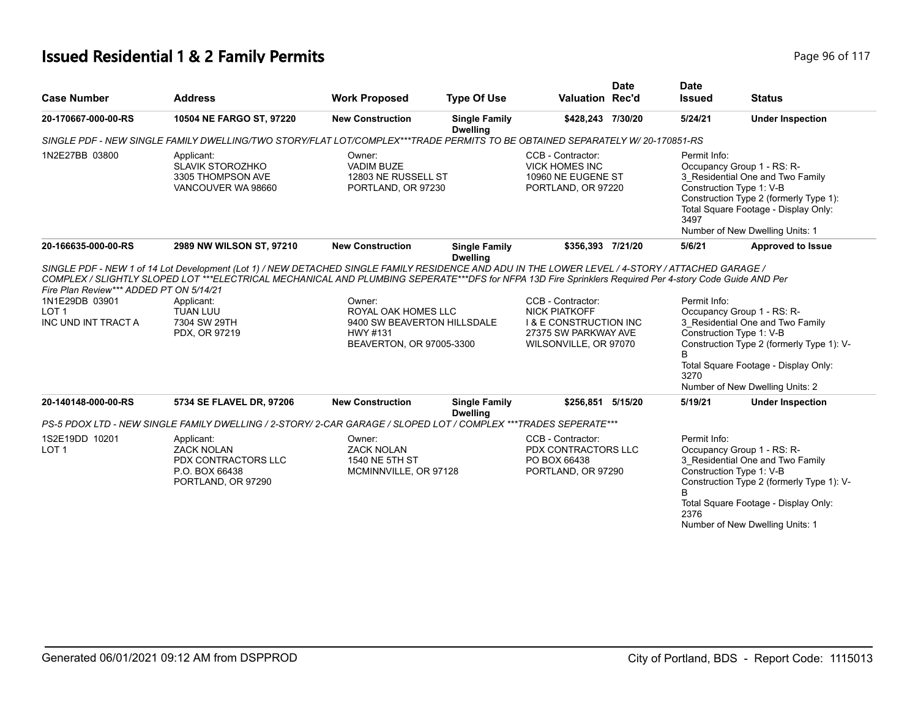## **Issued Residential 1 & 2 Family Permits Page 117 Page 96 of 117**

| <b>Case Number</b>                                                                                   | <b>Address</b>                                                                                                                                                                                                                                                                                                                                                                | <b>Work Proposed</b>                                                                                 | <b>Type Of Use</b>                      | <b>Valuation Rec'd</b>                                                                                                          | <b>Date</b> | <b>Date</b><br><b>Issued</b> | <b>Status</b>                                                                                                                                                                                                      |
|------------------------------------------------------------------------------------------------------|-------------------------------------------------------------------------------------------------------------------------------------------------------------------------------------------------------------------------------------------------------------------------------------------------------------------------------------------------------------------------------|------------------------------------------------------------------------------------------------------|-----------------------------------------|---------------------------------------------------------------------------------------------------------------------------------|-------------|------------------------------|--------------------------------------------------------------------------------------------------------------------------------------------------------------------------------------------------------------------|
| 20-170667-000-00-RS                                                                                  | 10504 NE FARGO ST, 97220                                                                                                                                                                                                                                                                                                                                                      | <b>New Construction</b>                                                                              | <b>Single Family</b>                    | \$428,243 7/30/20                                                                                                               |             | 5/24/21                      | <b>Under Inspection</b>                                                                                                                                                                                            |
|                                                                                                      | SINGLE PDF - NEW SINGLE FAMILY DWELLING/TWO STORY/FLAT LOT/COMPLEX***TRADE PERMITS TO BE OBTAINED SEPARATELY W/20-170851-RS                                                                                                                                                                                                                                                   |                                                                                                      | <b>Dwelling</b>                         |                                                                                                                                 |             |                              |                                                                                                                                                                                                                    |
| 1N2E27BB 03800                                                                                       | Applicant:<br><b>SLAVIK STOROZHKO</b><br>3305 THOMPSON AVE<br>VANCOUVER WA 98660                                                                                                                                                                                                                                                                                              | Owner:<br><b>VADIM BUZE</b><br>12803 NE RUSSELL ST<br>PORTLAND, OR 97230                             |                                         | CCB - Contractor:<br><b>VICK HOMES INC</b><br>10960 NE EUGENE ST<br>PORTLAND, OR 97220                                          |             | Permit Info:<br>3497         | Occupancy Group 1 - RS: R-<br>3_Residential One and Two Family<br>Construction Type 1: V-B<br>Construction Type 2 (formerly Type 1):<br>Total Square Footage - Display Only:<br>Number of New Dwelling Units: 1    |
| 20-166635-000-00-RS                                                                                  | 2989 NW WILSON ST, 97210                                                                                                                                                                                                                                                                                                                                                      | <b>New Construction</b>                                                                              | <b>Single Family</b><br><b>Dwelling</b> | \$356,393 7/21/20                                                                                                               |             | 5/6/21                       | <b>Approved to Issue</b>                                                                                                                                                                                           |
| Fire Plan Review*** ADDED PT ON 5/14/21<br>1N1E29DB 03901<br>LOT <sub>1</sub><br>INC UND INT TRACT A | SINGLE PDF - NEW 1 of 14 Lot Development (Lot 1) / NEW DETACHED SINGLE FAMILY RESIDENCE AND ADU IN THE LOWER LEVEL / 4-STORY / ATTACHED GARAGE /<br>COMPLEX / SLIGHTLY SLOPED LOT ***ELECTRICAL MECHANICAL AND PLUMBING SEPERATE***DFS for NFPA 13D Fire Sprinklers Required Per 4-story Code Guide AND Per<br>Applicant:<br><b>TUAN LUU</b><br>7304 SW 29TH<br>PDX, OR 97219 | Owner:<br>ROYAL OAK HOMES LLC<br>9400 SW BEAVERTON HILLSDALE<br>HWY #131<br>BEAVERTON, OR 97005-3300 |                                         | CCB - Contractor:<br><b>NICK PIATKOFF</b><br><b>I &amp; E CONSTRUCTION INC</b><br>27375 SW PARKWAY AVE<br>WILSONVILLE, OR 97070 |             | Permit Info:<br>3270         | Occupancy Group 1 - RS: R-<br>3_Residential One and Two Family<br>Construction Type 1: V-B<br>Construction Type 2 (formerly Type 1): V-<br>Total Square Footage - Display Only:<br>Number of New Dwelling Units: 2 |
| 20-140148-000-00-RS                                                                                  | 5734 SE FLAVEL DR, 97206                                                                                                                                                                                                                                                                                                                                                      | <b>New Construction</b>                                                                              | <b>Single Family</b><br><b>Dwelling</b> | \$256,851 5/15/20                                                                                                               |             | 5/19/21                      | <b>Under Inspection</b>                                                                                                                                                                                            |
|                                                                                                      | PS-5 PDOX LTD - NEW SINGLE FAMILY DWELLING / 2-STORY/ 2-CAR GARAGE / SLOPED LOT / COMPLEX ***TRADES SEPERATE***                                                                                                                                                                                                                                                               |                                                                                                      |                                         |                                                                                                                                 |             |                              |                                                                                                                                                                                                                    |
| 1S2E19DD 10201<br>LOT <sub>1</sub>                                                                   | Applicant:<br><b>ZACK NOLAN</b><br>PDX CONTRACTORS LLC<br>P.O. BOX 66438<br>PORTLAND, OR 97290                                                                                                                                                                                                                                                                                | Owner:<br><b>ZACK NOLAN</b><br>1540 NE 5TH ST<br>MCMINNVILLE, OR 97128                               |                                         | CCB - Contractor:<br>PDX CONTRACTORS LLC<br>PO BOX 66438<br>PORTLAND, OR 97290                                                  |             | Permit Info:<br>B<br>2376    | Occupancy Group 1 - RS: R-<br>3 Residential One and Two Family<br>Construction Type 1: V-B<br>Construction Type 2 (formerly Type 1): V-<br>Total Square Footage - Display Only:<br>Number of New Dwelling Units: 1 |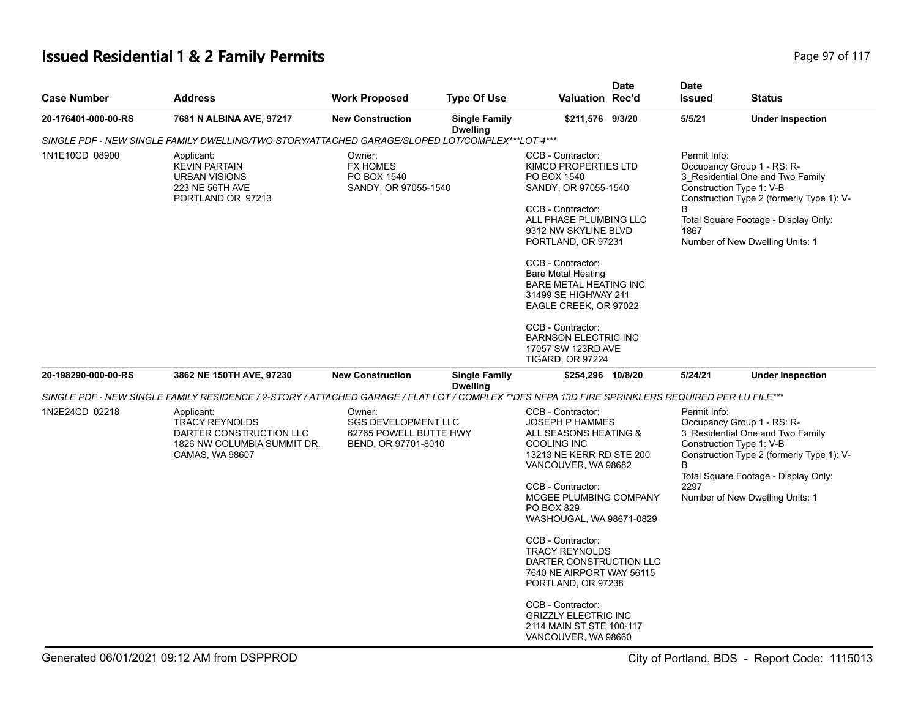# **Issued Residential 1 & 2 Family Permits Page 117 Page 97 of 117**

| <b>Case Number</b>  | <b>Address</b>                                                                                                                                   | <b>Work Proposed</b>                                                                  | <b>Type Of Use</b>                      | <b>Valuation Rec'd</b>                                                                                                                                                                                                                        | <b>Date</b>                                                                  | <b>Date</b><br><b>Issued</b> | <b>Status</b>                                                                                                                                                                                                      |
|---------------------|--------------------------------------------------------------------------------------------------------------------------------------------------|---------------------------------------------------------------------------------------|-----------------------------------------|-----------------------------------------------------------------------------------------------------------------------------------------------------------------------------------------------------------------------------------------------|------------------------------------------------------------------------------|------------------------------|--------------------------------------------------------------------------------------------------------------------------------------------------------------------------------------------------------------------|
| 20-176401-000-00-RS | 7681 N ALBINA AVE, 97217                                                                                                                         | <b>New Construction</b>                                                               | <b>Single Family</b><br><b>Dwelling</b> | \$211,576 9/3/20                                                                                                                                                                                                                              |                                                                              | 5/5/21                       | <b>Under Inspection</b>                                                                                                                                                                                            |
|                     | SINGLE PDF - NEW SINGLE FAMILY DWELLING/TWO STORY/ATTACHED GARAGE/SLOPED LOT/COMPLEX***LOT 4***                                                  |                                                                                       |                                         |                                                                                                                                                                                                                                               |                                                                              |                              |                                                                                                                                                                                                                    |
| 1N1E10CD 08900      | Applicant:<br><b>KEVIN PARTAIN</b><br><b>URBAN VISIONS</b><br>223 NE 56TH AVE<br>PORTLAND OR 97213                                               | Owner:<br><b>FX HOMES</b><br>PO BOX 1540<br>SANDY, OR 97055-1540                      |                                         | CCB - Contractor:<br>KIMCO PROPERTIES LTD<br>PO BOX 1540<br>SANDY, OR 97055-1540<br>CCB - Contractor:<br>ALL PHASE PLUMBING LLC<br>9312 NW SKYLINE BLVD<br>PORTLAND, OR 97231                                                                 |                                                                              | Permit Info:<br>B<br>1867    | Occupancy Group 1 - RS: R-<br>3_Residential One and Two Family<br>Construction Type 1: V-B<br>Construction Type 2 (formerly Type 1): V-<br>Total Square Footage - Display Only:<br>Number of New Dwelling Units: 1 |
|                     |                                                                                                                                                  |                                                                                       |                                         | CCB - Contractor:<br><b>Bare Metal Heating</b><br><b>BARE METAL HEATING INC</b><br>31499 SE HIGHWAY 211<br>EAGLE CREEK, OR 97022                                                                                                              |                                                                              |                              |                                                                                                                                                                                                                    |
|                     |                                                                                                                                                  |                                                                                       |                                         | CCB - Contractor:                                                                                                                                                                                                                             | <b>BARNSON ELECTRIC INC</b><br>17057 SW 123RD AVE<br><b>TIGARD, OR 97224</b> |                              |                                                                                                                                                                                                                    |
| 20-198290-000-00-RS | 3862 NE 150TH AVE, 97230                                                                                                                         | <b>New Construction</b>                                                               | <b>Single Family</b><br><b>Dwelling</b> | \$254,296 10/8/20                                                                                                                                                                                                                             |                                                                              | 5/24/21                      | <b>Under Inspection</b>                                                                                                                                                                                            |
|                     | SINGLE PDF - NEW SINGLE FAMILY RESIDENCE / 2-STORY / ATTACHED GARAGE / FLAT LOT / COMPLEX **DFS NFPA 13D FIRE SPRINKLERS REQUIRED PER LU FILE*** |                                                                                       |                                         |                                                                                                                                                                                                                                               |                                                                              |                              |                                                                                                                                                                                                                    |
| 1N2E24CD 02218      | Applicant:<br>TRACY REYNOLDS<br>DARTER CONSTRUCTION LLC<br>1826 NW COLUMBIA SUMMIT DR.<br>CAMAS, WA 98607                                        | Owner:<br><b>SGS DEVELOPMENT LLC</b><br>62765 POWELL BUTTE HWY<br>BEND, OR 97701-8010 |                                         | CCB - Contractor:<br><b>JOSEPH P HAMMES</b><br>ALL SEASONS HEATING &<br><b>COOLING INC</b><br>13213 NE KERR RD STE 200<br>VANCOUVER, WA 98682<br>CCB - Contractor:<br>MCGEE PLUMBING COMPANY<br><b>PO BOX 829</b><br>WASHOUGAL, WA 98671-0829 |                                                                              | Permit Info:<br>B<br>2297    | Occupancy Group 1 - RS: R-<br>3_Residential One and Two Family<br>Construction Type 1: V-B<br>Construction Type 2 (formerly Type 1): V-<br>Total Square Footage - Display Only:<br>Number of New Dwelling Units: 1 |
|                     |                                                                                                                                                  |                                                                                       |                                         | CCB - Contractor:<br><b>TRACY REYNOLDS</b><br>DARTER CONSTRUCTION LLC<br>7640 NE AIRPORT WAY 56115<br>PORTLAND, OR 97238                                                                                                                      |                                                                              |                              |                                                                                                                                                                                                                    |
|                     |                                                                                                                                                  |                                                                                       |                                         | CCB - Contractor:<br><b>GRIZZLY ELECTRIC INC</b><br>2114 MAIN ST STE 100-117<br>VANCOUVER, WA 98660                                                                                                                                           |                                                                              |                              |                                                                                                                                                                                                                    |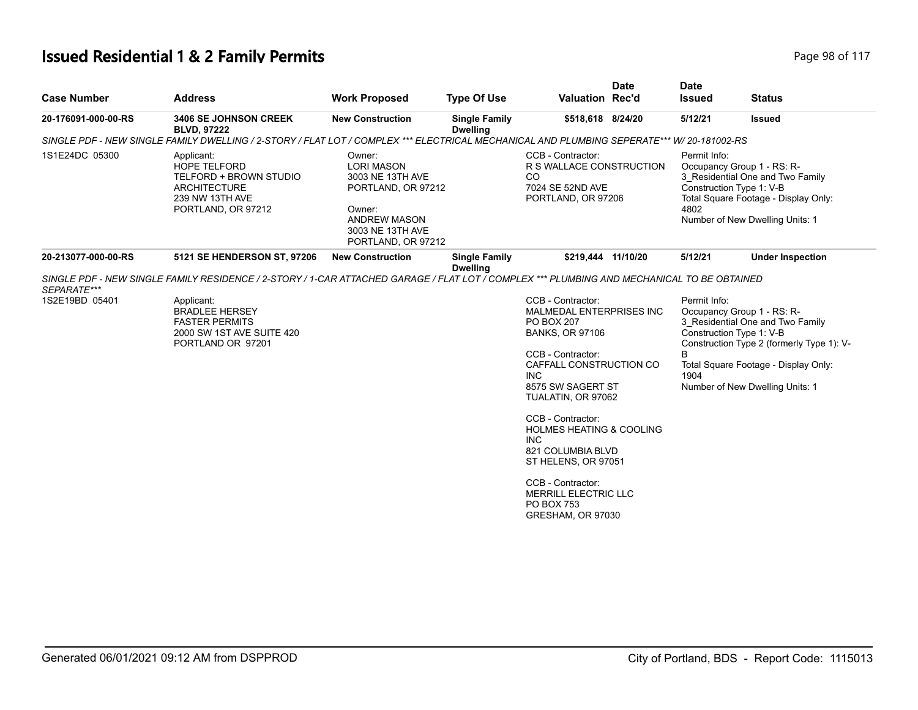# **Issued Residential 1 & 2 Family Permits Page 117 Page 98 of 117**

| <b>Case Number</b>  | <b>Address</b>                                                                                                                             | <b>Work Proposed</b>                                                                                                                             | <b>Type Of Use</b>                      | <b>Valuation Rec'd</b>                                                                                                                                                                                                                                                                                                                                                                               | <b>Date</b> | <b>Date</b><br><b>Issued</b> | <b>Status</b>                                                                                                                                                                                                      |
|---------------------|--------------------------------------------------------------------------------------------------------------------------------------------|--------------------------------------------------------------------------------------------------------------------------------------------------|-----------------------------------------|------------------------------------------------------------------------------------------------------------------------------------------------------------------------------------------------------------------------------------------------------------------------------------------------------------------------------------------------------------------------------------------------------|-------------|------------------------------|--------------------------------------------------------------------------------------------------------------------------------------------------------------------------------------------------------------------|
| 20-176091-000-00-RS | <b>3406 SE JOHNSON CREEK</b><br><b>BLVD, 97222</b>                                                                                         | <b>New Construction</b>                                                                                                                          | <b>Single Family</b><br><b>Dwelling</b> | \$518,618 8/24/20                                                                                                                                                                                                                                                                                                                                                                                    |             | 5/12/21                      | <b>Issued</b>                                                                                                                                                                                                      |
|                     | SINGLE PDF - NEW SINGLE FAMILY DWELLING / 2-STORY / FLAT LOT / COMPLEX *** ELECTRICAL MECHANICAL AND PLUMBING SEPERATE*** W/ 20-181002-RS  |                                                                                                                                                  |                                         |                                                                                                                                                                                                                                                                                                                                                                                                      |             |                              |                                                                                                                                                                                                                    |
| 1S1E24DC 05300      | Applicant:<br><b>HOPE TELFORD</b><br>TELFORD + BROWN STUDIO<br><b>ARCHITECTURE</b><br>239 NW 13TH AVE<br>PORTLAND, OR 97212                | Owner:<br><b>LORI MASON</b><br>3003 NE 13TH AVE<br>PORTLAND, OR 97212<br>Owner:<br><b>ANDREW MASON</b><br>3003 NE 13TH AVE<br>PORTLAND, OR 97212 |                                         | CCB - Contractor:<br>R S WALLACE CONSTRUCTION<br>CO<br>7024 SE 52ND AVE<br>PORTLAND, OR 97206                                                                                                                                                                                                                                                                                                        |             | Permit Info:<br>4802         | Occupancy Group 1 - RS: R-<br>3 Residential One and Two Family<br>Construction Type 1: V-B<br>Total Square Footage - Display Only:<br>Number of New Dwelling Units: 1                                              |
| 20-213077-000-00-RS | 5121 SE HENDERSON ST, 97206                                                                                                                | <b>New Construction</b>                                                                                                                          | <b>Single Family</b><br><b>Dwelling</b> | \$219,444 11/10/20                                                                                                                                                                                                                                                                                                                                                                                   |             | 5/12/21                      | <b>Under Inspection</b>                                                                                                                                                                                            |
| SEPARATE***         | SINGLE PDF - NEW SINGLE FAMILY RESIDENCE / 2-STORY / 1-CAR ATTACHED GARAGE / FLAT LOT / COMPLEX *** PLUMBING AND MECHANICAL TO BE OBTAINED |                                                                                                                                                  |                                         |                                                                                                                                                                                                                                                                                                                                                                                                      |             |                              |                                                                                                                                                                                                                    |
| 1S2E19BD 05401      | Applicant:<br><b>BRADLEE HERSEY</b><br><b>FASTER PERMITS</b><br>2000 SW 1ST AVE SUITE 420<br>PORTLAND OR 97201                             |                                                                                                                                                  |                                         | CCB - Contractor:<br>MALMEDAL ENTERPRISES INC<br>PO BOX 207<br><b>BANKS, OR 97106</b><br>CCB - Contractor:<br>CAFFALL CONSTRUCTION CO<br><b>INC</b><br>8575 SW SAGERT ST<br>TUALATIN, OR 97062<br>CCB - Contractor:<br><b>HOLMES HEATING &amp; COOLING</b><br><b>INC</b><br>821 COLUMBIA BLVD<br>ST HELENS, OR 97051<br>CCB - Contractor:<br>MERRILL ELECTRIC LLC<br>PO BOX 753<br>GRESHAM, OR 97030 |             | Permit Info:<br>B<br>1904    | Occupancy Group 1 - RS: R-<br>3 Residential One and Two Family<br>Construction Type 1: V-B<br>Construction Type 2 (formerly Type 1): V-<br>Total Square Footage - Display Only:<br>Number of New Dwelling Units: 1 |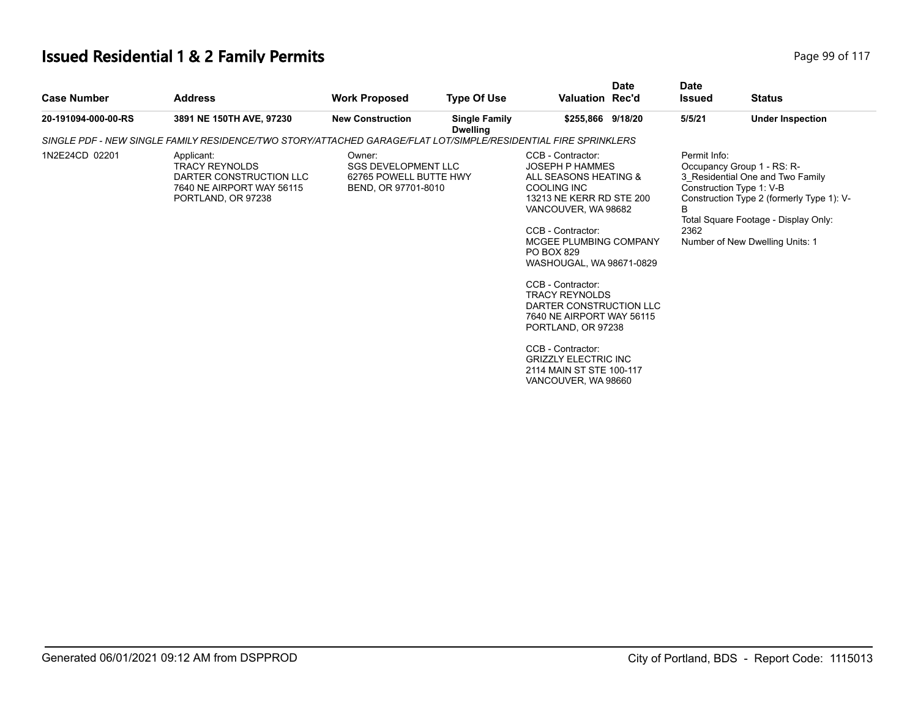# **Issued Residential 1 & 2 Family Permits Page 117 Page 99 of 117**

| <b>Case Number</b>  | <b>Address</b>                                                                                                    | <b>Work Proposed</b>                                                                  | <b>Type Of Use</b>                      | <b>Valuation Rec'd</b>                                                                                                                                                                                                                                                                                                                                                                                                                                                    | <b>Date</b> | <b>Date</b><br><b>Issued</b> | <b>Status</b>                                                                                                                                                                                                      |
|---------------------|-------------------------------------------------------------------------------------------------------------------|---------------------------------------------------------------------------------------|-----------------------------------------|---------------------------------------------------------------------------------------------------------------------------------------------------------------------------------------------------------------------------------------------------------------------------------------------------------------------------------------------------------------------------------------------------------------------------------------------------------------------------|-------------|------------------------------|--------------------------------------------------------------------------------------------------------------------------------------------------------------------------------------------------------------------|
| 20-191094-000-00-RS | 3891 NE 150TH AVE, 97230                                                                                          | <b>New Construction</b>                                                               | <b>Single Family</b><br><b>Dwelling</b> | \$255,866 9/18/20                                                                                                                                                                                                                                                                                                                                                                                                                                                         |             | 5/5/21                       | <b>Under Inspection</b>                                                                                                                                                                                            |
|                     | SINGLE PDF - NEW SINGLE FAMILY RESIDENCE/TWO STORY/ATTACHED GARAGE/FLAT LOT/SIMPLE/RESIDENTIAL FIRE SPRINKLERS    |                                                                                       |                                         |                                                                                                                                                                                                                                                                                                                                                                                                                                                                           |             |                              |                                                                                                                                                                                                                    |
| 1N2E24CD 02201      | Applicant:<br><b>TRACY REYNOLDS</b><br>DARTER CONSTRUCTION LLC<br>7640 NE AIRPORT WAY 56115<br>PORTLAND, OR 97238 | Owner:<br><b>SGS DEVELOPMENT LLC</b><br>62765 POWELL BUTTE HWY<br>BEND, OR 97701-8010 |                                         | CCB - Contractor:<br><b>JOSEPH P HAMMES</b><br>ALL SEASONS HEATING &<br><b>COOLING INC</b><br>13213 NE KERR RD STE 200<br>VANCOUVER, WA 98682<br>CCB - Contractor:<br>MCGEE PLUMBING COMPANY<br>PO BOX 829<br>WASHOUGAL, WA 98671-0829<br>CCB - Contractor:<br><b>TRACY REYNOLDS</b><br>DARTER CONSTRUCTION LLC<br>7640 NE AIRPORT WAY 56115<br>PORTLAND, OR 97238<br>CCB - Contractor:<br><b>GRIZZLY ELECTRIC INC</b><br>2114 MAIN ST STE 100-117<br>VANCOUVER, WA 98660 |             | Permit Info:<br>B<br>2362    | Occupancy Group 1 - RS: R-<br>3 Residential One and Two Family<br>Construction Type 1: V-B<br>Construction Type 2 (formerly Type 1): V-<br>Total Square Footage - Display Only:<br>Number of New Dwelling Units: 1 |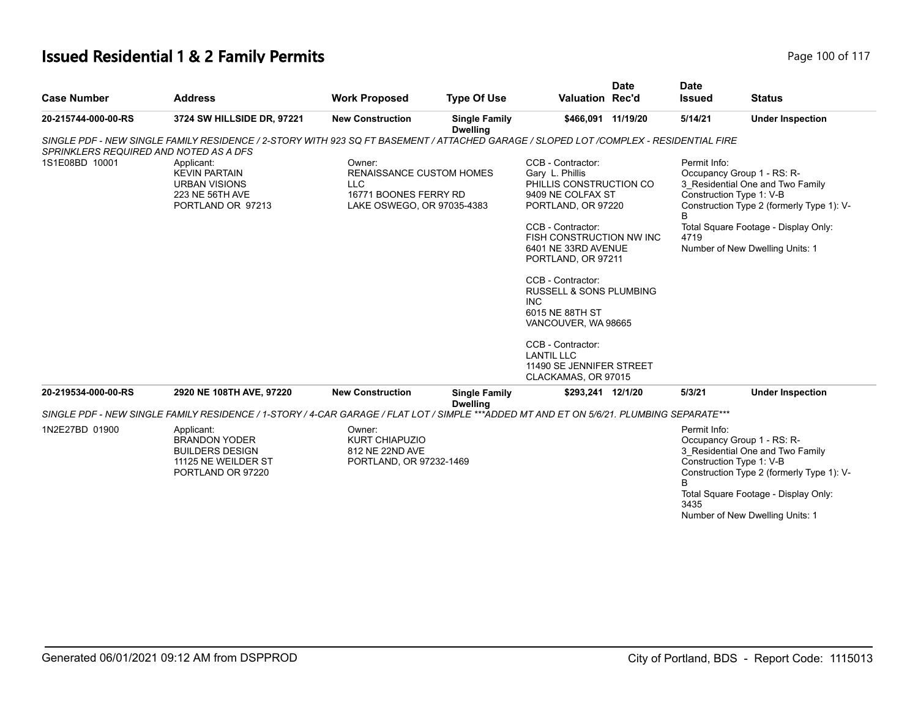#### **Issued Residential 1 & 2 Family Permits Page 100 of 117 Page 100 of 117**

| <b>Case Number</b>                     | <b>Address</b>                                                                                                                           | <b>Work Proposed</b>                                                                                           | <b>Type Of Use</b>                      | <b>Valuation Rec'd</b>                                                                                                                                                                                                                                                                                                                                                                                                   | <b>Date</b> | <b>Date</b><br><b>Issued</b>         | <b>Status</b>                                                                                                                                                                                                      |
|----------------------------------------|------------------------------------------------------------------------------------------------------------------------------------------|----------------------------------------------------------------------------------------------------------------|-----------------------------------------|--------------------------------------------------------------------------------------------------------------------------------------------------------------------------------------------------------------------------------------------------------------------------------------------------------------------------------------------------------------------------------------------------------------------------|-------------|--------------------------------------|--------------------------------------------------------------------------------------------------------------------------------------------------------------------------------------------------------------------|
| 20-215744-000-00-RS                    | 3724 SW HILLSIDE DR, 97221                                                                                                               | <b>New Construction</b>                                                                                        | <b>Single Family</b><br><b>Dwelling</b> | \$466,091 11/19/20                                                                                                                                                                                                                                                                                                                                                                                                       |             | 5/14/21                              | <b>Under Inspection</b>                                                                                                                                                                                            |
| SPRINKLERS REQUIRED AND NOTED AS A DFS | SINGLE PDF - NEW SINGLE FAMILY RESIDENCE / 2-STORY WITH 923 SQ FT BASEMENT / ATTACHED GARAGE / SLOPED LOT /COMPLEX - RESIDENTIAL FIRE    |                                                                                                                |                                         |                                                                                                                                                                                                                                                                                                                                                                                                                          |             |                                      |                                                                                                                                                                                                                    |
| 1S1E08BD 10001                         | Applicant:<br><b>KEVIN PARTAIN</b><br><b>URBAN VISIONS</b><br>223 NE 56TH AVE<br>PORTLAND OR 97213                                       | Owner:<br><b>RENAISSANCE CUSTOM HOMES</b><br><b>LLC</b><br>16771 BOONES FERRY RD<br>LAKE OSWEGO, OR 97035-4383 |                                         | CCB - Contractor:<br>Gary L. Phillis<br>PHILLIS CONSTRUCTION CO<br>9409 NE COLFAX ST<br>PORTLAND, OR 97220<br>CCB - Contractor:<br>FISH CONSTRUCTION NW INC<br>6401 NE 33RD AVENUE<br>PORTLAND, OR 97211<br>CCB - Contractor:<br><b>RUSSELL &amp; SONS PLUMBING</b><br><b>INC</b><br>6015 NE 88TH ST<br>VANCOUVER, WA 98665<br>CCB - Contractor:<br><b>LANTIL LLC</b><br>11490 SE JENNIFER STREET<br>CLACKAMAS, OR 97015 |             | Permit Info:<br>R<br>4719            | Occupancy Group 1 - RS: R-<br>3 Residential One and Two Family<br>Construction Type 1: V-B<br>Construction Type 2 (formerly Type 1): V-<br>Total Square Footage - Display Only:<br>Number of New Dwelling Units: 1 |
| 20-219534-000-00-RS                    | 2920 NE 108TH AVE, 97220                                                                                                                 | <b>New Construction</b>                                                                                        | <b>Single Family</b>                    | \$293,241 12/1/20                                                                                                                                                                                                                                                                                                                                                                                                        |             | 5/3/21                               | <b>Under Inspection</b>                                                                                                                                                                                            |
|                                        | SINGLE PDF - NEW SINGLE FAMILY RESIDENCE / 1-STORY / 4-CAR GARAGE / FLAT LOT / SIMPLE ***ADDED MT AND ET ON 5/6/21. PLUMBING SEPARATE*** |                                                                                                                | <b>Dwelling</b>                         |                                                                                                                                                                                                                                                                                                                                                                                                                          |             |                                      |                                                                                                                                                                                                                    |
| 1N2E27BD 01900                         | Applicant:<br><b>BRANDON YODER</b><br><b>BUILDERS DESIGN</b><br>11125 NE WEILDER ST<br>PORTLAND OR 97220                                 | Owner:<br><b>KURT CHIAPUZIO</b><br>812 NE 22ND AVE<br>PORTLAND, OR 97232-1469                                  |                                         |                                                                                                                                                                                                                                                                                                                                                                                                                          |             | Permit Info:<br><sub>R</sub><br>3435 | Occupancy Group 1 - RS: R-<br>3 Residential One and Two Family<br>Construction Type 1: V-B<br>Construction Type 2 (formerly Type 1): V-<br>Total Square Footage - Display Only:<br>Number of New Dwelling Units: 1 |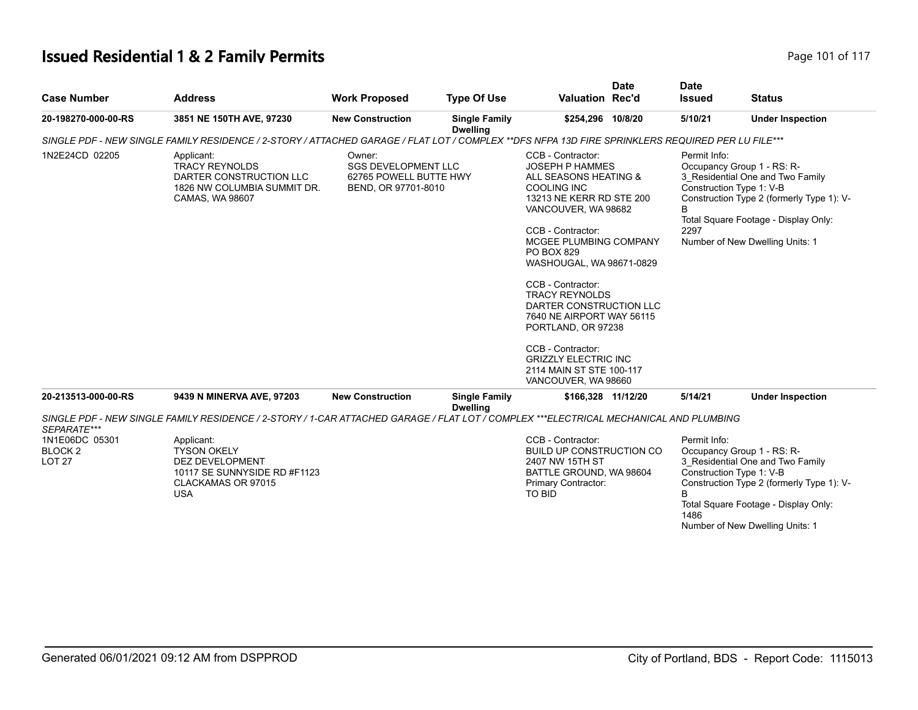#### **Issued Residential 1 & 2 Family Permits Page 101 of 117 Page 101 of 117**

|                                                  |                                                                                                                                                  |                                                                                       |                                         |                                                                                                                                                                                                                                                                                                                                                                                                                                                                           | <b>Date</b> | <b>Date</b>                          |                                                                                                                                                                                                                    |
|--------------------------------------------------|--------------------------------------------------------------------------------------------------------------------------------------------------|---------------------------------------------------------------------------------------|-----------------------------------------|---------------------------------------------------------------------------------------------------------------------------------------------------------------------------------------------------------------------------------------------------------------------------------------------------------------------------------------------------------------------------------------------------------------------------------------------------------------------------|-------------|--------------------------------------|--------------------------------------------------------------------------------------------------------------------------------------------------------------------------------------------------------------------|
| <b>Case Number</b>                               | <b>Address</b>                                                                                                                                   | <b>Work Proposed</b>                                                                  | <b>Type Of Use</b>                      | <b>Valuation Rec'd</b>                                                                                                                                                                                                                                                                                                                                                                                                                                                    |             | <b>Issued</b>                        | <b>Status</b>                                                                                                                                                                                                      |
| 20-198270-000-00-RS                              | 3851 NE 150TH AVE, 97230                                                                                                                         | <b>New Construction</b>                                                               | <b>Single Family</b><br><b>Dwelling</b> | \$254,296 10/8/20                                                                                                                                                                                                                                                                                                                                                                                                                                                         |             | 5/10/21                              | <b>Under Inspection</b>                                                                                                                                                                                            |
|                                                  | SINGLE PDF - NEW SINGLE FAMILY RESIDENCE / 2-STORY / ATTACHED GARAGE / FLAT LOT / COMPLEX **DFS NFPA 13D FIRE SPRINKLERS REQUIRED PER LU FILE*** |                                                                                       |                                         |                                                                                                                                                                                                                                                                                                                                                                                                                                                                           |             |                                      |                                                                                                                                                                                                                    |
| 1N2E24CD 02205                                   | Applicant:<br><b>TRACY REYNOLDS</b><br>DARTER CONSTRUCTION LLC<br>1826 NW COLUMBIA SUMMIT DR.<br>CAMAS, WA 98607                                 | Owner:<br><b>SGS DEVELOPMENT LLC</b><br>62765 POWELL BUTTE HWY<br>BEND, OR 97701-8010 |                                         | CCB - Contractor:<br><b>JOSEPH P HAMMES</b><br>ALL SEASONS HEATING &<br><b>COOLING INC</b><br>13213 NE KERR RD STE 200<br>VANCOUVER, WA 98682<br>CCB - Contractor:<br>MCGEE PLUMBING COMPANY<br>PO BOX 829<br>WASHOUGAL, WA 98671-0829<br>CCB - Contractor:<br><b>TRACY REYNOLDS</b><br>DARTER CONSTRUCTION LLC<br>7640 NE AIRPORT WAY 56115<br>PORTLAND, OR 97238<br>CCB - Contractor:<br><b>GRIZZLY ELECTRIC INC</b><br>2114 MAIN ST STE 100-117<br>VANCOUVER, WA 98660 |             | Permit Info:<br>2297                 | Occupancy Group 1 - RS: R-<br>3 Residential One and Two Family<br>Construction Type 1: V-B<br>Construction Type 2 (formerly Type 1): V-<br>Total Square Footage - Display Only:<br>Number of New Dwelling Units: 1 |
| 20-213513-000-00-RS                              | 9439 N MINERVA AVE, 97203                                                                                                                        | <b>New Construction</b>                                                               | <b>Single Family</b><br><b>Dwelling</b> | \$166,328 11/12/20                                                                                                                                                                                                                                                                                                                                                                                                                                                        |             | 5/14/21                              | <b>Under Inspection</b>                                                                                                                                                                                            |
| SEPARATE***                                      | SINGLE PDF - NEW SINGLE FAMILY RESIDENCE / 2-STORY / 1-CAR ATTACHED GARAGE / FLAT LOT / COMPLEX ***ELECTRICAL MECHANICAL AND PLUMBING            |                                                                                       |                                         |                                                                                                                                                                                                                                                                                                                                                                                                                                                                           |             |                                      |                                                                                                                                                                                                                    |
| 1N1E06DC 05301<br><b>BLOCK2</b><br><b>LOT 27</b> | Applicant:<br><b>TYSON OKELY</b><br><b>DEZ DEVELOPMENT</b><br>10117 SE SUNNYSIDE RD #F1123<br>CLACKAMAS OR 97015<br><b>USA</b>                   |                                                                                       |                                         | CCB - Contractor:<br><b>BUILD UP CONSTRUCTION CO</b><br>2407 NW 15TH ST<br>BATTLE GROUND, WA 98604<br>Primary Contractor:<br>TO BID                                                                                                                                                                                                                                                                                                                                       |             | Permit Info:<br><sub>R</sub><br>1486 | Occupancy Group 1 - RS: R-<br>3 Residential One and Two Family<br>Construction Type 1: V-B<br>Construction Type 2 (formerly Type 1): V-<br>Total Square Footage - Display Only:<br>Number of New Dwelling Units: 1 |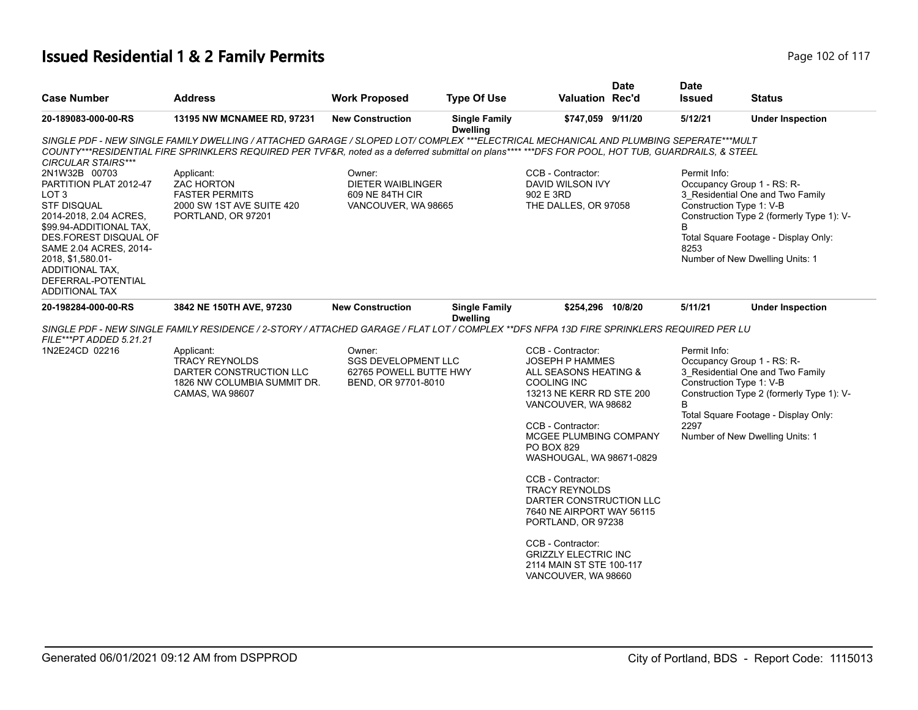#### **Issued Residential 1 & 2 Family Permits Page 102 of 117 Page 102 of 117**

|                                                                                                                                                                                                                                                                       |                                                                                                                                                                                                                                                                                            |                                                                                       |                                         |                                                                                                                                                                                                                                                                                                                                                                                                                                                                                  | <b>Date</b> | <b>Date</b>               |                                                                                                                                                                                                                    |
|-----------------------------------------------------------------------------------------------------------------------------------------------------------------------------------------------------------------------------------------------------------------------|--------------------------------------------------------------------------------------------------------------------------------------------------------------------------------------------------------------------------------------------------------------------------------------------|---------------------------------------------------------------------------------------|-----------------------------------------|----------------------------------------------------------------------------------------------------------------------------------------------------------------------------------------------------------------------------------------------------------------------------------------------------------------------------------------------------------------------------------------------------------------------------------------------------------------------------------|-------------|---------------------------|--------------------------------------------------------------------------------------------------------------------------------------------------------------------------------------------------------------------|
| <b>Case Number</b>                                                                                                                                                                                                                                                    | <b>Address</b>                                                                                                                                                                                                                                                                             | <b>Work Proposed</b>                                                                  | <b>Type Of Use</b>                      | Valuation Rec'd                                                                                                                                                                                                                                                                                                                                                                                                                                                                  |             | <b>Issued</b>             | <b>Status</b>                                                                                                                                                                                                      |
| 20-189083-000-00-RS                                                                                                                                                                                                                                                   | 13195 NW MCNAMEE RD, 97231                                                                                                                                                                                                                                                                 | <b>New Construction</b>                                                               | <b>Single Family</b><br><b>Dwelling</b> | \$747,059 9/11/20                                                                                                                                                                                                                                                                                                                                                                                                                                                                |             | 5/12/21                   | <b>Under Inspection</b>                                                                                                                                                                                            |
| <b>CIRCULAR STAIRS***</b>                                                                                                                                                                                                                                             | SINGLE PDF - NEW SINGLE FAMILY DWELLING / ATTACHED GARAGE / SLOPED LOT/ COMPLEX ***ELECTRICAL MECHANICAL AND PLUMBING SEPERATE***MULT<br>COUNTY***RESIDENTIAL FIRE SPRINKLERS REQUIRED PER TVF&R, noted as a deferred submittal on plans**** ***DFS FOR POOL, HOT TUB, GUARDRAILS, & STEEL |                                                                                       |                                         |                                                                                                                                                                                                                                                                                                                                                                                                                                                                                  |             |                           |                                                                                                                                                                                                                    |
| 2N1W32B 00703<br>PARTITION PLAT 2012-47<br>LOT 3<br><b>STF DISQUAL</b><br>2014-2018, 2.04 ACRES,<br>\$99.94-ADDITIONAL TAX,<br>DES.FOREST DISQUAL OF<br>SAME 2.04 ACRES, 2014-<br>2018, \$1,580.01-<br>ADDITIONAL TAX,<br>DEFERRAL-POTENTIAL<br><b>ADDITIONAL TAX</b> | Applicant:<br>ZAC HORTON<br><b>FASTER PERMITS</b><br>2000 SW 1ST AVE SUITE 420<br>PORTLAND, OR 97201                                                                                                                                                                                       | Owner:<br><b>DIETER WAIBLINGER</b><br>609 NE 84TH CIR<br>VANCOUVER, WA 98665          |                                         | CCB - Contractor:<br>DAVID WILSON IVY<br>902 E 3RD<br>THE DALLES, OR 97058                                                                                                                                                                                                                                                                                                                                                                                                       |             | Permit Info:<br>8253      | Occupancy Group 1 - RS: R-<br>3 Residential One and Two Family<br>Construction Type 1: V-B<br>Construction Type 2 (formerly Type 1): V-<br>Total Square Footage - Display Only:<br>Number of New Dwelling Units: 1 |
| 20-198284-000-00-RS                                                                                                                                                                                                                                                   | 3842 NE 150TH AVE, 97230                                                                                                                                                                                                                                                                   | <b>New Construction</b>                                                               | <b>Single Family</b><br><b>Dwelling</b> | \$254,296 10/8/20                                                                                                                                                                                                                                                                                                                                                                                                                                                                |             | 5/11/21                   | <b>Under Inspection</b>                                                                                                                                                                                            |
| FILE***PT ADDED 5.21.21                                                                                                                                                                                                                                               | SINGLE PDF - NEW SINGLE FAMILY RESIDENCE / 2-STORY / ATTACHED GARAGE / FLAT LOT / COMPLEX **DFS NFPA 13D FIRE SPRINKLERS REQUIRED PER LU                                                                                                                                                   |                                                                                       |                                         |                                                                                                                                                                                                                                                                                                                                                                                                                                                                                  |             |                           |                                                                                                                                                                                                                    |
| 1N2E24CD 02216                                                                                                                                                                                                                                                        | Applicant:<br><b>TRACY REYNOLDS</b><br>DARTER CONSTRUCTION LLC<br>1826 NW COLUMBIA SUMMIT DR.<br>CAMAS, WA 98607                                                                                                                                                                           | Owner:<br><b>SGS DEVELOPMENT LLC</b><br>62765 POWELL BUTTE HWY<br>BEND, OR 97701-8010 |                                         | CCB - Contractor:<br><b>JOSEPH P HAMMES</b><br>ALL SEASONS HEATING &<br><b>COOLING INC</b><br>13213 NE KERR RD STE 200<br>VANCOUVER, WA 98682<br>CCB - Contractor:<br>MCGEE PLUMBING COMPANY<br><b>PO BOX 829</b><br>WASHOUGAL, WA 98671-0829<br>CCB - Contractor:<br><b>TRACY REYNOLDS</b><br>DARTER CONSTRUCTION LLC<br>7640 NE AIRPORT WAY 56115<br>PORTLAND, OR 97238<br>CCB - Contractor:<br><b>GRIZZLY ELECTRIC INC</b><br>2114 MAIN ST STE 100-117<br>VANCOUVER, WA 98660 |             | Permit Info:<br>B<br>2297 | Occupancy Group 1 - RS: R-<br>3_Residential One and Two Family<br>Construction Type 1: V-B<br>Construction Type 2 (formerly Type 1): V-<br>Total Square Footage - Display Only:<br>Number of New Dwelling Units: 1 |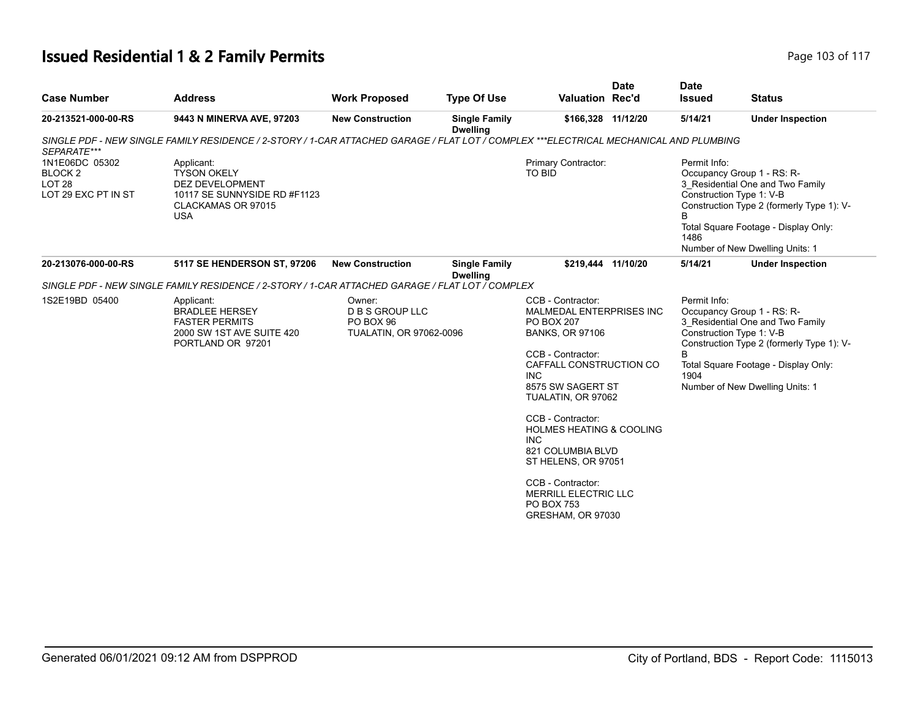#### **Issued Residential 1 & 2 Family Permits Page 103 of 117 Page 103 of 117**

| <b>Case Number</b>                                                               | <b>Address</b>                                                                                                                        | <b>Work Proposed</b>                                                     | <b>Type Of Use</b>                      | <b>Valuation Rec'd</b>                                                                                                                                                                                                                                                                                                                                                                                                           | <b>Date</b> | <b>Date</b><br><b>Issued</b> | <b>Status</b>                                                                                                                                                                                                      |
|----------------------------------------------------------------------------------|---------------------------------------------------------------------------------------------------------------------------------------|--------------------------------------------------------------------------|-----------------------------------------|----------------------------------------------------------------------------------------------------------------------------------------------------------------------------------------------------------------------------------------------------------------------------------------------------------------------------------------------------------------------------------------------------------------------------------|-------------|------------------------------|--------------------------------------------------------------------------------------------------------------------------------------------------------------------------------------------------------------------|
| 20-213521-000-00-RS                                                              | 9443 N MINERVA AVE, 97203                                                                                                             | <b>New Construction</b>                                                  | <b>Single Family</b><br><b>Dwelling</b> | \$166,328 11/12/20                                                                                                                                                                                                                                                                                                                                                                                                               |             | 5/14/21                      | <b>Under Inspection</b>                                                                                                                                                                                            |
| SEPARATE***                                                                      | SINGLE PDF - NEW SINGLE FAMILY RESIDENCE / 2-STORY / 1-CAR ATTACHED GARAGE / FLAT LOT / COMPLEX ***ELECTRICAL MECHANICAL AND PLUMBING |                                                                          |                                         |                                                                                                                                                                                                                                                                                                                                                                                                                                  |             |                              |                                                                                                                                                                                                                    |
| 1N1E06DC 05302<br>BLOCK <sub>2</sub><br>LOT <sub>28</sub><br>LOT 29 EXC PT IN ST | Applicant:<br><b>TYSON OKELY</b><br><b>DEZ DEVELOPMENT</b><br>10117 SE SUNNYSIDE RD #F1123<br>CLACKAMAS OR 97015<br><b>USA</b>        |                                                                          |                                         | Primary Contractor:<br><b>TO BID</b>                                                                                                                                                                                                                                                                                                                                                                                             |             | Permit Info:<br>B<br>1486    | Occupancy Group 1 - RS: R-<br>3 Residential One and Two Family<br>Construction Type 1: V-B<br>Construction Type 2 (formerly Type 1): V-<br>Total Square Footage - Display Only:<br>Number of New Dwelling Units: 1 |
| 20-213076-000-00-RS                                                              | <b>5117 SE HENDERSON ST, 97206</b>                                                                                                    | <b>New Construction</b>                                                  | <b>Single Family</b><br><b>Dwelling</b> | \$219,444 11/10/20                                                                                                                                                                                                                                                                                                                                                                                                               |             | 5/14/21                      | <b>Under Inspection</b>                                                                                                                                                                                            |
|                                                                                  | SINGLE PDF - NEW SINGLE FAMILY RESIDENCE / 2-STORY / 1-CAR ATTACHED GARAGE / FLAT LOT / COMPLEX                                       |                                                                          |                                         |                                                                                                                                                                                                                                                                                                                                                                                                                                  |             |                              |                                                                                                                                                                                                                    |
| 1S2E19BD 05400                                                                   | Applicant:<br><b>BRADLEE HERSEY</b><br><b>FASTER PERMITS</b><br>2000 SW 1ST AVE SUITE 420<br>PORTLAND OR 97201                        | Owner:<br><b>D B S GROUP LLC</b><br>PO BOX 96<br>TUALATIN, OR 97062-0096 |                                         | CCB - Contractor:<br><b>MALMEDAL ENTERPRISES INC</b><br><b>PO BOX 207</b><br><b>BANKS, OR 97106</b><br>CCB - Contractor:<br>CAFFALL CONSTRUCTION CO<br><b>INC</b><br>8575 SW SAGERT ST<br>TUALATIN, OR 97062<br>CCB - Contractor:<br><b>HOLMES HEATING &amp; COOLING</b><br><b>INC</b><br>821 COLUMBIA BLVD<br>ST HELENS, OR 97051<br>CCB - Contractor:<br><b>MERRILL ELECTRIC LLC</b><br><b>PO BOX 753</b><br>GRESHAM, OR 97030 |             | Permit Info:<br>R<br>1904    | Occupancy Group 1 - RS: R-<br>3 Residential One and Two Family<br>Construction Type 1: V-B<br>Construction Type 2 (formerly Type 1): V-<br>Total Square Footage - Display Only:<br>Number of New Dwelling Units: 1 |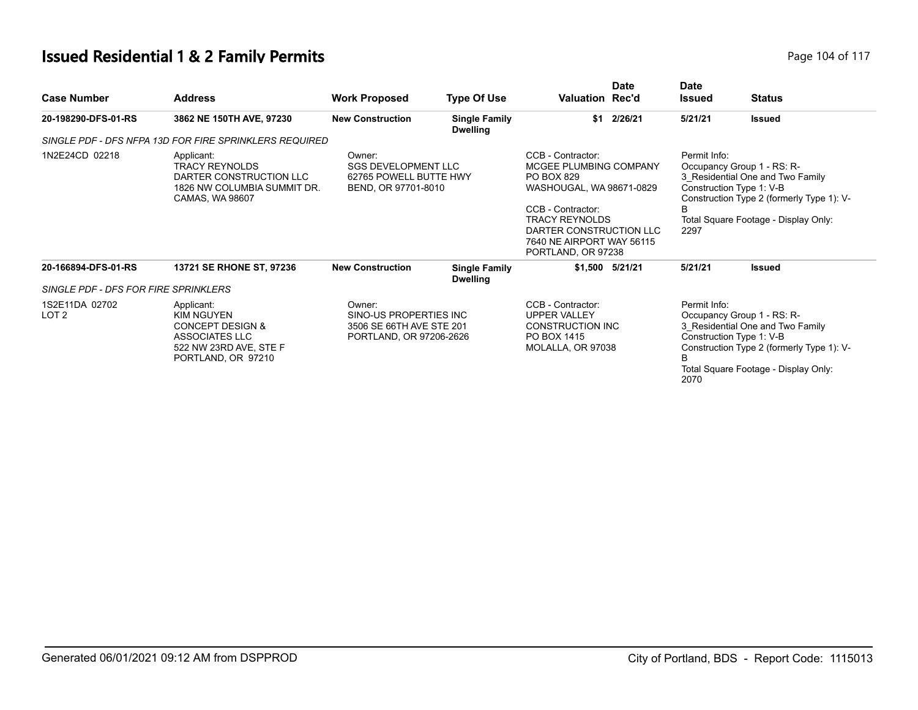#### **Issued Residential 1 & 2 Family Permits Page 104 of 117** Page 104 of 117

| <b>Case Number</b>                   | <b>Address</b>                                                                                                                          | <b>Work Proposed</b>                                                                    | <b>Type Of Use</b>                      | Valuation Rec'd                                                                                                                                                                                                   | <b>Date</b>        | <b>Date</b><br><b>Issued</b> | <b>Status</b>                                                                                                                                                                   |
|--------------------------------------|-----------------------------------------------------------------------------------------------------------------------------------------|-----------------------------------------------------------------------------------------|-----------------------------------------|-------------------------------------------------------------------------------------------------------------------------------------------------------------------------------------------------------------------|--------------------|------------------------------|---------------------------------------------------------------------------------------------------------------------------------------------------------------------------------|
| 20-198290-DFS-01-RS                  | 3862 NE 150TH AVE, 97230                                                                                                                | <b>New Construction</b>                                                                 | <b>Single Family</b><br><b>Dwelling</b> |                                                                                                                                                                                                                   | \$1 2/26/21        | 5/21/21                      | <b>Issued</b>                                                                                                                                                                   |
|                                      | SINGLE PDF - DFS NFPA 13D FOR FIRE SPRINKLERS REQUIRED                                                                                  |                                                                                         |                                         |                                                                                                                                                                                                                   |                    |                              |                                                                                                                                                                                 |
| 1N2E24CD 02218                       | Applicant:<br><b>TRACY REYNOLDS</b><br>DARTER CONSTRUCTION LLC<br>1826 NW COLUMBIA SUMMIT DR.<br>CAMAS, WA 98607                        | Owner:<br><b>SGS DEVELOPMENT LLC</b><br>62765 POWELL BUTTE HWY<br>BEND, OR 97701-8010   |                                         | CCB - Contractor:<br>MCGEE PLUMBING COMPANY<br>PO BOX 829<br>WASHOUGAL, WA 98671-0829<br>CCB - Contractor:<br><b>TRACY REYNOLDS</b><br>DARTER CONSTRUCTION LLC<br>7640 NE AIRPORT WAY 56115<br>PORTLAND, OR 97238 |                    | Permit Info:<br>2297         | Occupancy Group 1 - RS: R-<br>3 Residential One and Two Family<br>Construction Type 1: V-B<br>Construction Type 2 (formerly Type 1): V-<br>Total Square Footage - Display Only: |
| 20-166894-DFS-01-RS                  | 13721 SE RHONE ST, 97236                                                                                                                | <b>New Construction</b>                                                                 | <b>Single Family</b><br><b>Dwelling</b> |                                                                                                                                                                                                                   | $$1,500$ $5/21/21$ | 5/21/21                      | <b>Issued</b>                                                                                                                                                                   |
| SINGLE PDF - DFS FOR FIRE SPRINKLERS |                                                                                                                                         |                                                                                         |                                         |                                                                                                                                                                                                                   |                    |                              |                                                                                                                                                                                 |
| 1S2E11DA 02702<br>LOT <sub>2</sub>   | Applicant:<br><b>KIM NGUYEN</b><br><b>CONCEPT DESIGN &amp;</b><br><b>ASSOCIATES LLC</b><br>522 NW 23RD AVE, STE F<br>PORTLAND, OR 97210 | Owner:<br>SINO-US PROPERTIES INC<br>3506 SE 66TH AVE STE 201<br>PORTLAND, OR 97206-2626 |                                         | CCB - Contractor:<br><b>UPPER VALLEY</b><br><b>CONSTRUCTION INC</b><br>PO BOX 1415<br>MOLALLA, OR 97038                                                                                                           |                    | Permit Info:<br>2070         | Occupancy Group 1 - RS: R-<br>3 Residential One and Two Family<br>Construction Type 1: V-B<br>Construction Type 2 (formerly Type 1): V-<br>Total Square Footage - Display Only: |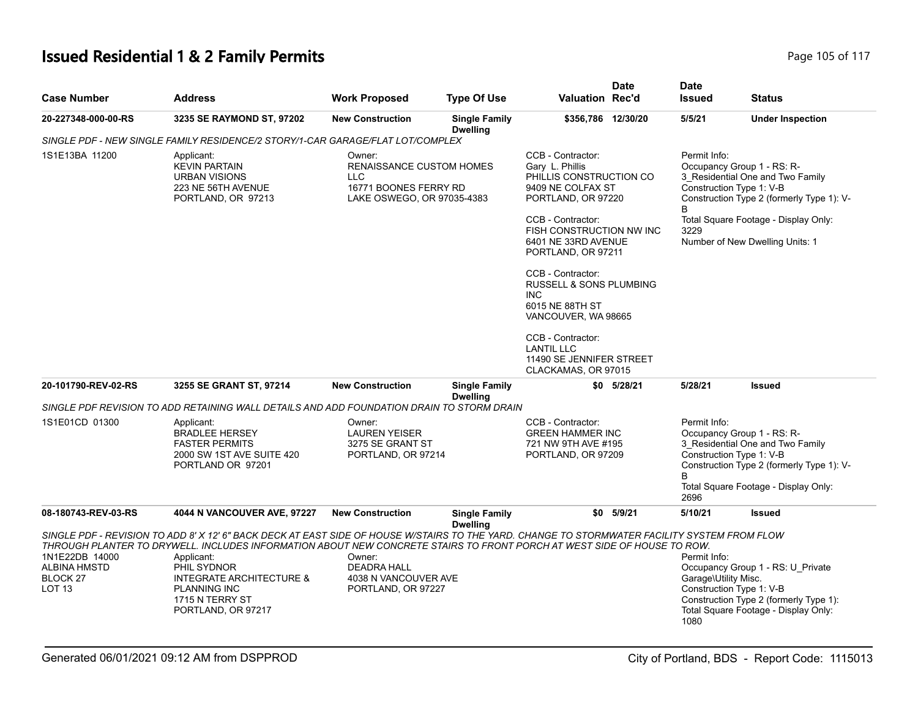#### **Issued Residential 1 & 2 Family Permits Page 105 of 117 Page 105 of 117**

| <b>Case Number</b>                                                                | <b>Address</b>                                                                                                                                                                                                                                                                                                                                                                                    | <b>Work Proposed</b>                                                                                           | <b>Type Of Use</b>                      | <b>Valuation Rec'd</b>                                                                                                                                                                                                                                                                                                                                                                                                   | <b>Date</b>    | <b>Date</b><br><b>Issued</b>                          | <b>Status</b>                                                                                                                                                                          |
|-----------------------------------------------------------------------------------|---------------------------------------------------------------------------------------------------------------------------------------------------------------------------------------------------------------------------------------------------------------------------------------------------------------------------------------------------------------------------------------------------|----------------------------------------------------------------------------------------------------------------|-----------------------------------------|--------------------------------------------------------------------------------------------------------------------------------------------------------------------------------------------------------------------------------------------------------------------------------------------------------------------------------------------------------------------------------------------------------------------------|----------------|-------------------------------------------------------|----------------------------------------------------------------------------------------------------------------------------------------------------------------------------------------|
| 20-227348-000-00-RS                                                               | 3235 SE RAYMOND ST, 97202                                                                                                                                                                                                                                                                                                                                                                         | <b>New Construction</b>                                                                                        | <b>Single Family</b><br><b>Dwelling</b> | \$356,786 12/30/20                                                                                                                                                                                                                                                                                                                                                                                                       |                | 5/5/21                                                | <b>Under Inspection</b>                                                                                                                                                                |
|                                                                                   | SINGLE PDF - NEW SINGLE FAMILY RESIDENCE/2 STORY/1-CAR GARAGE/FLAT LOT/COMPLEX                                                                                                                                                                                                                                                                                                                    |                                                                                                                |                                         |                                                                                                                                                                                                                                                                                                                                                                                                                          |                |                                                       |                                                                                                                                                                                        |
| 1S1E13BA 11200                                                                    | Applicant:<br><b>KEVIN PARTAIN</b><br><b>URBAN VISIONS</b><br>223 NE 56TH AVENUE<br>PORTLAND, OR 97213                                                                                                                                                                                                                                                                                            | Owner:<br><b>RENAISSANCE CUSTOM HOMES</b><br><b>LLC</b><br>16771 BOONES FERRY RD<br>LAKE OSWEGO, OR 97035-4383 |                                         | CCB - Contractor:<br>Gary L. Phillis<br>PHILLIS CONSTRUCTION CO<br>9409 NE COLFAX ST<br>PORTLAND, OR 97220<br>CCB - Contractor:<br>FISH CONSTRUCTION NW INC<br>6401 NE 33RD AVENUE<br>PORTLAND, OR 97211<br>CCB - Contractor:<br><b>RUSSELL &amp; SONS PLUMBING</b><br><b>INC</b><br>6015 NE 88TH ST<br>VANCOUVER, WA 98665<br>CCB - Contractor:<br><b>LANTIL LLC</b><br>11490 SE JENNIFER STREET<br>CLACKAMAS, OR 97015 |                | Permit Info:<br>Construction Type 1: V-B<br>B<br>3229 | Occupancy Group 1 - RS: R-<br>3_Residential One and Two Family<br>Construction Type 2 (formerly Type 1): V-<br>Total Square Footage - Display Only:<br>Number of New Dwelling Units: 1 |
| 20-101790-REV-02-RS                                                               | 3255 SE GRANT ST, 97214                                                                                                                                                                                                                                                                                                                                                                           | <b>New Construction</b>                                                                                        | <b>Single Family</b><br><b>Dwelling</b> |                                                                                                                                                                                                                                                                                                                                                                                                                          | $$0$ $5/28/21$ | 5/28/21                                               | <b>Issued</b>                                                                                                                                                                          |
|                                                                                   | SINGLE PDF REVISION TO ADD RETAINING WALL DETAILS AND ADD FOUNDATION DRAIN TO STORM DRAIN                                                                                                                                                                                                                                                                                                         |                                                                                                                |                                         |                                                                                                                                                                                                                                                                                                                                                                                                                          |                |                                                       |                                                                                                                                                                                        |
| 1S1E01CD 01300                                                                    | Applicant:<br><b>BRADLEE HERSEY</b><br><b>FASTER PERMITS</b><br>2000 SW 1ST AVE SUITE 420<br>PORTLAND OR 97201                                                                                                                                                                                                                                                                                    | Owner:<br><b>LAUREN YEISER</b><br>3275 SE GRANT ST<br>PORTLAND, OR 97214                                       |                                         | CCB - Contractor:<br><b>GREEN HAMMER INC</b><br>721 NW 9TH AVE #195<br>PORTLAND, OR 97209                                                                                                                                                                                                                                                                                                                                |                | Permit Info:<br>B<br>2696                             | Occupancy Group 1 - RS: R-<br>3 Residential One and Two Family<br>Construction Type 1: V-B<br>Construction Type 2 (formerly Type 1): V-<br>Total Square Footage - Display Only:        |
| 08-180743-REV-03-RS                                                               | 4044 N VANCOUVER AVE, 97227                                                                                                                                                                                                                                                                                                                                                                       | <b>New Construction</b>                                                                                        | <b>Single Family</b>                    |                                                                                                                                                                                                                                                                                                                                                                                                                          | \$0 5/9/21     | 5/10/21                                               | <b>Issued</b>                                                                                                                                                                          |
| 1N1E22DB 14000<br><b>ALBINA HMSTD</b><br>BLOCK <sub>27</sub><br>LOT <sub>13</sub> | SINGLE PDF - REVISION TO ADD 8' X 12' 6" BACK DECK AT EAST SIDE OF HOUSE W/STAIRS TO THE YARD. CHANGE TO STORMWATER FACILITY SYSTEM FROM FLOW<br>THROUGH PLANTER TO DRYWELL. INCLUDES INFORMATION ABOUT NEW CONCRETE STAIRS TO FRONT PORCH AT WEST SIDE OF HOUSE TO ROW.<br>Applicant:<br>PHIL SYDNOR<br>INTEGRATE ARCHITECTURE &<br><b>PLANNING INC</b><br>1715 N TERRY ST<br>PORTLAND, OR 97217 | Owner:<br><b>DEADRA HALL</b><br>4038 N VANCOUVER AVE<br>PORTLAND, OR 97227                                     | <b>Dwelling</b>                         |                                                                                                                                                                                                                                                                                                                                                                                                                          |                | Permit Info:<br>Garage\Utility Misc.<br>1080          | Occupancy Group 1 - RS: U_Private<br>Construction Type 1: V-B<br>Construction Type 2 (formerly Type 1):<br>Total Square Footage - Display Only:                                        |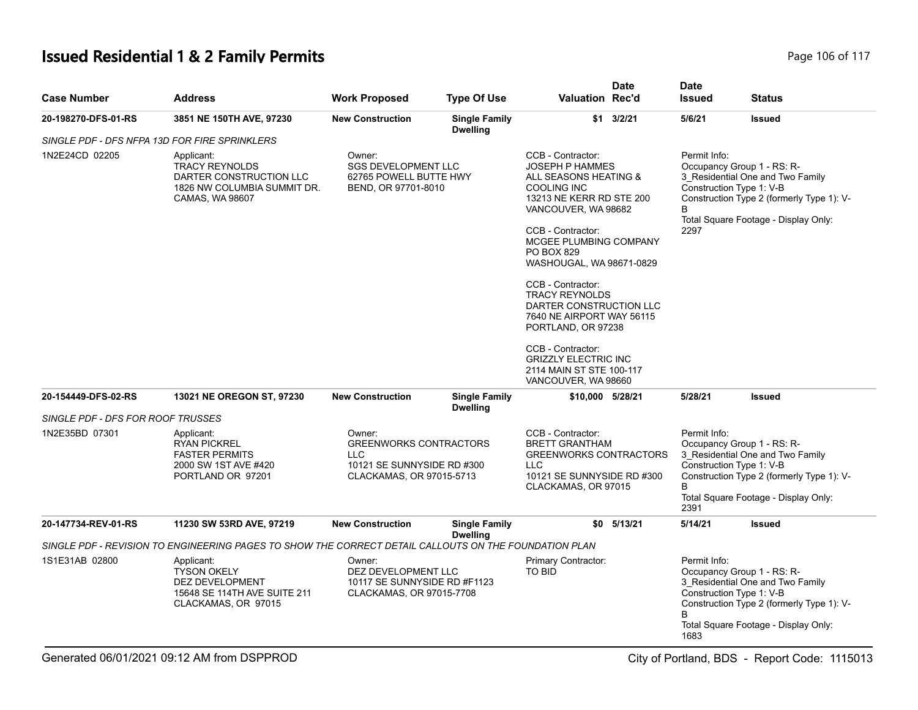# **Issued Residential 1 & 2 Family Permits Page 106 of 117 Page 106 of 117**

| <b>Case Number</b>                | <b>Address</b>                                                                                                   | <b>Work Proposed</b>                                                                                     | <b>Type Of Use</b>                      | <b>Valuation Rec'd</b>                                                                                                                                                                                                                                                                                                                                                                                                                                                    | <b>Date</b>    | <b>Date</b><br><b>Issued</b>                          | <b>Status</b>                                                                                                                                       |
|-----------------------------------|------------------------------------------------------------------------------------------------------------------|----------------------------------------------------------------------------------------------------------|-----------------------------------------|---------------------------------------------------------------------------------------------------------------------------------------------------------------------------------------------------------------------------------------------------------------------------------------------------------------------------------------------------------------------------------------------------------------------------------------------------------------------------|----------------|-------------------------------------------------------|-----------------------------------------------------------------------------------------------------------------------------------------------------|
| 20-198270-DFS-01-RS               | 3851 NE 150TH AVE, 97230                                                                                         | <b>New Construction</b>                                                                                  | <b>Single Family</b><br><b>Dwelling</b> |                                                                                                                                                                                                                                                                                                                                                                                                                                                                           | $$1$ 3/2/21    | 5/6/21                                                | <b>Issued</b>                                                                                                                                       |
|                                   | SINGLE PDF - DFS NFPA 13D FOR FIRE SPRINKLERS                                                                    |                                                                                                          |                                         |                                                                                                                                                                                                                                                                                                                                                                                                                                                                           |                |                                                       |                                                                                                                                                     |
| 1N2E24CD 02205                    | Applicant:<br><b>TRACY REYNOLDS</b><br>DARTER CONSTRUCTION LLC<br>1826 NW COLUMBIA SUMMIT DR.<br>CAMAS, WA 98607 | Owner:<br><b>SGS DEVELOPMENT LLC</b><br>62765 POWELL BUTTE HWY<br>BEND, OR 97701-8010                    |                                         | CCB - Contractor:<br><b>JOSEPH P HAMMES</b><br>ALL SEASONS HEATING &<br><b>COOLING INC</b><br>13213 NE KERR RD STE 200<br>VANCOUVER, WA 98682<br>CCB - Contractor:<br>MCGEE PLUMBING COMPANY<br>PO BOX 829<br>WASHOUGAL, WA 98671-0829<br>CCB - Contractor:<br><b>TRACY REYNOLDS</b><br>DARTER CONSTRUCTION LLC<br>7640 NE AIRPORT WAY 56115<br>PORTLAND, OR 97238<br>CCB - Contractor:<br><b>GRIZZLY ELECTRIC INC</b><br>2114 MAIN ST STE 100-117<br>VANCOUVER, WA 98660 |                | Permit Info:<br>Construction Type 1: V-B<br>B<br>2297 | Occupancy Group 1 - RS: R-<br>3 Residential One and Two Family<br>Construction Type 2 (formerly Type 1): V-<br>Total Square Footage - Display Only: |
| 20-154449-DFS-02-RS               | 13021 NE OREGON ST, 97230                                                                                        | <b>New Construction</b>                                                                                  | <b>Single Family</b><br><b>Dwelling</b> | \$10,000 5/28/21                                                                                                                                                                                                                                                                                                                                                                                                                                                          |                | 5/28/21                                               | <b>Issued</b>                                                                                                                                       |
| SINGLE PDF - DFS FOR ROOF TRUSSES |                                                                                                                  |                                                                                                          |                                         |                                                                                                                                                                                                                                                                                                                                                                                                                                                                           |                |                                                       |                                                                                                                                                     |
| 1N2E35BD 07301                    | Applicant:<br><b>RYAN PICKREL</b><br><b>FASTER PERMITS</b><br>2000 SW 1ST AVE #420<br>PORTLAND OR 97201          | Owner:<br><b>GREENWORKS CONTRACTORS</b><br>LLC<br>10121 SE SUNNYSIDE RD #300<br>CLACKAMAS, OR 97015-5713 |                                         | CCB - Contractor:<br><b>BRETT GRANTHAM</b><br><b>GREENWORKS CONTRACTORS</b><br><b>LLC</b><br>10121 SE SUNNYSIDE RD #300<br>CLACKAMAS, OR 97015                                                                                                                                                                                                                                                                                                                            |                | Permit Info:<br>Construction Type 1: V-B<br>B<br>2391 | Occupancy Group 1 - RS: R-<br>3_Residential One and Two Family<br>Construction Type 2 (formerly Type 1): V-<br>Total Square Footage - Display Only: |
| 20-147734-REV-01-RS               | 11230 SW 53RD AVE, 97219                                                                                         | <b>New Construction</b>                                                                                  | <b>Single Family</b><br><b>Dwelling</b> |                                                                                                                                                                                                                                                                                                                                                                                                                                                                           | $$0$ $5/13/21$ | 5/14/21                                               | <b>Issued</b>                                                                                                                                       |
|                                   | SINGLE PDF - REVISION TO ENGINEERING PAGES TO SHOW THE CORRECT DETAIL CALLOUTS ON THE FOUNDATION PLAN            |                                                                                                          |                                         |                                                                                                                                                                                                                                                                                                                                                                                                                                                                           |                |                                                       |                                                                                                                                                     |
| 1S1E31AB 02800                    | Applicant:<br><b>TYSON OKELY</b><br>DEZ DEVELOPMENT<br>15648 SE 114TH AVE SUITE 211<br>CLACKAMAS, OR 97015       | Owner:<br>DEZ DEVELOPMENT LLC<br>10117 SE SUNNYSIDE RD #F1123<br>CLACKAMAS, OR 97015-7708                |                                         | Primary Contractor:<br><b>TO BID</b>                                                                                                                                                                                                                                                                                                                                                                                                                                      |                | Permit Info:<br>Construction Type 1: V-B<br>1683      | Occupancy Group 1 - RS: R-<br>3_Residential One and Two Family<br>Construction Type 2 (formerly Type 1): V-<br>Total Square Footage - Display Only: |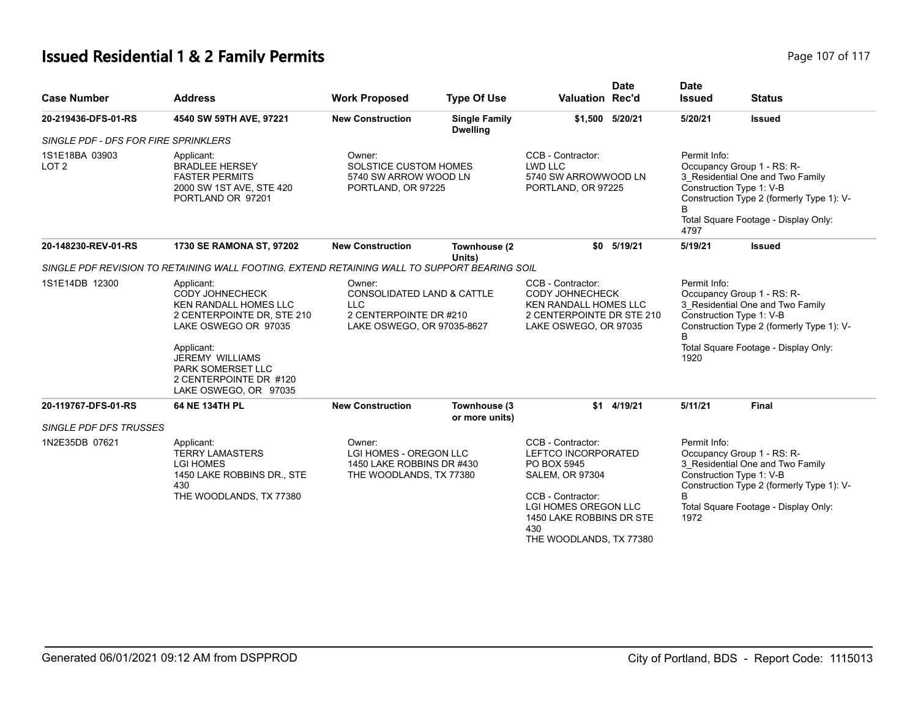# **Issued Residential 1 & 2 Family Permits Page 107 of 117 Page 107 of 117**

| <b>Case Number</b>                   | <b>Address</b>                                                                                                                                                                                                                      | <b>Work Proposed</b>                                                                                                  | <b>Type Of Use</b>                      | <b>Valuation Rec'd</b>                                                                                                                                                                              | <b>Date</b>     | <b>Date</b><br><b>Issued</b> | <b>Status</b>                                                                                                                                                                   |
|--------------------------------------|-------------------------------------------------------------------------------------------------------------------------------------------------------------------------------------------------------------------------------------|-----------------------------------------------------------------------------------------------------------------------|-----------------------------------------|-----------------------------------------------------------------------------------------------------------------------------------------------------------------------------------------------------|-----------------|------------------------------|---------------------------------------------------------------------------------------------------------------------------------------------------------------------------------|
| 20-219436-DFS-01-RS                  | 4540 SW 59TH AVE, 97221                                                                                                                                                                                                             | <b>New Construction</b>                                                                                               | <b>Single Family</b><br><b>Dwelling</b> |                                                                                                                                                                                                     | \$1,500 5/20/21 | 5/20/21                      | <b>Issued</b>                                                                                                                                                                   |
| SINGLE PDF - DFS FOR FIRE SPRINKLERS |                                                                                                                                                                                                                                     |                                                                                                                       |                                         |                                                                                                                                                                                                     |                 |                              |                                                                                                                                                                                 |
| 1S1E18BA 03903<br>LOT <sub>2</sub>   | Applicant:<br><b>BRADLEE HERSEY</b><br><b>FASTER PERMITS</b><br>2000 SW 1ST AVE, STE 420<br>PORTLAND OR 97201                                                                                                                       | Owner:<br>SOLSTICE CUSTOM HOMES<br>5740 SW ARROW WOOD LN<br>PORTLAND, OR 97225                                        |                                         | CCB - Contractor:<br>LWD LLC<br>5740 SW ARROWWOOD LN<br>PORTLAND, OR 97225                                                                                                                          |                 | Permit Info:<br>B<br>4797    | Occupancy Group 1 - RS: R-<br>3_Residential One and Two Family<br>Construction Type 1: V-B<br>Construction Type 2 (formerly Type 1): V-<br>Total Square Footage - Display Only: |
| 20-148230-REV-01-RS                  | 1730 SE RAMONA ST, 97202                                                                                                                                                                                                            | <b>New Construction</b>                                                                                               | Townhouse (2<br>Units)                  | \$0                                                                                                                                                                                                 | 5/19/21         | 5/19/21                      | <b>Issued</b>                                                                                                                                                                   |
|                                      | SINGLE PDF REVISION TO RETAINING WALL FOOTING. EXTEND RETAINING WALL TO SUPPORT BEARING SOIL                                                                                                                                        |                                                                                                                       |                                         |                                                                                                                                                                                                     |                 |                              |                                                                                                                                                                                 |
| 1S1E14DB 12300                       | Applicant:<br>CODY JOHNECHECK<br>KEN RANDALL HOMES LLC<br>2 CENTERPOINTE DR, STE 210<br>LAKE OSWEGO OR 97035<br>Applicant:<br><b>JEREMY WILLIAMS</b><br><b>PARK SOMERSET LLC</b><br>2 CENTERPOINTE DR #120<br>LAKE OSWEGO, OR 97035 | Owner:<br><b>CONSOLIDATED LAND &amp; CATTLE</b><br><b>LLC</b><br>2 CENTERPOINTE DR #210<br>LAKE OSWEGO, OR 97035-8627 |                                         | CCB - Contractor:<br>CODY JOHNECHECK<br>KEN RANDALL HOMES LLC<br>2 CENTERPOINTE DR STE 210<br>LAKE OSWEGO, OR 97035                                                                                 |                 | Permit Info:<br>1920         | Occupancy Group 1 - RS: R-<br>3_Residential One and Two Family<br>Construction Type 1: V-B<br>Construction Type 2 (formerly Type 1): V-<br>Total Square Footage - Display Only: |
| 20-119767-DFS-01-RS                  | 64 NE 134TH PL                                                                                                                                                                                                                      | <b>New Construction</b>                                                                                               | Townhouse (3<br>or more units)          |                                                                                                                                                                                                     | \$1 4/19/21     | 5/11/21                      | Final                                                                                                                                                                           |
| <b>SINGLE PDF DFS TRUSSES</b>        |                                                                                                                                                                                                                                     |                                                                                                                       |                                         |                                                                                                                                                                                                     |                 |                              |                                                                                                                                                                                 |
| 1N2E35DB 07621                       | Applicant:<br><b>TERRY LAMASTERS</b><br><b>LGI HOMES</b><br>1450 LAKE ROBBINS DR., STE<br>430<br>THE WOODLANDS, TX 77380                                                                                                            | Owner:<br>LGI HOMES - OREGON LLC<br>1450 LAKE ROBBINS DR #430<br>THE WOODLANDS, TX 77380                              |                                         | CCB - Contractor:<br>LEFTCO INCORPORATED<br>PO BOX 5945<br><b>SALEM, OR 97304</b><br>CCB - Contractor:<br><b>LGI HOMES OREGON LLC</b><br>1450 LAKE ROBBINS DR STE<br>430<br>THE WOODLANDS, TX 77380 |                 | Permit Info:<br>1972         | Occupancy Group 1 - RS: R-<br>3_Residential One and Two Family<br>Construction Type 1: V-B<br>Construction Type 2 (formerly Type 1): V-<br>Total Square Footage - Display Only: |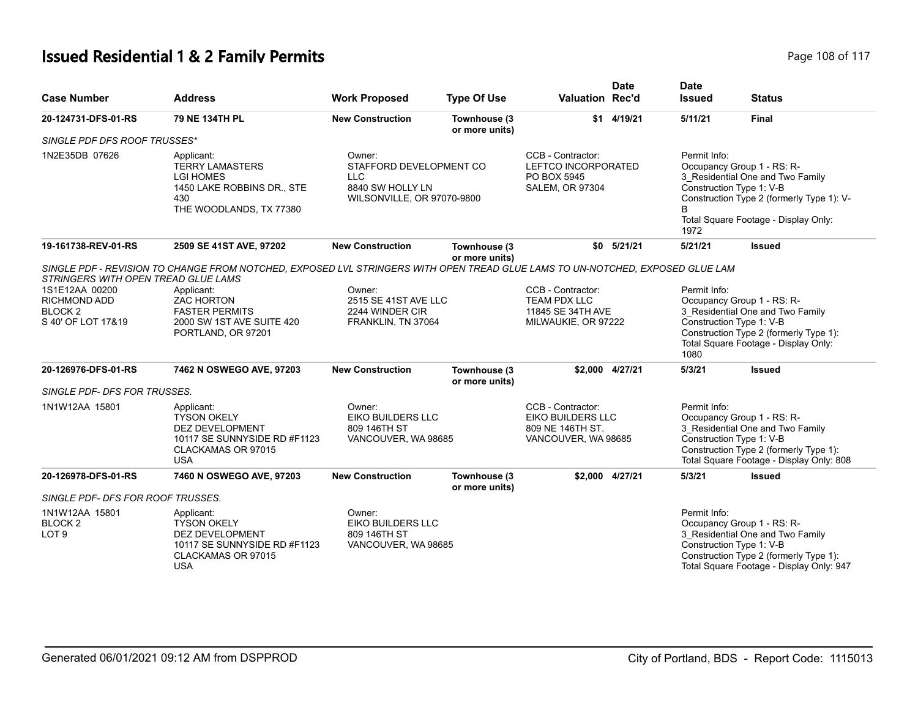# **Issued Residential 1 & 2 Family Permits Page 108 of 117 Page 108 of 117**

| <b>Case Number</b>                                                                | <b>Address</b>                                                                                                                 | <b>Work Proposed</b>                                                      | <b>Type Of Use</b>                                                                                                                         | Valuation Rec'd                                                                          | <b>Date</b>                                                                                                                                                                                             | <b>Date</b><br><b>Issued</b>                                                                                                                                                                         | <b>Status</b>                                                                                                                                                                    |  |
|-----------------------------------------------------------------------------------|--------------------------------------------------------------------------------------------------------------------------------|---------------------------------------------------------------------------|--------------------------------------------------------------------------------------------------------------------------------------------|------------------------------------------------------------------------------------------|---------------------------------------------------------------------------------------------------------------------------------------------------------------------------------------------------------|------------------------------------------------------------------------------------------------------------------------------------------------------------------------------------------------------|----------------------------------------------------------------------------------------------------------------------------------------------------------------------------------|--|
| 20-124731-DFS-01-RS                                                               | 79 NE 134TH PL                                                                                                                 | <b>New Construction</b>                                                   | Townhouse (3<br>or more units)                                                                                                             |                                                                                          | \$1 4/19/21                                                                                                                                                                                             | 5/11/21                                                                                                                                                                                              | <b>Final</b>                                                                                                                                                                     |  |
| SINGLE PDF DFS ROOF TRUSSES*                                                      |                                                                                                                                |                                                                           |                                                                                                                                            |                                                                                          |                                                                                                                                                                                                         |                                                                                                                                                                                                      |                                                                                                                                                                                  |  |
| 1N2E35DB 07626                                                                    | Applicant:<br><b>TERRY LAMASTERS</b><br><b>LGI HOMES</b><br>1450 LAKE ROBBINS DR., STE<br>430<br>THE WOODLANDS, TX 77380       | Owner:<br>LLC.<br>8840 SW HOLLY LN                                        | CCB - Contractor:<br>STAFFORD DEVELOPMENT CO<br>LEFTCO INCORPORATED<br>PO BOX 5945<br><b>SALEM, OR 97304</b><br>WILSONVILLE, OR 97070-9800 |                                                                                          | Permit Info:<br>Occupancy Group 1 - RS: R-<br>3_Residential One and Two Family<br>Construction Type 1: V-B<br>Construction Type 2 (formerly Type 1): V-<br>Total Square Footage - Display Only:<br>1972 |                                                                                                                                                                                                      |                                                                                                                                                                                  |  |
| 19-161738-REV-01-RS                                                               | 2509 SE 41ST AVE, 97202                                                                                                        | <b>New Construction</b>                                                   | Townhouse (3                                                                                                                               |                                                                                          | $$0$ $5/21/21$                                                                                                                                                                                          | 5/21/21                                                                                                                                                                                              | <b>Issued</b>                                                                                                                                                                    |  |
| STRINGERS WITH OPEN TREAD GLUE LAMS                                               | SINGLE PDF - REVISION TO CHANGE FROM NOTCHED, EXPOSED LVL STRINGERS WITH OPEN TREAD GLUE LAMS TO UN-NOTCHED, EXPOSED GLUE LAM  |                                                                           | or more units)                                                                                                                             |                                                                                          |                                                                                                                                                                                                         |                                                                                                                                                                                                      |                                                                                                                                                                                  |  |
| 1S1E12AA 00200<br><b>RICHMOND ADD</b><br>BLOCK <sub>2</sub><br>S 40' OF LOT 17&19 | Applicant:<br><b>ZAC HORTON</b><br><b>FASTER PERMITS</b><br>2000 SW 1ST AVE SUITE 420<br>PORTLAND, OR 97201                    | Owner:<br>2515 SE 41ST AVE LLC<br>2244 WINDER CIR<br>FRANKLIN, TN 37064   |                                                                                                                                            | CCB - Contractor:<br><b>TEAM PDX LLC</b><br>11845 SE 34TH AVE<br>MILWAUKIE, OR 97222     |                                                                                                                                                                                                         | Permit Info:<br>Occupancy Group 1 - RS: R-<br>3_Residential One and Two Family<br>Construction Type 1: V-B<br>Construction Type 2 (formerly Type 1):<br>Total Square Footage - Display Only:<br>1080 |                                                                                                                                                                                  |  |
| 20-126976-DFS-01-RS                                                               | 7462 N OSWEGO AVE, 97203                                                                                                       | <b>New Construction</b>                                                   | Townhouse (3<br>or more units)                                                                                                             |                                                                                          | \$2,000 4/27/21                                                                                                                                                                                         | 5/3/21                                                                                                                                                                                               | <b>Issued</b>                                                                                                                                                                    |  |
| SINGLE PDF- DFS FOR TRUSSES.                                                      |                                                                                                                                |                                                                           |                                                                                                                                            |                                                                                          |                                                                                                                                                                                                         |                                                                                                                                                                                                      |                                                                                                                                                                                  |  |
| 1N1W12AA 15801                                                                    | Applicant:<br><b>TYSON OKELY</b><br><b>DEZ DEVELOPMENT</b><br>10117 SE SUNNYSIDE RD #F1123<br>CLACKAMAS OR 97015<br><b>USA</b> | Owner:<br><b>EIKO BUILDERS LLC</b><br>809 146TH ST<br>VANCOUVER, WA 98685 |                                                                                                                                            | CCB - Contractor:<br><b>EIKO BUILDERS LLC</b><br>809 NE 146TH ST.<br>VANCOUVER, WA 98685 |                                                                                                                                                                                                         | Permit Info:                                                                                                                                                                                         | Occupancy Group 1 - RS: R-<br>3 Residential One and Two Family<br>Construction Type 1: V-B<br>Construction Type 2 (formerly Type 1):<br>Total Square Footage - Display Only: 808 |  |
| 20-126978-DFS-01-RS                                                               | 7460 N OSWEGO AVE, 97203                                                                                                       | <b>New Construction</b>                                                   | Townhouse (3<br>or more units)                                                                                                             |                                                                                          | \$2.000 4/27/21                                                                                                                                                                                         | 5/3/21                                                                                                                                                                                               | <b>Issued</b>                                                                                                                                                                    |  |
| SINGLE PDF- DFS FOR ROOF TRUSSES.                                                 |                                                                                                                                |                                                                           |                                                                                                                                            |                                                                                          |                                                                                                                                                                                                         |                                                                                                                                                                                                      |                                                                                                                                                                                  |  |
| 1N1W12AA 15801<br>BLOCK <sub>2</sub><br>LOT <sub>9</sub>                          | Applicant:<br><b>TYSON OKELY</b><br><b>DEZ DEVELOPMENT</b><br>10117 SE SUNNYSIDE RD #F1123<br>CLACKAMAS OR 97015<br><b>USA</b> | Owner:<br>EIKO BUILDERS LLC<br>809 146TH ST<br>VANCOUVER, WA 98685        |                                                                                                                                            |                                                                                          |                                                                                                                                                                                                         | Permit Info:                                                                                                                                                                                         | Occupancy Group 1 - RS: R-<br>3 Residential One and Two Family<br>Construction Type 1: V-B<br>Construction Type 2 (formerly Type 1):<br>Total Square Footage - Display Only: 947 |  |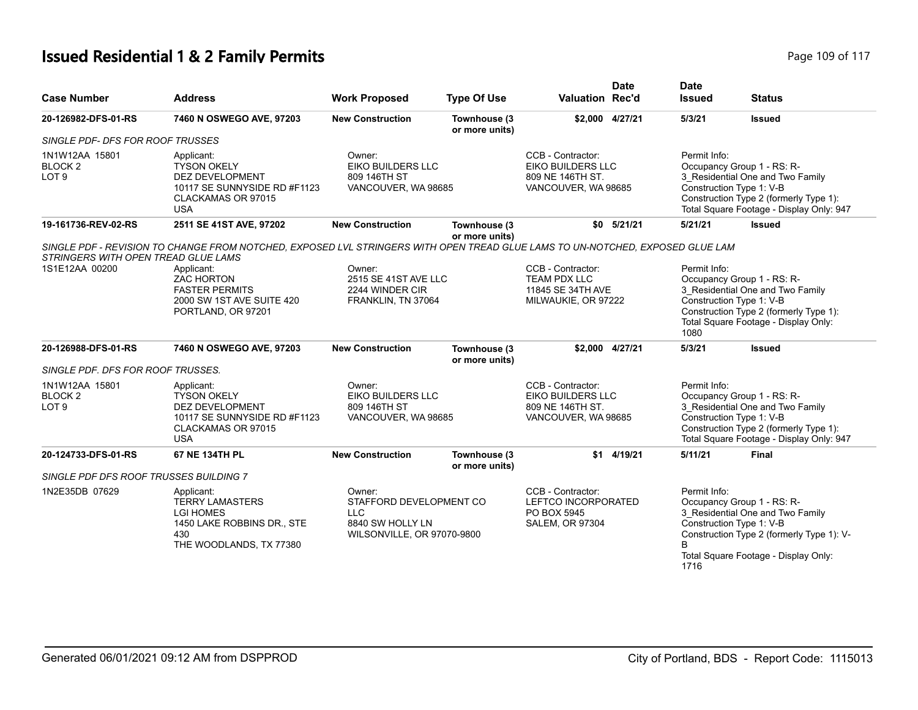# **Issued Residential 1 & 2 Family Permits Page 109 of 117 Page 109 of 117**

| <b>Case Number</b>                                       | <b>Address</b>                                                                                                                                                                                                                               | <b>Work Proposed</b>                                                                       | <b>Type Of Use</b>             | <b>Valuation Rec'd</b>                                                                   | <b>Date</b>     | <b>Date</b><br><b>Issued</b>                     | <b>Status</b>                                                                                                                                                                    |
|----------------------------------------------------------|----------------------------------------------------------------------------------------------------------------------------------------------------------------------------------------------------------------------------------------------|--------------------------------------------------------------------------------------------|--------------------------------|------------------------------------------------------------------------------------------|-----------------|--------------------------------------------------|----------------------------------------------------------------------------------------------------------------------------------------------------------------------------------|
| 20-126982-DFS-01-RS                                      | 7460 N OSWEGO AVE, 97203                                                                                                                                                                                                                     | <b>New Construction</b>                                                                    | Townhouse (3<br>or more units) |                                                                                          | \$2.000 4/27/21 | 5/3/21                                           | <b>Issued</b>                                                                                                                                                                    |
| SINGLE PDF- DFS FOR ROOF TRUSSES                         |                                                                                                                                                                                                                                              |                                                                                            |                                |                                                                                          |                 |                                                  |                                                                                                                                                                                  |
| 1N1W12AA 15801<br>BLOCK <sub>2</sub><br>LOT <sub>9</sub> | Applicant:<br><b>TYSON OKELY</b><br><b>DEZ DEVELOPMENT</b><br>10117 SE SUNNYSIDE RD #F1123<br>CLACKAMAS OR 97015<br><b>USA</b>                                                                                                               | Owner:<br><b>EIKO BUILDERS LLC</b><br>809 146TH ST<br>VANCOUVER, WA 98685                  |                                | CCB - Contractor:<br><b>EIKO BUILDERS LLC</b><br>809 NE 146TH ST.<br>VANCOUVER, WA 98685 |                 | Permit Info:                                     | Occupancy Group 1 - RS: R-<br>3_Residential One and Two Family<br>Construction Type 1: V-B<br>Construction Type 2 (formerly Type 1):<br>Total Square Footage - Display Only: 947 |
| 19-161736-REV-02-RS                                      | 2511 SE 41ST AVE, 97202                                                                                                                                                                                                                      | <b>New Construction</b>                                                                    | Townhouse (3<br>or more units) |                                                                                          | $$0$ $5/21/21$  | 5/21/21                                          | <b>Issued</b>                                                                                                                                                                    |
| STRINGERS WITH OPEN TREAD GLUE LAMS<br>1S1E12AA 00200    | SINGLE PDF - REVISION TO CHANGE FROM NOTCHED, EXPOSED LVL STRINGERS WITH OPEN TREAD GLUE LAMS TO UN-NOTCHED, EXPOSED GLUE LAM<br>Applicant:<br><b>ZAC HORTON</b><br><b>FASTER PERMITS</b><br>2000 SW 1ST AVE SUITE 420<br>PORTLAND, OR 97201 | Owner:<br>2515 SE 41ST AVE LLC<br>2244 WINDER CIR<br>FRANKLIN, TN 37064                    |                                | CCB - Contractor:<br><b>TEAM PDX LLC</b><br>11845 SE 34TH AVE<br>MILWAUKIE, OR 97222     |                 | Permit Info:<br>Construction Type 1: V-B<br>1080 | Occupancy Group 1 - RS: R-<br>3_Residential One and Two Family<br>Construction Type 2 (formerly Type 1):<br>Total Square Footage - Display Only:                                 |
| 20-126988-DFS-01-RS                                      | 7460 N OSWEGO AVE, 97203                                                                                                                                                                                                                     | <b>New Construction</b>                                                                    | Townhouse (3<br>or more units) |                                                                                          | \$2,000 4/27/21 | 5/3/21                                           | <b>Issued</b>                                                                                                                                                                    |
| SINGLE PDF. DFS FOR ROOF TRUSSES.                        |                                                                                                                                                                                                                                              |                                                                                            |                                |                                                                                          |                 |                                                  |                                                                                                                                                                                  |
| 1N1W12AA 15801<br>BLOCK <sub>2</sub><br>LOT <sub>9</sub> | Applicant:<br><b>TYSON OKELY</b><br>DEZ DEVELOPMENT<br>10117 SE SUNNYSIDE RD #F1123<br>CLACKAMAS OR 97015<br><b>USA</b>                                                                                                                      | Owner:<br><b>EIKO BUILDERS LLC</b><br>809 146TH ST<br>VANCOUVER, WA 98685                  |                                | CCB - Contractor:<br><b>EIKO BUILDERS LLC</b><br>809 NE 146TH ST.<br>VANCOUVER, WA 98685 |                 | Permit Info:<br>Construction Type 1: V-B         | Occupancy Group 1 - RS: R-<br>3 Residential One and Two Family<br>Construction Type 2 (formerly Type 1):<br>Total Square Footage - Display Only: 947                             |
| 20-124733-DFS-01-RS                                      | 67 NE 134TH PL                                                                                                                                                                                                                               | <b>New Construction</b>                                                                    | Townhouse (3<br>or more units) |                                                                                          | \$1 4/19/21     | 5/11/21                                          | Final                                                                                                                                                                            |
| SINGLE PDF DFS ROOF TRUSSES BUILDING 7                   |                                                                                                                                                                                                                                              |                                                                                            |                                |                                                                                          |                 |                                                  |                                                                                                                                                                                  |
| 1N2E35DB 07629                                           | Applicant:<br><b>TERRY LAMASTERS</b><br><b>LGI HOMES</b><br>1450 LAKE ROBBINS DR., STE<br>430<br>THE WOODLANDS, TX 77380                                                                                                                     | Owner:<br>STAFFORD DEVELOPMENT CO<br>LLC<br>8840 SW HOLLY LN<br>WILSONVILLE, OR 97070-9800 |                                | CCB - Contractor:<br>LEFTCO INCORPORATED<br>PO BOX 5945<br><b>SALEM, OR 97304</b>        |                 | Permit Info:<br>B<br>1716                        | Occupancy Group 1 - RS: R-<br>3_Residential One and Two Family<br>Construction Type 1: V-B<br>Construction Type 2 (formerly Type 1): V-<br>Total Square Footage - Display Only:  |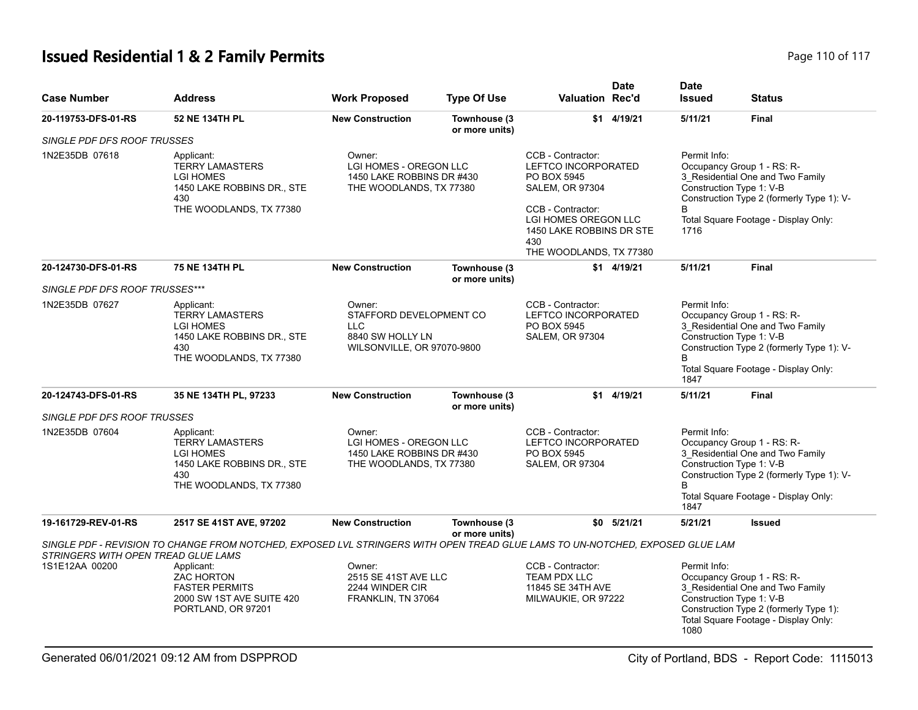# **Issued Residential 1 & 2 Family Permits Page 110 of 117 Page 110 of 117**

| <b>Case Number</b>                                    | <b>Address</b>                                                                                                                | <b>Work Proposed</b>                                                                            | <b>Type Of Use</b>             | <b>Valuation Rec'd</b>                                                                                                                                                                | <b>Date</b>    | <b>Date</b><br><b>Issued</b> | <b>Status</b>                                                                                                                                                                   |
|-------------------------------------------------------|-------------------------------------------------------------------------------------------------------------------------------|-------------------------------------------------------------------------------------------------|--------------------------------|---------------------------------------------------------------------------------------------------------------------------------------------------------------------------------------|----------------|------------------------------|---------------------------------------------------------------------------------------------------------------------------------------------------------------------------------|
| 20-119753-DFS-01-RS                                   | 52 NE 134TH PL                                                                                                                | <b>New Construction</b>                                                                         | Townhouse (3<br>or more units) |                                                                                                                                                                                       | \$1 4/19/21    | 5/11/21                      | Final                                                                                                                                                                           |
| SINGLE PDF DFS ROOF TRUSSES                           |                                                                                                                               |                                                                                                 |                                |                                                                                                                                                                                       |                |                              |                                                                                                                                                                                 |
| 1N2E35DB 07618                                        | Applicant:<br><b>TERRY LAMASTERS</b><br><b>LGI HOMES</b><br>1450 LAKE ROBBINS DR., STE<br>430<br>THE WOODLANDS, TX 77380      | Owner:<br>LGI HOMES - OREGON LLC<br>1450 LAKE ROBBINS DR #430<br>THE WOODLANDS, TX 77380<br>430 |                                | CCB - Contractor:<br>LEFTCO INCORPORATED<br>PO BOX 5945<br><b>SALEM, OR 97304</b><br>CCB - Contractor:<br>LGI HOMES OREGON LLC<br>1450 LAKE ROBBINS DR STE<br>THE WOODLANDS, TX 77380 |                | Permit Info:<br>1716         | Occupancy Group 1 - RS: R-<br>3_Residential One and Two Family<br>Construction Type 1: V-B<br>Construction Type 2 (formerly Type 1): V-<br>Total Square Footage - Display Only: |
| 20-124730-DFS-01-RS                                   | 75 NE 134TH PL                                                                                                                | <b>New Construction</b>                                                                         | Townhouse (3<br>or more units) |                                                                                                                                                                                       | \$1 4/19/21    | 5/11/21                      | <b>Final</b>                                                                                                                                                                    |
| SINGLE PDF DFS ROOF TRUSSES***                        |                                                                                                                               |                                                                                                 |                                |                                                                                                                                                                                       |                |                              |                                                                                                                                                                                 |
| 1N2E35DB 07627                                        | Applicant:<br><b>TERRY LAMASTERS</b><br><b>LGI HOMES</b><br>1450 LAKE ROBBINS DR., STE<br>430<br>THE WOODLANDS, TX 77380      | Owner:<br>STAFFORD DEVELOPMENT CO<br>LLC<br>8840 SW HOLLY LN<br>WILSONVILLE, OR 97070-9800      |                                | CCB - Contractor:<br>LEFTCO INCORPORATED<br>PO BOX 5945<br><b>SALEM, OR 97304</b>                                                                                                     |                | Permit Info:<br>1847         | Occupancy Group 1 - RS: R-<br>3_Residential One and Two Family<br>Construction Type 1: V-B<br>Construction Type 2 (formerly Type 1): V-<br>Total Square Footage - Display Only: |
| 20-124743-DFS-01-RS                                   | 35 NE 134TH PL, 97233                                                                                                         | <b>New Construction</b>                                                                         | Townhouse (3<br>or more units) | \$1                                                                                                                                                                                   | 4/19/21        | 5/11/21                      | <b>Final</b>                                                                                                                                                                    |
| <b>SINGLE PDF DFS ROOF TRUSSES</b>                    |                                                                                                                               |                                                                                                 |                                |                                                                                                                                                                                       |                |                              |                                                                                                                                                                                 |
| 1N2E35DB 07604                                        | Applicant:<br><b>TERRY LAMASTERS</b><br><b>LGI HOMES</b><br>1450 LAKE ROBBINS DR., STE<br>430<br>THE WOODLANDS, TX 77380      | Owner:<br>LGI HOMES - OREGON LLC<br>1450 LAKE ROBBINS DR #430<br>THE WOODLANDS, TX 77380        |                                | CCB - Contractor:<br><b>LEFTCO INCORPORATED</b><br>PO BOX 5945<br><b>SALEM, OR 97304</b>                                                                                              |                | Permit Info:<br>B<br>1847    | Occupancy Group 1 - RS: R-<br>3_Residential One and Two Family<br>Construction Type 1: V-B<br>Construction Type 2 (formerly Type 1): V-<br>Total Square Footage - Display Only: |
| 19-161729-REV-01-RS                                   | 2517 SE 41ST AVE, 97202                                                                                                       | <b>New Construction</b>                                                                         | Townhouse (3<br>or more units) |                                                                                                                                                                                       | $$0$ $5/21/21$ | 5/21/21                      | <b>Issued</b>                                                                                                                                                                   |
|                                                       | SINGLE PDF - REVISION TO CHANGE FROM NOTCHED, EXPOSED LVL STRINGERS WITH OPEN TREAD GLUE LAMS TO UN-NOTCHED, EXPOSED GLUE LAM |                                                                                                 |                                |                                                                                                                                                                                       |                |                              |                                                                                                                                                                                 |
| STRINGERS WITH OPEN TREAD GLUE LAMS<br>1S1E12AA 00200 | Applicant:<br><b>ZAC HORTON</b><br><b>FASTER PERMITS</b><br>2000 SW 1ST AVE SUITE 420<br>PORTLAND, OR 97201                   | Owner:<br>2515 SE 41ST AVE LLC<br>2244 WINDER CIR<br>FRANKLIN, TN 37064                         |                                | CCB - Contractor:<br><b>TEAM PDX LLC</b><br>11845 SE 34TH AVE<br>MILWAUKIE, OR 97222                                                                                                  |                | Permit Info:<br>1080         | Occupancy Group 1 - RS: R-<br>3 Residential One and Two Family<br>Construction Type 1: V-B<br>Construction Type 2 (formerly Type 1):<br>Total Square Footage - Display Only:    |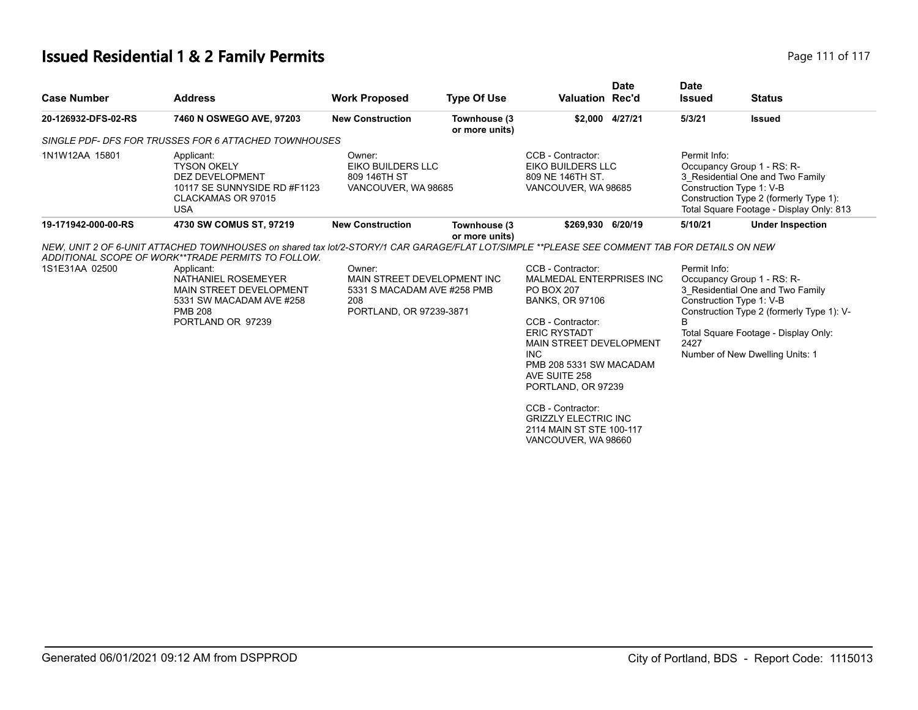# **Issued Residential 1 & 2 Family Permits**

| Page 111 of 117 |  |  |
|-----------------|--|--|
|-----------------|--|--|

| <b>Case Number</b>  | <b>Address</b>                                                                                                                                                                        | <b>Work Proposed</b>                                                                                   | <b>Type Of Use</b>             | <b>Valuation Rec'd</b>                                                                                                                                                                                                                                                                                                                                            | <b>Date</b>     | <b>Date</b><br><b>Issued</b> | <b>Status</b>                                                                                                                                                                                                      |
|---------------------|---------------------------------------------------------------------------------------------------------------------------------------------------------------------------------------|--------------------------------------------------------------------------------------------------------|--------------------------------|-------------------------------------------------------------------------------------------------------------------------------------------------------------------------------------------------------------------------------------------------------------------------------------------------------------------------------------------------------------------|-----------------|------------------------------|--------------------------------------------------------------------------------------------------------------------------------------------------------------------------------------------------------------------|
| 20-126932-DFS-02-RS | 7460 N OSWEGO AVE, 97203                                                                                                                                                              | <b>New Construction</b>                                                                                | Townhouse (3<br>or more units) |                                                                                                                                                                                                                                                                                                                                                                   | \$2,000 4/27/21 | 5/3/21                       | <b>Issued</b>                                                                                                                                                                                                      |
|                     | SINGLE PDF- DFS FOR TRUSSES FOR 6 ATTACHED TOWNHOUSES                                                                                                                                 |                                                                                                        |                                |                                                                                                                                                                                                                                                                                                                                                                   |                 |                              |                                                                                                                                                                                                                    |
| 1N1W12AA 15801      | Applicant:<br><b>TYSON OKELY</b><br><b>DEZ DEVELOPMENT</b><br>10117 SE SUNNYSIDE RD #F1123<br>CLACKAMAS OR 97015<br><b>USA</b>                                                        | Owner:<br>EIKO BUILDERS LLC<br>809 146TH ST<br>VANCOUVER, WA 98685                                     |                                | CCB - Contractor:<br>EIKO BUILDERS LLC<br>809 NE 146TH ST.<br>VANCOUVER, WA 98685                                                                                                                                                                                                                                                                                 |                 | Permit Info:                 | Occupancy Group 1 - RS: R-<br>3 Residential One and Two Family<br>Construction Type 1: V-B<br>Construction Type 2 (formerly Type 1):<br>Total Square Footage - Display Only: 813                                   |
| 19-171942-000-00-RS | 4730 SW COMUS ST, 97219                                                                                                                                                               | <b>New Construction</b>                                                                                | Townhouse (3                   | \$269,930 6/20/19                                                                                                                                                                                                                                                                                                                                                 |                 | 5/10/21                      | <b>Under Inspection</b>                                                                                                                                                                                            |
| 1S1E31AA 02500      | ADDITIONAL SCOPE OF WORK**TRADE PERMITS TO FOLLOW.<br>Applicant:<br>NATHANIEL ROSEMEYER<br>MAIN STREET DEVELOPMENT<br>5331 SW MACADAM AVE #258<br><b>PMB 208</b><br>PORTLAND OR 97239 | Owner:<br>MAIN STREET DEVELOPMENT INC<br>5331 S MACADAM AVE #258 PMB<br>208<br>PORTLAND, OR 97239-3871 |                                | CCB - Contractor:<br><b>MALMEDAL ENTERPRISES INC</b><br><b>PO BOX 207</b><br><b>BANKS, OR 97106</b><br>CCB - Contractor:<br><b>ERIC RYSTADT</b><br>MAIN STREET DEVELOPMENT<br><b>INC</b><br>PMB 208 5331 SW MACADAM<br>AVE SUITE 258<br>PORTLAND, OR 97239<br>CCB - Contractor:<br><b>GRIZZLY ELECTRIC INC</b><br>2114 MAIN ST STE 100-117<br>VANCOUVER, WA 98660 |                 | Permit Info:<br>B<br>2427    | Occupancy Group 1 - RS: R-<br>3 Residential One and Two Family<br>Construction Type 1: V-B<br>Construction Type 2 (formerly Type 1): V-<br>Total Square Footage - Display Only:<br>Number of New Dwelling Units: 1 |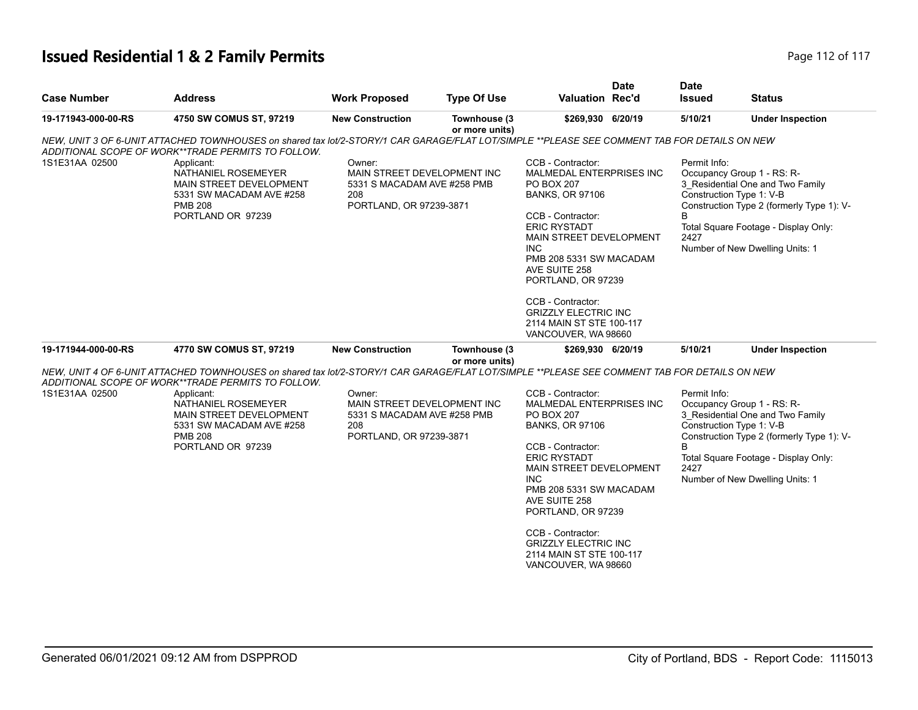## **Issued Residential 1 & 2 Family Permits Page 112 of 117 Page 112 of 117**

| <b>Case Number</b>  | <b>Address</b>                                                                                                                                                                                                                                                                                                                        | <b>Work Proposed</b>                                                                                   | <b>Type Of Use</b>             | <b>Valuation Rec'd</b>                                                                                                                                                                                                                                                                                                                                      | <b>Date</b> | <b>Date</b><br><b>Issued</b>                           | <b>Status</b>                                                                                                                                                                          |
|---------------------|---------------------------------------------------------------------------------------------------------------------------------------------------------------------------------------------------------------------------------------------------------------------------------------------------------------------------------------|--------------------------------------------------------------------------------------------------------|--------------------------------|-------------------------------------------------------------------------------------------------------------------------------------------------------------------------------------------------------------------------------------------------------------------------------------------------------------------------------------------------------------|-------------|--------------------------------------------------------|----------------------------------------------------------------------------------------------------------------------------------------------------------------------------------------|
| 19-171943-000-00-RS | 4750 SW COMUS ST, 97219                                                                                                                                                                                                                                                                                                               | <b>New Construction</b>                                                                                | Townhouse (3<br>or more units) | \$269,930 6/20/19                                                                                                                                                                                                                                                                                                                                           |             | 5/10/21                                                | <b>Under Inspection</b>                                                                                                                                                                |
| 1S1E31AA 02500      | NEW, UNIT 3 OF 6-UNIT ATTACHED TOWNHOUSES on shared tax lot/2-STORY/1 CAR GARAGE/FLAT LOT/SIMPLE **PLEASE SEE COMMENT TAB FOR DETAILS ON NEW<br>ADDITIONAL SCOPE OF WORK**TRADE PERMITS TO FOLLOW.<br>Applicant:<br>NATHANIEL ROSEMEYER<br>MAIN STREET DEVELOPMENT<br>5331 SW MACADAM AVE #258<br><b>PMB 208</b><br>PORTLAND OR 97239 | Owner:<br>MAIN STREET DEVELOPMENT INC<br>5331 S MACADAM AVE #258 PMB<br>208<br>PORTLAND, OR 97239-3871 |                                | CCB - Contractor:<br>MALMEDAL ENTERPRISES INC<br><b>PO BOX 207</b><br><b>BANKS, OR 97106</b><br>CCB - Contractor:<br><b>ERIC RYSTADT</b><br><b>MAIN STREET DEVELOPMENT</b><br>INC.<br>PMB 208 5331 SW MACADAM<br>AVE SUITE 258<br>PORTLAND, OR 97239<br>CCB - Contractor:<br><b>GRIZZLY ELECTRIC INC</b><br>2114 MAIN ST STE 100-117<br>VANCOUVER, WA 98660 |             | Permit Info:<br>Construction Type 1: V-B<br>B<br>2427  | Occupancy Group 1 - RS: R-<br>3_Residential One and Two Family<br>Construction Type 2 (formerly Type 1): V-<br>Total Square Footage - Display Only:<br>Number of New Dwelling Units: 1 |
| 19-171944-000-00-RS | 4770 SW COMUS ST, 97219                                                                                                                                                                                                                                                                                                               | <b>New Construction</b>                                                                                | Townhouse (3<br>or more units) | \$269,930 6/20/19                                                                                                                                                                                                                                                                                                                                           |             | 5/10/21                                                | <b>Under Inspection</b>                                                                                                                                                                |
| 1S1E31AA 02500      | NEW, UNIT 4 OF 6-UNIT ATTACHED TOWNHOUSES on shared tax lot/2-STORY/1 CAR GARAGE/FLAT LOT/SIMPLE **PLEASE SEE COMMENT TAB FOR DETAILS ON NEW<br>ADDITIONAL SCOPE OF WORK**TRADE PERMITS TO FOLLOW.<br>Applicant:<br>NATHANIEL ROSEMEYER<br>MAIN STREET DEVELOPMENT<br>5331 SW MACADAM AVE #258<br><b>PMB 208</b><br>PORTLAND OR 97239 | Owner:<br>MAIN STREET DEVELOPMENT INC<br>5331 S MACADAM AVE #258 PMB<br>208<br>PORTLAND, OR 97239-3871 |                                | CCB - Contractor:<br>MALMEDAL ENTERPRISES INC<br><b>PO BOX 207</b><br><b>BANKS, OR 97106</b><br>CCB - Contractor:<br><b>ERIC RYSTADT</b><br>MAIN STREET DEVELOPMENT<br><b>INC</b><br>PMB 208 5331 SW MACADAM<br>AVE SUITE 258<br>PORTLAND, OR 97239<br>CCB - Contractor:<br><b>GRIZZLY ELECTRIC INC</b><br>2114 MAIN ST STE 100-117<br>VANCOUVER, WA 98660  |             | Permit Info:<br>Construction Type 1: V-B<br>B.<br>2427 | Occupancy Group 1 - RS: R-<br>3_Residential One and Two Family<br>Construction Type 2 (formerly Type 1): V-<br>Total Square Footage - Display Only:<br>Number of New Dwelling Units: 1 |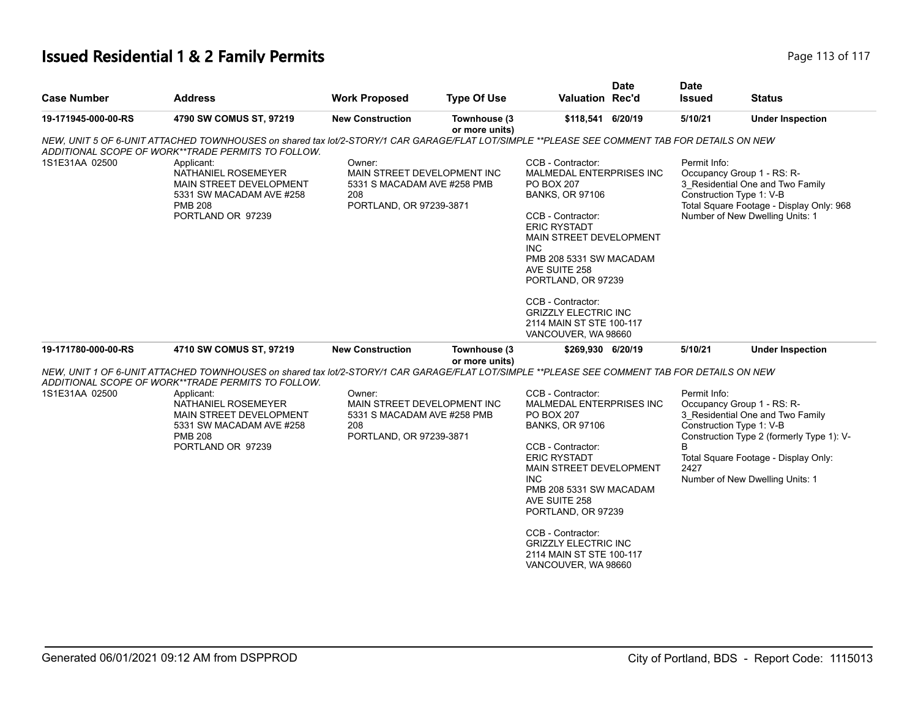## **Issued Residential 1 & 2 Family Permits Page 113 of 117 Page 113 of 117**

| <b>Case Number</b>  | <b>Address</b>                                                                                                                                                                                                                                                                                                                        | <b>Work Proposed</b>                                                                                   | <b>Type Of Use</b>             | <b>Valuation Rec'd</b>                                                                                                                                                                                                                                                                                                                                     | <b>Date</b> | <b>Date</b><br><b>Issued</b>                          | <b>Status</b>                                                                                                                                                                          |
|---------------------|---------------------------------------------------------------------------------------------------------------------------------------------------------------------------------------------------------------------------------------------------------------------------------------------------------------------------------------|--------------------------------------------------------------------------------------------------------|--------------------------------|------------------------------------------------------------------------------------------------------------------------------------------------------------------------------------------------------------------------------------------------------------------------------------------------------------------------------------------------------------|-------------|-------------------------------------------------------|----------------------------------------------------------------------------------------------------------------------------------------------------------------------------------------|
| 19-171945-000-00-RS | 4790 SW COMUS ST, 97219                                                                                                                                                                                                                                                                                                               | <b>New Construction</b>                                                                                | Townhouse (3<br>or more units) | \$118,541 6/20/19                                                                                                                                                                                                                                                                                                                                          |             | 5/10/21                                               | <b>Under Inspection</b>                                                                                                                                                                |
| 1S1E31AA 02500      | NEW, UNIT 5 OF 6-UNIT ATTACHED TOWNHOUSES on shared tax lot/2-STORY/1 CAR GARAGE/FLAT LOT/SIMPLE **PLEASE SEE COMMENT TAB FOR DETAILS ON NEW<br>ADDITIONAL SCOPE OF WORK**TRADE PERMITS TO FOLLOW.<br>Applicant:<br>NATHANIEL ROSEMEYER<br>MAIN STREET DEVELOPMENT<br>5331 SW MACADAM AVE #258<br><b>PMB 208</b><br>PORTLAND OR 97239 | Owner:<br>MAIN STREET DEVELOPMENT INC<br>5331 S MACADAM AVE #258 PMB<br>208<br>PORTLAND, OR 97239-3871 |                                | CCB - Contractor:<br>MALMEDAL ENTERPRISES INC<br><b>PO BOX 207</b><br><b>BANKS, OR 97106</b><br>CCB - Contractor:<br><b>ERIC RYSTADT</b><br>MAIN STREET DEVELOPMENT<br>INC.<br>PMB 208 5331 SW MACADAM<br>AVE SUITE 258<br>PORTLAND, OR 97239<br>CCB - Contractor:<br><b>GRIZZLY ELECTRIC INC</b><br>2114 MAIN ST STE 100-117<br>VANCOUVER, WA 98660       |             | Permit Info:<br>Construction Type 1: V-B              | Occupancy Group 1 - RS: R-<br>3_Residential One and Two Family<br>Total Square Footage - Display Only: 968<br>Number of New Dwelling Units: 1                                          |
| 19-171780-000-00-RS | 4710 SW COMUS ST, 97219                                                                                                                                                                                                                                                                                                               | <b>New Construction</b>                                                                                | Townhouse (3                   | \$269,930 6/20/19                                                                                                                                                                                                                                                                                                                                          |             | 5/10/21                                               | <b>Under Inspection</b>                                                                                                                                                                |
| 1S1E31AA 02500      | NEW, UNIT 1 OF 6-UNIT ATTACHED TOWNHOUSES on shared tax lot/2-STORY/1 CAR GARAGE/FLAT LOT/SIMPLE **PLEASE SEE COMMENT TAB FOR DETAILS ON NEW<br>ADDITIONAL SCOPE OF WORK**TRADE PERMITS TO FOLLOW.<br>Applicant:<br>NATHANIEL ROSEMEYER<br>MAIN STREET DEVELOPMENT<br>5331 SW MACADAM AVE #258<br><b>PMB 208</b><br>PORTLAND OR 97239 | Owner:<br>MAIN STREET DEVELOPMENT INC<br>5331 S MACADAM AVE #258 PMB<br>208<br>PORTLAND, OR 97239-3871 | or more units)                 | CCB - Contractor:<br>MALMEDAL ENTERPRISES INC<br><b>PO BOX 207</b><br><b>BANKS, OR 97106</b><br>CCB - Contractor:<br><b>ERIC RYSTADT</b><br>MAIN STREET DEVELOPMENT<br><b>INC</b><br>PMB 208 5331 SW MACADAM<br>AVE SUITE 258<br>PORTLAND, OR 97239<br>CCB - Contractor:<br><b>GRIZZLY ELECTRIC INC</b><br>2114 MAIN ST STE 100-117<br>VANCOUVER, WA 98660 |             | Permit Info:<br>Construction Type 1: V-B<br>B<br>2427 | Occupancy Group 1 - RS: R-<br>3_Residential One and Two Family<br>Construction Type 2 (formerly Type 1): V-<br>Total Square Footage - Display Only:<br>Number of New Dwelling Units: 1 |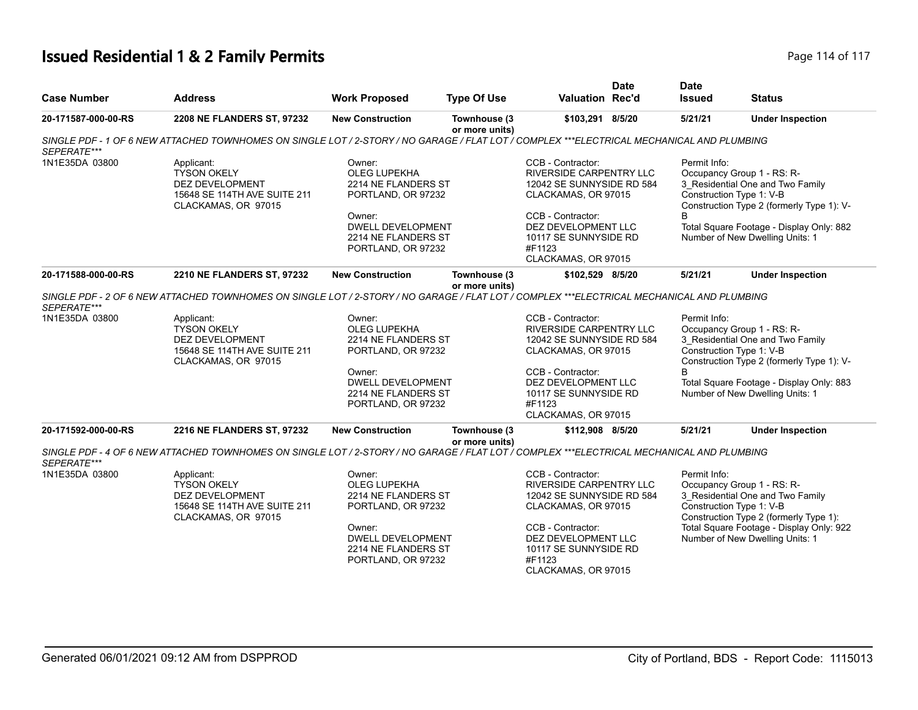## **Issued Residential 1 & 2 Family Permits Page 114 of 117** Page 114 of 117

| <b>Case Number</b>            | <b>Address</b>                                                                                                                                                                                                                                          | <b>Work Proposed</b>                                                                                                                                          | <b>Type Of Use</b>             | Valuation Rec'd                                                                                                                                                                                               | <b>Date</b> | <b>Date</b><br><b>Issued</b> | <b>Status</b>                                                                                                                                                                                                          |
|-------------------------------|---------------------------------------------------------------------------------------------------------------------------------------------------------------------------------------------------------------------------------------------------------|---------------------------------------------------------------------------------------------------------------------------------------------------------------|--------------------------------|---------------------------------------------------------------------------------------------------------------------------------------------------------------------------------------------------------------|-------------|------------------------------|------------------------------------------------------------------------------------------------------------------------------------------------------------------------------------------------------------------------|
| 20-171587-000-00-RS           | 2208 NE FLANDERS ST, 97232                                                                                                                                                                                                                              | <b>New Construction</b>                                                                                                                                       | Townhouse (3<br>or more units) | \$103,291 8/5/20                                                                                                                                                                                              |             | 5/21/21                      | <b>Under Inspection</b>                                                                                                                                                                                                |
| SEPERATE***                   | SINGLE PDF - 1 OF 6 NEW ATTACHED TOWNHOMES ON SINGLE LOT / 2-STORY / NO GARAGE / FLAT LOT / COMPLEX ***ELECTRICAL MECHANICAL AND PLUMBING                                                                                                               |                                                                                                                                                               |                                |                                                                                                                                                                                                               |             |                              |                                                                                                                                                                                                                        |
| 1N1E35DA 03800                | Applicant:<br><b>TYSON OKELY</b><br><b>DEZ DEVELOPMENT</b><br>15648 SE 114TH AVE SUITE 211<br>CLACKAMAS, OR 97015                                                                                                                                       | Owner:<br><b>OLEG LUPEKHA</b><br>2214 NE FLANDERS ST<br>PORTLAND, OR 97232<br>Owner:<br><b>DWELL DEVELOPMENT</b><br>2214 NE FLANDERS ST<br>PORTLAND, OR 97232 |                                | CCB - Contractor:<br><b>RIVERSIDE CARPENTRY LLC</b><br>12042 SE SUNNYSIDE RD 584<br>CLACKAMAS, OR 97015<br>CCB - Contractor:<br>DEZ DEVELOPMENT LLC<br>10117 SE SUNNYSIDE RD<br>#F1123<br>CLACKAMAS, OR 97015 |             | Permit Info:<br>B            | Occupancy Group 1 - RS: R-<br>3 Residential One and Two Family<br>Construction Type 1: V-B<br>Construction Type 2 (formerly Type 1): V-<br>Total Square Footage - Display Only: 882<br>Number of New Dwelling Units: 1 |
| 20-171588-000-00-RS           | 2210 NE FLANDERS ST, 97232                                                                                                                                                                                                                              | <b>New Construction</b>                                                                                                                                       | Townhouse (3                   | \$102,529 8/5/20                                                                                                                                                                                              |             | 5/21/21                      | <b>Under Inspection</b>                                                                                                                                                                                                |
| SEPERATE***<br>1N1E35DA 03800 | SINGLE PDF - 2 OF 6 NEW ATTACHED TOWNHOMES ON SINGLE LOT / 2-STORY / NO GARAGE / FLAT LOT / COMPLEX ***ELECTRICAL MECHANICAL AND PLUMBING<br>Applicant:<br><b>TYSON OKELY</b><br>DEZ DEVELOPMENT<br>15648 SE 114TH AVE SUITE 211<br>CLACKAMAS, OR 97015 | Owner:<br><b>OLEG LUPEKHA</b><br>2214 NE FLANDERS ST<br>PORTLAND, OR 97232<br>Owner:<br><b>DWELL DEVELOPMENT</b><br>2214 NE FLANDERS ST<br>PORTLAND, OR 97232 | or more units)                 | CCB - Contractor:<br>RIVERSIDE CARPENTRY LLC<br>12042 SE SUNNYSIDE RD 584<br>CLACKAMAS, OR 97015<br>CCB - Contractor:<br>DEZ DEVELOPMENT LLC<br>10117 SE SUNNYSIDE RD<br>#F1123<br>CLACKAMAS, OR 97015        |             | Permit Info:<br><sub>R</sub> | Occupancy Group 1 - RS: R-<br>3_Residential One and Two Family<br>Construction Type 1: V-B<br>Construction Type 2 (formerly Type 1): V-<br>Total Square Footage - Display Only: 883<br>Number of New Dwelling Units: 1 |
| 20-171592-000-00-RS           | 2216 NE FLANDERS ST, 97232                                                                                                                                                                                                                              | <b>New Construction</b>                                                                                                                                       | Townhouse (3<br>or more units) | \$112,908 8/5/20                                                                                                                                                                                              |             | 5/21/21                      | <b>Under Inspection</b>                                                                                                                                                                                                |
| SEPERATE***                   | SINGLE PDF - 4 OF 6 NEW ATTACHED TOWNHOMES ON SINGLE LOT / 2-STORY / NO GARAGE / FLAT LOT / COMPLEX ***ELECTRICAL MECHANICAL AND PLUMBING                                                                                                               |                                                                                                                                                               |                                |                                                                                                                                                                                                               |             |                              |                                                                                                                                                                                                                        |
| 1N1E35DA 03800                | Applicant:<br><b>TYSON OKELY</b><br>DEZ DEVELOPMENT<br>15648 SE 114TH AVE SUITE 211<br>CLACKAMAS, OR 97015                                                                                                                                              | Owner:<br><b>OLEG LUPEKHA</b><br>2214 NE FLANDERS ST<br>PORTLAND, OR 97232<br>Owner:<br><b>DWELL DEVELOPMENT</b><br>2214 NE FLANDERS ST<br>PORTLAND, OR 97232 |                                | CCB - Contractor:<br>RIVERSIDE CARPENTRY LLC<br>12042 SE SUNNYSIDE RD 584<br>CLACKAMAS, OR 97015<br>CCB - Contractor:<br>DEZ DEVELOPMENT LLC<br>10117 SE SUNNYSIDE RD<br>#F1123<br>CLACKAMAS, OR 97015        |             | Permit Info:                 | Occupancy Group 1 - RS: R-<br>3 Residential One and Two Family<br>Construction Type 1: V-B<br>Construction Type 2 (formerly Type 1):<br>Total Square Footage - Display Only: 922<br>Number of New Dwelling Units: 1    |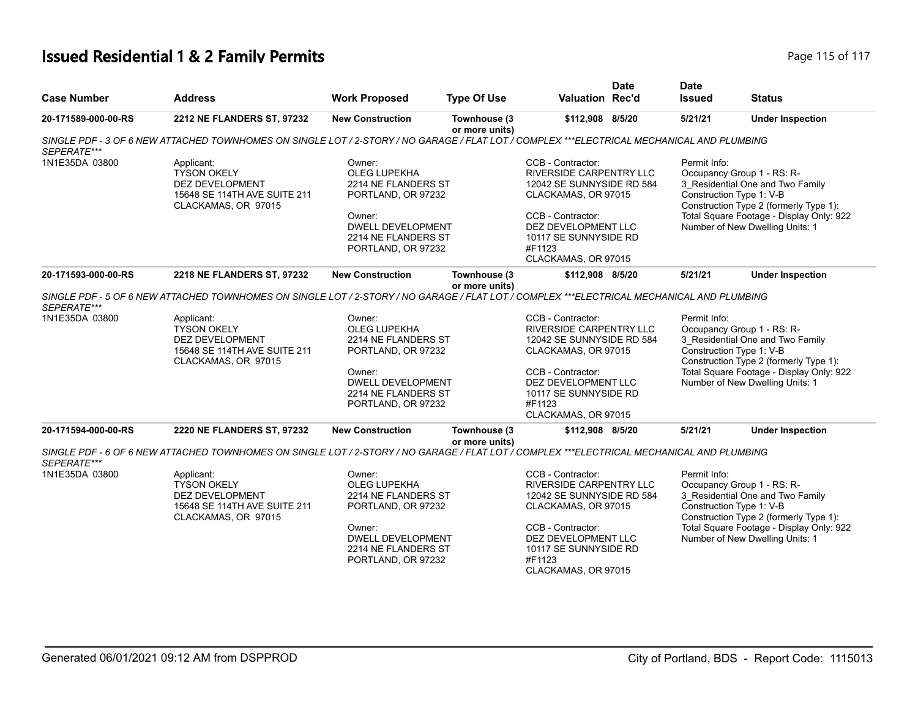## **Issued Residential 1 & 2 Family Permits Page 115 of 117** Page 115 of 117

| <b>Case Number</b>            | <b>Address</b>                                                                                                                                                                                                                                          | <b>Work Proposed</b>                                                                                                                                          | <b>Type Of Use</b>             | Valuation Rec'd                                                                                                                                                                                               | <b>Date</b> | <b>Date</b><br><b>Issued</b>             | <b>Status</b>                                                                                                                                                                           |
|-------------------------------|---------------------------------------------------------------------------------------------------------------------------------------------------------------------------------------------------------------------------------------------------------|---------------------------------------------------------------------------------------------------------------------------------------------------------------|--------------------------------|---------------------------------------------------------------------------------------------------------------------------------------------------------------------------------------------------------------|-------------|------------------------------------------|-----------------------------------------------------------------------------------------------------------------------------------------------------------------------------------------|
| 20-171589-000-00-RS           | 2212 NE FLANDERS ST, 97232                                                                                                                                                                                                                              | <b>New Construction</b>                                                                                                                                       | Townhouse (3<br>or more units) | \$112,908 8/5/20                                                                                                                                                                                              |             | 5/21/21                                  | <b>Under Inspection</b>                                                                                                                                                                 |
| SEPERATE***                   | SINGLE PDF - 3 OF 6 NEW ATTACHED TOWNHOMES ON SINGLE LOT / 2-STORY / NO GARAGE / FLAT LOT / COMPLEX ***ELECTRICAL MECHANICAL AND PLUMBING                                                                                                               |                                                                                                                                                               |                                |                                                                                                                                                                                                               |             |                                          |                                                                                                                                                                                         |
| 1N1E35DA 03800                | Applicant:<br><b>TYSON OKELY</b><br><b>DEZ DEVELOPMENT</b><br>15648 SE 114TH AVE SUITE 211<br>CLACKAMAS, OR 97015                                                                                                                                       | Owner:<br><b>OLEG LUPEKHA</b><br>2214 NE FLANDERS ST<br>PORTLAND, OR 97232<br>Owner:<br><b>DWELL DEVELOPMENT</b><br>2214 NE FLANDERS ST<br>PORTLAND, OR 97232 |                                | CCB - Contractor:<br><b>RIVERSIDE CARPENTRY LLC</b><br>12042 SE SUNNYSIDE RD 584<br>CLACKAMAS, OR 97015<br>CCB - Contractor:<br>DEZ DEVELOPMENT LLC<br>10117 SE SUNNYSIDE RD<br>#F1123<br>CLACKAMAS, OR 97015 |             | Permit Info:<br>Construction Type 1: V-B | Occupancy Group 1 - RS: R-<br>3_Residential One and Two Family<br>Construction Type 2 (formerly Type 1):<br>Total Square Footage - Display Only: 922<br>Number of New Dwelling Units: 1 |
| 20-171593-000-00-RS           | 2218 NE FLANDERS ST, 97232                                                                                                                                                                                                                              | <b>New Construction</b>                                                                                                                                       | Townhouse (3                   | \$112,908 8/5/20                                                                                                                                                                                              |             | 5/21/21                                  | <b>Under Inspection</b>                                                                                                                                                                 |
| SEPERATE***<br>1N1E35DA 03800 | SINGLE PDF - 5 OF 6 NEW ATTACHED TOWNHOMES ON SINGLE LOT / 2-STORY / NO GARAGE / FLAT LOT / COMPLEX ***ELECTRICAL MECHANICAL AND PLUMBING<br>Applicant:<br><b>TYSON OKELY</b><br>DEZ DEVELOPMENT<br>15648 SE 114TH AVE SUITE 211<br>CLACKAMAS, OR 97015 | Owner:<br><b>OLEG LUPEKHA</b><br>2214 NE FLANDERS ST<br>PORTLAND, OR 97232<br>Owner:<br><b>DWELL DEVELOPMENT</b><br>2214 NE FLANDERS ST<br>PORTLAND, OR 97232 | or more units)                 | CCB - Contractor:<br>RIVERSIDE CARPENTRY LLC<br>12042 SE SUNNYSIDE RD 584<br>CLACKAMAS, OR 97015<br>CCB - Contractor:<br>DEZ DEVELOPMENT LLC<br>10117 SE SUNNYSIDE RD<br>#F1123<br>CLACKAMAS, OR 97015        |             | Permit Info:<br>Construction Type 1: V-B | Occupancy Group 1 - RS: R-<br>3_Residential One and Two Family<br>Construction Type 2 (formerly Type 1):<br>Total Square Footage - Display Only: 922<br>Number of New Dwelling Units: 1 |
| 20-171594-000-00-RS           | 2220 NE FLANDERS ST, 97232                                                                                                                                                                                                                              | <b>New Construction</b>                                                                                                                                       | Townhouse (3<br>or more units) | \$112,908 8/5/20                                                                                                                                                                                              |             | 5/21/21                                  | <b>Under Inspection</b>                                                                                                                                                                 |
| SEPERATE***                   | SINGLE PDF - 6 OF 6 NEW ATTACHED TOWNHOMES ON SINGLE LOT / 2-STORY / NO GARAGE / FLAT LOT / COMPLEX ***ELECTRICAL MECHANICAL AND PLUMBING                                                                                                               |                                                                                                                                                               |                                |                                                                                                                                                                                                               |             |                                          |                                                                                                                                                                                         |
| 1N1E35DA 03800                | Applicant:<br><b>TYSON OKELY</b><br><b>DEZ DEVELOPMENT</b><br>15648 SE 114TH AVE SUITE 211<br>CLACKAMAS, OR 97015                                                                                                                                       | Owner:<br>OLEG LUPEKHA<br>2214 NE FLANDERS ST<br>PORTLAND, OR 97232<br>Owner:<br><b>DWELL DEVELOPMENT</b><br>2214 NE FLANDERS ST<br>PORTLAND, OR 97232        |                                | CCB - Contractor:<br>RIVERSIDE CARPENTRY LLC<br>12042 SE SUNNYSIDE RD 584<br>CLACKAMAS, OR 97015<br>CCB - Contractor:<br>DEZ DEVELOPMENT LLC<br>10117 SE SUNNYSIDE RD<br>#F1123<br>CLACKAMAS, OR 97015        |             | Permit Info:<br>Construction Type 1: V-B | Occupancy Group 1 - RS: R-<br>3 Residential One and Two Family<br>Construction Type 2 (formerly Type 1):<br>Total Square Footage - Display Only: 922<br>Number of New Dwelling Units: 1 |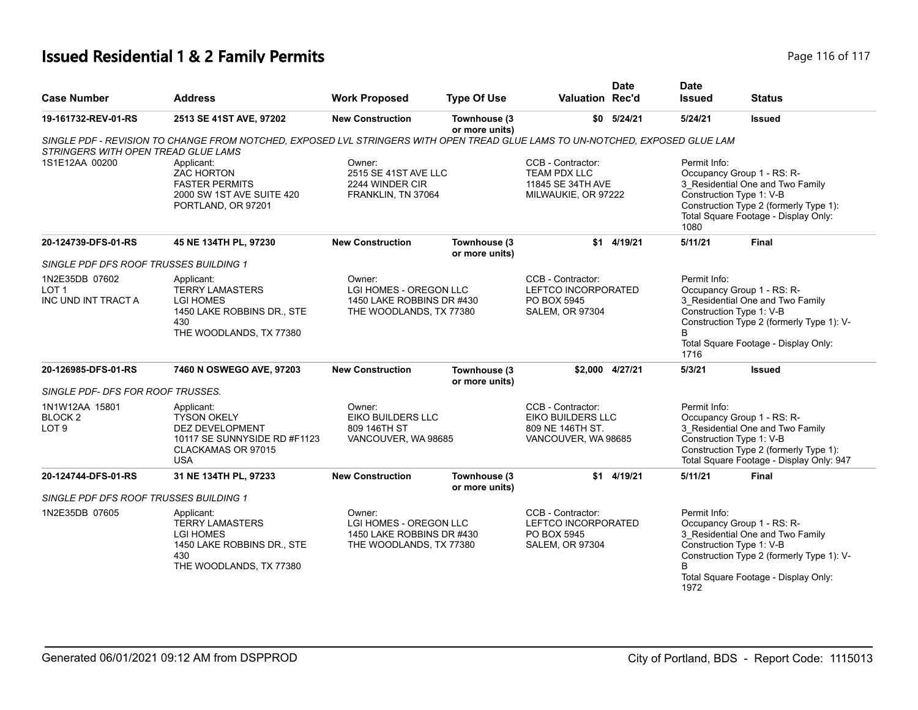## **Issued Residential 1 & 2 Family Permits Page 116 of 117 Page 116 of 117**

| <b>Case Number</b>                                  | <b>Address</b>                                                                                                                 | <b>Work Proposed</b>                                                                     | <b>Type Of Use</b>             | <b>Valuation Rec'd</b>                                                                   | <b>Date</b>     | <b>Date</b><br><b>Issued</b> | <b>Status</b>                                                                                                                                                                    |
|-----------------------------------------------------|--------------------------------------------------------------------------------------------------------------------------------|------------------------------------------------------------------------------------------|--------------------------------|------------------------------------------------------------------------------------------|-----------------|------------------------------|----------------------------------------------------------------------------------------------------------------------------------------------------------------------------------|
| 19-161732-REV-01-RS                                 | 2513 SE 41ST AVE, 97202                                                                                                        | <b>New Construction</b>                                                                  | Townhouse (3<br>or more units) |                                                                                          | \$0 5/24/21     | 5/24/21                      | <b>Issued</b>                                                                                                                                                                    |
| STRINGERS WITH OPEN TREAD GLUE LAMS                 | SINGLE PDF - REVISION TO CHANGE FROM NOTCHED, EXPOSED LVL STRINGERS WITH OPEN TREAD GLUE LAMS TO UN-NOTCHED, EXPOSED GLUE LAM  |                                                                                          |                                |                                                                                          |                 |                              |                                                                                                                                                                                  |
| 1S1E12AA 00200                                      | Applicant:<br>ZAC HORTON<br><b>FASTER PERMITS</b><br>2000 SW 1ST AVE SUITE 420<br>PORTLAND, OR 97201                           | Owner:<br>2515 SE 41ST AVE LLC<br>2244 WINDER CIR<br>FRANKLIN, TN 37064                  |                                | CCB - Contractor:<br>TEAM PDX LLC<br>11845 SE 34TH AVE<br>MILWAUKIE, OR 97222            |                 | Permit Info:<br>1080         | Occupancy Group 1 - RS: R-<br>3 Residential One and Two Family<br>Construction Type 1: V-B<br>Construction Type 2 (formerly Type 1):<br>Total Square Footage - Display Only:     |
| 20-124739-DFS-01-RS                                 | 45 NE 134TH PL, 97230                                                                                                          | <b>New Construction</b>                                                                  | Townhouse (3<br>or more units) |                                                                                          | \$1 4/19/21     | 5/11/21                      | <b>Final</b>                                                                                                                                                                     |
| SINGLE PDF DFS ROOF TRUSSES BUILDING 1              |                                                                                                                                |                                                                                          |                                |                                                                                          |                 |                              |                                                                                                                                                                                  |
| 1N2E35DB 07602<br>LOT <sub>1</sub>                  | Applicant:<br><b>TERRY LAMASTERS</b>                                                                                           | Owner:<br><b>LGI HOMES - OREGON LLC</b>                                                  |                                | CCB - Contractor:<br>LEFTCO INCORPORATED                                                 |                 | Permit Info:                 | Occupancy Group 1 - RS: R-                                                                                                                                                       |
| INC UND INT TRACT A                                 | <b>LGI HOMES</b><br>1450 LAKE ROBBINS DR., STE<br>430<br>THE WOODLANDS, TX 77380                                               | 1450 LAKE ROBBINS DR #430<br>THE WOODLANDS, TX 77380                                     |                                | PO BOX 5945<br><b>SALEM, OR 97304</b>                                                    |                 | 1716                         | 3 Residential One and Two Family<br>Construction Type 1: V-B<br>Construction Type 2 (formerly Type 1): V-<br>Total Square Footage - Display Only:                                |
| 20-126985-DFS-01-RS                                 | 7460 N OSWEGO AVE, 97203                                                                                                       | <b>New Construction</b>                                                                  | Townhouse (3<br>or more units) |                                                                                          | \$2.000 4/27/21 | 5/3/21                       | <b>Issued</b>                                                                                                                                                                    |
| SINGLE PDF- DFS FOR ROOF TRUSSES.                   |                                                                                                                                |                                                                                          |                                |                                                                                          |                 |                              |                                                                                                                                                                                  |
| 1N1W12AA 15801<br><b>BLOCK2</b><br>LOT <sub>9</sub> | Applicant:<br><b>TYSON OKELY</b><br><b>DEZ DEVELOPMENT</b><br>10117 SE SUNNYSIDE RD #F1123<br>CLACKAMAS OR 97015<br><b>USA</b> | Owner:<br>EIKO BUILDERS LLC<br>809 146TH ST<br>VANCOUVER, WA 98685                       |                                | CCB - Contractor:<br><b>EIKO BUILDERS LLC</b><br>809 NE 146TH ST.<br>VANCOUVER, WA 98685 |                 | Permit Info:                 | Occupancy Group 1 - RS: R-<br>3 Residential One and Two Family<br>Construction Type 1: V-B<br>Construction Type 2 (formerly Type 1):<br>Total Square Footage - Display Only: 947 |
| 20-124744-DFS-01-RS                                 | 31 NE 134TH PL, 97233                                                                                                          | <b>New Construction</b>                                                                  | Townhouse (3<br>or more units) |                                                                                          | \$1 4/19/21     | 5/11/21                      | Final                                                                                                                                                                            |
| SINGLE PDF DFS ROOF TRUSSES BUILDING 1              |                                                                                                                                |                                                                                          |                                |                                                                                          |                 |                              |                                                                                                                                                                                  |
| 1N2E35DB 07605                                      | Applicant:<br><b>TERRY LAMASTERS</b><br><b>LGI HOMES</b><br>1450 LAKE ROBBINS DR., STE<br>430<br>THE WOODLANDS, TX 77380       | Owner:<br>LGI HOMES - OREGON LLC<br>1450 LAKE ROBBINS DR #430<br>THE WOODLANDS, TX 77380 |                                | CCB - Contractor:<br>LEFTCO INCORPORATED<br>PO BOX 5945<br><b>SALEM, OR 97304</b>        |                 | Permit Info:<br>1972         | Occupancy Group 1 - RS: R-<br>3_Residential One and Two Family<br>Construction Type 1: V-B<br>Construction Type 2 (formerly Type 1): V-<br>Total Square Footage - Display Only:  |